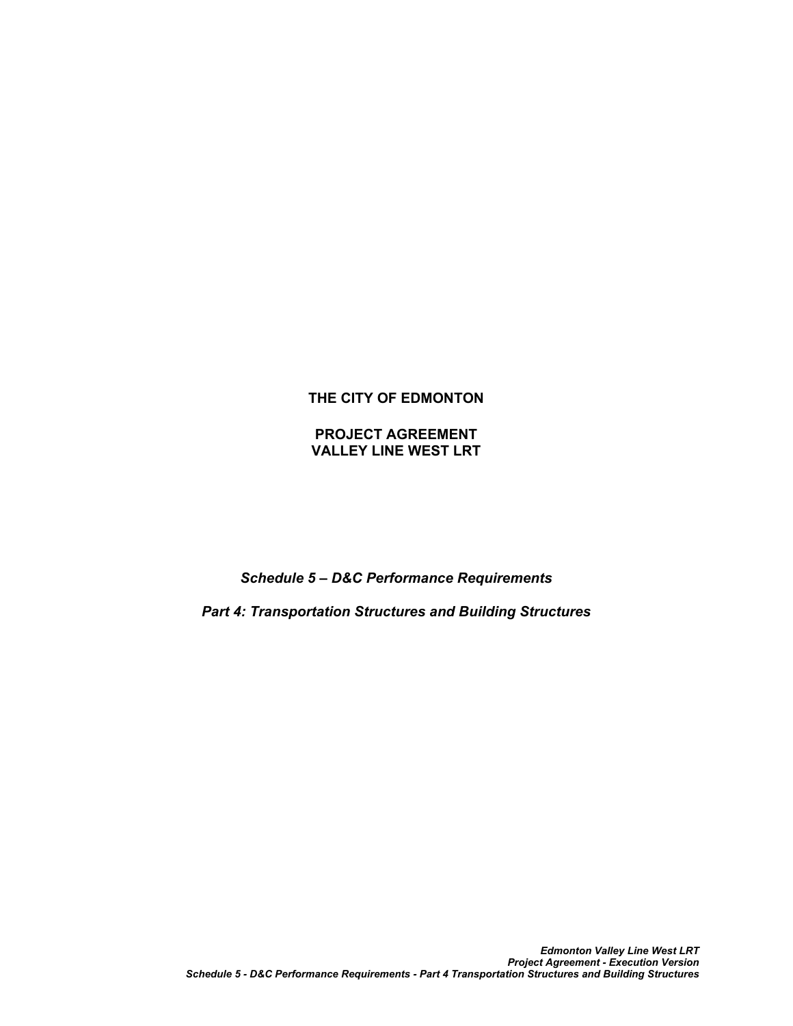# **THE CITY OF EDMONTON**

# **PROJECT AGREEMENT VALLEY LINE WEST LRT**

*Schedule 5 – D&C Performance Requirements*

*Part 4: Transportation Structures and Building Structures*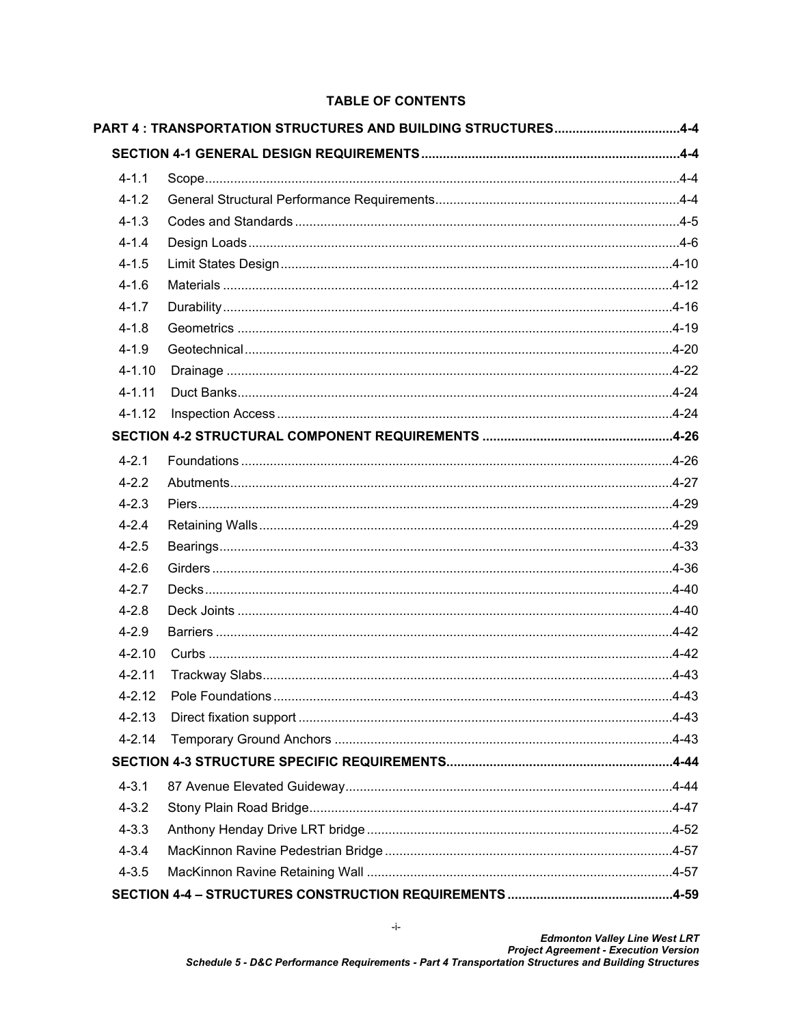# **TABLE OF CONTENTS**

|            | PART 4 : TRANSPORTATION STRUCTURES AND BUILDING STRUCTURES4-4                                                                                                                                                                 |           |
|------------|-------------------------------------------------------------------------------------------------------------------------------------------------------------------------------------------------------------------------------|-----------|
|            |                                                                                                                                                                                                                               |           |
| $4 - 1.1$  |                                                                                                                                                                                                                               |           |
| $4 - 1.2$  |                                                                                                                                                                                                                               |           |
| $4 - 1.3$  |                                                                                                                                                                                                                               |           |
| $4 - 1.4$  |                                                                                                                                                                                                                               |           |
| $4 - 1.5$  |                                                                                                                                                                                                                               |           |
| $4 - 1.6$  |                                                                                                                                                                                                                               |           |
| $4 - 1.7$  |                                                                                                                                                                                                                               |           |
| $4 - 1.8$  | 4-19. 4-19. 4-19. All and the summand control of the state of the state of the state of the state of the state of the state of the state of the state of the state of the state of the state of the state of the state of the |           |
| $4 - 1.9$  |                                                                                                                                                                                                                               |           |
| $4 - 1.10$ |                                                                                                                                                                                                                               |           |
| $4 - 1.11$ |                                                                                                                                                                                                                               |           |
| $4 - 1.12$ |                                                                                                                                                                                                                               |           |
|            |                                                                                                                                                                                                                               |           |
| $4 - 2.1$  |                                                                                                                                                                                                                               |           |
| $4 - 2.2$  |                                                                                                                                                                                                                               |           |
| $4 - 2.3$  |                                                                                                                                                                                                                               |           |
| $4 - 2.4$  |                                                                                                                                                                                                                               |           |
| $4 - 2.5$  |                                                                                                                                                                                                                               |           |
| $4 - 2.6$  |                                                                                                                                                                                                                               |           |
| $4 - 2.7$  |                                                                                                                                                                                                                               |           |
| $4 - 2.8$  |                                                                                                                                                                                                                               |           |
| $4 - 2.9$  |                                                                                                                                                                                                                               |           |
| $4 - 2.10$ |                                                                                                                                                                                                                               |           |
| $4 - 2.11$ |                                                                                                                                                                                                                               |           |
| 4-2.12     | Pole Foundations                                                                                                                                                                                                              | $-4 - 43$ |
| $4 - 2.13$ |                                                                                                                                                                                                                               |           |
| $4 - 2.14$ |                                                                                                                                                                                                                               |           |
|            |                                                                                                                                                                                                                               |           |
| $4 - 3.1$  |                                                                                                                                                                                                                               |           |
| $4 - 3.2$  |                                                                                                                                                                                                                               |           |
| $4 - 3.3$  |                                                                                                                                                                                                                               |           |
| $4 - 3.4$  |                                                                                                                                                                                                                               |           |
| $4 - 3.5$  |                                                                                                                                                                                                                               |           |
|            |                                                                                                                                                                                                                               |           |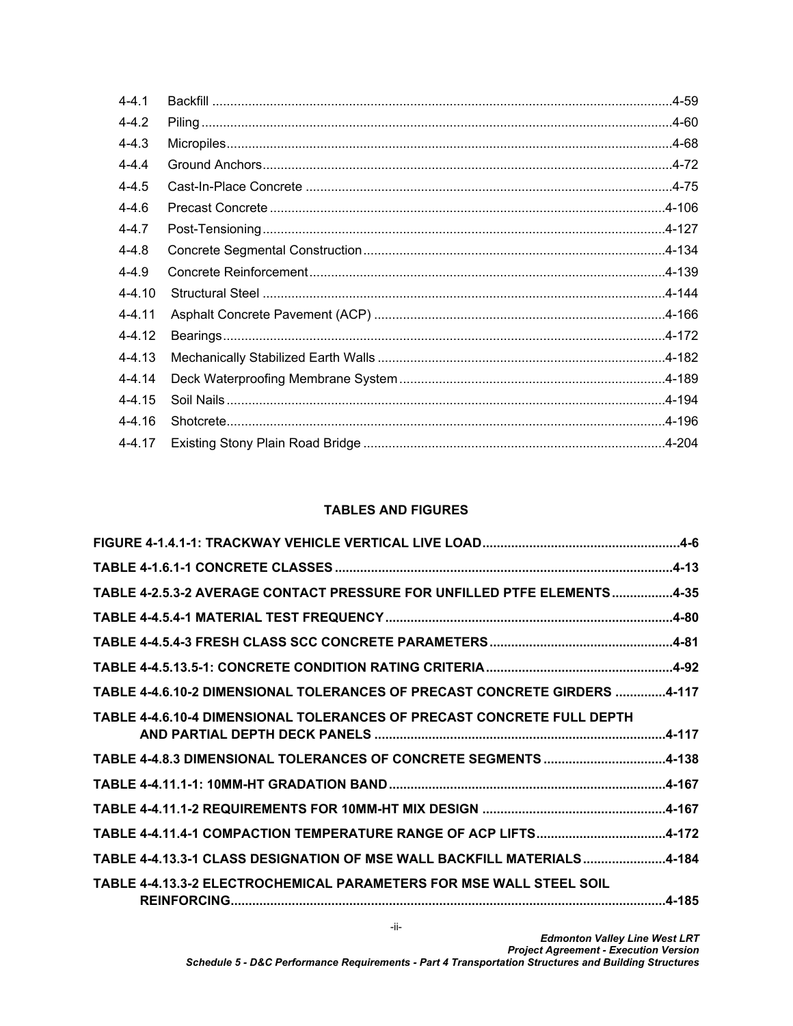| $4 - 4.1$  | $.4 - 59$  |
|------------|------------|
| $4 - 4.2$  |            |
| $4 - 4.3$  |            |
| $4 - 4.4$  |            |
| $4 - 4.5$  |            |
| $4 - 4.6$  | 4-106      |
| $4 - 4.7$  | $.4 - 127$ |
| $4 - 4.8$  | $.4 - 134$ |
| $4 - 4.9$  | .4-139     |
| $4 - 4.10$ | $.4 - 144$ |
| $4 - 4.11$ |            |
| 4-4.12     | $.4 - 172$ |
| $4 - 4.13$ |            |
| $4 - 4.14$ |            |
| $4 - 4.15$ |            |
| 4-4.16     | .4-196     |
| $4 - 4.17$ |            |

# **TABLES AND FIGURES**

| TABLE 4-2.5.3-2 AVERAGE CONTACT PRESSURE FOR UNFILLED PTFE ELEMENTS4-35   |  |
|---------------------------------------------------------------------------|--|
|                                                                           |  |
|                                                                           |  |
|                                                                           |  |
| TABLE 4-4.6.10-2 DIMENSIONAL TOLERANCES OF PRECAST CONCRETE GIRDERS 4-117 |  |
| TABLE 4-4.6.10-4 DIMENSIONAL TOLERANCES OF PRECAST CONCRETE FULL DEPTH    |  |
| TABLE 4-4.8.3 DIMENSIONAL TOLERANCES OF CONCRETE SEGMENTS 4-138           |  |
|                                                                           |  |
|                                                                           |  |
| TABLE 4-4.11.4-1 COMPACTION TEMPERATURE RANGE OF ACP LIFTS4-172           |  |
| TABLE 4-4.13.3-1 CLASS DESIGNATION OF MSE WALL BACKFILL MATERIALS4-184    |  |
| TABLE 4-4.13.3-2 ELECTROCHEMICAL PARAMETERS FOR MSE WALL STEEL SOIL       |  |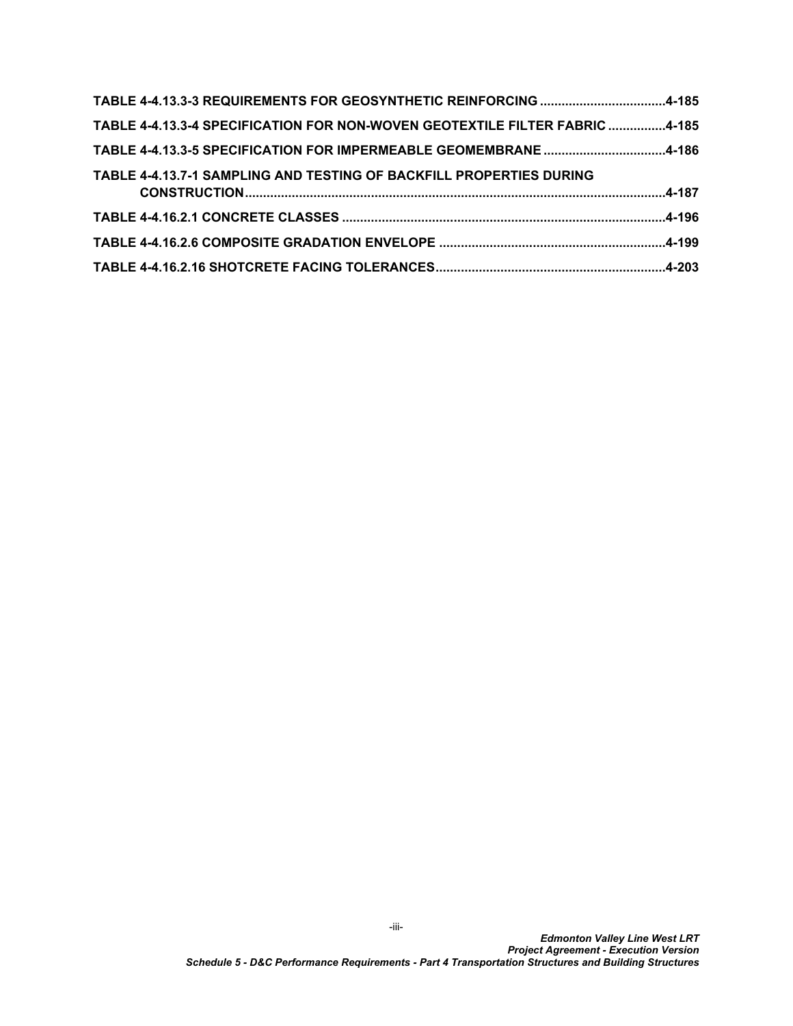| TABLE 4-4.13.3-3 REQUIREMENTS FOR GEOSYNTHETIC REINFORCING 4-185            |  |
|-----------------------------------------------------------------------------|--|
| TABLE 4-4.13.3-4 SPECIFICATION FOR NON-WOVEN GEOTEXTILE FILTER FABRIC 4-185 |  |
| TABLE 4-4.13.3-5 SPECIFICATION FOR IMPERMEABLE GEOMEMBRANE 4-186            |  |
| TABLE 4-4.13.7-1 SAMPLING AND TESTING OF BACKFILL PROPERTIES DURING         |  |
|                                                                             |  |
| TABLE 4-4.16.2.1 CONCRETE CLASSES ………………………………………………………………………………4-196       |  |
|                                                                             |  |
|                                                                             |  |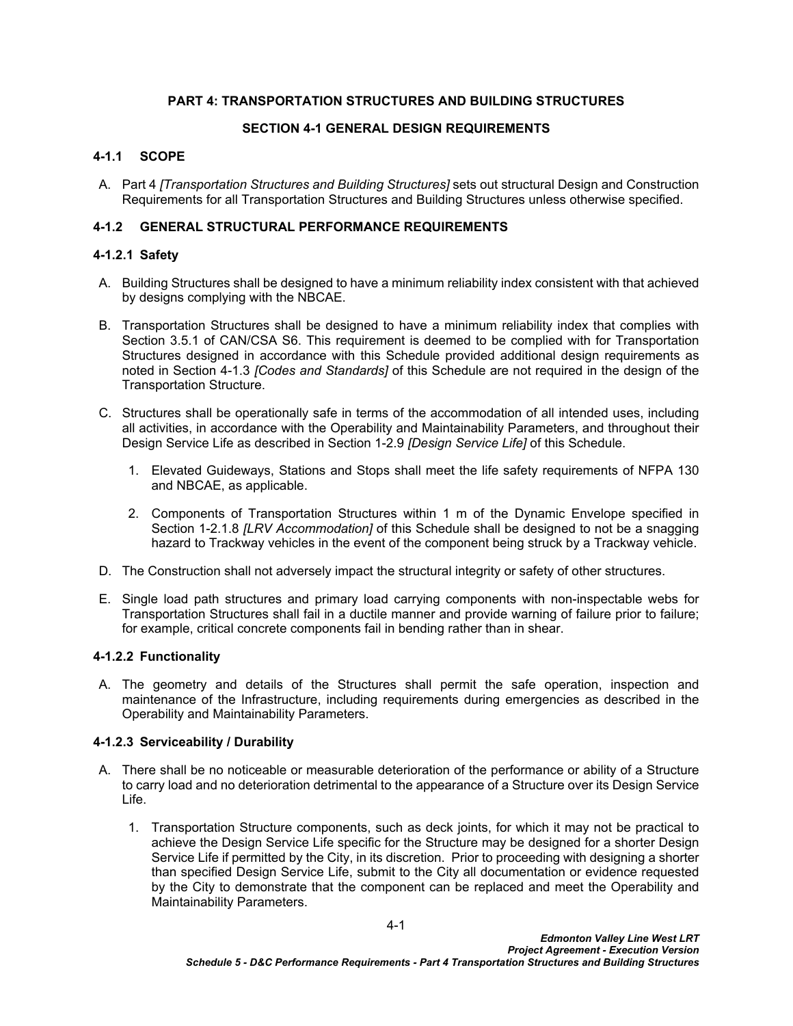### <span id="page-4-0"></span>**PART 4: TRANSPORTATION STRUCTURES AND BUILDING STRUCTURES**

# <span id="page-4-1"></span>**SECTION 4-1 GENERAL DESIGN REQUIREMENTS**

# <span id="page-4-2"></span>**4-1.1 SCOPE**

A. Part 4 *[Transportation Structures and Building Structures]* sets out structural Design and Construction Requirements for all Transportation Structures and Building Structures unless otherwise specified.

# <span id="page-4-3"></span>**4-1.2 GENERAL STRUCTURAL PERFORMANCE REQUIREMENTS**

#### <span id="page-4-4"></span>**4-1.2.1 Safety**

- A. Building Structures shall be designed to have a minimum reliability index consistent with that achieved by designs complying with the NBCAE.
- B. Transportation Structures shall be designed to have a minimum reliability index that complies with Section 3.5.1 of CAN/CSA S6. This requirement is deemed to be complied with for Transportation Structures designed in accordance with this Schedule provided additional design requirements as noted in Section [4-1.3](#page-5-0) *[\[Codes and Standards\]](#page-5-0)* of this Schedule are not required in the design of the Transportation Structure.
- C. Structures shall be operationally safe in terms of the accommodation of all intended uses, including all activities, in accordance with the Operability and Maintainability Parameters, and throughout their Design Service Life as described in Section 1-2.9 *[Design Service Life]* of this Schedule.
	- 1. Elevated Guideways, Stations and Stops shall meet the life safety requirements of NFPA 130 and NBCAE, as applicable.
	- 2. Components of Transportation Structures within 1 m of the Dynamic Envelope specified in Section 1-2.1.8 *[LRV Accommodation]* of this Schedule shall be designed to not be a snagging hazard to Trackway vehicles in the event of the component being struck by a Trackway vehicle.
- D. The Construction shall not adversely impact the structural integrity or safety of other structures.
- E. Single load path structures and primary load carrying components with non-inspectable webs for Transportation Structures shall fail in a ductile manner and provide warning of failure prior to failure; for example, critical concrete components fail in bending rather than in shear.

#### **4-1.2.2 Functionality**

A. The geometry and details of the Structures shall permit the safe operation, inspection and maintenance of the Infrastructure, including requirements during emergencies as described in the Operability and Maintainability Parameters.

#### **4-1.2.3 Serviceability / Durability**

- A. There shall be no noticeable or measurable deterioration of the performance or ability of a Structure to carry load and no deterioration detrimental to the appearance of a Structure over its Design Service Life.
	- 1. Transportation Structure components, such as deck joints, for which it may not be practical to achieve the Design Service Life specific for the Structure may be designed for a shorter Design Service Life if permitted by the City, in its discretion. Prior to proceeding with designing a shorter than specified Design Service Life, submit to the City all documentation or evidence requested by the City to demonstrate that the component can be replaced and meet the Operability and Maintainability Parameters.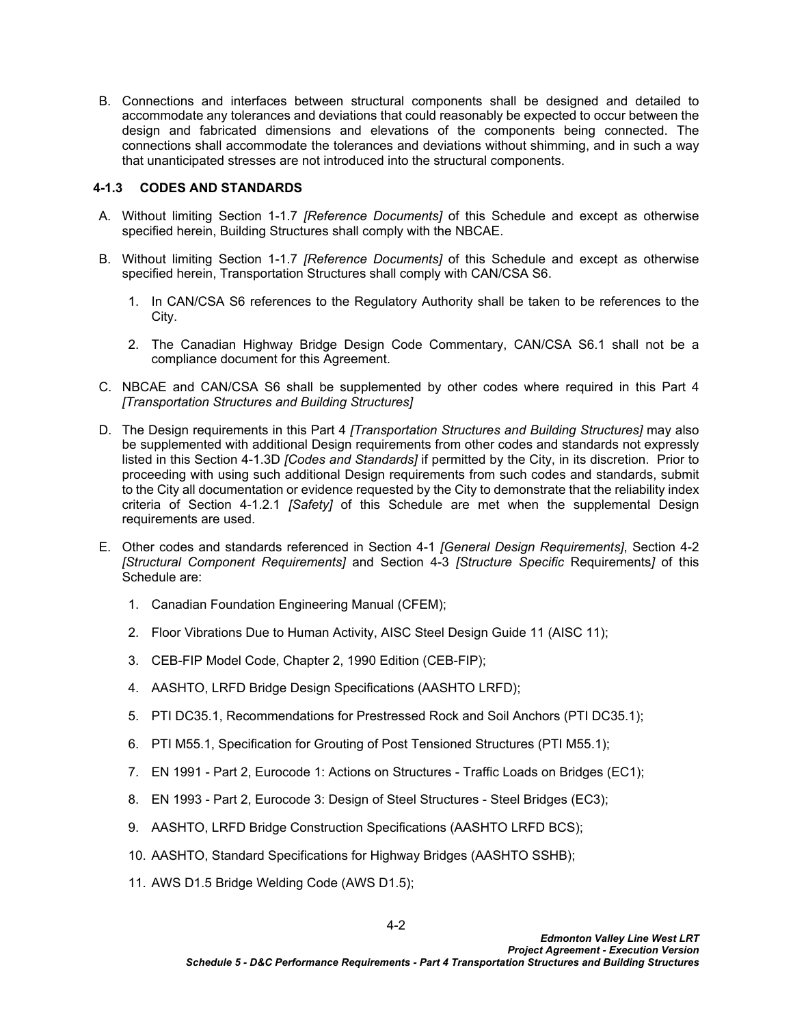B. Connections and interfaces between structural components shall be designed and detailed to accommodate any tolerances and deviations that could reasonably be expected to occur between the design and fabricated dimensions and elevations of the components being connected. The connections shall accommodate the tolerances and deviations without shimming, and in such a way that unanticipated stresses are not introduced into the structural components.

## <span id="page-5-0"></span>**4-1.3 CODES AND STANDARDS**

- A. Without limiting Section 1-1.7 *[Reference Documents]* of this Schedule and except as otherwise specified herein, Building Structures shall comply with the NBCAE.
- B. Without limiting Section 1-1.7 *[Reference Documents]* of this Schedule and except as otherwise specified herein, Transportation Structures shall comply with CAN/CSA S6.
	- 1. In CAN/CSA S6 references to the Regulatory Authority shall be taken to be references to the City.
	- 2. The Canadian Highway Bridge Design Code Commentary, CAN/CSA S6.1 shall not be a compliance document for this Agreement.
- C. NBCAE and CAN/CSA S6 shall be supplemented by other codes where required in this [Part 4](#page-4-0)  *[Transportation Structures and Building Structures]*
- D. The Design requirements in this [Part 4](#page-4-0) *[Transportation Structures and Building Structures]* may also be supplemented with additional Design requirements from other codes and standards not expressly listed in this Section 4-1.3D *[Codes and Standards]* if permitted by the City, in its discretion. Prior to proceeding with using such additional Design requirements from such codes and standards, submit to the City all documentation or evidence requested by the City to demonstrate that the reliability index criteria of Section [4-1.2.1](#page-4-4) *[[Safety](#page-4-4)]* of this Schedule are met when the supplemental Design requirements are used.
- E. Other codes and standards referenced in [Section 4-1](#page-4-1) *[[General Design Requirements](#page-4-1)]*, [Section 4-2](#page-26-0)  *[\[Structural Component Requirements](#page-26-0)]* and [Section 4-3](#page-44-0) *[[Structure Specific](#page-44-0)* Requirements*]* of this -<br>Schedule are:
	- 1. Canadian Foundation Engineering Manual (CFEM);
	- 2. Floor Vibrations Due to Human Activity, AISC Steel Design Guide 11 (AISC 11);
	- 3. CEB-FIP Model Code, Chapter 2, 1990 Edition (CEB-FIP);
	- 4. AASHTO, LRFD Bridge Design Specifications (AASHTO LRFD);
	- 5. PTI DC35.1, Recommendations for Prestressed Rock and Soil Anchors (PTI DC35.1);
	- 6. PTI M55.1, Specification for Grouting of Post Tensioned Structures (PTI M55.1);
	- 7. EN 1991 Part 2, Eurocode 1: Actions on Structures Traffic Loads on Bridges (EC1);
	- 8. EN 1993 Part 2, Eurocode 3: Design of Steel Structures Steel Bridges (EC3);
	- 9. AASHTO, LRFD Bridge Construction Specifications (AASHTO LRFD BCS);
	- 10. AASHTO, Standard Specifications for Highway Bridges (AASHTO SSHB);
	- 11. AWS D1.5 Bridge Welding Code (AWS D1.5);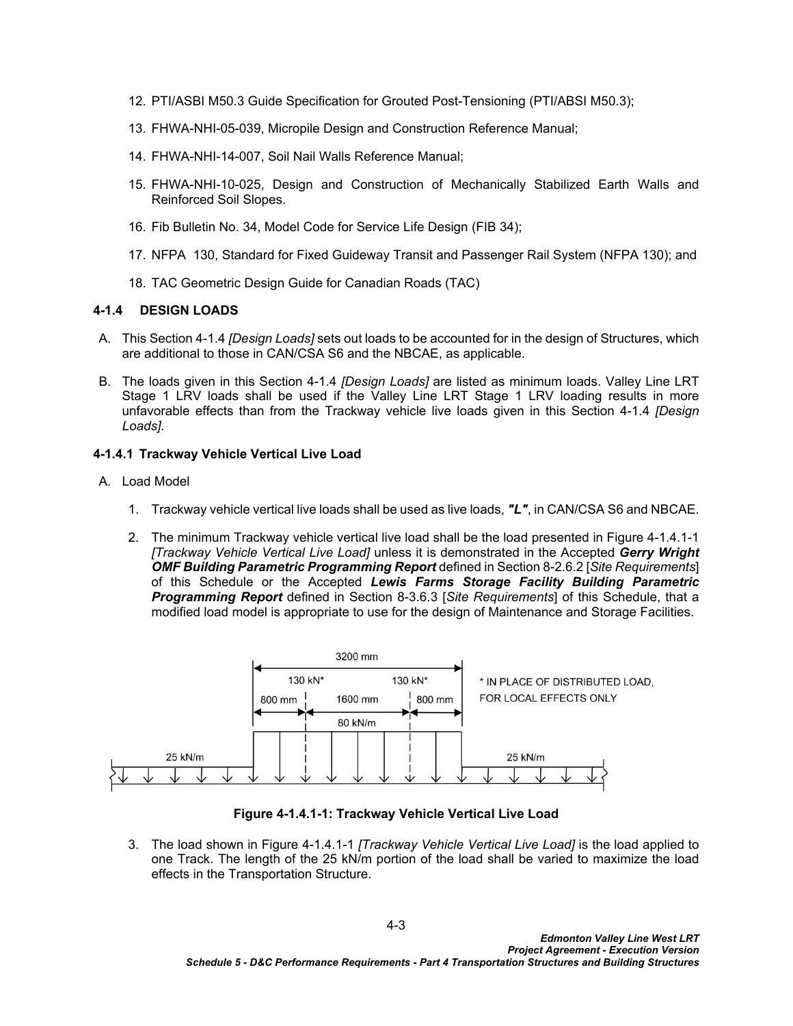- 12. PTI/ASBI M50.3 Guide Specification for Grouted Post-Tensioning (PTI/ABSI M50.3);
- 13. FHWA-NHI-05-039, Micropile Design and Construction Reference Manual;
- 14. FHWA-NHI-14-007, Soil Nail Walls Reference Manual;
- 15. FHWA-NHI-10-025, Design and Construction of Mechanically Stabilized Earth Walls and Reinforced Soil Slopes.
- 16. Fib Bulletin No. 34, Model Code for Service Life Design (FIB 34);
- 17. NFPA 130, Standard for Fixed Guideway Transit and Passenger Rail System (NFPA 130); and
- 18. TAC Geometric Design Guide for Canadian Roads (TAC)

#### <span id="page-6-0"></span>**4-1.4 DESIGN LOADS**

- A. This Section [4-1.4](#page-6-0) *[Design Loads]* sets out loads to be accounted for in the design of Structures, which are additional to those in CAN/CSA S6 and the NBCAE, as applicable.
- B. The loads given in this Section [4-1.4](#page-6-0) *[Design Loads]* are listed as minimum loads. Valley Line LRT Stage 1 LRV loads shall be used if the Valley Line LRT Stage 1 LRV loading results in more unfavorable effects than from the Trackway vehicle live loads given in this Section 4-1.4 *[Design Loads]*.

#### **4-1.4.1 Trackway Vehicle Vertical Live Load**

- A. Load Model
	- 1. Trackway vehicle vertical live loads shall be used as live loads, *"L"*, in CAN/CSA S6 and NBCAE.
	- 2. The minimum Trackway vehicle vertical live load shall be the load presented in [Figure 4-1.4.1-1](#page-6-1)  *[Trackway Vehicle Vertical Live Load]* unless it is demonstrated in the Accepted *Gerry Wright OMF Building Parametric Programming Report* defined in Section 8-2.6.2 [*Site Requirements*] of this Schedule or the Accepted *Lewis Farms Storage Facility Building Parametric Programming Report* defined in Section 8-3.6.3 [*Site Requirements*] of this Schedule, that a modified load model is appropriate to use for the design of Maintenance and Storage Facilities.



<span id="page-6-1"></span>**Figure 4-1.4.1-1: Trackway Vehicle Vertical Live Load** 

3. The load shown in [Figure 4-1.4.1-1](#page-6-1) *[Trackway Vehicle Vertical Live Load]* is the load applied to one Track. The length of the 25 kN/m portion of the load shall be varied to maximize the load effects in the Transportation Structure.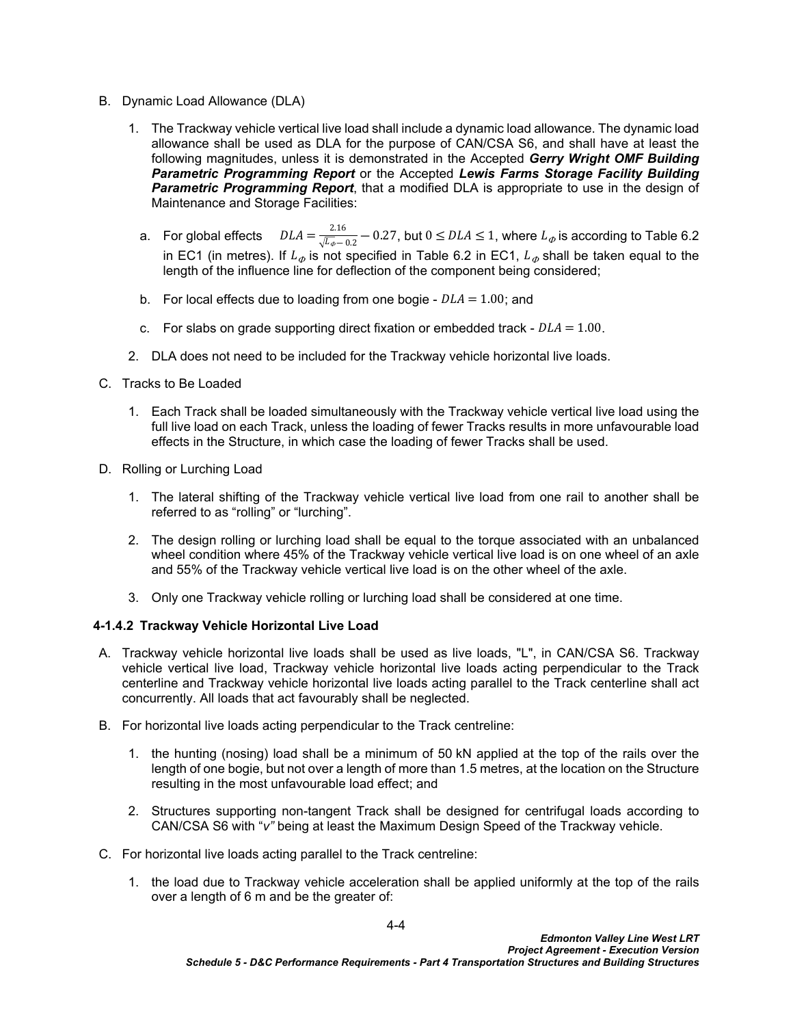- B. Dynamic Load Allowance (DLA)
	- 1. The Trackway vehicle vertical live load shall include a dynamic load allowance. The dynamic load allowance shall be used as DLA for the purpose of CAN/CSA S6, and shall have at least the following magnitudes, unless it is demonstrated in the Accepted *Gerry Wright OMF Building Parametric Programming Report* or the Accepted *Lewis Farms Storage Facility Building Parametric Programming Report*, that a modified DLA is appropriate to use in the design of Maintenance and Storage Facilities:
		- a. For global effects  $DLA=\frac{2.16}{\sqrt{L_{\phi}}-0.2}-0.27,$  but  $0\leq DLA\leq1,$  where  $L_{\phi}$  is according to Table 6.2 in EC1 (in metres). If  $L_{\phi}$  is not specified in Table 6.2 in EC1,  $L_{\phi}$  shall be taken equal to the length of the influence line for deflection of the component being considered;
		- b. For local effects due to loading from one bogie  $DLA = 1.00$ ; and
		- c. For slabs on grade supporting direct fixation or embedded track  $DLA = 1.00$ .
	- 2. DLA does not need to be included for the Trackway vehicle horizontal live loads.
- C. Tracks to Be Loaded
	- 1. Each Track shall be loaded simultaneously with the Trackway vehicle vertical live load using the full live load on each Track, unless the loading of fewer Tracks results in more unfavourable load effects in the Structure, in which case the loading of fewer Tracks shall be used.
- D. Rolling or Lurching Load
	- 1. The lateral shifting of the Trackway vehicle vertical live load from one rail to another shall be referred to as "rolling" or "lurching".
	- 2. The design rolling or lurching load shall be equal to the torque associated with an unbalanced wheel condition where 45% of the Trackway vehicle vertical live load is on one wheel of an axle and 55% of the Trackway vehicle vertical live load is on the other wheel of the axle.
	- 3. Only one Trackway vehicle rolling or lurching load shall be considered at one time.

#### **4-1.4.2 Trackway Vehicle Horizontal Live Load**

- A. Trackway vehicle horizontal live loads shall be used as live loads, "L", in CAN/CSA S6. Trackway vehicle vertical live load, Trackway vehicle horizontal live loads acting perpendicular to the Track centerline and Trackway vehicle horizontal live loads acting parallel to the Track centerline shall act concurrently. All loads that act favourably shall be neglected.
- B. For horizontal live loads acting perpendicular to the Track centreline:
	- 1. the hunting (nosing) load shall be a minimum of 50 kN applied at the top of the rails over the length of one bogie, but not over a length of more than 1.5 metres, at the location on the Structure resulting in the most unfavourable load effect; and
	- 2. Structures supporting non-tangent Track shall be designed for centrifugal loads according to CAN/CSA S6 with "*v"* being at least the Maximum Design Speed of the Trackway vehicle.
- C. For horizontal live loads acting parallel to the Track centreline:
	- 1. the load due to Trackway vehicle acceleration shall be applied uniformly at the top of the rails over a length of 6 m and be the greater of: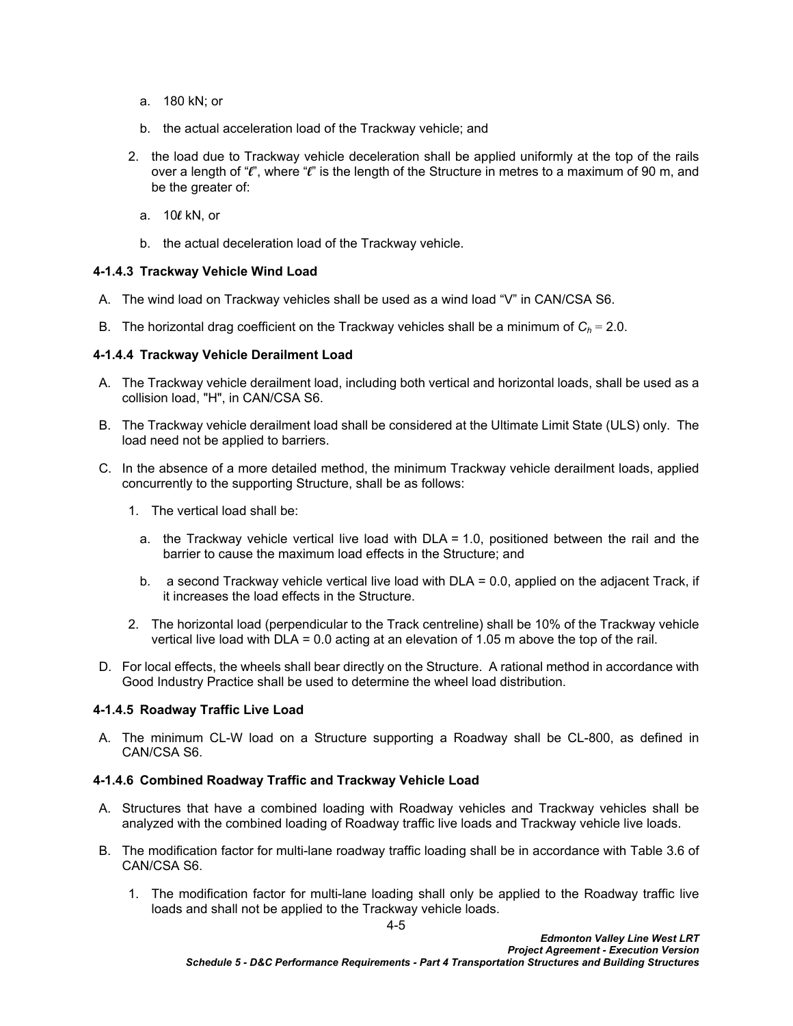- a. 180 kN; or
- b. the actual acceleration load of the Trackway vehicle; and
- 2. the load due to Trackway vehicle deceleration shall be applied uniformly at the top of the rails over a length of "**l**", where "**l**" is the length of the Structure in metres to a maximum of 90 m, and be the greater of:
	- a. 10**l** kN, or
	- b. the actual deceleration load of the Trackway vehicle.

### **4-1.4.3 Trackway Vehicle Wind Load**

- A. The wind load on Trackway vehicles shall be used as a wind load "V" in CAN/CSA S6.
- B. The horizontal drag coefficient on the Trackway vehicles shall be a minimum of  $C_h = 2.0$ .

### **4-1.4.4 Trackway Vehicle Derailment Load**

- A. The Trackway vehicle derailment load, including both vertical and horizontal loads, shall be used as a collision load, "H", in CAN/CSA S6.
- B. The Trackway vehicle derailment load shall be considered at the Ultimate Limit State (ULS) only. The load need not be applied to barriers.
- C. In the absence of a more detailed method, the minimum Trackway vehicle derailment loads, applied concurrently to the supporting Structure, shall be as follows:
	- 1. The vertical load shall be:
		- a. the Trackway vehicle vertical live load with DLA = 1.0, positioned between the rail and the barrier to cause the maximum load effects in the Structure; and
		- b. a second Trackway vehicle vertical live load with DLA = 0.0, applied on the adjacent Track, if it increases the load effects in the Structure.
	- 2. The horizontal load (perpendicular to the Track centreline) shall be 10% of the Trackway vehicle vertical live load with DLA = 0.0 acting at an elevation of 1.05 m above the top of the rail.
- D. For local effects, the wheels shall bear directly on the Structure. A rational method in accordance with Good Industry Practice shall be used to determine the wheel load distribution.

# **4-1.4.5 Roadway Traffic Live Load**

A. The minimum CL-W load on a Structure supporting a Roadway shall be CL-800, as defined in CAN/CSA S6.

# **4-1.4.6 Combined Roadway Traffic and Trackway Vehicle Load**

- A. Structures that have a combined loading with Roadway vehicles and Trackway vehicles shall be analyzed with the combined loading of Roadway traffic live loads and Trackway vehicle live loads.
- B. The modification factor for multi-lane roadway traffic loading shall be in accordance with Table 3.6 of CAN/CSA S6.
	- 1. The modification factor for multi-lane loading shall only be applied to the Roadway traffic live loads and shall not be applied to the Trackway vehicle loads.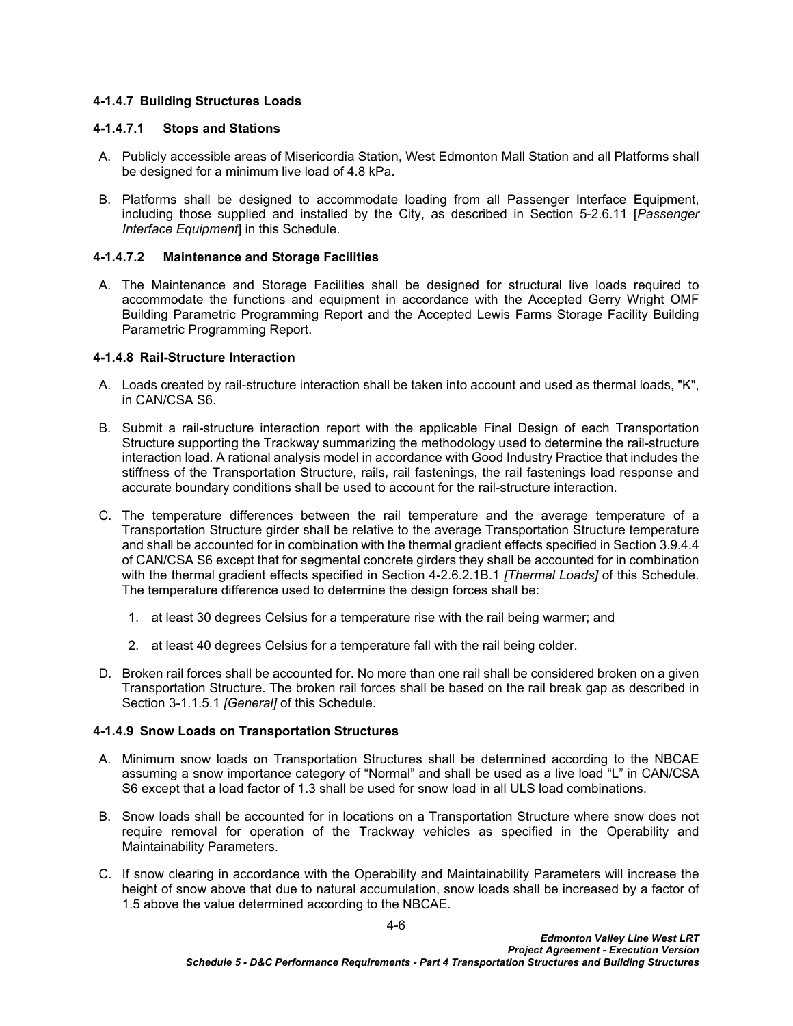### **4-1.4.7 Building Structures Loads**

### **4-1.4.7.1 Stops and Stations**

- A. Publicly accessible areas of Misericordia Station, West Edmonton Mall Station and all Platforms shall be designed for a minimum live load of 4.8 kPa.
- B. Platforms shall be designed to accommodate loading from all Passenger Interface Equipment, including those supplied and installed by the City, as described in Section 5-2.6.11 [*Passenger Interface Equipment*] in this Schedule.

### **4-1.4.7.2 Maintenance and Storage Facilities**

A. The Maintenance and Storage Facilities shall be designed for structural live loads required to accommodate the functions and equipment in accordance with the Accepted Gerry Wright OMF Building Parametric Programming Report and the Accepted Lewis Farms Storage Facility Building Parametric Programming Report.

### **4-1.4.8 Rail-Structure Interaction**

- A. Loads created by rail-structure interaction shall be taken into account and used as thermal loads, "K", in CAN/CSA S6.
- B. Submit a rail-structure interaction report with the applicable Final Design of each Transportation Structure supporting the Trackway summarizing the methodology used to determine the rail-structure interaction load. A rational analysis model in accordance with Good Industry Practice that includes the stiffness of the Transportation Structure, rails, rail fastenings, the rail fastenings load response and accurate boundary conditions shall be used to account for the rail-structure interaction.
- C. The temperature differences between the rail temperature and the average temperature of a Transportation Structure girder shall be relative to the average Transportation Structure temperature and shall be accounted for in combination with the thermal gradient effects specified in Section 3.9.4.4 of CAN/CSA S6 except that for segmental concrete girders they shall be accounted for in combination with the thermal gradient effects specified in Section [4-2.6.2.1B.1](#page-36-1) *[[Thermal Loads](#page-36-1)]* of this Schedule. The temperature difference used to determine the design forces shall be:
	- 1. at least 30 degrees Celsius for a temperature rise with the rail being warmer; and
	- 2. at least 40 degrees Celsius for a temperature fall with the rail being colder.
- D. Broken rail forces shall be accounted for. No more than one rail shall be considered broken on a given Transportation Structure. The broken rail forces shall be based on the rail break gap as described in Section 3-1.1.5.1 *[General]* of this Schedule.

#### **4-1.4.9 Snow Loads on Transportation Structures**

- A. Minimum snow loads on Transportation Structures shall be determined according to the NBCAE assuming a snow importance category of "Normal" and shall be used as a live load "L" in CAN/CSA S6 except that a load factor of 1.3 shall be used for snow load in all ULS load combinations.
- B. Snow loads shall be accounted for in locations on a Transportation Structure where snow does not require removal for operation of the Trackway vehicles as specified in the Operability and Maintainability Parameters.
- C. If snow clearing in accordance with the Operability and Maintainability Parameters will increase the height of snow above that due to natural accumulation, snow loads shall be increased by a factor of 1.5 above the value determined according to the NBCAE.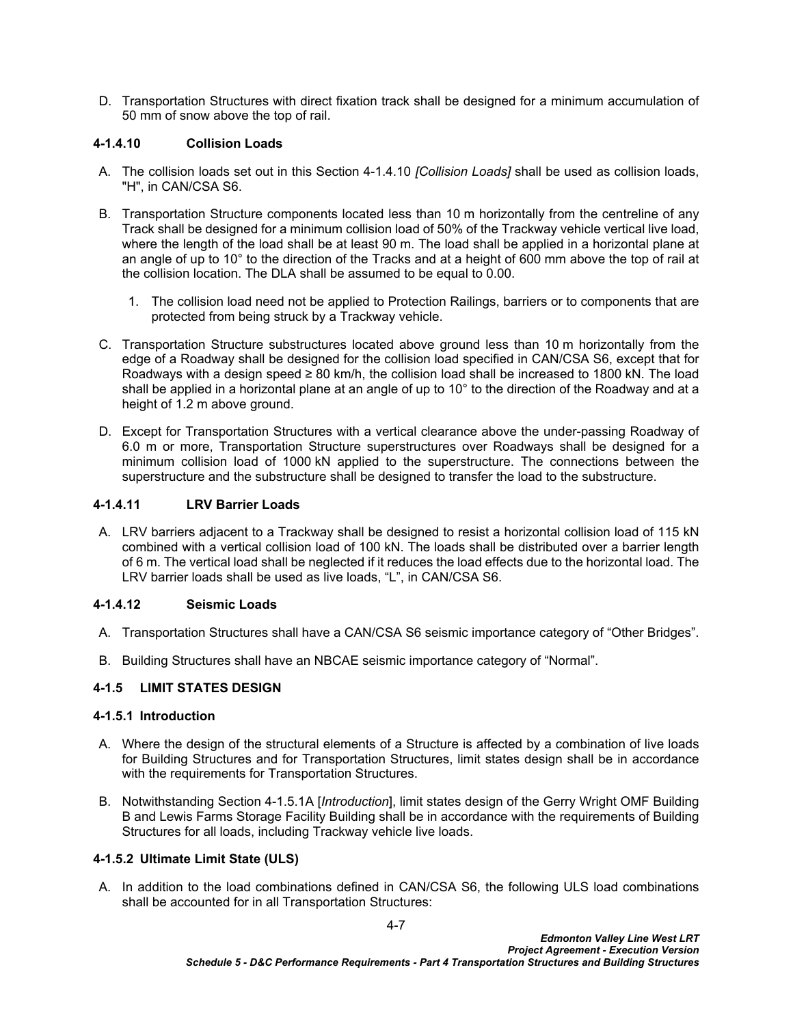D. Transportation Structures with direct fixation track shall be designed for a minimum accumulation of 50 mm of snow above the top of rail.

## <span id="page-10-1"></span>**4-1.4.10 Collision Loads**

- A. The collision loads set out in this Section [4-1.4.10](#page-10-1) *[\[Collision Loads\]](#page-10-1)* shall be used as collision loads, "H", in CAN/CSA S6.
- B. Transportation Structure components located less than 10 m horizontally from the centreline of any Track shall be designed for a minimum collision load of 50% of the Trackway vehicle vertical live load, where the length of the load shall be at least 90 m. The load shall be applied in a horizontal plane at an angle of up to 10° to the direction of the Tracks and at a height of 600 mm above the top of rail at the collision location. The DLA shall be assumed to be equal to 0.00.
	- 1. The collision load need not be applied to Protection Railings, barriers or to components that are protected from being struck by a Trackway vehicle.
- C. Transportation Structure substructures located above ground less than 10 m horizontally from the edge of a Roadway shall be designed for the collision load specified in CAN/CSA S6, except that for Roadways with a design speed ≥ 80 km/h, the collision load shall be increased to 1800 kN. The load shall be applied in a horizontal plane at an angle of up to 10° to the direction of the Roadway and at a height of 1.2 m above ground.
- D. Except for Transportation Structures with a vertical clearance above the under-passing Roadway of 6.0 m or more, Transportation Structure superstructures over Roadways shall be designed for a minimum collision load of 1000 kN applied to the superstructure. The connections between the superstructure and the substructure shall be designed to transfer the load to the substructure.

## **4-1.4.11 LRV Barrier Loads**

A. LRV barriers adjacent to a Trackway shall be designed to resist a horizontal collision load of 115 kN combined with a vertical collision load of 100 kN. The loads shall be distributed over a barrier length of 6 m. The vertical load shall be neglected if it reduces the load effects due to the horizontal load. The LRV barrier loads shall be used as live loads, "L", in CAN/CSA S6.

#### **4-1.4.12 Seismic Loads**

- A. Transportation Structures shall have a CAN/CSA S6 seismic importance category of "Other Bridges".
- B. Building Structures shall have an NBCAE seismic importance category of "Normal".

# <span id="page-10-0"></span>**4-1.5 LIMIT STATES DESIGN**

#### **4-1.5.1 Introduction**

- A. Where the design of the structural elements of a Structure is affected by a combination of live loads for Building Structures and for Transportation Structures, limit states design shall be in accordance with the requirements for Transportation Structures.
- B. Notwithstanding Section 4-1.5.1A [*Introduction*], limit states design of the Gerry Wright OMF Building B and Lewis Farms Storage Facility Building shall be in accordance with the requirements of Building Structures for all loads, including Trackway vehicle live loads.

#### **4-1.5.2 Ultimate Limit State (ULS)**

<span id="page-10-2"></span>A. In addition to the load combinations defined in CAN/CSA S6, the following ULS load combinations shall be accounted for in all Transportation Structures: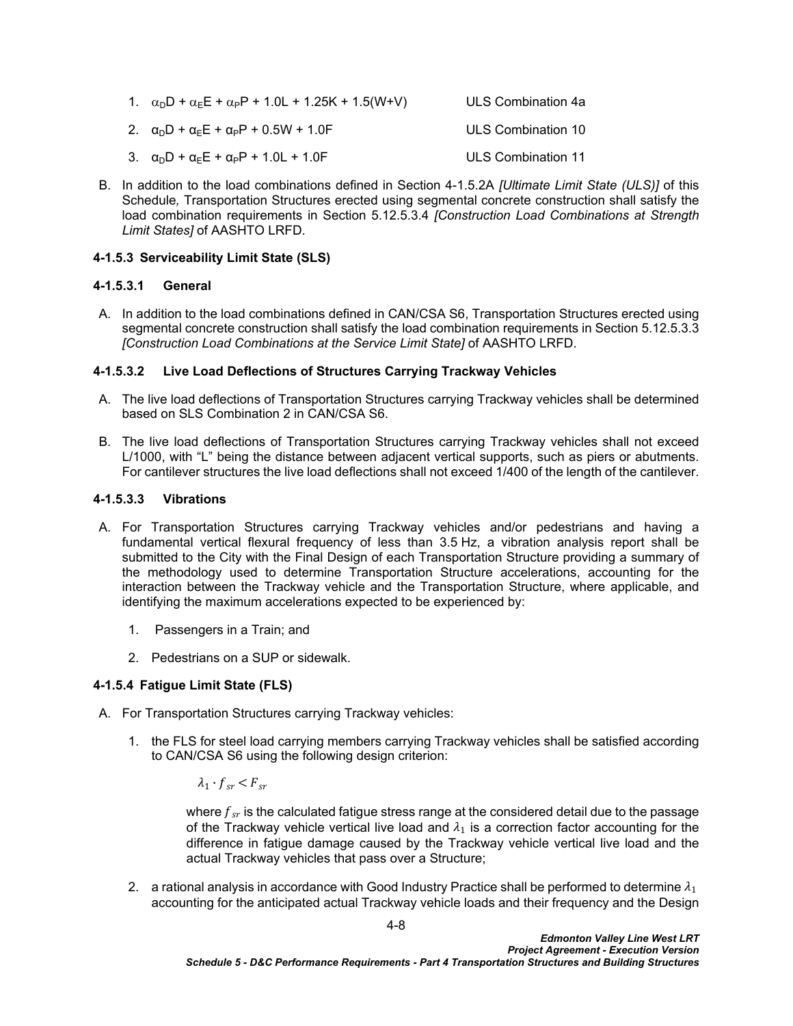- 1.  $\alpha_D D + \alpha_F E + \alpha_P P + 1.0L + 1.25K + 1.5(W+V)$  ULS Combination 4a 2.  $\alpha_D D + \alpha_F E + \alpha_P P + 0.5W + 1.0F$  ULS Combination 10 3.  $\alpha_D D + \alpha_F E + \alpha_P P + 1.0L + 1.0F$  ULS Combination 11
- B. In addition to the load combinations defined in Section [4-1.5.2A](#page-10-2) *[Ultimate Limit State (ULS)]* of this Schedule*,* Transportation Structures erected using segmental concrete construction shall satisfy the load combination requirements in Section 5.12.5.3.4 *[Construction Load Combinations at Strength Limit States]* of AASHTO LRFD.

# **4-1.5.3 Serviceability Limit State (SLS)**

# **4-1.5.3.1 General**

A. In addition to the load combinations defined in CAN/CSA S6, Transportation Structures erected using segmental concrete construction shall satisfy the load combination requirements in Section 5.12.5.3.3 *[Construction Load Combinations at the Service Limit State]* of AASHTO LRFD.

# **4-1.5.3.2 Live Load Deflections of Structures Carrying Trackway Vehicles**

- A. The live load deflections of Transportation Structures carrying Trackway vehicles shall be determined based on SLS Combination 2 in CAN/CSA S6.
- B. The live load deflections of Transportation Structures carrying Trackway vehicles shall not exceed L/1000, with "L" being the distance between adjacent vertical supports, such as piers or abutments. For cantilever structures the live load deflections shall not exceed 1/400 of the length of the cantilever.

# **4-1.5.3.3 Vibrations**

- A. For Transportation Structures carrying Trackway vehicles and/or pedestrians and having a fundamental vertical flexural frequency of less than 3.5 Hz, a vibration analysis report shall be submitted to the City with the Final Design of each Transportation Structure providing a summary of the methodology used to determine Transportation Structure accelerations, accounting for the interaction between the Trackway vehicle and the Transportation Structure, where applicable, and identifying the maximum accelerations expected to be experienced by:
	- 1. Passengers in a Train; and
	- 2. Pedestrians on a SUP or sidewalk.

# **4-1.5.4 Fatigue Limit State (FLS)**

- A. For Transportation Structures carrying Trackway vehicles:
	- 1. the FLS for steel load carrying members carrying Trackway vehicles shall be satisfied according to CAN/CSA S6 using the following design criterion:

 $\lambda_1 \cdot f_{sr} < F_{sr}$ 

where  $f_{sr}$  is the calculated fatigue stress range at the considered detail due to the passage of the Trackway vehicle vertical live load and  $\lambda_1$  is a correction factor accounting for the difference in fatigue damage caused by the Trackway vehicle vertical live load and the actual Trackway vehicles that pass over a Structure;

2. a rational analysis in accordance with Good Industry Practice shall be performed to determine  $\lambda_1$ accounting for the anticipated actual Trackway vehicle loads and their frequency and the Design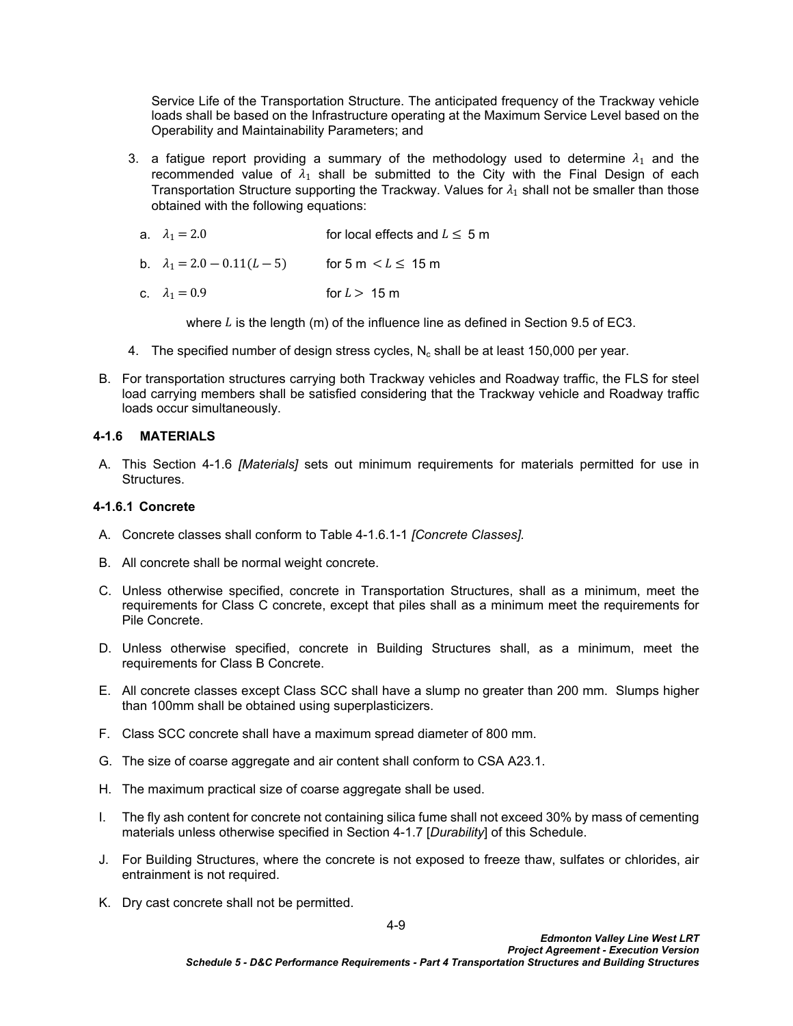Service Life of the Transportation Structure. The anticipated frequency of the Trackway vehicle loads shall be based on the Infrastructure operating at the Maximum Service Level based on the Operability and Maintainability Parameters; and

- 3. a fatigue report providing a summary of the methodology used to determine  $\lambda_1$  and the recommended value of  $\lambda_1$  shall be submitted to the City with the Final Design of each Transportation Structure supporting the Trackway. Values for  $\lambda_1$  shall not be smaller than those obtained with the following equations:
	- a.  $\lambda_1 = 2.0$  for local effects and  $L \le 5$  m
	- b.  $\lambda_1 = 2.0 0.11(L 5)$  for 5 m < L  $\leq$  15 m
	- c.  $\lambda_1 = 0.9$  for  $L > 15$  m

where  $L$  is the length (m) of the influence line as defined in Section 9.5 of EC3.

- 4. The specified number of design stress cycles,  $N_c$  shall be at least 150,000 per year.
- B. For transportation structures carrying both Trackway vehicles and Roadway traffic, the FLS for steel load carrying members shall be satisfied considering that the Trackway vehicle and Roadway traffic loads occur simultaneously.

#### <span id="page-12-0"></span>**4-1.6 MATERIALS**

A. This Section [4-1.6](#page-12-0) *[[Materials](#page-12-0)]* sets out minimum requirements for materials permitted for use in Structures.

#### **4-1.6.1 Concrete**

- A. Concrete classes shall conform to [Table 4-1.6.1-1](#page-13-0) *[[Concrete Classes](#page-13-1)].*
- B. All concrete shall be normal weight concrete.
- C. Unless otherwise specified, concrete in Transportation Structures, shall as a minimum, meet the requirements for Class C concrete, except that piles shall as a minimum meet the requirements for Pile Concrete.
- D. Unless otherwise specified, concrete in Building Structures shall, as a minimum, meet the requirements for Class B Concrete.
- E. All concrete classes except Class SCC shall have a slump no greater than 200 mm. Slumps higher than 100mm shall be obtained using superplasticizers.
- F. Class SCC concrete shall have a maximum spread diameter of 800 mm.
- G. The size of coarse aggregate and air content shall conform to CSA A23.1.
- H. The maximum practical size of coarse aggregate shall be used.
- I. The fly ash content for concrete not containing silica fume shall not exceed 30% by mass of cementing materials unless otherwise specified in Section [4-1.7](#page-16-0) [*[Durability](#page-16-0)*] of this Schedule.
- J. For Building Structures, where the concrete is not exposed to freeze thaw, sulfates or chlorides, air entrainment is not required.
- K. Dry cast concrete shall not be permitted.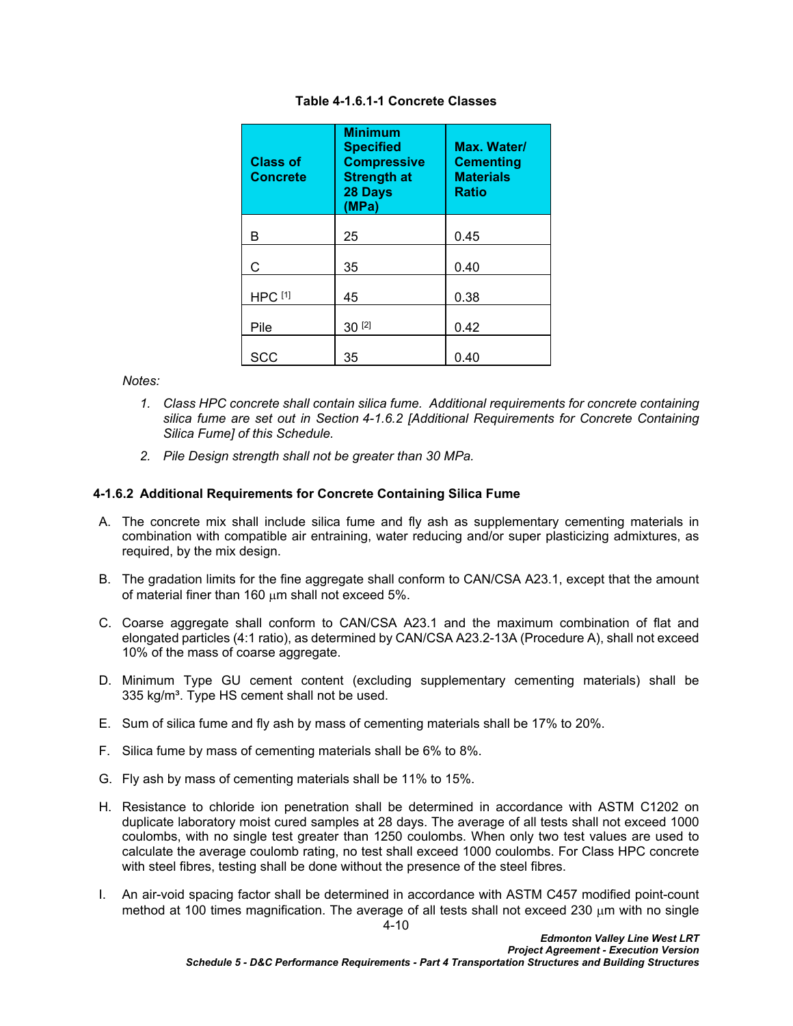| <b>Class of</b><br><b>Concrete</b> | <b>Minimum</b><br><b>Specified</b><br><b>Compressive</b><br><b>Strength at</b><br>28 Days<br>(MPa) | Max. Water/<br><b>Cementing</b><br><b>Materials</b><br><b>Ratio</b> |
|------------------------------------|----------------------------------------------------------------------------------------------------|---------------------------------------------------------------------|
| B                                  | 25                                                                                                 | 0.45                                                                |
| С                                  | 35                                                                                                 | 0.40                                                                |
| HPC <sup>[1]</sup>                 | 45                                                                                                 | 0.38                                                                |
| Pile                               | 30 [2]                                                                                             | 0.42                                                                |
| SCC                                | 35                                                                                                 | 0.40                                                                |

#### <span id="page-13-1"></span><span id="page-13-0"></span>**Table 4-1.6.1-1 Concrete Classes**

*Notes:*

- *1. Class HPC concrete shall contain silica fume. Additional requirements for concrete containing silica fume are set out in Section [4-1.6.2](#page-13-2) [Additional Requirements for Concrete Containing Silica Fume] of this Schedule.*
- *2. Pile Design strength shall not be greater than 30 MPa.*

### <span id="page-13-2"></span>**4-1.6.2 Additional Requirements for Concrete Containing Silica Fume**

- A. The concrete mix shall include silica fume and fly ash as supplementary cementing materials in combination with compatible air entraining, water reducing and/or super plasticizing admixtures, as required, by the mix design.
- B. The gradation limits for the fine aggregate shall conform to CAN/CSA A23.1, except that the amount of material finer than 160 um shall not exceed 5%.
- C. Coarse aggregate shall conform to CAN/CSA A23.1 and the maximum combination of flat and elongated particles (4:1 ratio), as determined by CAN/CSA A23.2-13A (Procedure A), shall not exceed 10% of the mass of coarse aggregate.
- D. Minimum Type GU cement content (excluding supplementary cementing materials) shall be 335 kg/m<sup>3</sup>. Type HS cement shall not be used.
- E. Sum of silica fume and fly ash by mass of cementing materials shall be 17% to 20%.
- F. Silica fume by mass of cementing materials shall be 6% to 8%.
- G. Fly ash by mass of cementing materials shall be 11% to 15%.
- H. Resistance to chloride ion penetration shall be determined in accordance with ASTM C1202 on duplicate laboratory moist cured samples at 28 days. The average of all tests shall not exceed 1000 coulombs, with no single test greater than 1250 coulombs. When only two test values are used to calculate the average coulomb rating, no test shall exceed 1000 coulombs. For Class HPC concrete with steel fibres, testing shall be done without the presence of the steel fibres.
- I. An air-void spacing factor shall be determined in accordance with ASTM C457 modified point-count method at 100 times magnification. The average of all tests shall not exceed 230  $\mu$ m with no single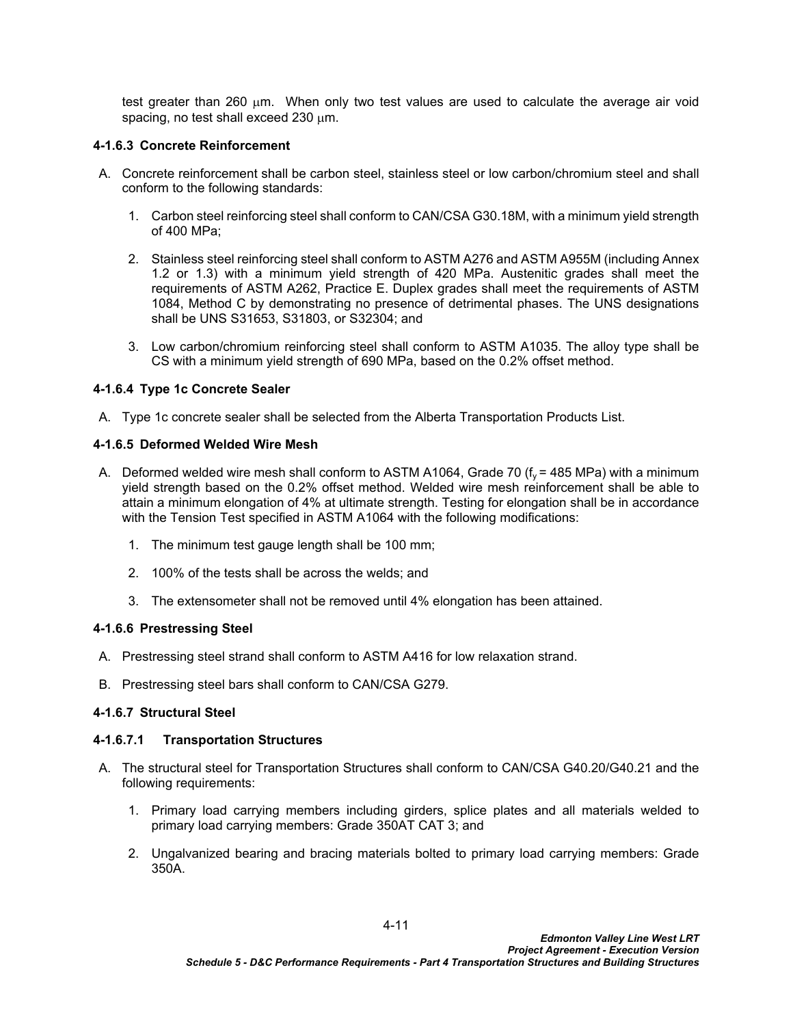test greater than 260 um. When only two test values are used to calculate the average air void spacing, no test shall exceed 230  $\mu$ m.

### <span id="page-14-0"></span>**4-1.6.3 Concrete Reinforcement**

- A. Concrete reinforcement shall be carbon steel, stainless steel or low carbon/chromium steel and shall conform to the following standards:
	- 1. Carbon steel reinforcing steel shall conform to CAN/CSA G30.18M, with a minimum yield strength of 400 MPa;
	- 2. Stainless steel reinforcing steel shall conform to ASTM A276 and ASTM A955M (including Annex 1.2 or 1.3) with a minimum yield strength of 420 MPa. Austenitic grades shall meet the requirements of ASTM A262, Practice E. Duplex grades shall meet the requirements of ASTM 1084, Method C by demonstrating no presence of detrimental phases. The UNS designations shall be UNS S31653, S31803, or S32304; and
	- 3. Low carbon/chromium reinforcing steel shall conform to ASTM A1035. The alloy type shall be CS with a minimum yield strength of 690 MPa, based on the 0.2% offset method.

### **4-1.6.4 Type 1c Concrete Sealer**

A. Type 1c concrete sealer shall be selected from the Alberta Transportation Products List.

#### **4-1.6.5 Deformed Welded Wire Mesh**

- A. Deformed welded wire mesh shall conform to ASTM A1064, Grade 70 ( $f_v$  = 485 MPa) with a minimum yield strength based on the 0.2% offset method. Welded wire mesh reinforcement shall be able to attain a minimum elongation of 4% at ultimate strength. Testing for elongation shall be in accordance with the Tension Test specified in ASTM A1064 with the following modifications:
	- 1. The minimum test gauge length shall be 100 mm;
	- 2. 100% of the tests shall be across the welds; and
	- 3. The extensometer shall not be removed until 4% elongation has been attained.

#### **4-1.6.6 Prestressing Steel**

- A. Prestressing steel strand shall conform to ASTM A416 for low relaxation strand.
- B. Prestressing steel bars shall conform to CAN/CSA G279.

# **4-1.6.7 Structural Steel**

#### **4-1.6.7.1 Transportation Structures**

- A. The structural steel for Transportation Structures shall conform to CAN/CSA G40.20/G40.21 and the following requirements:
	- 1. Primary load carrying members including girders, splice plates and all materials welded to primary load carrying members: Grade 350AT CAT 3; and
	- 2. Ungalvanized bearing and bracing materials bolted to primary load carrying members: Grade 350A.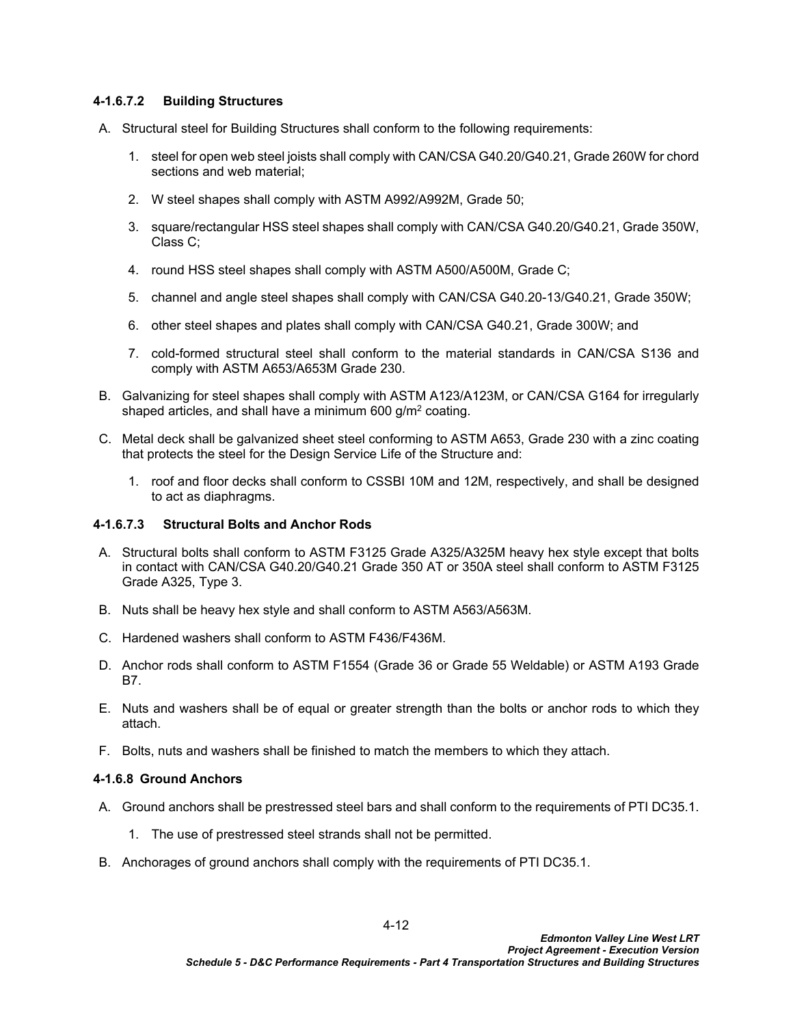### **4-1.6.7.2 Building Structures**

- A. Structural steel for Building Structures shall conform to the following requirements:
	- 1. steel for open web steel joists shall comply with CAN/CSA G40.20/G40.21, Grade 260W for chord sections and web material;
	- 2. W steel shapes shall comply with ASTM A992/A992M, Grade 50;
	- 3. square/rectangular HSS steel shapes shall comply with CAN/CSA G40.20/G40.21, Grade 350W, Class C;
	- 4. round HSS steel shapes shall comply with ASTM A500/A500M, Grade C;
	- 5. channel and angle steel shapes shall comply with CAN/CSA G40.20-13/G40.21, Grade 350W;
	- 6. other steel shapes and plates shall comply with CAN/CSA G40.21, Grade 300W; and
	- 7. cold-formed structural steel shall conform to the material standards in CAN/CSA S136 and comply with ASTM A653/A653M Grade 230.
- B. Galvanizing for steel shapes shall comply with ASTM A123/A123M, or CAN/CSA G164 for irregularly shaped articles, and shall have a minimum 600 g/m<sup>2</sup> coating.
- C. Metal deck shall be galvanized sheet steel conforming to ASTM A653, Grade 230 with a zinc coating that protects the steel for the Design Service Life of the Structure and:
	- 1. roof and floor decks shall conform to CSSBI 10M and 12M, respectively, and shall be designed to act as diaphragms.

#### **4-1.6.7.3 Structural Bolts and Anchor Rods**

- A. Structural bolts shall conform to ASTM F3125 Grade A325/A325M heavy hex style except that bolts in contact with CAN/CSA G40.20/G40.21 Grade 350 AT or 350A steel shall conform to ASTM F3125 Grade A325, Type 3.
- B. Nuts shall be heavy hex style and shall conform to ASTM A563/A563M.
- C. Hardened washers shall conform to ASTM F436/F436M.
- D. Anchor rods shall conform to ASTM F1554 (Grade 36 or Grade 55 Weldable) or ASTM A193 Grade B7.
- E. Nuts and washers shall be of equal or greater strength than the bolts or anchor rods to which they attach.
- F. Bolts, nuts and washers shall be finished to match the members to which they attach.

### <span id="page-15-0"></span>**4-1.6.8 Ground Anchors**

- A. Ground anchors shall be prestressed steel bars and shall conform to the requirements of PTI DC35.1.
	- 1. The use of prestressed steel strands shall not be permitted.
- B. Anchorages of ground anchors shall comply with the requirements of PTI DC35.1.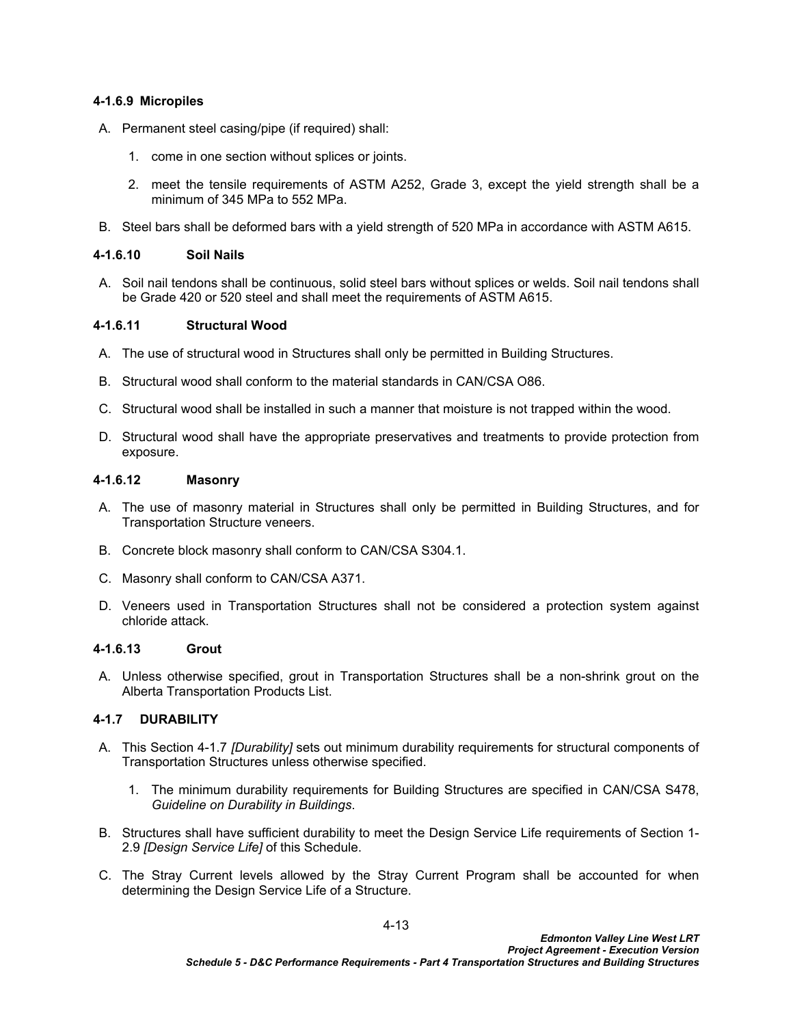#### **4-1.6.9 Micropiles**

- A. Permanent steel casing/pipe (if required) shall:
	- 1. come in one section without splices or joints.
	- 2. meet the tensile requirements of ASTM A252, Grade 3, except the yield strength shall be a minimum of 345 MPa to 552 MPa.
- B. Steel bars shall be deformed bars with a yield strength of 520 MPa in accordance with ASTM A615.

### <span id="page-16-1"></span>**4-1.6.10 Soil Nails**

A. Soil nail tendons shall be continuous, solid steel bars without splices or welds. Soil nail tendons shall be Grade 420 or 520 steel and shall meet the requirements of ASTM A615.

### **4-1.6.11 Structural Wood**

- A. The use of structural wood in Structures shall only be permitted in Building Structures.
- B. Structural wood shall conform to the material standards in CAN/CSA O86.
- C. Structural wood shall be installed in such a manner that moisture is not trapped within the wood.
- D. Structural wood shall have the appropriate preservatives and treatments to provide protection from exposure.

### **4-1.6.12 Masonry**

- A. The use of masonry material in Structures shall only be permitted in Building Structures, and for Transportation Structure veneers.
- B. Concrete block masonry shall conform to CAN/CSA S304.1.
- C. Masonry shall conform to CAN/CSA A371.
- D. Veneers used in Transportation Structures shall not be considered a protection system against chloride attack.

### **4-1.6.13 Grout**

A. Unless otherwise specified, grout in Transportation Structures shall be a non-shrink grout on the Alberta Transportation Products List.

# <span id="page-16-0"></span>**4-1.7 DURABILITY**

- A. This Section [4-1.7](#page-16-0) *[\[Durability\]](#page-16-0)* sets out minimum durability requirements for structural components of Transportation Structures unless otherwise specified.
	- 1. The minimum durability requirements for Building Structures are specified in CAN/CSA S478, *Guideline on Durability in Buildings*.
- B. Structures shall have sufficient durability to meet the Design Service Life requirements of Section 1- 2.9 *[Design Service Life]* of this Schedule.
- C. The Stray Current levels allowed by the Stray Current Program shall be accounted for when determining the Design Service Life of a Structure.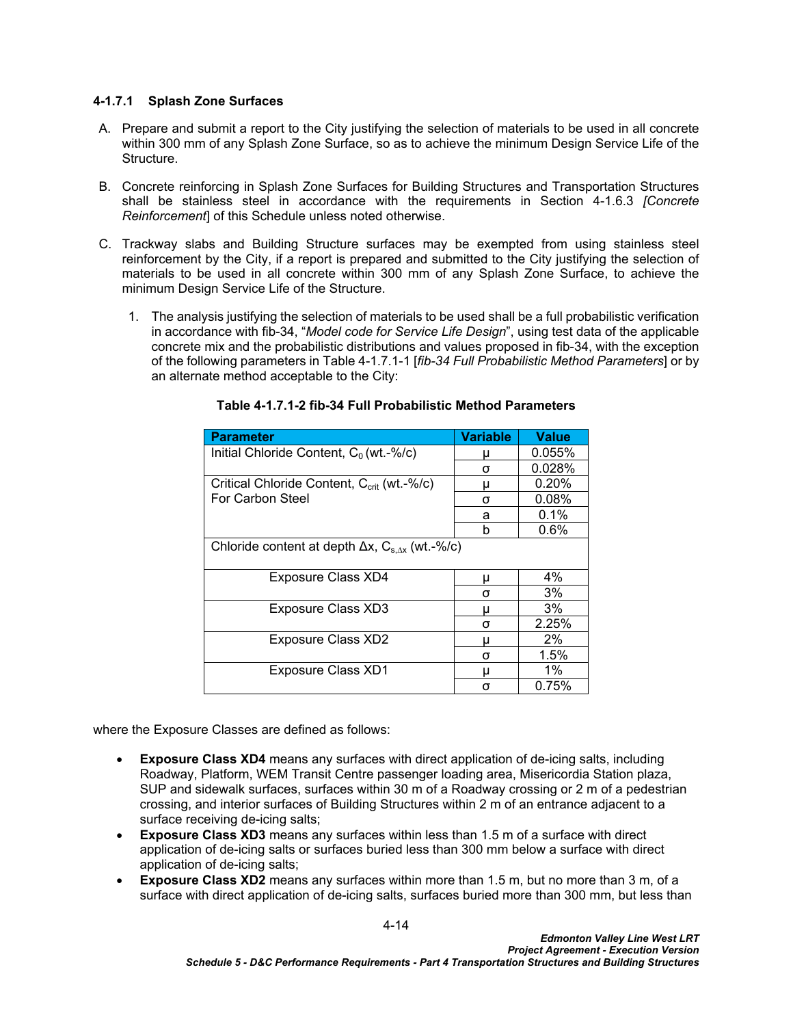### **4-1.7.1 Splash Zone Surfaces**

- A. Prepare and submit a report to the City justifying the selection of materials to be used in all concrete within 300 mm of any Splash Zone Surface, so as to achieve the minimum Design Service Life of the Structure.
- B. Concrete reinforcing in Splash Zone Surfaces for Building Structures and Transportation Structures shall be stainless steel in accordance with the requirements in Section [4-1.6.3](#page-14-0) *[\[Concrete](#page-14-0)  [Reinforcement](#page-14-0)*] of this Schedule unless noted otherwise.
- C. Trackway slabs and Building Structure surfaces may be exempted from using stainless steel reinforcement by the City, if a report is prepared and submitted to the City justifying the selection of materials to be used in all concrete within 300 mm of any Splash Zone Surface, to achieve the minimum Design Service Life of the Structure.
	- 1. The analysis justifying the selection of materials to be used shall be a full probabilistic verification in accordance with fib-34, "*Model code for Service Life Design*", using test data of the applicable concrete mix and the probabilistic distributions and values proposed in fib-34, with the exception of the following parameters in Table 4-1.7.1-1 [*fib-34 Full Probabilistic Method Parameters*] or by an alternate method acceptable to the City:

| Parameter                                                                             | <b>Variable</b> | <b>Value</b> |
|---------------------------------------------------------------------------------------|-----------------|--------------|
| Initial Chloride Content, $C_0$ (wt.-%/c)                                             | μ               | 0.055%       |
|                                                                                       | σ               | 0.028%       |
| Critical Chloride Content, C <sub>crit</sub> (wt.-%/c)                                | μ               | 0.20%        |
| For Carbon Steel                                                                      | σ               | 0.08%        |
|                                                                                       | а               | $0.1\%$      |
|                                                                                       | b               | 0.6%         |
| Chloride content at depth $\Delta x$ , C <sub>s.<math>\Delta x</math></sub> (wt.-%/c) |                 |              |
| <b>Exposure Class XD4</b>                                                             | μ               | 4%           |
|                                                                                       | σ               | 3%           |
| Exposure Class XD3                                                                    | μ               | 3%           |
|                                                                                       | σ               | 2.25%        |
| Exposure Class XD2                                                                    | μ               | 2%           |
|                                                                                       | σ               | 1.5%         |
| <b>Exposure Class XD1</b>                                                             | μ               | $1\%$        |
|                                                                                       | σ               | 0.75%        |

# **Table 4-1.7.1-2 fib-34 Full Probabilistic Method Parameters**

where the Exposure Classes are defined as follows:

- **Exposure Class XD4** means any surfaces with direct application of de-icing salts, including Roadway, Platform, WEM Transit Centre passenger loading area, Misericordia Station plaza, SUP and sidewalk surfaces, surfaces within 30 m of a Roadway crossing or 2 m of a pedestrian crossing, and interior surfaces of Building Structures within 2 m of an entrance adjacent to a surface receiving de-icing salts;
- **Exposure Class XD3** means any surfaces within less than 1.5 m of a surface with direct application of de-icing salts or surfaces buried less than 300 mm below a surface with direct application of de-icing salts;
- **Exposure Class XD2** means any surfaces within more than 1.5 m, but no more than 3 m, of a surface with direct application of de-icing salts, surfaces buried more than 300 mm, but less than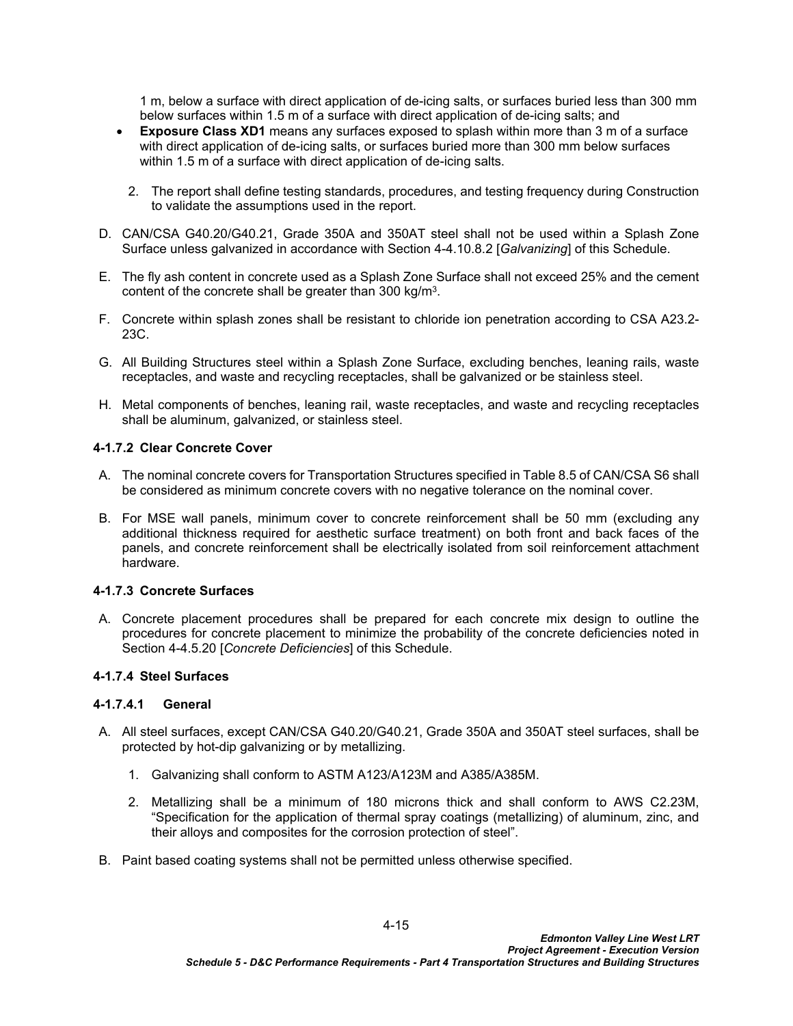1 m, below a surface with direct application of de-icing salts, or surfaces buried less than 300 mm below surfaces within 1.5 m of a surface with direct application of de-icing salts; and

- **Exposure Class XD1** means any surfaces exposed to splash within more than 3 m of a surface with direct application of de-icing salts, or surfaces buried more than 300 mm below surfaces within 1.5 m of a surface with direct application of de-icing salts.
	- 2. The report shall define testing standards, procedures, and testing frequency during Construction to validate the assumptions used in the report.
- D. CAN/CSA G40.20/G40.21, Grade 350A and 350AT steel shall not be used within a Splash Zone Surface unless galvanized in accordance with Section [4-4.10.8.2](#page-155-0) [*[Galvanizing](#page-155-0)*] of this Schedule.
- E. The fly ash content in concrete used as a Splash Zone Surface shall not exceed 25% and the cement content of the concrete shall be greater than 300 kg/m<sup>3</sup>.
- F. Concrete within splash zones shall be resistant to chloride ion penetration according to CSA A23.2- 23C.
- G. All Building Structures steel within a Splash Zone Surface, excluding benches, leaning rails, waste receptacles, and waste and recycling receptacles, shall be galvanized or be stainless steel.
- H. Metal components of benches, leaning rail, waste receptacles, and waste and recycling receptacles shall be aluminum, galvanized, or stainless steel.

#### **4-1.7.2 Clear Concrete Cover**

- A. The nominal concrete covers for Transportation Structures specified in Table 8.5 of CAN/CSA S6 shall be considered as minimum concrete covers with no negative tolerance on the nominal cover.
- B. For MSE wall panels, minimum cover to concrete reinforcement shall be 50 mm (excluding any additional thickness required for aesthetic surface treatment) on both front and back faces of the panels, and concrete reinforcement shall be electrically isolated from soil reinforcement attachment hardware.

#### **4-1.7.3 Concrete Surfaces**

A. Concrete placement procedures shall be prepared for each concrete mix design to outline the procedures for concrete placement to minimize the probability of the concrete deficiencies noted in Section [4-4.5.20](#page-100-0) [*[Concrete Deficiencies](#page-100-0)*] of this Schedule.

#### **4-1.7.4 Steel Surfaces**

#### **4-1.7.4.1 General**

- A. All steel surfaces, except CAN/CSA G40.20/G40.21, Grade 350A and 350AT steel surfaces, shall be protected by hot-dip galvanizing or by metallizing.
	- 1. Galvanizing shall conform to ASTM A123/A123M and A385/A385M.
	- 2. Metallizing shall be a minimum of 180 microns thick and shall conform to AWS C2.23M, "Specification for the application of thermal spray coatings (metallizing) of aluminum, zinc, and their alloys and composites for the corrosion protection of steel".
- B. Paint based coating systems shall not be permitted unless otherwise specified.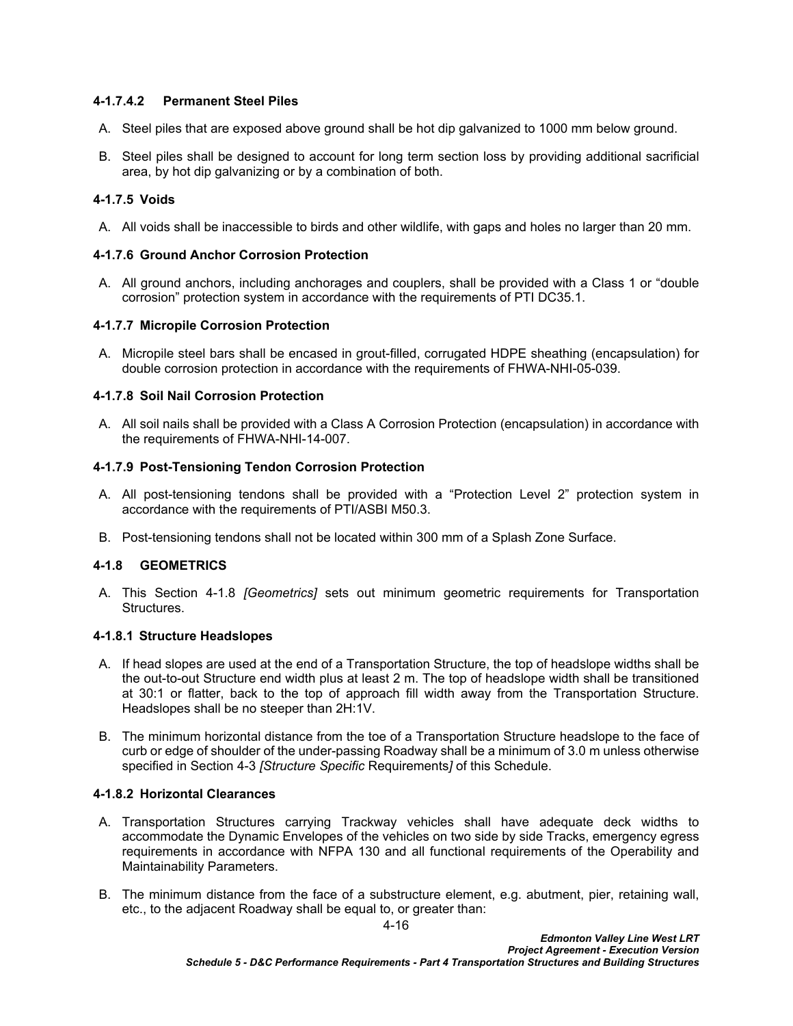### **4-1.7.4.2 Permanent Steel Piles**

- A. Steel piles that are exposed above ground shall be hot dip galvanized to 1000 mm below ground.
- B. Steel piles shall be designed to account for long term section loss by providing additional sacrificial area, by hot dip galvanizing or by a combination of both.

## **4-1.7.5 Voids**

A. All voids shall be inaccessible to birds and other wildlife, with gaps and holes no larger than 20 mm.

### **4-1.7.6 Ground Anchor Corrosion Protection**

A. All ground anchors, including anchorages and couplers, shall be provided with a Class 1 or "double corrosion" protection system in accordance with the requirements of PTI DC35.1.

### **4-1.7.7 Micropile Corrosion Protection**

A. Micropile steel bars shall be encased in grout-filled, corrugated HDPE sheathing (encapsulation) for double corrosion protection in accordance with the requirements of FHWA-NHI-05-039.

# **4-1.7.8 Soil Nail Corrosion Protection**

A. All soil nails shall be provided with a Class A Corrosion Protection (encapsulation) in accordance with the requirements of FHWA-NHI-14-007.

#### **4-1.7.9 Post-Tensioning Tendon Corrosion Protection**

- A. All post-tensioning tendons shall be provided with a "Protection Level 2" protection system in accordance with the requirements of PTI/ASBI M50.3.
- B. Post-tensioning tendons shall not be located within 300 mm of a Splash Zone Surface.

# <span id="page-19-0"></span>**4-1.8 GEOMETRICS**

A. This Section [4-1.8](#page-19-0) *[[Geometrics](#page-19-0)]* sets out minimum geometric requirements for Transportation Structures.

#### **4-1.8.1 Structure Headslopes**

- A. If head slopes are used at the end of a Transportation Structure, the top of headslope widths shall be the out-to-out Structure end width plus at least 2 m. The top of headslope width shall be transitioned at 30:1 or flatter, back to the top of approach fill width away from the Transportation Structure. Headslopes shall be no steeper than 2H:1V.
- B. The minimum horizontal distance from the toe of a Transportation Structure headslope to the face of curb or edge of shoulder of the under-passing Roadway shall be a minimum of 3.0 m unless otherwise specified in [Section 4-3](#page-44-0) *[\[Structure Specific](#page-44-0)* Requirements*]* of this Schedule.

# **4-1.8.2 Horizontal Clearances**

- A. Transportation Structures carrying Trackway vehicles shall have adequate deck widths to accommodate the Dynamic Envelopes of the vehicles on two side by side Tracks, emergency egress requirements in accordance with NFPA 130 and all functional requirements of the Operability and Maintainability Parameters.
- B. The minimum distance from the face of a substructure element, e.g. abutment, pier, retaining wall, etc., to the adjacent Roadway shall be equal to, or greater than:

4-16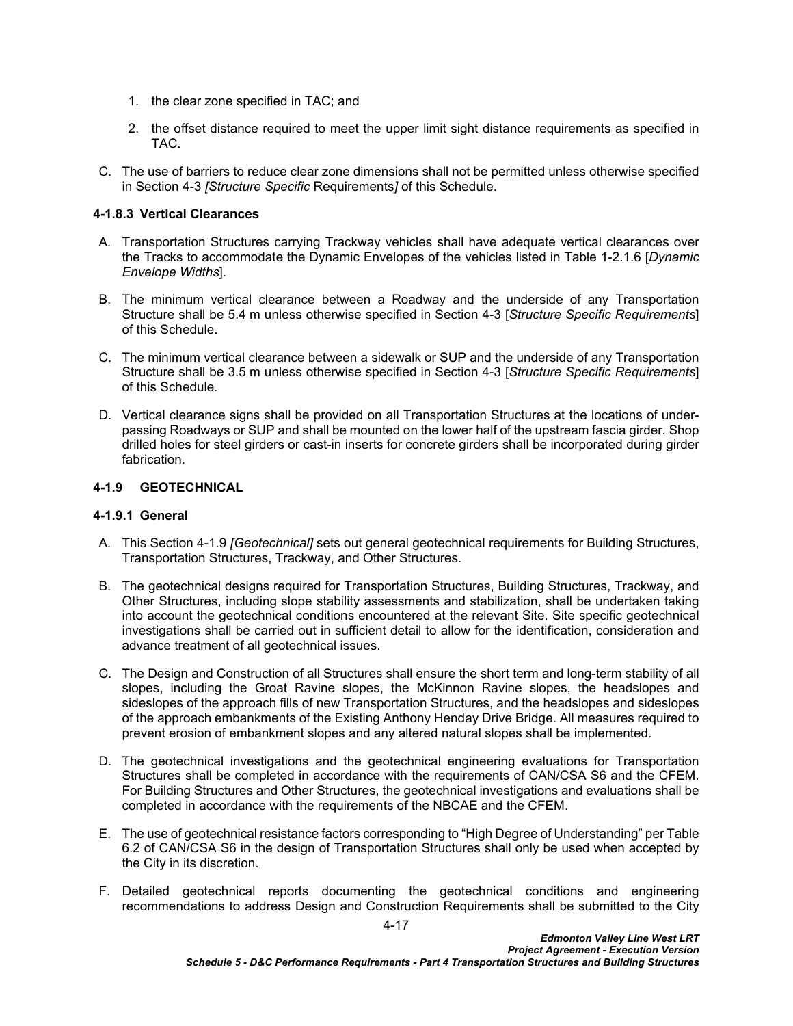- 1. the clear zone specified in TAC; and
- 2. the offset distance required to meet the upper limit sight distance requirements as specified in TAC.
- C. The use of barriers to reduce clear zone dimensions shall not be permitted unless otherwise specified in [Section 4-3](#page-44-0) *[\[Structure Specific](#page-44-0)* Requirements*]* of this Schedule.

### **4-1.8.3 Vertical Clearances**

- A. Transportation Structures carrying Trackway vehicles shall have adequate vertical clearances over the Tracks to accommodate the Dynamic Envelopes of the vehicles listed in Table 1-2.1.6 [*Dynamic Envelope Widths*].
- B. The minimum vertical clearance between a Roadway and the underside of any Transportation Structure shall be 5.4 m unless otherwise specified in [Section 4-3](#page-44-0) [*Structure Specific Requirements*] of this Schedule.
- C. The minimum vertical clearance between a sidewalk or SUP and the underside of any Transportation Structure shall be 3.5 m unless otherwise specified in [Section 4-3](#page-44-0) [*Structure Specific Requirements*] of this Schedule*.*
- D. Vertical clearance signs shall be provided on all Transportation Structures at the locations of underpassing Roadways or SUP and shall be mounted on the lower half of the upstream fascia girder. Shop drilled holes for steel girders or cast-in inserts for concrete girders shall be incorporated during girder fabrication.

## <span id="page-20-0"></span>**4-1.9 GEOTECHNICAL**

#### **4-1.9.1 General**

- A. This Section [4-1.9](#page-20-0) *[[Geotechnical\]](#page-20-0)* sets out general geotechnical requirements for Building Structures, Transportation Structures, Trackway, and Other Structures.
- B. The geotechnical designs required for Transportation Structures, Building Structures, Trackway, and Other Structures, including slope stability assessments and stabilization, shall be undertaken taking into account the geotechnical conditions encountered at the relevant Site. Site specific geotechnical investigations shall be carried out in sufficient detail to allow for the identification, consideration and advance treatment of all geotechnical issues.
- C. The Design and Construction of all Structures shall ensure the short term and long-term stability of all slopes, including the Groat Ravine slopes, the McKinnon Ravine slopes, the headslopes and sideslopes of the approach fills of new Transportation Structures, and the headslopes and sideslopes of the approach embankments of the Existing Anthony Henday Drive Bridge. All measures required to prevent erosion of embankment slopes and any altered natural slopes shall be implemented.
- D. The geotechnical investigations and the geotechnical engineering evaluations for Transportation Structures shall be completed in accordance with the requirements of CAN/CSA S6 and the CFEM. For Building Structures and Other Structures, the geotechnical investigations and evaluations shall be completed in accordance with the requirements of the NBCAE and the CFEM.
- E. The use of geotechnical resistance factors corresponding to "High Degree of Understanding" per Table 6.2 of CAN/CSA S6 in the design of Transportation Structures shall only be used when accepted by the City in its discretion.
- F. Detailed geotechnical reports documenting the geotechnical conditions and engineering recommendations to address Design and Construction Requirements shall be submitted to the City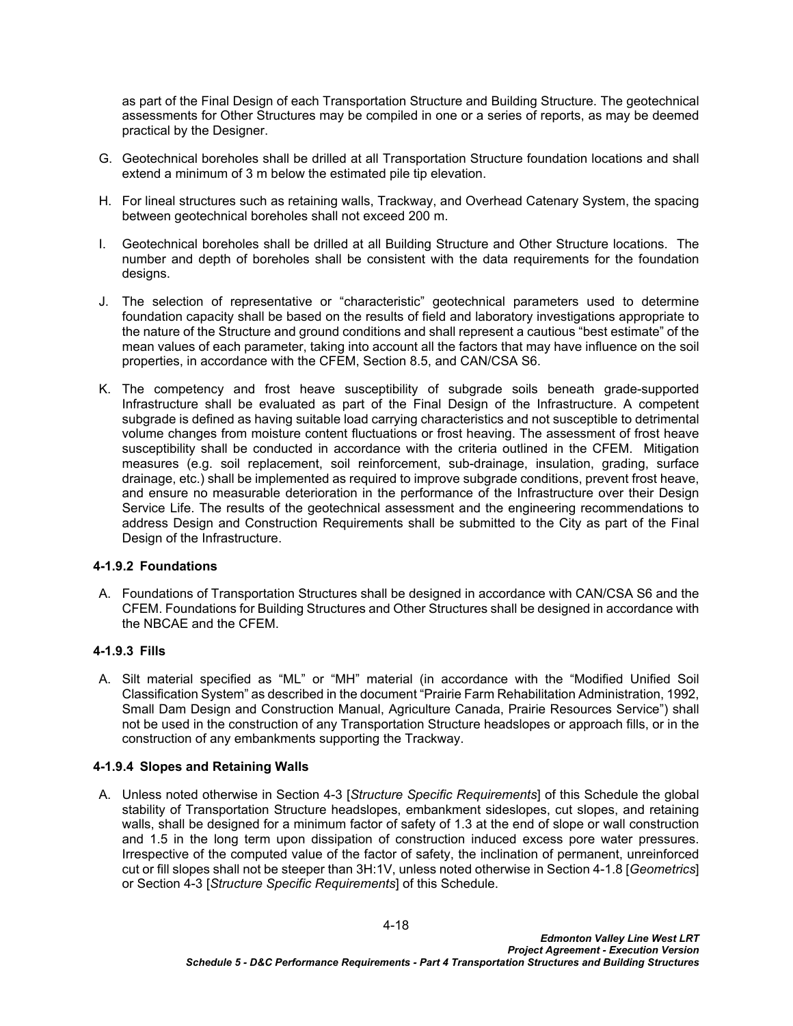as part of the Final Design of each Transportation Structure and Building Structure. The geotechnical assessments for Other Structures may be compiled in one or a series of reports, as may be deemed practical by the Designer.

- G. Geotechnical boreholes shall be drilled at all Transportation Structure foundation locations and shall extend a minimum of 3 m below the estimated pile tip elevation.
- H. For lineal structures such as retaining walls, Trackway, and Overhead Catenary System, the spacing between geotechnical boreholes shall not exceed 200 m.
- I. Geotechnical boreholes shall be drilled at all Building Structure and Other Structure locations. The number and depth of boreholes shall be consistent with the data requirements for the foundation designs.
- J. The selection of representative or "characteristic" geotechnical parameters used to determine foundation capacity shall be based on the results of field and laboratory investigations appropriate to the nature of the Structure and ground conditions and shall represent a cautious "best estimate" of the mean values of each parameter, taking into account all the factors that may have influence on the soil properties, in accordance with the CFEM, Section 8.5, and CAN/CSA S6.
- K. The competency and frost heave susceptibility of subgrade soils beneath grade-supported Infrastructure shall be evaluated as part of the Final Design of the Infrastructure. A competent subgrade is defined as having suitable load carrying characteristics and not susceptible to detrimental volume changes from moisture content fluctuations or frost heaving. The assessment of frost heave susceptibility shall be conducted in accordance with the criteria outlined in the CFEM. Mitigation measures (e.g. soil replacement, soil reinforcement, sub-drainage, insulation, grading, surface drainage, etc.) shall be implemented as required to improve subgrade conditions, prevent frost heave, and ensure no measurable deterioration in the performance of the Infrastructure over their Design Service Life. The results of the geotechnical assessment and the engineering recommendations to address Design and Construction Requirements shall be submitted to the City as part of the Final Design of the Infrastructure.

#### **4-1.9.2 Foundations**

A. Foundations of Transportation Structures shall be designed in accordance with CAN/CSA S6 and the CFEM. Foundations for Building Structures and Other Structures shall be designed in accordance with the NBCAE and the CFEM.

# **4-1.9.3 Fills**

A. Silt material specified as "ML" or "MH" material (in accordance with the "Modified Unified Soil Classification System" as described in the document "Prairie Farm Rehabilitation Administration, 1992, Small Dam Design and Construction Manual, Agriculture Canada, Prairie Resources Service") shall not be used in the construction of any Transportation Structure headslopes or approach fills, or in the construction of any embankments supporting the Trackway.

#### **4-1.9.4 Slopes and Retaining Walls**

A. Unless noted otherwise in [Section 4-3](#page-44-0) [*[Structure Specific Requirements](#page-44-0)*] of this Schedule the global stability of Transportation Structure headslopes, embankment sideslopes, cut slopes, and retaining walls, shall be designed for a minimum factor of safety of 1.3 at the end of slope or wall construction and 1.5 in the long term upon dissipation of construction induced excess pore water pressures. Irrespective of the computed value of the factor of safety, the inclination of permanent, unreinforced cut or fill slopes shall not be steeper than 3H:1V, unless noted otherwise in Section [4-1.8](#page-19-0) [*[Geometrics](#page-19-0)*] or [Section 4-3](#page-44-0) [*[Structure Specific Requirements](#page-44-0)*] of this Schedule.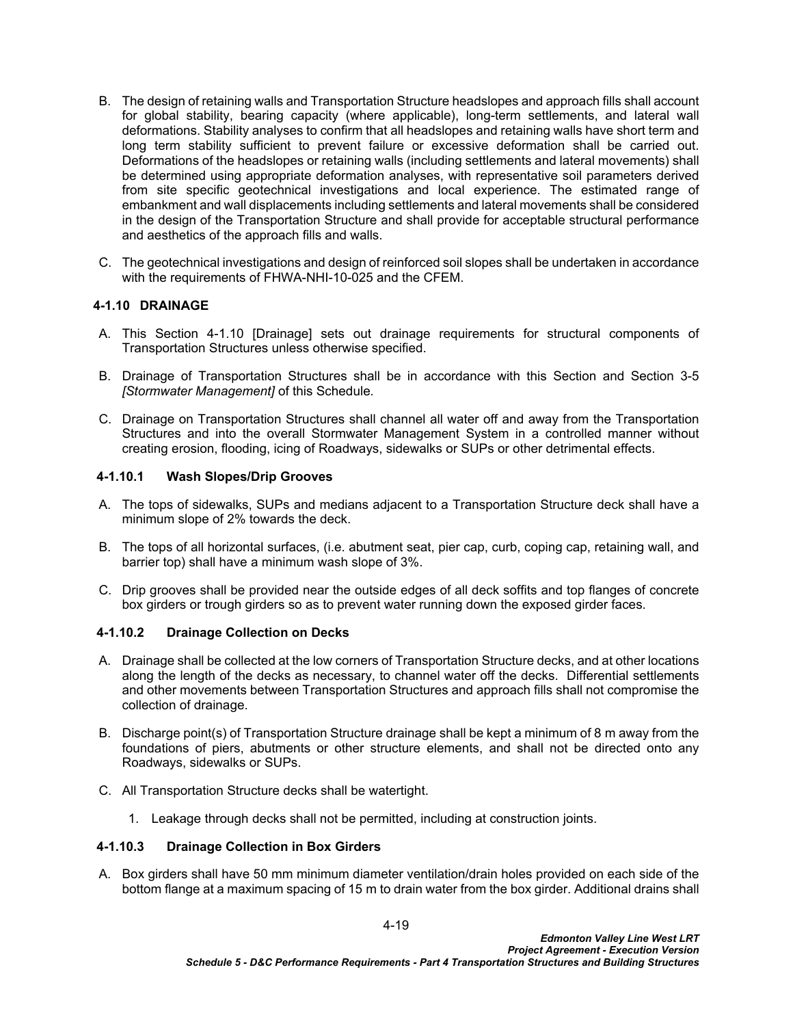- B. The design of retaining walls and Transportation Structure headslopes and approach fills shall account for global stability, bearing capacity (where applicable), long-term settlements, and lateral wall deformations. Stability analyses to confirm that all headslopes and retaining walls have short term and long term stability sufficient to prevent failure or excessive deformation shall be carried out. Deformations of the headslopes or retaining walls (including settlements and lateral movements) shall be determined using appropriate deformation analyses, with representative soil parameters derived from site specific geotechnical investigations and local experience. The estimated range of embankment and wall displacements including settlements and lateral movements shall be considered in the design of the Transportation Structure and shall provide for acceptable structural performance and aesthetics of the approach fills and walls.
- C. The geotechnical investigations and design of reinforced soil slopes shall be undertaken in accordance with the requirements of FHWA-NHI-10-025 and the CFEM.

#### <span id="page-22-0"></span>**4-1.10 DRAINAGE**

- A. This Section [4-1.10](#page-22-0) [[Drainage](#page-22-0)] sets out drainage requirements for structural components of Transportation Structures unless otherwise specified.
- B. Drainage of Transportation Structures shall be in accordance with this Section and Section 3-5 *[Stormwater Management]* of this Schedule*.*
- C. Drainage on Transportation Structures shall channel all water off and away from the Transportation Structures and into the overall Stormwater Management System in a controlled manner without creating erosion, flooding, icing of Roadways, sidewalks or SUPs or other detrimental effects.

#### **4-1.10.1 Wash Slopes/Drip Grooves**

- A. The tops of sidewalks, SUPs and medians adjacent to a Transportation Structure deck shall have a minimum slope of 2% towards the deck.
- B. The tops of all horizontal surfaces, (i.e. abutment seat, pier cap, curb, coping cap, retaining wall, and barrier top) shall have a minimum wash slope of 3%.
- C. Drip grooves shall be provided near the outside edges of all deck soffits and top flanges of concrete box girders or trough girders so as to prevent water running down the exposed girder faces.

#### **4-1.10.2 Drainage Collection on Decks**

- A. Drainage shall be collected at the low corners of Transportation Structure decks, and at other locations along the length of the decks as necessary, to channel water off the decks. Differential settlements and other movements between Transportation Structures and approach fills shall not compromise the collection of drainage.
- B. Discharge point(s) of Transportation Structure drainage shall be kept a minimum of 8 m away from the foundations of piers, abutments or other structure elements, and shall not be directed onto any Roadways, sidewalks or SUPs.
- C. All Transportation Structure decks shall be watertight.
	- 1. Leakage through decks shall not be permitted, including at construction joints.

#### **4-1.10.3 Drainage Collection in Box Girders**

A. Box girders shall have 50 mm minimum diameter ventilation/drain holes provided on each side of the bottom flange at a maximum spacing of 15 m to drain water from the box girder. Additional drains shall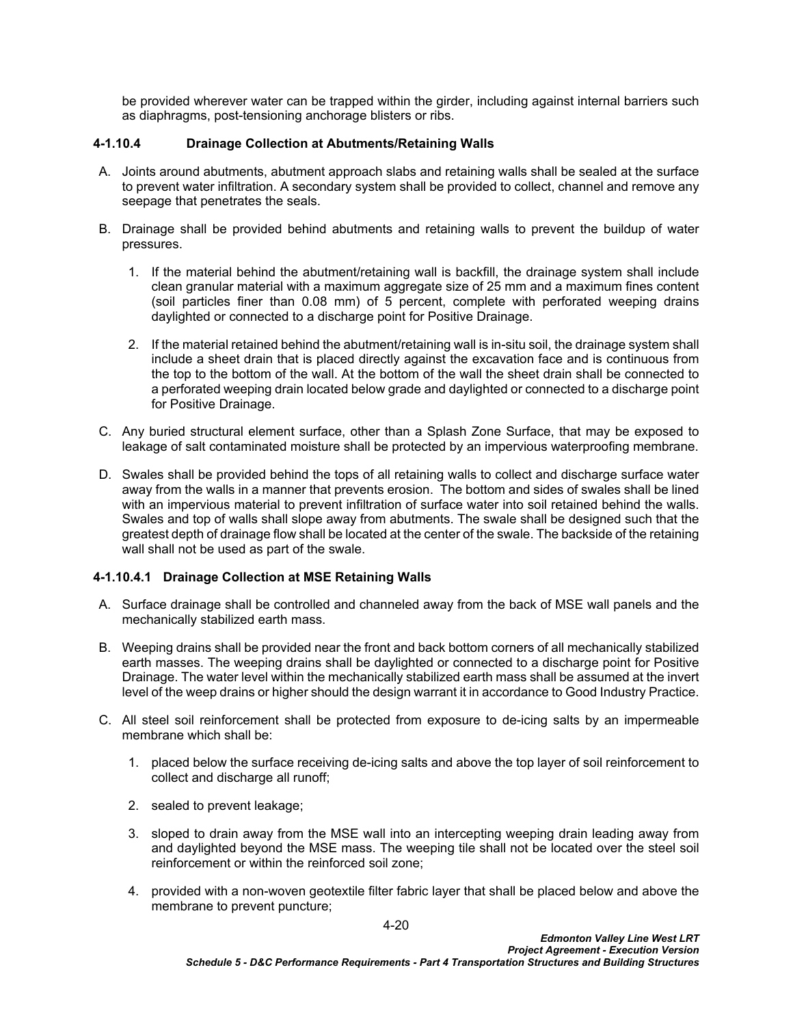be provided wherever water can be trapped within the girder, including against internal barriers such as diaphragms, post-tensioning anchorage blisters or ribs.

## **4-1.10.4 Drainage Collection at Abutments/Retaining Walls**

- A. Joints around abutments, abutment approach slabs and retaining walls shall be sealed at the surface to prevent water infiltration. A secondary system shall be provided to collect, channel and remove any seepage that penetrates the seals.
- B. Drainage shall be provided behind abutments and retaining walls to prevent the buildup of water pressures.
	- 1. If the material behind the abutment/retaining wall is backfill, the drainage system shall include clean granular material with a maximum aggregate size of 25 mm and a maximum fines content (soil particles finer than 0.08 mm) of 5 percent, complete with perforated weeping drains daylighted or connected to a discharge point for Positive Drainage.
	- 2. If the material retained behind the abutment/retaining wall is in-situ soil, the drainage system shall include a sheet drain that is placed directly against the excavation face and is continuous from the top to the bottom of the wall. At the bottom of the wall the sheet drain shall be connected to a perforated weeping drain located below grade and daylighted or connected to a discharge point for Positive Drainage.
- C. Any buried structural element surface, other than a Splash Zone Surface, that may be exposed to leakage of salt contaminated moisture shall be protected by an impervious waterproofing membrane.
- D. Swales shall be provided behind the tops of all retaining walls to collect and discharge surface water away from the walls in a manner that prevents erosion. The bottom and sides of swales shall be lined with an impervious material to prevent infiltration of surface water into soil retained behind the walls. Swales and top of walls shall slope away from abutments. The swale shall be designed such that the greatest depth of drainage flow shall be located at the center of the swale. The backside of the retaining wall shall not be used as part of the swale.

### **4-1.10.4.1 Drainage Collection at MSE Retaining Walls**

- A. Surface drainage shall be controlled and channeled away from the back of MSE wall panels and the mechanically stabilized earth mass.
- B. Weeping drains shall be provided near the front and back bottom corners of all mechanically stabilized earth masses. The weeping drains shall be daylighted or connected to a discharge point for Positive Drainage. The water level within the mechanically stabilized earth mass shall be assumed at the invert level of the weep drains or higher should the design warrant it in accordance to Good Industry Practice.
- C. All steel soil reinforcement shall be protected from exposure to de-icing salts by an impermeable membrane which shall be:
	- 1. placed below the surface receiving de-icing salts and above the top layer of soil reinforcement to collect and discharge all runoff;
	- 2. sealed to prevent leakage;
	- 3. sloped to drain away from the MSE wall into an intercepting weeping drain leading away from and daylighted beyond the MSE mass. The weeping tile shall not be located over the steel soil reinforcement or within the reinforced soil zone;
	- 4. provided with a non-woven geotextile filter fabric layer that shall be placed below and above the membrane to prevent puncture;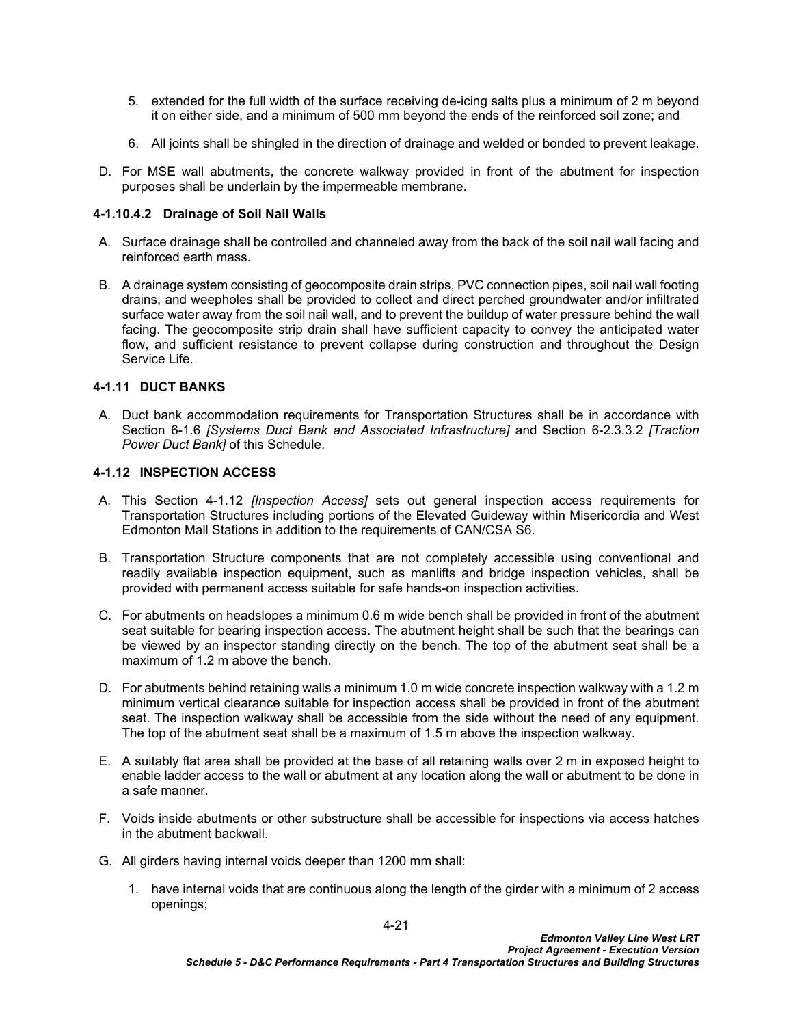- 5. extended for the full width of the surface receiving de-icing salts plus a minimum of 2 m beyond it on either side, and a minimum of 500 mm beyond the ends of the reinforced soil zone; and
- 6. All joints shall be shingled in the direction of drainage and welded or bonded to prevent leakage.
- D. For MSE wall abutments, the concrete walkway provided in front of the abutment for inspection purposes shall be underlain by the impermeable membrane.

### **4-1.10.4.2 Drainage of Soil Nail Walls**

- A. Surface drainage shall be controlled and channeled away from the back of the soil nail wall facing and reinforced earth mass.
- B. A drainage system consisting of geocomposite drain strips, PVC connection pipes, soil nail wall footing drains, and weepholes shall be provided to collect and direct perched groundwater and/or infiltrated surface water away from the soil nail wall, and to prevent the buildup of water pressure behind the wall facing. The geocomposite strip drain shall have sufficient capacity to convey the anticipated water flow, and sufficient resistance to prevent collapse during construction and throughout the Design Service Life.

### <span id="page-24-0"></span>**4-1.11 DUCT BANKS**

A. Duct bank accommodation requirements for Transportation Structures shall be in accordance with Section 6-1.6 *[Systems Duct Bank and Associated Infrastructure]* and Section 6-2.3.3.2 *[Traction Power Duct Bank]* of this Schedule.

### <span id="page-24-1"></span>**4-1.12 INSPECTION ACCESS**

- A. This Section [4-1.12](#page-24-1) *[[Inspection Access\]](#page-24-1)* sets out general inspection access requirements for Transportation Structures including portions of the Elevated Guideway within Misericordia and West Edmonton Mall Stations in addition to the requirements of CAN/CSA S6.
- B. Transportation Structure components that are not completely accessible using conventional and readily available inspection equipment, such as manlifts and bridge inspection vehicles, shall be provided with permanent access suitable for safe hands-on inspection activities.
- C. For abutments on headslopes a minimum 0.6 m wide bench shall be provided in front of the abutment seat suitable for bearing inspection access. The abutment height shall be such that the bearings can be viewed by an inspector standing directly on the bench. The top of the abutment seat shall be a maximum of 1.2 m above the bench.
- D. For abutments behind retaining walls a minimum 1.0 m wide concrete inspection walkway with a 1.2 m minimum vertical clearance suitable for inspection access shall be provided in front of the abutment seat. The inspection walkway shall be accessible from the side without the need of any equipment. The top of the abutment seat shall be a maximum of 1.5 m above the inspection walkway.
- E. A suitably flat area shall be provided at the base of all retaining walls over 2 m in exposed height to enable ladder access to the wall or abutment at any location along the wall or abutment to be done in a safe manner.
- F. Voids inside abutments or other substructure shall be accessible for inspections via access hatches in the abutment backwall.
- G. All girders having internal voids deeper than 1200 mm shall:
	- 1. have internal voids that are continuous along the length of the girder with a minimum of 2 access openings;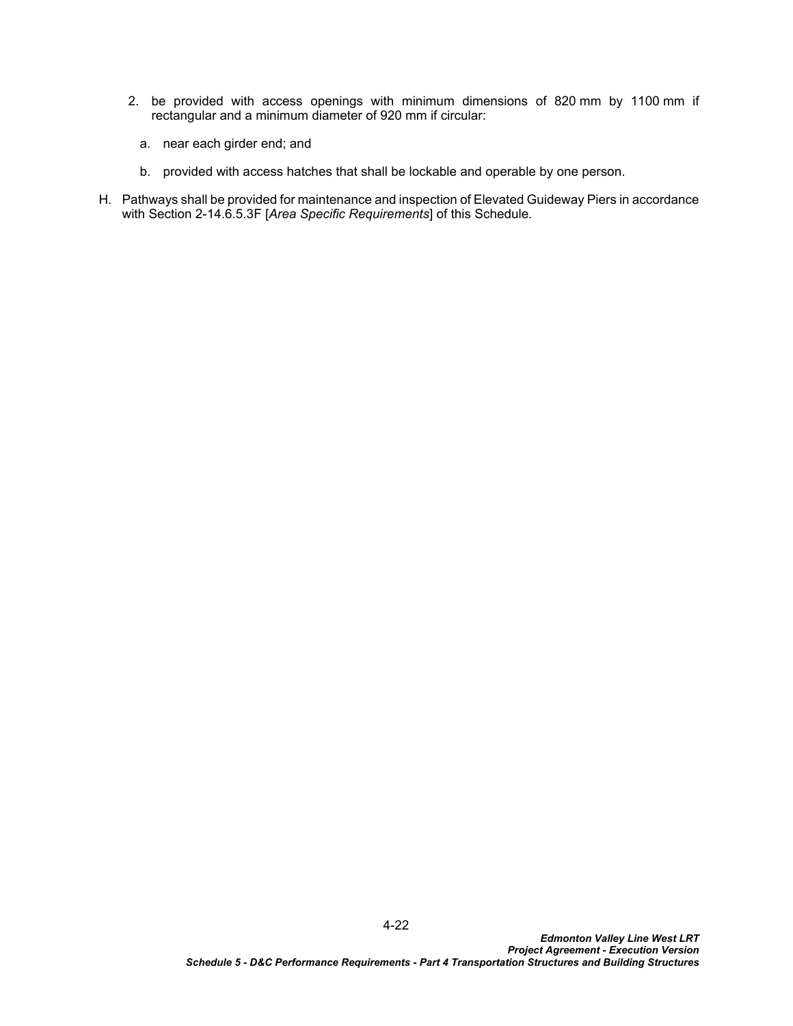- 2. be provided with access openings with minimum dimensions of 820 mm by 1100 mm if rectangular and a minimum diameter of 920 mm if circular:
	- a. near each girder end; and
	- b. provided with access hatches that shall be lockable and operable by one person.
- H. Pathways shall be provided for maintenance and inspection of Elevated Guideway Piers in accordance with Section 2-14.6.5.3F [*Area Specific Requirements*] of this Schedule*.*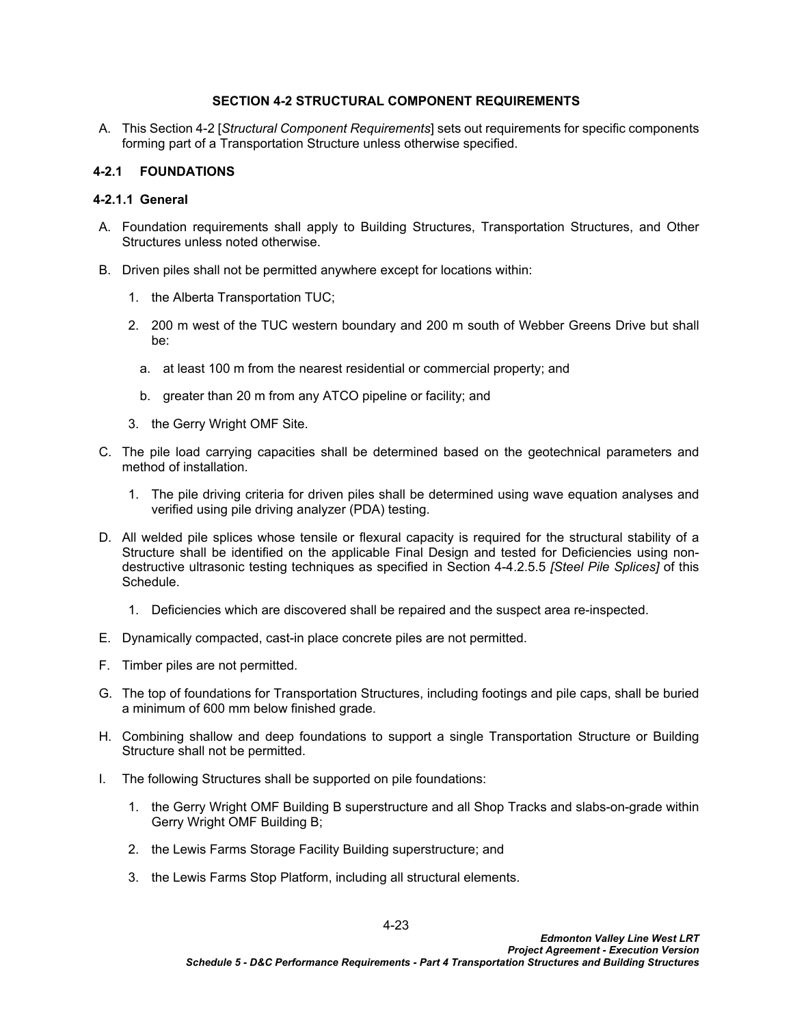#### <span id="page-26-0"></span>**SECTION 4-2 STRUCTURAL COMPONENT REQUIREMENTS**

A. This [Section 4-2](#page-26-0) [*[Structural Component Requirements](#page-26-0)*] sets out requirements for specific components forming part of a Transportation Structure unless otherwise specified.

### <span id="page-26-1"></span>**4-2.1 FOUNDATIONS**

## **4-2.1.1 General**

- A. Foundation requirements shall apply to Building Structures, Transportation Structures, and Other Structures unless noted otherwise.
- B. Driven piles shall not be permitted anywhere except for locations within:
	- 1. the Alberta Transportation TUC;
	- 2. 200 m west of the TUC western boundary and 200 m south of Webber Greens Drive but shall be:
		- a. at least 100 m from the nearest residential or commercial property; and
		- b. greater than 20 m from any ATCO pipeline or facility; and
	- 3. the Gerry Wright OMF Site.
- C. The pile load carrying capacities shall be determined based on the geotechnical parameters and method of installation.
	- 1. The pile driving criteria for driven piles shall be determined using wave equation analyses and verified using pile driving analyzer (PDA) testing.
- D. All welded pile splices whose tensile or flexural capacity is required for the structural stability of a Structure shall be identified on the applicable Final Design and tested for Deficiencies using nondestructive ultrasonic testing techniques as specified in Section [4-4.2.5.5](#page-64-0) *[[Steel Pile Splices](#page-64-0)]* of this Schedule.
	- 1. Deficiencies which are discovered shall be repaired and the suspect area re-inspected.
- E. Dynamically compacted, cast-in place concrete piles are not permitted.
- F. Timber piles are not permitted.
- G. The top of foundations for Transportation Structures, including footings and pile caps, shall be buried a minimum of 600 mm below finished grade.
- H. Combining shallow and deep foundations to support a single Transportation Structure or Building Structure shall not be permitted.
- I. The following Structures shall be supported on pile foundations:
	- 1. the Gerry Wright OMF Building B superstructure and all Shop Tracks and slabs-on-grade within Gerry Wright OMF Building B;
	- 2. the Lewis Farms Storage Facility Building superstructure; and
	- 3. the Lewis Farms Stop Platform, including all structural elements.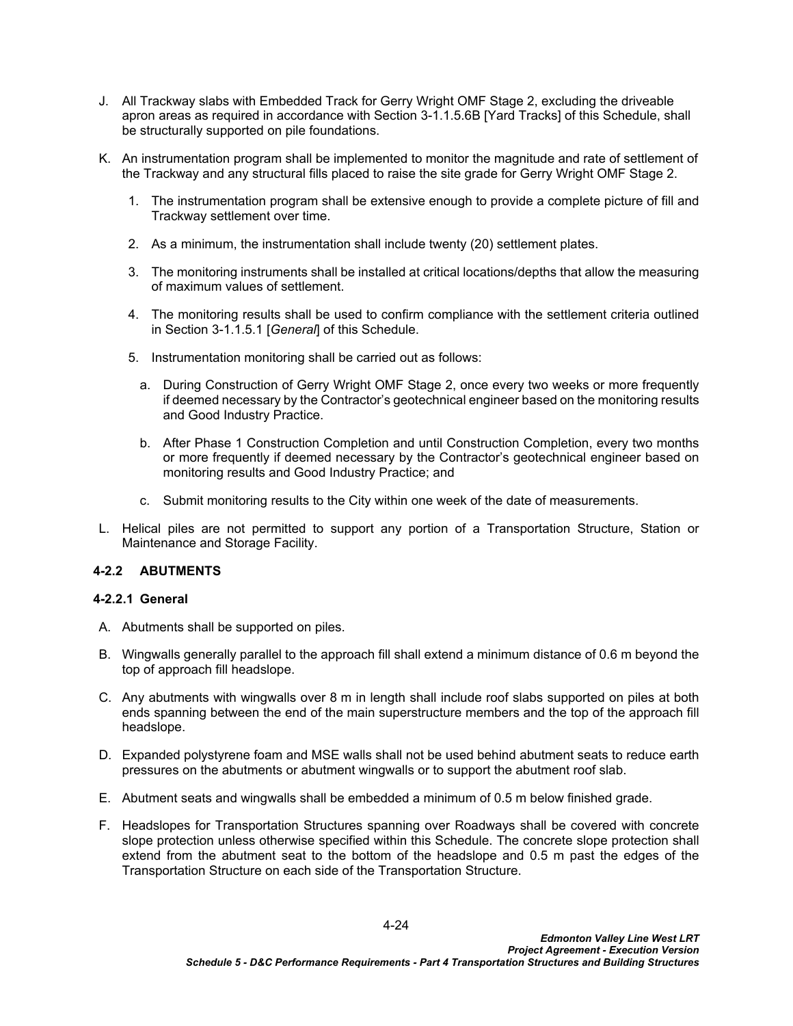- J. All Trackway slabs with Embedded Track for Gerry Wright OMF Stage 2, excluding the driveable apron areas as required in accordance with Section 3-1.1.5.6B [Yard Tracks] of this Schedule, shall be structurally supported on pile foundations.
- K. An instrumentation program shall be implemented to monitor the magnitude and rate of settlement of the Trackway and any structural fills placed to raise the site grade for Gerry Wright OMF Stage 2.
	- 1. The instrumentation program shall be extensive enough to provide a complete picture of fill and Trackway settlement over time.
	- 2. As a minimum, the instrumentation shall include twenty (20) settlement plates.
	- 3. The monitoring instruments shall be installed at critical locations/depths that allow the measuring of maximum values of settlement.
	- 4. The monitoring results shall be used to confirm compliance with the settlement criteria outlined in Section 3-1.1.5.1 [*General*] of this Schedule.
	- 5. Instrumentation monitoring shall be carried out as follows:
		- a. During Construction of Gerry Wright OMF Stage 2, once every two weeks or more frequently if deemed necessary by the Contractor's geotechnical engineer based on the monitoring results and Good Industry Practice.
		- b. After Phase 1 Construction Completion and until Construction Completion, every two months or more frequently if deemed necessary by the Contractor's geotechnical engineer based on monitoring results and Good Industry Practice; and
		- c. Submit monitoring results to the City within one week of the date of measurements.
- L. Helical piles are not permitted to support any portion of a Transportation Structure, Station or Maintenance and Storage Facility.

#### <span id="page-27-0"></span>**4-2.2 ABUTMENTS**

#### <span id="page-27-1"></span>**4-2.2.1 General**

- A. Abutments shall be supported on piles.
- B. Wingwalls generally parallel to the approach fill shall extend a minimum distance of 0.6 m beyond the top of approach fill headslope.
- C. Any abutments with wingwalls over 8 m in length shall include roof slabs supported on piles at both ends spanning between the end of the main superstructure members and the top of the approach fill headslope.
- D. Expanded polystyrene foam and MSE walls shall not be used behind abutment seats to reduce earth pressures on the abutments or abutment wingwalls or to support the abutment roof slab.
- E. Abutment seats and wingwalls shall be embedded a minimum of 0.5 m below finished grade.
- F. Headslopes for Transportation Structures spanning over Roadways shall be covered with concrete slope protection unless otherwise specified within this Schedule. The concrete slope protection shall extend from the abutment seat to the bottom of the headslope and 0.5 m past the edges of the Transportation Structure on each side of the Transportation Structure.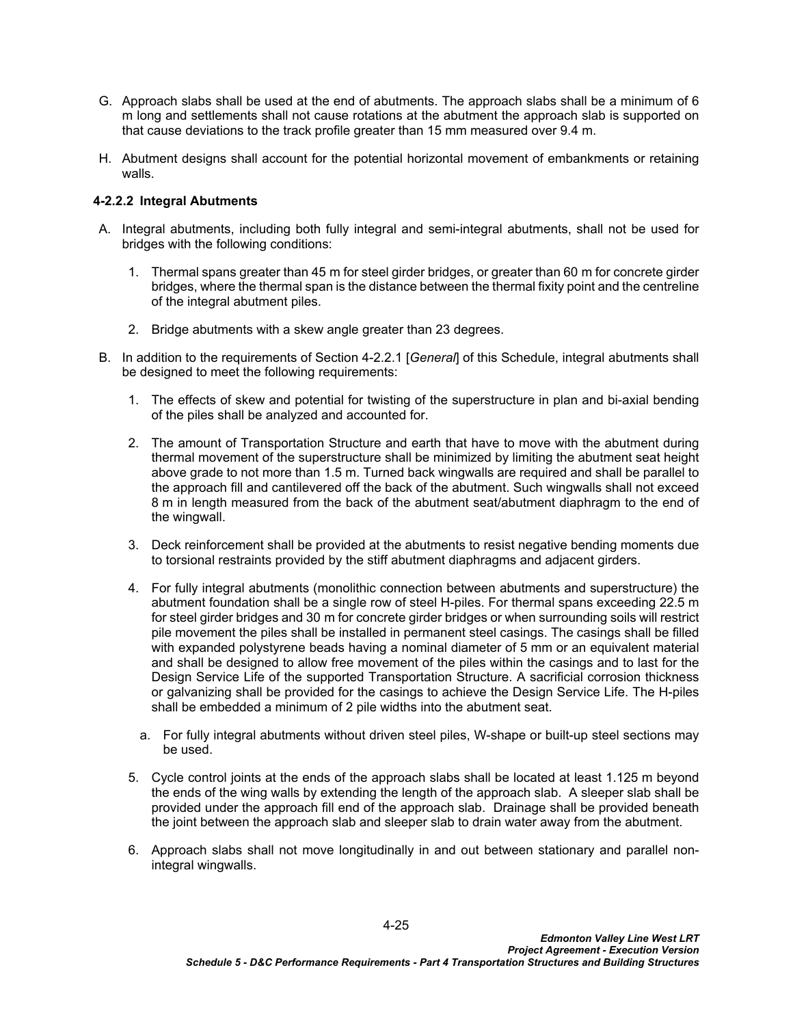- G. Approach slabs shall be used at the end of abutments. The approach slabs shall be a minimum of 6 m long and settlements shall not cause rotations at the abutment the approach slab is supported on that cause deviations to the track profile greater than 15 mm measured over 9.4 m.
- H. Abutment designs shall account for the potential horizontal movement of embankments or retaining walls.

### **4-2.2.2 Integral Abutments**

- A. Integral abutments, including both fully integral and semi-integral abutments, shall not be used for bridges with the following conditions:
	- 1. Thermal spans greater than 45 m for steel girder bridges, or greater than 60 m for concrete girder bridges, where the thermal span is the distance between the thermal fixity point and the centreline of the integral abutment piles.
	- 2. Bridge abutments with a skew angle greater than 23 degrees.
- B. In addition to the requirements of Section [4-2.2.1](#page-27-1) [*[General](#page-27-1)*] of this Schedule, integral abutments shall be designed to meet the following requirements:
	- 1. The effects of skew and potential for twisting of the superstructure in plan and bi-axial bending of the piles shall be analyzed and accounted for.
	- 2. The amount of Transportation Structure and earth that have to move with the abutment during thermal movement of the superstructure shall be minimized by limiting the abutment seat height above grade to not more than 1.5 m. Turned back wingwalls are required and shall be parallel to the approach fill and cantilevered off the back of the abutment. Such wingwalls shall not exceed 8 m in length measured from the back of the abutment seat/abutment diaphragm to the end of the wingwall.
	- 3. Deck reinforcement shall be provided at the abutments to resist negative bending moments due to torsional restraints provided by the stiff abutment diaphragms and adjacent girders.
	- 4. For fully integral abutments (monolithic connection between abutments and superstructure) the abutment foundation shall be a single row of steel H-piles. For thermal spans exceeding 22.5 m for steel girder bridges and 30 m for concrete girder bridges or when surrounding soils will restrict pile movement the piles shall be installed in permanent steel casings. The casings shall be filled with expanded polystyrene beads having a nominal diameter of 5 mm or an equivalent material and shall be designed to allow free movement of the piles within the casings and to last for the Design Service Life of the supported Transportation Structure. A sacrificial corrosion thickness or galvanizing shall be provided for the casings to achieve the Design Service Life. The H-piles shall be embedded a minimum of 2 pile widths into the abutment seat.
		- a. For fully integral abutments without driven steel piles, W-shape or built-up steel sections may be used.
	- 5. Cycle control joints at the ends of the approach slabs shall be located at least 1.125 m beyond the ends of the wing walls by extending the length of the approach slab. A sleeper slab shall be provided under the approach fill end of the approach slab. Drainage shall be provided beneath the joint between the approach slab and sleeper slab to drain water away from the abutment.
	- 6. Approach slabs shall not move longitudinally in and out between stationary and parallel nonintegral wingwalls.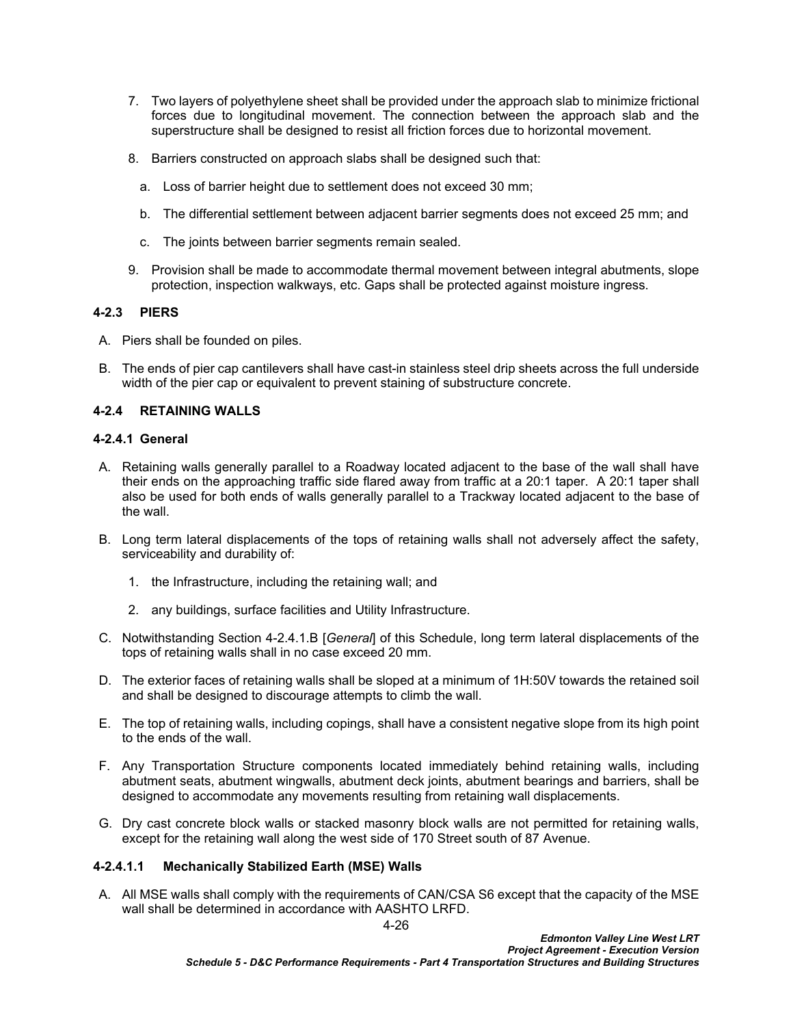- 7. Two layers of polyethylene sheet shall be provided under the approach slab to minimize frictional forces due to longitudinal movement. The connection between the approach slab and the superstructure shall be designed to resist all friction forces due to horizontal movement.
- 8. Barriers constructed on approach slabs shall be designed such that:
	- a. Loss of barrier height due to settlement does not exceed 30 mm;
	- b. The differential settlement between adjacent barrier segments does not exceed 25 mm; and
	- c. The joints between barrier segments remain sealed.
- 9. Provision shall be made to accommodate thermal movement between integral abutments, slope protection, inspection walkways, etc. Gaps shall be protected against moisture ingress.

### <span id="page-29-0"></span>**4-2.3 PIERS**

- A. Piers shall be founded on piles.
- B. The ends of pier cap cantilevers shall have cast-in stainless steel drip sheets across the full underside width of the pier cap or equivalent to prevent staining of substructure concrete.

### <span id="page-29-1"></span>**4-2.4 RETAINING WALLS**

#### **4-2.4.1 General**

- A. Retaining walls generally parallel to a Roadway located adjacent to the base of the wall shall have their ends on the approaching traffic side flared away from traffic at a 20:1 taper. A 20:1 taper shall also be used for both ends of walls generally parallel to a Trackway located adjacent to the base of the wall.
- B. Long term lateral displacements of the tops of retaining walls shall not adversely affect the safety, serviceability and durability of:
	- 1. the Infrastructure, including the retaining wall; and
	- 2. any buildings, surface facilities and Utility Infrastructure.
- C. Notwithstanding Section 4-2.4.1.B [*General*] of this Schedule, long term lateral displacements of the tops of retaining walls shall in no case exceed 20 mm.
- D. The exterior faces of retaining walls shall be sloped at a minimum of 1H:50V towards the retained soil and shall be designed to discourage attempts to climb the wall.
- E. The top of retaining walls, including copings, shall have a consistent negative slope from its high point to the ends of the wall.
- F. Any Transportation Structure components located immediately behind retaining walls, including abutment seats, abutment wingwalls, abutment deck joints, abutment bearings and barriers, shall be designed to accommodate any movements resulting from retaining wall displacements.
- G. Dry cast concrete block walls or stacked masonry block walls are not permitted for retaining walls, except for the retaining wall along the west side of 170 Street south of 87 Avenue.

# **4-2.4.1.1 Mechanically Stabilized Earth (MSE) Walls**

A. All MSE walls shall comply with the requirements of CAN/CSA S6 except that the capacity of the MSE wall shall be determined in accordance with AASHTO LRFD.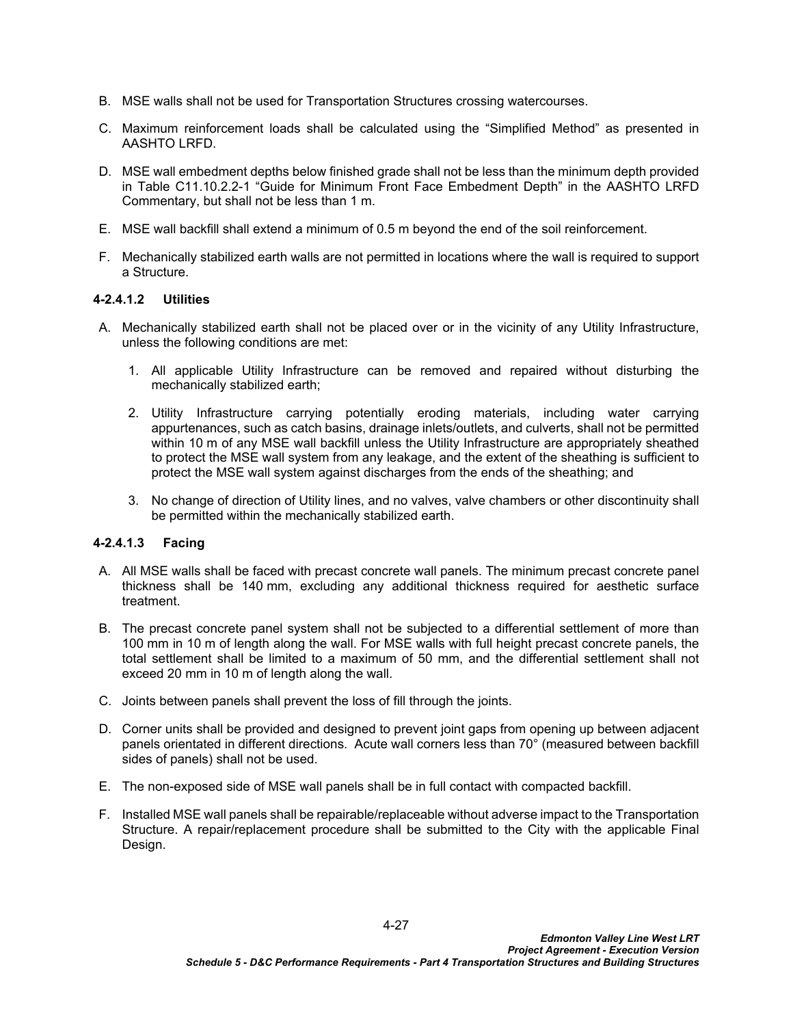- B. MSE walls shall not be used for Transportation Structures crossing watercourses.
- C. Maximum reinforcement loads shall be calculated using the "Simplified Method" as presented in AASHTO LRFD.
- D. MSE wall embedment depths below finished grade shall not be less than the minimum depth provided in Table C11.10.2.2-1 "Guide for Minimum Front Face Embedment Depth" in the AASHTO LRFD Commentary, but shall not be less than 1 m.
- E. MSE wall backfill shall extend a minimum of 0.5 m beyond the end of the soil reinforcement.
- F. Mechanically stabilized earth walls are not permitted in locations where the wall is required to support a Structure.

### **4-2.4.1.2 Utilities**

- A. Mechanically stabilized earth shall not be placed over or in the vicinity of any Utility Infrastructure, unless the following conditions are met:
	- 1. All applicable Utility Infrastructure can be removed and repaired without disturbing the mechanically stabilized earth;
	- 2. Utility Infrastructure carrying potentially eroding materials, including water carrying appurtenances, such as catch basins, drainage inlets/outlets, and culverts, shall not be permitted within 10 m of any MSE wall backfill unless the Utility Infrastructure are appropriately sheathed to protect the MSE wall system from any leakage, and the extent of the sheathing is sufficient to protect the MSE wall system against discharges from the ends of the sheathing; and
	- 3. No change of direction of Utility lines, and no valves, valve chambers or other discontinuity shall be permitted within the mechanically stabilized earth.

#### **4-2.4.1.3 Facing**

- A. All MSE walls shall be faced with precast concrete wall panels. The minimum precast concrete panel thickness shall be 140 mm, excluding any additional thickness required for aesthetic surface treatment.
- B. The precast concrete panel system shall not be subjected to a differential settlement of more than 100 mm in 10 m of length along the wall. For MSE walls with full height precast concrete panels, the total settlement shall be limited to a maximum of 50 mm, and the differential settlement shall not exceed 20 mm in 10 m of length along the wall.
- C. Joints between panels shall prevent the loss of fill through the joints.
- D. Corner units shall be provided and designed to prevent joint gaps from opening up between adjacent panels orientated in different directions. Acute wall corners less than 70° (measured between backfill sides of panels) shall not be used.
- E. The non-exposed side of MSE wall panels shall be in full contact with compacted backfill.
- F. Installed MSE wall panels shall be repairable/replaceable without adverse impact to the Transportation Structure. A repair/replacement procedure shall be submitted to the City with the applicable Final Design.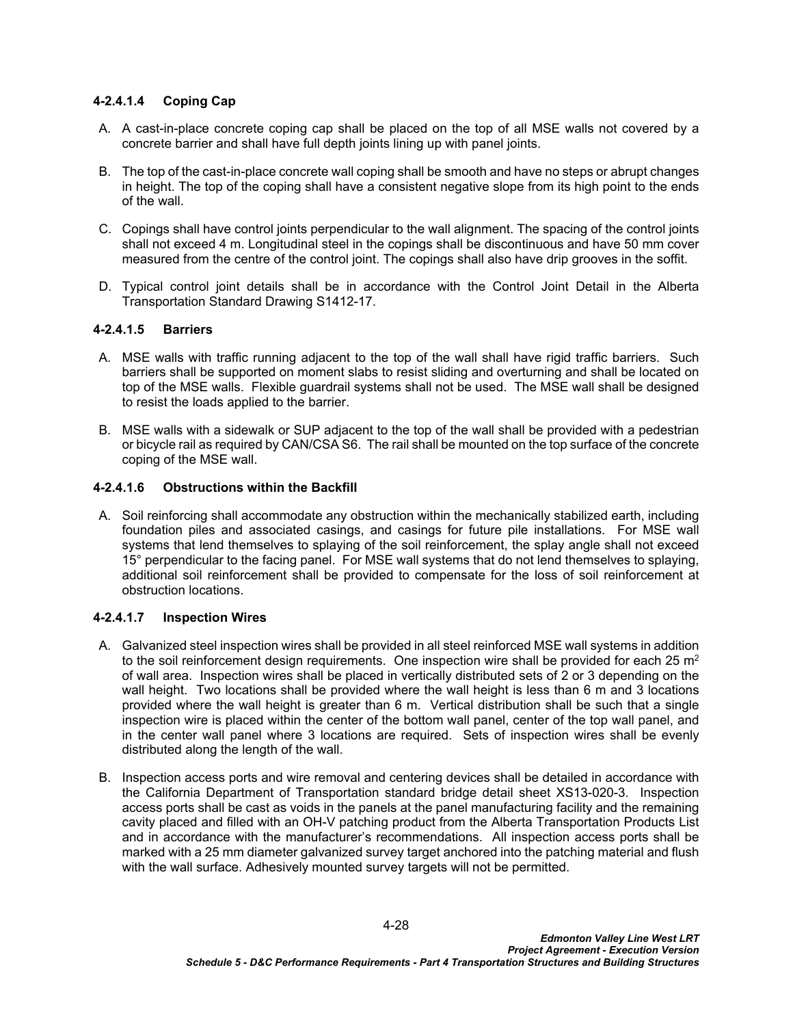# **4-2.4.1.4 Coping Cap**

- A. A cast-in-place concrete coping cap shall be placed on the top of all MSE walls not covered by a concrete barrier and shall have full depth joints lining up with panel joints.
- B. The top of the cast-in-place concrete wall coping shall be smooth and have no steps or abrupt changes in height. The top of the coping shall have a consistent negative slope from its high point to the ends of the wall.
- C. Copings shall have control joints perpendicular to the wall alignment. The spacing of the control joints shall not exceed 4 m. Longitudinal steel in the copings shall be discontinuous and have 50 mm cover measured from the centre of the control joint. The copings shall also have drip grooves in the soffit.
- D. Typical control joint details shall be in accordance with the Control Joint Detail in the Alberta Transportation Standard Drawing S1412-17.

### **4-2.4.1.5 Barriers**

- A. MSE walls with traffic running adjacent to the top of the wall shall have rigid traffic barriers. Such barriers shall be supported on moment slabs to resist sliding and overturning and shall be located on top of the MSE walls. Flexible guardrail systems shall not be used. The MSE wall shall be designed to resist the loads applied to the barrier.
- B. MSE walls with a sidewalk or SUP adjacent to the top of the wall shall be provided with a pedestrian or bicycle rail as required by CAN/CSA S6. The rail shall be mounted on the top surface of the concrete coping of the MSE wall.

### **4-2.4.1.6 Obstructions within the Backfill**

A. Soil reinforcing shall accommodate any obstruction within the mechanically stabilized earth, including foundation piles and associated casings, and casings for future pile installations. For MSE wall systems that lend themselves to splaying of the soil reinforcement, the splay angle shall not exceed 15° perpendicular to the facing panel. For MSE wall systems that do not lend themselves to splaying, additional soil reinforcement shall be provided to compensate for the loss of soil reinforcement at obstruction locations.

# **4-2.4.1.7 Inspection Wires**

- A. Galvanized steel inspection wires shall be provided in all steel reinforced MSE wall systems in addition to the soil reinforcement design requirements. One inspection wire shall be provided for each 25  $m<sup>2</sup>$ of wall area. Inspection wires shall be placed in vertically distributed sets of 2 or 3 depending on the wall height. Two locations shall be provided where the wall height is less than 6 m and 3 locations provided where the wall height is greater than 6 m. Vertical distribution shall be such that a single inspection wire is placed within the center of the bottom wall panel, center of the top wall panel, and in the center wall panel where 3 locations are required. Sets of inspection wires shall be evenly distributed along the length of the wall.
- B. Inspection access ports and wire removal and centering devices shall be detailed in accordance with the California Department of Transportation standard bridge detail sheet XS13-020-3. Inspection access ports shall be cast as voids in the panels at the panel manufacturing facility and the remaining cavity placed and filled with an OH-V patching product from the Alberta Transportation Products List and in accordance with the manufacturer's recommendations. All inspection access ports shall be marked with a 25 mm diameter galvanized survey target anchored into the patching material and flush with the wall surface. Adhesively mounted survey targets will not be permitted.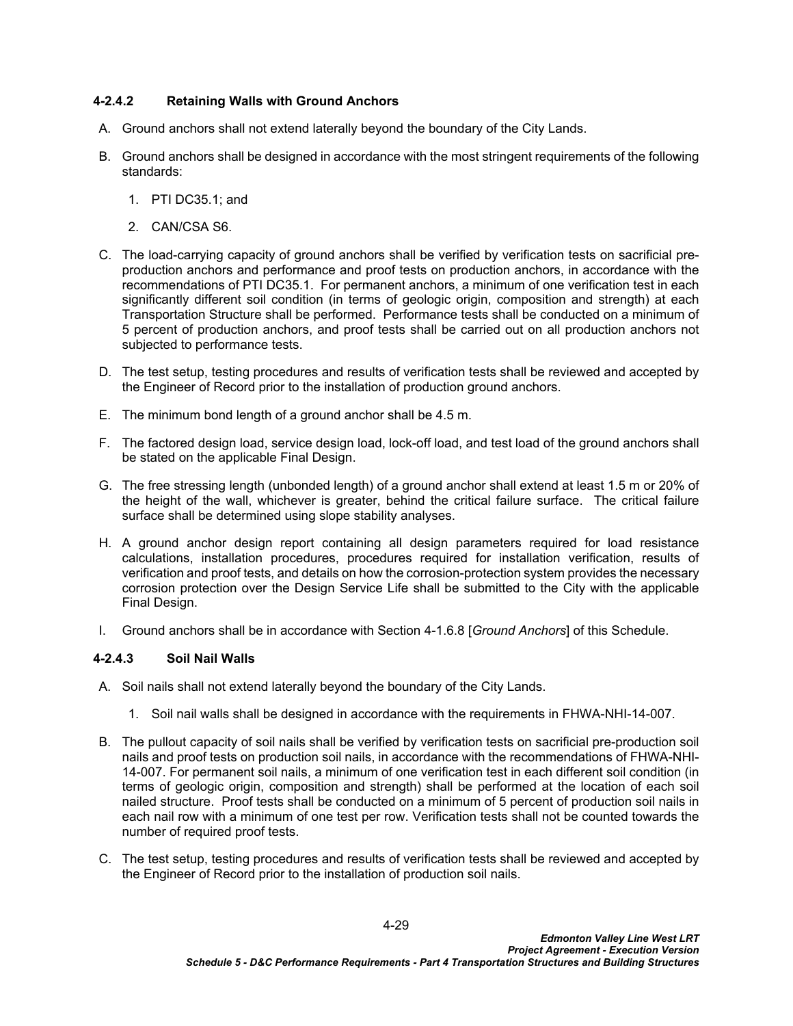# **4-2.4.2 Retaining Walls with Ground Anchors**

- A. Ground anchors shall not extend laterally beyond the boundary of the City Lands.
- B. Ground anchors shall be designed in accordance with the most stringent requirements of the following standards:
	- 1. PTI DC35.1; and
	- 2. CAN/CSA S6.
- C. The load-carrying capacity of ground anchors shall be verified by verification tests on sacrificial preproduction anchors and performance and proof tests on production anchors, in accordance with the recommendations of PTI DC35.1. For permanent anchors, a minimum of one verification test in each significantly different soil condition (in terms of geologic origin, composition and strength) at each Transportation Structure shall be performed. Performance tests shall be conducted on a minimum of 5 percent of production anchors, and proof tests shall be carried out on all production anchors not subjected to performance tests.
- D. The test setup, testing procedures and results of verification tests shall be reviewed and accepted by the Engineer of Record prior to the installation of production ground anchors.
- E. The minimum bond length of a ground anchor shall be 4.5 m.
- F. The factored design load, service design load, lock-off load, and test load of the ground anchors shall be stated on the applicable Final Design.
- G. The free stressing length (unbonded length) of a ground anchor shall extend at least 1.5 m or 20% of the height of the wall, whichever is greater, behind the critical failure surface. The critical failure surface shall be determined using slope stability analyses.
- H. A ground anchor design report containing all design parameters required for load resistance calculations, installation procedures, procedures required for installation verification, results of verification and proof tests, and details on how the corrosion-protection system provides the necessary corrosion protection over the Design Service Life shall be submitted to the City with the applicable Final Design.
- I. Ground anchors shall be in accordance with Section [4-1.6.8](#page-15-0) [*[Ground Anchors](#page-15-0)*] of this Schedule.

#### **4-2.4.3 Soil Nail Walls**

- A. Soil nails shall not extend laterally beyond the boundary of the City Lands.
	- 1. Soil nail walls shall be designed in accordance with the requirements in FHWA-NHI-14-007.
- B. The pullout capacity of soil nails shall be verified by verification tests on sacrificial pre-production soil nails and proof tests on production soil nails, in accordance with the recommendations of FHWA-NHI-14-007. For permanent soil nails, a minimum of one verification test in each different soil condition (in terms of geologic origin, composition and strength) shall be performed at the location of each soil nailed structure. Proof tests shall be conducted on a minimum of 5 percent of production soil nails in each nail row with a minimum of one test per row. Verification tests shall not be counted towards the number of required proof tests.
- C. The test setup, testing procedures and results of verification tests shall be reviewed and accepted by the Engineer of Record prior to the installation of production soil nails.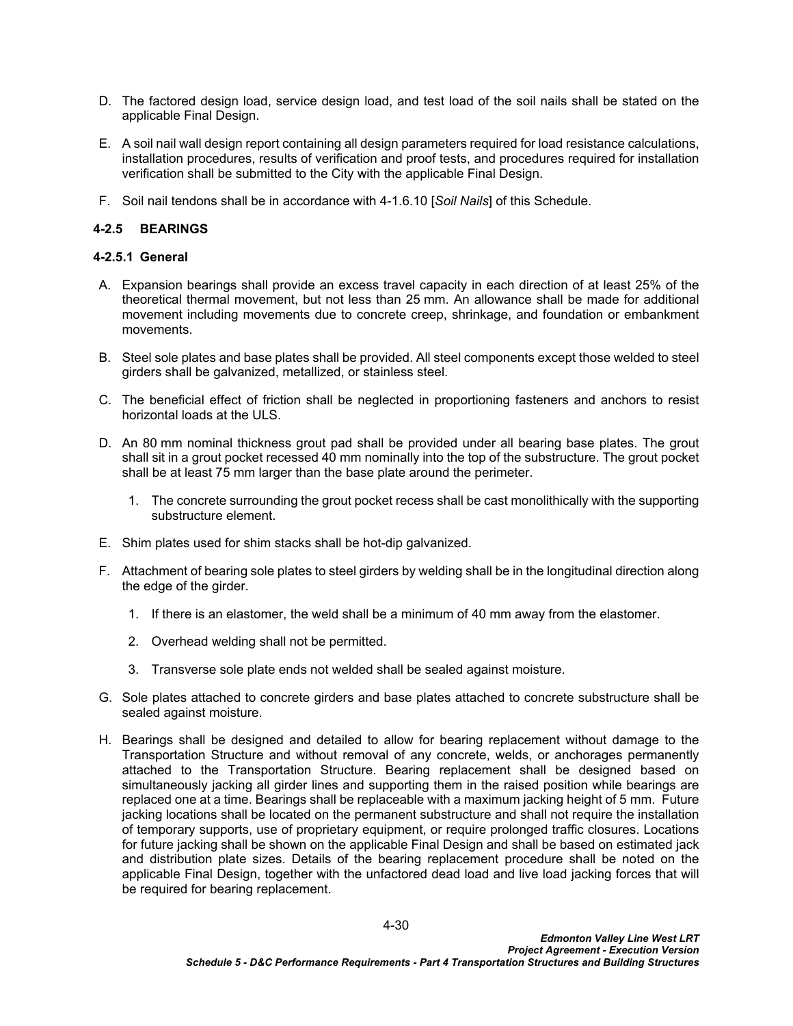- D. The factored design load, service design load, and test load of the soil nails shall be stated on the applicable Final Design.
- E. A soil nail wall design report containing all design parameters required for load resistance calculations, installation procedures, results of verification and proof tests, and procedures required for installation verification shall be submitted to the City with the applicable Final Design.
- F. Soil nail tendons shall be in accordance with [4-1.6.10](#page-16-1) [*[Soil Nails](#page-16-1)*] of this Schedule.

### <span id="page-33-0"></span>**4-2.5 BEARINGS**

#### **4-2.5.1 General**

- A. Expansion bearings shall provide an excess travel capacity in each direction of at least 25% of the theoretical thermal movement, but not less than 25 mm. An allowance shall be made for additional movement including movements due to concrete creep, shrinkage, and foundation or embankment movements.
- B. Steel sole plates and base plates shall be provided. All steel components except those welded to steel girders shall be galvanized, metallized, or stainless steel.
- C. The beneficial effect of friction shall be neglected in proportioning fasteners and anchors to resist horizontal loads at the ULS.
- D. An 80 mm nominal thickness grout pad shall be provided under all bearing base plates. The grout shall sit in a grout pocket recessed 40 mm nominally into the top of the substructure. The grout pocket shall be at least 75 mm larger than the base plate around the perimeter.
	- 1. The concrete surrounding the grout pocket recess shall be cast monolithically with the supporting substructure element.
- E. Shim plates used for shim stacks shall be hot-dip galvanized.
- F. Attachment of bearing sole plates to steel girders by welding shall be in the longitudinal direction along the edge of the girder.
	- 1. If there is an elastomer, the weld shall be a minimum of 40 mm away from the elastomer.
	- 2. Overhead welding shall not be permitted.
	- 3. Transverse sole plate ends not welded shall be sealed against moisture.
- G. Sole plates attached to concrete girders and base plates attached to concrete substructure shall be sealed against moisture.
- H. Bearings shall be designed and detailed to allow for bearing replacement without damage to the Transportation Structure and without removal of any concrete, welds, or anchorages permanently attached to the Transportation Structure. Bearing replacement shall be designed based on simultaneously jacking all girder lines and supporting them in the raised position while bearings are replaced one at a time. Bearings shall be replaceable with a maximum jacking height of 5 mm. Future jacking locations shall be located on the permanent substructure and shall not require the installation of temporary supports, use of proprietary equipment, or require prolonged traffic closures. Locations for future jacking shall be shown on the applicable Final Design and shall be based on estimated jack and distribution plate sizes. Details of the bearing replacement procedure shall be noted on the applicable Final Design, together with the unfactored dead load and live load jacking forces that will be required for bearing replacement.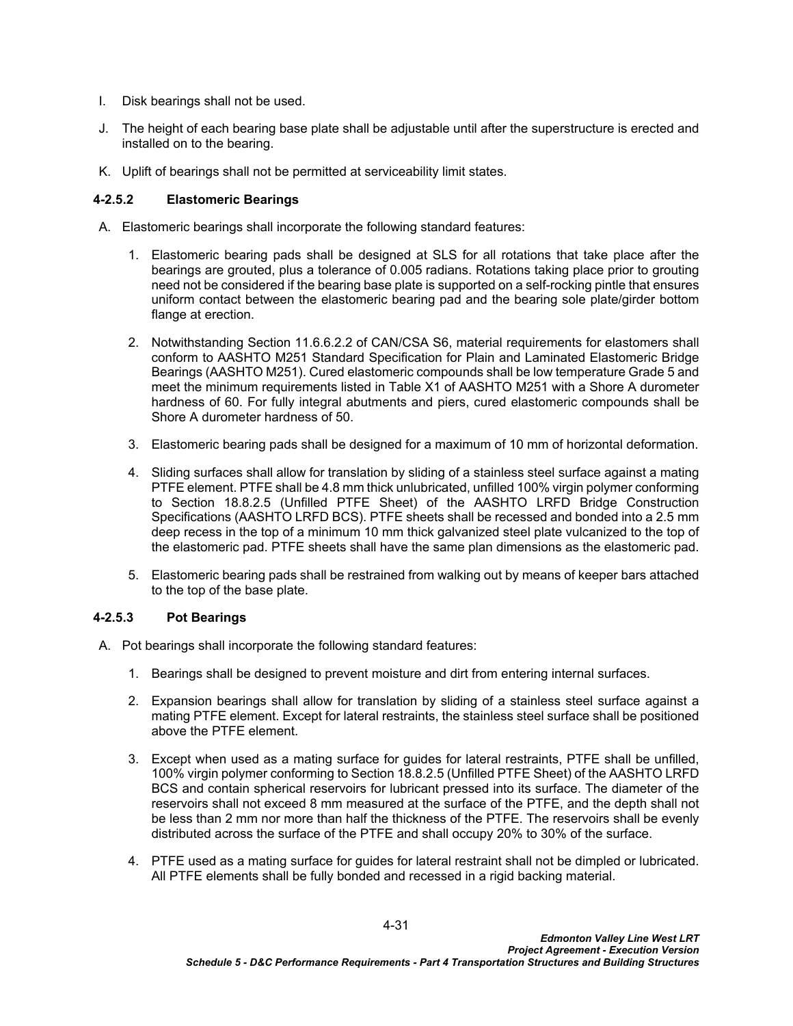- I. Disk bearings shall not be used.
- J. The height of each bearing base plate shall be adjustable until after the superstructure is erected and installed on to the bearing.
- K. Uplift of bearings shall not be permitted at serviceability limit states.

# **4-2.5.2 Elastomeric Bearings**

- A. Elastomeric bearings shall incorporate the following standard features:
	- 1. Elastomeric bearing pads shall be designed at SLS for all rotations that take place after the bearings are grouted, plus a tolerance of 0.005 radians. Rotations taking place prior to grouting need not be considered if the bearing base plate is supported on a self-rocking pintle that ensures uniform contact between the elastomeric bearing pad and the bearing sole plate/girder bottom flange at erection.
	- 2. Notwithstanding Section 11.6.6.2.2 of CAN/CSA S6, material requirements for elastomers shall conform to AASHTO M251 Standard Specification for Plain and Laminated Elastomeric Bridge Bearings (AASHTO M251). Cured elastomeric compounds shall be low temperature Grade 5 and meet the minimum requirements listed in Table X1 of AASHTO M251 with a Shore A durometer hardness of 60. For fully integral abutments and piers, cured elastomeric compounds shall be Shore A durometer hardness of 50.
	- 3. Elastomeric bearing pads shall be designed for a maximum of 10 mm of horizontal deformation.
	- 4. Sliding surfaces shall allow for translation by sliding of a stainless steel surface against a mating PTFE element. PTFE shall be 4.8 mm thick unlubricated, unfilled 100% virgin polymer conforming to Section 18.8.2.5 (Unfilled PTFE Sheet) of the AASHTO LRFD Bridge Construction Specifications (AASHTO LRFD BCS). PTFE sheets shall be recessed and bonded into a 2.5 mm deep recess in the top of a minimum 10 mm thick galvanized steel plate vulcanized to the top of the elastomeric pad. PTFE sheets shall have the same plan dimensions as the elastomeric pad.
	- 5. Elastomeric bearing pads shall be restrained from walking out by means of keeper bars attached to the top of the base plate.

# **4-2.5.3 Pot Bearings**

- A. Pot bearings shall incorporate the following standard features:
	- 1. Bearings shall be designed to prevent moisture and dirt from entering internal surfaces.
	- 2. Expansion bearings shall allow for translation by sliding of a stainless steel surface against a mating PTFE element. Except for lateral restraints, the stainless steel surface shall be positioned above the PTFE element.
	- 3. Except when used as a mating surface for guides for lateral restraints, PTFE shall be unfilled, 100% virgin polymer conforming to Section 18.8.2.5 (Unfilled PTFE Sheet) of the AASHTO LRFD BCS and contain spherical reservoirs for lubricant pressed into its surface. The diameter of the reservoirs shall not exceed 8 mm measured at the surface of the PTFE, and the depth shall not be less than 2 mm nor more than half the thickness of the PTFE. The reservoirs shall be evenly distributed across the surface of the PTFE and shall occupy 20% to 30% of the surface.
	- 4. PTFE used as a mating surface for guides for lateral restraint shall not be dimpled or lubricated. All PTFE elements shall be fully bonded and recessed in a rigid backing material.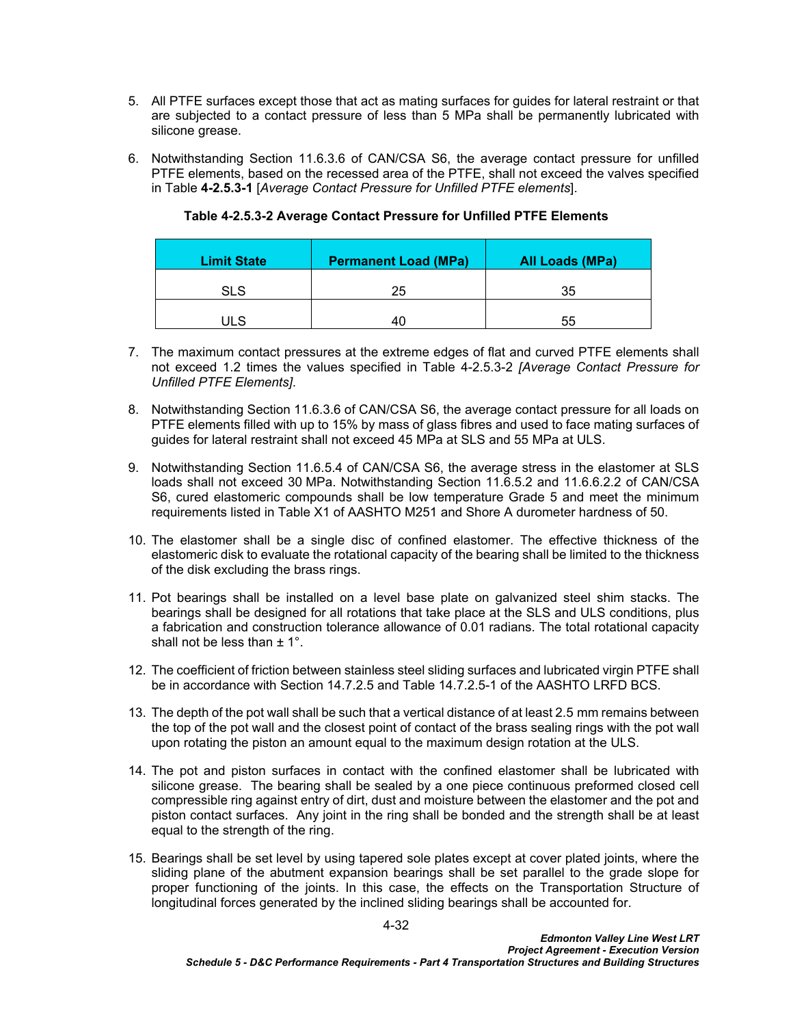- 5. All PTFE surfaces except those that act as mating surfaces for guides for lateral restraint or that are subjected to a contact pressure of less than 5 MPa shall be permanently lubricated with silicone grease.
- 6. Notwithstanding Section 11.6.3.6 of CAN/CSA S6, the average contact pressure for unfilled PTFE elements, based on the recessed area of the PTFE, shall not exceed the valves specified in Table **4-2.5.3-1** [*Average Contact Pressure for Unfilled PTFE elements*].

| <b>Limit State</b> | <b>Permanent Load (MPa)</b> | All Loads (MPa) |
|--------------------|-----------------------------|-----------------|
| <b>SLS</b>         | 25                          | 35              |
| ULS                | 40                          | 55              |

<span id="page-35-0"></span>**Table 4-2.5.3-2 Average Contact Pressure for Unfilled PTFE Elements** 

- 7. The maximum contact pressures at the extreme edges of flat and curved PTFE elements shall not exceed 1.2 times the values specified in [Table 4-2.5.3-2](#page-35-0) *[Average Contact Pressure for Unfilled PTFE Elements]*.
- 8. Notwithstanding Section 11.6.3.6 of CAN/CSA S6, the average contact pressure for all loads on PTFE elements filled with up to 15% by mass of glass fibres and used to face mating surfaces of guides for lateral restraint shall not exceed 45 MPa at SLS and 55 MPa at ULS.
- 9. Notwithstanding Section 11.6.5.4 of CAN/CSA S6, the average stress in the elastomer at SLS loads shall not exceed 30 MPa. Notwithstanding Section 11.6.5.2 and 11.6.6.2.2 of CAN/CSA S6, cured elastomeric compounds shall be low temperature Grade 5 and meet the minimum requirements listed in Table X1 of AASHTO M251 and Shore A durometer hardness of 50.
- 10. The elastomer shall be a single disc of confined elastomer. The effective thickness of the elastomeric disk to evaluate the rotational capacity of the bearing shall be limited to the thickness of the disk excluding the brass rings.
- 11. Pot bearings shall be installed on a level base plate on galvanized steel shim stacks. The bearings shall be designed for all rotations that take place at the SLS and ULS conditions, plus a fabrication and construction tolerance allowance of 0.01 radians. The total rotational capacity shall not be less than ± 1°.
- 12. The coefficient of friction between stainless steel sliding surfaces and lubricated virgin PTFE shall be in accordance with Section 14.7.2.5 and Table 14.7.2.5-1 of the AASHTO LRFD BCS.
- 13. The depth of the pot wall shall be such that a vertical distance of at least 2.5 mm remains between the top of the pot wall and the closest point of contact of the brass sealing rings with the pot wall upon rotating the piston an amount equal to the maximum design rotation at the ULS.
- 14. The pot and piston surfaces in contact with the confined elastomer shall be lubricated with silicone grease. The bearing shall be sealed by a one piece continuous preformed closed cell compressible ring against entry of dirt, dust and moisture between the elastomer and the pot and piston contact surfaces. Any joint in the ring shall be bonded and the strength shall be at least equal to the strength of the ring.
- 15. Bearings shall be set level by using tapered sole plates except at cover plated joints, where the sliding plane of the abutment expansion bearings shall be set parallel to the grade slope for proper functioning of the joints. In this case, the effects on the Transportation Structure of longitudinal forces generated by the inclined sliding bearings shall be accounted for.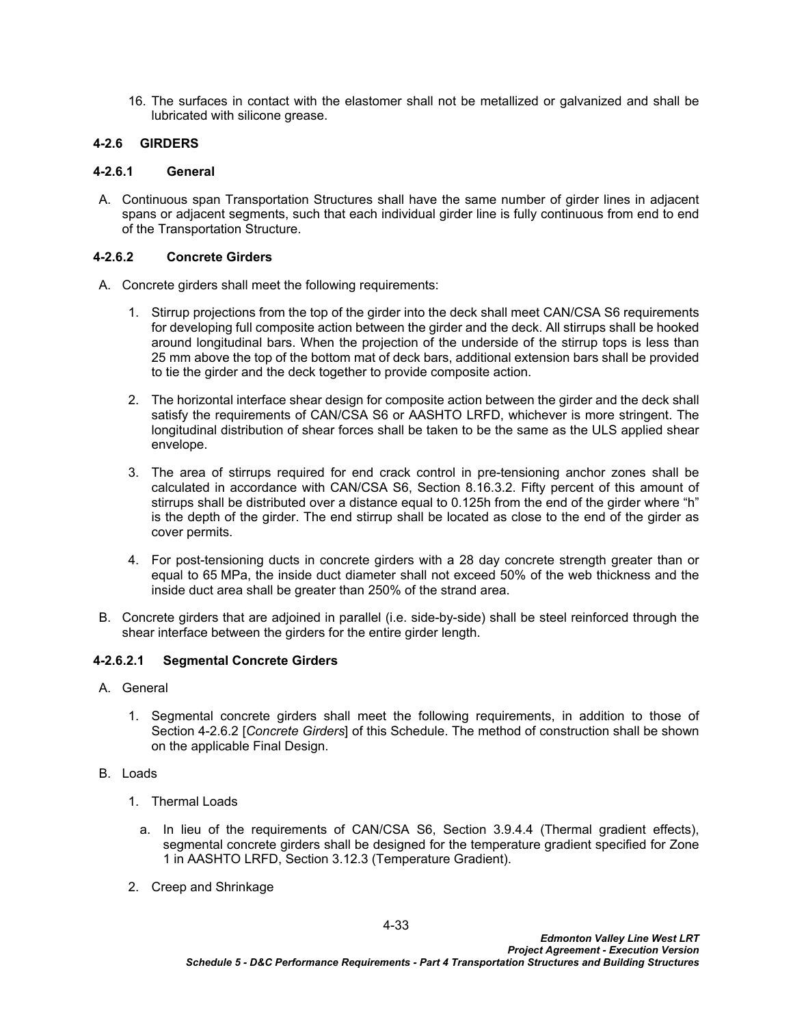16. The surfaces in contact with the elastomer shall not be metallized or galvanized and shall be lubricated with silicone grease.

### **4-2.6 GIRDERS**

## **4-2.6.1 General**

A. Continuous span Transportation Structures shall have the same number of girder lines in adjacent spans or adjacent segments, such that each individual girder line is fully continuous from end to end of the Transportation Structure.

## <span id="page-36-0"></span>**4-2.6.2 Concrete Girders**

- A. Concrete girders shall meet the following requirements:
	- 1. Stirrup projections from the top of the girder into the deck shall meet CAN/CSA S6 requirements for developing full composite action between the girder and the deck. All stirrups shall be hooked around longitudinal bars. When the projection of the underside of the stirrup tops is less than 25 mm above the top of the bottom mat of deck bars, additional extension bars shall be provided to tie the girder and the deck together to provide composite action.
	- 2. The horizontal interface shear design for composite action between the girder and the deck shall satisfy the requirements of CAN/CSA S6 or AASHTO LRFD, whichever is more stringent. The longitudinal distribution of shear forces shall be taken to be the same as the ULS applied shear envelope.
	- 3. The area of stirrups required for end crack control in pre-tensioning anchor zones shall be calculated in accordance with CAN/CSA S6, Section 8.16.3.2. Fifty percent of this amount of stirrups shall be distributed over a distance equal to 0.125h from the end of the girder where "h" is the depth of the girder. The end stirrup shall be located as close to the end of the girder as cover permits.
	- 4. For post-tensioning ducts in concrete girders with a 28 day concrete strength greater than or equal to 65 MPa, the inside duct diameter shall not exceed 50% of the web thickness and the inside duct area shall be greater than 250% of the strand area.
- B. Concrete girders that are adjoined in parallel (i.e. side-by-side) shall be steel reinforced through the shear interface between the girders for the entire girder length.

# **4-2.6.2.1 Segmental Concrete Girders**

- A. General
	- 1. Segmental concrete girders shall meet the following requirements, in addition to those of Section [4-2.6.2](#page-36-0) [*[Concrete Girders](#page-36-0)*] of this Schedule. The method of construction shall be shown on the applicable Final Design.

### B. Loads

- 1. Thermal Loads
	- a. In lieu of the requirements of CAN/CSA S6, Section 3.9.4.4 (Thermal gradient effects), segmental concrete girders shall be designed for the temperature gradient specified for Zone 1 in AASHTO LRFD, Section 3.12.3 (Temperature Gradient).
- 2. Creep and Shrinkage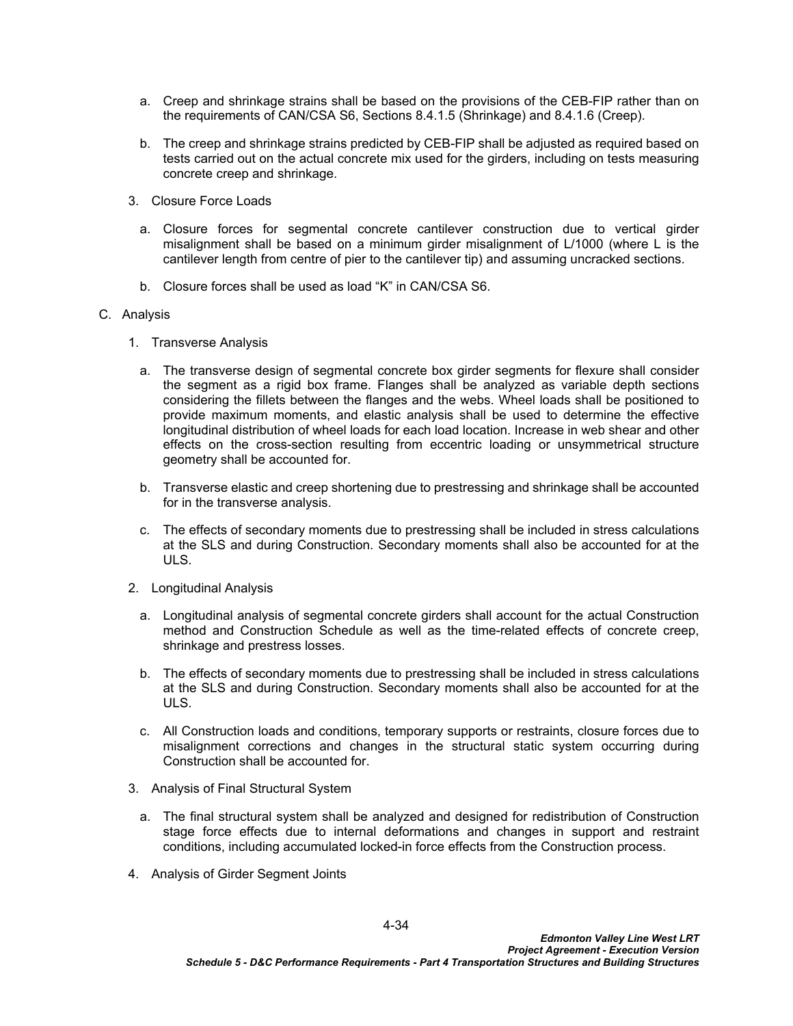- a. Creep and shrinkage strains shall be based on the provisions of the CEB-FIP rather than on the requirements of CAN/CSA S6, Sections 8.4.1.5 (Shrinkage) and 8.4.1.6 (Creep).
- b. The creep and shrinkage strains predicted by CEB-FIP shall be adjusted as required based on tests carried out on the actual concrete mix used for the girders, including on tests measuring concrete creep and shrinkage.
- 3. Closure Force Loads
	- a. Closure forces for segmental concrete cantilever construction due to vertical girder misalignment shall be based on a minimum girder misalignment of L/1000 (where L is the cantilever length from centre of pier to the cantilever tip) and assuming uncracked sections.
	- b. Closure forces shall be used as load "K" in CAN/CSA S6.

### C. Analysis

- 1. Transverse Analysis
	- a. The transverse design of segmental concrete box girder segments for flexure shall consider the segment as a rigid box frame. Flanges shall be analyzed as variable depth sections considering the fillets between the flanges and the webs. Wheel loads shall be positioned to provide maximum moments, and elastic analysis shall be used to determine the effective longitudinal distribution of wheel loads for each load location. Increase in web shear and other effects on the cross-section resulting from eccentric loading or unsymmetrical structure geometry shall be accounted for.
	- b. Transverse elastic and creep shortening due to prestressing and shrinkage shall be accounted for in the transverse analysis.
	- c. The effects of secondary moments due to prestressing shall be included in stress calculations at the SLS and during Construction. Secondary moments shall also be accounted for at the ULS.
- 2. Longitudinal Analysis
	- a. Longitudinal analysis of segmental concrete girders shall account for the actual Construction method and Construction Schedule as well as the time-related effects of concrete creep, shrinkage and prestress losses.
	- b. The effects of secondary moments due to prestressing shall be included in stress calculations at the SLS and during Construction. Secondary moments shall also be accounted for at the ULS.
	- c. All Construction loads and conditions, temporary supports or restraints, closure forces due to misalignment corrections and changes in the structural static system occurring during Construction shall be accounted for.
- 3. Analysis of Final Structural System
	- a. The final structural system shall be analyzed and designed for redistribution of Construction stage force effects due to internal deformations and changes in support and restraint conditions, including accumulated locked-in force effects from the Construction process.
- 4. Analysis of Girder Segment Joints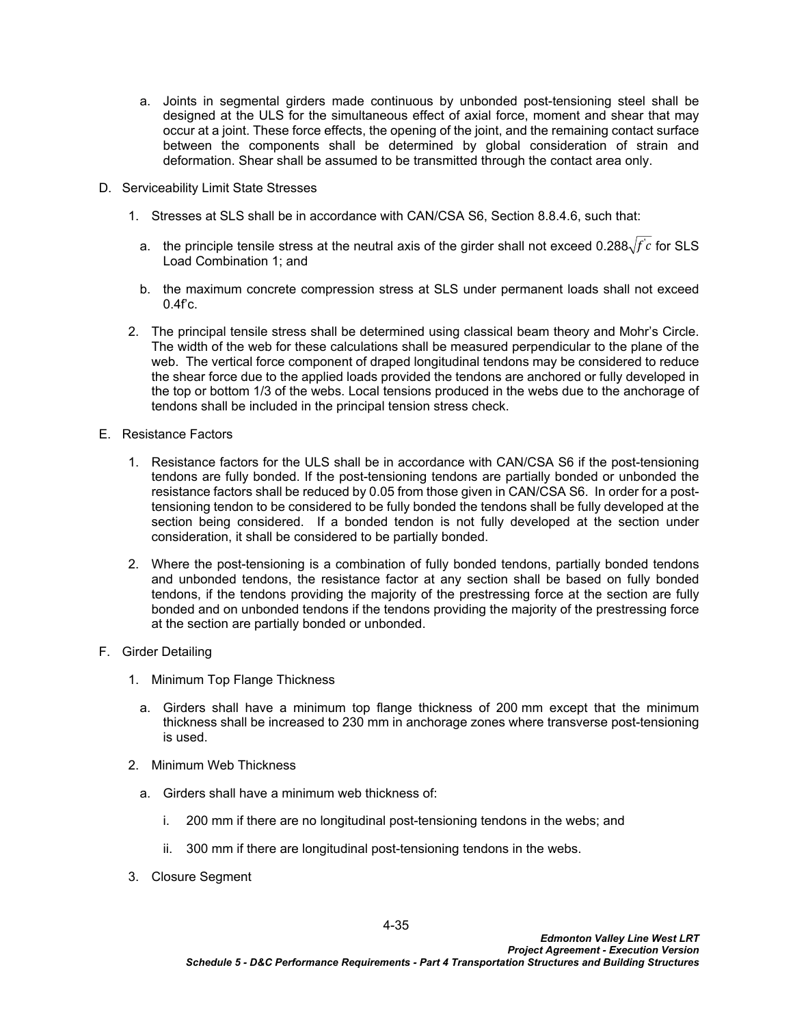- a. Joints in segmental girders made continuous by unbonded post-tensioning steel shall be designed at the ULS for the simultaneous effect of axial force, moment and shear that may occur at a joint. These force effects, the opening of the joint, and the remaining contact surface between the components shall be determined by global consideration of strain and deformation. Shear shall be assumed to be transmitted through the contact area only.
- D. Serviceability Limit State Stresses
	- 1. Stresses at SLS shall be in accordance with CAN/CSA S6, Section 8.8.4.6, such that:
		- a.  $\,$  the principle tensile stress at the neutral axis of the girder shall not exceed 0.288 $\sqrt{f}^{\,}c$  for SLS  $\,$ Load Combination 1; and
		- b. the maximum concrete compression stress at SLS under permanent loads shall not exceed  $0.4$ f'c.
	- 2. The principal tensile stress shall be determined using classical beam theory and Mohr's Circle. The width of the web for these calculations shall be measured perpendicular to the plane of the web. The vertical force component of draped longitudinal tendons may be considered to reduce the shear force due to the applied loads provided the tendons are anchored or fully developed in the top or bottom 1/3 of the webs. Local tensions produced in the webs due to the anchorage of tendons shall be included in the principal tension stress check.
- E. Resistance Factors
	- 1. Resistance factors for the ULS shall be in accordance with CAN/CSA S6 if the post-tensioning tendons are fully bonded. If the post-tensioning tendons are partially bonded or unbonded the resistance factors shall be reduced by 0.05 from those given in CAN/CSA S6. In order for a posttensioning tendon to be considered to be fully bonded the tendons shall be fully developed at the section being considered. If a bonded tendon is not fully developed at the section under consideration, it shall be considered to be partially bonded.
	- 2. Where the post-tensioning is a combination of fully bonded tendons, partially bonded tendons and unbonded tendons, the resistance factor at any section shall be based on fully bonded tendons, if the tendons providing the majority of the prestressing force at the section are fully bonded and on unbonded tendons if the tendons providing the majority of the prestressing force at the section are partially bonded or unbonded.
- F. Girder Detailing
	- 1. Minimum Top Flange Thickness
		- a. Girders shall have a minimum top flange thickness of 200 mm except that the minimum thickness shall be increased to 230 mm in anchorage zones where transverse post-tensioning is used.
	- 2. Minimum Web Thickness
		- a. Girders shall have a minimum web thickness of:
			- i. 200 mm if there are no longitudinal post-tensioning tendons in the webs; and
			- ii. 300 mm if there are longitudinal post-tensioning tendons in the webs.
	- 3. Closure Segment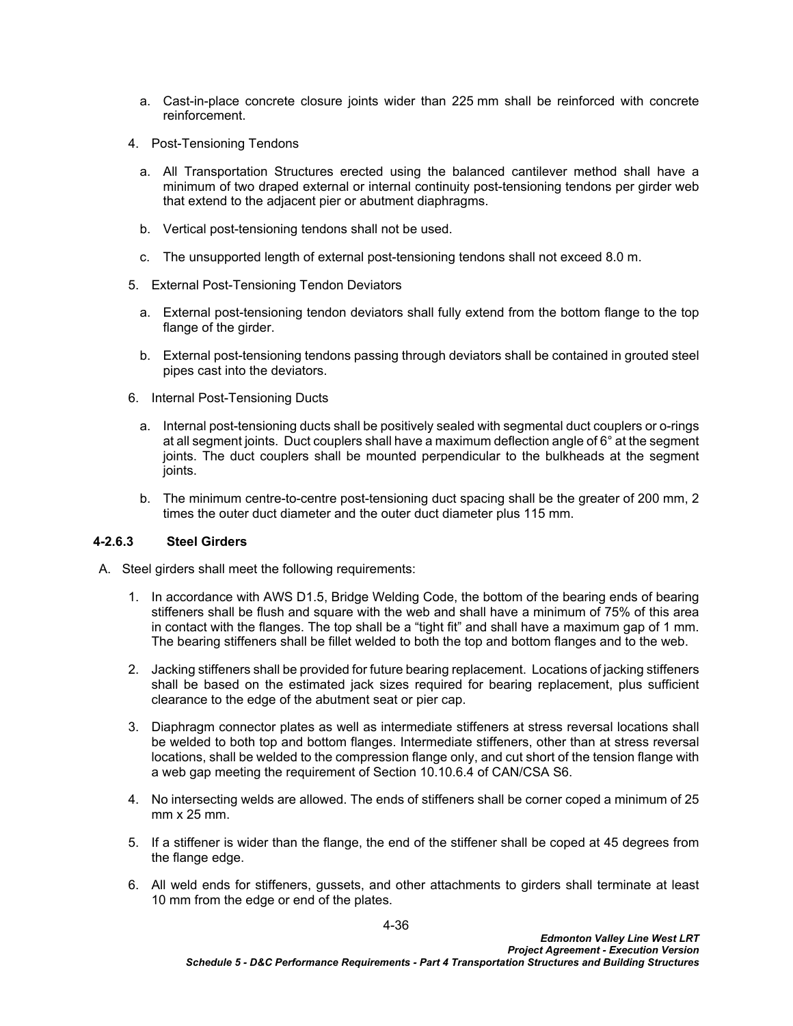- a. Cast-in-place concrete closure joints wider than 225 mm shall be reinforced with concrete reinforcement.
- 4. Post-Tensioning Tendons
	- a. All Transportation Structures erected using the balanced cantilever method shall have a minimum of two draped external or internal continuity post-tensioning tendons per girder web that extend to the adjacent pier or abutment diaphragms.
	- b. Vertical post-tensioning tendons shall not be used.
	- c. The unsupported length of external post-tensioning tendons shall not exceed 8.0 m.
- 5. External Post-Tensioning Tendon Deviators
	- a. External post-tensioning tendon deviators shall fully extend from the bottom flange to the top flange of the girder.
	- b. External post-tensioning tendons passing through deviators shall be contained in grouted steel pipes cast into the deviators.
- 6. Internal Post-Tensioning Ducts
	- a. Internal post-tensioning ducts shall be positively sealed with segmental duct couplers or o-rings at all segment joints. Duct couplers shall have a maximum deflection angle of 6° at the segment joints. The duct couplers shall be mounted perpendicular to the bulkheads at the segment joints.
	- b. The minimum centre-to-centre post-tensioning duct spacing shall be the greater of 200 mm, 2 times the outer duct diameter and the outer duct diameter plus 115 mm.

## **4-2.6.3 Steel Girders**

- A. Steel girders shall meet the following requirements:
	- 1. In accordance with AWS D1.5, Bridge Welding Code, the bottom of the bearing ends of bearing stiffeners shall be flush and square with the web and shall have a minimum of 75% of this area in contact with the flanges. The top shall be a "tight fit" and shall have a maximum gap of 1 mm. The bearing stiffeners shall be fillet welded to both the top and bottom flanges and to the web.
	- 2. Jacking stiffeners shall be provided for future bearing replacement. Locations of jacking stiffeners shall be based on the estimated jack sizes required for bearing replacement, plus sufficient clearance to the edge of the abutment seat or pier cap.
	- 3. Diaphragm connector plates as well as intermediate stiffeners at stress reversal locations shall be welded to both top and bottom flanges. Intermediate stiffeners, other than at stress reversal locations, shall be welded to the compression flange only, and cut short of the tension flange with a web gap meeting the requirement of Section 10.10.6.4 of CAN/CSA S6.
	- 4. No intersecting welds are allowed. The ends of stiffeners shall be corner coped a minimum of 25 mm x 25 mm.
	- 5. If a stiffener is wider than the flange, the end of the stiffener shall be coped at 45 degrees from the flange edge.
	- 6. All weld ends for stiffeners, gussets, and other attachments to girders shall terminate at least 10 mm from the edge or end of the plates.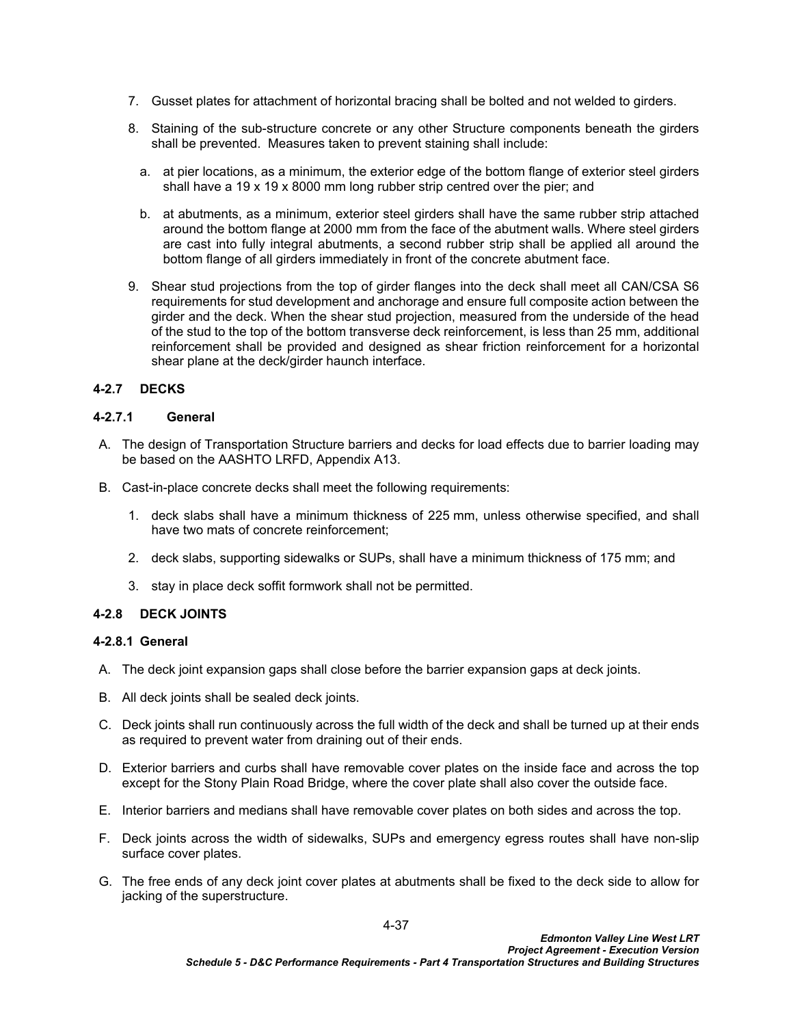- 7. Gusset plates for attachment of horizontal bracing shall be bolted and not welded to girders.
- 8. Staining of the sub-structure concrete or any other Structure components beneath the girders shall be prevented. Measures taken to prevent staining shall include:
	- a. at pier locations, as a minimum, the exterior edge of the bottom flange of exterior steel girders shall have a 19 x 19 x 8000 mm long rubber strip centred over the pier; and
	- b. at abutments, as a minimum, exterior steel girders shall have the same rubber strip attached around the bottom flange at 2000 mm from the face of the abutment walls. Where steel girders are cast into fully integral abutments, a second rubber strip shall be applied all around the bottom flange of all girders immediately in front of the concrete abutment face.
- 9. Shear stud projections from the top of girder flanges into the deck shall meet all CAN/CSA S6 requirements for stud development and anchorage and ensure full composite action between the girder and the deck. When the shear stud projection, measured from the underside of the head of the stud to the top of the bottom transverse deck reinforcement, is less than 25 mm, additional reinforcement shall be provided and designed as shear friction reinforcement for a horizontal shear plane at the deck/girder haunch interface.

# **4-2.7 DECKS**

### **4-2.7.1 General**

- A. The design of Transportation Structure barriers and decks for load effects due to barrier loading may be based on the AASHTO LRFD, Appendix A13.
- B. Cast-in-place concrete decks shall meet the following requirements:
	- 1. deck slabs shall have a minimum thickness of 225 mm, unless otherwise specified, and shall have two mats of concrete reinforcement;
	- 2. deck slabs, supporting sidewalks or SUPs, shall have a minimum thickness of 175 mm; and
	- 3. stay in place deck soffit formwork shall not be permitted.

# **4-2.8 DECK JOINTS**

### **4-2.8.1 General**

- A. The deck joint expansion gaps shall close before the barrier expansion gaps at deck joints.
- B. All deck joints shall be sealed deck joints.
- C. Deck joints shall run continuously across the full width of the deck and shall be turned up at their ends as required to prevent water from draining out of their ends.
- D. Exterior barriers and curbs shall have removable cover plates on the inside face and across the top except for the Stony Plain Road Bridge, where the cover plate shall also cover the outside face.
- E. Interior barriers and medians shall have removable cover plates on both sides and across the top.
- F. Deck joints across the width of sidewalks, SUPs and emergency egress routes shall have non-slip surface cover plates.
- G. The free ends of any deck joint cover plates at abutments shall be fixed to the deck side to allow for jacking of the superstructure.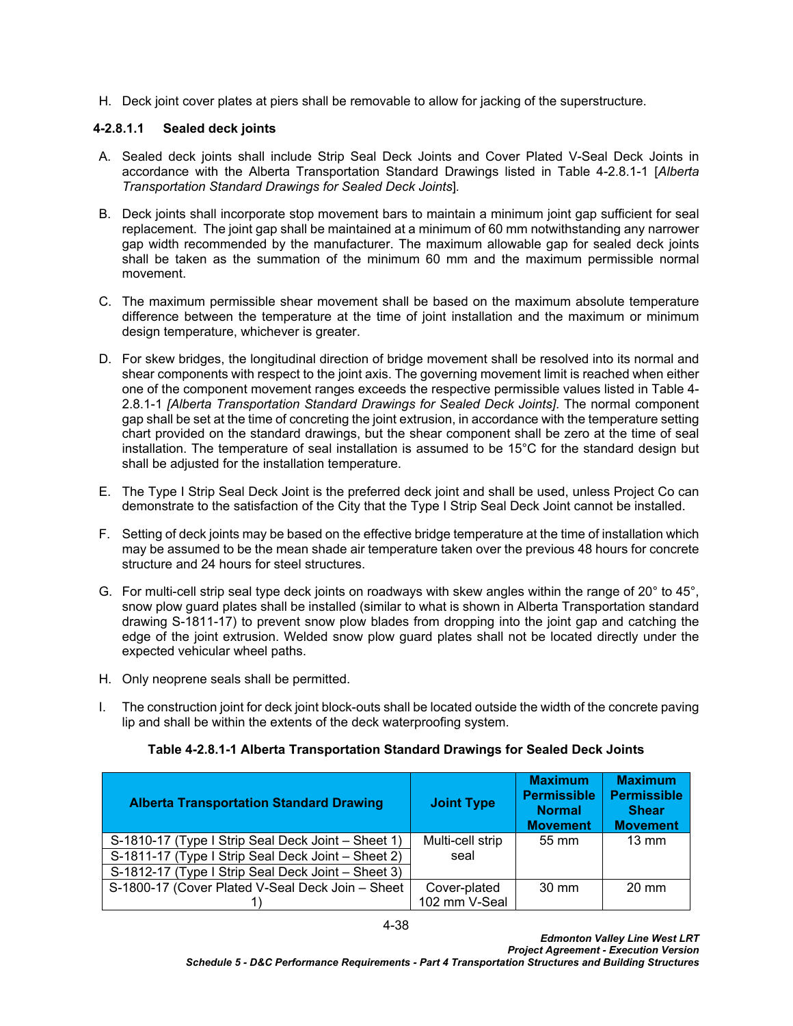H. Deck joint cover plates at piers shall be removable to allow for jacking of the superstructure.

# **4-2.8.1.1 Sealed deck joints**

- A. Sealed deck joints shall include Strip Seal Deck Joints and Cover Plated V-Seal Deck Joints in accordance with the Alberta Transportation Standard Drawings listed in Table [4-2.8.1-1](#page-41-0) [*[Alberta](#page-41-1)  [Transportation Standard Drawings for Sealed Deck Joints](#page-41-1)*]*.*
- B. Deck joints shall incorporate stop movement bars to maintain a minimum joint gap sufficient for seal replacement. The joint gap shall be maintained at a minimum of 60 mm notwithstanding any narrower gap width recommended by the manufacturer. The maximum allowable gap for sealed deck joints shall be taken as the summation of the minimum 60 mm and the maximum permissible normal movement.
- C. The maximum permissible shear movement shall be based on the maximum absolute temperature difference between the temperature at the time of joint installation and the maximum or minimum design temperature, whichever is greater.
- D. For skew bridges, the longitudinal direction of bridge movement shall be resolved into its normal and shear components with respect to the joint axis. The governing movement limit is reached when either one of the component movement ranges exceeds the respective permissible values listed in [Table 4-](#page-41-0) [2.8.1-1](#page-41-0) *[Alberta Transportation Standard Drawings for Sealed Deck Joints]*. The normal component gap shall be set at the time of concreting the joint extrusion, in accordance with the temperature setting chart provided on the standard drawings, but the shear component shall be zero at the time of seal installation. The temperature of seal installation is assumed to be 15°C for the standard design but shall be adjusted for the installation temperature.
- E. The Type I Strip Seal Deck Joint is the preferred deck joint and shall be used, unless Project Co can demonstrate to the satisfaction of the City that the Type I Strip Seal Deck Joint cannot be installed.
- F. Setting of deck joints may be based on the effective bridge temperature at the time of installation which may be assumed to be the mean shade air temperature taken over the previous 48 hours for concrete structure and 24 hours for steel structures.
- G. For multi-cell strip seal type deck joints on roadways with skew angles within the range of 20° to 45°, snow plow guard plates shall be installed (similar to what is shown in Alberta Transportation standard drawing S-1811-17) to prevent snow plow blades from dropping into the joint gap and catching the edge of the joint extrusion. Welded snow plow guard plates shall not be located directly under the expected vehicular wheel paths.
- H. Only neoprene seals shall be permitted.
- I. The construction joint for deck joint block-outs shall be located outside the width of the concrete paving lip and shall be within the extents of the deck waterproofing system.

| <b>Alberta Transportation Standard Drawing</b>     | <b>Joint Type</b> | <b>Maximum</b><br><b>Permissible</b><br><b>Normal</b><br><b>Movement</b> | <b>Maximum</b><br><b>Permissible</b><br><b>Shear</b><br><b>Movement</b> |
|----------------------------------------------------|-------------------|--------------------------------------------------------------------------|-------------------------------------------------------------------------|
| S-1810-17 (Type I Strip Seal Deck Joint – Sheet 1) | Multi-cell strip  | $55 \text{ mm}$                                                          | $13 \text{ mm}$                                                         |
| S-1811-17 (Type I Strip Seal Deck Joint - Sheet 2) | seal              |                                                                          |                                                                         |
| S-1812-17 (Type I Strip Seal Deck Joint - Sheet 3) |                   |                                                                          |                                                                         |
| S-1800-17 (Cover Plated V-Seal Deck Join - Sheet   | Cover-plated      | $30 \text{ mm}$                                                          | $20 \text{ mm}$                                                         |
|                                                    | 102 mm V-Seal     |                                                                          |                                                                         |

### <span id="page-41-1"></span><span id="page-41-0"></span>**Table 4-2.8.1-1 Alberta Transportation Standard Drawings for Sealed Deck Joints**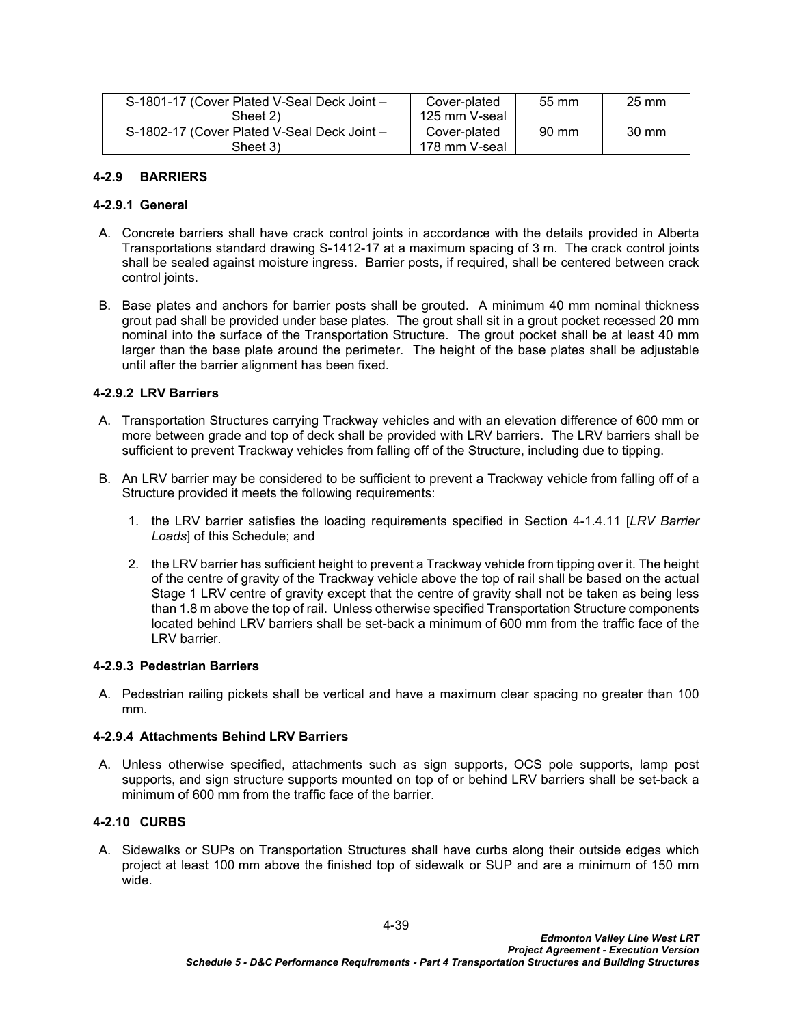| S-1801-17 (Cover Plated V-Seal Deck Joint - | Cover-plated  | $55 \text{ mm}$ | $25 \text{ mm}$ |
|---------------------------------------------|---------------|-----------------|-----------------|
| Sheet 2)                                    | 125 mm V-seal |                 |                 |
| S-1802-17 (Cover Plated V-Seal Deck Joint - | Cover-plated  | 90 mm           | $30 \text{ mm}$ |
| Sheet 3)                                    | 178 mm V-seal |                 |                 |

# **4-2.9 BARRIERS**

### **4-2.9.1 General**

- A. Concrete barriers shall have crack control joints in accordance with the details provided in Alberta Transportations standard drawing S-1412-17 at a maximum spacing of 3 m. The crack control joints shall be sealed against moisture ingress. Barrier posts, if required, shall be centered between crack control joints.
- B. Base plates and anchors for barrier posts shall be grouted. A minimum 40 mm nominal thickness grout pad shall be provided under base plates. The grout shall sit in a grout pocket recessed 20 mm nominal into the surface of the Transportation Structure. The grout pocket shall be at least 40 mm larger than the base plate around the perimeter. The height of the base plates shall be adjustable until after the barrier alignment has been fixed.

# **4-2.9.2 LRV Barriers**

- A. Transportation Structures carrying Trackway vehicles and with an elevation difference of 600 mm or more between grade and top of deck shall be provided with LRV barriers. The LRV barriers shall be sufficient to prevent Trackway vehicles from falling off of the Structure, including due to tipping.
- B. An LRV barrier may be considered to be sufficient to prevent a Trackway vehicle from falling off of a Structure provided it meets the following requirements:
	- 1. the LRV barrier satisfies the loading requirements specified in Section [4-1.4.11](#page-10-0) [*[LRV Barrier](#page-10-0)  [Loads](#page-10-0)*] of this Schedule; and
	- 2. the LRV barrier has sufficient height to prevent a Trackway vehicle from tipping over it. The height of the centre of gravity of the Trackway vehicle above the top of rail shall be based on the actual Stage 1 LRV centre of gravity except that the centre of gravity shall not be taken as being less than 1.8 m above the top of rail. Unless otherwise specified Transportation Structure components located behind LRV barriers shall be set-back a minimum of 600 mm from the traffic face of the LRV barrier.

# **4-2.9.3 Pedestrian Barriers**

A. Pedestrian railing pickets shall be vertical and have a maximum clear spacing no greater than 100 mm.

## **4-2.9.4 Attachments Behind LRV Barriers**

A. Unless otherwise specified, attachments such as sign supports, OCS pole supports, lamp post supports, and sign structure supports mounted on top of or behind LRV barriers shall be set-back a minimum of 600 mm from the traffic face of the barrier.

# **4-2.10 CURBS**

A. Sidewalks or SUPs on Transportation Structures shall have curbs along their outside edges which project at least 100 mm above the finished top of sidewalk or SUP and are a minimum of 150 mm wide.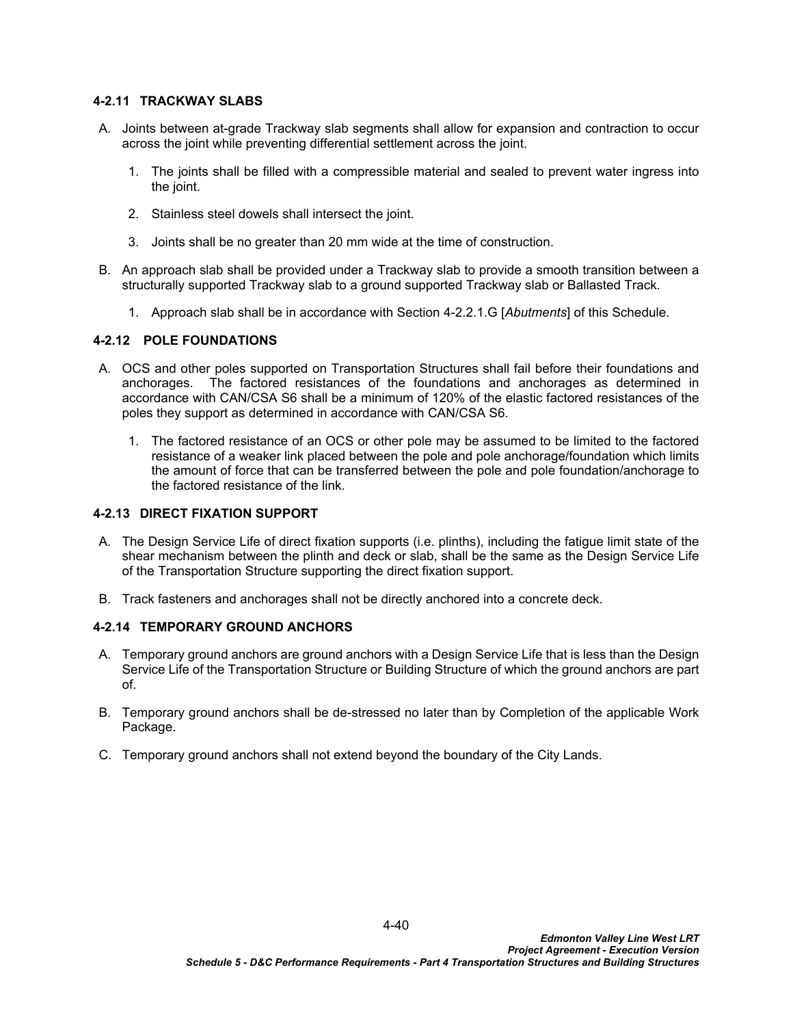### **4-2.11 TRACKWAY SLABS**

- A. Joints between at-grade Trackway slab segments shall allow for expansion and contraction to occur across the joint while preventing differential settlement across the joint.
	- 1. The joints shall be filled with a compressible material and sealed to prevent water ingress into the joint.
	- 2. Stainless steel dowels shall intersect the joint.
	- 3. Joints shall be no greater than 20 mm wide at the time of construction.
- B. An approach slab shall be provided under a Trackway slab to provide a smooth transition between a structurally supported Trackway slab to a ground supported Trackway slab or Ballasted Track.
	- 1. Approach slab shall be in accordance with Section [4-2.2.1.](#page-27-0)G [*Abutments*] of this Schedule.

#### **4-2.12 POLE FOUNDATIONS**

- A. OCS and other poles supported on Transportation Structures shall fail before their foundations and anchorages. The factored resistances of the foundations and anchorages as determined in accordance with CAN/CSA S6 shall be a minimum of 120% of the elastic factored resistances of the poles they support as determined in accordance with CAN/CSA S6.
	- 1. The factored resistance of an OCS or other pole may be assumed to be limited to the factored resistance of a weaker link placed between the pole and pole anchorage/foundation which limits the amount of force that can be transferred between the pole and pole foundation/anchorage to the factored resistance of the link.

### **4-2.13 DIRECT FIXATION SUPPORT**

- A. The Design Service Life of direct fixation supports (i.e. plinths), including the fatigue limit state of the shear mechanism between the plinth and deck or slab, shall be the same as the Design Service Life of the Transportation Structure supporting the direct fixation support.
- B. Track fasteners and anchorages shall not be directly anchored into a concrete deck.

## **4-2.14 TEMPORARY GROUND ANCHORS**

- A. Temporary ground anchors are ground anchors with a Design Service Life that is less than the Design Service Life of the Transportation Structure or Building Structure of which the ground anchors are part of.
- B. Temporary ground anchors shall be de-stressed no later than by Completion of the applicable Work Package.
- C. Temporary ground anchors shall not extend beyond the boundary of the City Lands.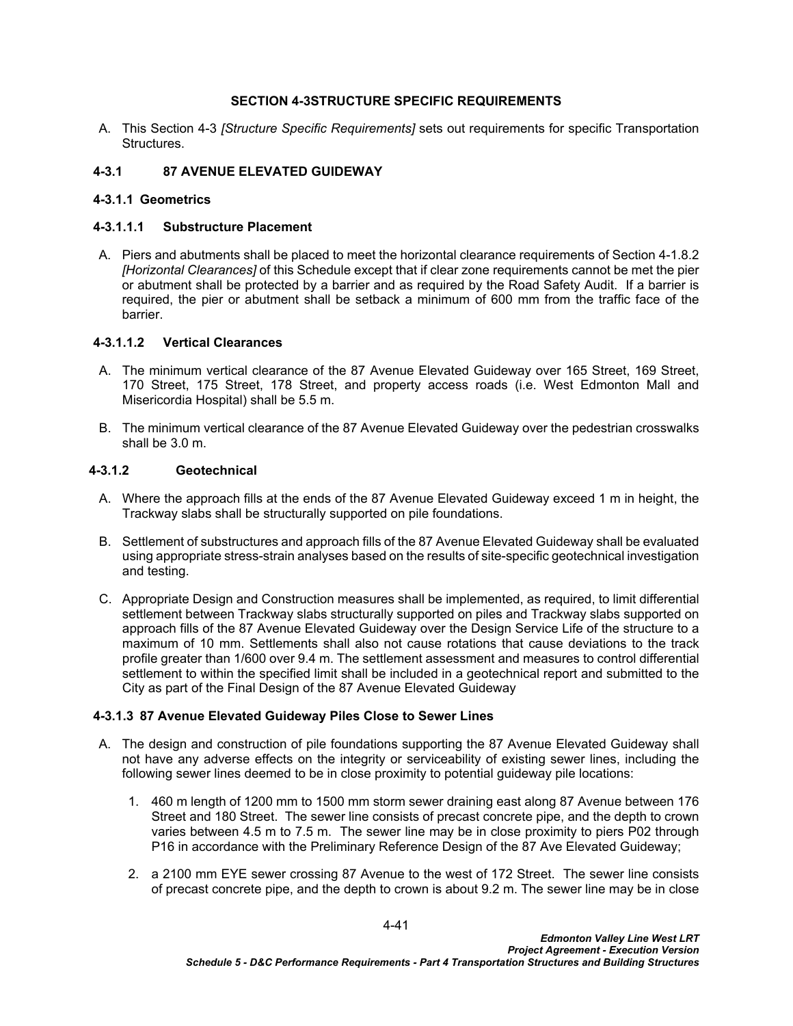### <span id="page-44-0"></span>**SECTION 4-3STRUCTURE SPECIFIC REQUIREMENTS**

A. This [Section 4-3](#page-44-0) *[\[Structure Specific](#page-44-0) Requirements]* sets out requirements for specific Transportation Structures.

# **4-3.1 87 AVENUE ELEVATED GUIDEWAY**

### **4-3.1.1 Geometrics**

### **4-3.1.1.1 Substructure Placement**

A. Piers and abutments shall be placed to meet the horizontal clearance requirements of Section [4-1.8.2](#page-19-0) *[\[Horizontal Clearances](#page-19-0)]* of this Schedule except that if clear zone requirements cannot be met the pier or abutment shall be protected by a barrier and as required by the Road Safety Audit. If a barrier is required, the pier or abutment shall be setback a minimum of 600 mm from the traffic face of the barrier.

### **4-3.1.1.2 Vertical Clearances**

- A. The minimum vertical clearance of the 87 Avenue Elevated Guideway over 165 Street, 169 Street, 170 Street, 175 Street, 178 Street, and property access roads (i.e. West Edmonton Mall and Misericordia Hospital) shall be 5.5 m.
- B. The minimum vertical clearance of the 87 Avenue Elevated Guideway over the pedestrian crosswalks shall be 3.0 m.

### **4-3.1.2 Geotechnical**

- A. Where the approach fills at the ends of the 87 Avenue Elevated Guideway exceed 1 m in height, the Trackway slabs shall be structurally supported on pile foundations.
- B. Settlement of substructures and approach fills of the 87 Avenue Elevated Guideway shall be evaluated using appropriate stress-strain analyses based on the results of site-specific geotechnical investigation and testing.
- C. Appropriate Design and Construction measures shall be implemented, as required, to limit differential settlement between Trackway slabs structurally supported on piles and Trackway slabs supported on approach fills of the 87 Avenue Elevated Guideway over the Design Service Life of the structure to a maximum of 10 mm. Settlements shall also not cause rotations that cause deviations to the track profile greater than 1/600 over 9.4 m. The settlement assessment and measures to control differential settlement to within the specified limit shall be included in a geotechnical report and submitted to the City as part of the Final Design of the 87 Avenue Elevated Guideway

### **4-3.1.3 87 Avenue Elevated Guideway Piles Close to Sewer Lines**

- A. The design and construction of pile foundations supporting the 87 Avenue Elevated Guideway shall not have any adverse effects on the integrity or serviceability of existing sewer lines, including the following sewer lines deemed to be in close proximity to potential guideway pile locations:
	- 1. 460 m length of 1200 mm to 1500 mm storm sewer draining east along 87 Avenue between 176 Street and 180 Street. The sewer line consists of precast concrete pipe, and the depth to crown varies between 4.5 m to 7.5 m. The sewer line may be in close proximity to piers P02 through P16 in accordance with the Preliminary Reference Design of the 87 Ave Elevated Guideway;
	- 2. a 2100 mm EYE sewer crossing 87 Avenue to the west of 172 Street. The sewer line consists of precast concrete pipe, and the depth to crown is about 9.2 m. The sewer line may be in close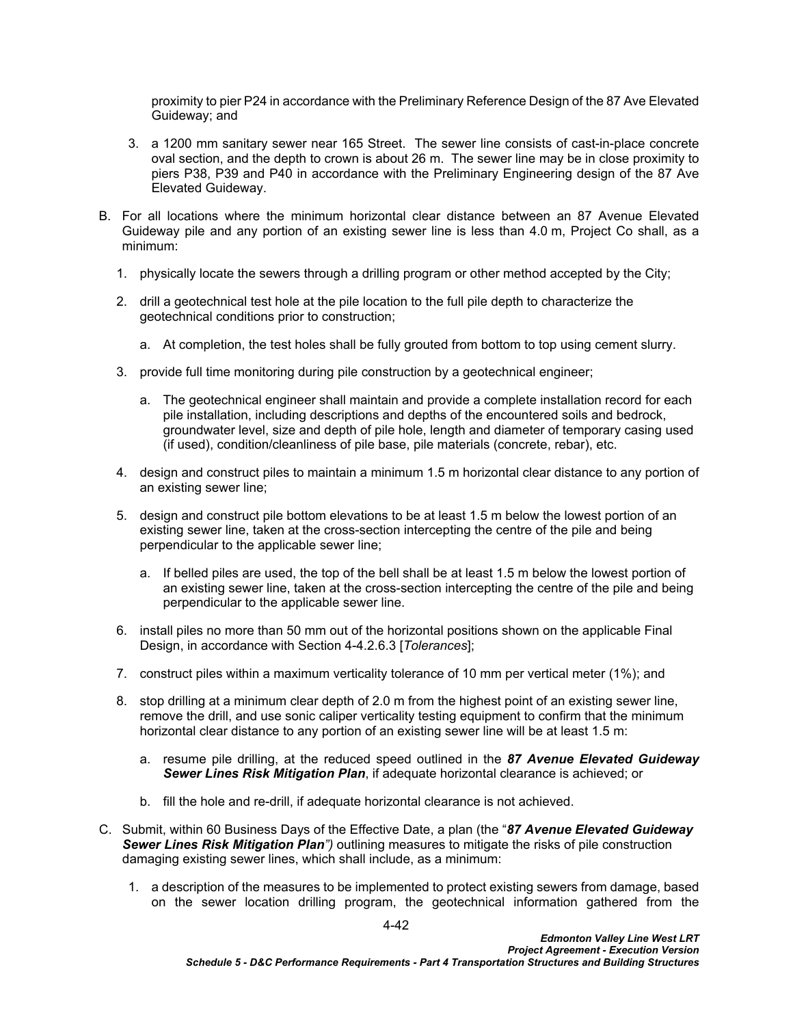proximity to pier P24 in accordance with the Preliminary Reference Design of the 87 Ave Elevated Guideway; and

- 3. a 1200 mm sanitary sewer near 165 Street. The sewer line consists of cast-in-place concrete oval section, and the depth to crown is about 26 m. The sewer line may be in close proximity to piers P38, P39 and P40 in accordance with the Preliminary Engineering design of the 87 Ave Elevated Guideway.
- B. For all locations where the minimum horizontal clear distance between an 87 Avenue Elevated Guideway pile and any portion of an existing sewer line is less than 4.0 m, Project Co shall, as a minimum:
	- 1. physically locate the sewers through a drilling program or other method accepted by the City;
	- 2. drill a geotechnical test hole at the pile location to the full pile depth to characterize the geotechnical conditions prior to construction;
		- a. At completion, the test holes shall be fully grouted from bottom to top using cement slurry.
	- 3. provide full time monitoring during pile construction by a geotechnical engineer;
		- a. The geotechnical engineer shall maintain and provide a complete installation record for each pile installation, including descriptions and depths of the encountered soils and bedrock, groundwater level, size and depth of pile hole, length and diameter of temporary casing used (if used), condition/cleanliness of pile base, pile materials (concrete, rebar), etc.
	- 4. design and construct piles to maintain a minimum 1.5 m horizontal clear distance to any portion of an existing sewer line;
	- 5. design and construct pile bottom elevations to be at least 1.5 m below the lowest portion of an existing sewer line, taken at the cross-section intercepting the centre of the pile and being perpendicular to the applicable sewer line;
		- a. If belled piles are used, the top of the bell shall be at least 1.5 m below the lowest portion of an existing sewer line, taken at the cross-section intercepting the centre of the pile and being perpendicular to the applicable sewer line.
	- 6. install piles no more than 50 mm out of the horizontal positions shown on the applicable Final Design, in accordance with Section 4-4.2.6.3 [*Tolerances*];
	- 7. construct piles within a maximum verticality tolerance of 10 mm per vertical meter (1%); and
	- 8. stop drilling at a minimum clear depth of 2.0 m from the highest point of an existing sewer line, remove the drill, and use sonic caliper verticality testing equipment to confirm that the minimum horizontal clear distance to any portion of an existing sewer line will be at least 1.5 m:
		- a. resume pile drilling, at the reduced speed outlined in the *87 Avenue Elevated Guideway Sewer Lines Risk Mitigation Plan*, if adequate horizontal clearance is achieved; or
		- b. fill the hole and re-drill, if adequate horizontal clearance is not achieved.
- C. Submit, within 60 Business Days of the Effective Date, a plan (the "*87 Avenue Elevated Guideway Sewer Lines Risk Mitigation Plan")* outlining measures to mitigate the risks of pile construction damaging existing sewer lines, which shall include, as a minimum:
	- 1. a description of the measures to be implemented to protect existing sewers from damage, based on the sewer location drilling program, the geotechnical information gathered from the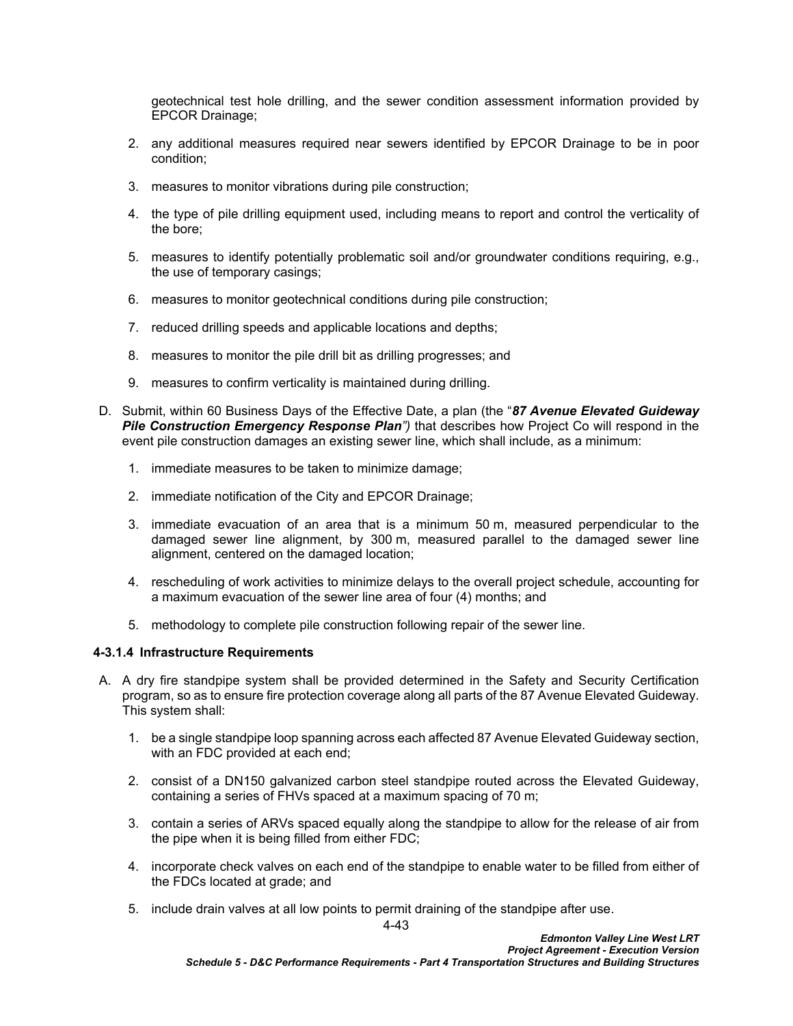geotechnical test hole drilling, and the sewer condition assessment information provided by EPCOR Drainage;

- 2. any additional measures required near sewers identified by EPCOR Drainage to be in poor condition;
- 3. measures to monitor vibrations during pile construction;
- 4. the type of pile drilling equipment used, including means to report and control the verticality of the bore;
- 5. measures to identify potentially problematic soil and/or groundwater conditions requiring, e.g., the use of temporary casings;
- 6. measures to monitor geotechnical conditions during pile construction;
- 7. reduced drilling speeds and applicable locations and depths;
- 8. measures to monitor the pile drill bit as drilling progresses; and
- 9. measures to confirm verticality is maintained during drilling.
- D. Submit, within 60 Business Days of the Effective Date, a plan (the "*87 Avenue Elevated Guideway Pile Construction Emergency Response Plan")* that describes how Project Co will respond in the event pile construction damages an existing sewer line, which shall include, as a minimum:
	- 1. immediate measures to be taken to minimize damage;
	- 2. immediate notification of the City and EPCOR Drainage;
	- 3. immediate evacuation of an area that is a minimum 50 m, measured perpendicular to the damaged sewer line alignment, by 300 m, measured parallel to the damaged sewer line alignment, centered on the damaged location;
	- 4. rescheduling of work activities to minimize delays to the overall project schedule, accounting for a maximum evacuation of the sewer line area of four (4) months; and
	- 5. methodology to complete pile construction following repair of the sewer line.

# **4-3.1.4 Infrastructure Requirements**

- A. A dry fire standpipe system shall be provided determined in the Safety and Security Certification program, so as to ensure fire protection coverage along all parts of the 87 Avenue Elevated Guideway. This system shall:
	- 1. be a single standpipe loop spanning across each affected 87 Avenue Elevated Guideway section, with an FDC provided at each end;
	- 2. consist of a DN150 galvanized carbon steel standpipe routed across the Elevated Guideway, containing a series of FHVs spaced at a maximum spacing of 70 m;
	- 3. contain a series of ARVs spaced equally along the standpipe to allow for the release of air from the pipe when it is being filled from either FDC;
	- 4. incorporate check valves on each end of the standpipe to enable water to be filled from either of the FDCs located at grade; and
	- 5. include drain valves at all low points to permit draining of the standpipe after use.

4-43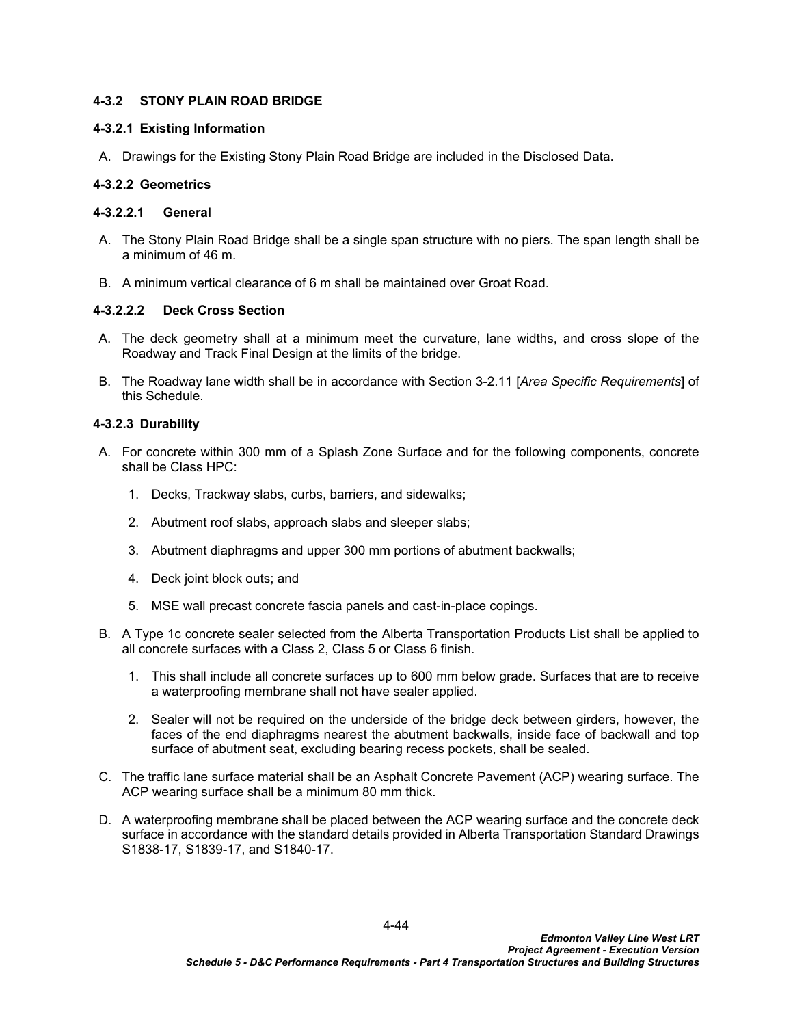### **4-3.2 STONY PLAIN ROAD BRIDGE**

### **4-3.2.1 Existing Information**

A. Drawings for the Existing Stony Plain Road Bridge are included in the Disclosed Data.

#### **4-3.2.2 Geometrics**

#### **4-3.2.2.1 General**

- A. The Stony Plain Road Bridge shall be a single span structure with no piers. The span length shall be a minimum of 46 m.
- B. A minimum vertical clearance of 6 m shall be maintained over Groat Road.

### **4-3.2.2.2 Deck Cross Section**

- A. The deck geometry shall at a minimum meet the curvature, lane widths, and cross slope of the Roadway and Track Final Design at the limits of the bridge.
- B. The Roadway lane width shall be in accordance with Section 3-2.11 [*Area Specific Requirements*] of this Schedule.

### **4-3.2.3 Durability**

- A. For concrete within 300 mm of a Splash Zone Surface and for the following components, concrete shall be Class HPC:
	- 1. Decks, Trackway slabs, curbs, barriers, and sidewalks;
	- 2. Abutment roof slabs, approach slabs and sleeper slabs;
	- 3. Abutment diaphragms and upper 300 mm portions of abutment backwalls;
	- 4. Deck joint block outs; and
	- 5. MSE wall precast concrete fascia panels and cast-in-place copings.
- B. A Type 1c concrete sealer selected from the Alberta Transportation Products List shall be applied to all concrete surfaces with a Class 2, Class 5 or Class 6 finish.
	- 1. This shall include all concrete surfaces up to 600 mm below grade. Surfaces that are to receive a waterproofing membrane shall not have sealer applied.
	- 2. Sealer will not be required on the underside of the bridge deck between girders, however, the faces of the end diaphragms nearest the abutment backwalls, inside face of backwall and top surface of abutment seat, excluding bearing recess pockets, shall be sealed.
- C. The traffic lane surface material shall be an Asphalt Concrete Pavement (ACP) wearing surface. The ACP wearing surface shall be a minimum 80 mm thick.
- D. A waterproofing membrane shall be placed between the ACP wearing surface and the concrete deck surface in accordance with the standard details provided in Alberta Transportation Standard Drawings S1838-17, S1839-17, and S1840-17.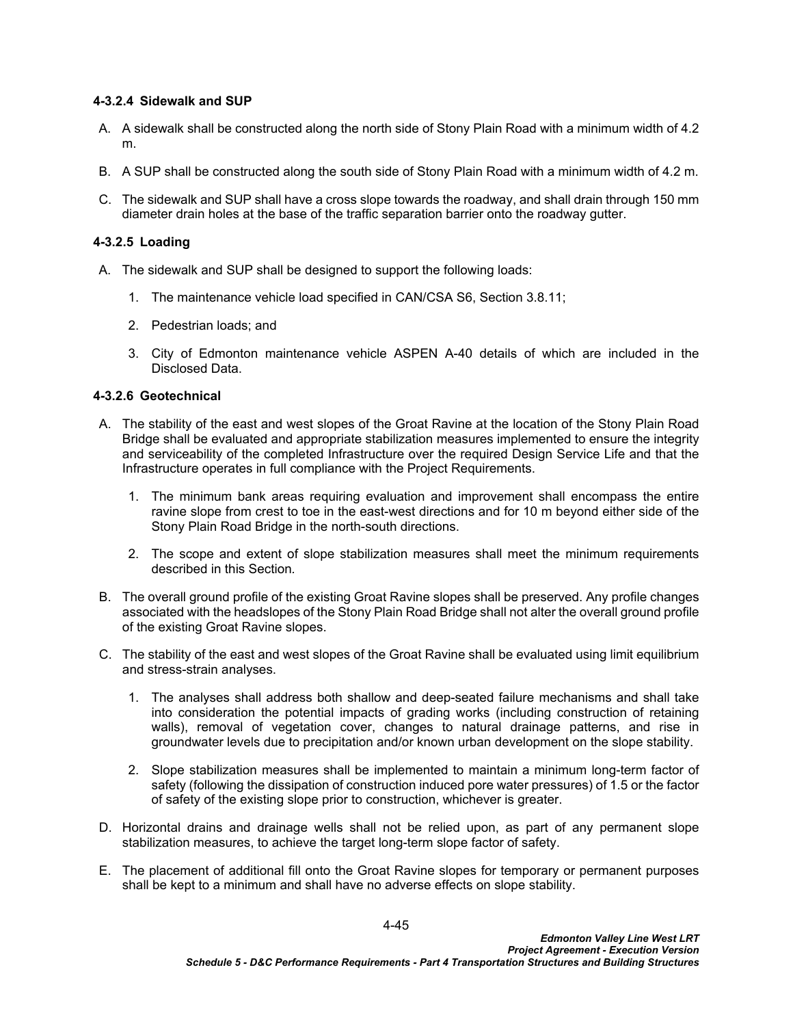### **4-3.2.4 Sidewalk and SUP**

- A. A sidewalk shall be constructed along the north side of Stony Plain Road with a minimum width of 4.2 m.
- B. A SUP shall be constructed along the south side of Stony Plain Road with a minimum width of 4.2 m.
- C. The sidewalk and SUP shall have a cross slope towards the roadway, and shall drain through 150 mm diameter drain holes at the base of the traffic separation barrier onto the roadway gutter.

### **4-3.2.5 Loading**

- A. The sidewalk and SUP shall be designed to support the following loads:
	- 1. The maintenance vehicle load specified in CAN/CSA S6, Section 3.8.11;
	- 2. Pedestrian loads; and
	- 3. City of Edmonton maintenance vehicle ASPEN A-40 details of which are included in the Disclosed Data.

### <span id="page-48-0"></span>**4-3.2.6 Geotechnical**

- A. The stability of the east and west slopes of the Groat Ravine at the location of the Stony Plain Road Bridge shall be evaluated and appropriate stabilization measures implemented to ensure the integrity and serviceability of the completed Infrastructure over the required Design Service Life and that the Infrastructure operates in full compliance with the Project Requirements.
	- 1. The minimum bank areas requiring evaluation and improvement shall encompass the entire ravine slope from crest to toe in the east-west directions and for 10 m beyond either side of the Stony Plain Road Bridge in the north-south directions.
	- 2. The scope and extent of slope stabilization measures shall meet the minimum requirements described in this Section*.*
- B. The overall ground profile of the existing Groat Ravine slopes shall be preserved. Any profile changes associated with the headslopes of the Stony Plain Road Bridge shall not alter the overall ground profile of the existing Groat Ravine slopes.
- C. The stability of the east and west slopes of the Groat Ravine shall be evaluated using limit equilibrium and stress-strain analyses.
	- 1. The analyses shall address both shallow and deep-seated failure mechanisms and shall take into consideration the potential impacts of grading works (including construction of retaining walls), removal of vegetation cover, changes to natural drainage patterns, and rise in groundwater levels due to precipitation and/or known urban development on the slope stability.
	- 2. Slope stabilization measures shall be implemented to maintain a minimum long-term factor of safety (following the dissipation of construction induced pore water pressures) of 1.5 or the factor of safety of the existing slope prior to construction, whichever is greater.
- D. Horizontal drains and drainage wells shall not be relied upon, as part of any permanent slope stabilization measures, to achieve the target long-term slope factor of safety.
- E. The placement of additional fill onto the Groat Ravine slopes for temporary or permanent purposes shall be kept to a minimum and shall have no adverse effects on slope stability.

4-45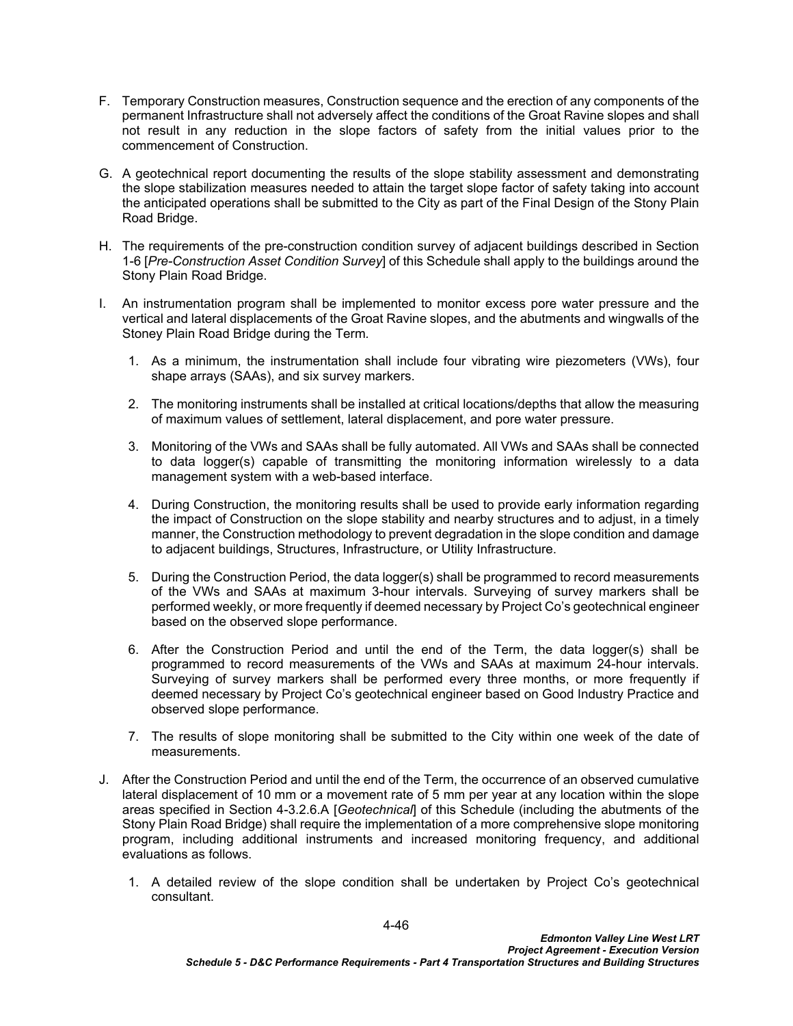- F. Temporary Construction measures, Construction sequence and the erection of any components of the permanent Infrastructure shall not adversely affect the conditions of the Groat Ravine slopes and shall not result in any reduction in the slope factors of safety from the initial values prior to the commencement of Construction.
- G. A geotechnical report documenting the results of the slope stability assessment and demonstrating the slope stabilization measures needed to attain the target slope factor of safety taking into account the anticipated operations shall be submitted to the City as part of the Final Design of the Stony Plain Road Bridge.
- H. The requirements of the pre-construction condition survey of adjacent buildings described in Section 1-6 [*Pre-Construction Asset Condition Survey*] of this Schedule shall apply to the buildings around the Stony Plain Road Bridge.
- I. An instrumentation program shall be implemented to monitor excess pore water pressure and the vertical and lateral displacements of the Groat Ravine slopes, and the abutments and wingwalls of the Stoney Plain Road Bridge during the Term*.* 
	- 1. As a minimum, the instrumentation shall include four vibrating wire piezometers (VWs), four shape arrays (SAAs), and six survey markers.
	- 2. The monitoring instruments shall be installed at critical locations/depths that allow the measuring of maximum values of settlement, lateral displacement, and pore water pressure.
	- 3. Monitoring of the VWs and SAAs shall be fully automated. All VWs and SAAs shall be connected to data logger(s) capable of transmitting the monitoring information wirelessly to a data management system with a web-based interface.
	- 4. During Construction, the monitoring results shall be used to provide early information regarding the impact of Construction on the slope stability and nearby structures and to adjust, in a timely manner, the Construction methodology to prevent degradation in the slope condition and damage to adjacent buildings, Structures, Infrastructure, or Utility Infrastructure.
	- 5. During the Construction Period, the data logger(s) shall be programmed to record measurements of the VWs and SAAs at maximum 3-hour intervals. Surveying of survey markers shall be performed weekly, or more frequently if deemed necessary by Project Co's geotechnical engineer based on the observed slope performance.
	- 6. After the Construction Period and until the end of the Term, the data logger(s) shall be programmed to record measurements of the VWs and SAAs at maximum 24-hour intervals. Surveying of survey markers shall be performed every three months, or more frequently if deemed necessary by Project Co's geotechnical engineer based on Good Industry Practice and observed slope performance.
	- 7. The results of slope monitoring shall be submitted to the City within one week of the date of measurements.
- J. After the Construction Period and until the end of the Term, the occurrence of an observed cumulative lateral displacement of 10 mm or a movement rate of 5 mm per year at any location within the slope areas specified in Section [4-3.2.6.](#page-48-0)A [*[Geotechnical](#page-48-0)*] of this Schedule (including the abutments of the Stony Plain Road Bridge) shall require the implementation of a more comprehensive slope monitoring program, including additional instruments and increased monitoring frequency, and additional evaluations as follows.
	- 1. A detailed review of the slope condition shall be undertaken by Project Co's geotechnical consultant.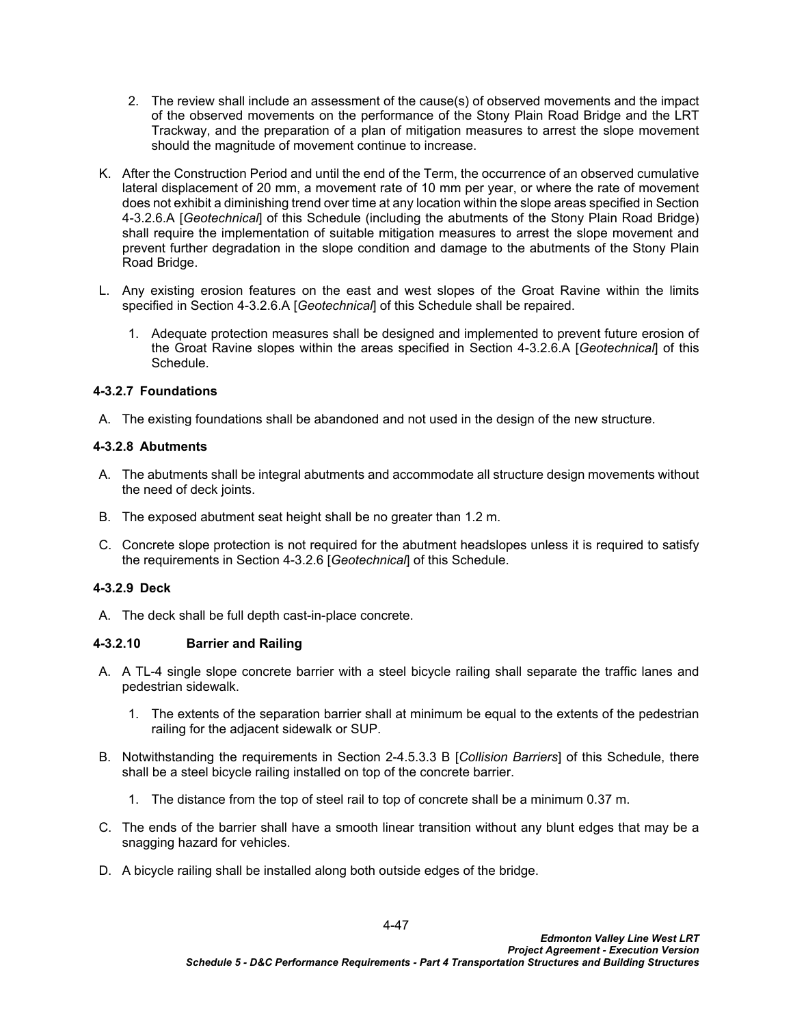- 2. The review shall include an assessment of the cause(s) of observed movements and the impact of the observed movements on the performance of the Stony Plain Road Bridge and the LRT Trackway, and the preparation of a plan of mitigation measures to arrest the slope movement should the magnitude of movement continue to increase.
- K. After the Construction Period and until the end of the Term, the occurrence of an observed cumulative lateral displacement of 20 mm, a movement rate of 10 mm per year, or where the rate of movement does not exhibit a diminishing trend over time at any location within the slope areas specified in Section [4-3.2.6.](#page-48-0)A [*[Geotechnical](#page-48-0)*] of this Schedule (including the abutments of the Stony Plain Road Bridge) shall require the implementation of suitable mitigation measures to arrest the slope movement and prevent further degradation in the slope condition and damage to the abutments of the Stony Plain Road Bridge.
- L. Any existing erosion features on the east and west slopes of the Groat Ravine within the limits specified in Section [4-3.2.6.](#page-48-0)A [*[Geotechnical](#page-48-0)*] of this Schedule shall be repaired.
	- 1. Adequate protection measures shall be designed and implemented to prevent future erosion of the Groat Ravine slopes within the areas specified in Section [4-3.2.6](#page-48-0).A [*[Geotechnical](#page-48-0)*] of this Schedule.

### **4-3.2.7 Foundations**

A. The existing foundations shall be abandoned and not used in the design of the new structure.

### **4-3.2.8 Abutments**

- A. The abutments shall be integral abutments and accommodate all structure design movements without the need of deck joints.
- B. The exposed abutment seat height shall be no greater than 1.2 m.
- C. Concrete slope protection is not required for the abutment headslopes unless it is required to satisfy the requirements in Section [4-3.2.6](#page-48-0) [*[Geotechnical](#page-48-0)*] of this Schedule.

# **4-3.2.9 Deck**

A. The deck shall be full depth cast-in-place concrete.

### **4-3.2.10 Barrier and Railing**

- A. A TL-4 single slope concrete barrier with a steel bicycle railing shall separate the traffic lanes and pedestrian sidewalk.
	- 1. The extents of the separation barrier shall at minimum be equal to the extents of the pedestrian railing for the adjacent sidewalk or SUP.
- B. Notwithstanding the requirements in Section 2-4.5.3.3 B [*Collision Barriers*] of this Schedule, there shall be a steel bicycle railing installed on top of the concrete barrier.
	- 1. The distance from the top of steel rail to top of concrete shall be a minimum 0.37 m.
- C. The ends of the barrier shall have a smooth linear transition without any blunt edges that may be a snagging hazard for vehicles.
- D. A bicycle railing shall be installed along both outside edges of the bridge.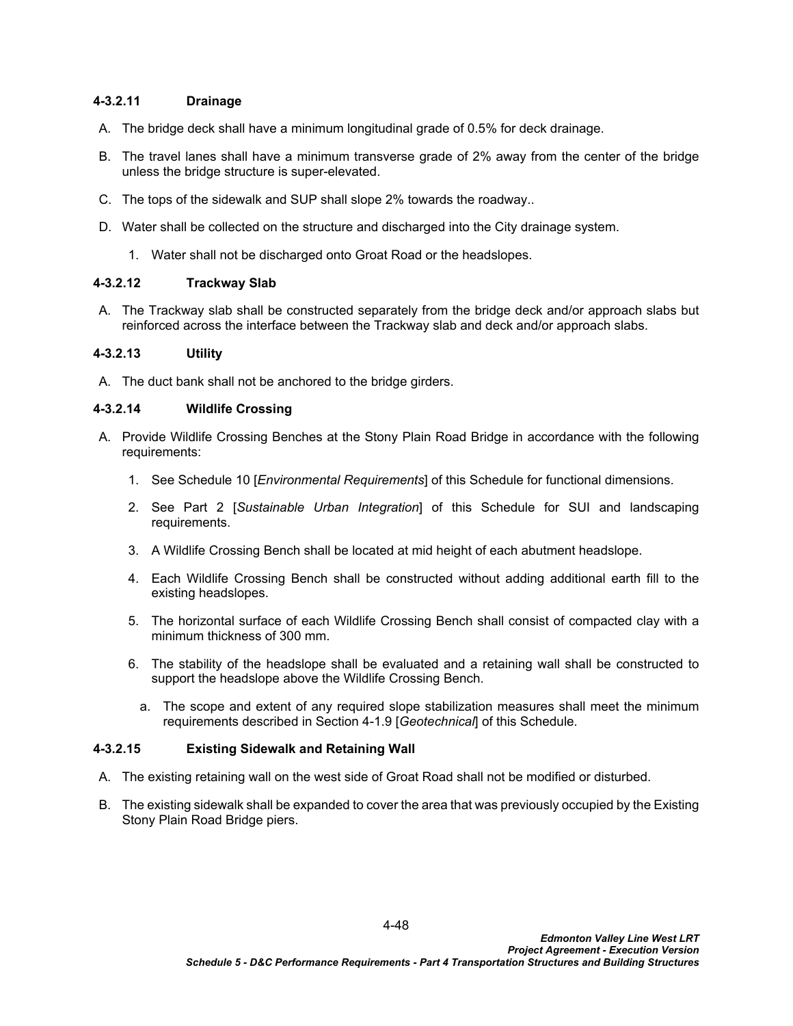### **4-3.2.11 Drainage**

- A. The bridge deck shall have a minimum longitudinal grade of 0.5% for deck drainage.
- B. The travel lanes shall have a minimum transverse grade of 2% away from the center of the bridge unless the bridge structure is super-elevated.
- C. The tops of the sidewalk and SUP shall slope 2% towards the roadway..
- D. Water shall be collected on the structure and discharged into the City drainage system.
	- 1. Water shall not be discharged onto Groat Road or the headslopes.

## **4-3.2.12 Trackway Slab**

A. The Trackway slab shall be constructed separately from the bridge deck and/or approach slabs but reinforced across the interface between the Trackway slab and deck and/or approach slabs.

### **4-3.2.13 Utility**

A. The duct bank shall not be anchored to the bridge girders.

### **4-3.2.14 Wildlife Crossing**

- A. Provide Wildlife Crossing Benches at the Stony Plain Road Bridge in accordance with the following requirements:
	- 1. See Schedule 10 [*Environmental Requirements*] of this Schedule for functional dimensions.
	- 2. See Part 2 [*Sustainable Urban Integration*] of this Schedule for SUI and landscaping requirements.
	- 3. A Wildlife Crossing Bench shall be located at mid height of each abutment headslope.
	- 4. Each Wildlife Crossing Bench shall be constructed without adding additional earth fill to the existing headslopes.
	- 5. The horizontal surface of each Wildlife Crossing Bench shall consist of compacted clay with a minimum thickness of 300 mm.
	- 6. The stability of the headslope shall be evaluated and a retaining wall shall be constructed to support the headslope above the Wildlife Crossing Bench.
		- a. The scope and extent of any required slope stabilization measures shall meet the minimum requirements described in Section [4-1.9](#page-20-0) [*[Geotechnical](#page-20-0)*] of this Schedule*.*

### **4-3.2.15 Existing Sidewalk and Retaining Wall**

- A. The existing retaining wall on the west side of Groat Road shall not be modified or disturbed.
- B. The existing sidewalk shall be expanded to cover the area that was previously occupied by the Existing Stony Plain Road Bridge piers.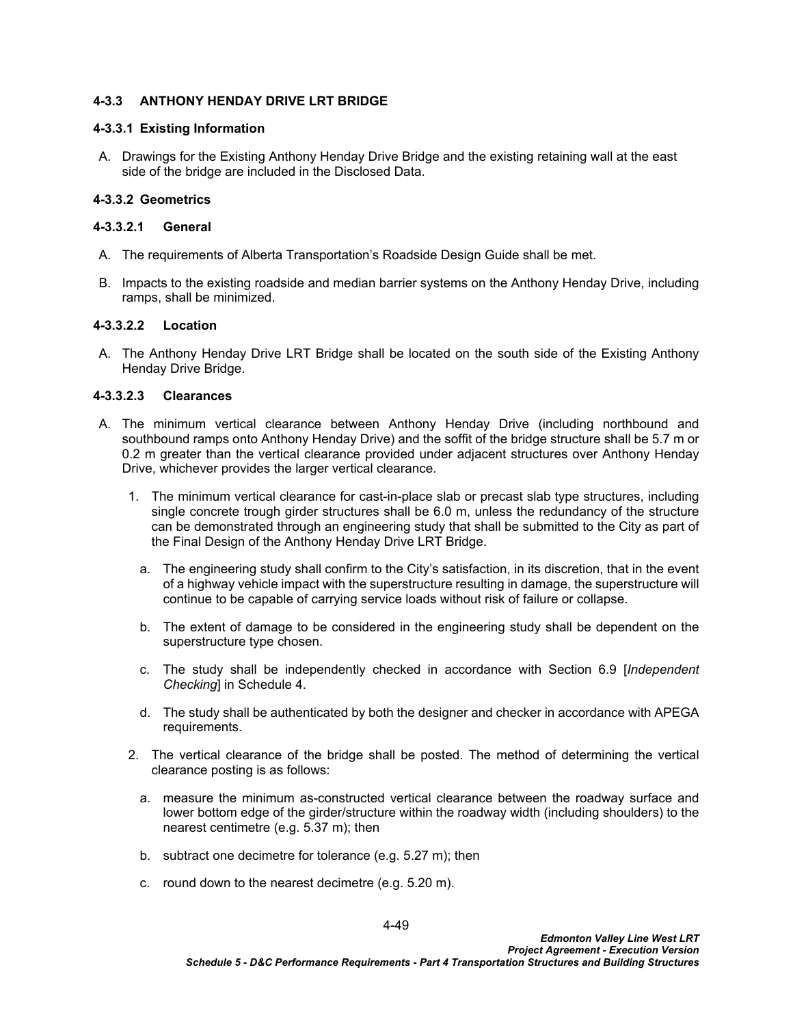### **4-3.3 ANTHONY HENDAY DRIVE LRT BRIDGE**

### **4-3.3.1 Existing Information**

A. Drawings for the Existing Anthony Henday Drive Bridge and the existing retaining wall at the east side of the bridge are included in the Disclosed Data.

## **4-3.3.2 Geometrics**

### **4-3.3.2.1 General**

- A. The requirements of Alberta Transportation's Roadside Design Guide shall be met.
- B. Impacts to the existing roadside and median barrier systems on the Anthony Henday Drive, including ramps, shall be minimized.

### **4-3.3.2.2 Location**

A. The Anthony Henday Drive LRT Bridge shall be located on the south side of the Existing Anthony Henday Drive Bridge.

## **4-3.3.2.3 Clearances**

- A. The minimum vertical clearance between Anthony Henday Drive (including northbound and southbound ramps onto Anthony Henday Drive) and the soffit of the bridge structure shall be 5.7 m or 0.2 m greater than the vertical clearance provided under adjacent structures over Anthony Henday Drive, whichever provides the larger vertical clearance.
	- 1. The minimum vertical clearance for cast-in-place slab or precast slab type structures, including single concrete trough girder structures shall be 6.0 m, unless the redundancy of the structure can be demonstrated through an engineering study that shall be submitted to the City as part of the Final Design of the Anthony Henday Drive LRT Bridge.
		- a. The engineering study shall confirm to the City's satisfaction, in its discretion, that in the event of a highway vehicle impact with the superstructure resulting in damage, the superstructure will continue to be capable of carrying service loads without risk of failure or collapse.
		- b. The extent of damage to be considered in the engineering study shall be dependent on the superstructure type chosen.
		- c. The study shall be independently checked in accordance with Section 6.9 [*Independent Checking*] in Schedule 4.
		- d. The study shall be authenticated by both the designer and checker in accordance with APEGA requirements.
	- 2. The vertical clearance of the bridge shall be posted. The method of determining the vertical clearance posting is as follows:
		- a. measure the minimum as-constructed vertical clearance between the roadway surface and lower bottom edge of the girder/structure within the roadway width (including shoulders) to the nearest centimetre (e.g. 5.37 m); then
		- b. subtract one decimetre for tolerance (e.g. 5.27 m); then
		- c. round down to the nearest decimetre (e.g. 5.20 m).

4-49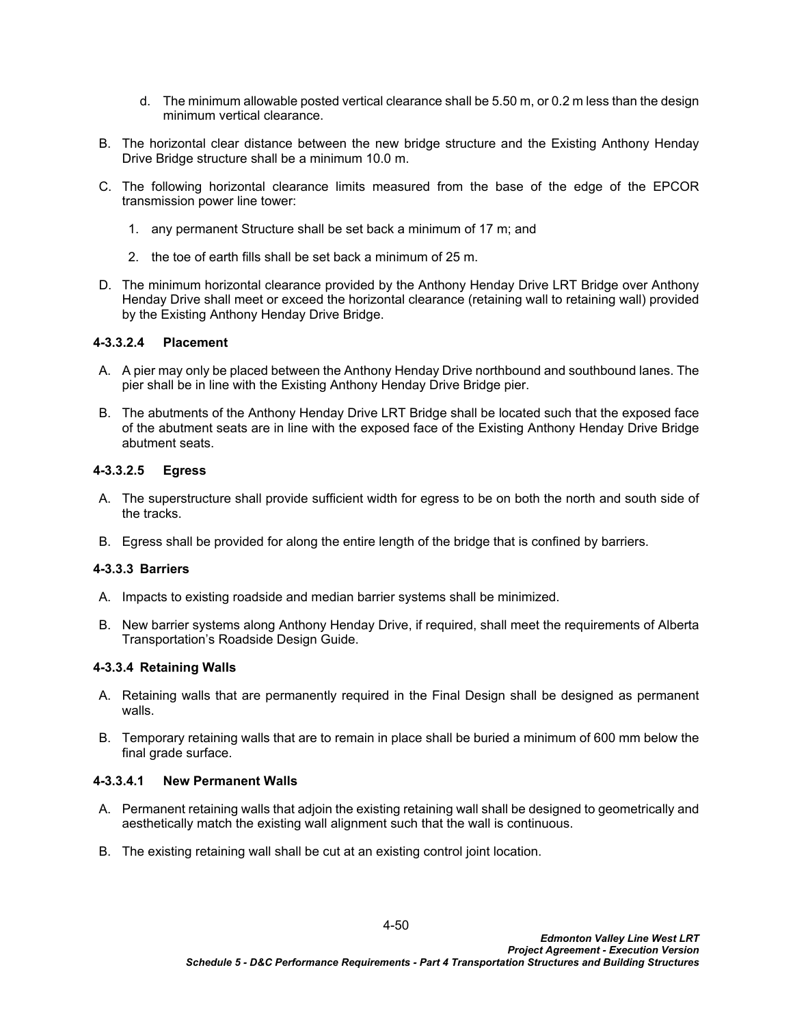- d. The minimum allowable posted vertical clearance shall be 5.50 m, or 0.2 m less than the design minimum vertical clearance.
- B. The horizontal clear distance between the new bridge structure and the Existing Anthony Henday Drive Bridge structure shall be a minimum 10.0 m.
- C. The following horizontal clearance limits measured from the base of the edge of the EPCOR transmission power line tower:
	- 1. any permanent Structure shall be set back a minimum of 17 m; and
	- 2. the toe of earth fills shall be set back a minimum of 25 m.
- D. The minimum horizontal clearance provided by the Anthony Henday Drive LRT Bridge over Anthony Henday Drive shall meet or exceed the horizontal clearance (retaining wall to retaining wall) provided by the Existing Anthony Henday Drive Bridge.

### **4-3.3.2.4 Placement**

- A. A pier may only be placed between the Anthony Henday Drive northbound and southbound lanes. The pier shall be in line with the Existing Anthony Henday Drive Bridge pier.
- B. The abutments of the Anthony Henday Drive LRT Bridge shall be located such that the exposed face of the abutment seats are in line with the exposed face of the Existing Anthony Henday Drive Bridge abutment seats.

### **4-3.3.2.5 Egress**

- A. The superstructure shall provide sufficient width for egress to be on both the north and south side of the tracks.
- B. Egress shall be provided for along the entire length of the bridge that is confined by barriers.

### **4-3.3.3 Barriers**

- A. Impacts to existing roadside and median barrier systems shall be minimized.
- B. New barrier systems along Anthony Henday Drive, if required, shall meet the requirements of Alberta Transportation's Roadside Design Guide.

### **4-3.3.4 Retaining Walls**

- A. Retaining walls that are permanently required in the Final Design shall be designed as permanent walls.
- B. Temporary retaining walls that are to remain in place shall be buried a minimum of 600 mm below the final grade surface.

#### **4-3.3.4.1 New Permanent Walls**

- A. Permanent retaining walls that adjoin the existing retaining wall shall be designed to geometrically and aesthetically match the existing wall alignment such that the wall is continuous.
- B. The existing retaining wall shall be cut at an existing control joint location.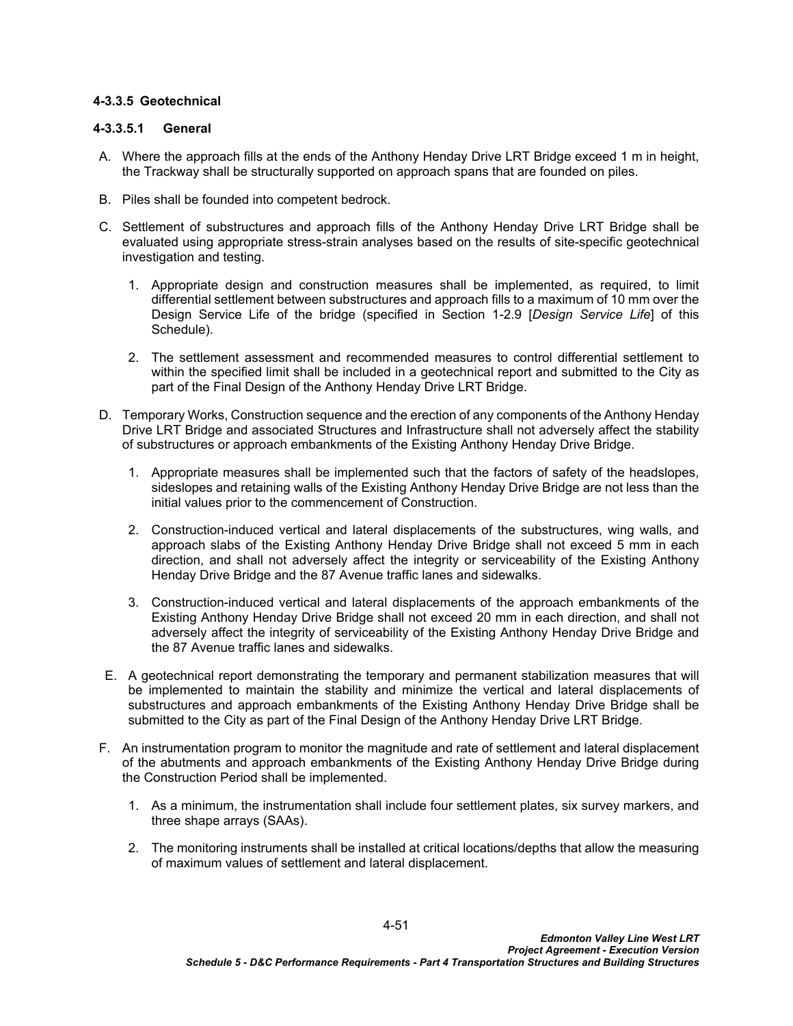### **4-3.3.5 Geotechnical**

### **4-3.3.5.1 General**

- A. Where the approach fills at the ends of the Anthony Henday Drive LRT Bridge exceed 1 m in height, the Trackway shall be structurally supported on approach spans that are founded on piles.
- B. Piles shall be founded into competent bedrock.
- C. Settlement of substructures and approach fills of the Anthony Henday Drive LRT Bridge shall be evaluated using appropriate stress-strain analyses based on the results of site-specific geotechnical investigation and testing.
	- 1. Appropriate design and construction measures shall be implemented, as required, to limit differential settlement between substructures and approach fills to a maximum of 10 mm over the Design Service Life of the bridge (specified in Section 1-2.9 [*Design Service Life*] of this Schedule).
	- 2. The settlement assessment and recommended measures to control differential settlement to within the specified limit shall be included in a geotechnical report and submitted to the City as part of the Final Design of the Anthony Henday Drive LRT Bridge.
- D. Temporary Works, Construction sequence and the erection of any components of the Anthony Henday Drive LRT Bridge and associated Structures and Infrastructure shall not adversely affect the stability of substructures or approach embankments of the Existing Anthony Henday Drive Bridge.
	- 1. Appropriate measures shall be implemented such that the factors of safety of the headslopes, sideslopes and retaining walls of the Existing Anthony Henday Drive Bridge are not less than the initial values prior to the commencement of Construction.
	- 2. Construction-induced vertical and lateral displacements of the substructures, wing walls, and approach slabs of the Existing Anthony Henday Drive Bridge shall not exceed 5 mm in each direction, and shall not adversely affect the integrity or serviceability of the Existing Anthony Henday Drive Bridge and the 87 Avenue traffic lanes and sidewalks.
	- 3. Construction-induced vertical and lateral displacements of the approach embankments of the Existing Anthony Henday Drive Bridge shall not exceed 20 mm in each direction, and shall not adversely affect the integrity of serviceability of the Existing Anthony Henday Drive Bridge and the 87 Avenue traffic lanes and sidewalks.
- E. A geotechnical report demonstrating the temporary and permanent stabilization measures that will be implemented to maintain the stability and minimize the vertical and lateral displacements of substructures and approach embankments of the Existing Anthony Henday Drive Bridge shall be submitted to the City as part of the Final Design of the Anthony Henday Drive LRT Bridge.
- F. An instrumentation program to monitor the magnitude and rate of settlement and lateral displacement of the abutments and approach embankments of the Existing Anthony Henday Drive Bridge during the Construction Period shall be implemented.
	- 1. As a minimum, the instrumentation shall include four settlement plates, six survey markers, and three shape arrays (SAAs).
	- 2. The monitoring instruments shall be installed at critical locations/depths that allow the measuring of maximum values of settlement and lateral displacement.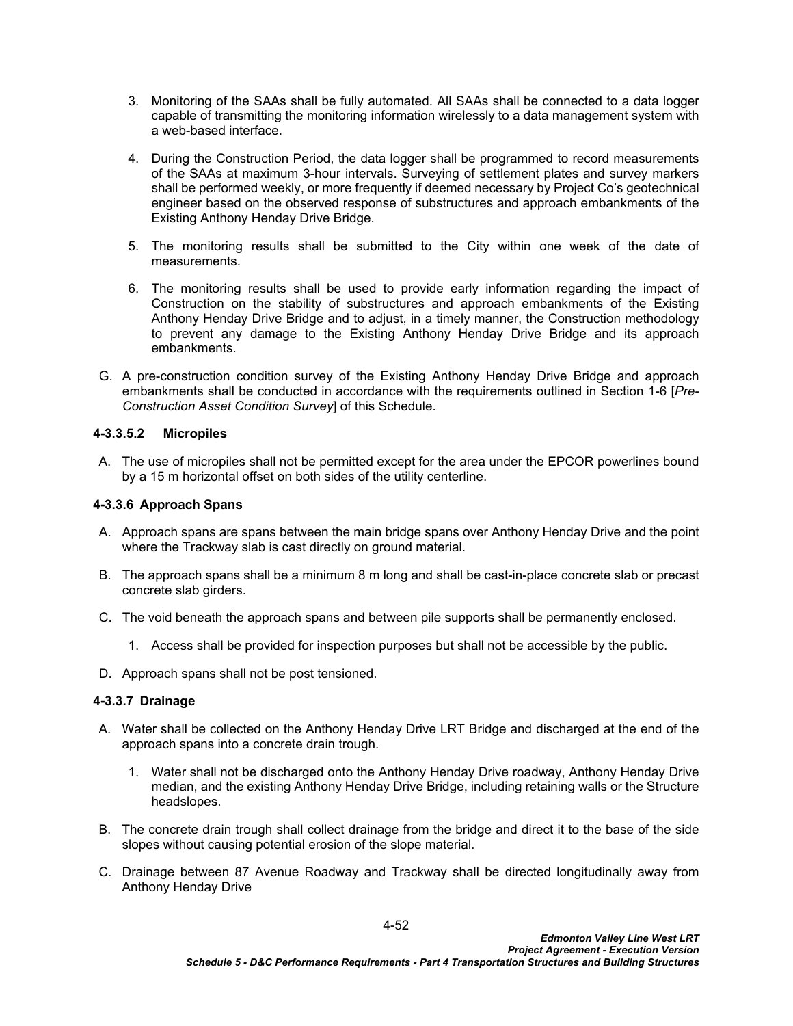- 3. Monitoring of the SAAs shall be fully automated. All SAAs shall be connected to a data logger capable of transmitting the monitoring information wirelessly to a data management system with a web-based interface.
- 4. During the Construction Period, the data logger shall be programmed to record measurements of the SAAs at maximum 3-hour intervals. Surveying of settlement plates and survey markers shall be performed weekly, or more frequently if deemed necessary by Project Co's geotechnical engineer based on the observed response of substructures and approach embankments of the Existing Anthony Henday Drive Bridge.
- 5. The monitoring results shall be submitted to the City within one week of the date of measurements.
- 6. The monitoring results shall be used to provide early information regarding the impact of Construction on the stability of substructures and approach embankments of the Existing Anthony Henday Drive Bridge and to adjust, in a timely manner, the Construction methodology to prevent any damage to the Existing Anthony Henday Drive Bridge and its approach embankments.
- G. A pre-construction condition survey of the Existing Anthony Henday Drive Bridge and approach embankments shall be conducted in accordance with the requirements outlined in Section 1-6 [*Pre-Construction Asset Condition Survey*] of this Schedule.

### **4-3.3.5.2 Micropiles**

A. The use of micropiles shall not be permitted except for the area under the EPCOR powerlines bound by a 15 m horizontal offset on both sides of the utility centerline.

### **4-3.3.6 Approach Spans**

- A. Approach spans are spans between the main bridge spans over Anthony Henday Drive and the point where the Trackway slab is cast directly on ground material.
- B. The approach spans shall be a minimum 8 m long and shall be cast-in-place concrete slab or precast concrete slab girders.
- C. The void beneath the approach spans and between pile supports shall be permanently enclosed.
	- 1. Access shall be provided for inspection purposes but shall not be accessible by the public.
- D. Approach spans shall not be post tensioned.

### **4-3.3.7 Drainage**

- A. Water shall be collected on the Anthony Henday Drive LRT Bridge and discharged at the end of the approach spans into a concrete drain trough.
	- 1. Water shall not be discharged onto the Anthony Henday Drive roadway, Anthony Henday Drive median, and the existing Anthony Henday Drive Bridge, including retaining walls or the Structure headslopes.
- B. The concrete drain trough shall collect drainage from the bridge and direct it to the base of the side slopes without causing potential erosion of the slope material.
- C. Drainage between 87 Avenue Roadway and Trackway shall be directed longitudinally away from Anthony Henday Drive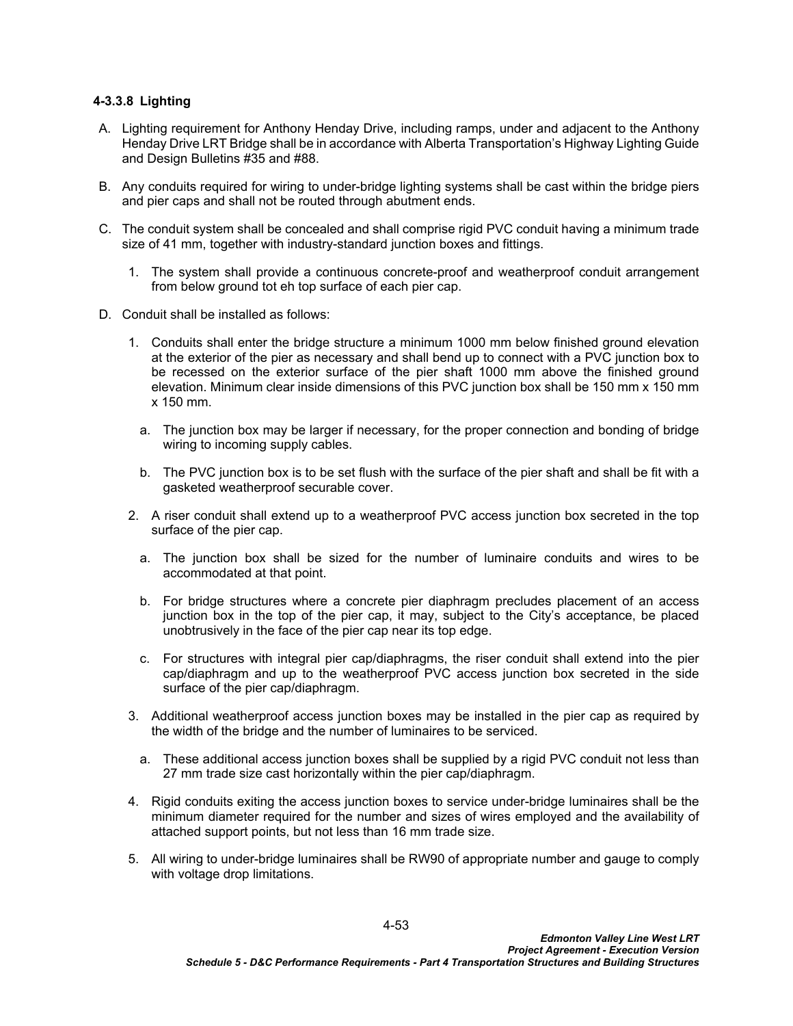### **4-3.3.8 Lighting**

- A. Lighting requirement for Anthony Henday Drive, including ramps, under and adjacent to the Anthony Henday Drive LRT Bridge shall be in accordance with Alberta Transportation's Highway Lighting Guide and Design Bulletins #35 and #88.
- B. Any conduits required for wiring to under-bridge lighting systems shall be cast within the bridge piers and pier caps and shall not be routed through abutment ends.
- C. The conduit system shall be concealed and shall comprise rigid PVC conduit having a minimum trade size of 41 mm, together with industry-standard junction boxes and fittings.
	- 1. The system shall provide a continuous concrete-proof and weatherproof conduit arrangement from below ground tot eh top surface of each pier cap.
- D. Conduit shall be installed as follows:
	- 1. Conduits shall enter the bridge structure a minimum 1000 mm below finished ground elevation at the exterior of the pier as necessary and shall bend up to connect with a PVC junction box to be recessed on the exterior surface of the pier shaft 1000 mm above the finished ground elevation. Minimum clear inside dimensions of this PVC junction box shall be 150 mm x 150 mm x 150 mm.
		- a. The junction box may be larger if necessary, for the proper connection and bonding of bridge wiring to incoming supply cables.
		- b. The PVC junction box is to be set flush with the surface of the pier shaft and shall be fit with a gasketed weatherproof securable cover.
	- 2. A riser conduit shall extend up to a weatherproof PVC access junction box secreted in the top surface of the pier cap.
		- a. The junction box shall be sized for the number of luminaire conduits and wires to be accommodated at that point.
		- b. For bridge structures where a concrete pier diaphragm precludes placement of an access junction box in the top of the pier cap, it may, subject to the City's acceptance, be placed unobtrusively in the face of the pier cap near its top edge.
		- c. For structures with integral pier cap/diaphragms, the riser conduit shall extend into the pier cap/diaphragm and up to the weatherproof PVC access junction box secreted in the side surface of the pier cap/diaphragm.
	- 3. Additional weatherproof access junction boxes may be installed in the pier cap as required by the width of the bridge and the number of luminaires to be serviced.
		- a. These additional access junction boxes shall be supplied by a rigid PVC conduit not less than 27 mm trade size cast horizontally within the pier cap/diaphragm.
	- 4. Rigid conduits exiting the access junction boxes to service under-bridge luminaires shall be the minimum diameter required for the number and sizes of wires employed and the availability of attached support points, but not less than 16 mm trade size.
	- 5. All wiring to under-bridge luminaires shall be RW90 of appropriate number and gauge to comply with voltage drop limitations.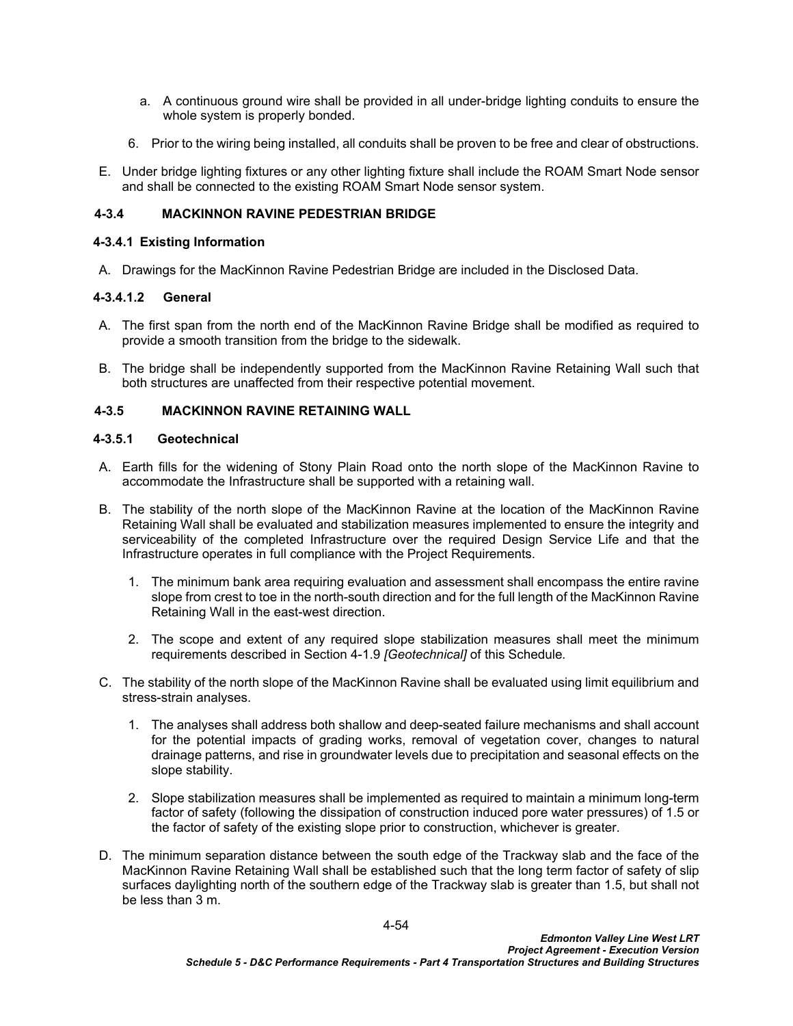- a. A continuous ground wire shall be provided in all under-bridge lighting conduits to ensure the whole system is properly bonded.
- 6. Prior to the wiring being installed, all conduits shall be proven to be free and clear of obstructions.
- E. Under bridge lighting fixtures or any other lighting fixture shall include the ROAM Smart Node sensor and shall be connected to the existing ROAM Smart Node sensor system.

# **4-3.4 MACKINNON RAVINE PEDESTRIAN BRIDGE**

# **4-3.4.1 Existing Information**

A. Drawings for the MacKinnon Ravine Pedestrian Bridge are included in the Disclosed Data.

# **4-3.4.1.2 General**

- A. The first span from the north end of the MacKinnon Ravine Bridge shall be modified as required to provide a smooth transition from the bridge to the sidewalk.
- B. The bridge shall be independently supported from the MacKinnon Ravine Retaining Wall such that both structures are unaffected from their respective potential movement.

# **4-3.5 MACKINNON RAVINE RETAINING WALL**

### **4-3.5.1 Geotechnical**

- A. Earth fills for the widening of Stony Plain Road onto the north slope of the MacKinnon Ravine to accommodate the Infrastructure shall be supported with a retaining wall.
- B. The stability of the north slope of the MacKinnon Ravine at the location of the MacKinnon Ravine Retaining Wall shall be evaluated and stabilization measures implemented to ensure the integrity and serviceability of the completed Infrastructure over the required Design Service Life and that the Infrastructure operates in full compliance with the Project Requirements.
	- 1. The minimum bank area requiring evaluation and assessment shall encompass the entire ravine slope from crest to toe in the north-south direction and for the full length of the MacKinnon Ravine Retaining Wall in the east-west direction.
	- 2. The scope and extent of any required slope stabilization measures shall meet the minimum requirements described in Section [4-1.9](#page-20-0) *[\[Geotechnical\]](#page-20-0)* of this Schedule*.*
- C. The stability of the north slope of the MacKinnon Ravine shall be evaluated using limit equilibrium and stress-strain analyses.
	- 1. The analyses shall address both shallow and deep-seated failure mechanisms and shall account for the potential impacts of grading works, removal of vegetation cover, changes to natural drainage patterns, and rise in groundwater levels due to precipitation and seasonal effects on the slope stability.
	- 2. Slope stabilization measures shall be implemented as required to maintain a minimum long-term factor of safety (following the dissipation of construction induced pore water pressures) of 1.5 or the factor of safety of the existing slope prior to construction, whichever is greater.
- D. The minimum separation distance between the south edge of the Trackway slab and the face of the MacKinnon Ravine Retaining Wall shall be established such that the long term factor of safety of slip surfaces daylighting north of the southern edge of the Trackway slab is greater than 1.5, but shall not be less than 3 m.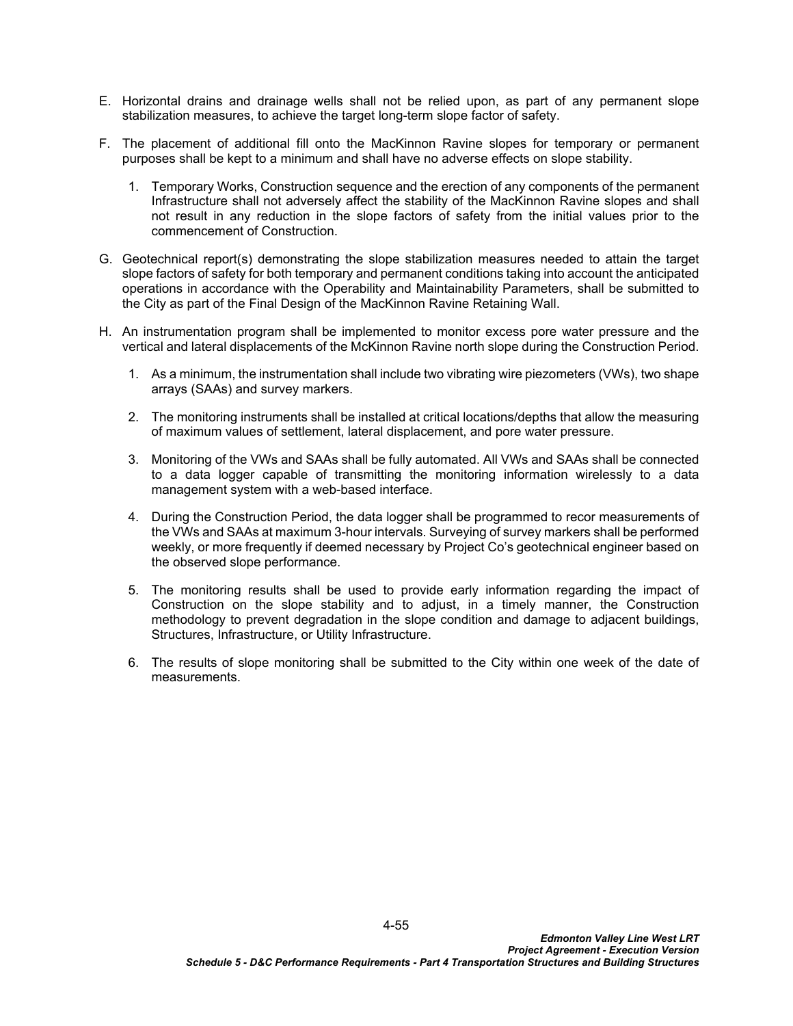- E. Horizontal drains and drainage wells shall not be relied upon, as part of any permanent slope stabilization measures, to achieve the target long-term slope factor of safety.
- F. The placement of additional fill onto the MacKinnon Ravine slopes for temporary or permanent purposes shall be kept to a minimum and shall have no adverse effects on slope stability.
	- 1. Temporary Works, Construction sequence and the erection of any components of the permanent Infrastructure shall not adversely affect the stability of the MacKinnon Ravine slopes and shall not result in any reduction in the slope factors of safety from the initial values prior to the commencement of Construction.
- G. Geotechnical report(s) demonstrating the slope stabilization measures needed to attain the target slope factors of safety for both temporary and permanent conditions taking into account the anticipated operations in accordance with the Operability and Maintainability Parameters, shall be submitted to the City as part of the Final Design of the MacKinnon Ravine Retaining Wall.
- H. An instrumentation program shall be implemented to monitor excess pore water pressure and the vertical and lateral displacements of the McKinnon Ravine north slope during the Construction Period.
	- 1. As a minimum, the instrumentation shall include two vibrating wire piezometers (VWs), two shape arrays (SAAs) and survey markers.
	- 2. The monitoring instruments shall be installed at critical locations/depths that allow the measuring of maximum values of settlement, lateral displacement, and pore water pressure.
	- 3. Monitoring of the VWs and SAAs shall be fully automated. All VWs and SAAs shall be connected to a data logger capable of transmitting the monitoring information wirelessly to a data management system with a web-based interface.
	- 4. During the Construction Period, the data logger shall be programmed to recor measurements of the VWs and SAAs at maximum 3-hour intervals. Surveying of survey markers shall be performed weekly, or more frequently if deemed necessary by Project Co's geotechnical engineer based on the observed slope performance.
	- 5. The monitoring results shall be used to provide early information regarding the impact of Construction on the slope stability and to adjust, in a timely manner, the Construction methodology to prevent degradation in the slope condition and damage to adjacent buildings, Structures, Infrastructure, or Utility Infrastructure.
	- 6. The results of slope monitoring shall be submitted to the City within one week of the date of measurements.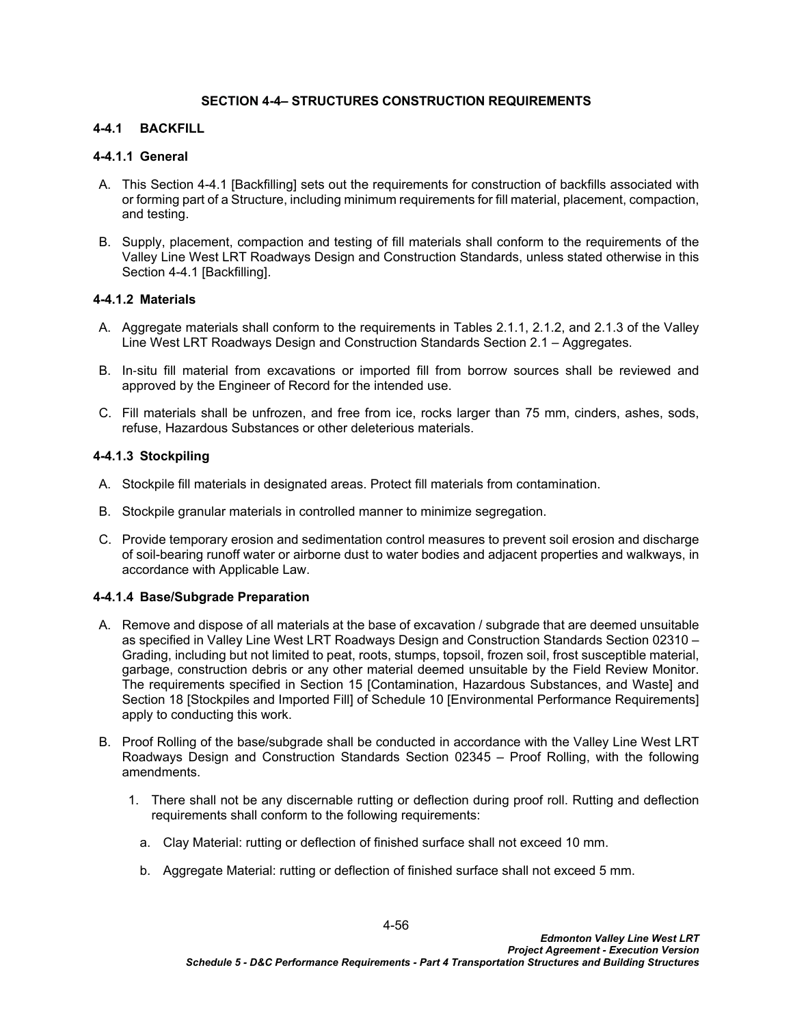### **SECTION 4-4– STRUCTURES CONSTRUCTION REQUIREMENTS**

### <span id="page-59-0"></span>**4-4.1 BACKFILL**

## **4-4.1.1 General**

- A. This Section [4-4.1](#page-59-0) [Backfilling] sets out the requirements for construction of backfills associated with or forming part of a Structure, including minimum requirements for fill material, placement, compaction, and testing.
- B. Supply, placement, compaction and testing of fill materials shall conform to the requirements of the Valley Line West LRT Roadways Design and Construction Standards, unless stated otherwise in this Section 4-4.1 [Backfilling].

## **4-4.1.2 Materials**

- A. Aggregate materials shall conform to the requirements in Tables 2.1.1, 2.1.2, and 2.1.3 of the Valley Line West LRT Roadways Design and Construction Standards Section 2.1 – Aggregates.
- B. In‐situ fill material from excavations or imported fill from borrow sources shall be reviewed and approved by the Engineer of Record for the intended use.
- C. Fill materials shall be unfrozen, and free from ice, rocks larger than 75 mm, cinders, ashes, sods, refuse, Hazardous Substances or other deleterious materials.

### **4-4.1.3 Stockpiling**

- A. Stockpile fill materials in designated areas. Protect fill materials from contamination.
- B. Stockpile granular materials in controlled manner to minimize segregation.
- C. Provide temporary erosion and sedimentation control measures to prevent soil erosion and discharge of soil-bearing runoff water or airborne dust to water bodies and adjacent properties and walkways, in accordance with Applicable Law.

### **4-4.1.4 Base/Subgrade Preparation**

- A. Remove and dispose of all materials at the base of excavation / subgrade that are deemed unsuitable as specified in Valley Line West LRT Roadways Design and Construction Standards Section 02310 – Grading, including but not limited to peat, roots, stumps, topsoil, frozen soil, frost susceptible material, garbage, construction debris or any other material deemed unsuitable by the Field Review Monitor. The requirements specified in Section 15 [Contamination, Hazardous Substances, and Waste] and Section 18 [Stockpiles and Imported Fill] of Schedule 10 [Environmental Performance Requirements] apply to conducting this work.
- B. Proof Rolling of the base/subgrade shall be conducted in accordance with the Valley Line West LRT Roadways Design and Construction Standards Section 02345 – Proof Rolling, with the following amendments.
	- 1. There shall not be any discernable rutting or deflection during proof roll. Rutting and deflection requirements shall conform to the following requirements:
		- a. Clay Material: rutting or deflection of finished surface shall not exceed 10 mm.
		- b. Aggregate Material: rutting or deflection of finished surface shall not exceed 5 mm.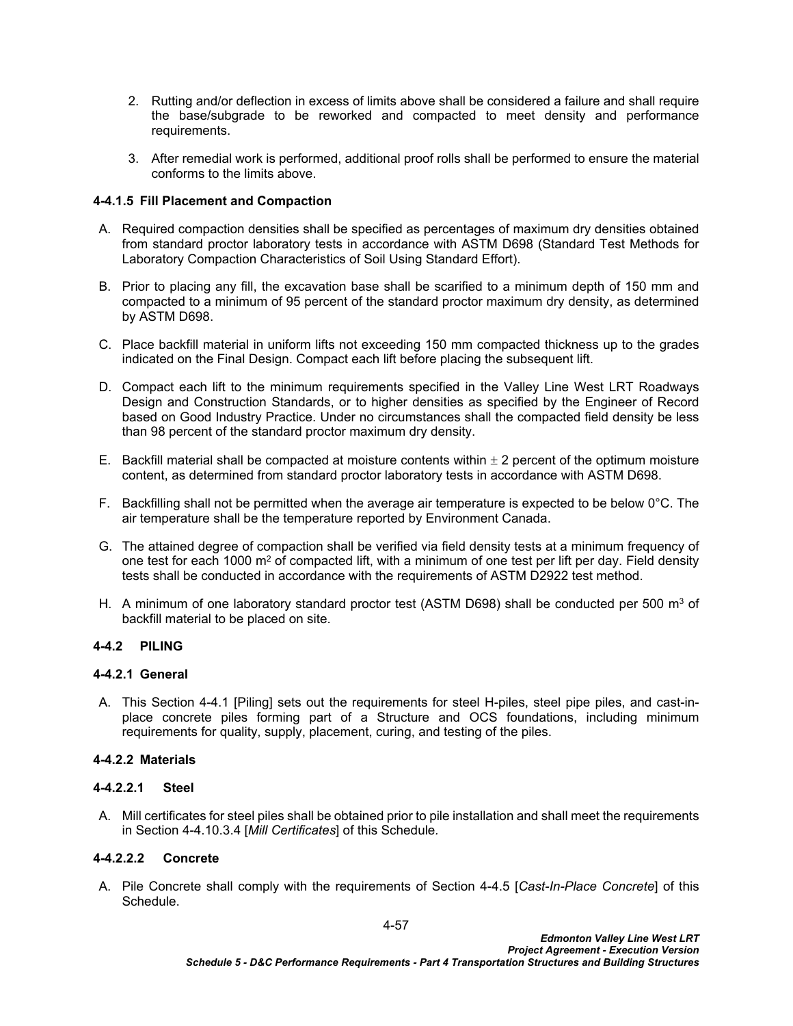- 2. Rutting and/or deflection in excess of limits above shall be considered a failure and shall require the base/subgrade to be reworked and compacted to meet density and performance requirements.
- 3. After remedial work is performed, additional proof rolls shall be performed to ensure the material conforms to the limits above.

### **4-4.1.5 Fill Placement and Compaction**

- A. Required compaction densities shall be specified as percentages of maximum dry densities obtained from standard proctor laboratory tests in accordance with ASTM D698 (Standard Test Methods for Laboratory Compaction Characteristics of Soil Using Standard Effort).
- B. Prior to placing any fill, the excavation base shall be scarified to a minimum depth of 150 mm and compacted to a minimum of 95 percent of the standard proctor maximum dry density, as determined by ASTM D698.
- C. Place backfill material in uniform lifts not exceeding 150 mm compacted thickness up to the grades indicated on the Final Design. Compact each lift before placing the subsequent lift.
- D. Compact each lift to the minimum requirements specified in the Valley Line West LRT Roadways Design and Construction Standards, or to higher densities as specified by the Engineer of Record based on Good Industry Practice. Under no circumstances shall the compacted field density be less than 98 percent of the standard proctor maximum dry density.
- E. Backfill material shall be compacted at moisture contents within  $\pm 2$  percent of the optimum moisture content, as determined from standard proctor laboratory tests in accordance with ASTM D698.
- F. Backfilling shall not be permitted when the average air temperature is expected to be below 0°C. The air temperature shall be the temperature reported by Environment Canada.
- G. The attained degree of compaction shall be verified via field density tests at a minimum frequency of one test for each 1000 m² of compacted lift, with a minimum of one test per lift per day. Field density tests shall be conducted in accordance with the requirements of ASTM D2922 test method.
- H. A minimum of one laboratory standard proctor test (ASTM D698) shall be conducted per 500 m<sup>3</sup> of backfill material to be placed on site.

### **4-4.2 PILING**

### **4-4.2.1 General**

A. This Section [4-4.1](#page-59-0) [Piling] sets out the requirements for steel H-piles, steel pipe piles, and cast-inplace concrete piles forming part of a Structure and OCS foundations, including minimum requirements for quality, supply, placement, curing, and testing of the piles.

### **4-4.2.2 Materials**

### **4-4.2.2.1 Steel**

A. Mill certificates for steel piles shall be obtained prior to pile installation and shall meet the requirements in Section [4-4.10.3.4](#page-145-0) [*[Mill Certificates](#page-145-0)*] of this Schedule*.*

# **4-4.2.2.2 Concrete**

A. Pile Concrete shall comply with the requirements of Section [4-4.5](#page-75-0) [*[Cast-In-Place Concrete](#page-75-0)*] of this Schedule.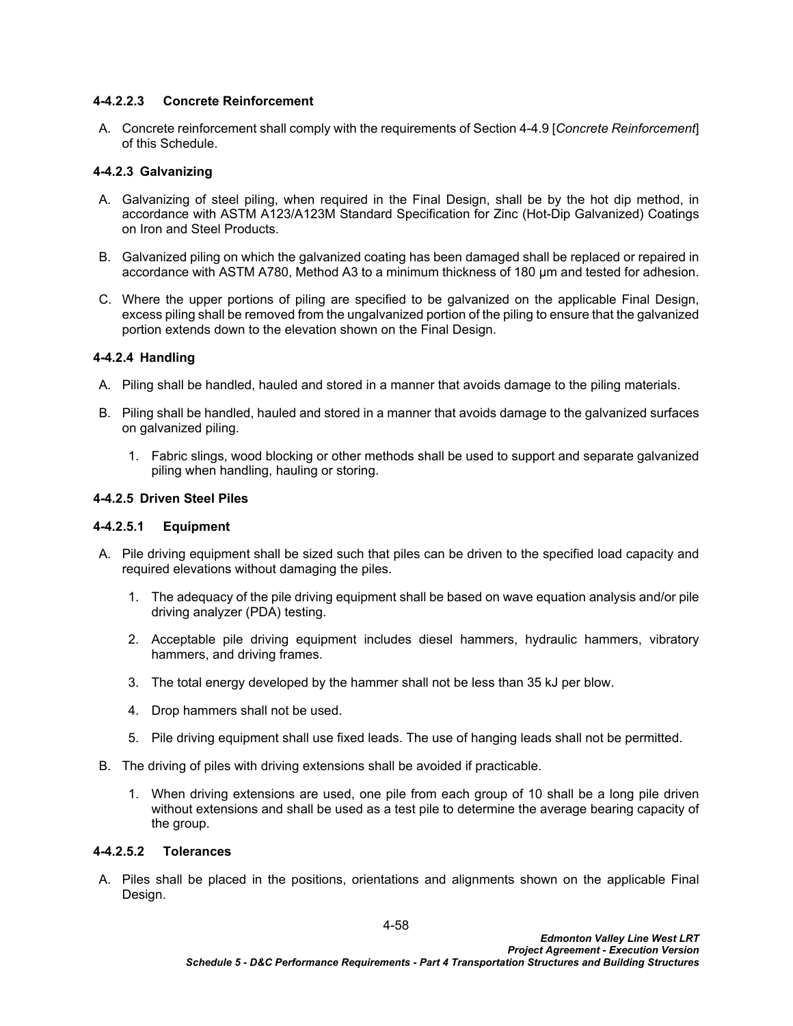### **4-4.2.2.3 Concrete Reinforcement**

A. Concrete reinforcement shall comply with the requirements of Section [4-4.9](#page-139-0) [*[Concrete Reinforcement](#page-139-0)*] of this Schedule.

### <span id="page-61-0"></span>**4-4.2.3 Galvanizing**

- A. Galvanizing of steel piling, when required in the Final Design, shall be by the hot dip method, in accordance with ASTM A123/A123M Standard Specification for Zinc (Hot-Dip Galvanized) Coatings on Iron and Steel Products.
- B. Galvanized piling on which the galvanized coating has been damaged shall be replaced or repaired in accordance with ASTM A780, Method A3 to a minimum thickness of 180 µm and tested for adhesion.
- C. Where the upper portions of piling are specified to be galvanized on the applicable Final Design, excess piling shall be removed from the ungalvanized portion of the piling to ensure that the galvanized portion extends down to the elevation shown on the Final Design.

### **4-4.2.4 Handling**

- A. Piling shall be handled, hauled and stored in a manner that avoids damage to the piling materials.
- B. Piling shall be handled, hauled and stored in a manner that avoids damage to the galvanized surfaces on galvanized piling.
	- 1. Fabric slings, wood blocking or other methods shall be used to support and separate galvanized piling when handling, hauling or storing.

### **4-4.2.5 Driven Steel Piles**

### **4-4.2.5.1 Equipment**

- A. Pile driving equipment shall be sized such that piles can be driven to the specified load capacity and required elevations without damaging the piles.
	- 1. The adequacy of the pile driving equipment shall be based on wave equation analysis and/or pile driving analyzer (PDA) testing.
	- 2. Acceptable pile driving equipment includes diesel hammers, hydraulic hammers, vibratory hammers, and driving frames.
	- 3. The total energy developed by the hammer shall not be less than 35 kJ per blow.
	- 4. Drop hammers shall not be used.
	- 5. Pile driving equipment shall use fixed leads. The use of hanging leads shall not be permitted.
- B. The driving of piles with driving extensions shall be avoided if practicable.
	- 1. When driving extensions are used, one pile from each group of 10 shall be a long pile driven without extensions and shall be used as a test pile to determine the average bearing capacity of the group.

### **4-4.2.5.2 Tolerances**

A. Piles shall be placed in the positions, orientations and alignments shown on the applicable Final Design.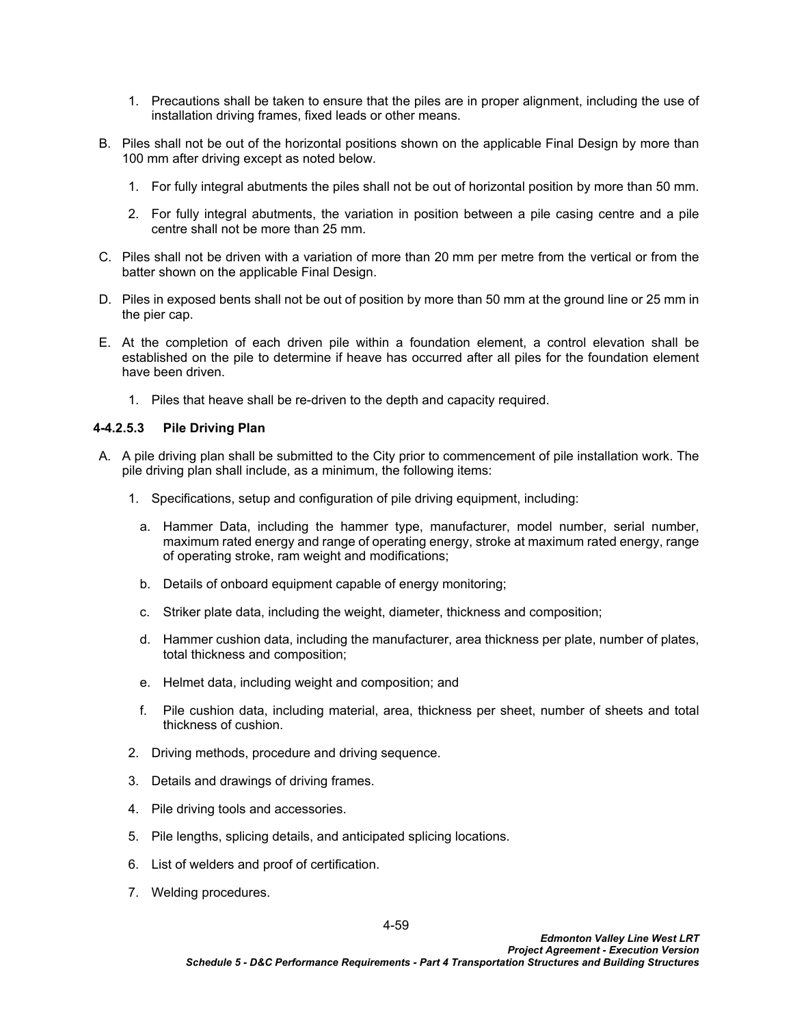- 1. Precautions shall be taken to ensure that the piles are in proper alignment, including the use of installation driving frames, fixed leads or other means.
- B. Piles shall not be out of the horizontal positions shown on the applicable Final Design by more than 100 mm after driving except as noted below.
	- 1. For fully integral abutments the piles shall not be out of horizontal position by more than 50 mm.
	- 2. For fully integral abutments, the variation in position between a pile casing centre and a pile centre shall not be more than 25 mm.
- C. Piles shall not be driven with a variation of more than 20 mm per metre from the vertical or from the batter shown on the applicable Final Design.
- D. Piles in exposed bents shall not be out of position by more than 50 mm at the ground line or 25 mm in the pier cap.
- E. At the completion of each driven pile within a foundation element, a control elevation shall be established on the pile to determine if heave has occurred after all piles for the foundation element have been driven.
	- 1. Piles that heave shall be re-driven to the depth and capacity required.

### **4-4.2.5.3 Pile Driving Plan**

- A. A pile driving plan shall be submitted to the City prior to commencement of pile installation work. The pile driving plan shall include, as a minimum, the following items:
	- 1. Specifications, setup and configuration of pile driving equipment, including:
		- a. Hammer Data, including the hammer type, manufacturer, model number, serial number, maximum rated energy and range of operating energy, stroke at maximum rated energy, range of operating stroke, ram weight and modifications;
		- b. Details of onboard equipment capable of energy monitoring;
		- c. Striker plate data, including the weight, diameter, thickness and composition;
		- d. Hammer cushion data, including the manufacturer, area thickness per plate, number of plates, total thickness and composition;
		- e. Helmet data, including weight and composition; and
		- f. Pile cushion data, including material, area, thickness per sheet, number of sheets and total thickness of cushion.
	- 2. Driving methods, procedure and driving sequence.
	- 3. Details and drawings of driving frames.
	- 4. Pile driving tools and accessories.
	- 5. Pile lengths, splicing details, and anticipated splicing locations.
	- 6. List of welders and proof of certification.
	- 7. Welding procedures.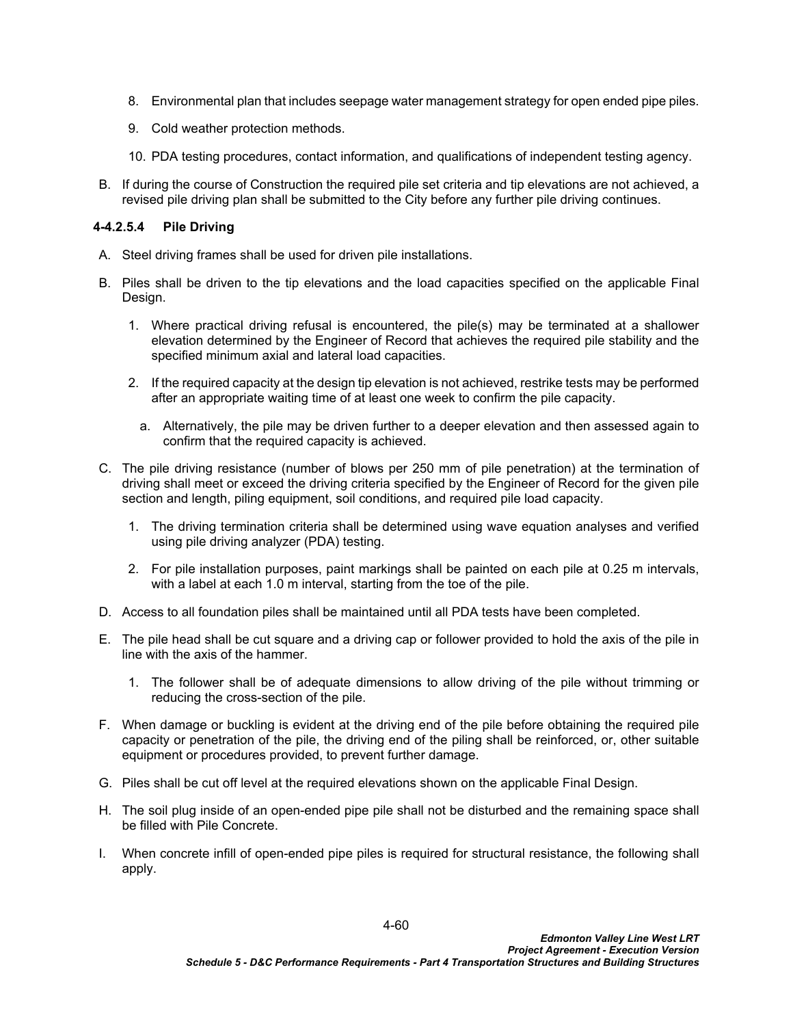- 8. Environmental plan that includes seepage water management strategy for open ended pipe piles.
- 9. Cold weather protection methods.
- 10. PDA testing procedures, contact information, and qualifications of independent testing agency.
- B. If during the course of Construction the required pile set criteria and tip elevations are not achieved, a revised pile driving plan shall be submitted to the City before any further pile driving continues.

# **4-4.2.5.4 Pile Driving**

- A. Steel driving frames shall be used for driven pile installations.
- B. Piles shall be driven to the tip elevations and the load capacities specified on the applicable Final Design.
	- 1. Where practical driving refusal is encountered, the pile(s) may be terminated at a shallower elevation determined by the Engineer of Record that achieves the required pile stability and the specified minimum axial and lateral load capacities.
	- 2. If the required capacity at the design tip elevation is not achieved, restrike tests may be performed after an appropriate waiting time of at least one week to confirm the pile capacity.
		- a. Alternatively, the pile may be driven further to a deeper elevation and then assessed again to confirm that the required capacity is achieved.
- C. The pile driving resistance (number of blows per 250 mm of pile penetration) at the termination of driving shall meet or exceed the driving criteria specified by the Engineer of Record for the given pile section and length, piling equipment, soil conditions, and required pile load capacity.
	- 1. The driving termination criteria shall be determined using wave equation analyses and verified using pile driving analyzer (PDA) testing.
	- 2. For pile installation purposes, paint markings shall be painted on each pile at 0.25 m intervals, with a label at each 1.0 m interval, starting from the toe of the pile.
- D. Access to all foundation piles shall be maintained until all PDA tests have been completed.
- E. The pile head shall be cut square and a driving cap or follower provided to hold the axis of the pile in line with the axis of the hammer.
	- 1. The follower shall be of adequate dimensions to allow driving of the pile without trimming or reducing the cross-section of the pile.
- F. When damage or buckling is evident at the driving end of the pile before obtaining the required pile capacity or penetration of the pile, the driving end of the piling shall be reinforced, or, other suitable equipment or procedures provided, to prevent further damage.
- G. Piles shall be cut off level at the required elevations shown on the applicable Final Design.
- H. The soil plug inside of an open-ended pipe pile shall not be disturbed and the remaining space shall be filled with Pile Concrete.
- I. When concrete infill of open-ended pipe piles is required for structural resistance, the following shall apply.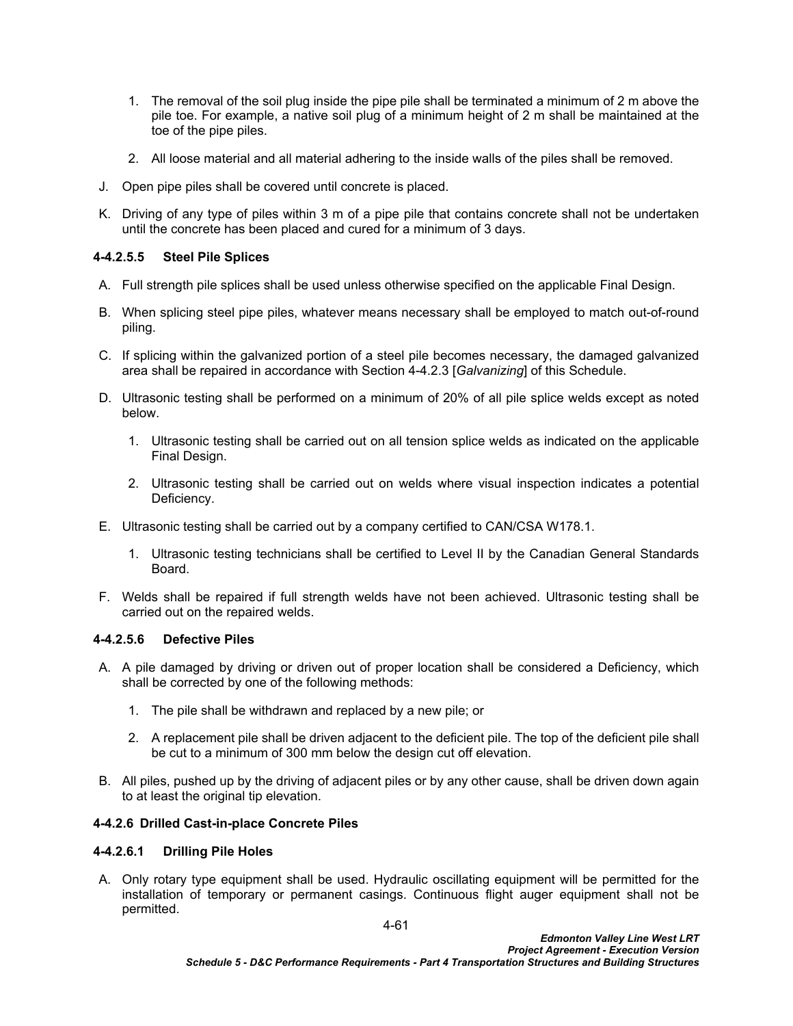- 1. The removal of the soil plug inside the pipe pile shall be terminated a minimum of 2 m above the pile toe. For example, a native soil plug of a minimum height of 2 m shall be maintained at the toe of the pipe piles.
- 2. All loose material and all material adhering to the inside walls of the piles shall be removed.
- J. Open pipe piles shall be covered until concrete is placed.
- K. Driving of any type of piles within 3 m of a pipe pile that contains concrete shall not be undertaken until the concrete has been placed and cured for a minimum of 3 days.

### **4-4.2.5.5 Steel Pile Splices**

- A. Full strength pile splices shall be used unless otherwise specified on the applicable Final Design.
- B. When splicing steel pipe piles, whatever means necessary shall be employed to match out-of-round piling.
- C. If splicing within the galvanized portion of a steel pile becomes necessary, the damaged galvanized area shall be repaired in accordance with Section [4-4.2.3](#page-61-0) [*[Galvanizing](#page-61-0)*] of this Schedule.
- D. Ultrasonic testing shall be performed on a minimum of 20% of all pile splice welds except as noted below.
	- 1. Ultrasonic testing shall be carried out on all tension splice welds as indicated on the applicable Final Design.
	- 2. Ultrasonic testing shall be carried out on welds where visual inspection indicates a potential Deficiency.
- E. Ultrasonic testing shall be carried out by a company certified to CAN/CSA W178.1.
	- 1. Ultrasonic testing technicians shall be certified to Level II by the Canadian General Standards Board.
- F. Welds shall be repaired if full strength welds have not been achieved. Ultrasonic testing shall be carried out on the repaired welds.

### **4-4.2.5.6 Defective Piles**

- A. A pile damaged by driving or driven out of proper location shall be considered a Deficiency, which shall be corrected by one of the following methods:
	- 1. The pile shall be withdrawn and replaced by a new pile; or
	- 2. A replacement pile shall be driven adjacent to the deficient pile. The top of the deficient pile shall be cut to a minimum of 300 mm below the design cut off elevation.
- B. All piles, pushed up by the driving of adjacent piles or by any other cause, shall be driven down again to at least the original tip elevation.

### <span id="page-64-0"></span>**4-4.2.6 Drilled Cast-in-place Concrete Piles**

### **4-4.2.6.1 Drilling Pile Holes**

A. Only rotary type equipment shall be used. Hydraulic oscillating equipment will be permitted for the installation of temporary or permanent casings. Continuous flight auger equipment shall not be permitted.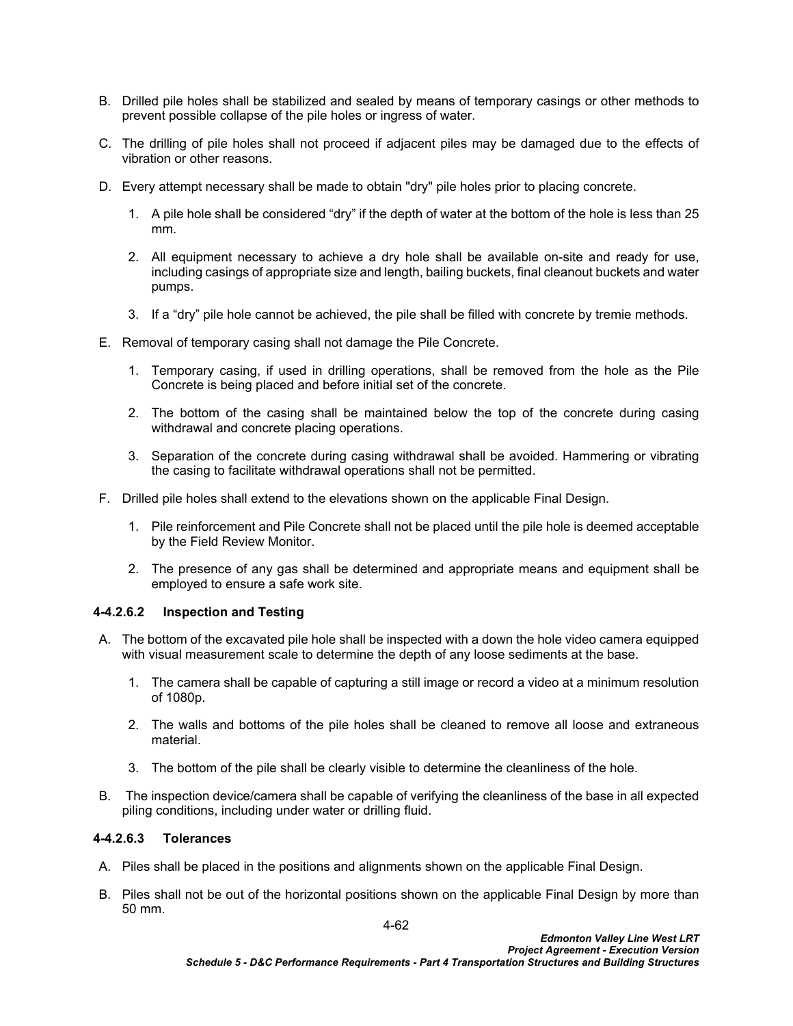- B. Drilled pile holes shall be stabilized and sealed by means of temporary casings or other methods to prevent possible collapse of the pile holes or ingress of water.
- C. The drilling of pile holes shall not proceed if adjacent piles may be damaged due to the effects of vibration or other reasons.
- D. Every attempt necessary shall be made to obtain "dry" pile holes prior to placing concrete.
	- 1. A pile hole shall be considered "dry" if the depth of water at the bottom of the hole is less than 25 mm.
	- 2. All equipment necessary to achieve a dry hole shall be available on-site and ready for use, including casings of appropriate size and length, bailing buckets, final cleanout buckets and water pumps.
	- 3. If a "dry" pile hole cannot be achieved, the pile shall be filled with concrete by tremie methods.
- E. Removal of temporary casing shall not damage the Pile Concrete.
	- 1. Temporary casing, if used in drilling operations, shall be removed from the hole as the Pile Concrete is being placed and before initial set of the concrete.
	- 2. The bottom of the casing shall be maintained below the top of the concrete during casing withdrawal and concrete placing operations.
	- 3. Separation of the concrete during casing withdrawal shall be avoided. Hammering or vibrating the casing to facilitate withdrawal operations shall not be permitted.
- F. Drilled pile holes shall extend to the elevations shown on the applicable Final Design.
	- 1. Pile reinforcement and Pile Concrete shall not be placed until the pile hole is deemed acceptable by the Field Review Monitor.
	- 2. The presence of any gas shall be determined and appropriate means and equipment shall be employed to ensure a safe work site.

### **4-4.2.6.2 Inspection and Testing**

- A. The bottom of the excavated pile hole shall be inspected with a down the hole video camera equipped with visual measurement scale to determine the depth of any loose sediments at the base.
	- 1. The camera shall be capable of capturing a still image or record a video at a minimum resolution of 1080p.
	- 2. The walls and bottoms of the pile holes shall be cleaned to remove all loose and extraneous material.
	- 3. The bottom of the pile shall be clearly visible to determine the cleanliness of the hole.
- B. The inspection device/camera shall be capable of verifying the cleanliness of the base in all expected piling conditions, including under water or drilling fluid.

# **4-4.2.6.3 Tolerances**

- A. Piles shall be placed in the positions and alignments shown on the applicable Final Design.
- B. Piles shall not be out of the horizontal positions shown on the applicable Final Design by more than 50 mm.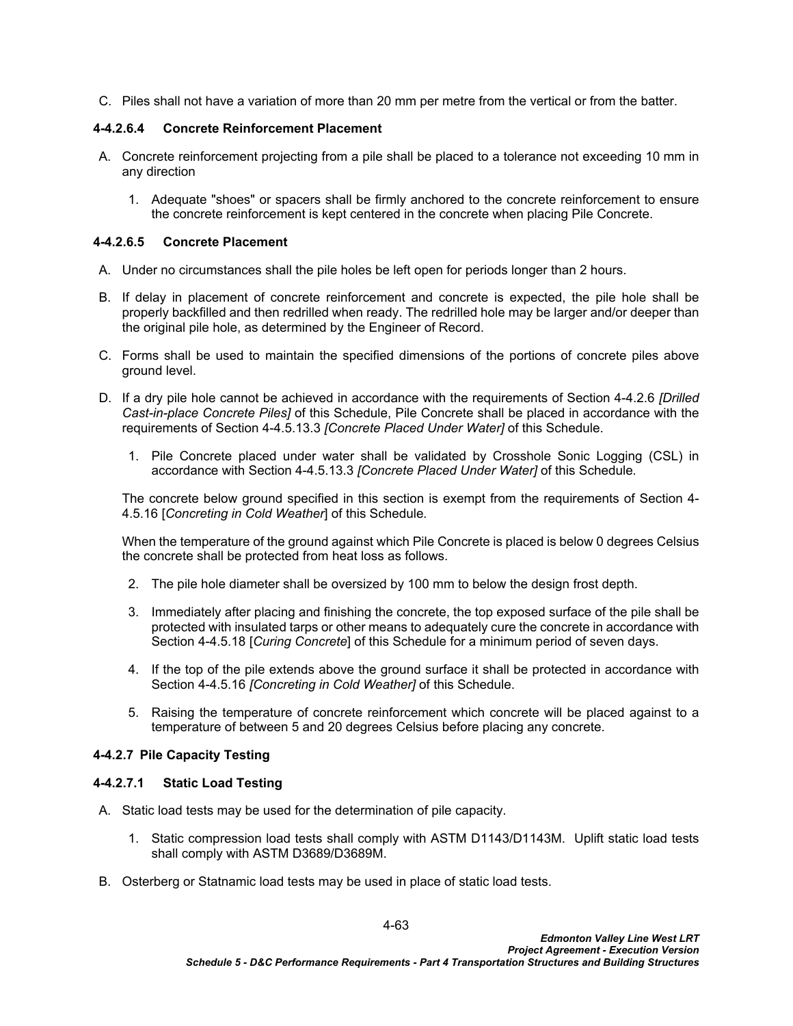C. Piles shall not have a variation of more than 20 mm per metre from the vertical or from the batter.

# **4-4.2.6.4 Concrete Reinforcement Placement**

- A. Concrete reinforcement projecting from a pile shall be placed to a tolerance not exceeding 10 mm in any direction
	- 1. Adequate "shoes" or spacers shall be firmly anchored to the concrete reinforcement to ensure the concrete reinforcement is kept centered in the concrete when placing Pile Concrete.

### **4-4.2.6.5 Concrete Placement**

- A. Under no circumstances shall the pile holes be left open for periods longer than 2 hours.
- B. If delay in placement of concrete reinforcement and concrete is expected, the pile hole shall be properly backfilled and then redrilled when ready. The redrilled hole may be larger and/or deeper than the original pile hole, as determined by the Engineer of Record.
- C. Forms shall be used to maintain the specified dimensions of the portions of concrete piles above ground level.
- D. If a dry pile hole cannot be achieved in accordance with the requirements of Section [4-4.2.6](#page-64-0) *[[Drilled](#page-64-0)  [Cast-in-place Concrete Piles\]](#page-64-0)* of this Schedule, Pile Concrete shall be placed in accordance with the requirements of Section [4-4.5.13.3](#page-91-0) *[\[Concrete Placed Under Water\]](#page-91-0)* of this Schedule.
	- 1. Pile Concrete placed under water shall be validated by Crosshole Sonic Logging (CSL) in accordance with Section [4-4.5.13.3](#page-91-0) *[[Concrete Placed Under Water](#page-91-0)]* of this Schedule*.*

The concrete below ground specified in this section is exempt from the requirements of Section [4-](#page-95-0) [4.5.16](#page-95-0) [*[Concreting in Cold Weather](#page-95-0)*] of this Schedule*.*

When the temperature of the ground against which Pile Concrete is placed is below 0 degrees Celsius the concrete shall be protected from heat loss as follows.

- 2. The pile hole diameter shall be oversized by 100 mm to below the design frost depth.
- 3. Immediately after placing and finishing the concrete, the top exposed surface of the pile shall be protected with insulated tarps or other means to adequately cure the concrete in accordance with Section [4-4.5.18](#page-98-0) [*[Curing Concrete](#page-98-0)*] of this Schedule for a minimum period of seven days.
- 4. If the top of the pile extends above the ground surface it shall be protected in accordance with Section [4-4.5.16](#page-95-0) *[\[Concreting in Cold Weather](#page-95-0)]* of this Schedule.
- 5. Raising the temperature of concrete reinforcement which concrete will be placed against to a temperature of between 5 and 20 degrees Celsius before placing any concrete.

# **4-4.2.7 Pile Capacity Testing**

### **4-4.2.7.1 Static Load Testing**

- A. Static load tests may be used for the determination of pile capacity.
	- 1. Static compression load tests shall comply with ASTM D1143/D1143M. Uplift static load tests shall comply with ASTM D3689/D3689M.
- B. Osterberg or Statnamic load tests may be used in place of static load tests.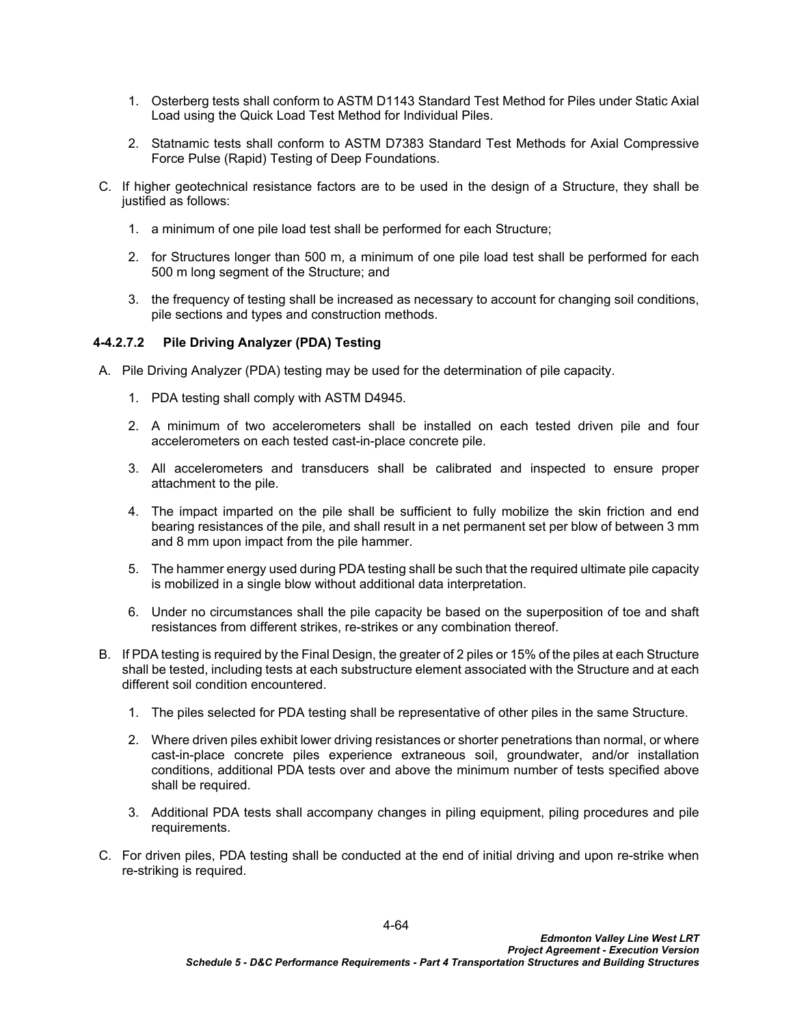- 1. Osterberg tests shall conform to ASTM D1143 Standard Test Method for Piles under Static Axial Load using the Quick Load Test Method for Individual Piles.
- 2. Statnamic tests shall conform to ASTM D7383 Standard Test Methods for Axial Compressive Force Pulse (Rapid) Testing of Deep Foundations.
- C. If higher geotechnical resistance factors are to be used in the design of a Structure, they shall be justified as follows:
	- 1. a minimum of one pile load test shall be performed for each Structure;
	- 2. for Structures longer than 500 m, a minimum of one pile load test shall be performed for each 500 m long segment of the Structure; and
	- 3. the frequency of testing shall be increased as necessary to account for changing soil conditions, pile sections and types and construction methods.

### **4-4.2.7.2 Pile Driving Analyzer (PDA) Testing**

- A. Pile Driving Analyzer (PDA) testing may be used for the determination of pile capacity.
	- 1. PDA testing shall comply with ASTM D4945.
	- 2. A minimum of two accelerometers shall be installed on each tested driven pile and four accelerometers on each tested cast-in-place concrete pile.
	- 3. All accelerometers and transducers shall be calibrated and inspected to ensure proper attachment to the pile.
	- 4. The impact imparted on the pile shall be sufficient to fully mobilize the skin friction and end bearing resistances of the pile, and shall result in a net permanent set per blow of between 3 mm and 8 mm upon impact from the pile hammer.
	- 5. The hammer energy used during PDA testing shall be such that the required ultimate pile capacity is mobilized in a single blow without additional data interpretation.
	- 6. Under no circumstances shall the pile capacity be based on the superposition of toe and shaft resistances from different strikes, re-strikes or any combination thereof.
- B. If PDA testing is required by the Final Design, the greater of 2 piles or 15% of the piles at each Structure shall be tested, including tests at each substructure element associated with the Structure and at each different soil condition encountered.
	- 1. The piles selected for PDA testing shall be representative of other piles in the same Structure.
	- 2. Where driven piles exhibit lower driving resistances or shorter penetrations than normal, or where cast-in-place concrete piles experience extraneous soil, groundwater, and/or installation conditions, additional PDA tests over and above the minimum number of tests specified above shall be required.
	- 3. Additional PDA tests shall accompany changes in piling equipment, piling procedures and pile requirements.
- C. For driven piles, PDA testing shall be conducted at the end of initial driving and upon re-strike when re-striking is required.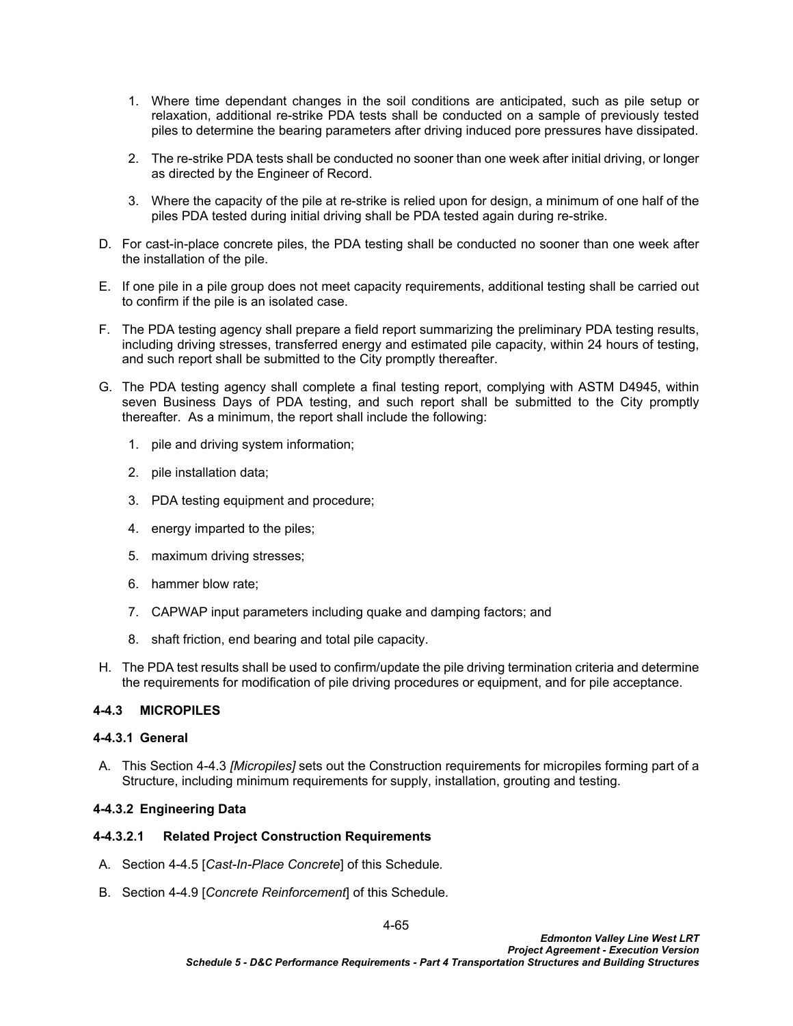- 1. Where time dependant changes in the soil conditions are anticipated, such as pile setup or relaxation, additional re-strike PDA tests shall be conducted on a sample of previously tested piles to determine the bearing parameters after driving induced pore pressures have dissipated.
- 2. The re-strike PDA tests shall be conducted no sooner than one week after initial driving, or longer as directed by the Engineer of Record.
- 3. Where the capacity of the pile at re-strike is relied upon for design, a minimum of one half of the piles PDA tested during initial driving shall be PDA tested again during re-strike.
- D. For cast-in-place concrete piles, the PDA testing shall be conducted no sooner than one week after the installation of the pile.
- E. If one pile in a pile group does not meet capacity requirements, additional testing shall be carried out to confirm if the pile is an isolated case.
- F. The PDA testing agency shall prepare a field report summarizing the preliminary PDA testing results, including driving stresses, transferred energy and estimated pile capacity, within 24 hours of testing, and such report shall be submitted to the City promptly thereafter.
- G. The PDA testing agency shall complete a final testing report, complying with ASTM D4945, within seven Business Days of PDA testing, and such report shall be submitted to the City promptly thereafter. As a minimum, the report shall include the following:
	- 1. pile and driving system information;
	- 2. pile installation data;
	- 3. PDA testing equipment and procedure;
	- 4. energy imparted to the piles;
	- 5. maximum driving stresses;
	- 6. hammer blow rate;
	- 7. CAPWAP input parameters including quake and damping factors; and
	- 8. shaft friction, end bearing and total pile capacity.
- H. The PDA test results shall be used to confirm/update the pile driving termination criteria and determine the requirements for modification of pile driving procedures or equipment, and for pile acceptance.

### <span id="page-68-0"></span>**4-4.3 MICROPILES**

#### **4-4.3.1 General**

A. This Section [4-4.3](#page-68-0) *[\[Micropiles](#page-68-0)]* sets out the Construction requirements for micropiles forming part of a Structure, including minimum requirements for supply, installation, grouting and testing.

### **4-4.3.2 Engineering Data**

#### **4-4.3.2.1 Related Project Construction Requirements**

- A. Section [4-4.5](#page-75-0) [*[Cast-In-Place Concrete](#page-75-0)*] of this Schedule*.*
- B. Section [4-4.9](#page-139-0) [*Concrete Reinforcement*] of this Schedule*.*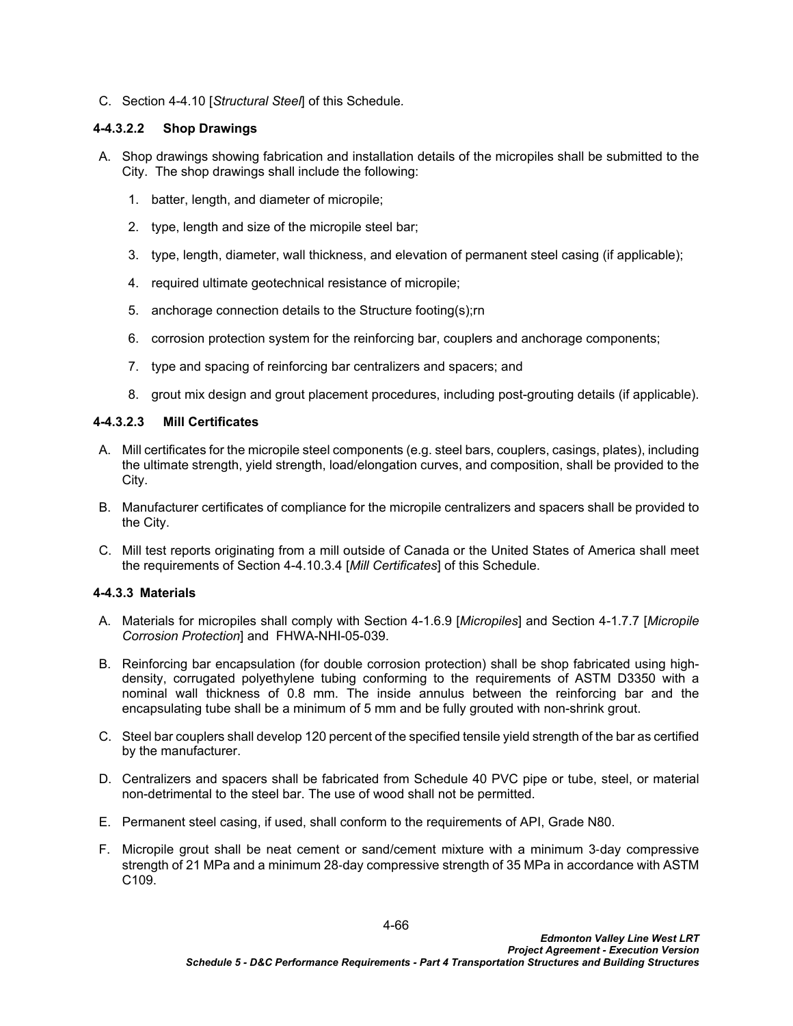C. Section [4-4.10](#page-144-0) [*[Structural Steel](#page-144-0)*] of this Schedule*.*

## **4-4.3.2.2 Shop Drawings**

- A. Shop drawings showing fabrication and installation details of the micropiles shall be submitted to the City. The shop drawings shall include the following:
	- 1. batter, length, and diameter of micropile;
	- 2. type, length and size of the micropile steel bar;
	- 3. type, length, diameter, wall thickness, and elevation of permanent steel casing (if applicable);
	- 4. required ultimate geotechnical resistance of micropile;
	- 5. anchorage connection details to the Structure footing(s);rn
	- 6. corrosion protection system for the reinforcing bar, couplers and anchorage components;
	- 7. type and spacing of reinforcing bar centralizers and spacers; and
	- 8. grout mix design and grout placement procedures, including post-grouting details (if applicable).

### **4-4.3.2.3 Mill Certificates**

- A. Mill certificates for the micropile steel components (e.g. steel bars, couplers, casings, plates), including the ultimate strength, yield strength, load/elongation curves, and composition, shall be provided to the City.
- B. Manufacturer certificates of compliance for the micropile centralizers and spacers shall be provided to the City.
- C. Mill test reports originating from a mill outside of Canada or the United States of America shall meet the requirements of Section [4-4.10.3.4](#page-145-0) [*[Mill Certificates](#page-145-0)*] of this Schedule.

### **4-4.3.3 Materials**

- A. Materials for micropiles shall comply with Section [4-1.6.9](#page-16-0) [*[Micropiles](#page-16-0)*] and Section [4-1.7.7](#page-19-1) [*[Micropile](#page-19-1)  [Corrosion Protection](#page-19-1)*] and FHWA-NHI-05-039.
- B. Reinforcing bar encapsulation (for double corrosion protection) shall be shop fabricated using highdensity, corrugated polyethylene tubing conforming to the requirements of ASTM D3350 with a nominal wall thickness of 0.8 mm. The inside annulus between the reinforcing bar and the encapsulating tube shall be a minimum of 5 mm and be fully grouted with non-shrink grout.
- C. Steel bar couplers shall develop 120 percent of the specified tensile yield strength of the bar as certified by the manufacturer.
- D. Centralizers and spacers shall be fabricated from Schedule 40 PVC pipe or tube, steel, or material non-detrimental to the steel bar. The use of wood shall not be permitted.
- E. Permanent steel casing, if used, shall conform to the requirements of API, Grade N80.
- F. Micropile grout shall be neat cement or sand/cement mixture with a minimum 3‐day compressive strength of 21 MPa and a minimum 28‐day compressive strength of 35 MPa in accordance with ASTM C<sub>109</sub>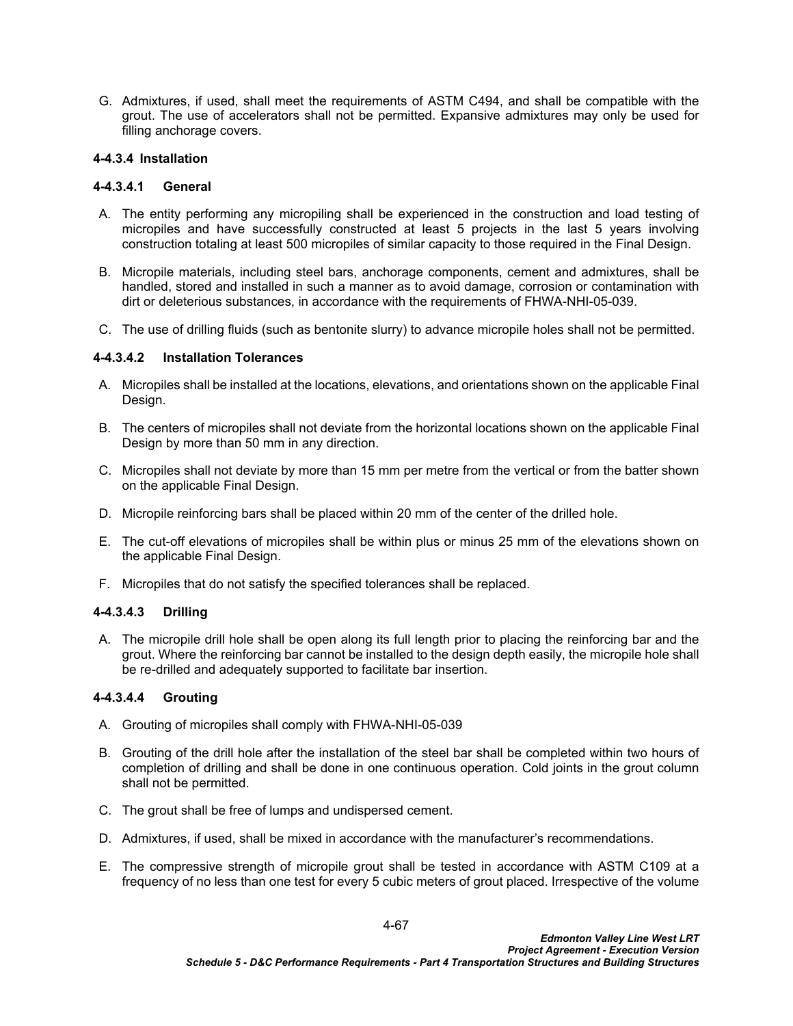G. Admixtures, if used, shall meet the requirements of ASTM C494, and shall be compatible with the grout. The use of accelerators shall not be permitted. Expansive admixtures may only be used for filling anchorage covers.

### **4-4.3.4 Installation**

## **4-4.3.4.1 General**

- A. The entity performing any micropiling shall be experienced in the construction and load testing of micropiles and have successfully constructed at least 5 projects in the last 5 years involving construction totaling at least 500 micropiles of similar capacity to those required in the Final Design.
- B. Micropile materials, including steel bars, anchorage components, cement and admixtures, shall be handled, stored and installed in such a manner as to avoid damage, corrosion or contamination with dirt or deleterious substances, in accordance with the requirements of FHWA-NHI-05-039.
- C. The use of drilling fluids (such as bentonite slurry) to advance micropile holes shall not be permitted.

## **4-4.3.4.2 Installation Tolerances**

- A. Micropiles shall be installed at the locations, elevations, and orientations shown on the applicable Final Design.
- B. The centers of micropiles shall not deviate from the horizontal locations shown on the applicable Final Design by more than 50 mm in any direction.
- C. Micropiles shall not deviate by more than 15 mm per metre from the vertical or from the batter shown on the applicable Final Design.
- D. Micropile reinforcing bars shall be placed within 20 mm of the center of the drilled hole.
- E. The cut-off elevations of micropiles shall be within plus or minus 25 mm of the elevations shown on the applicable Final Design.
- F. Micropiles that do not satisfy the specified tolerances shall be replaced.

### **4-4.3.4.3 Drilling**

A. The micropile drill hole shall be open along its full length prior to placing the reinforcing bar and the grout. Where the reinforcing bar cannot be installed to the design depth easily, the micropile hole shall be re-drilled and adequately supported to facilitate bar insertion.

### **4-4.3.4.4 Grouting**

- A. Grouting of micropiles shall comply with FHWA-NHI-05-039
- B. Grouting of the drill hole after the installation of the steel bar shall be completed within two hours of completion of drilling and shall be done in one continuous operation. Cold joints in the grout column shall not be permitted.
- C. The grout shall be free of lumps and undispersed cement.
- D. Admixtures, if used, shall be mixed in accordance with the manufacturer's recommendations.
- E. The compressive strength of micropile grout shall be tested in accordance with ASTM C109 at a frequency of no less than one test for every 5 cubic meters of grout placed. Irrespective of the volume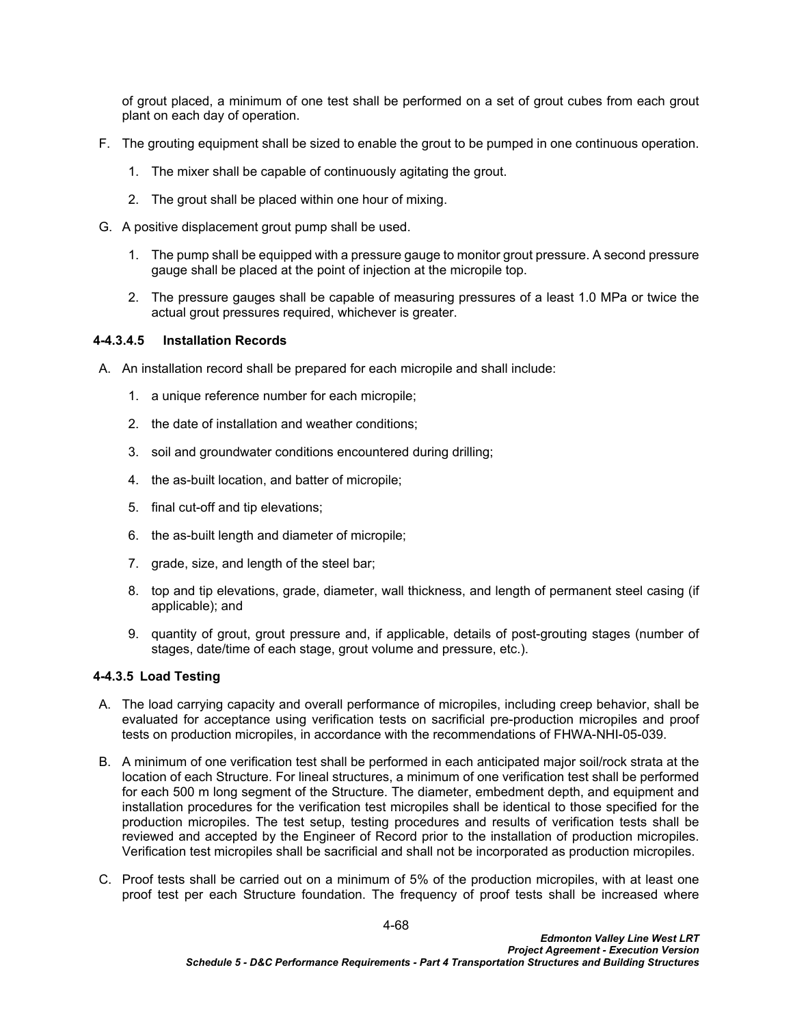of grout placed, a minimum of one test shall be performed on a set of grout cubes from each grout plant on each day of operation.

- F. The grouting equipment shall be sized to enable the grout to be pumped in one continuous operation.
	- 1. The mixer shall be capable of continuously agitating the grout.
	- 2. The grout shall be placed within one hour of mixing.
- G. A positive displacement grout pump shall be used.
	- 1. The pump shall be equipped with a pressure gauge to monitor grout pressure. A second pressure gauge shall be placed at the point of injection at the micropile top.
	- 2. The pressure gauges shall be capable of measuring pressures of a least 1.0 MPa or twice the actual grout pressures required, whichever is greater.

### **4-4.3.4.5 Installation Records**

- A. An installation record shall be prepared for each micropile and shall include:
	- 1. a unique reference number for each micropile;
	- 2. the date of installation and weather conditions;
	- 3. soil and groundwater conditions encountered during drilling;
	- 4. the as-built location, and batter of micropile;
	- 5. final cut-off and tip elevations;
	- 6. the as-built length and diameter of micropile;
	- 7. grade, size, and length of the steel bar;
	- 8. top and tip elevations, grade, diameter, wall thickness, and length of permanent steel casing (if applicable); and
	- 9. quantity of grout, grout pressure and, if applicable, details of post-grouting stages (number of stages, date/time of each stage, grout volume and pressure, etc.).

### **4-4.3.5 Load Testing**

- A. The load carrying capacity and overall performance of micropiles, including creep behavior, shall be evaluated for acceptance using verification tests on sacrificial pre-production micropiles and proof tests on production micropiles, in accordance with the recommendations of FHWA-NHI-05-039.
- B. A minimum of one verification test shall be performed in each anticipated major soil/rock strata at the location of each Structure. For lineal structures, a minimum of one verification test shall be performed for each 500 m long segment of the Structure. The diameter, embedment depth, and equipment and installation procedures for the verification test micropiles shall be identical to those specified for the production micropiles. The test setup, testing procedures and results of verification tests shall be reviewed and accepted by the Engineer of Record prior to the installation of production micropiles. Verification test micropiles shall be sacrificial and shall not be incorporated as production micropiles.
- C. Proof tests shall be carried out on a minimum of 5% of the production micropiles, with at least one proof test per each Structure foundation. The frequency of proof tests shall be increased where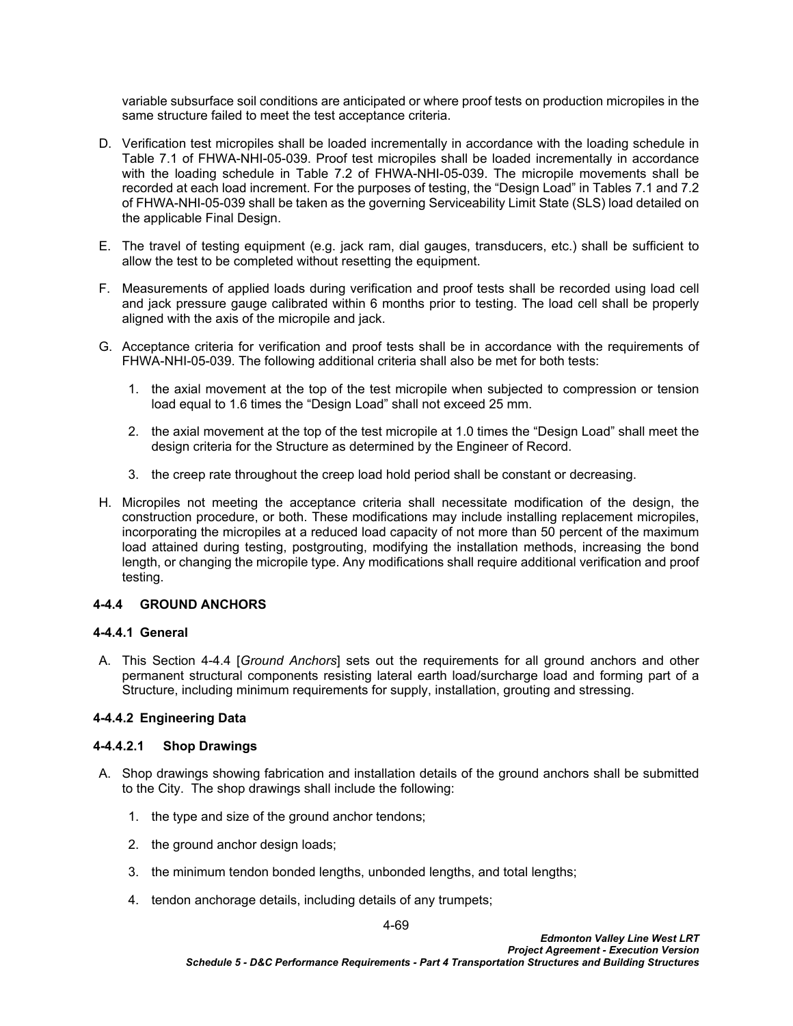variable subsurface soil conditions are anticipated or where proof tests on production micropiles in the same structure failed to meet the test acceptance criteria.

- D. Verification test micropiles shall be loaded incrementally in accordance with the loading schedule in Table 7.1 of FHWA-NHI-05-039. Proof test micropiles shall be loaded incrementally in accordance with the loading schedule in Table 7.2 of FHWA-NHI-05-039. The micropile movements shall be recorded at each load increment. For the purposes of testing, the "Design Load" in Tables 7.1 and 7.2 of FHWA-NHI-05-039 shall be taken as the governing Serviceability Limit State (SLS) load detailed on the applicable Final Design.
- E. The travel of testing equipment (e.g. jack ram, dial gauges, transducers, etc.) shall be sufficient to allow the test to be completed without resetting the equipment.
- F. Measurements of applied loads during verification and proof tests shall be recorded using load cell and jack pressure gauge calibrated within 6 months prior to testing. The load cell shall be properly aligned with the axis of the micropile and jack.
- G. Acceptance criteria for verification and proof tests shall be in accordance with the requirements of FHWA-NHI-05-039. The following additional criteria shall also be met for both tests:
	- 1. the axial movement at the top of the test micropile when subjected to compression or tension load equal to 1.6 times the "Design Load" shall not exceed 25 mm.
	- 2. the axial movement at the top of the test micropile at 1.0 times the "Design Load" shall meet the design criteria for the Structure as determined by the Engineer of Record.
	- 3. the creep rate throughout the creep load hold period shall be constant or decreasing.
- H. Micropiles not meeting the acceptance criteria shall necessitate modification of the design, the construction procedure, or both. These modifications may include installing replacement micropiles, incorporating the micropiles at a reduced load capacity of not more than 50 percent of the maximum load attained during testing, postgrouting, modifying the installation methods, increasing the bond length, or changing the micropile type. Any modifications shall require additional verification and proof testing.

### <span id="page-72-0"></span>**4-4.4 GROUND ANCHORS**

#### **4-4.4.1 General**

A. This Section [4-4.4](#page-72-0) [*[Ground Anchors](#page-72-0)*] sets out the requirements for all ground anchors and other permanent structural components resisting lateral earth load/surcharge load and forming part of a Structure, including minimum requirements for supply, installation, grouting and stressing.

### **4-4.4.2 Engineering Data**

### **4-4.4.2.1 Shop Drawings**

- A. Shop drawings showing fabrication and installation details of the ground anchors shall be submitted to the City. The shop drawings shall include the following:
	- 1. the type and size of the ground anchor tendons;
	- 2. the ground anchor design loads;
	- 3. the minimum tendon bonded lengths, unbonded lengths, and total lengths;
	- 4. tendon anchorage details, including details of any trumpets;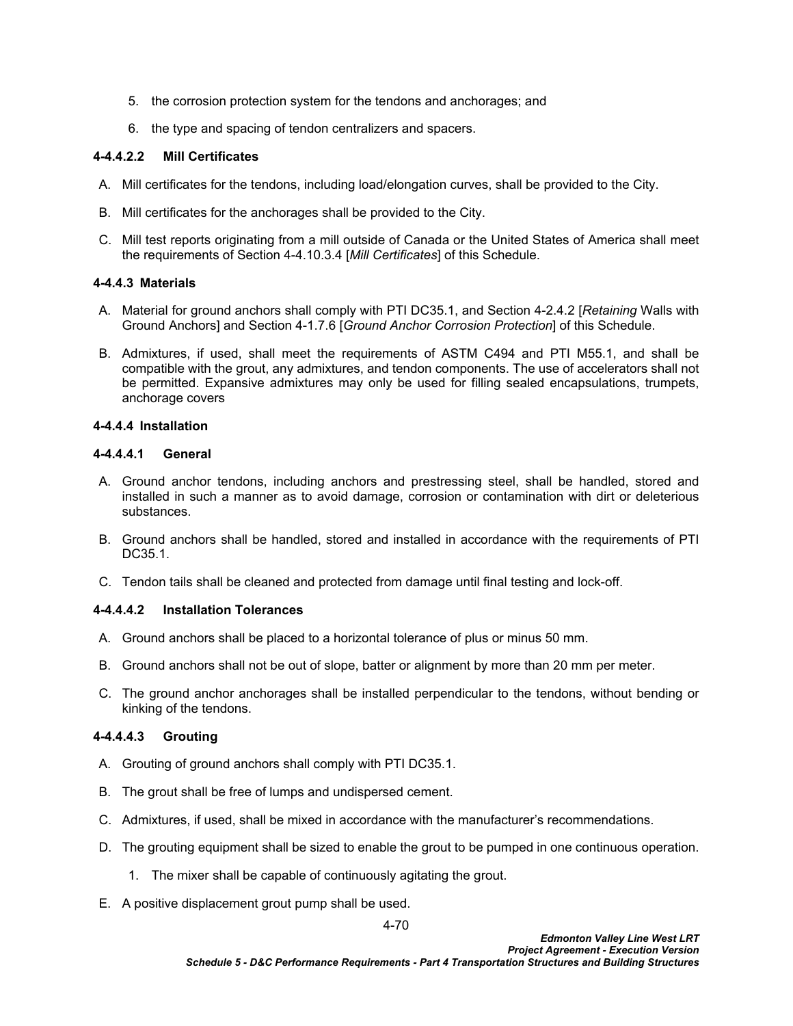- 5. the corrosion protection system for the tendons and anchorages; and
- 6. the type and spacing of tendon centralizers and spacers.

## **4-4.4.2.2 Mill Certificates**

- A. Mill certificates for the tendons, including load/elongation curves, shall be provided to the City.
- B. Mill certificates for the anchorages shall be provided to the City.
- C. Mill test reports originating from a mill outside of Canada or the United States of America shall meet the requirements of Section [4-4.10.3.4](#page-145-0) [*[Mill Certificates](#page-145-0)*] of this Schedule.

### **4-4.4.3 Materials**

- A. Material for ground anchors shall comply with PTI DC35.1, and Section [4-2.4.2](#page-32-0) [*Retaining* [Walls with](#page-32-0)  [Ground Anchors](#page-32-0)] and Section [4-1.7.6](#page-19-0) [*[Ground Anchor Corrosion Protection](#page-19-0)*] of this Schedule.
- B. Admixtures, if used, shall meet the requirements of ASTM C494 and PTI M55.1, and shall be compatible with the grout, any admixtures, and tendon components. The use of accelerators shall not be permitted. Expansive admixtures may only be used for filling sealed encapsulations, trumpets, anchorage covers

### **4-4.4.4 Installation**

### **4-4.4.4.1 General**

- A. Ground anchor tendons, including anchors and prestressing steel, shall be handled, stored and installed in such a manner as to avoid damage, corrosion or contamination with dirt or deleterious substances.
- B. Ground anchors shall be handled, stored and installed in accordance with the requirements of PTI DC35.1.
- C. Tendon tails shall be cleaned and protected from damage until final testing and lock-off.

# **4-4.4.4.2 Installation Tolerances**

- A. Ground anchors shall be placed to a horizontal tolerance of plus or minus 50 mm.
- B. Ground anchors shall not be out of slope, batter or alignment by more than 20 mm per meter.
- C. The ground anchor anchorages shall be installed perpendicular to the tendons, without bending or kinking of the tendons.

# **4-4.4.4.3 Grouting**

- A. Grouting of ground anchors shall comply with PTI DC35.1.
- B. The grout shall be free of lumps and undispersed cement.
- C. Admixtures, if used, shall be mixed in accordance with the manufacturer's recommendations.
- D. The grouting equipment shall be sized to enable the grout to be pumped in one continuous operation.
	- 1. The mixer shall be capable of continuously agitating the grout.
- E. A positive displacement grout pump shall be used.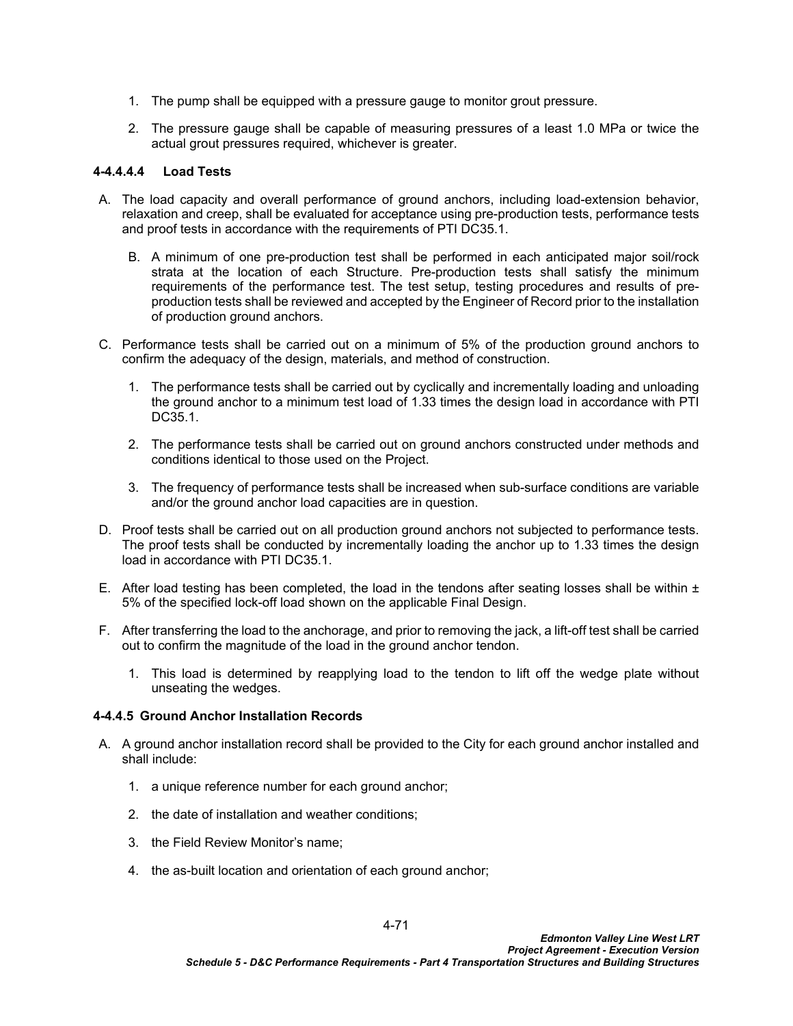- 1. The pump shall be equipped with a pressure gauge to monitor grout pressure.
- 2. The pressure gauge shall be capable of measuring pressures of a least 1.0 MPa or twice the actual grout pressures required, whichever is greater.

### **4-4.4.4.4 Load Tests**

- A. The load capacity and overall performance of ground anchors, including load-extension behavior, relaxation and creep, shall be evaluated for acceptance using pre-production tests, performance tests and proof tests in accordance with the requirements of PTI DC35.1.
	- B. A minimum of one pre-production test shall be performed in each anticipated major soil/rock strata at the location of each Structure. Pre-production tests shall satisfy the minimum requirements of the performance test. The test setup, testing procedures and results of preproduction tests shall be reviewed and accepted by the Engineer of Record prior to the installation of production ground anchors.
- C. Performance tests shall be carried out on a minimum of 5% of the production ground anchors to confirm the adequacy of the design, materials, and method of construction.
	- 1. The performance tests shall be carried out by cyclically and incrementally loading and unloading the ground anchor to a minimum test load of 1.33 times the design load in accordance with PTI DC35.1.
	- 2. The performance tests shall be carried out on ground anchors constructed under methods and conditions identical to those used on the Project.
	- 3. The frequency of performance tests shall be increased when sub-surface conditions are variable and/or the ground anchor load capacities are in question.
- D. Proof tests shall be carried out on all production ground anchors not subjected to performance tests. The proof tests shall be conducted by incrementally loading the anchor up to 1.33 times the design load in accordance with PTI DC35.1.
- E. After load testing has been completed, the load in the tendons after seating losses shall be within ± 5% of the specified lock-off load shown on the applicable Final Design.
- F. After transferring the load to the anchorage, and prior to removing the jack, a lift-off test shall be carried out to confirm the magnitude of the load in the ground anchor tendon.
	- 1. This load is determined by reapplying load to the tendon to lift off the wedge plate without unseating the wedges.

### **4-4.4.5 Ground Anchor Installation Records**

- A. A ground anchor installation record shall be provided to the City for each ground anchor installed and shall include:
	- 1. a unique reference number for each ground anchor;
	- 2. the date of installation and weather conditions;
	- 3. the Field Review Monitor's name;
	- 4. the as-built location and orientation of each ground anchor;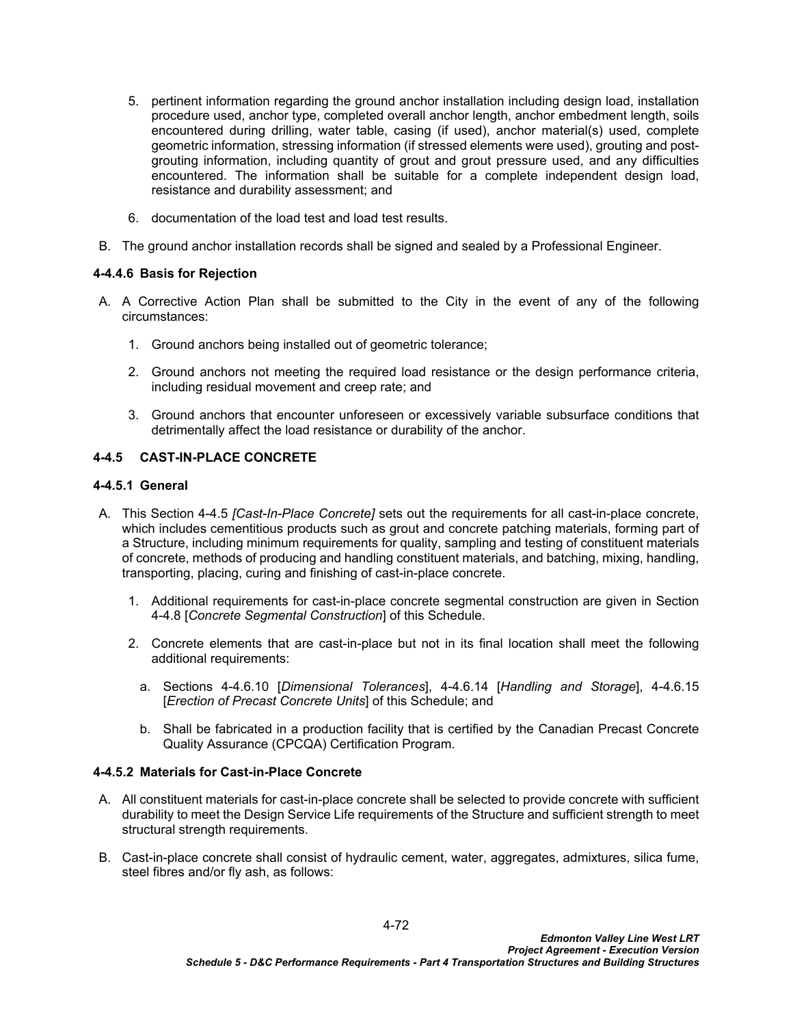- 5. pertinent information regarding the ground anchor installation including design load, installation procedure used, anchor type, completed overall anchor length, anchor embedment length, soils encountered during drilling, water table, casing (if used), anchor material(s) used, complete geometric information, stressing information (if stressed elements were used), grouting and postgrouting information, including quantity of grout and grout pressure used, and any difficulties encountered. The information shall be suitable for a complete independent design load, resistance and durability assessment; and
- 6. documentation of the load test and load test results.
- B. The ground anchor installation records shall be signed and sealed by a Professional Engineer.

### **4-4.4.6 Basis for Rejection**

- A. A Corrective Action Plan shall be submitted to the City in the event of any of the following circumstances:
	- 1. Ground anchors being installed out of geometric tolerance;
	- 2. Ground anchors not meeting the required load resistance or the design performance criteria, including residual movement and creep rate; and
	- 3. Ground anchors that encounter unforeseen or excessively variable subsurface conditions that detrimentally affect the load resistance or durability of the anchor.

### <span id="page-75-0"></span>**4-4.5 CAST-IN-PLACE CONCRETE**

### **4-4.5.1 General**

- A. This Section [4-4.5](#page-75-0) *[\[Cast-In-Place Concrete\]](#page-75-0)* sets out the requirements for all cast-in-place concrete, which includes cementitious products such as grout and concrete patching materials, forming part of a Structure, including minimum requirements for quality, sampling and testing of constituent materials of concrete, methods of producing and handling constituent materials, and batching, mixing, handling, transporting, placing, curing and finishing of cast-in-place concrete.
	- 1. Additional requirements for cast-in-place concrete segmental construction are given in Section [4-4.8](#page-134-0) [*[Concrete Segmental Construction](#page-134-0)*] of this Schedule.
	- 2. Concrete elements that are cast-in-place but not in its final location shall meet the following additional requirements:
		- a. Sections [4-4.6.10](#page-116-0) [*[Dimensional](#page-116-0) Tolerances*], [4-4.6.14](#page-122-0) [*[Handling and Storage](#page-122-0)*], [4-4.6.15](#page-123-0)  [*Erection [of Precast Concrete Units](#page-123-0)*] of this Schedule; and
		- b. Shall be fabricated in a production facility that is certified by the Canadian Precast Concrete Quality Assurance (CPCQA) Certification Program.

### **4-4.5.2 Materials for Cast-in-Place Concrete**

- A. All constituent materials for cast-in-place concrete shall be selected to provide concrete with sufficient durability to meet the Design Service Life requirements of the Structure and sufficient strength to meet structural strength requirements.
- B. Cast-in-place concrete shall consist of hydraulic cement, water, aggregates, admixtures, silica fume, steel fibres and/or fly ash, as follows: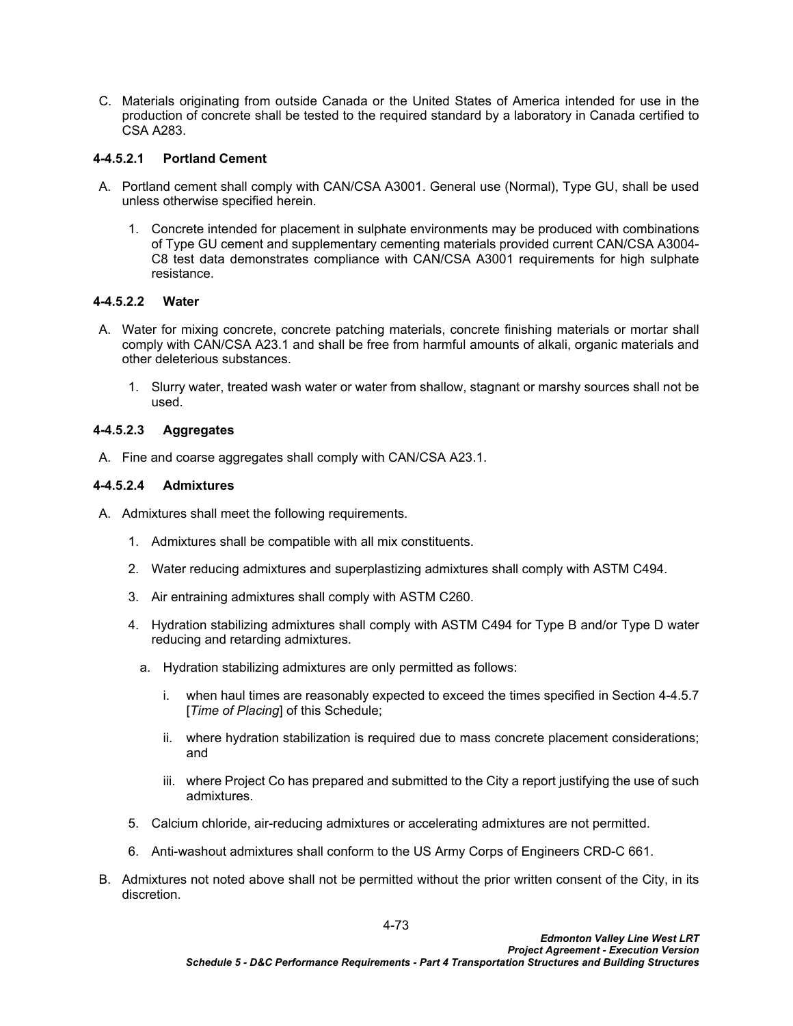C. Materials originating from outside Canada or the United States of America intended for use in the production of concrete shall be tested to the required standard by a laboratory in Canada certified to CSA A283.

### **4-4.5.2.1 Portland Cement**

- A. Portland cement shall comply with CAN/CSA A3001. General use (Normal), Type GU, shall be used unless otherwise specified herein.
	- 1. Concrete intended for placement in sulphate environments may be produced with combinations of Type GU cement and supplementary cementing materials provided current CAN/CSA A3004- C8 test data demonstrates compliance with CAN/CSA A3001 requirements for high sulphate resistance.

### **4-4.5.2.2 Water**

- A. Water for mixing concrete, concrete patching materials, concrete finishing materials or mortar shall comply with CAN/CSA A23.1 and shall be free from harmful amounts of alkali, organic materials and other deleterious substances.
	- 1. Slurry water, treated wash water or water from shallow, stagnant or marshy sources shall not be used.

# **4-4.5.2.3 Aggregates**

A. Fine and coarse aggregates shall comply with CAN/CSA A23.1.

### **4-4.5.2.4 Admixtures**

- A. Admixtures shall meet the following requirements.
	- 1. Admixtures shall be compatible with all mix constituents.
	- 2. Water reducing admixtures and superplastizing admixtures shall comply with ASTM C494.
	- 3. Air entraining admixtures shall comply with ASTM C260.
	- 4. Hydration stabilizing admixtures shall comply with ASTM C494 for Type B and/or Type D water reducing and retarding admixtures.
		- a. Hydration stabilizing admixtures are only permitted as follows:
			- i. when haul times are reasonably expected to exceed the times specified in Section [4-4.5.7](#page-83-0) [*[Time of Placing](#page-83-0)*] of this Schedule;
			- ii. where hydration stabilization is required due to mass concrete placement considerations; and
			- iii. where Project Co has prepared and submitted to the City a report justifying the use of such admixtures.
	- 5. Calcium chloride, air-reducing admixtures or accelerating admixtures are not permitted.
	- 6. Anti-washout admixtures shall conform to the US Army Corps of Engineers CRD-C 661.
- B. Admixtures not noted above shall not be permitted without the prior written consent of the City, in its discretion.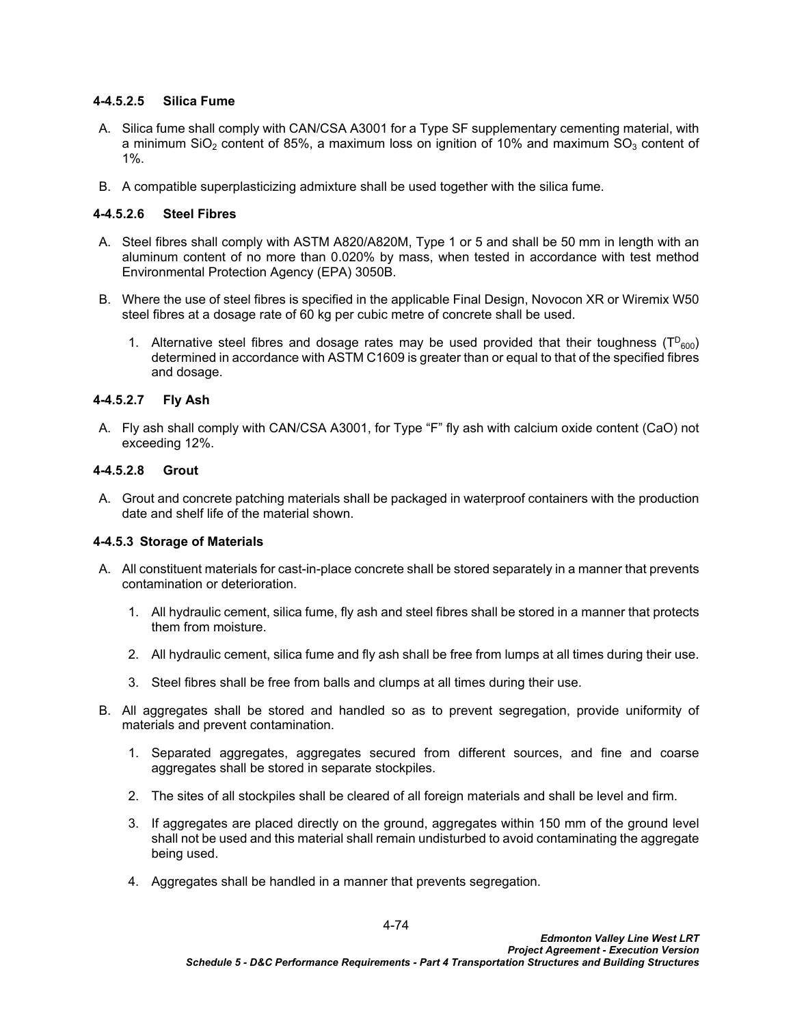### **4-4.5.2.5 Silica Fume**

- A. Silica fume shall comply with CAN/CSA A3001 for a Type SF supplementary cementing material, with a minimum  $SiO<sub>2</sub>$  content of 85%, a maximum loss on ignition of 10% and maximum  $SO<sub>3</sub>$  content of 1%.
- B. A compatible superplasticizing admixture shall be used together with the silica fume.

## **4-4.5.2.6 Steel Fibres**

- A. Steel fibres shall comply with ASTM A820/A820M, Type 1 or 5 and shall be 50 mm in length with an aluminum content of no more than 0.020% by mass, when tested in accordance with test method Environmental Protection Agency (EPA) 3050B.
- B. Where the use of steel fibres is specified in the applicable Final Design, Novocon XR or Wiremix W50 steel fibres at a dosage rate of 60 kg per cubic metre of concrete shall be used.
	- 1. Alternative steel fibres and dosage rates may be used provided that their toughness ( $T_{600}$ ) determined in accordance with ASTM C1609 is greater than or equal to that of the specified fibres and dosage.

### **4-4.5.2.7 Fly Ash**

A. Fly ash shall comply with CAN/CSA A3001, for Type "F" fly ash with calcium oxide content (CaO) not exceeding 12%.

### **4-4.5.2.8 Grout**

A. Grout and concrete patching materials shall be packaged in waterproof containers with the production date and shelf life of the material shown.

### **4-4.5.3 Storage of Materials**

- A. All constituent materials for cast-in-place concrete shall be stored separately in a manner that prevents contamination or deterioration.
	- 1. All hydraulic cement, silica fume, fly ash and steel fibres shall be stored in a manner that protects them from moisture.
	- 2. All hydraulic cement, silica fume and fly ash shall be free from lumps at all times during their use.
	- 3. Steel fibres shall be free from balls and clumps at all times during their use.
- B. All aggregates shall be stored and handled so as to prevent segregation, provide uniformity of materials and prevent contamination.
	- 1. Separated aggregates, aggregates secured from different sources, and fine and coarse aggregates shall be stored in separate stockpiles.
	- 2. The sites of all stockpiles shall be cleared of all foreign materials and shall be level and firm.
	- 3. If aggregates are placed directly on the ground, aggregates within 150 mm of the ground level shall not be used and this material shall remain undisturbed to avoid contaminating the aggregate being used.
	- 4. Aggregates shall be handled in a manner that prevents segregation.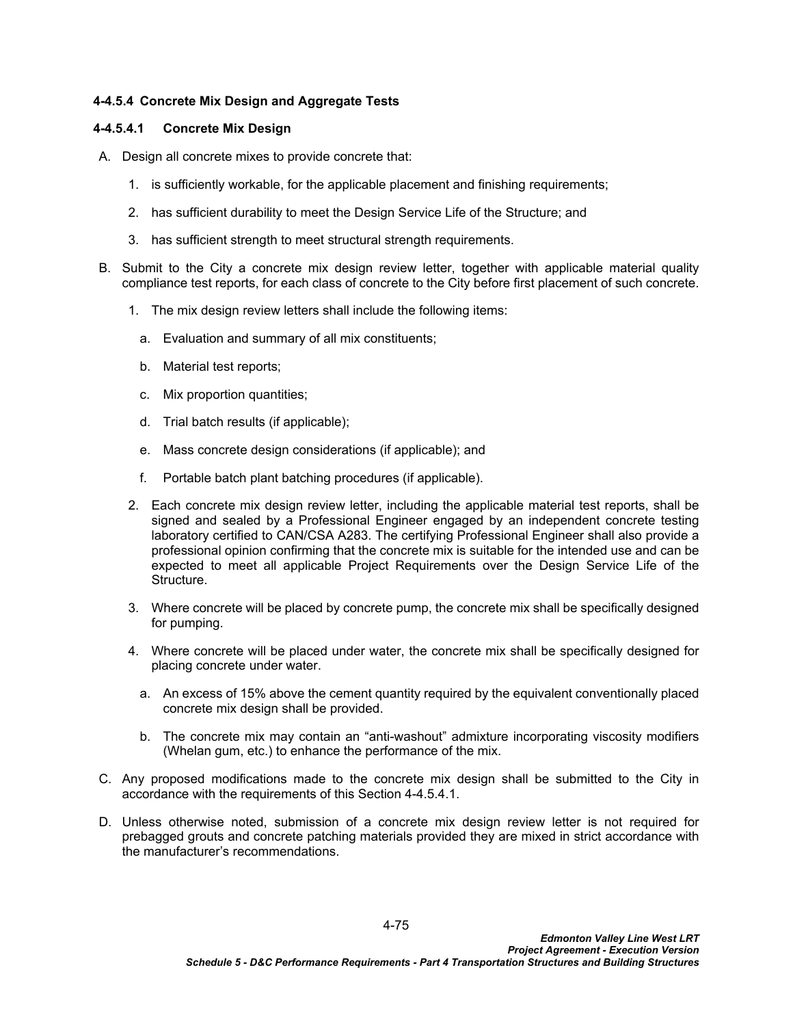### **4-4.5.4 Concrete Mix Design and Aggregate Tests**

### <span id="page-78-0"></span>**4-4.5.4.1 Concrete Mix Design**

- A. Design all concrete mixes to provide concrete that:
	- 1. is sufficiently workable, for the applicable placement and finishing requirements;
	- 2. has sufficient durability to meet the Design Service Life of the Structure; and
	- 3. has sufficient strength to meet structural strength requirements.
- B. Submit to the City a concrete mix design review letter, together with applicable material quality compliance test reports, for each class of concrete to the City before first placement of such concrete.
	- 1. The mix design review letters shall include the following items:
		- a. Evaluation and summary of all mix constituents;
		- b. Material test reports;
		- c. Mix proportion quantities;
		- d. Trial batch results (if applicable);
		- e. Mass concrete design considerations (if applicable); and
		- f. Portable batch plant batching procedures (if applicable).
	- 2. Each concrete mix design review letter, including the applicable material test reports, shall be signed and sealed by a Professional Engineer engaged by an independent concrete testing laboratory certified to CAN/CSA A283. The certifying Professional Engineer shall also provide a professional opinion confirming that the concrete mix is suitable for the intended use and can be expected to meet all applicable Project Requirements over the Design Service Life of the Structure.
	- 3. Where concrete will be placed by concrete pump, the concrete mix shall be specifically designed for pumping.
	- 4. Where concrete will be placed under water, the concrete mix shall be specifically designed for placing concrete under water.
		- a. An excess of 15% above the cement quantity required by the equivalent conventionally placed concrete mix design shall be provided.
		- b. The concrete mix may contain an "anti-washout" admixture incorporating viscosity modifiers (Whelan gum, etc.) to enhance the performance of the mix.
- C. Any proposed modifications made to the concrete mix design shall be submitted to the City in accordance with the requirements of this Section [4-4.5.4.1](#page-78-0).
- D. Unless otherwise noted, submission of a concrete mix design review letter is not required for prebagged grouts and concrete patching materials provided they are mixed in strict accordance with the manufacturer's recommendations.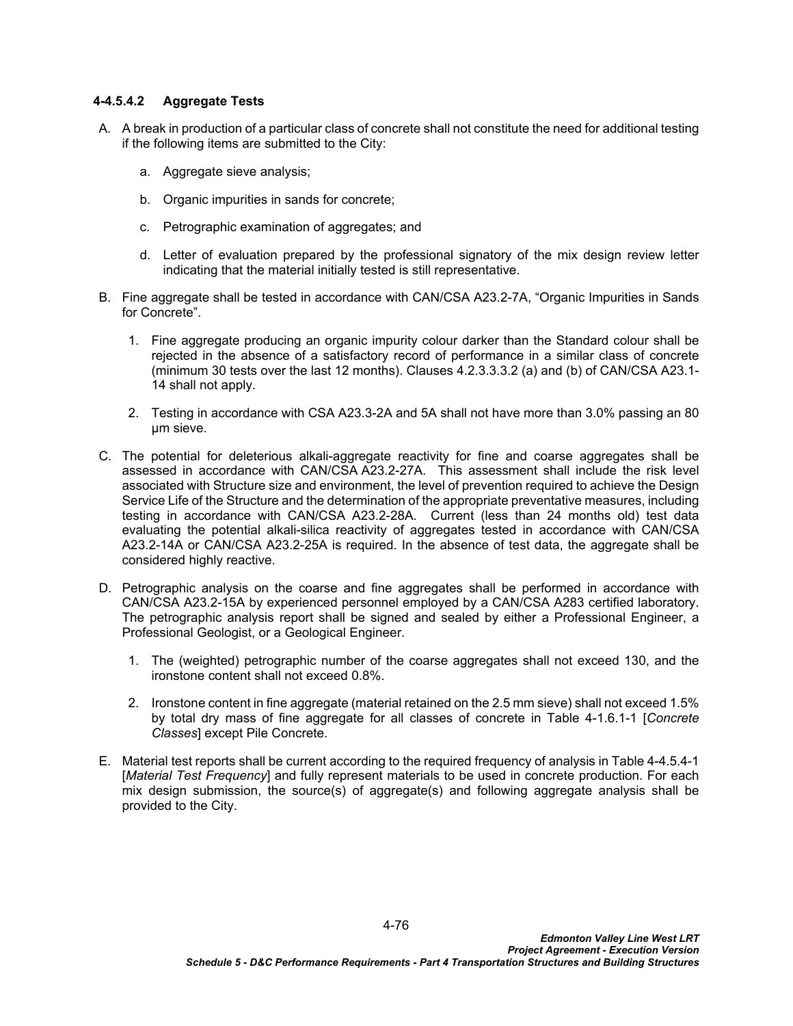### **4-4.5.4.2 Aggregate Tests**

- A. A break in production of a particular class of concrete shall not constitute the need for additional testing if the following items are submitted to the City:
	- a. Aggregate sieve analysis;
	- b. Organic impurities in sands for concrete;
	- c. Petrographic examination of aggregates; and
	- d. Letter of evaluation prepared by the professional signatory of the mix design review letter indicating that the material initially tested is still representative.
- B. Fine aggregate shall be tested in accordance with CAN/CSA A23.2-7A, "Organic Impurities in Sands for Concrete".
	- 1. Fine aggregate producing an organic impurity colour darker than the Standard colour shall be rejected in the absence of a satisfactory record of performance in a similar class of concrete (minimum 30 tests over the last 12 months). Clauses 4.2.3.3.3.2 (a) and (b) of CAN/CSA A23.1- 14 shall not apply.
	- 2. Testing in accordance with CSA A23.3-2A and 5A shall not have more than 3.0% passing an 80 µm sieve.
- C. The potential for deleterious alkali-aggregate reactivity for fine and coarse aggregates shall be assessed in accordance with CAN/CSA A23.2-27A. This assessment shall include the risk level associated with Structure size and environment, the level of prevention required to achieve the Design Service Life of the Structure and the determination of the appropriate preventative measures, including testing in accordance with CAN/CSA A23.2-28A. Current (less than 24 months old) test data evaluating the potential alkali-silica reactivity of aggregates tested in accordance with CAN/CSA A23.2-14A or CAN/CSA A23.2-25A is required. In the absence of test data, the aggregate shall be considered highly reactive.
- D. Petrographic analysis on the coarse and fine aggregates shall be performed in accordance with CAN/CSA A23.2-15A by experienced personnel employed by a CAN/CSA A283 certified laboratory. The petrographic analysis report shall be signed and sealed by either a Professional Engineer, a Professional Geologist, or a Geological Engineer.
	- 1. The (weighted) petrographic number of the coarse aggregates shall not exceed 130, and the ironstone content shall not exceed 0.8%.
	- 2. Ironstone content in fine aggregate (material retained on the 2.5 mm sieve) shall not exceed 1.5% by total dry mass of fine aggregate for all classes of concrete in [Table 4-1.6.1-1](#page-13-0) [*Concrete Classes*] except Pile Concrete.
- E. Material test reports shall be current according to the required frequency of analysis in [Table 4-4.5.4-1](#page-80-0) [*Material Test Frequency*] and fully represent materials to be used in concrete production. For each mix design submission, the source(s) of aggregate(s) and following aggregate analysis shall be provided to the City.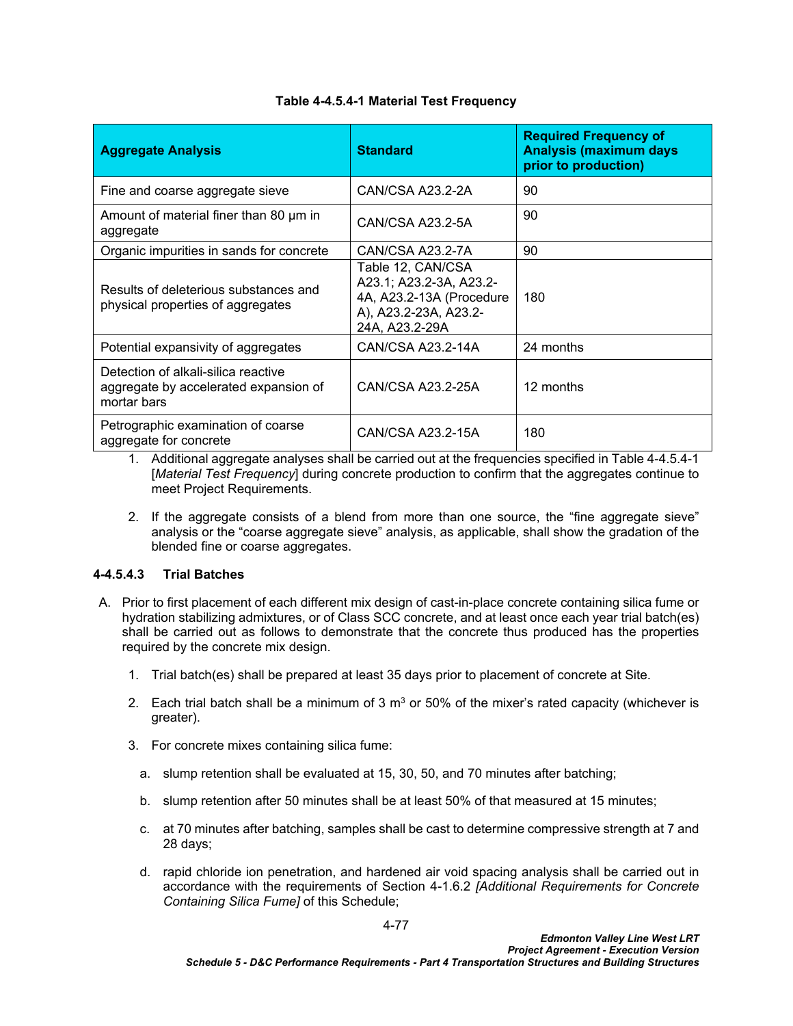| <b>Aggregate Analysis</b>                                                                   | <b>Standard</b>                                                                                                     | <b>Required Frequency of</b><br><b>Analysis (maximum days)</b><br>prior to production) |  |
|---------------------------------------------------------------------------------------------|---------------------------------------------------------------------------------------------------------------------|----------------------------------------------------------------------------------------|--|
| Fine and coarse aggregate sieve                                                             | CAN/CSA A23.2-2A                                                                                                    | 90                                                                                     |  |
| Amount of material finer than 80 µm in<br>aggregate                                         | CAN/CSA A23.2-5A                                                                                                    | 90                                                                                     |  |
| Organic impurities in sands for concrete                                                    | CAN/CSA A23.2-7A                                                                                                    | 90                                                                                     |  |
| Results of deleterious substances and<br>physical properties of aggregates                  | Table 12, CAN/CSA<br>A23.1; A23.2-3A, A23.2-<br>4A, A23.2-13A (Procedure<br>A), A23.2-23A, A23.2-<br>24A, A23.2-29A | 180                                                                                    |  |
| Potential expansivity of aggregates                                                         | CAN/CSA A23.2-14A                                                                                                   | 24 months                                                                              |  |
| Detection of alkali-silica reactive<br>aggregate by accelerated expansion of<br>mortar bars | CAN/CSA A23.2-25A                                                                                                   | 12 months                                                                              |  |
| Petrographic examination of coarse<br>aggregate for concrete                                | CAN/CSA A23.2-15A                                                                                                   | 180                                                                                    |  |

# <span id="page-80-0"></span>**Table 4-4.5.4-1 Material Test Frequency**

- 1. Additional aggregate analyses shall be carried out at the frequencies specified in [Table 4-4.5.4-1](#page-80-0) [*Material Test Frequency*] during concrete production to confirm that the aggregates continue to meet Project Requirements.
- 2. If the aggregate consists of a blend from more than one source, the "fine aggregate sieve" analysis or the "coarse aggregate sieve" analysis, as applicable, shall show the gradation of the blended fine or coarse aggregates.

# **4-4.5.4.3 Trial Batches**

- A. Prior to first placement of each different mix design of cast-in-place concrete containing silica fume or hydration stabilizing admixtures, or of Class SCC concrete, and at least once each year trial batch(es) shall be carried out as follows to demonstrate that the concrete thus produced has the properties required by the concrete mix design.
	- 1. Trial batch(es) shall be prepared at least 35 days prior to placement of concrete at Site.
	- 2. Each trial batch shall be a minimum of 3  $m<sup>3</sup>$  or 50% of the mixer's rated capacity (whichever is greater).
	- 3. For concrete mixes containing silica fume:
		- a. slump retention shall be evaluated at 15, 30, 50, and 70 minutes after batching;
		- b. slump retention after 50 minutes shall be at least 50% of that measured at 15 minutes;
		- c. at 70 minutes after batching, samples shall be cast to determine compressive strength at 7 and 28 days;
		- d. rapid chloride ion penetration, and hardened air void spacing analysis shall be carried out in accordance with the requirements of Section [4-1.6.2](#page-13-1) *[\[Additional Requirements for Concrete](#page-13-1)  [Containing Silica Fume\]](#page-13-1)* of this Schedule;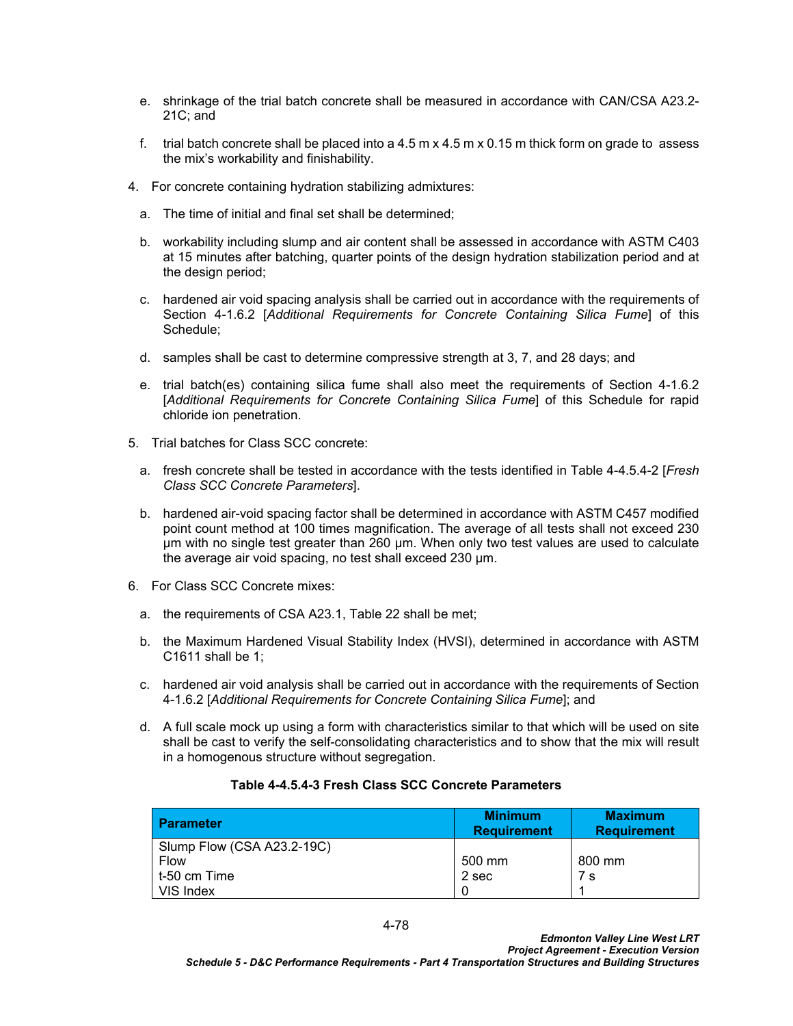- e. shrinkage of the trial batch concrete shall be measured in accordance with CAN/CSA A23.2- 21C; and
- f. trial batch concrete shall be placed into a  $4.5 \text{ m} \times 4.5 \text{ m} \times 0.15 \text{ m}$  thick form on grade to assess the mix's workability and finishability.
- 4. For concrete containing hydration stabilizing admixtures:
	- a. The time of initial and final set shall be determined;
	- b. workability including slump and air content shall be assessed in accordance with ASTM C403 at 15 minutes after batching, quarter points of the design hydration stabilization period and at the design period;
	- c. hardened air void spacing analysis shall be carried out in accordance with the requirements of Section [4-1.6.2](#page-13-1) [*[Additional Requirements for Concrete Containing Silica Fume](#page-13-1)*] of this Schedule;
	- d. samples shall be cast to determine compressive strength at 3, 7, and 28 days; and
	- e. trial batch(es) containing silica fume shall also meet the requirements of Section [4-1.6.2](#page-13-1)  [*[Additional Requirements for Concrete Containing Silica Fume](#page-13-1)*] of this Schedule for rapid chloride ion penetration.
- 5. Trial batches for Class SCC concrete:
	- a. fresh concrete shall be tested in accordance with the tests identified in Table 4-4.5.4-2 [*Fresh Class SCC Concrete Parameters*].
	- b. hardened air-void spacing factor shall be determined in accordance with ASTM C457 modified point count method at 100 times magnification. The average of all tests shall not exceed 230 μm with no single test greater than 260 μm. When only two test values are used to calculate the average air void spacing, no test shall exceed 230 μm.
- 6. For Class SCC Concrete mixes:
	- a. the requirements of CSA A23.1, Table 22 shall be met;
	- b. the Maximum Hardened Visual Stability Index (HVSI), determined in accordance with ASTM C1611 shall be 1;
	- c. hardened air void analysis shall be carried out in accordance with the requirements of Section [4-1.6.2](#page-13-1) [*[Additional Requirements for Concrete Containing](#page-13-1) Silica Fume*]; and
	- d. A full scale mock up using a form with characteristics similar to that which will be used on site shall be cast to verify the self-consolidating characteristics and to show that the mix will result in a homogenous structure without segregation.

## **Table 4-4.5.4-3 Fresh Class SCC Concrete Parameters**

| <b>Parameter</b>           | <b>Minimum</b><br><b>Requirement</b> | <b>Maximum</b><br><b>Requirement</b> |
|----------------------------|--------------------------------------|--------------------------------------|
| Slump Flow (CSA A23.2-19C) |                                      |                                      |
| <b>Flow</b>                | 500 mm                               | 800 mm                               |
| t-50 cm Time               | 2 sec                                | 7 s                                  |
| VIS Index                  |                                      |                                      |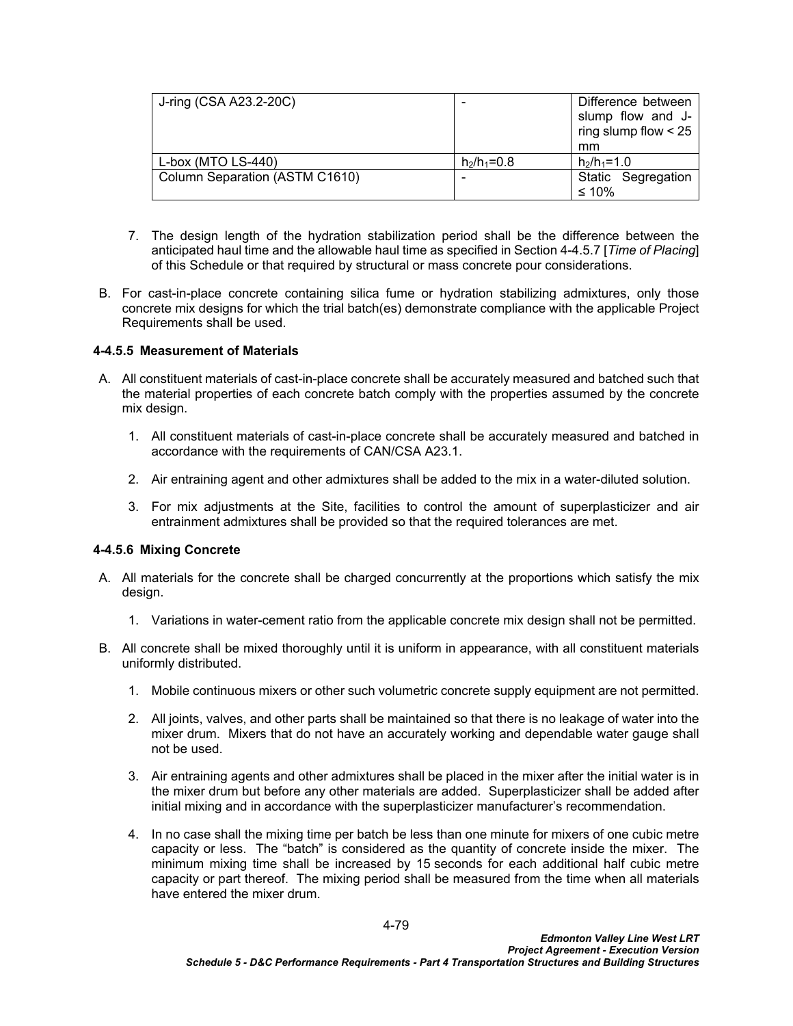| J-ring (CSA A23.2-20C)         | $\overline{\phantom{0}}$ | Difference between<br>slump flow and J-<br>ring slump flow $<$ 25<br>mm |  |  |
|--------------------------------|--------------------------|-------------------------------------------------------------------------|--|--|
| L-box (MTO LS-440)             | $h_2/h_1 = 0.8$          | $h_2/h_1 = 1.0$                                                         |  |  |
| Column Separation (ASTM C1610) | $\overline{\phantom{0}}$ | Static Segregation                                                      |  |  |
|                                |                          | $\leq 10\%$                                                             |  |  |

- 7. The design length of the hydration stabilization period shall be the difference between the anticipated haul time and the allowable haul time as specified in Section [4-4.5.7](#page-83-0) [*[Time of Placing](#page-83-0)*] of this Schedule or that required by structural or mass concrete pour considerations.
- B. For cast-in-place concrete containing silica fume or hydration stabilizing admixtures, only those concrete mix designs for which the trial batch(es) demonstrate compliance with the applicable Project Requirements shall be used.

### **4-4.5.5 Measurement of Materials**

- A. All constituent materials of cast-in-place concrete shall be accurately measured and batched such that the material properties of each concrete batch comply with the properties assumed by the concrete mix design.
	- 1. All constituent materials of cast-in-place concrete shall be accurately measured and batched in accordance with the requirements of CAN/CSA A23.1.
	- 2. Air entraining agent and other admixtures shall be added to the mix in a water-diluted solution.
	- 3. For mix adjustments at the Site, facilities to control the amount of superplasticizer and air entrainment admixtures shall be provided so that the required tolerances are met.

### **4-4.5.6 Mixing Concrete**

- A. All materials for the concrete shall be charged concurrently at the proportions which satisfy the mix design.
	- 1. Variations in water-cement ratio from the applicable concrete mix design shall not be permitted.
- B. All concrete shall be mixed thoroughly until it is uniform in appearance, with all constituent materials uniformly distributed.
	- 1. Mobile continuous mixers or other such volumetric concrete supply equipment are not permitted.
	- 2. All joints, valves, and other parts shall be maintained so that there is no leakage of water into the mixer drum. Mixers that do not have an accurately working and dependable water gauge shall not be used.
	- 3. Air entraining agents and other admixtures shall be placed in the mixer after the initial water is in the mixer drum but before any other materials are added. Superplasticizer shall be added after initial mixing and in accordance with the superplasticizer manufacturer's recommendation.
	- 4. In no case shall the mixing time per batch be less than one minute for mixers of one cubic metre capacity or less. The "batch" is considered as the quantity of concrete inside the mixer. The minimum mixing time shall be increased by 15 seconds for each additional half cubic metre capacity or part thereof. The mixing period shall be measured from the time when all materials have entered the mixer drum.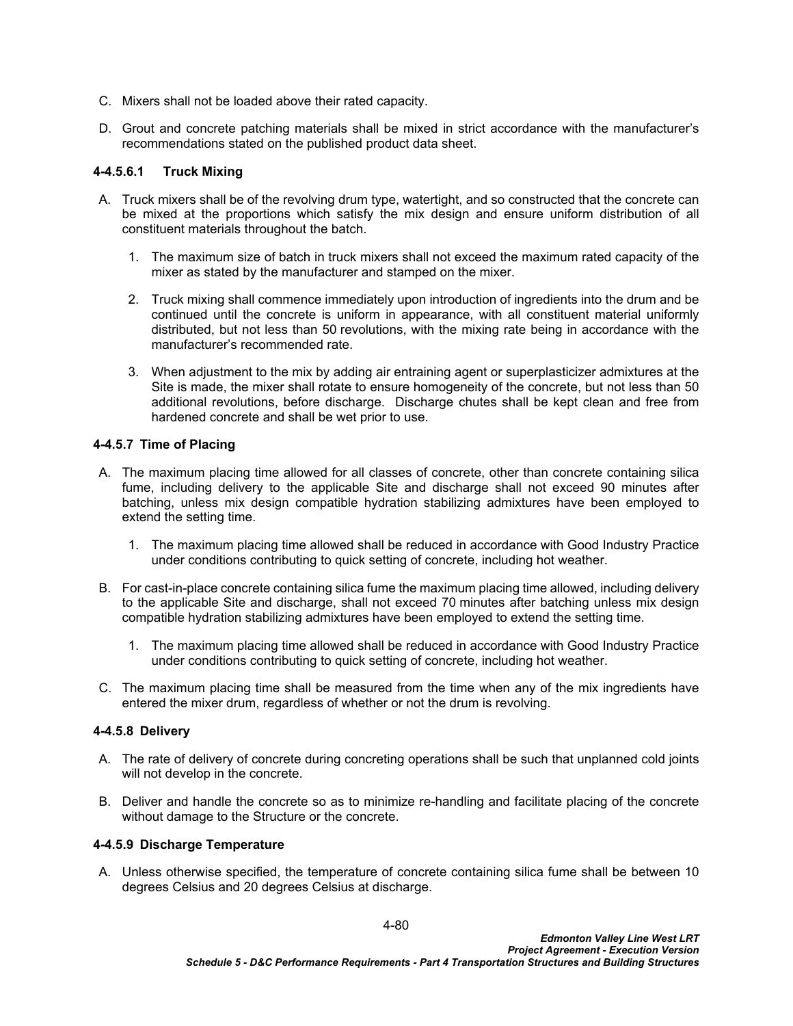- C. Mixers shall not be loaded above their rated capacity.
- D. Grout and concrete patching materials shall be mixed in strict accordance with the manufacturer's recommendations stated on the published product data sheet.

#### **4-4.5.6.1 Truck Mixing**

- A. Truck mixers shall be of the revolving drum type, watertight, and so constructed that the concrete can be mixed at the proportions which satisfy the mix design and ensure uniform distribution of all constituent materials throughout the batch.
	- 1. The maximum size of batch in truck mixers shall not exceed the maximum rated capacity of the mixer as stated by the manufacturer and stamped on the mixer.
	- 2. Truck mixing shall commence immediately upon introduction of ingredients into the drum and be continued until the concrete is uniform in appearance, with all constituent material uniformly distributed, but not less than 50 revolutions, with the mixing rate being in accordance with the manufacturer's recommended rate.
	- 3. When adjustment to the mix by adding air entraining agent or superplasticizer admixtures at the Site is made, the mixer shall rotate to ensure homogeneity of the concrete, but not less than 50 additional revolutions, before discharge. Discharge chutes shall be kept clean and free from hardened concrete and shall be wet prior to use.

#### <span id="page-83-0"></span>**4-4.5.7 Time of Placing**

- A. The maximum placing time allowed for all classes of concrete, other than concrete containing silica fume, including delivery to the applicable Site and discharge shall not exceed 90 minutes after batching, unless mix design compatible hydration stabilizing admixtures have been employed to extend the setting time.
	- 1. The maximum placing time allowed shall be reduced in accordance with Good Industry Practice under conditions contributing to quick setting of concrete, including hot weather.
- B. For cast-in-place concrete containing silica fume the maximum placing time allowed, including delivery to the applicable Site and discharge, shall not exceed 70 minutes after batching unless mix design compatible hydration stabilizing admixtures have been employed to extend the setting time.
	- 1. The maximum placing time allowed shall be reduced in accordance with Good Industry Practice under conditions contributing to quick setting of concrete, including hot weather.
- C. The maximum placing time shall be measured from the time when any of the mix ingredients have entered the mixer drum, regardless of whether or not the drum is revolving.

### **4-4.5.8 Delivery**

- A. The rate of delivery of concrete during concreting operations shall be such that unplanned cold joints will not develop in the concrete.
- B. Deliver and handle the concrete so as to minimize re-handling and facilitate placing of the concrete without damage to the Structure or the concrete.

### <span id="page-83-1"></span>**4-4.5.9 Discharge Temperature**

A. Unless otherwise specified, the temperature of concrete containing silica fume shall be between 10 degrees Celsius and 20 degrees Celsius at discharge.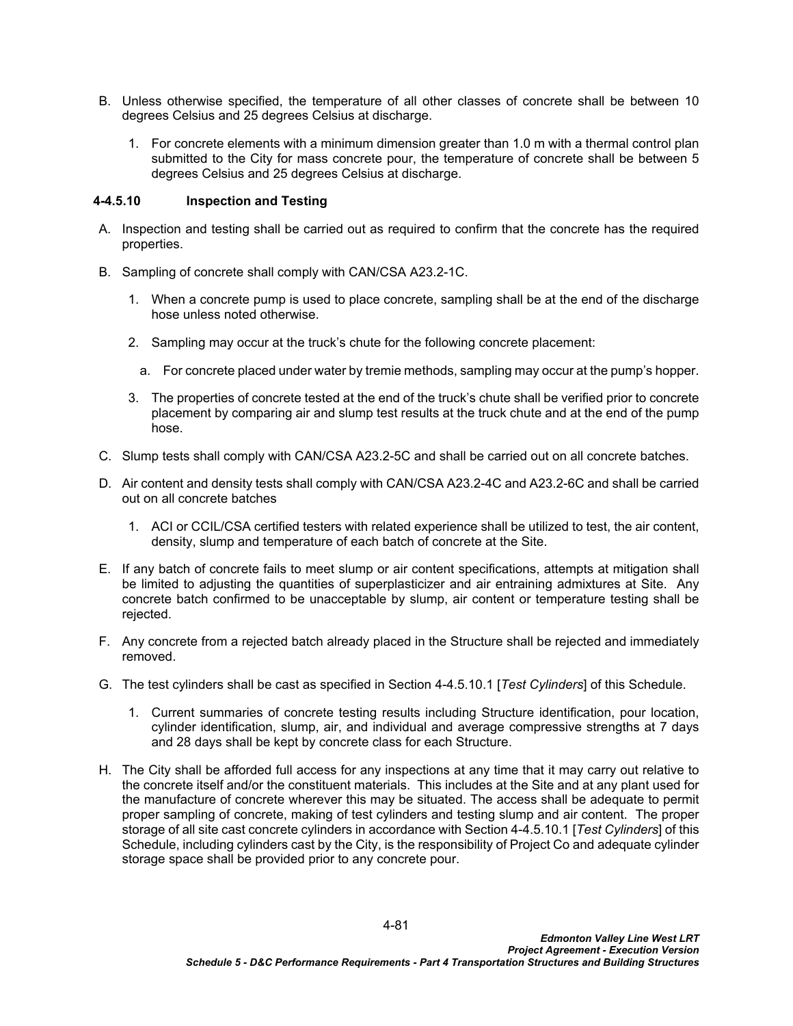- B. Unless otherwise specified, the temperature of all other classes of concrete shall be between 10 degrees Celsius and 25 degrees Celsius at discharge.
	- 1. For concrete elements with a minimum dimension greater than 1.0 m with a thermal control plan submitted to the City for mass concrete pour, the temperature of concrete shall be between 5 degrees Celsius and 25 degrees Celsius at discharge.

### **4-4.5.10 Inspection and Testing**

- A. Inspection and testing shall be carried out as required to confirm that the concrete has the required properties.
- B. Sampling of concrete shall comply with CAN/CSA A23.2-1C.
	- 1. When a concrete pump is used to place concrete, sampling shall be at the end of the discharge hose unless noted otherwise.
	- 2. Sampling may occur at the truck's chute for the following concrete placement:
		- a. For concrete placed under water by tremie methods, sampling may occur at the pump's hopper.
	- 3. The properties of concrete tested at the end of the truck's chute shall be verified prior to concrete placement by comparing air and slump test results at the truck chute and at the end of the pump hose.
- C. Slump tests shall comply with CAN/CSA A23.2-5C and shall be carried out on all concrete batches.
- D. Air content and density tests shall comply with CAN/CSA A23.2-4C and A23.2-6C and shall be carried out on all concrete batches
	- 1. ACI or CCIL/CSA certified testers with related experience shall be utilized to test, the air content, density, slump and temperature of each batch of concrete at the Site.
- E. If any batch of concrete fails to meet slump or air content specifications, attempts at mitigation shall be limited to adjusting the quantities of superplasticizer and air entraining admixtures at Site. Any concrete batch confirmed to be unacceptable by slump, air content or temperature testing shall be rejected.
- F. Any concrete from a rejected batch already placed in the Structure shall be rejected and immediately removed.
- G. The test cylinders shall be cast as specified in Section [4-4.5.10.1](#page-85-0) [*[Test Cylinders](#page-85-0)*] of this Schedule.
	- 1. Current summaries of concrete testing results including Structure identification, pour location, cylinder identification, slump, air, and individual and average compressive strengths at 7 days and 28 days shall be kept by concrete class for each Structure.
- H. The City shall be afforded full access for any inspections at any time that it may carry out relative to the concrete itself and/or the constituent materials. This includes at the Site and at any plant used for the manufacture of concrete wherever this may be situated. The access shall be adequate to permit proper sampling of concrete, making of test cylinders and testing slump and air content. The proper storage of all site cast concrete cylinders in accordance with Section [4-4.5.10.1](#page-85-0) [*[Test Cylinders](#page-85-0)*] of this Schedule, including cylinders cast by the City, is the responsibility of Project Co and adequate cylinder storage space shall be provided prior to any concrete pour.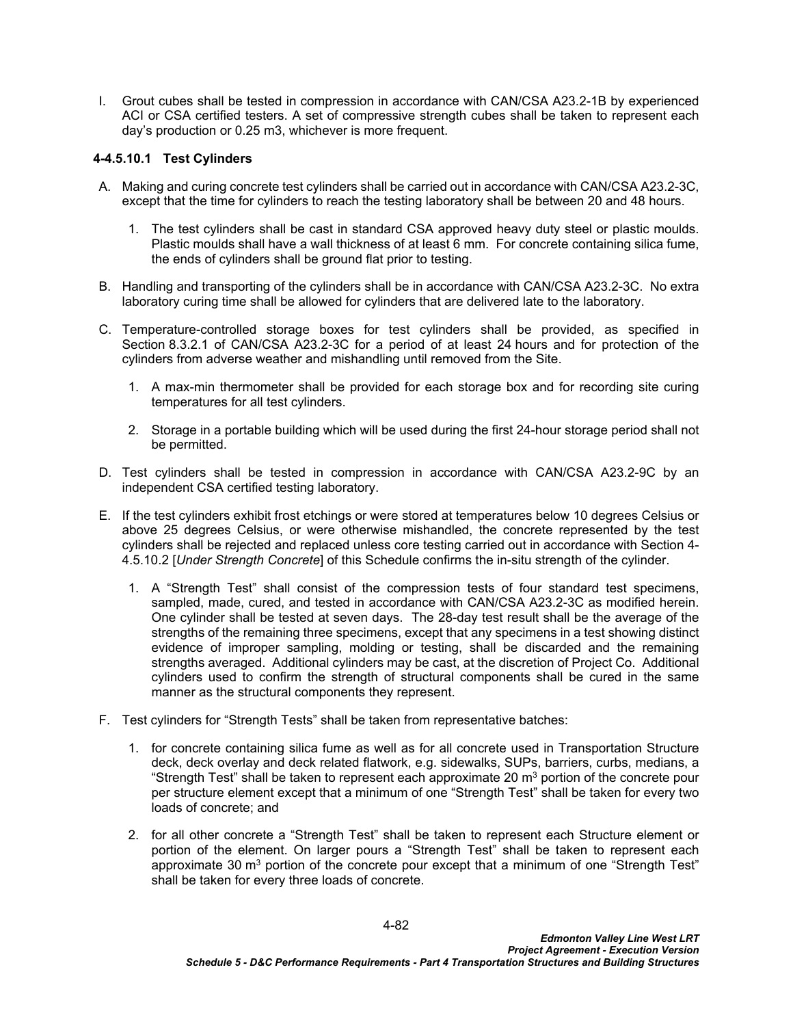I. Grout cubes shall be tested in compression in accordance with CAN/CSA A23.2-1B by experienced ACI or CSA certified testers. A set of compressive strength cubes shall be taken to represent each day's production or 0.25 m3, whichever is more frequent.

### <span id="page-85-0"></span>**4-4.5.10.1 Test Cylinders**

- A. Making and curing concrete test cylinders shall be carried out in accordance with CAN/CSA A23.2-3C, except that the time for cylinders to reach the testing laboratory shall be between 20 and 48 hours.
	- 1. The test cylinders shall be cast in standard CSA approved heavy duty steel or plastic moulds. Plastic moulds shall have a wall thickness of at least 6 mm. For concrete containing silica fume, the ends of cylinders shall be ground flat prior to testing.
- B. Handling and transporting of the cylinders shall be in accordance with CAN/CSA A23.2-3C. No extra laboratory curing time shall be allowed for cylinders that are delivered late to the laboratory.
- C. Temperature-controlled storage boxes for test cylinders shall be provided, as specified in Section 8.3.2.1 of CAN/CSA A23.2-3C for a period of at least 24 hours and for protection of the cylinders from adverse weather and mishandling until removed from the Site.
	- 1. A max-min thermometer shall be provided for each storage box and for recording site curing temperatures for all test cylinders.
	- 2. Storage in a portable building which will be used during the first 24-hour storage period shall not be permitted.
- D. Test cylinders shall be tested in compression in accordance with CAN/CSA A23.2-9C by an independent CSA certified testing laboratory.
- E. If the test cylinders exhibit frost etchings or were stored at temperatures below 10 degrees Celsius or above 25 degrees Celsius, or were otherwise mishandled, the concrete represented by the test cylinders shall be rejected and replaced unless core testing carried out in accordance with Section [4-](#page-86-0) [4.5.10.2](#page-86-0) [*[Under Strength Concrete](#page-86-0)*] of this Schedule confirms the in-situ strength of the cylinder.
	- 1. A "Strength Test" shall consist of the compression tests of four standard test specimens, sampled, made, cured, and tested in accordance with CAN/CSA A23.2-3C as modified herein. One cylinder shall be tested at seven days. The 28-day test result shall be the average of the strengths of the remaining three specimens, except that any specimens in a test showing distinct evidence of improper sampling, molding or testing, shall be discarded and the remaining strengths averaged. Additional cylinders may be cast, at the discretion of Project Co. Additional cylinders used to confirm the strength of structural components shall be cured in the same manner as the structural components they represent.
- F. Test cylinders for "Strength Tests" shall be taken from representative batches:
	- 1. for concrete containing silica fume as well as for all concrete used in Transportation Structure deck, deck overlay and deck related flatwork, e.g. sidewalks, SUPs, barriers, curbs, medians, a "Strength Test" shall be taken to represent each approximate 20  $\mathrm{m}^{3}$  portion of the concrete pour per structure element except that a minimum of one "Strength Test" shall be taken for every two loads of concrete; and
	- 2. for all other concrete a "Strength Test" shall be taken to represent each Structure element or portion of the element. On larger pours a "Strength Test" shall be taken to represent each approximate 30  $\text{m}^3$  portion of the concrete pour except that a minimum of one "Strength Test" shall be taken for every three loads of concrete.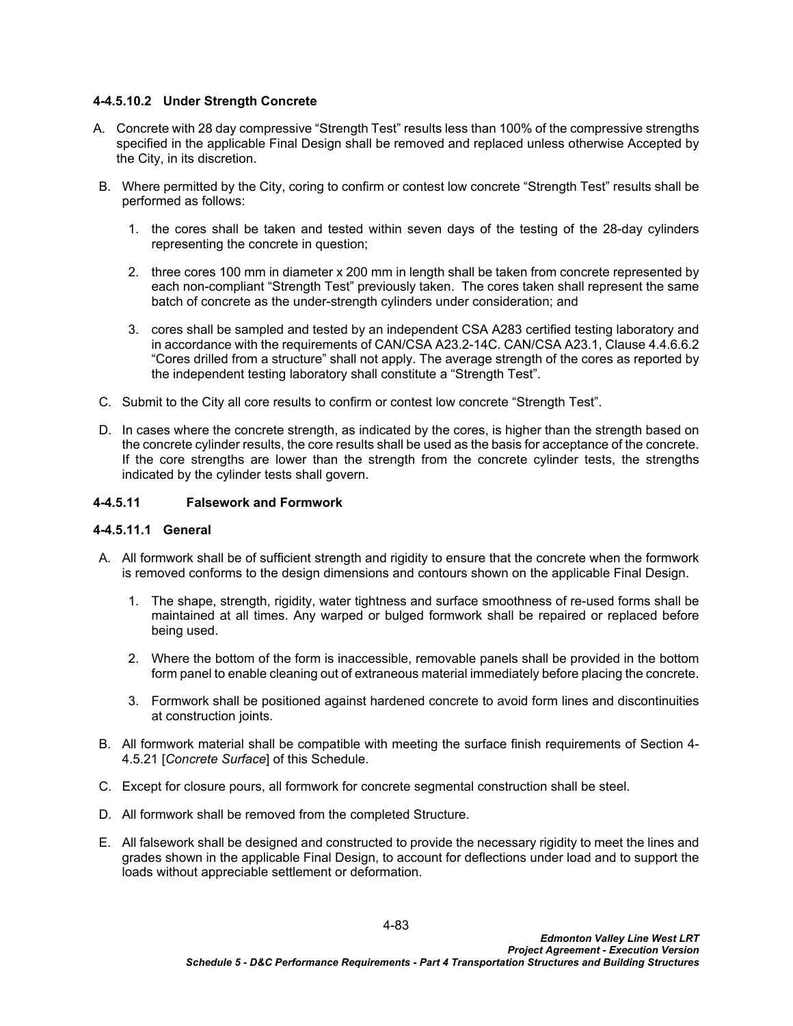### <span id="page-86-0"></span>**4-4.5.10.2 Under Strength Concrete**

- A. Concrete with 28 day compressive "Strength Test" results less than 100% of the compressive strengths specified in the applicable Final Design shall be removed and replaced unless otherwise Accepted by the City, in its discretion.
- B. Where permitted by the City, coring to confirm or contest low concrete "Strength Test" results shall be performed as follows:
	- 1. the cores shall be taken and tested within seven days of the testing of the 28-day cylinders representing the concrete in question;
	- 2. three cores 100 mm in diameter x 200 mm in length shall be taken from concrete represented by each non-compliant "Strength Test" previously taken. The cores taken shall represent the same batch of concrete as the under-strength cylinders under consideration; and
	- 3. cores shall be sampled and tested by an independent CSA A283 certified testing laboratory and in accordance with the requirements of CAN/CSA A23.2-14C. CAN/CSA A23.1, Clause 4.4.6.6.2 "Cores drilled from a structure" shall not apply. The average strength of the cores as reported by the independent testing laboratory shall constitute a "Strength Test".
- C. Submit to the City all core results to confirm or contest low concrete "Strength Test".
- D. In cases where the concrete strength, as indicated by the cores, is higher than the strength based on the concrete cylinder results, the core results shall be used as the basis for acceptance of the concrete. If the core strengths are lower than the strength from the concrete cylinder tests, the strengths indicated by the cylinder tests shall govern.

# **4-4.5.11 Falsework and Formwork**

### <span id="page-86-1"></span>**4-4.5.11.1 General**

- A. All formwork shall be of sufficient strength and rigidity to ensure that the concrete when the formwork is removed conforms to the design dimensions and contours shown on the applicable Final Design.
	- 1. The shape, strength, rigidity, water tightness and surface smoothness of re-used forms shall be maintained at all times. Any warped or bulged formwork shall be repaired or replaced before being used.
	- 2. Where the bottom of the form is inaccessible, removable panels shall be provided in the bottom form panel to enable cleaning out of extraneous material immediately before placing the concrete.
	- 3. Formwork shall be positioned against hardened concrete to avoid form lines and discontinuities at construction joints.
- B. All formwork material shall be compatible with meeting the surface finish requirements of Section [4-](#page-101-0) [4.5.21](#page-101-0) [*[Concrete Surface](#page-101-0)*] of this Schedule.
- C. Except for closure pours, all formwork for concrete segmental construction shall be steel.
- D. All formwork shall be removed from the completed Structure.
- E. All falsework shall be designed and constructed to provide the necessary rigidity to meet the lines and grades shown in the applicable Final Design, to account for deflections under load and to support the loads without appreciable settlement or deformation.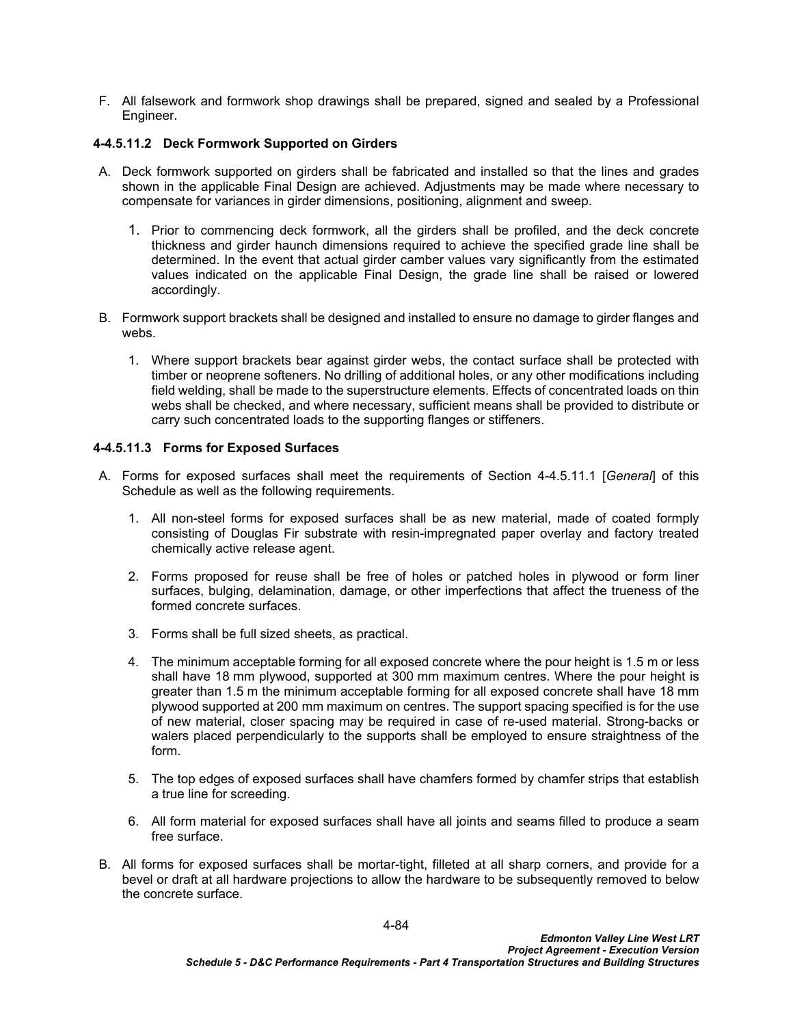F. All falsework and formwork shop drawings shall be prepared, signed and sealed by a Professional Engineer.

### **4-4.5.11.2 Deck Formwork Supported on Girders**

- A. Deck formwork supported on girders shall be fabricated and installed so that the lines and grades shown in the applicable Final Design are achieved. Adjustments may be made where necessary to compensate for variances in girder dimensions, positioning, alignment and sweep.
	- 1. Prior to commencing deck formwork, all the girders shall be profiled, and the deck concrete thickness and girder haunch dimensions required to achieve the specified grade line shall be determined. In the event that actual girder camber values vary significantly from the estimated values indicated on the applicable Final Design, the grade line shall be raised or lowered accordingly.
- B. Formwork support brackets shall be designed and installed to ensure no damage to girder flanges and webs.
	- 1. Where support brackets bear against girder webs, the contact surface shall be protected with timber or neoprene softeners. No drilling of additional holes, or any other modifications including field welding, shall be made to the superstructure elements. Effects of concentrated loads on thin webs shall be checked, and where necessary, sufficient means shall be provided to distribute or carry such concentrated loads to the supporting flanges or stiffeners.

### **4-4.5.11.3 Forms for Exposed Surfaces**

- A. Forms for exposed surfaces shall meet the requirements of Section [4-4.5.11.1](#page-86-1) [*[General](#page-86-1)*] of this Schedule as well as the following requirements.
	- 1. All non-steel forms for exposed surfaces shall be as new material, made of coated formply consisting of Douglas Fir substrate with resin-impregnated paper overlay and factory treated chemically active release agent.
	- 2. Forms proposed for reuse shall be free of holes or patched holes in plywood or form liner surfaces, bulging, delamination, damage, or other imperfections that affect the trueness of the formed concrete surfaces.
	- 3. Forms shall be full sized sheets, as practical.
	- 4. The minimum acceptable forming for all exposed concrete where the pour height is 1.5 m or less shall have 18 mm plywood, supported at 300 mm maximum centres. Where the pour height is greater than 1.5 m the minimum acceptable forming for all exposed concrete shall have 18 mm plywood supported at 200 mm maximum on centres. The support spacing specified is for the use of new material, closer spacing may be required in case of re-used material. Strong-backs or walers placed perpendicularly to the supports shall be employed to ensure straightness of the form.
	- 5. The top edges of exposed surfaces shall have chamfers formed by chamfer strips that establish a true line for screeding.
	- 6. All form material for exposed surfaces shall have all joints and seams filled to produce a seam free surface.
- B. All forms for exposed surfaces shall be mortar-tight, filleted at all sharp corners, and provide for a bevel or draft at all hardware projections to allow the hardware to be subsequently removed to below the concrete surface.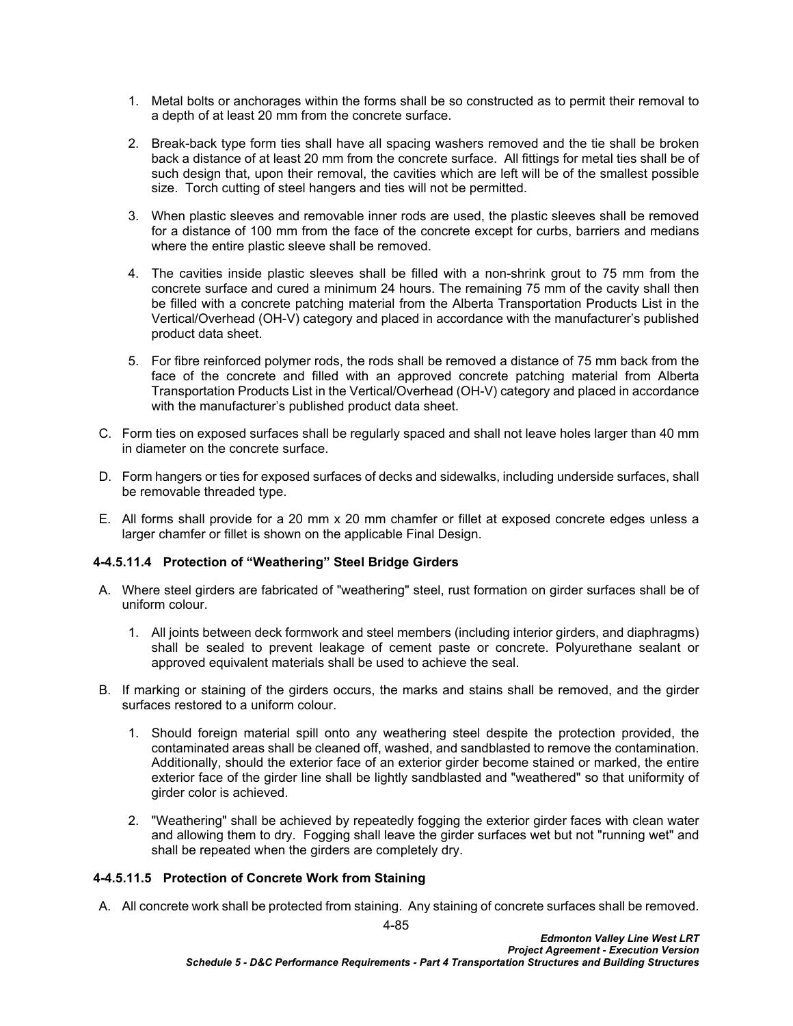- 1. Metal bolts or anchorages within the forms shall be so constructed as to permit their removal to a depth of at least 20 mm from the concrete surface.
- 2. Break-back type form ties shall have all spacing washers removed and the tie shall be broken back a distance of at least 20 mm from the concrete surface. All fittings for metal ties shall be of such design that, upon their removal, the cavities which are left will be of the smallest possible size. Torch cutting of steel hangers and ties will not be permitted.
- 3. When plastic sleeves and removable inner rods are used, the plastic sleeves shall be removed for a distance of 100 mm from the face of the concrete except for curbs, barriers and medians where the entire plastic sleeve shall be removed.
- 4. The cavities inside plastic sleeves shall be filled with a non-shrink grout to 75 mm from the concrete surface and cured a minimum 24 hours. The remaining 75 mm of the cavity shall then be filled with a concrete patching material from the Alberta Transportation Products List in the Vertical/Overhead (OH-V) category and placed in accordance with the manufacturer's published product data sheet.
- 5. For fibre reinforced polymer rods, the rods shall be removed a distance of 75 mm back from the face of the concrete and filled with an approved concrete patching material from Alberta Transportation Products List in the Vertical/Overhead (OH-V) category and placed in accordance with the manufacturer's published product data sheet.
- C. Form ties on exposed surfaces shall be regularly spaced and shall not leave holes larger than 40 mm in diameter on the concrete surface.
- D. Form hangers or ties for exposed surfaces of decks and sidewalks, including underside surfaces, shall be removable threaded type.
- E. All forms shall provide for a 20 mm x 20 mm chamfer or fillet at exposed concrete edges unless a larger chamfer or fillet is shown on the applicable Final Design.

### **4-4.5.11.4 Protection of "Weathering" Steel Bridge Girders**

- A. Where steel girders are fabricated of "weathering" steel, rust formation on girder surfaces shall be of uniform colour.
	- 1. All joints between deck formwork and steel members (including interior girders, and diaphragms) shall be sealed to prevent leakage of cement paste or concrete. Polyurethane sealant or approved equivalent materials shall be used to achieve the seal.
- B. If marking or staining of the girders occurs, the marks and stains shall be removed, and the girder surfaces restored to a uniform colour.
	- 1. Should foreign material spill onto any weathering steel despite the protection provided, the contaminated areas shall be cleaned off, washed, and sandblasted to remove the contamination. Additionally, should the exterior face of an exterior girder become stained or marked, the entire exterior face of the girder line shall be lightly sandblasted and "weathered" so that uniformity of girder color is achieved.
	- 2. "Weathering" shall be achieved by repeatedly fogging the exterior girder faces with clean water and allowing them to dry. Fogging shall leave the girder surfaces wet but not "running wet" and shall be repeated when the girders are completely dry.

### **4-4.5.11.5 Protection of Concrete Work from Staining**

A. All concrete work shall be protected from staining. Any staining of concrete surfaces shall be removed.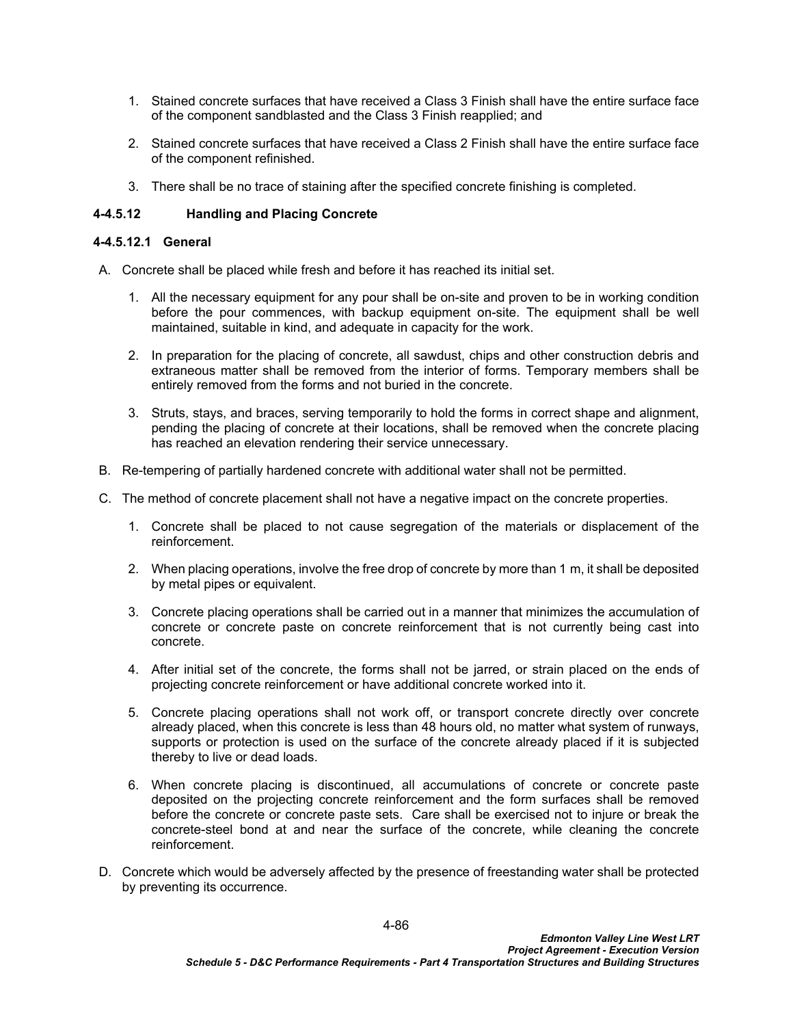- 1. Stained concrete surfaces that have received a Class 3 Finish shall have the entire surface face of the component sandblasted and the Class 3 Finish reapplied; and
- 2. Stained concrete surfaces that have received a Class 2 Finish shall have the entire surface face of the component refinished.
- 3. There shall be no trace of staining after the specified concrete finishing is completed.

## **4-4.5.12 Handling and Placing Concrete**

### <span id="page-89-0"></span>**4-4.5.12.1 General**

- A. Concrete shall be placed while fresh and before it has reached its initial set.
	- 1. All the necessary equipment for any pour shall be on-site and proven to be in working condition before the pour commences, with backup equipment on-site. The equipment shall be well maintained, suitable in kind, and adequate in capacity for the work.
	- 2. In preparation for the placing of concrete, all sawdust, chips and other construction debris and extraneous matter shall be removed from the interior of forms. Temporary members shall be entirely removed from the forms and not buried in the concrete.
	- 3. Struts, stays, and braces, serving temporarily to hold the forms in correct shape and alignment, pending the placing of concrete at their locations, shall be removed when the concrete placing has reached an elevation rendering their service unnecessary.
- B. Re-tempering of partially hardened concrete with additional water shall not be permitted.
- C. The method of concrete placement shall not have a negative impact on the concrete properties.
	- 1. Concrete shall be placed to not cause segregation of the materials or displacement of the reinforcement.
	- 2. When placing operations, involve the free drop of concrete by more than 1 m, it shall be deposited by metal pipes or equivalent.
	- 3. Concrete placing operations shall be carried out in a manner that minimizes the accumulation of concrete or concrete paste on concrete reinforcement that is not currently being cast into concrete.
	- 4. After initial set of the concrete, the forms shall not be jarred, or strain placed on the ends of projecting concrete reinforcement or have additional concrete worked into it.
	- 5. Concrete placing operations shall not work off, or transport concrete directly over concrete already placed, when this concrete is less than 48 hours old, no matter what system of runways, supports or protection is used on the surface of the concrete already placed if it is subjected thereby to live or dead loads.
	- 6. When concrete placing is discontinued, all accumulations of concrete or concrete paste deposited on the projecting concrete reinforcement and the form surfaces shall be removed before the concrete or concrete paste sets. Care shall be exercised not to injure or break the concrete-steel bond at and near the surface of the concrete, while cleaning the concrete reinforcement.
- D. Concrete which would be adversely affected by the presence of freestanding water shall be protected by preventing its occurrence.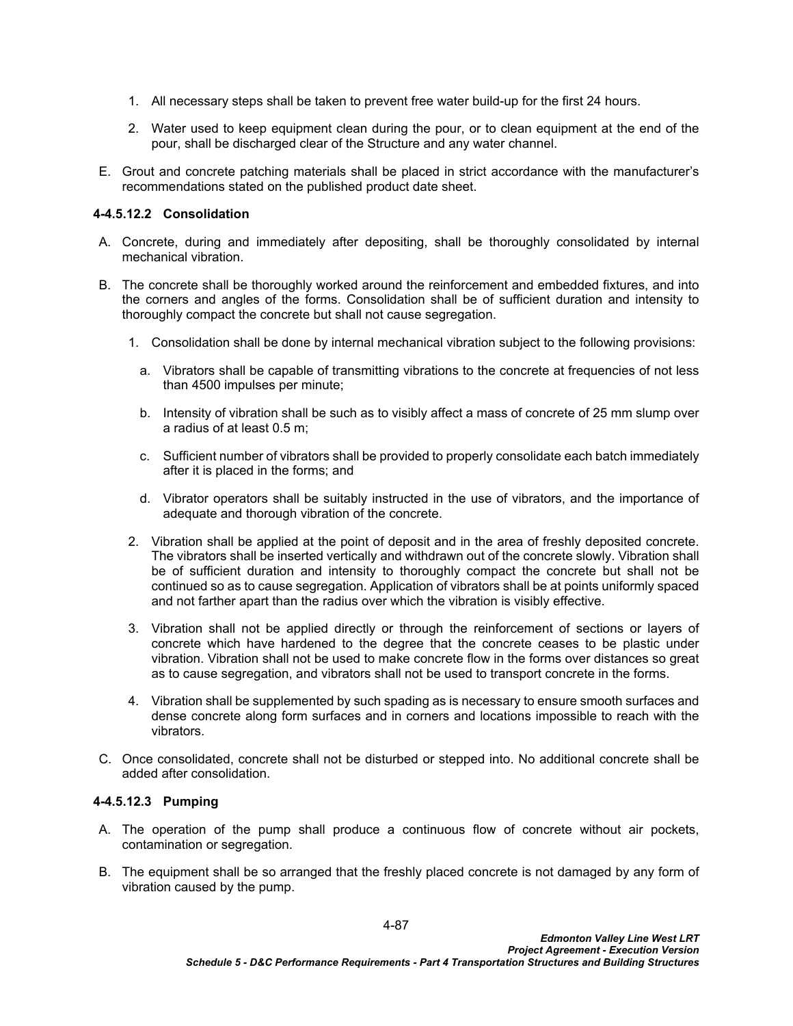- 1. All necessary steps shall be taken to prevent free water build-up for the first 24 hours.
- 2. Water used to keep equipment clean during the pour, or to clean equipment at the end of the pour, shall be discharged clear of the Structure and any water channel.
- E. Grout and concrete patching materials shall be placed in strict accordance with the manufacturer's recommendations stated on the published product date sheet.

## <span id="page-90-1"></span>**4-4.5.12.2 Consolidation**

- A. Concrete, during and immediately after depositing, shall be thoroughly consolidated by internal mechanical vibration.
- B. The concrete shall be thoroughly worked around the reinforcement and embedded fixtures, and into the corners and angles of the forms. Consolidation shall be of sufficient duration and intensity to thoroughly compact the concrete but shall not cause segregation.
	- 1. Consolidation shall be done by internal mechanical vibration subject to the following provisions:
		- a. Vibrators shall be capable of transmitting vibrations to the concrete at frequencies of not less than 4500 impulses per minute;
		- b. Intensity of vibration shall be such as to visibly affect a mass of concrete of 25 mm slump over a radius of at least 0.5 m;
		- c. Sufficient number of vibrators shall be provided to properly consolidate each batch immediately after it is placed in the forms; and
		- d. Vibrator operators shall be suitably instructed in the use of vibrators, and the importance of adequate and thorough vibration of the concrete.
	- 2. Vibration shall be applied at the point of deposit and in the area of freshly deposited concrete. The vibrators shall be inserted vertically and withdrawn out of the concrete slowly. Vibration shall be of sufficient duration and intensity to thoroughly compact the concrete but shall not be continued so as to cause segregation. Application of vibrators shall be at points uniformly spaced and not farther apart than the radius over which the vibration is visibly effective.
	- 3. Vibration shall not be applied directly or through the reinforcement of sections or layers of concrete which have hardened to the degree that the concrete ceases to be plastic under vibration. Vibration shall not be used to make concrete flow in the forms over distances so great as to cause segregation, and vibrators shall not be used to transport concrete in the forms.
	- 4. Vibration shall be supplemented by such spading as is necessary to ensure smooth surfaces and dense concrete along form surfaces and in corners and locations impossible to reach with the vibrators.
- C. Once consolidated, concrete shall not be disturbed or stepped into. No additional concrete shall be added after consolidation.

### <span id="page-90-0"></span>**4-4.5.12.3 Pumping**

- A. The operation of the pump shall produce a continuous flow of concrete without air pockets, contamination or segregation.
- B. The equipment shall be so arranged that the freshly placed concrete is not damaged by any form of vibration caused by the pump.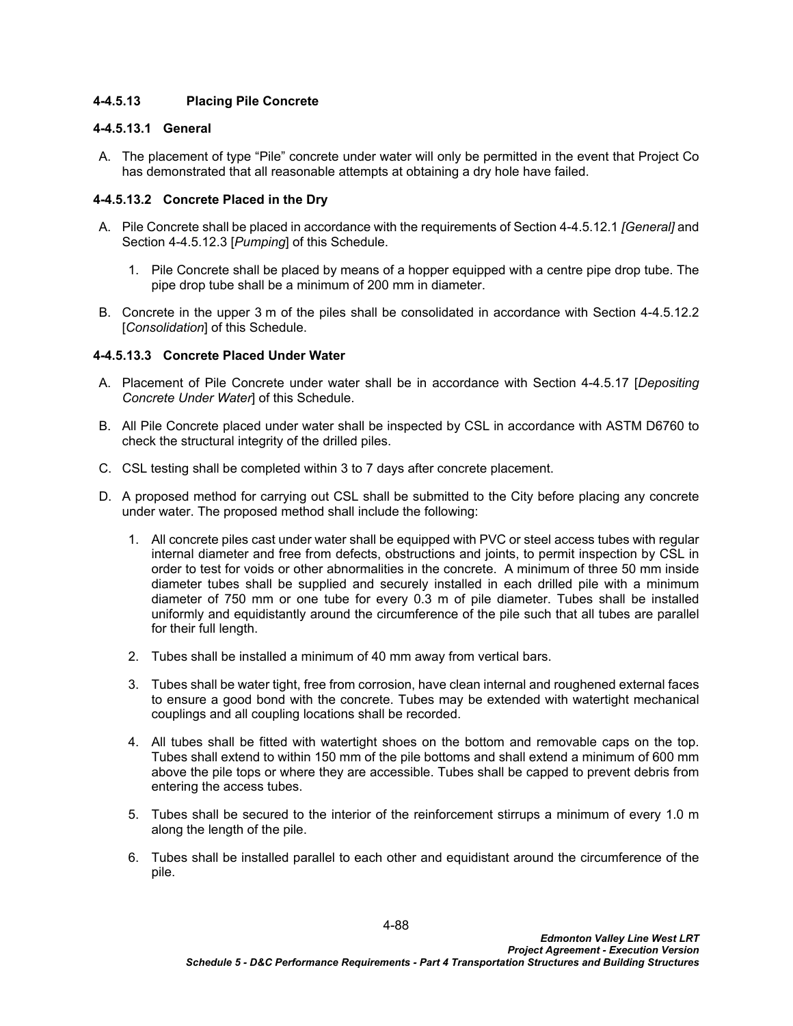## **4-4.5.13 Placing Pile Concrete**

# **4-4.5.13.1 General**

A. The placement of type "Pile" concrete under water will only be permitted in the event that Project Co has demonstrated that all reasonable attempts at obtaining a dry hole have failed.

### **4-4.5.13.2 Concrete Placed in the Dry**

- A. Pile Concrete shall be placed in accordance with the requirements of Section [4-4.5.12.1](#page-89-0) *[[General](#page-89-0)]* and Section [4-4.5.12.3](#page-90-0) [*[Pumping](#page-90-0)*] of this Schedule.
	- 1. Pile Concrete shall be placed by means of a hopper equipped with a centre pipe drop tube. The pipe drop tube shall be a minimum of 200 mm in diameter.
- B. Concrete in the upper 3 m of the piles shall be consolidated in accordance with Section [4-4.5.12.2](#page-90-1)  [*[Consolidation](#page-90-1)*] of this Schedule.

### **4-4.5.13.3 Concrete Placed Under Water**

- A. Placement of Pile Concrete under water shall be in accordance with Section [4-4.5.17](#page-97-0) [*[Depositing](#page-97-0)  [Concrete Under Water](#page-97-0)*] of this Schedule.
- B. All Pile Concrete placed under water shall be inspected by CSL in accordance with ASTM D6760 to check the structural integrity of the drilled piles.
- C. CSL testing shall be completed within 3 to 7 days after concrete placement.
- D. A proposed method for carrying out CSL shall be submitted to the City before placing any concrete under water. The proposed method shall include the following:
	- 1. All concrete piles cast under water shall be equipped with PVC or steel access tubes with regular internal diameter and free from defects, obstructions and joints, to permit inspection by CSL in order to test for voids or other abnormalities in the concrete. A minimum of three 50 mm inside diameter tubes shall be supplied and securely installed in each drilled pile with a minimum diameter of 750 mm or one tube for every 0.3 m of pile diameter. Tubes shall be installed uniformly and equidistantly around the circumference of the pile such that all tubes are parallel for their full length.
	- 2. Tubes shall be installed a minimum of 40 mm away from vertical bars.
	- 3. Tubes shall be water tight, free from corrosion, have clean internal and roughened external faces to ensure a good bond with the concrete. Tubes may be extended with watertight mechanical couplings and all coupling locations shall be recorded.
	- 4. All tubes shall be fitted with watertight shoes on the bottom and removable caps on the top. Tubes shall extend to within 150 mm of the pile bottoms and shall extend a minimum of 600 mm above the pile tops or where they are accessible. Tubes shall be capped to prevent debris from entering the access tubes.
	- 5. Tubes shall be secured to the interior of the reinforcement stirrups a minimum of every 1.0 m along the length of the pile.
	- 6. Tubes shall be installed parallel to each other and equidistant around the circumference of the pile.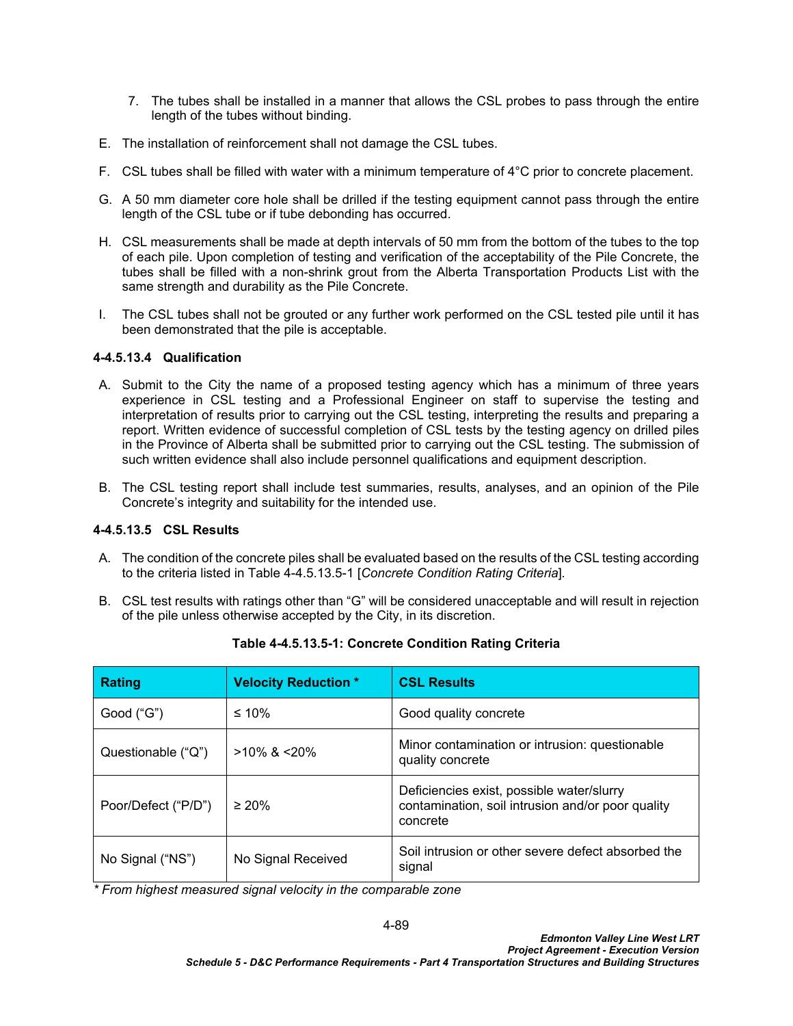- 7. The tubes shall be installed in a manner that allows the CSL probes to pass through the entire length of the tubes without binding.
- E. The installation of reinforcement shall not damage the CSL tubes.
- F. CSL tubes shall be filled with water with a minimum temperature of 4°C prior to concrete placement.
- G. A 50 mm diameter core hole shall be drilled if the testing equipment cannot pass through the entire length of the CSL tube or if tube debonding has occurred.
- H. CSL measurements shall be made at depth intervals of 50 mm from the bottom of the tubes to the top of each pile. Upon completion of testing and verification of the acceptability of the Pile Concrete, the tubes shall be filled with a non-shrink grout from the Alberta Transportation Products List with the same strength and durability as the Pile Concrete.
- I. The CSL tubes shall not be grouted or any further work performed on the CSL tested pile until it has been demonstrated that the pile is acceptable.

### **4-4.5.13.4 Qualification**

- A. Submit to the City the name of a proposed testing agency which has a minimum of three years experience in CSL testing and a Professional Engineer on staff to supervise the testing and interpretation of results prior to carrying out the CSL testing, interpreting the results and preparing a report. Written evidence of successful completion of CSL tests by the testing agency on drilled piles in the Province of Alberta shall be submitted prior to carrying out the CSL testing. The submission of such written evidence shall also include personnel qualifications and equipment description.
- B. The CSL testing report shall include test summaries, results, analyses, and an opinion of the Pile Concrete's integrity and suitability for the intended use.

### **4-4.5.13.5 CSL Results**

- A. The condition of the concrete piles shall be evaluated based on the results of the CSL testing according to the criteria listed in [Table 4-4.5.13.5-1](#page-92-0) [*Concrete Condition Rating Criteria*]*.*
- B. CSL test results with ratings other than "G" will be considered unacceptable and will result in rejection of the pile unless otherwise accepted by the City, in its discretion.

| <b>Rating</b>       | <b>Velocity Reduction *</b> | <b>CSL Results</b>                                                                                         |
|---------------------|-----------------------------|------------------------------------------------------------------------------------------------------------|
| Good $("G")$        | $\leq 10\%$                 | Good quality concrete                                                                                      |
| Questionable ("Q")  | $>10\%$ & $< 20\%$          | Minor contamination or intrusion: questionable<br>quality concrete                                         |
| Poor/Defect ("P/D") | $\geq 20\%$                 | Deficiencies exist, possible water/slurry<br>contamination, soil intrusion and/or poor quality<br>concrete |
| No Signal ("NS")    | No Signal Received          | Soil intrusion or other severe defect absorbed the<br>signal                                               |

<span id="page-92-0"></span>

|  |  | Table 4-4.5.13.5-1: Concrete Condition Rating Criteria |  |  |  |
|--|--|--------------------------------------------------------|--|--|--|
|--|--|--------------------------------------------------------|--|--|--|

*\* From highest measured signal velocity in the comparable zone*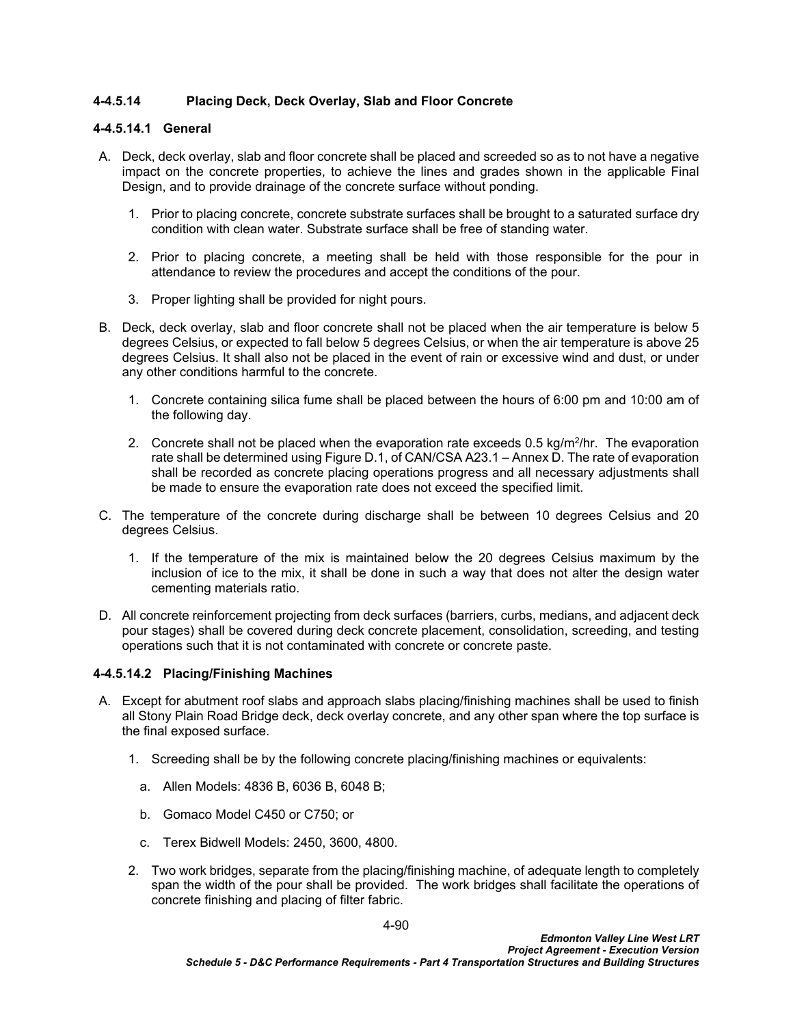## **4-4.5.14 Placing Deck, Deck Overlay, Slab and Floor Concrete**

# **4-4.5.14.1 General**

- A. Deck, deck overlay, slab and floor concrete shall be placed and screeded so as to not have a negative impact on the concrete properties, to achieve the lines and grades shown in the applicable Final Design, and to provide drainage of the concrete surface without ponding.
	- 1. Prior to placing concrete, concrete substrate surfaces shall be brought to a saturated surface dry condition with clean water. Substrate surface shall be free of standing water.
	- 2. Prior to placing concrete, a meeting shall be held with those responsible for the pour in attendance to review the procedures and accept the conditions of the pour.
	- 3. Proper lighting shall be provided for night pours.
- B. Deck, deck overlay, slab and floor concrete shall not be placed when the air temperature is below 5 degrees Celsius, or expected to fall below 5 degrees Celsius, or when the air temperature is above 25 degrees Celsius. It shall also not be placed in the event of rain or excessive wind and dust, or under any other conditions harmful to the concrete.
	- 1. Concrete containing silica fume shall be placed between the hours of 6:00 pm and 10:00 am of the following day.
	- 2. Concrete shall not be placed when the evaporation rate exceeds 0.5 kg/m<sup>2</sup>/hr. The evaporation rate shall be determined using Figure D.1, of CAN/CSA A23.1 – Annex D. The rate of evaporation shall be recorded as concrete placing operations progress and all necessary adjustments shall be made to ensure the evaporation rate does not exceed the specified limit.
- C. The temperature of the concrete during discharge shall be between 10 degrees Celsius and 20 degrees Celsius.
	- 1. If the temperature of the mix is maintained below the 20 degrees Celsius maximum by the inclusion of ice to the mix, it shall be done in such a way that does not alter the design water cementing materials ratio.
- D. All concrete reinforcement projecting from deck surfaces (barriers, curbs, medians, and adjacent deck pour stages) shall be covered during deck concrete placement, consolidation, screeding, and testing operations such that it is not contaminated with concrete or concrete paste.

### **4-4.5.14.2 Placing/Finishing Machines**

- A. Except for abutment roof slabs and approach slabs placing/finishing machines shall be used to finish all Stony Plain Road Bridge deck, deck overlay concrete, and any other span where the top surface is the final exposed surface.
	- 1. Screeding shall be by the following concrete placing/finishing machines or equivalents:
		- a. Allen Models: 4836 B, 6036 B, 6048 B;
		- b. Gomaco Model C450 or C750; or
		- c. Terex Bidwell Models: 2450, 3600, 4800.
	- 2. Two work bridges, separate from the placing/finishing machine, of adequate length to completely span the width of the pour shall be provided. The work bridges shall facilitate the operations of concrete finishing and placing of filter fabric.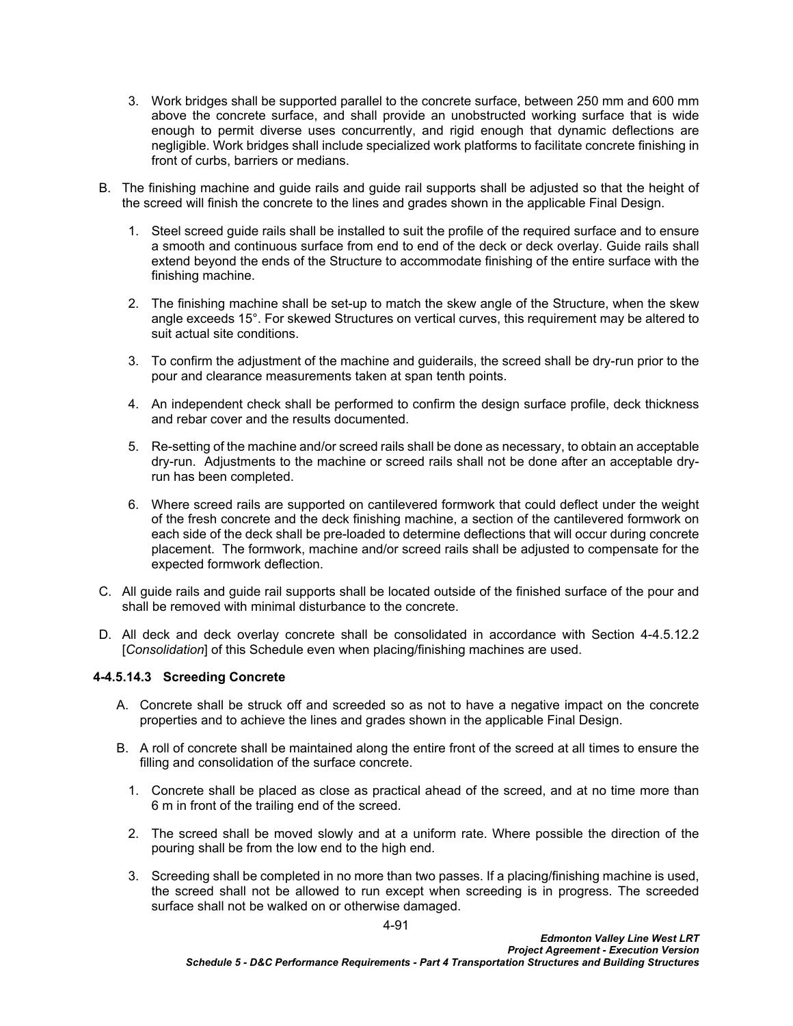- 3. Work bridges shall be supported parallel to the concrete surface, between 250 mm and 600 mm above the concrete surface, and shall provide an unobstructed working surface that is wide enough to permit diverse uses concurrently, and rigid enough that dynamic deflections are negligible. Work bridges shall include specialized work platforms to facilitate concrete finishing in front of curbs, barriers or medians.
- B. The finishing machine and guide rails and guide rail supports shall be adjusted so that the height of the screed will finish the concrete to the lines and grades shown in the applicable Final Design.
	- 1. Steel screed guide rails shall be installed to suit the profile of the required surface and to ensure a smooth and continuous surface from end to end of the deck or deck overlay. Guide rails shall extend beyond the ends of the Structure to accommodate finishing of the entire surface with the finishing machine.
	- 2. The finishing machine shall be set-up to match the skew angle of the Structure, when the skew angle exceeds 15°. For skewed Structures on vertical curves, this requirement may be altered to suit actual site conditions.
	- 3. To confirm the adjustment of the machine and guiderails, the screed shall be dry-run prior to the pour and clearance measurements taken at span tenth points.
	- 4. An independent check shall be performed to confirm the design surface profile, deck thickness and rebar cover and the results documented.
	- 5. Re-setting of the machine and/or screed rails shall be done as necessary, to obtain an acceptable dry-run. Adjustments to the machine or screed rails shall not be done after an acceptable dryrun has been completed.
	- 6. Where screed rails are supported on cantilevered formwork that could deflect under the weight of the fresh concrete and the deck finishing machine, a section of the cantilevered formwork on each side of the deck shall be pre-loaded to determine deflections that will occur during concrete placement. The formwork, machine and/or screed rails shall be adjusted to compensate for the expected formwork deflection.
- C. All guide rails and guide rail supports shall be located outside of the finished surface of the pour and shall be removed with minimal disturbance to the concrete.
- D. All deck and deck overlay concrete shall be consolidated in accordance with Section [4-4.5.12.2](#page-90-1)  [*[Consolidation](#page-90-1)*] of this Schedule even when placing/finishing machines are used.

### **4-4.5.14.3 Screeding Concrete**

- A. Concrete shall be struck off and screeded so as not to have a negative impact on the concrete properties and to achieve the lines and grades shown in the applicable Final Design.
- B. A roll of concrete shall be maintained along the entire front of the screed at all times to ensure the filling and consolidation of the surface concrete.
	- 1. Concrete shall be placed as close as practical ahead of the screed, and at no time more than 6 m in front of the trailing end of the screed.
	- 2. The screed shall be moved slowly and at a uniform rate. Where possible the direction of the pouring shall be from the low end to the high end.
	- 3. Screeding shall be completed in no more than two passes. If a placing/finishing machine is used, the screed shall not be allowed to run except when screeding is in progress. The screeded surface shall not be walked on or otherwise damaged.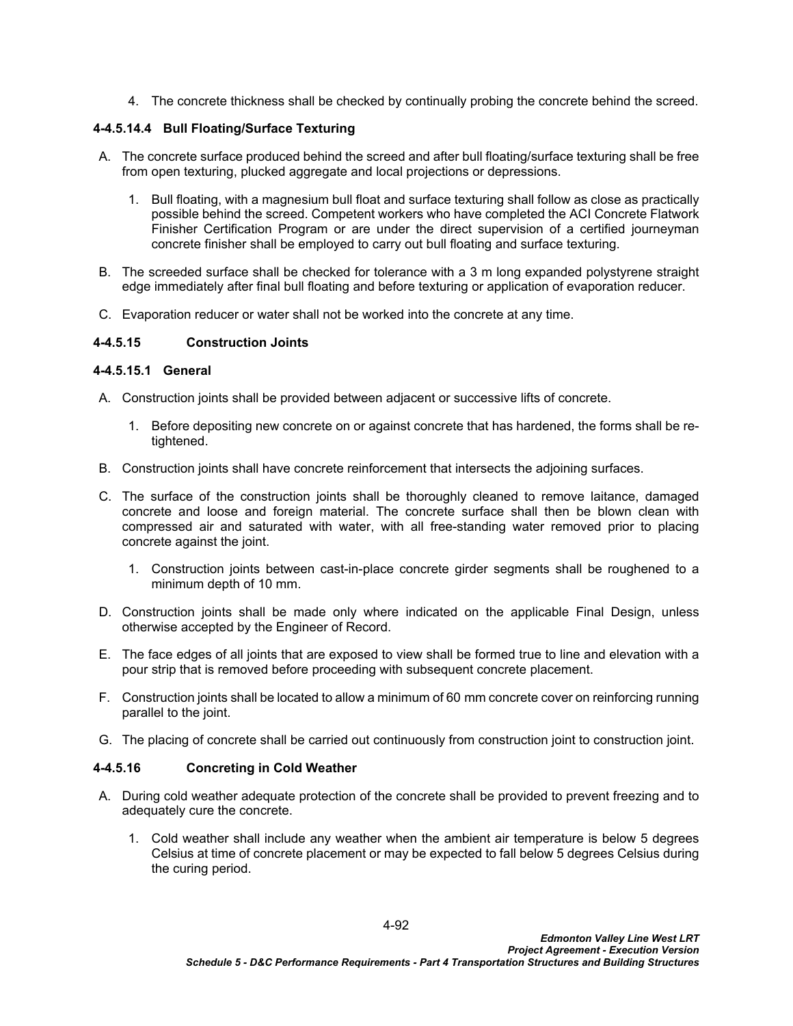4. The concrete thickness shall be checked by continually probing the concrete behind the screed.

## **4-4.5.14.4 Bull Floating/Surface Texturing**

- A. The concrete surface produced behind the screed and after bull floating/surface texturing shall be free from open texturing, plucked aggregate and local projections or depressions.
	- 1. Bull floating, with a magnesium bull float and surface texturing shall follow as close as practically possible behind the screed. Competent workers who have completed the ACI Concrete Flatwork Finisher Certification Program or are under the direct supervision of a certified journeyman concrete finisher shall be employed to carry out bull floating and surface texturing.
- B. The screeded surface shall be checked for tolerance with a 3 m long expanded polystyrene straight edge immediately after final bull floating and before texturing or application of evaporation reducer.
- C. Evaporation reducer or water shall not be worked into the concrete at any time.

# **4-4.5.15 Construction Joints**

### **4-4.5.15.1 General**

- A. Construction joints shall be provided between adjacent or successive lifts of concrete.
	- 1. Before depositing new concrete on or against concrete that has hardened, the forms shall be retightened.
- B. Construction joints shall have concrete reinforcement that intersects the adjoining surfaces.
- C. The surface of the construction joints shall be thoroughly cleaned to remove laitance, damaged concrete and loose and foreign material. The concrete surface shall then be blown clean with compressed air and saturated with water, with all free-standing water removed prior to placing concrete against the joint.
	- 1. Construction joints between cast-in-place concrete girder segments shall be roughened to a minimum depth of 10 mm.
- D. Construction joints shall be made only where indicated on the applicable Final Design, unless otherwise accepted by the Engineer of Record.
- E. The face edges of all joints that are exposed to view shall be formed true to line and elevation with a pour strip that is removed before proceeding with subsequent concrete placement.
- F. Construction joints shall be located to allow a minimum of 60 mm concrete cover on reinforcing running parallel to the joint.
- G. The placing of concrete shall be carried out continuously from construction joint to construction joint.

### **4-4.5.16 Concreting in Cold Weather**

- A. During cold weather adequate protection of the concrete shall be provided to prevent freezing and to adequately cure the concrete.
	- 1. Cold weather shall include any weather when the ambient air temperature is below 5 degrees Celsius at time of concrete placement or may be expected to fall below 5 degrees Celsius during the curing period.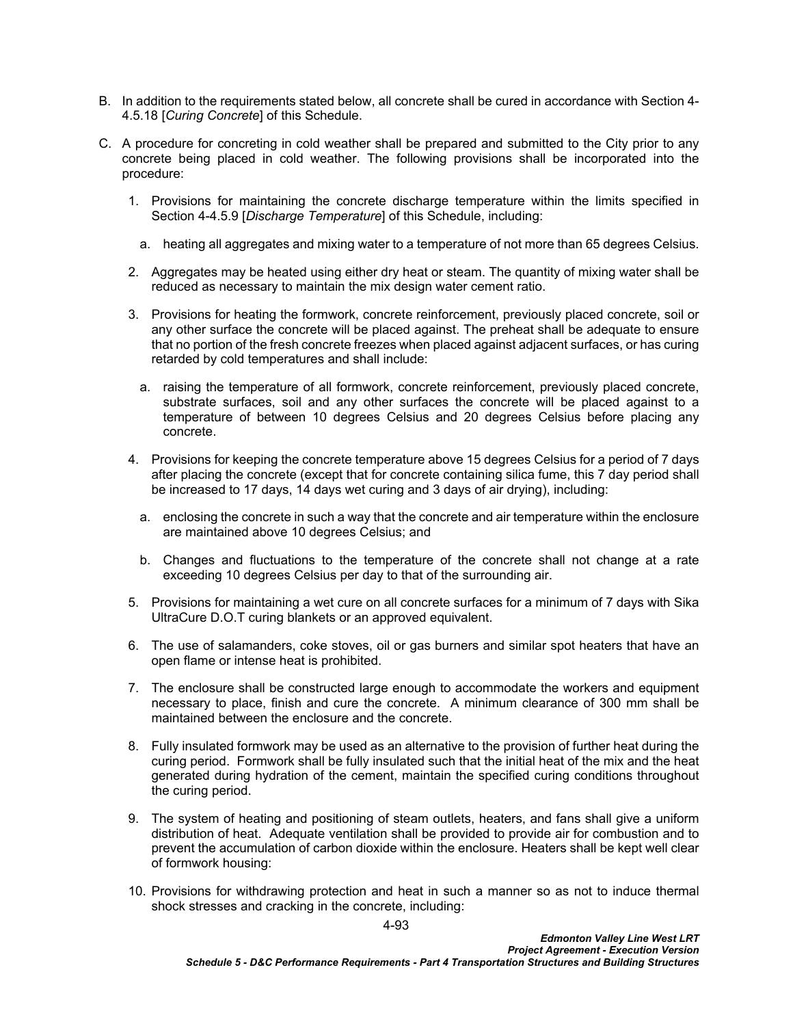- B. In addition to the requirements stated below, all concrete shall be cured in accordance with Section [4-](#page-98-0) [4.5.18](#page-98-0) [*[Curing Concrete](#page-98-0)*] of this Schedule.
- C. A procedure for concreting in cold weather shall be prepared and submitted to the City prior to any concrete being placed in cold weather. The following provisions shall be incorporated into the procedure:
	- 1. Provisions for maintaining the concrete discharge temperature within the limits specified in Section [4-4.5.9](#page-83-1) [*[Discharge Temperature](#page-83-1)*] of this Schedule, including:
		- a. heating all aggregates and mixing water to a temperature of not more than 65 degrees Celsius.
	- 2. Aggregates may be heated using either dry heat or steam. The quantity of mixing water shall be reduced as necessary to maintain the mix design water cement ratio.
	- 3. Provisions for heating the formwork, concrete reinforcement, previously placed concrete, soil or any other surface the concrete will be placed against. The preheat shall be adequate to ensure that no portion of the fresh concrete freezes when placed against adjacent surfaces, or has curing retarded by cold temperatures and shall include:
		- a. raising the temperature of all formwork, concrete reinforcement, previously placed concrete, substrate surfaces, soil and any other surfaces the concrete will be placed against to a temperature of between 10 degrees Celsius and 20 degrees Celsius before placing any concrete.
	- 4. Provisions for keeping the concrete temperature above 15 degrees Celsius for a period of 7 days after placing the concrete (except that for concrete containing silica fume, this 7 day period shall be increased to 17 days, 14 days wet curing and 3 days of air drying), including:
		- a. enclosing the concrete in such a way that the concrete and air temperature within the enclosure are maintained above 10 degrees Celsius; and
		- b. Changes and fluctuations to the temperature of the concrete shall not change at a rate exceeding 10 degrees Celsius per day to that of the surrounding air.
	- 5. Provisions for maintaining a wet cure on all concrete surfaces for a minimum of 7 days with Sika UltraCure D.O.T curing blankets or an approved equivalent.
	- 6. The use of salamanders, coke stoves, oil or gas burners and similar spot heaters that have an open flame or intense heat is prohibited.
	- 7. The enclosure shall be constructed large enough to accommodate the workers and equipment necessary to place, finish and cure the concrete. A minimum clearance of 300 mm shall be maintained between the enclosure and the concrete.
	- 8. Fully insulated formwork may be used as an alternative to the provision of further heat during the curing period. Formwork shall be fully insulated such that the initial heat of the mix and the heat generated during hydration of the cement, maintain the specified curing conditions throughout the curing period.
	- 9. The system of heating and positioning of steam outlets, heaters, and fans shall give a uniform distribution of heat. Adequate ventilation shall be provided to provide air for combustion and to prevent the accumulation of carbon dioxide within the enclosure. Heaters shall be kept well clear of formwork housing:
	- 10. Provisions for withdrawing protection and heat in such a manner so as not to induce thermal shock stresses and cracking in the concrete, including: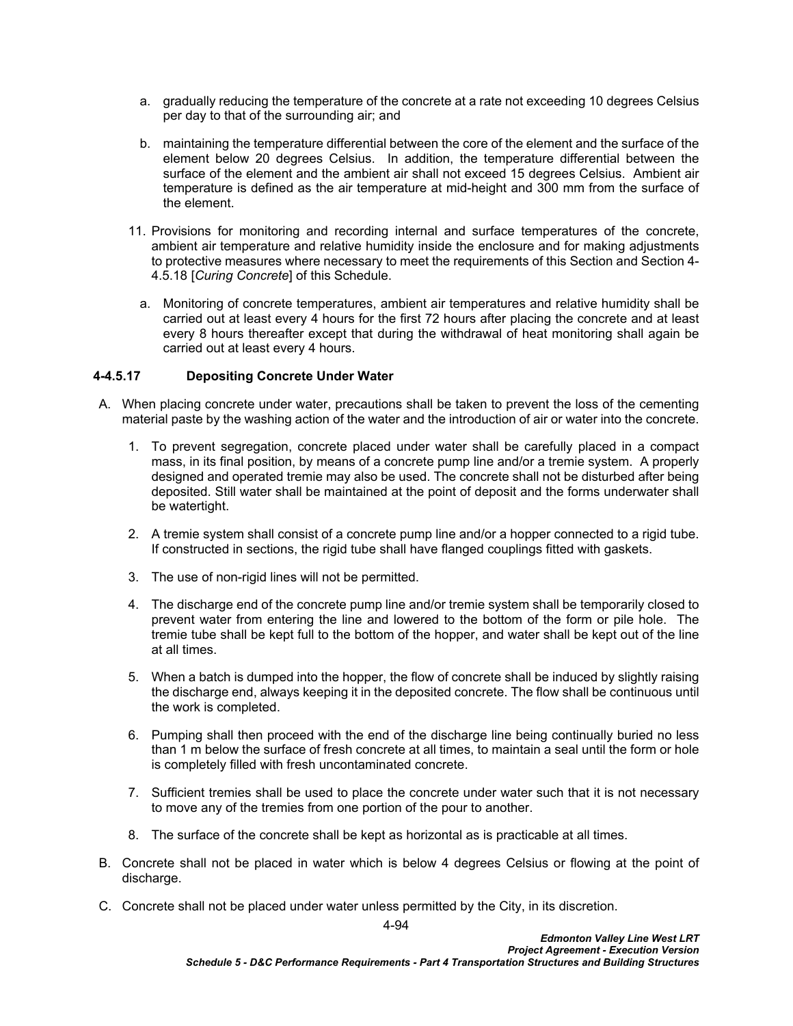- a. gradually reducing the temperature of the concrete at a rate not exceeding 10 degrees Celsius per day to that of the surrounding air; and
- b. maintaining the temperature differential between the core of the element and the surface of the element below 20 degrees Celsius. In addition, the temperature differential between the surface of the element and the ambient air shall not exceed 15 degrees Celsius. Ambient air temperature is defined as the air temperature at mid-height and 300 mm from the surface of the element.
- 11. Provisions for monitoring and recording internal and surface temperatures of the concrete, ambient air temperature and relative humidity inside the enclosure and for making adjustments to protective measures where necessary to meet the requirements of this Section and Section [4-](#page-98-0) [4.5.18](#page-98-0) [*[Curing Concrete](#page-98-0)*] of this Schedule.
	- a. Monitoring of concrete temperatures, ambient air temperatures and relative humidity shall be carried out at least every 4 hours for the first 72 hours after placing the concrete and at least every 8 hours thereafter except that during the withdrawal of heat monitoring shall again be carried out at least every 4 hours.

### <span id="page-97-0"></span>**4-4.5.17 Depositing Concrete Under Water**

- A. When placing concrete under water, precautions shall be taken to prevent the loss of the cementing material paste by the washing action of the water and the introduction of air or water into the concrete.
	- 1. To prevent segregation, concrete placed under water shall be carefully placed in a compact mass, in its final position, by means of a concrete pump line and/or a tremie system. A properly designed and operated tremie may also be used. The concrete shall not be disturbed after being deposited. Still water shall be maintained at the point of deposit and the forms underwater shall be watertight.
	- 2. A tremie system shall consist of a concrete pump line and/or a hopper connected to a rigid tube. If constructed in sections, the rigid tube shall have flanged couplings fitted with gaskets.
	- 3. The use of non-rigid lines will not be permitted.
	- 4. The discharge end of the concrete pump line and/or tremie system shall be temporarily closed to prevent water from entering the line and lowered to the bottom of the form or pile hole. The tremie tube shall be kept full to the bottom of the hopper, and water shall be kept out of the line at all times.
	- 5. When a batch is dumped into the hopper, the flow of concrete shall be induced by slightly raising the discharge end, always keeping it in the deposited concrete. The flow shall be continuous until the work is completed.
	- 6. Pumping shall then proceed with the end of the discharge line being continually buried no less than 1 m below the surface of fresh concrete at all times, to maintain a seal until the form or hole is completely filled with fresh uncontaminated concrete.
	- 7. Sufficient tremies shall be used to place the concrete under water such that it is not necessary to move any of the tremies from one portion of the pour to another.
	- 8. The surface of the concrete shall be kept as horizontal as is practicable at all times.
- B. Concrete shall not be placed in water which is below 4 degrees Celsius or flowing at the point of discharge.
- C. Concrete shall not be placed under water unless permitted by the City, in its discretion.

4-94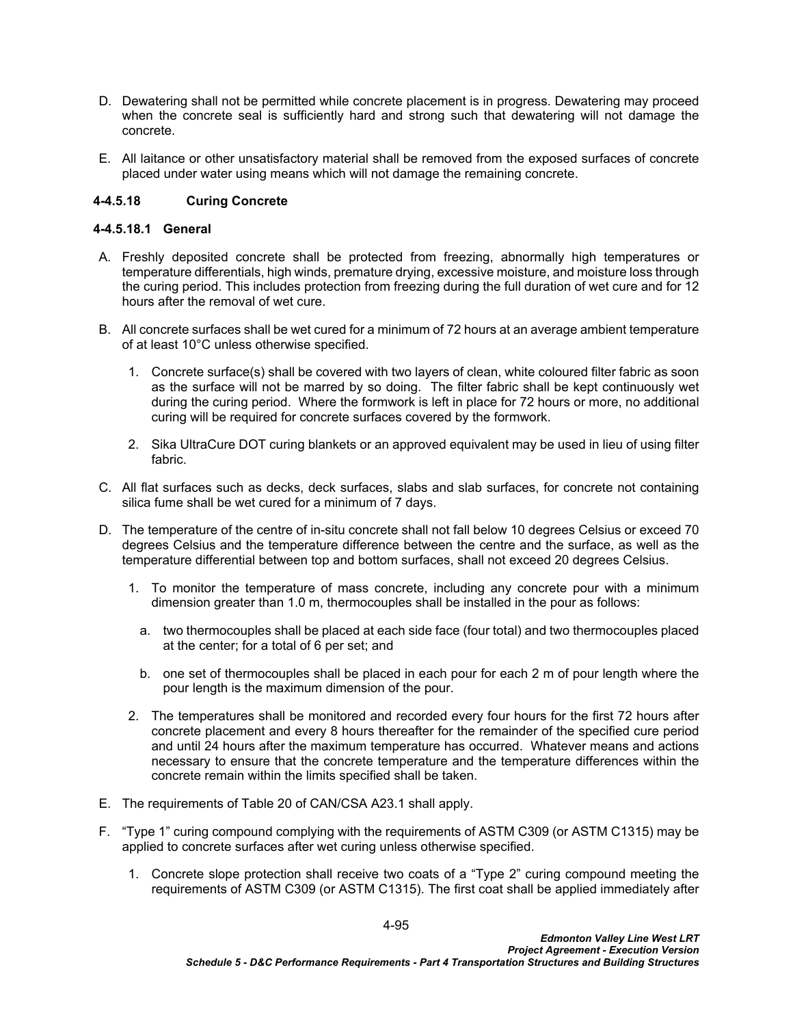- D. Dewatering shall not be permitted while concrete placement is in progress. Dewatering may proceed when the concrete seal is sufficiently hard and strong such that dewatering will not damage the concrete.
- E. All laitance or other unsatisfactory material shall be removed from the exposed surfaces of concrete placed under water using means which will not damage the remaining concrete.

# <span id="page-98-0"></span>**4-4.5.18 Curing Concrete**

### <span id="page-98-1"></span>**4-4.5.18.1 General**

- A. Freshly deposited concrete shall be protected from freezing, abnormally high temperatures or temperature differentials, high winds, premature drying, excessive moisture, and moisture loss through the curing period. This includes protection from freezing during the full duration of wet cure and for 12 hours after the removal of wet cure.
- B. All concrete surfaces shall be wet cured for a minimum of 72 hours at an average ambient temperature of at least 10°C unless otherwise specified.
	- 1. Concrete surface(s) shall be covered with two layers of clean, white coloured filter fabric as soon as the surface will not be marred by so doing. The filter fabric shall be kept continuously wet during the curing period. Where the formwork is left in place for 72 hours or more, no additional curing will be required for concrete surfaces covered by the formwork.
	- 2. Sika UltraCure DOT curing blankets or an approved equivalent may be used in lieu of using filter fabric.
- C. All flat surfaces such as decks, deck surfaces, slabs and slab surfaces, for concrete not containing silica fume shall be wet cured for a minimum of 7 days.
- D. The temperature of the centre of in-situ concrete shall not fall below 10 degrees Celsius or exceed 70 degrees Celsius and the temperature difference between the centre and the surface, as well as the temperature differential between top and bottom surfaces, shall not exceed 20 degrees Celsius.
	- 1. To monitor the temperature of mass concrete, including any concrete pour with a minimum dimension greater than 1.0 m, thermocouples shall be installed in the pour as follows:
		- a. two thermocouples shall be placed at each side face (four total) and two thermocouples placed at the center; for a total of 6 per set; and
		- b. one set of thermocouples shall be placed in each pour for each 2 m of pour length where the pour length is the maximum dimension of the pour.
	- 2. The temperatures shall be monitored and recorded every four hours for the first 72 hours after concrete placement and every 8 hours thereafter for the remainder of the specified cure period and until 24 hours after the maximum temperature has occurred. Whatever means and actions necessary to ensure that the concrete temperature and the temperature differences within the concrete remain within the limits specified shall be taken.
- E. The requirements of Table 20 of CAN/CSA A23.1 shall apply.
- F. "Type 1" curing compound complying with the requirements of ASTM C309 (or ASTM C1315) may be applied to concrete surfaces after wet curing unless otherwise specified.
	- 1. Concrete slope protection shall receive two coats of a "Type 2" curing compound meeting the requirements of ASTM C309 (or ASTM C1315). The first coat shall be applied immediately after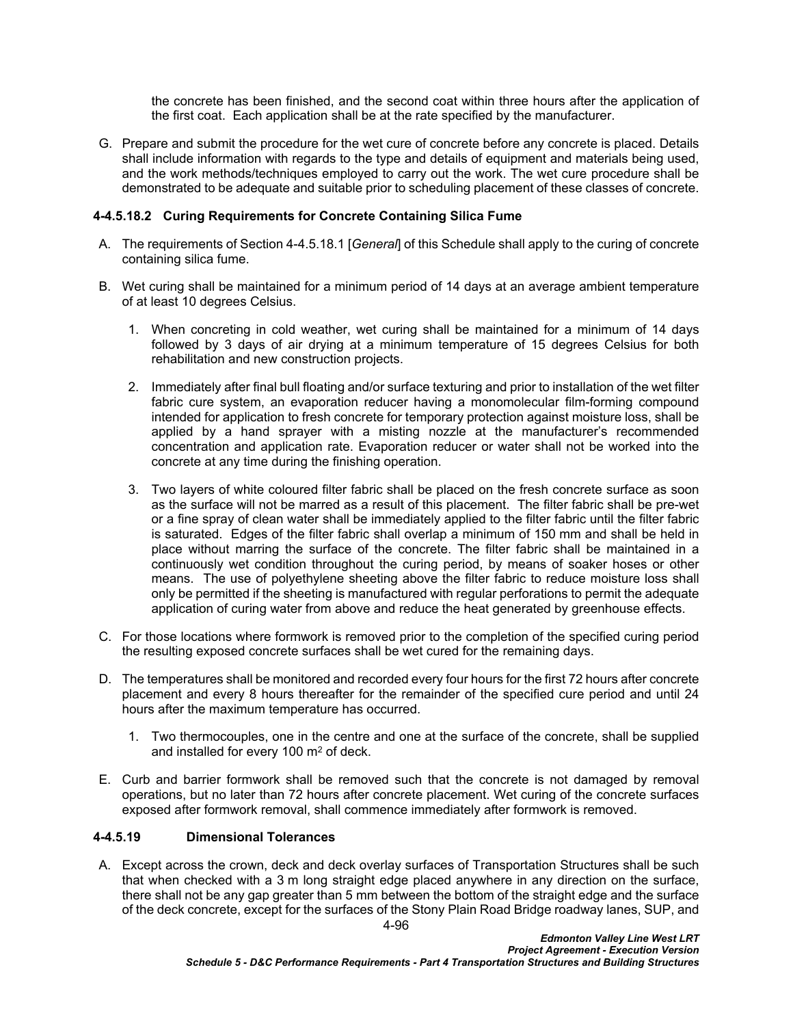the concrete has been finished, and the second coat within three hours after the application of the first coat. Each application shall be at the rate specified by the manufacturer.

G. Prepare and submit the procedure for the wet cure of concrete before any concrete is placed. Details shall include information with regards to the type and details of equipment and materials being used, and the work methods/techniques employed to carry out the work. The wet cure procedure shall be demonstrated to be adequate and suitable prior to scheduling placement of these classes of concrete.

### **4-4.5.18.2 Curing Requirements for Concrete Containing Silica Fume**

- A. The requirements of Section [4-4.5.18.1](#page-98-1) [*[General](#page-98-1)*] of this Schedule shall apply to the curing of concrete containing silica fume.
- B. Wet curing shall be maintained for a minimum period of 14 days at an average ambient temperature of at least 10 degrees Celsius.
	- 1. When concreting in cold weather, wet curing shall be maintained for a minimum of 14 days followed by 3 days of air drying at a minimum temperature of 15 degrees Celsius for both rehabilitation and new construction projects.
	- 2. Immediately after final bull floating and/or surface texturing and prior to installation of the wet filter fabric cure system, an evaporation reducer having a monomolecular film-forming compound intended for application to fresh concrete for temporary protection against moisture loss, shall be applied by a hand sprayer with a misting nozzle at the manufacturer's recommended concentration and application rate. Evaporation reducer or water shall not be worked into the concrete at any time during the finishing operation.
	- 3. Two layers of white coloured filter fabric shall be placed on the fresh concrete surface as soon as the surface will not be marred as a result of this placement. The filter fabric shall be pre-wet or a fine spray of clean water shall be immediately applied to the filter fabric until the filter fabric is saturated. Edges of the filter fabric shall overlap a minimum of 150 mm and shall be held in place without marring the surface of the concrete. The filter fabric shall be maintained in a continuously wet condition throughout the curing period, by means of soaker hoses or other means. The use of polyethylene sheeting above the filter fabric to reduce moisture loss shall only be permitted if the sheeting is manufactured with regular perforations to permit the adequate application of curing water from above and reduce the heat generated by greenhouse effects.
- C. For those locations where formwork is removed prior to the completion of the specified curing period the resulting exposed concrete surfaces shall be wet cured for the remaining days.
- D. The temperatures shall be monitored and recorded every four hours for the first 72 hours after concrete placement and every 8 hours thereafter for the remainder of the specified cure period and until 24 hours after the maximum temperature has occurred.
	- 1. Two thermocouples, one in the centre and one at the surface of the concrete, shall be supplied and installed for every 100 m<sup>2</sup> of deck.
- E. Curb and barrier formwork shall be removed such that the concrete is not damaged by removal operations, but no later than 72 hours after concrete placement. Wet curing of the concrete surfaces exposed after formwork removal, shall commence immediately after formwork is removed.

### **4-4.5.19 Dimensional Tolerances**

4-96 A. Except across the crown, deck and deck overlay surfaces of Transportation Structures shall be such that when checked with a 3 m long straight edge placed anywhere in any direction on the surface, there shall not be any gap greater than 5 mm between the bottom of the straight edge and the surface of the deck concrete, except for the surfaces of the Stony Plain Road Bridge roadway lanes, SUP, and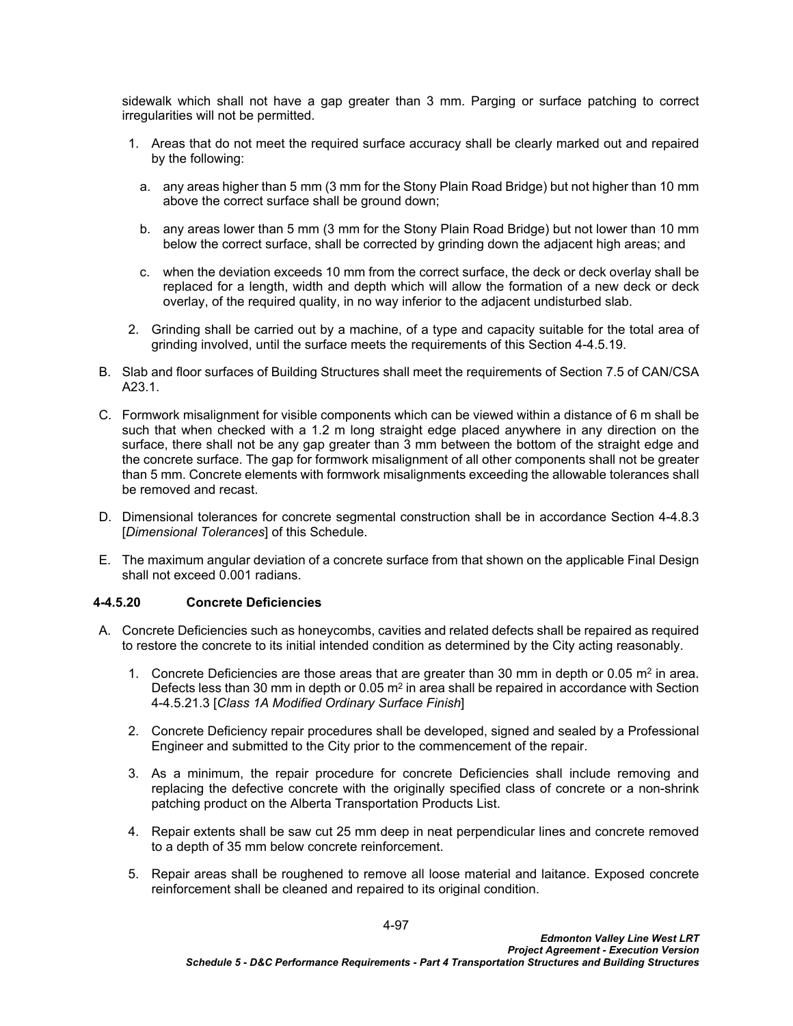sidewalk which shall not have a gap greater than 3 mm. Parging or surface patching to correct irregularities will not be permitted.

- 1. Areas that do not meet the required surface accuracy shall be clearly marked out and repaired by the following:
	- a. any areas higher than 5 mm (3 mm for the Stony Plain Road Bridge) but not higher than 10 mm above the correct surface shall be ground down;
	- b. any areas lower than 5 mm (3 mm for the Stony Plain Road Bridge) but not lower than 10 mm below the correct surface, shall be corrected by grinding down the adjacent high areas; and
	- c. when the deviation exceeds 10 mm from the correct surface, the deck or deck overlay shall be replaced for a length, width and depth which will allow the formation of a new deck or deck overlay, of the required quality, in no way inferior to the adjacent undisturbed slab.
- 2. Grinding shall be carried out by a machine, of a type and capacity suitable for the total area of grinding involved, until the surface meets the requirements of this Section 4-4.5.19.
- B. Slab and floor surfaces of Building Structures shall meet the requirements of Section 7.5 of CAN/CSA A23.1.
- C. Formwork misalignment for visible components which can be viewed within a distance of 6 m shall be such that when checked with a 1.2 m long straight edge placed anywhere in any direction on the surface, there shall not be any gap greater than 3 mm between the bottom of the straight edge and the concrete surface. The gap for formwork misalignment of all other components shall not be greater than 5 mm. Concrete elements with formwork misalignments exceeding the allowable tolerances shall be removed and recast.
- D. Dimensional tolerances for concrete segmental construction shall be in accordance Section [4-4.8.3](#page-138-0)  [*[Dimensional Tolerances](#page-138-0)*] of this Schedule.
- E. The maximum angular deviation of a concrete surface from that shown on the applicable Final Design shall not exceed 0.001 radians.

### <span id="page-100-0"></span>**4-4.5.20 Concrete Deficiencies**

- A. Concrete Deficiencies such as honeycombs, cavities and related defects shall be repaired as required to restore the concrete to its initial intended condition as determined by the City acting reasonably.
	- 1. Concrete Deficiencies are those areas that are greater than 30 mm in depth or 0.05  $m^2$  in area. Defects less than 30 mm in depth or 0.05 m² in area shall be repaired in accordance with Section [4-4.5.21.3](#page-103-0) [*[Class 1A Modified Ordinary Surface Finish](#page-103-0)*]
	- 2. Concrete Deficiency repair procedures shall be developed, signed and sealed by a Professional Engineer and submitted to the City prior to the commencement of the repair.
	- 3. As a minimum, the repair procedure for concrete Deficiencies shall include removing and replacing the defective concrete with the originally specified class of concrete or a non-shrink patching product on the Alberta Transportation Products List.
	- 4. Repair extents shall be saw cut 25 mm deep in neat perpendicular lines and concrete removed to a depth of 35 mm below concrete reinforcement.
	- 5. Repair areas shall be roughened to remove all loose material and laitance. Exposed concrete reinforcement shall be cleaned and repaired to its original condition.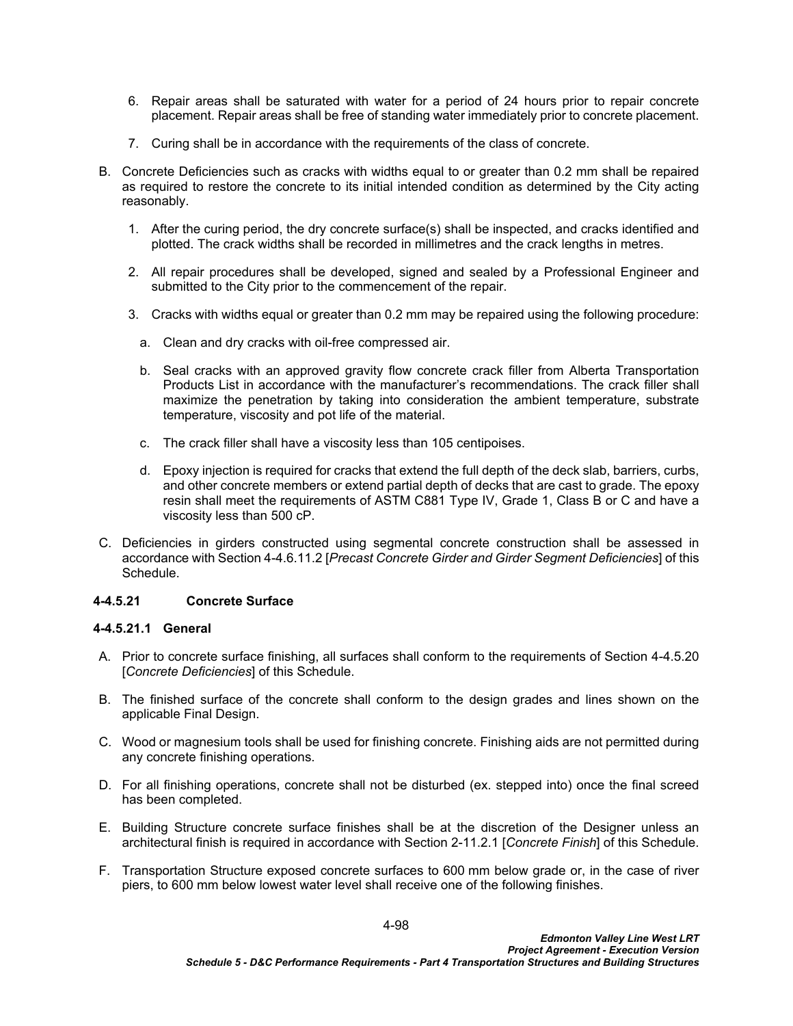- 6. Repair areas shall be saturated with water for a period of 24 hours prior to repair concrete placement. Repair areas shall be free of standing water immediately prior to concrete placement.
- 7. Curing shall be in accordance with the requirements of the class of concrete.
- B. Concrete Deficiencies such as cracks with widths equal to or greater than 0.2 mm shall be repaired as required to restore the concrete to its initial intended condition as determined by the City acting reasonably.
	- 1. After the curing period, the dry concrete surface(s) shall be inspected, and cracks identified and plotted. The crack widths shall be recorded in millimetres and the crack lengths in metres.
	- 2. All repair procedures shall be developed, signed and sealed by a Professional Engineer and submitted to the City prior to the commencement of the repair.
	- 3. Cracks with widths equal or greater than 0.2 mm may be repaired using the following procedure:
		- a. Clean and dry cracks with oil-free compressed air.
		- b. Seal cracks with an approved gravity flow concrete crack filler from Alberta Transportation Products List in accordance with the manufacturer's recommendations. The crack filler shall maximize the penetration by taking into consideration the ambient temperature, substrate temperature, viscosity and pot life of the material.
		- c. The crack filler shall have a viscosity less than 105 centipoises.
		- d. Epoxy injection is required for cracks that extend the full depth of the deck slab, barriers, curbs, and other concrete members or extend partial depth of decks that are cast to grade. The epoxy resin shall meet the requirements of ASTM C881 Type IV, Grade 1, Class B or C and have a viscosity less than 500 cP.
- C. Deficiencies in girders constructed using segmental concrete construction shall be assessed in accordance with Section [4-4.6.11.2](#page-119-0) [*[Precast Concrete Girder and Girder Segment Deficiencies](#page-119-0)*] of this Schedule.

### <span id="page-101-0"></span>**4-4.5.21 Concrete Surface**

### **4-4.5.21.1 General**

- A. Prior to concrete surface finishing, all surfaces shall conform to the requirements of Section [4-4.5.20](#page-100-0)  [*[Concrete Deficiencies](#page-100-0)*] of this Schedule.
- B. The finished surface of the concrete shall conform to the design grades and lines shown on the applicable Final Design.
- C. Wood or magnesium tools shall be used for finishing concrete. Finishing aids are not permitted during any concrete finishing operations.
- D. For all finishing operations, concrete shall not be disturbed (ex. stepped into) once the final screed has been completed.
- E. Building Structure concrete surface finishes shall be at the discretion of the Designer unless an architectural finish is required in accordance with Section 2-11.2.1 [*Concrete Finish*] of this Schedule.
- F. Transportation Structure exposed concrete surfaces to 600 mm below grade or, in the case of river piers, to 600 mm below lowest water level shall receive one of the following finishes.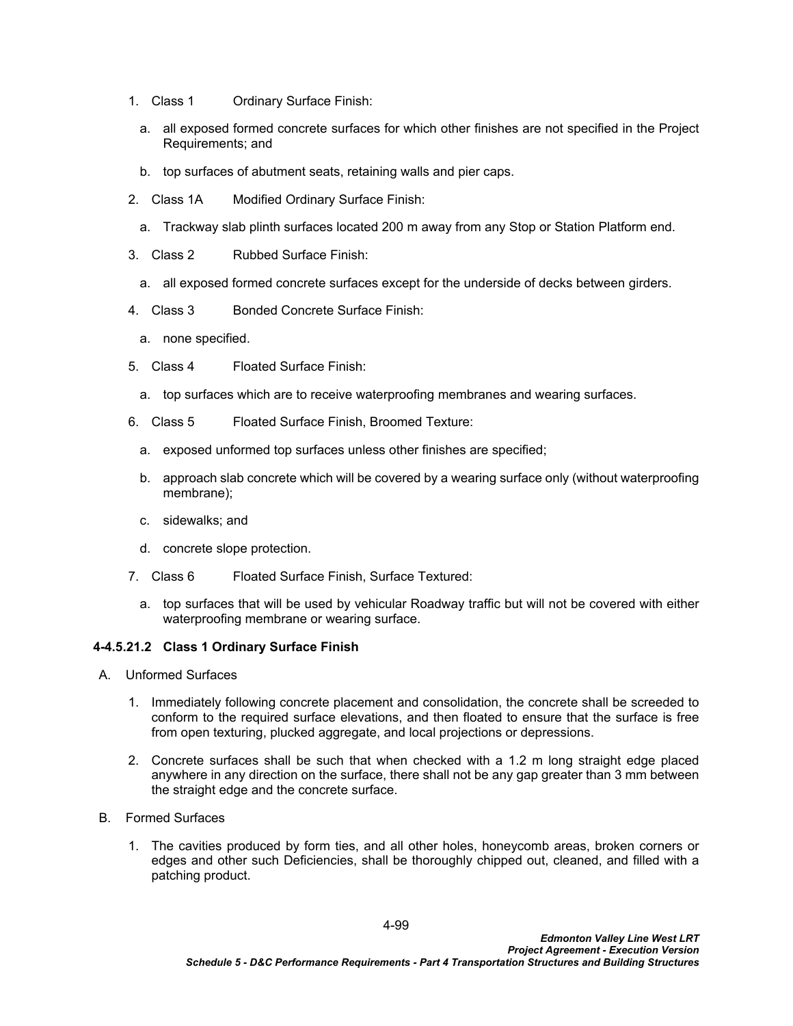- 1. Class 1 Ordinary Surface Finish:
	- a. all exposed formed concrete surfaces for which other finishes are not specified in the Project Requirements; and
	- b. top surfaces of abutment seats, retaining walls and pier caps.
- 2. Class 1A Modified Ordinary Surface Finish:
	- a. Trackway slab plinth surfaces located 200 m away from any Stop or Station Platform end.
- 3. Class 2 Rubbed Surface Finish:
	- a. all exposed formed concrete surfaces except for the underside of decks between girders.
- 4. Class 3 Bonded Concrete Surface Finish:
	- a. none specified.
- 5. Class 4 Floated Surface Finish:
	- a. top surfaces which are to receive waterproofing membranes and wearing surfaces.
- 6. Class 5 Floated Surface Finish, Broomed Texture:
	- a. exposed unformed top surfaces unless other finishes are specified;
	- b. approach slab concrete which will be covered by a wearing surface only (without waterproofing membrane);
	- c. sidewalks; and
	- d. concrete slope protection.
- 7. Class 6 Floated Surface Finish, Surface Textured:
	- a. top surfaces that will be used by vehicular Roadway traffic but will not be covered with either waterproofing membrane or wearing surface.

### <span id="page-102-0"></span>**4-4.5.21.2 Class 1 Ordinary Surface Finish**

- A. Unformed Surfaces
	- 1. Immediately following concrete placement and consolidation, the concrete shall be screeded to conform to the required surface elevations, and then floated to ensure that the surface is free from open texturing, plucked aggregate, and local projections or depressions.
	- 2. Concrete surfaces shall be such that when checked with a 1.2 m long straight edge placed anywhere in any direction on the surface, there shall not be any gap greater than 3 mm between the straight edge and the concrete surface.
- B. Formed Surfaces
	- 1. The cavities produced by form ties, and all other holes, honeycomb areas, broken corners or edges and other such Deficiencies, shall be thoroughly chipped out, cleaned, and filled with a patching product.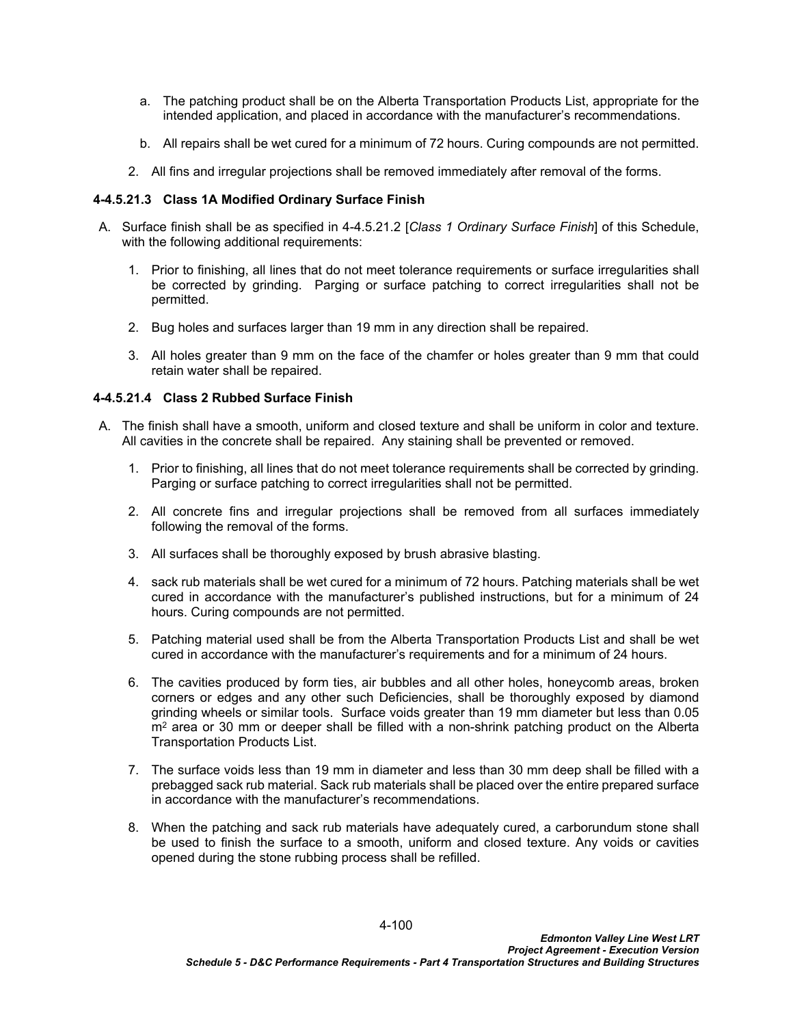- a. The patching product shall be on the Alberta Transportation Products List, appropriate for the intended application, and placed in accordance with the manufacturer's recommendations.
- b. All repairs shall be wet cured for a minimum of 72 hours. Curing compounds are not permitted.
- 2. All fins and irregular projections shall be removed immediately after removal of the forms.

# <span id="page-103-0"></span>**4-4.5.21.3 Class 1A Modified Ordinary Surface Finish**

- A. Surface finish shall be as specified in [4-4.5.21.2](#page-102-0) [*[Class 1 Ordinary Surface Finish](#page-102-0)*] of this Schedule, with the following additional requirements:
	- 1. Prior to finishing, all lines that do not meet tolerance requirements or surface irregularities shall be corrected by grinding. Parging or surface patching to correct irregularities shall not be permitted.
	- 2. Bug holes and surfaces larger than 19 mm in any direction shall be repaired.
	- 3. All holes greater than 9 mm on the face of the chamfer or holes greater than 9 mm that could retain water shall be repaired.

#### **4-4.5.21.4 Class 2 Rubbed Surface Finish**

- A. The finish shall have a smooth, uniform and closed texture and shall be uniform in color and texture. All cavities in the concrete shall be repaired. Any staining shall be prevented or removed.
	- 1. Prior to finishing, all lines that do not meet tolerance requirements shall be corrected by grinding. Parging or surface patching to correct irregularities shall not be permitted.
	- 2. All concrete fins and irregular projections shall be removed from all surfaces immediately following the removal of the forms.
	- 3. All surfaces shall be thoroughly exposed by brush abrasive blasting.
	- 4. sack rub materials shall be wet cured for a minimum of 72 hours. Patching materials shall be wet cured in accordance with the manufacturer's published instructions, but for a minimum of 24 hours. Curing compounds are not permitted.
	- 5. Patching material used shall be from the Alberta Transportation Products List and shall be wet cured in accordance with the manufacturer's requirements and for a minimum of 24 hours.
	- 6. The cavities produced by form ties, air bubbles and all other holes, honeycomb areas, broken corners or edges and any other such Deficiencies, shall be thoroughly exposed by diamond grinding wheels or similar tools. Surface voids greater than 19 mm diameter but less than 0.05 m<sup>2</sup> area or 30 mm or deeper shall be filled with a non-shrink patching product on the Alberta Transportation Products List.
	- 7. The surface voids less than 19 mm in diameter and less than 30 mm deep shall be filled with a prebagged sack rub material. Sack rub materials shall be placed over the entire prepared surface in accordance with the manufacturer's recommendations.
	- 8. When the patching and sack rub materials have adequately cured, a carborundum stone shall be used to finish the surface to a smooth, uniform and closed texture. Any voids or cavities opened during the stone rubbing process shall be refilled.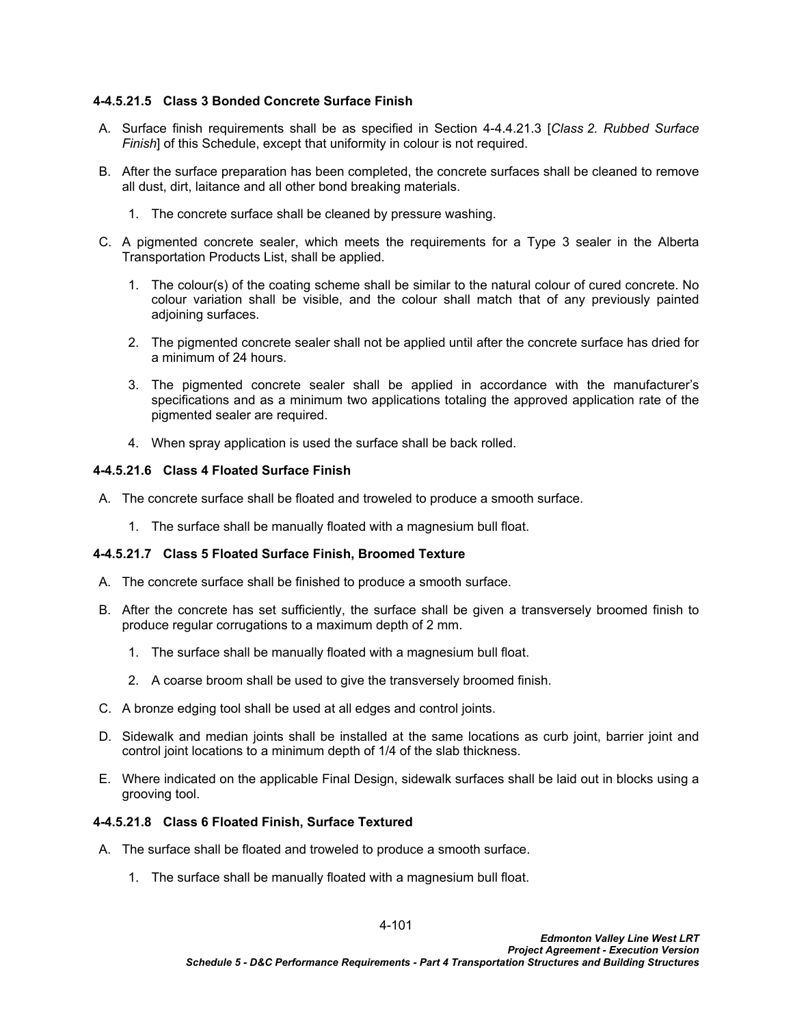### **4-4.5.21.5 Class 3 Bonded Concrete Surface Finish**

- A. Surface finish requirements shall be as specified in Section 4-4.4.21.3 [*Class 2. Rubbed Surface Finish*] of this Schedule, except that uniformity in colour is not required.
- B. After the surface preparation has been completed, the concrete surfaces shall be cleaned to remove all dust, dirt, laitance and all other bond breaking materials.
	- 1. The concrete surface shall be cleaned by pressure washing.
- C. A pigmented concrete sealer, which meets the requirements for a Type 3 sealer in the Alberta Transportation Products List, shall be applied.
	- 1. The colour(s) of the coating scheme shall be similar to the natural colour of cured concrete. No colour variation shall be visible, and the colour shall match that of any previously painted adjoining surfaces.
	- 2. The pigmented concrete sealer shall not be applied until after the concrete surface has dried for a minimum of 24 hours.
	- 3. The pigmented concrete sealer shall be applied in accordance with the manufacturer's specifications and as a minimum two applications totaling the approved application rate of the pigmented sealer are required.
	- 4. When spray application is used the surface shall be back rolled.

### **4-4.5.21.6 Class 4 Floated Surface Finish**

- A. The concrete surface shall be floated and troweled to produce a smooth surface.
	- 1. The surface shall be manually floated with a magnesium bull float.

#### **4-4.5.21.7 Class 5 Floated Surface Finish, Broomed Texture**

- A. The concrete surface shall be finished to produce a smooth surface.
- B. After the concrete has set sufficiently, the surface shall be given a transversely broomed finish to produce regular corrugations to a maximum depth of 2 mm.
	- 1. The surface shall be manually floated with a magnesium bull float.
	- 2. A coarse broom shall be used to give the transversely broomed finish.
- C. A bronze edging tool shall be used at all edges and control joints.
- D. Sidewalk and median joints shall be installed at the same locations as curb joint, barrier joint and control joint locations to a minimum depth of 1/4 of the slab thickness.
- E. Where indicated on the applicable Final Design, sidewalk surfaces shall be laid out in blocks using a grooving tool.

### **4-4.5.21.8 Class 6 Floated Finish, Surface Textured**

- A. The surface shall be floated and troweled to produce a smooth surface.
	- 1. The surface shall be manually floated with a magnesium bull float.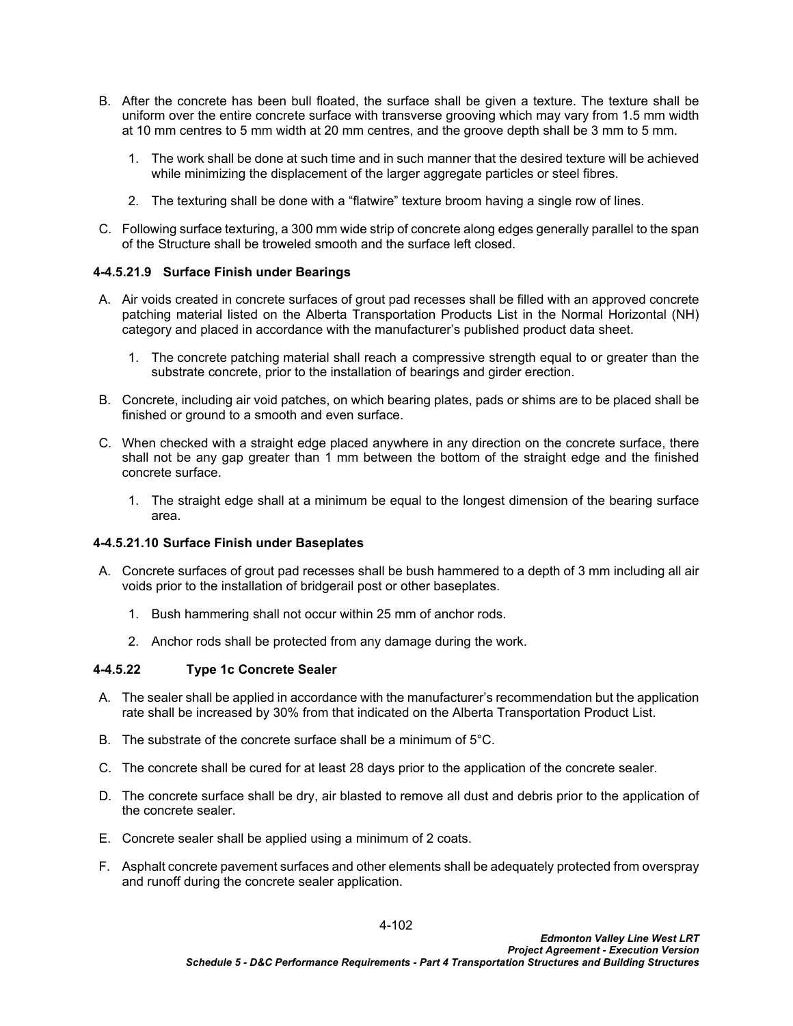- B. After the concrete has been bull floated, the surface shall be given a texture. The texture shall be uniform over the entire concrete surface with transverse grooving which may vary from 1.5 mm width at 10 mm centres to 5 mm width at 20 mm centres, and the groove depth shall be 3 mm to 5 mm.
	- 1. The work shall be done at such time and in such manner that the desired texture will be achieved while minimizing the displacement of the larger aggregate particles or steel fibres.
	- 2. The texturing shall be done with a "flatwire" texture broom having a single row of lines.
- C. Following surface texturing, a 300 mm wide strip of concrete along edges generally parallel to the span of the Structure shall be troweled smooth and the surface left closed.

### **4-4.5.21.9 Surface Finish under Bearings**

- A. Air voids created in concrete surfaces of grout pad recesses shall be filled with an approved concrete patching material listed on the Alberta Transportation Products List in the Normal Horizontal (NH) category and placed in accordance with the manufacturer's published product data sheet.
	- 1. The concrete patching material shall reach a compressive strength equal to or greater than the substrate concrete, prior to the installation of bearings and girder erection.
- B. Concrete, including air void patches, on which bearing plates, pads or shims are to be placed shall be finished or ground to a smooth and even surface.
- C. When checked with a straight edge placed anywhere in any direction on the concrete surface, there shall not be any gap greater than 1 mm between the bottom of the straight edge and the finished concrete surface.
	- 1. The straight edge shall at a minimum be equal to the longest dimension of the bearing surface area.

### **4-4.5.21.10 Surface Finish under Baseplates**

- A. Concrete surfaces of grout pad recesses shall be bush hammered to a depth of 3 mm including all air voids prior to the installation of bridgerail post or other baseplates.
	- 1. Bush hammering shall not occur within 25 mm of anchor rods.
	- 2. Anchor rods shall be protected from any damage during the work.

## **4-4.5.22 Type 1c Concrete Sealer**

- A. The sealer shall be applied in accordance with the manufacturer's recommendation but the application rate shall be increased by 30% from that indicated on the Alberta Transportation Product List.
- B. The substrate of the concrete surface shall be a minimum of  $5^{\circ}$ C.
- C. The concrete shall be cured for at least 28 days prior to the application of the concrete sealer.
- D. The concrete surface shall be dry, air blasted to remove all dust and debris prior to the application of the concrete sealer.
- E. Concrete sealer shall be applied using a minimum of 2 coats.
- F. Asphalt concrete pavement surfaces and other elements shall be adequately protected from overspray and runoff during the concrete sealer application.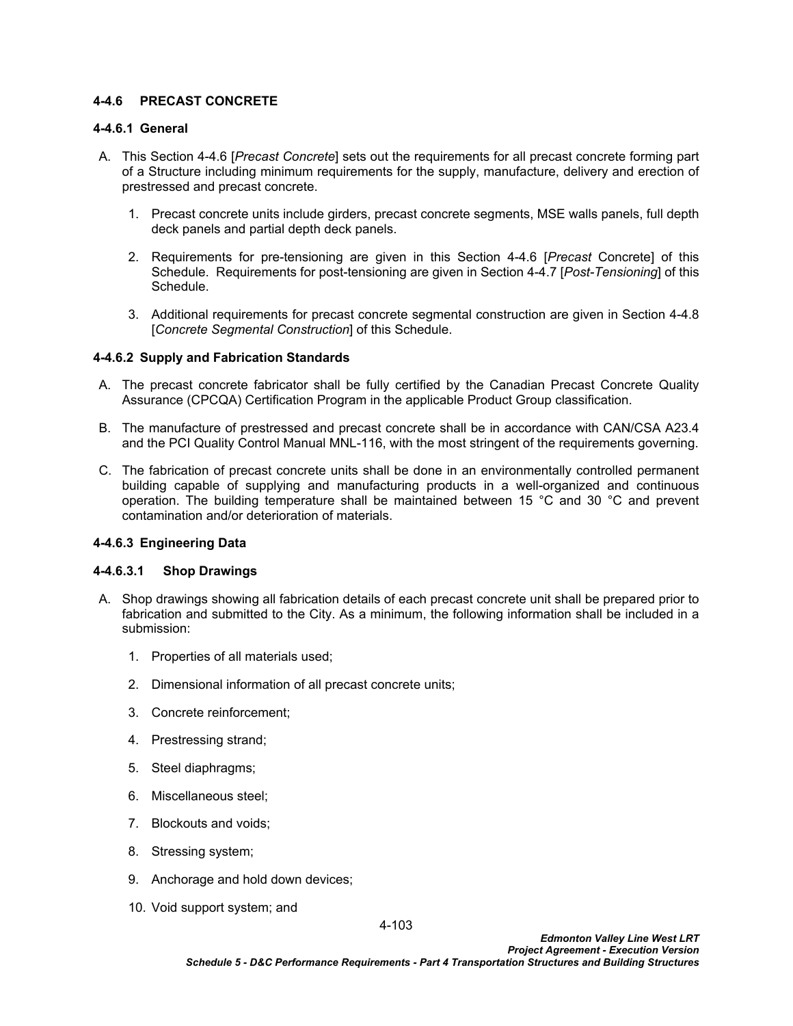### <span id="page-106-0"></span>**4-4.6 PRECAST CONCRETE**

### **4-4.6.1 General**

- A. This Section [4-4.6](#page-106-0) [*[Precast Concrete](#page-106-0)*] sets out the requirements for all precast concrete forming part of a Structure including minimum requirements for the supply, manufacture, delivery and erection of prestressed and precast concrete.
	- 1. Precast concrete units include girders, precast concrete segments, MSE walls panels, full depth deck panels and partial depth deck panels.
	- 2. Requirements for pre-tensioning are given in this Section [4-4.6](#page-106-0) [*Precast* [Concrete\]](#page-106-0) of this Schedule. Requirements for post-tensioning are given in Section [4-4.7](#page-127-0) [*[Post-Tensioning](#page-127-0)*] of this Schedule.
	- 3. Additional requirements for precast concrete segmental construction are given in Section [4-4.8](#page-134-1)  [*[Concrete Segmental Construction](#page-134-0)*] of this Schedule.

### **4-4.6.2 Supply and Fabrication Standards**

- A. The precast concrete fabricator shall be fully certified by the Canadian Precast Concrete Quality Assurance (CPCQA) Certification Program in the applicable Product Group classification.
- B. The manufacture of prestressed and precast concrete shall be in accordance with CAN/CSA A23.4 and the PCI Quality Control Manual MNL-116, with the most stringent of the requirements governing.
- C. The fabrication of precast concrete units shall be done in an environmentally controlled permanent building capable of supplying and manufacturing products in a well-organized and continuous operation. The building temperature shall be maintained between 15 °C and 30 °C and prevent contamination and/or deterioration of materials.

### **4-4.6.3 Engineering Data**

### **4-4.6.3.1 Shop Drawings**

- A. Shop drawings showing all fabrication details of each precast concrete unit shall be prepared prior to fabrication and submitted to the City. As a minimum, the following information shall be included in a submission:
	- 1. Properties of all materials used;
	- 2. Dimensional information of all precast concrete units;
	- 3. Concrete reinforcement;
	- 4. Prestressing strand;
	- 5. Steel diaphragms;
	- 6. Miscellaneous steel;
	- 7. Blockouts and voids;
	- 8. Stressing system;
	- 9. Anchorage and hold down devices;
	- 10. Void support system; and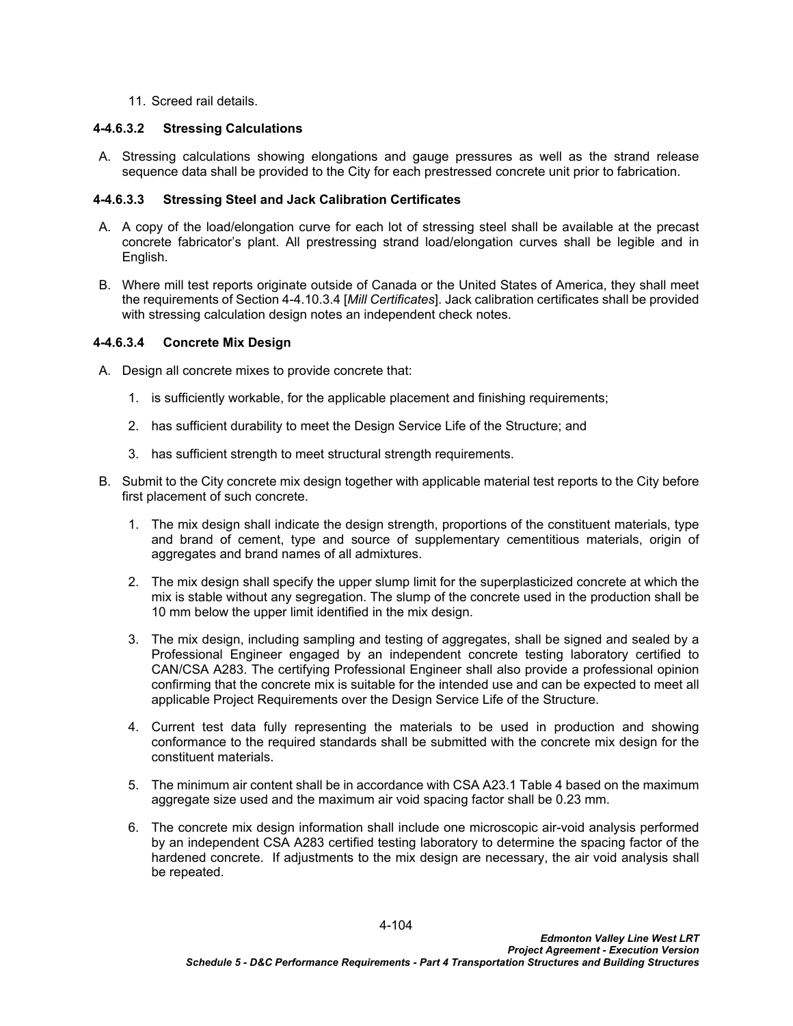11. Screed rail details.

### **4-4.6.3.2 Stressing Calculations**

A. Stressing calculations showing elongations and gauge pressures as well as the strand release sequence data shall be provided to the City for each prestressed concrete unit prior to fabrication.

### **4-4.6.3.3 Stressing Steel and Jack Calibration Certificates**

- A. A copy of the load/elongation curve for each lot of stressing steel shall be available at the precast concrete fabricator's plant. All prestressing strand load/elongation curves shall be legible and in English.
- B. Where mill test reports originate outside of Canada or the United States of America, they shall meet the requirements of Section [4-4.10.3.4](#page-145-0) [*[Mill Certificates](#page-145-0)*]. Jack calibration certificates shall be provided with stressing calculation design notes an independent check notes.

#### **4-4.6.3.4 Concrete Mix Design**

- A. Design all concrete mixes to provide concrete that:
	- 1. is sufficiently workable, for the applicable placement and finishing requirements;
	- 2. has sufficient durability to meet the Design Service Life of the Structure; and
	- 3. has sufficient strength to meet structural strength requirements.
- B. Submit to the City concrete mix design together with applicable material test reports to the City before first placement of such concrete.
	- 1. The mix design shall indicate the design strength, proportions of the constituent materials, type and brand of cement, type and source of supplementary cementitious materials, origin of aggregates and brand names of all admixtures.
	- 2. The mix design shall specify the upper slump limit for the superplasticized concrete at which the mix is stable without any segregation. The slump of the concrete used in the production shall be 10 mm below the upper limit identified in the mix design.
	- 3. The mix design, including sampling and testing of aggregates, shall be signed and sealed by a Professional Engineer engaged by an independent concrete testing laboratory certified to CAN/CSA A283. The certifying Professional Engineer shall also provide a professional opinion confirming that the concrete mix is suitable for the intended use and can be expected to meet all applicable Project Requirements over the Design Service Life of the Structure.
	- 4. Current test data fully representing the materials to be used in production and showing conformance to the required standards shall be submitted with the concrete mix design for the constituent materials.
	- 5. The minimum air content shall be in accordance with CSA A23.1 Table 4 based on the maximum aggregate size used and the maximum air void spacing factor shall be 0.23 mm.
	- 6. The concrete mix design information shall include one microscopic air-void analysis performed by an independent CSA A283 certified testing laboratory to determine the spacing factor of the hardened concrete. If adjustments to the mix design are necessary, the air void analysis shall be repeated.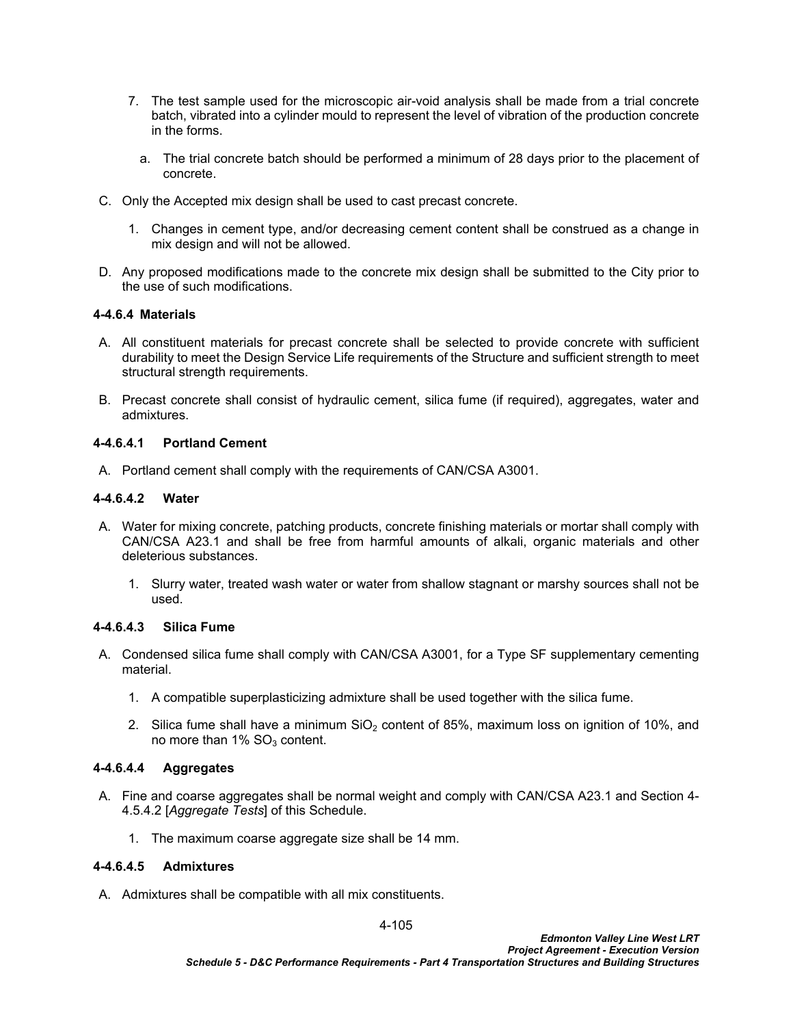- 7. The test sample used for the microscopic air-void analysis shall be made from a trial concrete batch, vibrated into a cylinder mould to represent the level of vibration of the production concrete in the forms.
	- a. The trial concrete batch should be performed a minimum of 28 days prior to the placement of concrete.
- C. Only the Accepted mix design shall be used to cast precast concrete.
	- 1. Changes in cement type, and/or decreasing cement content shall be construed as a change in mix design and will not be allowed.
- D. Any proposed modifications made to the concrete mix design shall be submitted to the City prior to the use of such modifications.

# **4-4.6.4 Materials**

- A. All constituent materials for precast concrete shall be selected to provide concrete with sufficient durability to meet the Design Service Life requirements of the Structure and sufficient strength to meet structural strength requirements.
- B. Precast concrete shall consist of hydraulic cement, silica fume (if required), aggregates, water and admixtures.

# **4-4.6.4.1 Portland Cement**

A. Portland cement shall comply with the requirements of CAN/CSA A3001.

# **4-4.6.4.2 Water**

- A. Water for mixing concrete, patching products, concrete finishing materials or mortar shall comply with CAN/CSA A23.1 and shall be free from harmful amounts of alkali, organic materials and other deleterious substances.
	- 1. Slurry water, treated wash water or water from shallow stagnant or marshy sources shall not be used.

# **4-4.6.4.3 Silica Fume**

- A. Condensed silica fume shall comply with CAN/CSA A3001, for a Type SF supplementary cementing material.
	- 1. A compatible superplasticizing admixture shall be used together with the silica fume.
	- 2. Silica fume shall have a minimum  $SiO<sub>2</sub>$  content of 85%, maximum loss on ignition of 10%, and no more than  $1\%$  SO<sub>3</sub> content.

# **4-4.6.4.4 Aggregates**

- A. Fine and coarse aggregates shall be normal weight and comply with CAN/CSA A23.1 and Section [4-](#page-79-0) [4.5.4.2](#page-79-0) [*[Aggregate Tests](#page-79-0)*] of this Schedule.
	- 1. The maximum coarse aggregate size shall be 14 mm.

## **4-4.6.4.5 Admixtures**

A. Admixtures shall be compatible with all mix constituents.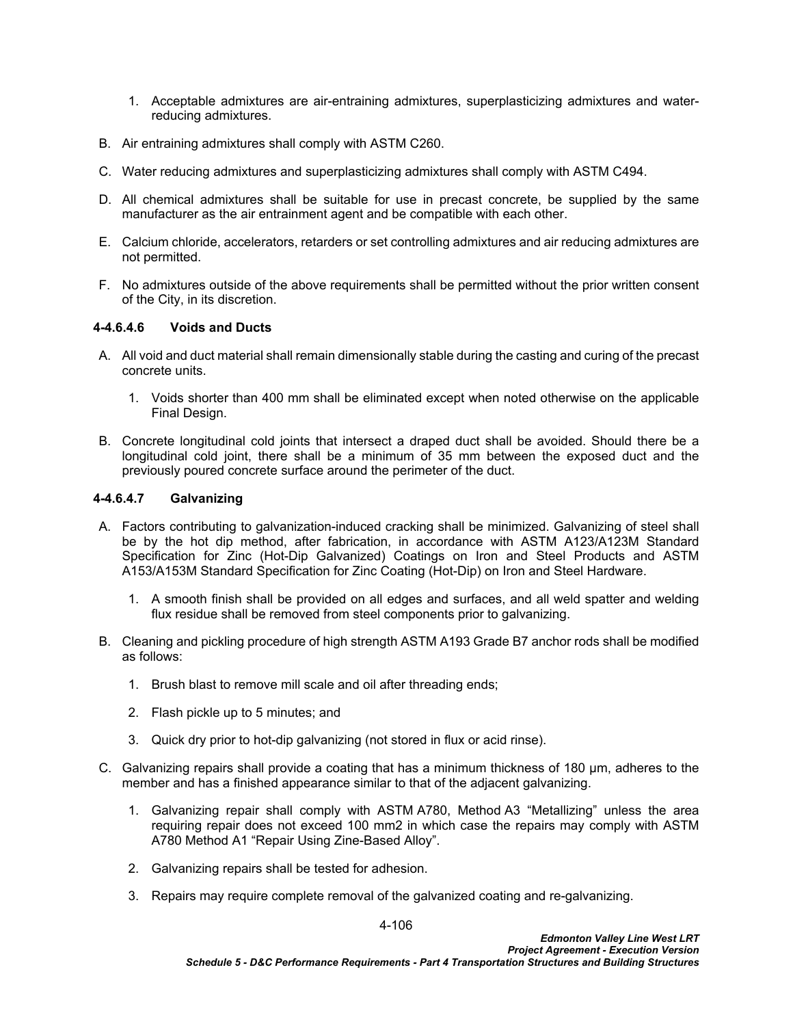- 1. Acceptable admixtures are air-entraining admixtures, superplasticizing admixtures and waterreducing admixtures.
- B. Air entraining admixtures shall comply with ASTM C260.
- C. Water reducing admixtures and superplasticizing admixtures shall comply with ASTM C494.
- D. All chemical admixtures shall be suitable for use in precast concrete, be supplied by the same manufacturer as the air entrainment agent and be compatible with each other.
- E. Calcium chloride, accelerators, retarders or set controlling admixtures and air reducing admixtures are not permitted.
- F. No admixtures outside of the above requirements shall be permitted without the prior written consent of the City, in its discretion.

## **4-4.6.4.6 Voids and Ducts**

- A. All void and duct material shall remain dimensionally stable during the casting and curing of the precast concrete units.
	- 1. Voids shorter than 400 mm shall be eliminated except when noted otherwise on the applicable Final Design.
- B. Concrete longitudinal cold joints that intersect a draped duct shall be avoided. Should there be a longitudinal cold joint, there shall be a minimum of 35 mm between the exposed duct and the previously poured concrete surface around the perimeter of the duct.

# **4-4.6.4.7 Galvanizing**

- A. Factors contributing to galvanization-induced cracking shall be minimized. Galvanizing of steel shall be by the hot dip method, after fabrication, in accordance with ASTM A123/A123M Standard Specification for Zinc (Hot-Dip Galvanized) Coatings on Iron and Steel Products and ASTM A153/A153M Standard Specification for Zinc Coating (Hot-Dip) on Iron and Steel Hardware.
	- 1. A smooth finish shall be provided on all edges and surfaces, and all weld spatter and welding flux residue shall be removed from steel components prior to galvanizing.
- B. Cleaning and pickling procedure of high strength ASTM A193 Grade B7 anchor rods shall be modified as follows:
	- 1. Brush blast to remove mill scale and oil after threading ends;
	- 2. Flash pickle up to 5 minutes; and
	- 3. Quick dry prior to hot-dip galvanizing (not stored in flux or acid rinse).
- C. Galvanizing repairs shall provide a coating that has a minimum thickness of 180 µm, adheres to the member and has a finished appearance similar to that of the adjacent galvanizing.
	- 1. Galvanizing repair shall comply with ASTM A780, Method A3 "Metallizing" unless the area requiring repair does not exceed 100 mm2 in which case the repairs may comply with ASTM A780 Method A1 "Repair Using Zine-Based Alloy".
	- 2. Galvanizing repairs shall be tested for adhesion.
	- 3. Repairs may require complete removal of the galvanized coating and re-galvanizing.

4-106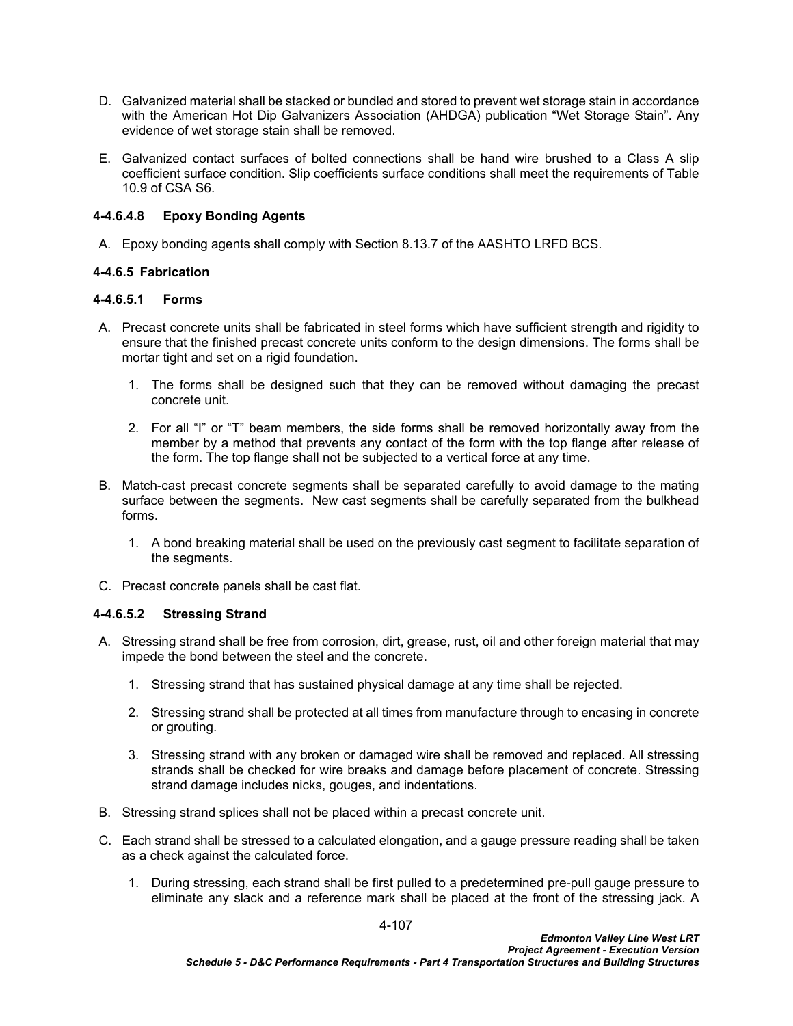- D. Galvanized material shall be stacked or bundled and stored to prevent wet storage stain in accordance with the American Hot Dip Galvanizers Association (AHDGA) publication "Wet Storage Stain". Any evidence of wet storage stain shall be removed.
- E. Galvanized contact surfaces of bolted connections shall be hand wire brushed to a Class A slip coefficient surface condition. Slip coefficients surface conditions shall meet the requirements of Table 10.9 of CSA S6.

# **4-4.6.4.8 Epoxy Bonding Agents**

A. Epoxy bonding agents shall comply with Section 8.13.7 of the AASHTO LRFD BCS.

# **4-4.6.5 Fabrication**

# **4-4.6.5.1 Forms**

- A. Precast concrete units shall be fabricated in steel forms which have sufficient strength and rigidity to ensure that the finished precast concrete units conform to the design dimensions. The forms shall be mortar tight and set on a rigid foundation.
	- 1. The forms shall be designed such that they can be removed without damaging the precast concrete unit.
	- 2. For all "I" or "T" beam members, the side forms shall be removed horizontally away from the member by a method that prevents any contact of the form with the top flange after release of the form. The top flange shall not be subjected to a vertical force at any time.
- B. Match-cast precast concrete segments shall be separated carefully to avoid damage to the mating surface between the segments. New cast segments shall be carefully separated from the bulkhead forms.
	- 1. A bond breaking material shall be used on the previously cast segment to facilitate separation of the segments.
- C. Precast concrete panels shall be cast flat.

# <span id="page-110-0"></span>**4-4.6.5.2 Stressing Strand**

- A. Stressing strand shall be free from corrosion, dirt, grease, rust, oil and other foreign material that may impede the bond between the steel and the concrete.
	- 1. Stressing strand that has sustained physical damage at any time shall be rejected.
	- 2. Stressing strand shall be protected at all times from manufacture through to encasing in concrete or grouting.
	- 3. Stressing strand with any broken or damaged wire shall be removed and replaced. All stressing strands shall be checked for wire breaks and damage before placement of concrete. Stressing strand damage includes nicks, gouges, and indentations.
- B. Stressing strand splices shall not be placed within a precast concrete unit.
- C. Each strand shall be stressed to a calculated elongation, and a gauge pressure reading shall be taken as a check against the calculated force.
	- 1. During stressing, each strand shall be first pulled to a predetermined pre-pull gauge pressure to eliminate any slack and a reference mark shall be placed at the front of the stressing jack. A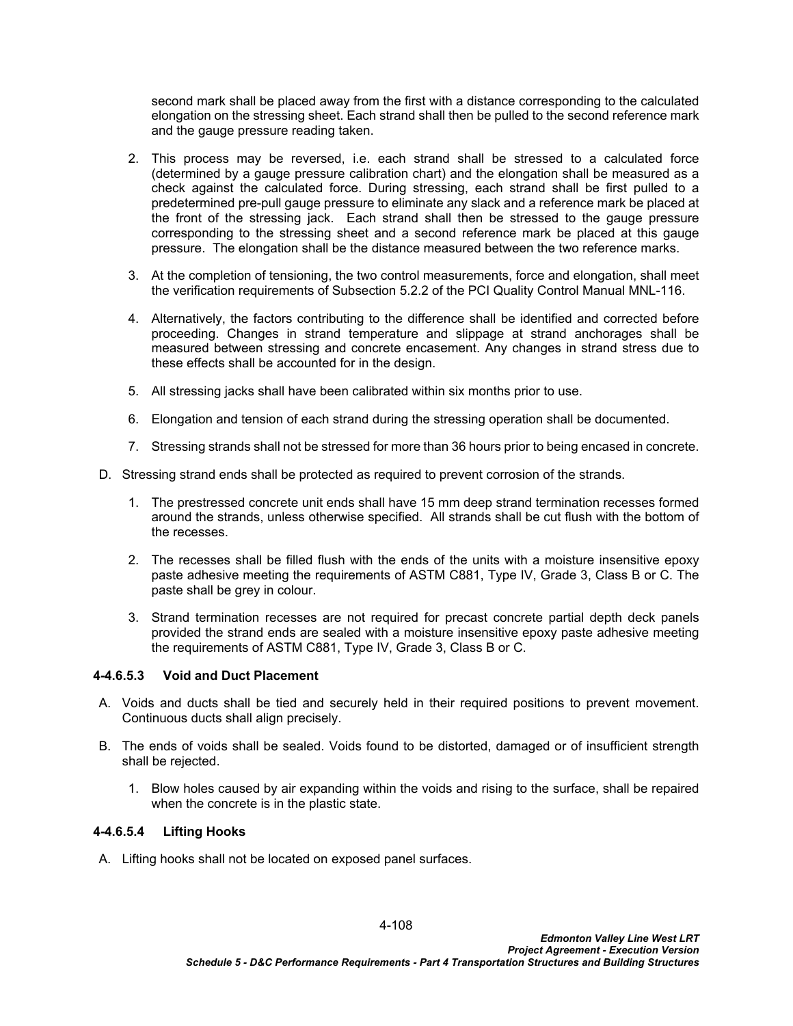second mark shall be placed away from the first with a distance corresponding to the calculated elongation on the stressing sheet. Each strand shall then be pulled to the second reference mark and the gauge pressure reading taken.

- 2. This process may be reversed, i.e. each strand shall be stressed to a calculated force (determined by a gauge pressure calibration chart) and the elongation shall be measured as a check against the calculated force. During stressing, each strand shall be first pulled to a predetermined pre-pull gauge pressure to eliminate any slack and a reference mark be placed at the front of the stressing jack. Each strand shall then be stressed to the gauge pressure corresponding to the stressing sheet and a second reference mark be placed at this gauge pressure. The elongation shall be the distance measured between the two reference marks.
- 3. At the completion of tensioning, the two control measurements, force and elongation, shall meet the verification requirements of Subsection 5.2.2 of the PCI Quality Control Manual MNL-116.
- 4. Alternatively, the factors contributing to the difference shall be identified and corrected before proceeding. Changes in strand temperature and slippage at strand anchorages shall be measured between stressing and concrete encasement. Any changes in strand stress due to these effects shall be accounted for in the design.
- 5. All stressing jacks shall have been calibrated within six months prior to use.
- 6. Elongation and tension of each strand during the stressing operation shall be documented.
- 7. Stressing strands shall not be stressed for more than 36 hours prior to being encased in concrete.
- D. Stressing strand ends shall be protected as required to prevent corrosion of the strands.
	- 1. The prestressed concrete unit ends shall have 15 mm deep strand termination recesses formed around the strands, unless otherwise specified. All strands shall be cut flush with the bottom of the recesses.
	- 2. The recesses shall be filled flush with the ends of the units with a moisture insensitive epoxy paste adhesive meeting the requirements of ASTM C881, Type IV, Grade 3, Class B or C. The paste shall be grey in colour.
	- 3. Strand termination recesses are not required for precast concrete partial depth deck panels provided the strand ends are sealed with a moisture insensitive epoxy paste adhesive meeting the requirements of ASTM C881, Type IV, Grade 3, Class B or C.

## **4-4.6.5.3 Void and Duct Placement**

- A. Voids and ducts shall be tied and securely held in their required positions to prevent movement. Continuous ducts shall align precisely.
- B. The ends of voids shall be sealed. Voids found to be distorted, damaged or of insufficient strength shall be rejected.
	- 1. Blow holes caused by air expanding within the voids and rising to the surface, shall be repaired when the concrete is in the plastic state.

## **4-4.6.5.4 Lifting Hooks**

A. Lifting hooks shall not be located on exposed panel surfaces.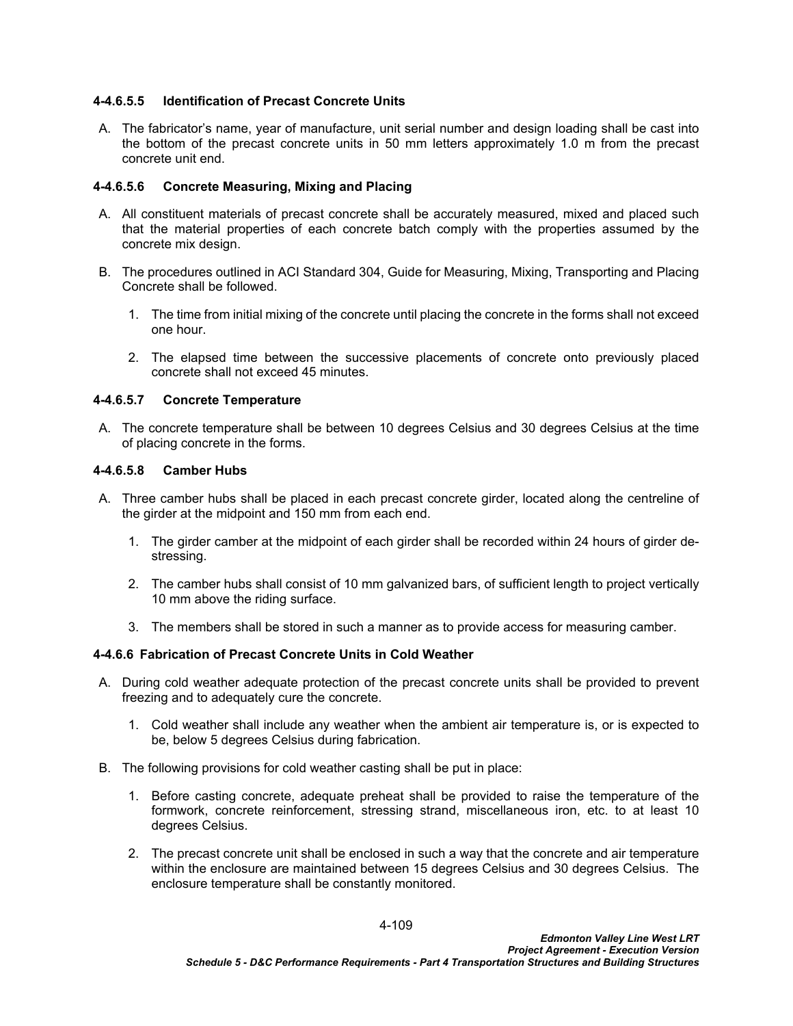# **4-4.6.5.5 Identification of Precast Concrete Units**

A. The fabricator's name, year of manufacture, unit serial number and design loading shall be cast into the bottom of the precast concrete units in 50 mm letters approximately 1.0 m from the precast concrete unit end.

# **4-4.6.5.6 Concrete Measuring, Mixing and Placing**

- A. All constituent materials of precast concrete shall be accurately measured, mixed and placed such that the material properties of each concrete batch comply with the properties assumed by the concrete mix design.
- B. The procedures outlined in ACI Standard 304, Guide for Measuring, Mixing, Transporting and Placing Concrete shall be followed.
	- 1. The time from initial mixing of the concrete until placing the concrete in the forms shall not exceed one hour.
	- 2. The elapsed time between the successive placements of concrete onto previously placed concrete shall not exceed 45 minutes.

## **4-4.6.5.7 Concrete Temperature**

A. The concrete temperature shall be between 10 degrees Celsius and 30 degrees Celsius at the time of placing concrete in the forms.

## **4-4.6.5.8 Camber Hubs**

- A. Three camber hubs shall be placed in each precast concrete girder, located along the centreline of the girder at the midpoint and 150 mm from each end.
	- 1. The girder camber at the midpoint of each girder shall be recorded within 24 hours of girder destressing.
	- 2. The camber hubs shall consist of 10 mm galvanized bars, of sufficient length to project vertically 10 mm above the riding surface.
	- 3. The members shall be stored in such a manner as to provide access for measuring camber.

## **4-4.6.6 Fabrication of Precast Concrete Units in Cold Weather**

- A. During cold weather adequate protection of the precast concrete units shall be provided to prevent freezing and to adequately cure the concrete.
	- 1. Cold weather shall include any weather when the ambient air temperature is, or is expected to be, below 5 degrees Celsius during fabrication.
- B. The following provisions for cold weather casting shall be put in place:
	- 1. Before casting concrete, adequate preheat shall be provided to raise the temperature of the formwork, concrete reinforcement, stressing strand, miscellaneous iron, etc. to at least 10 degrees Celsius.
	- 2. The precast concrete unit shall be enclosed in such a way that the concrete and air temperature within the enclosure are maintained between 15 degrees Celsius and 30 degrees Celsius. The enclosure temperature shall be constantly monitored.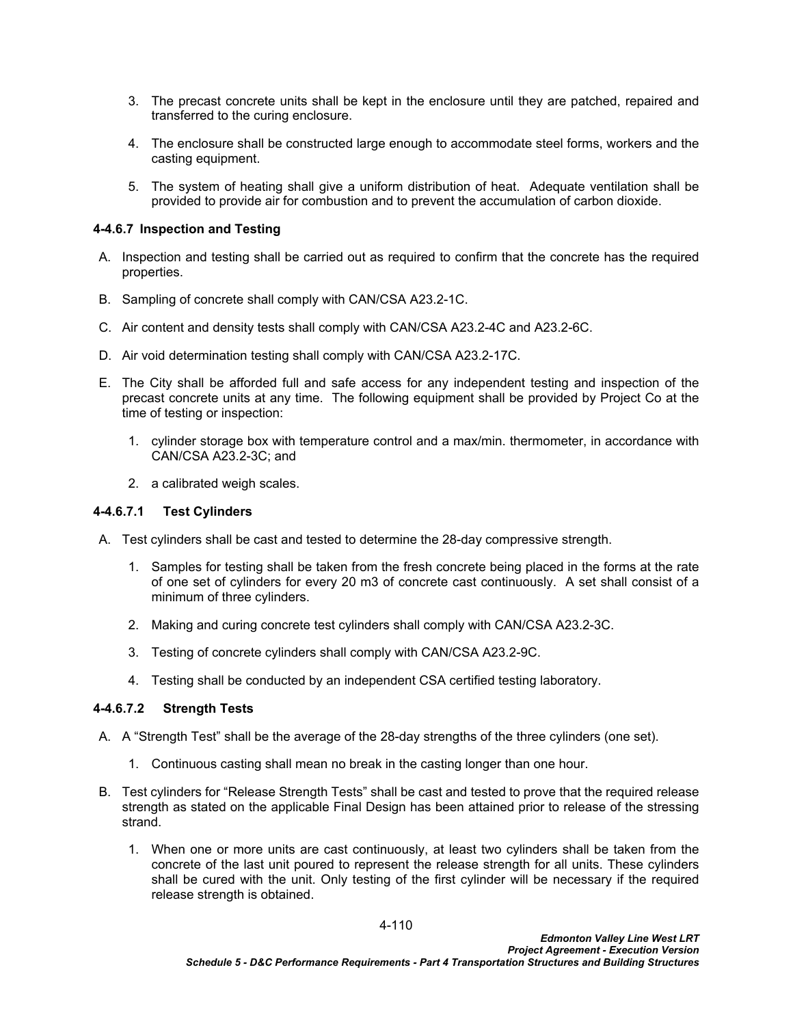- 3. The precast concrete units shall be kept in the enclosure until they are patched, repaired and transferred to the curing enclosure.
- 4. The enclosure shall be constructed large enough to accommodate steel forms, workers and the casting equipment.
- 5. The system of heating shall give a uniform distribution of heat. Adequate ventilation shall be provided to provide air for combustion and to prevent the accumulation of carbon dioxide.

# **4-4.6.7 Inspection and Testing**

- A. Inspection and testing shall be carried out as required to confirm that the concrete has the required properties.
- B. Sampling of concrete shall comply with CAN/CSA A23.2-1C.
- C. Air content and density tests shall comply with CAN/CSA A23.2-4C and A23.2-6C.
- D. Air void determination testing shall comply with CAN/CSA A23.2-17C.
- E. The City shall be afforded full and safe access for any independent testing and inspection of the precast concrete units at any time. The following equipment shall be provided by Project Co at the time of testing or inspection:
	- 1. cylinder storage box with temperature control and a max/min. thermometer, in accordance with CAN/CSA A23.2-3C; and
	- 2. a calibrated weigh scales.

## **4-4.6.7.1 Test Cylinders**

- A. Test cylinders shall be cast and tested to determine the 28-day compressive strength.
	- 1. Samples for testing shall be taken from the fresh concrete being placed in the forms at the rate of one set of cylinders for every 20 m3 of concrete cast continuously. A set shall consist of a minimum of three cylinders.
	- 2. Making and curing concrete test cylinders shall comply with CAN/CSA A23.2-3C.
	- 3. Testing of concrete cylinders shall comply with CAN/CSA A23.2-9C.
	- 4. Testing shall be conducted by an independent CSA certified testing laboratory.

## **4-4.6.7.2 Strength Tests**

- A. A "Strength Test" shall be the average of the 28-day strengths of the three cylinders (one set).
	- 1. Continuous casting shall mean no break in the casting longer than one hour.
- B. Test cylinders for "Release Strength Tests" shall be cast and tested to prove that the required release strength as stated on the applicable Final Design has been attained prior to release of the stressing strand.
	- 1. When one or more units are cast continuously, at least two cylinders shall be taken from the concrete of the last unit poured to represent the release strength for all units. These cylinders shall be cured with the unit. Only testing of the first cylinder will be necessary if the required release strength is obtained.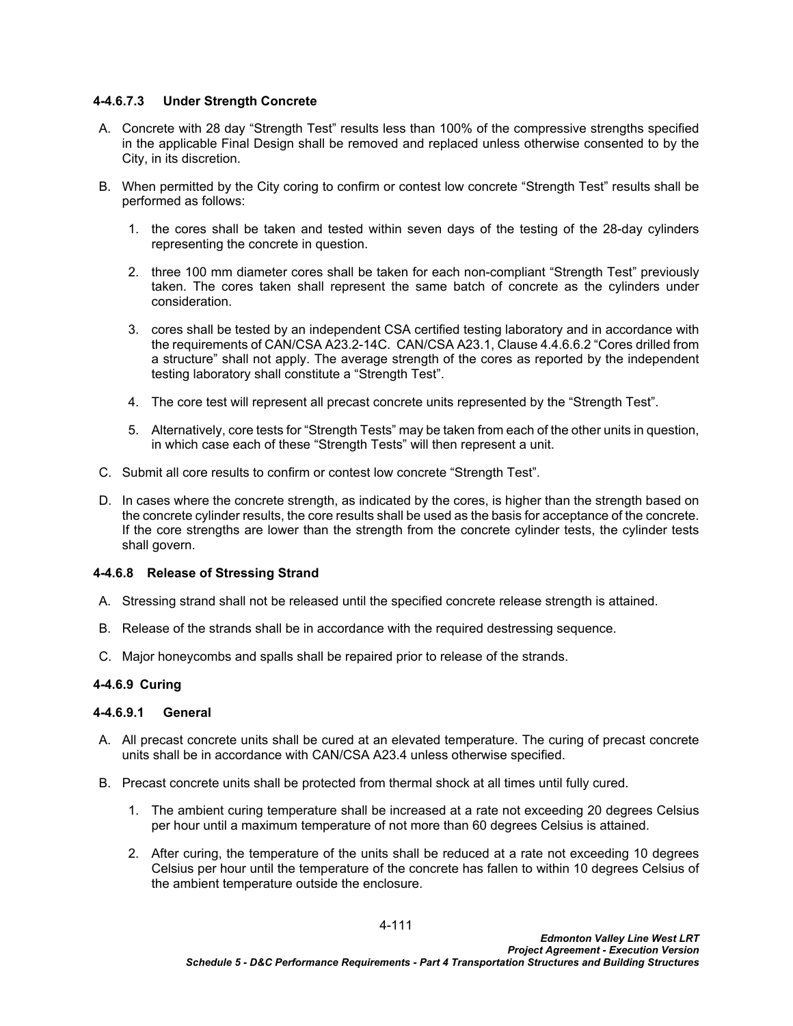## **4-4.6.7.3 Under Strength Concrete**

- A. Concrete with 28 day "Strength Test" results less than 100% of the compressive strengths specified in the applicable Final Design shall be removed and replaced unless otherwise consented to by the City, in its discretion.
- B. When permitted by the City coring to confirm or contest low concrete "Strength Test" results shall be performed as follows:
	- 1. the cores shall be taken and tested within seven days of the testing of the 28-day cylinders representing the concrete in question.
	- 2. three 100 mm diameter cores shall be taken for each non-compliant "Strength Test" previously taken. The cores taken shall represent the same batch of concrete as the cylinders under consideration.
	- 3. cores shall be tested by an independent CSA certified testing laboratory and in accordance with the requirements of CAN/CSA A23.2-14C. CAN/CSA A23.1, Clause 4.4.6.6.2 "Cores drilled from a structure" shall not apply. The average strength of the cores as reported by the independent testing laboratory shall constitute a "Strength Test".
	- 4. The core test will represent all precast concrete units represented by the "Strength Test".
	- 5. Alternatively, core tests for "Strength Tests" may be taken from each of the other units in question, in which case each of these "Strength Tests" will then represent a unit.
- C. Submit all core results to confirm or contest low concrete "Strength Test".
- D. In cases where the concrete strength, as indicated by the cores, is higher than the strength based on the concrete cylinder results, the core results shall be used as the basis for acceptance of the concrete. If the core strengths are lower than the strength from the concrete cylinder tests, the cylinder tests shall govern.

## **4-4.6.8 Release of Stressing Strand**

- A. Stressing strand shall not be released until the specified concrete release strength is attained.
- B. Release of the strands shall be in accordance with the required destressing sequence.
- C. Major honeycombs and spalls shall be repaired prior to release of the strands.

## **4-4.6.9 Curing**

## **4-4.6.9.1 General**

- A. All precast concrete units shall be cured at an elevated temperature. The curing of precast concrete units shall be in accordance with CAN/CSA A23.4 unless otherwise specified.
- B. Precast concrete units shall be protected from thermal shock at all times until fully cured.
	- 1. The ambient curing temperature shall be increased at a rate not exceeding 20 degrees Celsius per hour until a maximum temperature of not more than 60 degrees Celsius is attained.
	- 2. After curing, the temperature of the units shall be reduced at a rate not exceeding 10 degrees Celsius per hour until the temperature of the concrete has fallen to within 10 degrees Celsius of the ambient temperature outside the enclosure.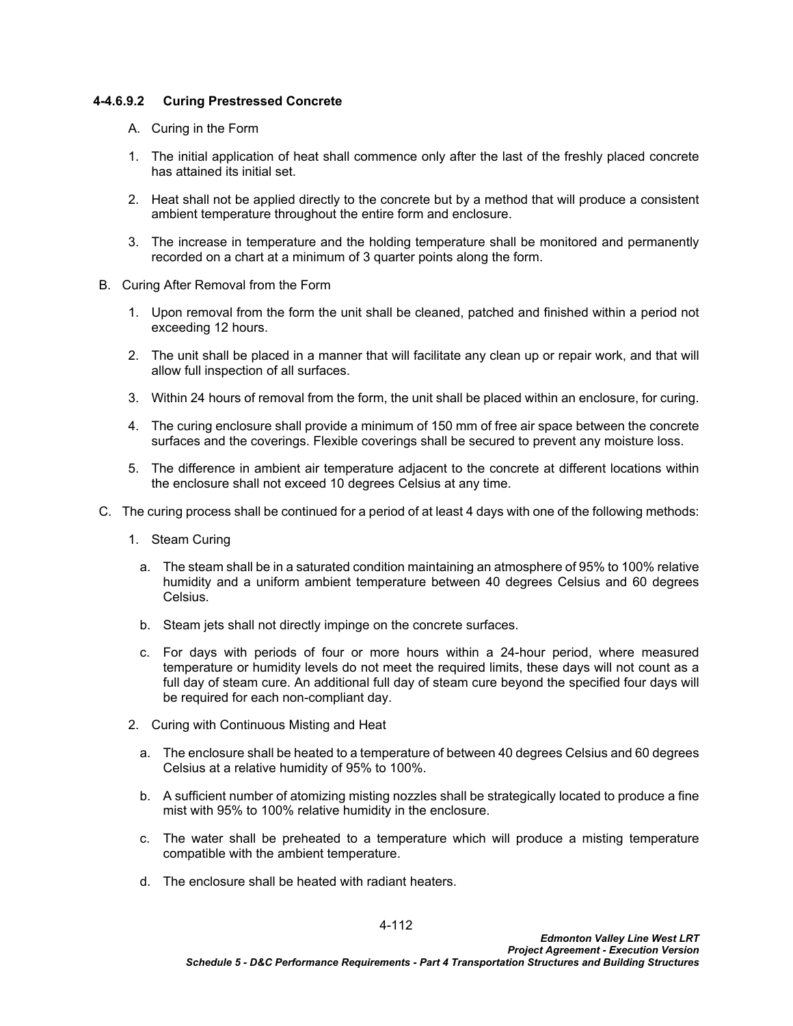# <span id="page-115-0"></span>**4-4.6.9.2 Curing Prestressed Concrete**

- A. Curing in the Form
- 1. The initial application of heat shall commence only after the last of the freshly placed concrete has attained its initial set.
- 2. Heat shall not be applied directly to the concrete but by a method that will produce a consistent ambient temperature throughout the entire form and enclosure.
- 3. The increase in temperature and the holding temperature shall be monitored and permanently recorded on a chart at a minimum of 3 quarter points along the form.
- B. Curing After Removal from the Form
	- 1. Upon removal from the form the unit shall be cleaned, patched and finished within a period not exceeding 12 hours.
	- 2. The unit shall be placed in a manner that will facilitate any clean up or repair work, and that will allow full inspection of all surfaces.
	- 3. Within 24 hours of removal from the form, the unit shall be placed within an enclosure, for curing.
	- 4. The curing enclosure shall provide a minimum of 150 mm of free air space between the concrete surfaces and the coverings. Flexible coverings shall be secured to prevent any moisture loss.
	- 5. The difference in ambient air temperature adjacent to the concrete at different locations within the enclosure shall not exceed 10 degrees Celsius at any time.
- C. The curing process shall be continued for a period of at least 4 days with one of the following methods:
	- 1. Steam Curing
		- a. The steam shall be in a saturated condition maintaining an atmosphere of 95% to 100% relative humidity and a uniform ambient temperature between 40 degrees Celsius and 60 degrees Celsius.
		- b. Steam jets shall not directly impinge on the concrete surfaces.
		- c. For days with periods of four or more hours within a 24-hour period, where measured temperature or humidity levels do not meet the required limits, these days will not count as a full day of steam cure. An additional full day of steam cure beyond the specified four days will be required for each non-compliant day.
	- 2. Curing with Continuous Misting and Heat
		- a. The enclosure shall be heated to a temperature of between 40 degrees Celsius and 60 degrees Celsius at a relative humidity of 95% to 100%.
		- b. A sufficient number of atomizing misting nozzles shall be strategically located to produce a fine mist with 95% to 100% relative humidity in the enclosure.
		- c. The water shall be preheated to a temperature which will produce a misting temperature compatible with the ambient temperature.
		- d. The enclosure shall be heated with radiant heaters.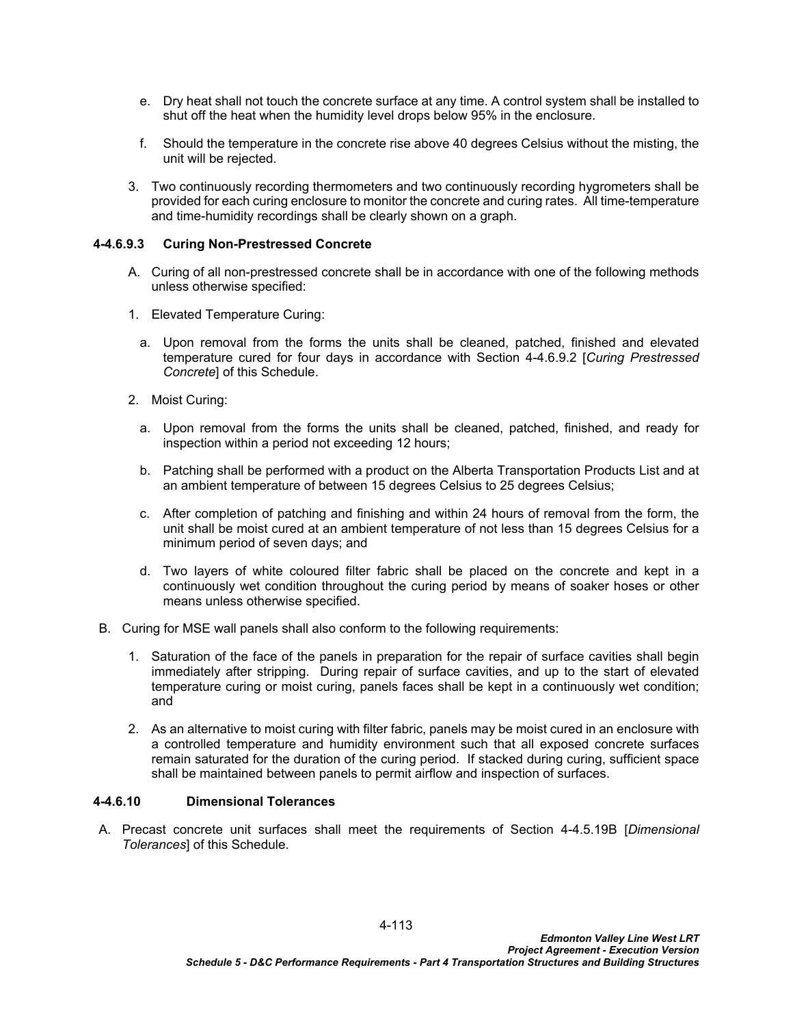- e. Dry heat shall not touch the concrete surface at any time. A control system shall be installed to shut off the heat when the humidity level drops below 95% in the enclosure.
- f. Should the temperature in the concrete rise above 40 degrees Celsius without the misting, the unit will be rejected.
- 3. Two continuously recording thermometers and two continuously recording hygrometers shall be provided for each curing enclosure to monitor the concrete and curing rates. All time-temperature and time-humidity recordings shall be clearly shown on a graph.

# **4-4.6.9.3 Curing Non-Prestressed Concrete**

- A. Curing of all non-prestressed concrete shall be in accordance with one of the following methods unless otherwise specified:
- 1. Elevated Temperature Curing:
	- a. Upon removal from the forms the units shall be cleaned, patched, finished and elevated temperature cured for four days in accordance with Section [4-4.6.9.2](#page-115-0) [*[Curing Prestressed](#page-115-0)  [Concrete](#page-115-0)*] of this Schedule.
- 2. Moist Curing:
	- a. Upon removal from the forms the units shall be cleaned, patched, finished, and ready for inspection within a period not exceeding 12 hours;
	- b. Patching shall be performed with a product on the Alberta Transportation Products List and at an ambient temperature of between 15 degrees Celsius to 25 degrees Celsius;
	- c. After completion of patching and finishing and within 24 hours of removal from the form, the unit shall be moist cured at an ambient temperature of not less than 15 degrees Celsius for a minimum period of seven days; and
	- d. Two layers of white coloured filter fabric shall be placed on the concrete and kept in a continuously wet condition throughout the curing period by means of soaker hoses or other means unless otherwise specified.
- B. Curing for MSE wall panels shall also conform to the following requirements:
	- 1. Saturation of the face of the panels in preparation for the repair of surface cavities shall begin immediately after stripping. During repair of surface cavities, and up to the start of elevated temperature curing or moist curing, panels faces shall be kept in a continuously wet condition; and
	- 2. As an alternative to moist curing with filter fabric, panels may be moist cured in an enclosure with a controlled temperature and humidity environment such that all exposed concrete surfaces remain saturated for the duration of the curing period. If stacked during curing, sufficient space shall be maintained between panels to permit airflow and inspection of surfaces.

# **4-4.6.10 Dimensional Tolerances**

A. Precast concrete unit surfaces shall meet the requirements of Section [4-4.5.19B](#page-100-0) [*[Dimensional](#page-99-0)  [Tolerances](#page-99-0)*] of this Schedule.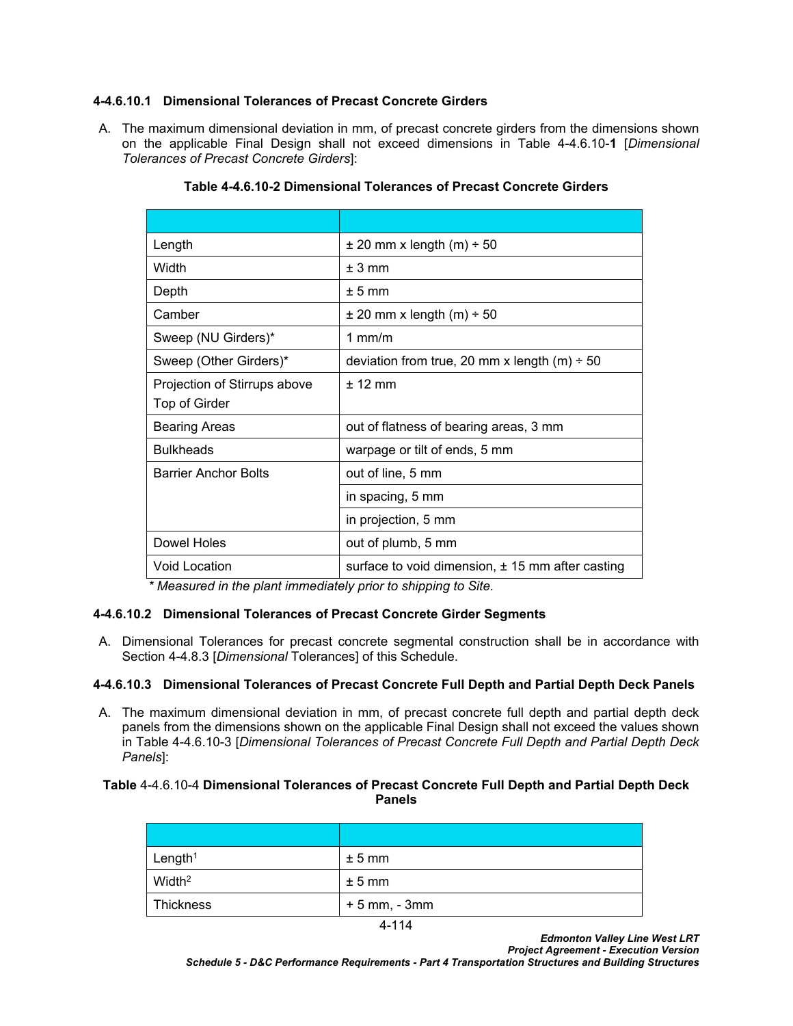# **4-4.6.10.1 Dimensional Tolerances of Precast Concrete Girders**

A. The maximum dimensional deviation in mm, of precast concrete girders from the dimensions shown on the applicable Final Design shall not exceed dimensions in Table 4-4.6.10-**1** [*Dimensional Tolerances of Precast Concrete Girders*]:

| Length                       | $\pm$ 20 mm x length (m) $\div$ 50                   |
|------------------------------|------------------------------------------------------|
| Width                        | $± 3$ mm                                             |
| Depth                        | $± 5$ mm                                             |
| Camber                       | $\pm$ 20 mm x length (m) $\div$ 50                   |
| Sweep (NU Girders)*          | $1$ mm/m                                             |
| Sweep (Other Girders)*       | deviation from true, 20 mm x length (m) $\div$ 50    |
| Projection of Stirrups above | $± 12$ mm                                            |
| Top of Girder                |                                                      |
| <b>Bearing Areas</b>         | out of flatness of bearing areas, 3 mm               |
| <b>Bulkheads</b>             | warpage or tilt of ends, 5 mm                        |
| <b>Barrier Anchor Bolts</b>  | out of line, 5 mm                                    |
|                              | in spacing, 5 mm                                     |
|                              | in projection, 5 mm                                  |
| Dowel Holes                  | out of plumb, 5 mm                                   |
| <b>Void Location</b>         | surface to void dimension, $\pm$ 15 mm after casting |

# **Table 4-4.6.10-2 Dimensional Tolerances of Precast Concrete Girders**

*\* Measured in the plant immediately prior to shipping to Site.*

# **4-4.6.10.2 Dimensional Tolerances of Precast Concrete Girder Segments**

A. Dimensional Tolerances for precast concrete segmental construction shall be in accordance with Section [4-4.8.3](#page-138-0) [*[Dimensional](#page-138-0)* Tolerances] of this Schedule.

## **4-4.6.10.3 Dimensional Tolerances of Precast Concrete Full Depth and Partial Depth Deck Panels**

A. The maximum dimensional deviation in mm, of precast concrete full depth and partial depth deck panels from the dimensions shown on the applicable Final Design shall not exceed the values shown in Table 4-4.6.10-3 [*Dimensional Tolerances of Precast Concrete Full Depth and Partial Depth Deck Panels*]:

# **Table** 4-4.6.10-4 **Dimensional Tolerances of Precast Concrete Full Depth and Partial Depth Deck Panels**

| Length <sup>1</sup> | $± 5$ mm         |
|---------------------|------------------|
| Width <sup>2</sup>  | $± 5$ mm         |
| Thickness           | $+5$ mm, $-3$ mm |
| .                   |                  |

4-114

*Schedule 5 - D&C Performance Requirements - Part 4 Transportation Structures and Building Structures*

*Edmonton Valley Line West LRT Project Agreement - Execution Version*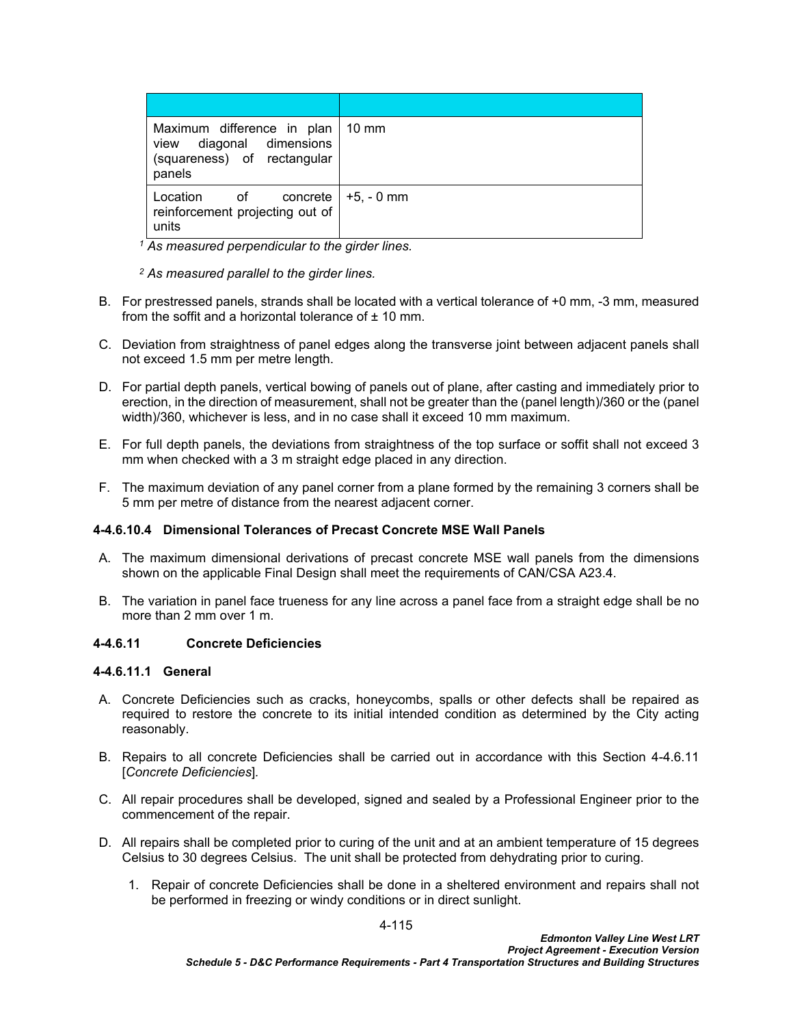| Maximum difference in plan   10 mm<br>diagonal dimensions<br>view<br>(squareness) of rectangular<br>panels |              |
|------------------------------------------------------------------------------------------------------------|--------------|
| Location of concrete<br>reinforcement projecting out of<br>units                                           | ∣ +5. - 0 mm |

*1 As measured perpendicular to the girder lines.*

*2 As measured parallel to the girder lines.*

- B. For prestressed panels, strands shall be located with a vertical tolerance of +0 mm, -3 mm, measured from the soffit and a horizontal tolerance of  $\pm$  10 mm.
- C. Deviation from straightness of panel edges along the transverse joint between adjacent panels shall not exceed 1.5 mm per metre length.
- D. For partial depth panels, vertical bowing of panels out of plane, after casting and immediately prior to erection, in the direction of measurement, shall not be greater than the (panel length)/360 or the (panel width)/360, whichever is less, and in no case shall it exceed 10 mm maximum.
- E. For full depth panels, the deviations from straightness of the top surface or soffit shall not exceed 3 mm when checked with a 3 m straight edge placed in any direction.
- F. The maximum deviation of any panel corner from a plane formed by the remaining 3 corners shall be 5 mm per metre of distance from the nearest adjacent corner.

# **4-4.6.10.4 Dimensional Tolerances of Precast Concrete MSE Wall Panels**

- A. The maximum dimensional derivations of precast concrete MSE wall panels from the dimensions shown on the applicable Final Design shall meet the requirements of CAN/CSA A23.4.
- B. The variation in panel face trueness for any line across a panel face from a straight edge shall be no more than 2 mm over 1 m.

## <span id="page-118-0"></span>**4-4.6.11 Concrete Deficiencies**

# **4-4.6.11.1 General**

- A. Concrete Deficiencies such as cracks, honeycombs, spalls or other defects shall be repaired as required to restore the concrete to its initial intended condition as determined by the City acting reasonably.
- B. Repairs to all concrete Deficiencies shall be carried out in accordance with this Section [4-4.6.11](#page-118-0)  [*[Concrete Deficiencies](#page-118-0)*]*.*
- C. All repair procedures shall be developed, signed and sealed by a Professional Engineer prior to the commencement of the repair.
- D. All repairs shall be completed prior to curing of the unit and at an ambient temperature of 15 degrees Celsius to 30 degrees Celsius. The unit shall be protected from dehydrating prior to curing.
	- 1. Repair of concrete Deficiencies shall be done in a sheltered environment and repairs shall not be performed in freezing or windy conditions or in direct sunlight.

4-115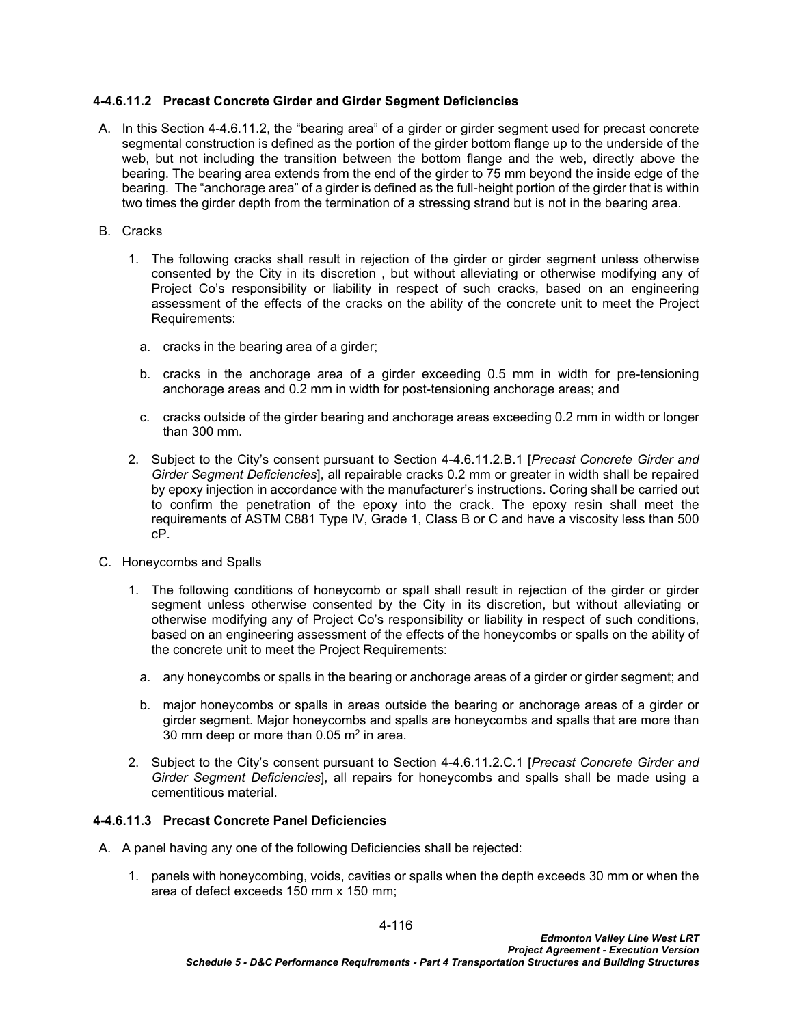## <span id="page-119-0"></span>**4-4.6.11.2 Precast Concrete Girder and Girder Segment Deficiencies**

- A. In this Section [4-4.6.11.2,](#page-119-0) the "bearing area" of a girder or girder segment used for precast concrete segmental construction is defined as the portion of the girder bottom flange up to the underside of the web, but not including the transition between the bottom flange and the web, directly above the bearing. The bearing area extends from the end of the girder to 75 mm beyond the inside edge of the bearing. The "anchorage area" of a girder is defined as the full-height portion of the girder that is within two times the girder depth from the termination of a stressing strand but is not in the bearing area.
- B. Cracks
	- 1. The following cracks shall result in rejection of the girder or girder segment unless otherwise consented by the City in its discretion , but without alleviating or otherwise modifying any of Project Co's responsibility or liability in respect of such cracks, based on an engineering assessment of the effects of the cracks on the ability of the concrete unit to meet the Project Requirements:
		- a. cracks in the bearing area of a girder;
		- b. cracks in the anchorage area of a girder exceeding 0.5 mm in width for pre-tensioning anchorage areas and 0.2 mm in width for post-tensioning anchorage areas; and
		- c. cracks outside of the girder bearing and anchorage areas exceeding 0.2 mm in width or longer than 300 mm.
	- 2. Subject to the City's consent pursuant to Section [4-4.6.11.](#page-118-0)2.B.1 [*[Precast Concrete Girder and](#page-119-0)  [Girder Segment Deficiencies](#page-119-0)*], all repairable cracks 0.2 mm or greater in width shall be repaired by epoxy injection in accordance with the manufacturer's instructions. Coring shall be carried out to confirm the penetration of the epoxy into the crack. The epoxy resin shall meet the requirements of ASTM C881 Type IV, Grade 1, Class B or C and have a viscosity less than 500 cP.
- C. Honeycombs and Spalls
	- 1. The following conditions of honeycomb or spall shall result in rejection of the girder or girder segment unless otherwise consented by the City in its discretion, but without alleviating or otherwise modifying any of Project Co's responsibility or liability in respect of such conditions, based on an engineering assessment of the effects of the honeycombs or spalls on the ability of the concrete unit to meet the Project Requirements:
		- a. any honeycombs or spalls in the bearing or anchorage areas of a girder or girder segment; and
		- b. major honeycombs or spalls in areas outside the bearing or anchorage areas of a girder or girder segment. Major honeycombs and spalls are honeycombs and spalls that are more than 30 mm deep or more than 0.05 m $^2$  in area.
	- 2. Subject to the City's consent pursuant to Section [4-4.6.11.](#page-118-0)2.C.1 [*[Precast Concrete Girder and](#page-119-0)  [Girder Segment Deficiencies](#page-119-0)*], all repairs for honeycombs and spalls shall be made using a cementitious material.

## **4-4.6.11.3 Precast Concrete Panel Deficiencies**

- A. A panel having any one of the following Deficiencies shall be rejected:
	- 1. panels with honeycombing, voids, cavities or spalls when the depth exceeds 30 mm or when the area of defect exceeds 150 mm x 150 mm;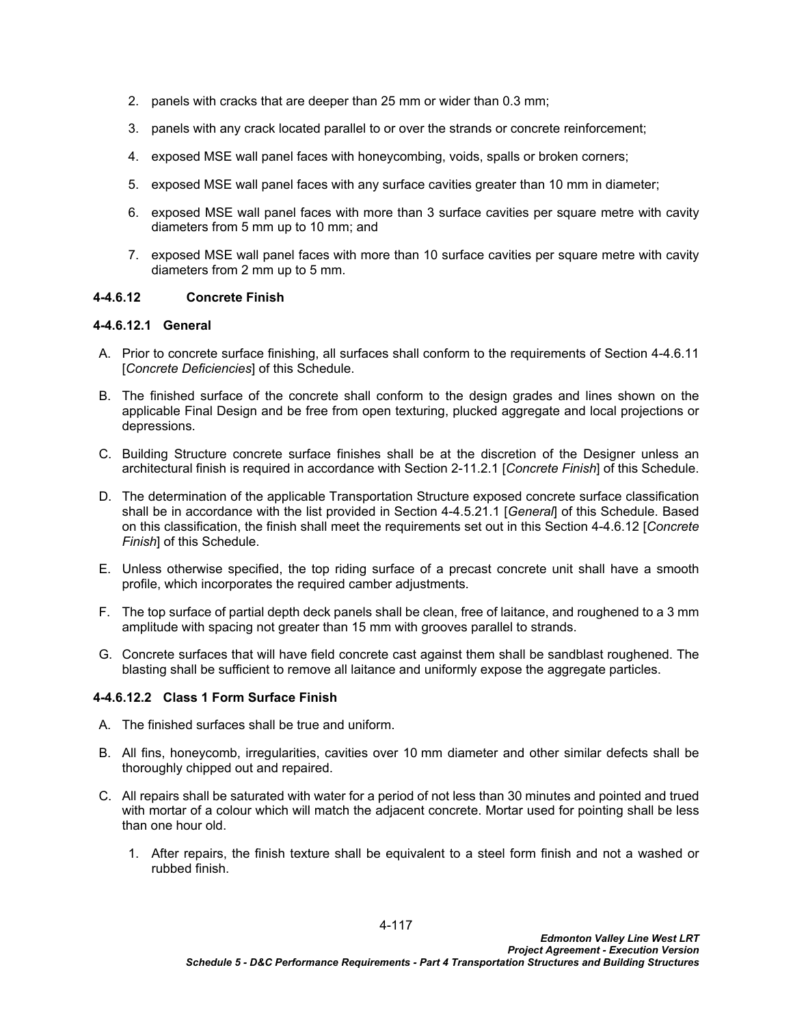- 2. panels with cracks that are deeper than 25 mm or wider than 0.3 mm;
- 3. panels with any crack located parallel to or over the strands or concrete reinforcement;
- 4. exposed MSE wall panel faces with honeycombing, voids, spalls or broken corners;
- 5. exposed MSE wall panel faces with any surface cavities greater than 10 mm in diameter;
- 6. exposed MSE wall panel faces with more than 3 surface cavities per square metre with cavity diameters from 5 mm up to 10 mm; and
- 7. exposed MSE wall panel faces with more than 10 surface cavities per square metre with cavity diameters from 2 mm up to 5 mm.

## <span id="page-120-0"></span>**4-4.6.12 Concrete Finish**

#### **4-4.6.12.1 General**

- A. Prior to concrete surface finishing, all surfaces shall conform to the requirements of Section [4-4.6.11](#page-118-0)  [*[Concrete Deficiencies](#page-118-0)*] of this Schedule.
- B. The finished surface of the concrete shall conform to the design grades and lines shown on the applicable Final Design and be free from open texturing, plucked aggregate and local projections or depressions.
- C. Building Structure concrete surface finishes shall be at the discretion of the Designer unless an architectural finish is required in accordance with Section 2-11.2.1 [*Concrete Finish*] of this Schedule.
- D. The determination of the applicable Transportation Structure exposed concrete surface classification shall be in accordance with the list provided in Section [4-4.5.21.1](#page-101-0) [*[General](#page-101-0)*] of this Schedule. Based on this classification, the finish shall meet the requirements set out in this Section [4-4.6.12](#page-120-0) [*Concrete Finish*] of this Schedule.
- E. Unless otherwise specified, the top riding surface of a precast concrete unit shall have a smooth profile, which incorporates the required camber adjustments.
- F. The top surface of partial depth deck panels shall be clean, free of laitance, and roughened to a 3 mm amplitude with spacing not greater than 15 mm with grooves parallel to strands.
- G. Concrete surfaces that will have field concrete cast against them shall be sandblast roughened. The blasting shall be sufficient to remove all laitance and uniformly expose the aggregate particles.

## **4-4.6.12.2 Class 1 Form Surface Finish**

- A. The finished surfaces shall be true and uniform.
- B. All fins, honeycomb, irregularities, cavities over 10 mm diameter and other similar defects shall be thoroughly chipped out and repaired.
- C. All repairs shall be saturated with water for a period of not less than 30 minutes and pointed and trued with mortar of a colour which will match the adjacent concrete. Mortar used for pointing shall be less than one hour old.
	- 1. After repairs, the finish texture shall be equivalent to a steel form finish and not a washed or rubbed finish.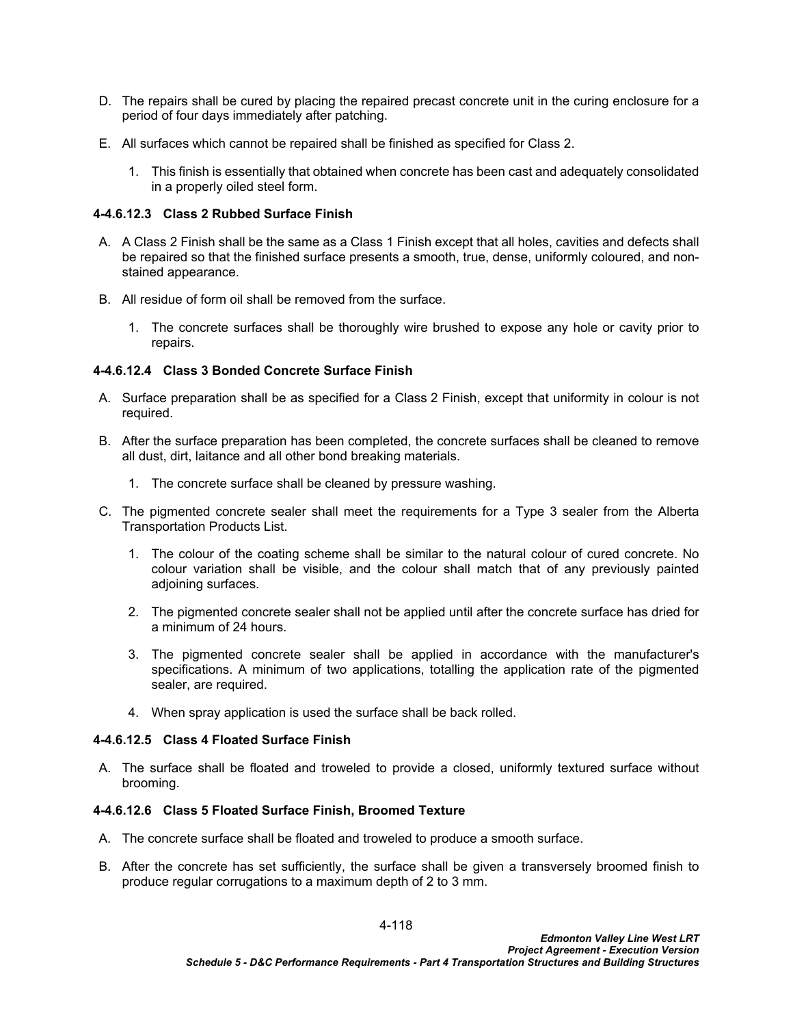- D. The repairs shall be cured by placing the repaired precast concrete unit in the curing enclosure for a period of four days immediately after patching.
- E. All surfaces which cannot be repaired shall be finished as specified for Class 2.
	- 1. This finish is essentially that obtained when concrete has been cast and adequately consolidated in a properly oiled steel form.

# **4-4.6.12.3 Class 2 Rubbed Surface Finish**

- A. A Class 2 Finish shall be the same as a Class 1 Finish except that all holes, cavities and defects shall be repaired so that the finished surface presents a smooth, true, dense, uniformly coloured, and nonstained appearance.
- B. All residue of form oil shall be removed from the surface.
	- 1. The concrete surfaces shall be thoroughly wire brushed to expose any hole or cavity prior to repairs.

# **4-4.6.12.4 Class 3 Bonded Concrete Surface Finish**

- A. Surface preparation shall be as specified for a Class 2 Finish, except that uniformity in colour is not required.
- B. After the surface preparation has been completed, the concrete surfaces shall be cleaned to remove all dust, dirt, laitance and all other bond breaking materials.
	- 1. The concrete surface shall be cleaned by pressure washing.
- C. The pigmented concrete sealer shall meet the requirements for a Type 3 sealer from the Alberta Transportation Products List.
	- 1. The colour of the coating scheme shall be similar to the natural colour of cured concrete. No colour variation shall be visible, and the colour shall match that of any previously painted adjoining surfaces.
	- 2. The pigmented concrete sealer shall not be applied until after the concrete surface has dried for a minimum of 24 hours.
	- 3. The pigmented concrete sealer shall be applied in accordance with the manufacturer's specifications. A minimum of two applications, totalling the application rate of the pigmented sealer, are required.
	- 4. When spray application is used the surface shall be back rolled.

## **4-4.6.12.5 Class 4 Floated Surface Finish**

A. The surface shall be floated and troweled to provide a closed, uniformly textured surface without brooming.

## **4-4.6.12.6 Class 5 Floated Surface Finish, Broomed Texture**

- A. The concrete surface shall be floated and troweled to produce a smooth surface.
- B. After the concrete has set sufficiently, the surface shall be given a transversely broomed finish to produce regular corrugations to a maximum depth of 2 to 3 mm.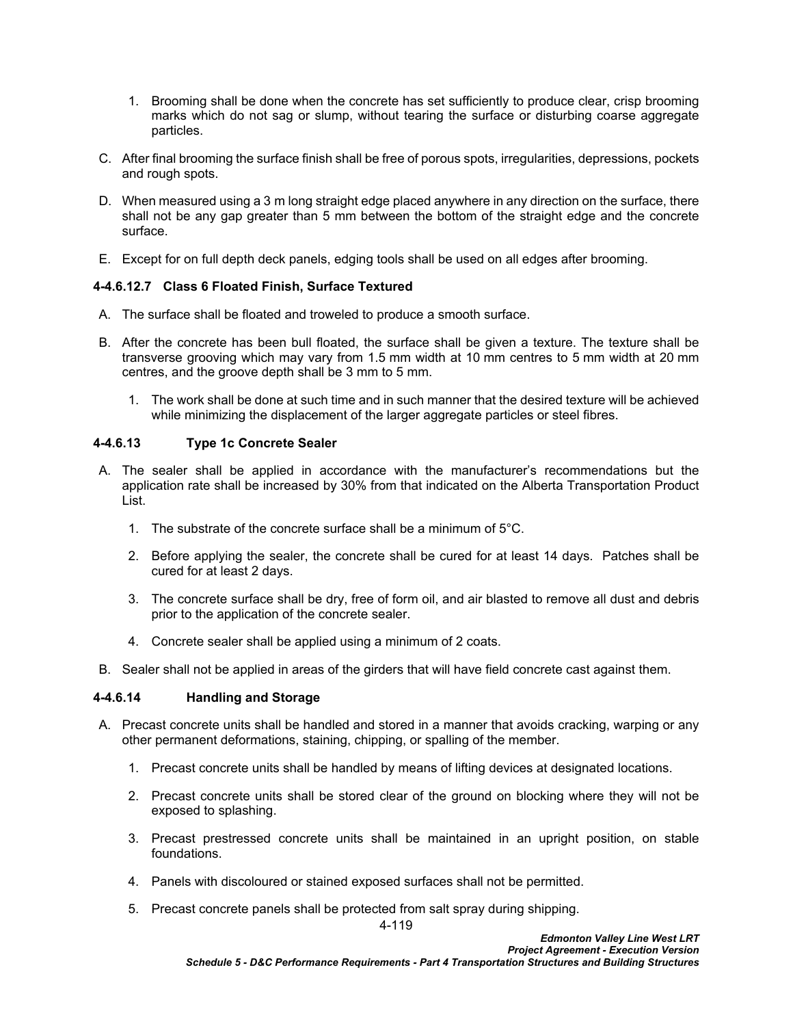- 1. Brooming shall be done when the concrete has set sufficiently to produce clear, crisp brooming marks which do not sag or slump, without tearing the surface or disturbing coarse aggregate particles.
- C. After final brooming the surface finish shall be free of porous spots, irregularities, depressions, pockets and rough spots.
- D. When measured using a 3 m long straight edge placed anywhere in any direction on the surface, there shall not be any gap greater than 5 mm between the bottom of the straight edge and the concrete surface.
- E. Except for on full depth deck panels, edging tools shall be used on all edges after brooming.

# **4-4.6.12.7 Class 6 Floated Finish, Surface Textured**

- A. The surface shall be floated and troweled to produce a smooth surface.
- B. After the concrete has been bull floated, the surface shall be given a texture. The texture shall be transverse grooving which may vary from 1.5 mm width at 10 mm centres to 5 mm width at 20 mm centres, and the groove depth shall be 3 mm to 5 mm.
	- 1. The work shall be done at such time and in such manner that the desired texture will be achieved while minimizing the displacement of the larger aggregate particles or steel fibres.

# **4-4.6.13 Type 1c Concrete Sealer**

- A. The sealer shall be applied in accordance with the manufacturer's recommendations but the application rate shall be increased by 30% from that indicated on the Alberta Transportation Product List.
	- 1. The substrate of the concrete surface shall be a minimum of 5°C.
	- 2. Before applying the sealer, the concrete shall be cured for at least 14 days. Patches shall be cured for at least 2 days.
	- 3. The concrete surface shall be dry, free of form oil, and air blasted to remove all dust and debris prior to the application of the concrete sealer.
	- 4. Concrete sealer shall be applied using a minimum of 2 coats.
- B. Sealer shall not be applied in areas of the girders that will have field concrete cast against them.

## **4-4.6.14 Handling and Storage**

- A. Precast concrete units shall be handled and stored in a manner that avoids cracking, warping or any other permanent deformations, staining, chipping, or spalling of the member.
	- 1. Precast concrete units shall be handled by means of lifting devices at designated locations.
	- 2. Precast concrete units shall be stored clear of the ground on blocking where they will not be exposed to splashing.
	- 3. Precast prestressed concrete units shall be maintained in an upright position, on stable foundations.
	- 4. Panels with discoloured or stained exposed surfaces shall not be permitted.
	- 5. Precast concrete panels shall be protected from salt spray during shipping.

4-119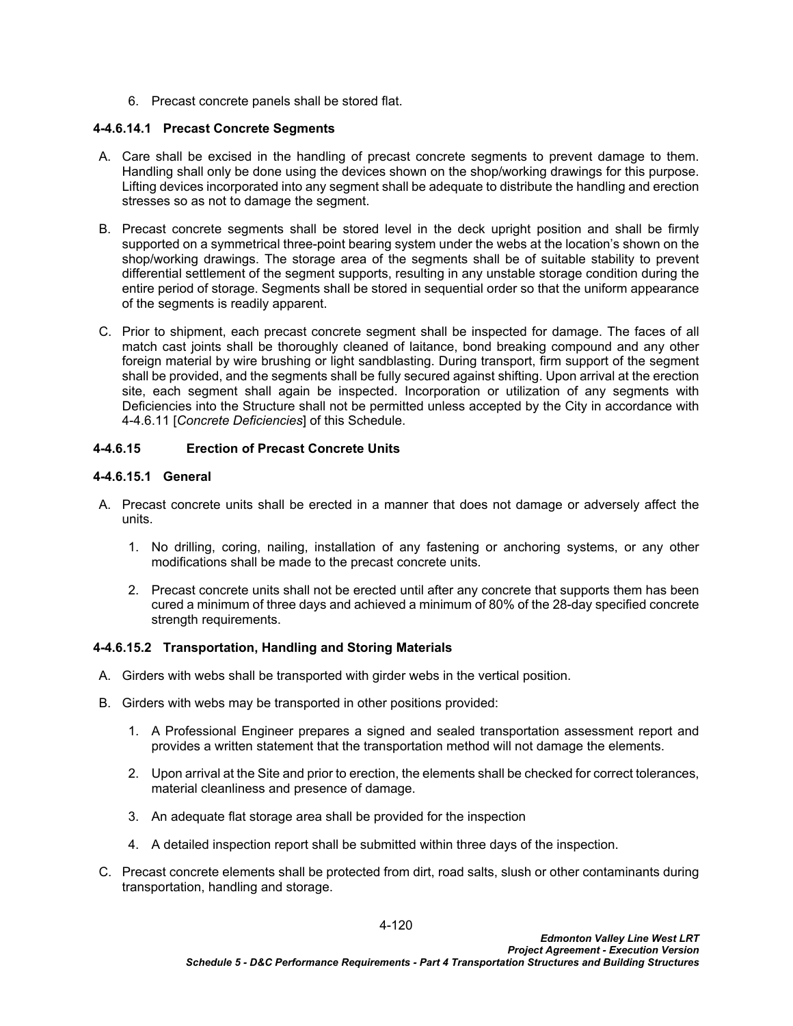6. Precast concrete panels shall be stored flat.

# **4-4.6.14.1 Precast Concrete Segments**

- A. Care shall be excised in the handling of precast concrete segments to prevent damage to them. Handling shall only be done using the devices shown on the shop/working drawings for this purpose. Lifting devices incorporated into any segment shall be adequate to distribute the handling and erection stresses so as not to damage the segment.
- B. Precast concrete segments shall be stored level in the deck upright position and shall be firmly supported on a symmetrical three-point bearing system under the webs at the location's shown on the shop/working drawings. The storage area of the segments shall be of suitable stability to prevent differential settlement of the segment supports, resulting in any unstable storage condition during the entire period of storage. Segments shall be stored in sequential order so that the uniform appearance of the segments is readily apparent.
- C. Prior to shipment, each precast concrete segment shall be inspected for damage. The faces of all match cast joints shall be thoroughly cleaned of laitance, bond breaking compound and any other foreign material by wire brushing or light sandblasting. During transport, firm support of the segment shall be provided, and the segments shall be fully secured against shifting. Upon arrival at the erection site, each segment shall again be inspected. Incorporation or utilization of any segments with Deficiencies into the Structure shall not be permitted unless accepted by the City in accordance with [4-4.6.11](#page-118-0) [*[Concrete Deficiencies](#page-118-0)*] of this Schedule.

# **4-4.6.15 Erection of Precast Concrete Units**

# **4-4.6.15.1 General**

- A. Precast concrete units shall be erected in a manner that does not damage or adversely affect the units.
	- 1. No drilling, coring, nailing, installation of any fastening or anchoring systems, or any other modifications shall be made to the precast concrete units.
	- 2. Precast concrete units shall not be erected until after any concrete that supports them has been cured a minimum of three days and achieved a minimum of 80% of the 28-day specified concrete strength requirements.

# **4-4.6.15.2 Transportation, Handling and Storing Materials**

- A. Girders with webs shall be transported with girder webs in the vertical position.
- B. Girders with webs may be transported in other positions provided:
	- 1. A Professional Engineer prepares a signed and sealed transportation assessment report and provides a written statement that the transportation method will not damage the elements.
	- 2. Upon arrival at the Site and prior to erection, the elements shall be checked for correct tolerances, material cleanliness and presence of damage.
	- 3. An adequate flat storage area shall be provided for the inspection
	- 4. A detailed inspection report shall be submitted within three days of the inspection.
- C. Precast concrete elements shall be protected from dirt, road salts, slush or other contaminants during transportation, handling and storage.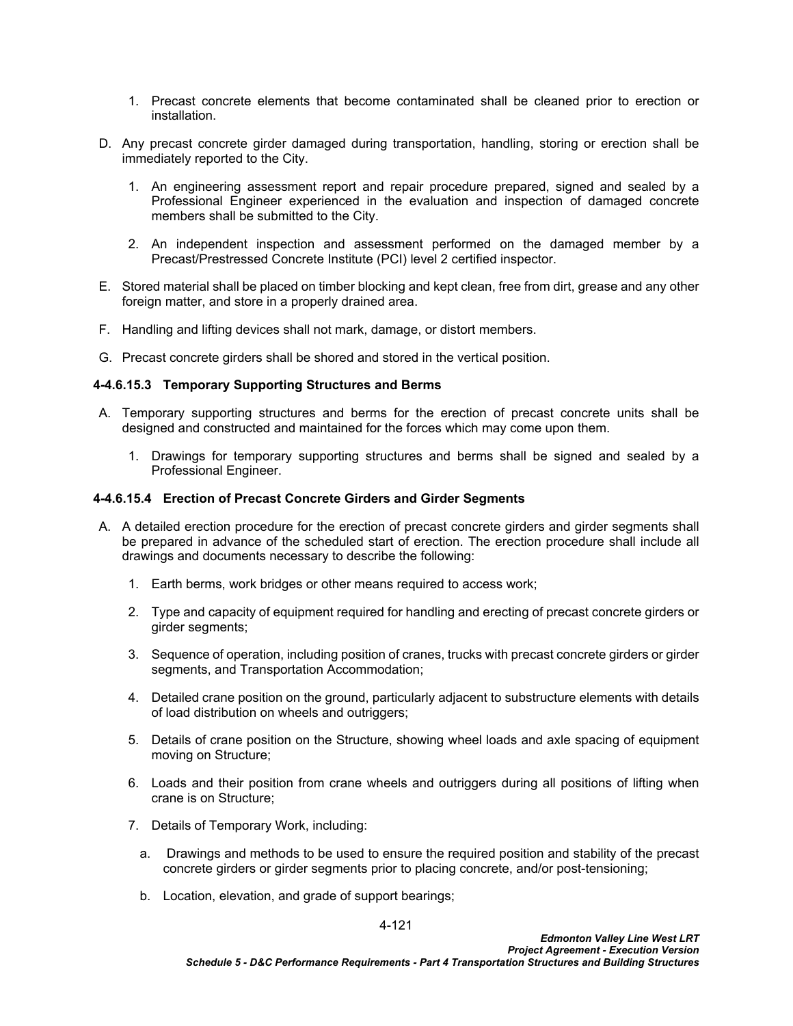- 1. Precast concrete elements that become contaminated shall be cleaned prior to erection or installation.
- D. Any precast concrete girder damaged during transportation, handling, storing or erection shall be immediately reported to the City.
	- 1. An engineering assessment report and repair procedure prepared, signed and sealed by a Professional Engineer experienced in the evaluation and inspection of damaged concrete members shall be submitted to the City.
	- 2. An independent inspection and assessment performed on the damaged member by a Precast/Prestressed Concrete Institute (PCI) level 2 certified inspector.
- E. Stored material shall be placed on timber blocking and kept clean, free from dirt, grease and any other foreign matter, and store in a properly drained area.
- F. Handling and lifting devices shall not mark, damage, or distort members.
- G. Precast concrete girders shall be shored and stored in the vertical position.

#### **4-4.6.15.3 Temporary Supporting Structures and Berms**

- A. Temporary supporting structures and berms for the erection of precast concrete units shall be designed and constructed and maintained for the forces which may come upon them.
	- 1. Drawings for temporary supporting structures and berms shall be signed and sealed by a Professional Engineer.

#### **4-4.6.15.4 Erection of Precast Concrete Girders and Girder Segments**

- A. A detailed erection procedure for the erection of precast concrete girders and girder segments shall be prepared in advance of the scheduled start of erection. The erection procedure shall include all drawings and documents necessary to describe the following:
	- 1. Earth berms, work bridges or other means required to access work;
	- 2. Type and capacity of equipment required for handling and erecting of precast concrete girders or girder segments;
	- 3. Sequence of operation, including position of cranes, trucks with precast concrete girders or girder segments, and Transportation Accommodation;
	- 4. Detailed crane position on the ground, particularly adjacent to substructure elements with details of load distribution on wheels and outriggers;
	- 5. Details of crane position on the Structure, showing wheel loads and axle spacing of equipment moving on Structure;
	- 6. Loads and their position from crane wheels and outriggers during all positions of lifting when crane is on Structure;
	- 7. Details of Temporary Work, including:
		- a. Drawings and methods to be used to ensure the required position and stability of the precast concrete girders or girder segments prior to placing concrete, and/or post-tensioning;
		- b. Location, elevation, and grade of support bearings;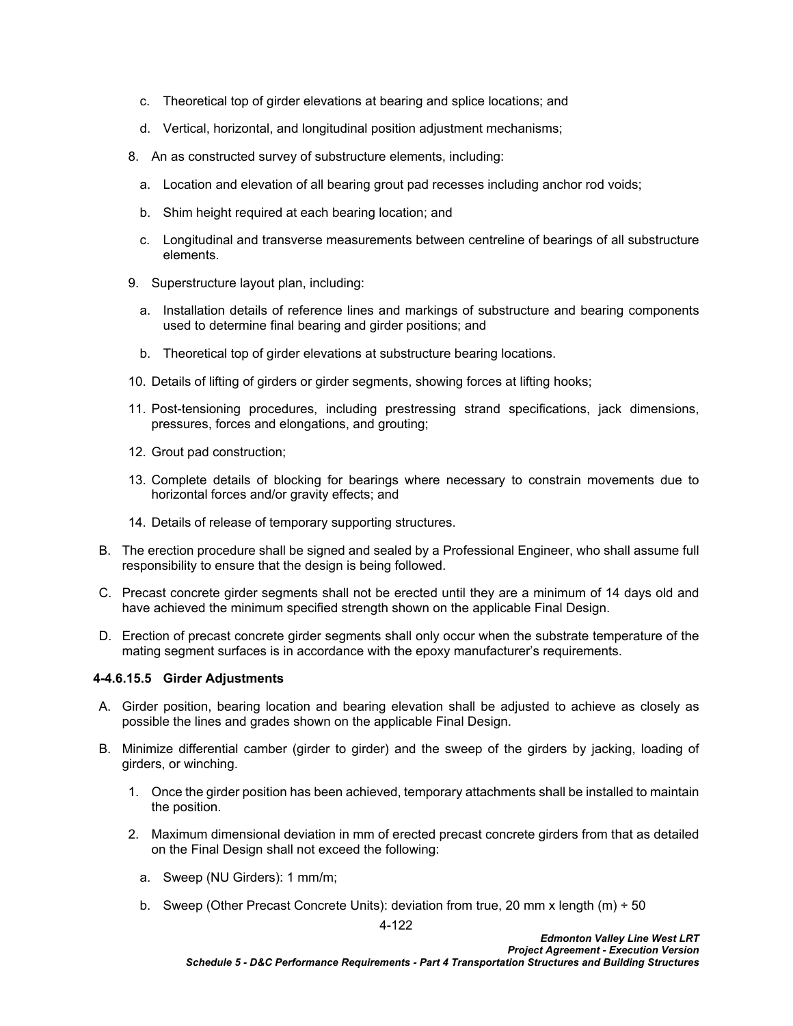- c. Theoretical top of girder elevations at bearing and splice locations; and
- d. Vertical, horizontal, and longitudinal position adjustment mechanisms;
- 8. An as constructed survey of substructure elements, including:
	- a. Location and elevation of all bearing grout pad recesses including anchor rod voids;
	- b. Shim height required at each bearing location; and
	- c. Longitudinal and transverse measurements between centreline of bearings of all substructure elements.
- 9. Superstructure layout plan, including:
	- a. Installation details of reference lines and markings of substructure and bearing components used to determine final bearing and girder positions; and
	- b. Theoretical top of girder elevations at substructure bearing locations.
- 10. Details of lifting of girders or girder segments, showing forces at lifting hooks;
- 11. Post-tensioning procedures, including prestressing strand specifications, jack dimensions, pressures, forces and elongations, and grouting;
- 12. Grout pad construction;
- 13. Complete details of blocking for bearings where necessary to constrain movements due to horizontal forces and/or gravity effects; and
- 14. Details of release of temporary supporting structures.
- B. The erection procedure shall be signed and sealed by a Professional Engineer, who shall assume full responsibility to ensure that the design is being followed.
- C. Precast concrete girder segments shall not be erected until they are a minimum of 14 days old and have achieved the minimum specified strength shown on the applicable Final Design.
- D. Erection of precast concrete girder segments shall only occur when the substrate temperature of the mating segment surfaces is in accordance with the epoxy manufacturer's requirements.

## **4-4.6.15.5 Girder Adjustments**

- A. Girder position, bearing location and bearing elevation shall be adjusted to achieve as closely as possible the lines and grades shown on the applicable Final Design.
- B. Minimize differential camber (girder to girder) and the sweep of the girders by jacking, loading of girders, or winching.
	- 1. Once the girder position has been achieved, temporary attachments shall be installed to maintain the position.
	- 2. Maximum dimensional deviation in mm of erected precast concrete girders from that as detailed on the Final Design shall not exceed the following:
		- a. Sweep (NU Girders): 1 mm/m;
		- b. Sweep (Other Precast Concrete Units): deviation from true, 20 mm x length (m)  $\div$  50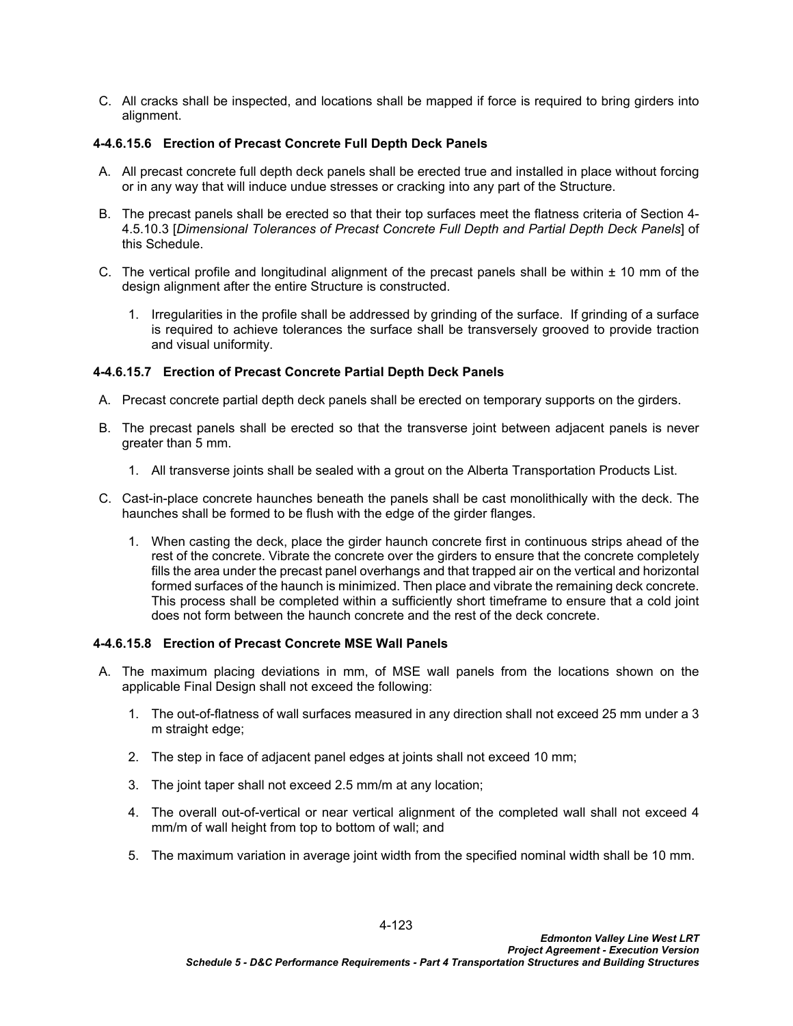C. All cracks shall be inspected, and locations shall be mapped if force is required to bring girders into alignment.

# **4-4.6.15.6 Erection of Precast Concrete Full Depth Deck Panels**

- A. All precast concrete full depth deck panels shall be erected true and installed in place without forcing or in any way that will induce undue stresses or cracking into any part of the Structure.
- B. The precast panels shall be erected so that their top surfaces meet the flatness criteria of Section 4- 4.5.10.3 [*Dimensional Tolerances of Precast Concrete Full Depth and Partial Depth Deck Panels*] of this Schedule.
- C. The vertical profile and longitudinal alignment of the precast panels shall be within  $\pm$  10 mm of the design alignment after the entire Structure is constructed.
	- 1. Irregularities in the profile shall be addressed by grinding of the surface. If grinding of a surface is required to achieve tolerances the surface shall be transversely grooved to provide traction and visual uniformity.

# **4-4.6.15.7 Erection of Precast Concrete Partial Depth Deck Panels**

- A. Precast concrete partial depth deck panels shall be erected on temporary supports on the girders.
- B. The precast panels shall be erected so that the transverse joint between adjacent panels is never greater than 5 mm.
	- 1. All transverse joints shall be sealed with a grout on the Alberta Transportation Products List.
- C. Cast-in-place concrete haunches beneath the panels shall be cast monolithically with the deck. The haunches shall be formed to be flush with the edge of the girder flanges.
	- 1. When casting the deck, place the girder haunch concrete first in continuous strips ahead of the rest of the concrete. Vibrate the concrete over the girders to ensure that the concrete completely fills the area under the precast panel overhangs and that trapped air on the vertical and horizontal formed surfaces of the haunch is minimized. Then place and vibrate the remaining deck concrete. This process shall be completed within a sufficiently short timeframe to ensure that a cold joint does not form between the haunch concrete and the rest of the deck concrete.

## **4-4.6.15.8 Erection of Precast Concrete MSE Wall Panels**

- A. The maximum placing deviations in mm, of MSE wall panels from the locations shown on the applicable Final Design shall not exceed the following:
	- 1. The out-of-flatness of wall surfaces measured in any direction shall not exceed 25 mm under a 3 m straight edge;
	- 2. The step in face of adjacent panel edges at joints shall not exceed 10 mm;
	- 3. The joint taper shall not exceed 2.5 mm/m at any location;
	- 4. The overall out-of-vertical or near vertical alignment of the completed wall shall not exceed 4 mm/m of wall height from top to bottom of wall; and
	- 5. The maximum variation in average joint width from the specified nominal width shall be 10 mm.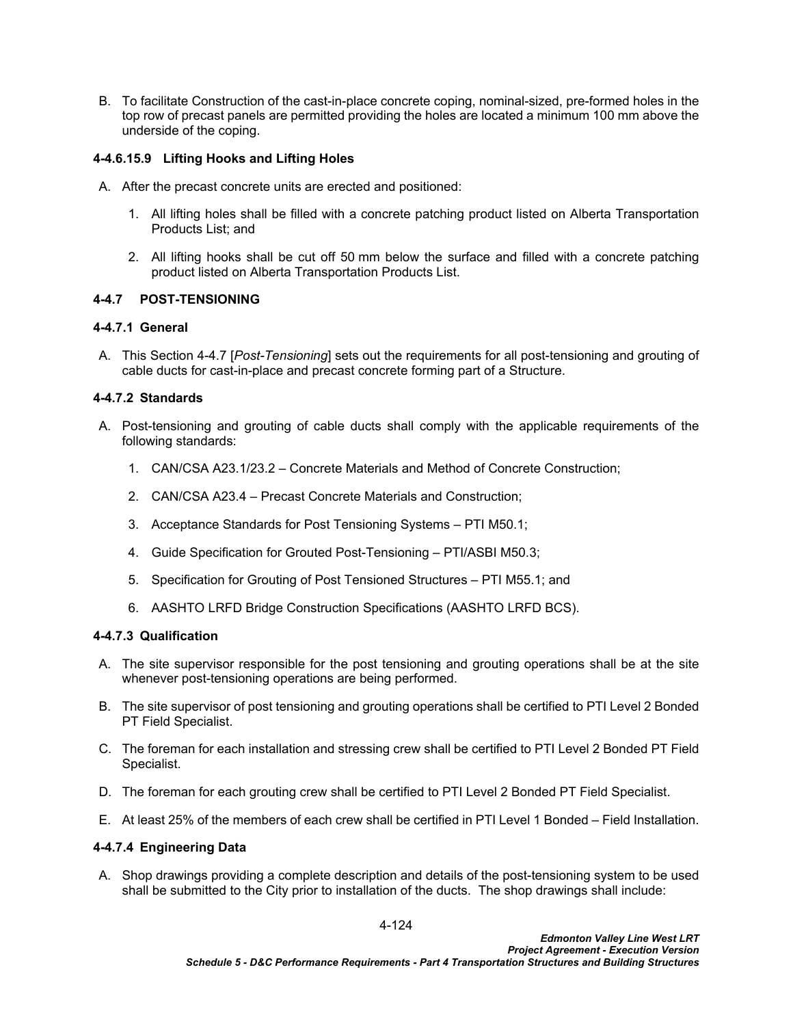B. To facilitate Construction of the cast-in-place concrete coping, nominal-sized, pre-formed holes in the top row of precast panels are permitted providing the holes are located a minimum 100 mm above the underside of the coping.

# **4-4.6.15.9 Lifting Hooks and Lifting Holes**

- A. After the precast concrete units are erected and positioned:
	- 1. All lifting holes shall be filled with a concrete patching product listed on Alberta Transportation Products List; and
	- 2. All lifting hooks shall be cut off 50 mm below the surface and filled with a concrete patching product listed on Alberta Transportation Products List.

## <span id="page-127-0"></span>**4-4.7 POST-TENSIONING**

## **4-4.7.1 General**

A. This Section [4-4.7](#page-127-0) [*[Post-Tensioning](#page-127-0)*] sets out the requirements for all post-tensioning and grouting of cable ducts for cast-in-place and precast concrete forming part of a Structure.

# **4-4.7.2 Standards**

- A. Post-tensioning and grouting of cable ducts shall comply with the applicable requirements of the following standards:
	- 1. CAN/CSA A23.1/23.2 Concrete Materials and Method of Concrete Construction;
	- 2. CAN/CSA A23.4 Precast Concrete Materials and Construction;
	- 3. Acceptance Standards for Post Tensioning Systems PTI M50.1;
	- 4. Guide Specification for Grouted Post-Tensioning PTI/ASBI M50.3;
	- 5. Specification for Grouting of Post Tensioned Structures PTI M55.1; and
	- 6. AASHTO LRFD Bridge Construction Specifications (AASHTO LRFD BCS).

# **4-4.7.3 Qualification**

- A. The site supervisor responsible for the post tensioning and grouting operations shall be at the site whenever post-tensioning operations are being performed.
- B. The site supervisor of post tensioning and grouting operations shall be certified to PTI Level 2 Bonded PT Field Specialist.
- C. The foreman for each installation and stressing crew shall be certified to PTI Level 2 Bonded PT Field Specialist.
- D. The foreman for each grouting crew shall be certified to PTI Level 2 Bonded PT Field Specialist.
- E. At least 25% of the members of each crew shall be certified in PTI Level 1 Bonded Field Installation.

# **4-4.7.4 Engineering Data**

A. Shop drawings providing a complete description and details of the post-tensioning system to be used shall be submitted to the City prior to installation of the ducts. The shop drawings shall include: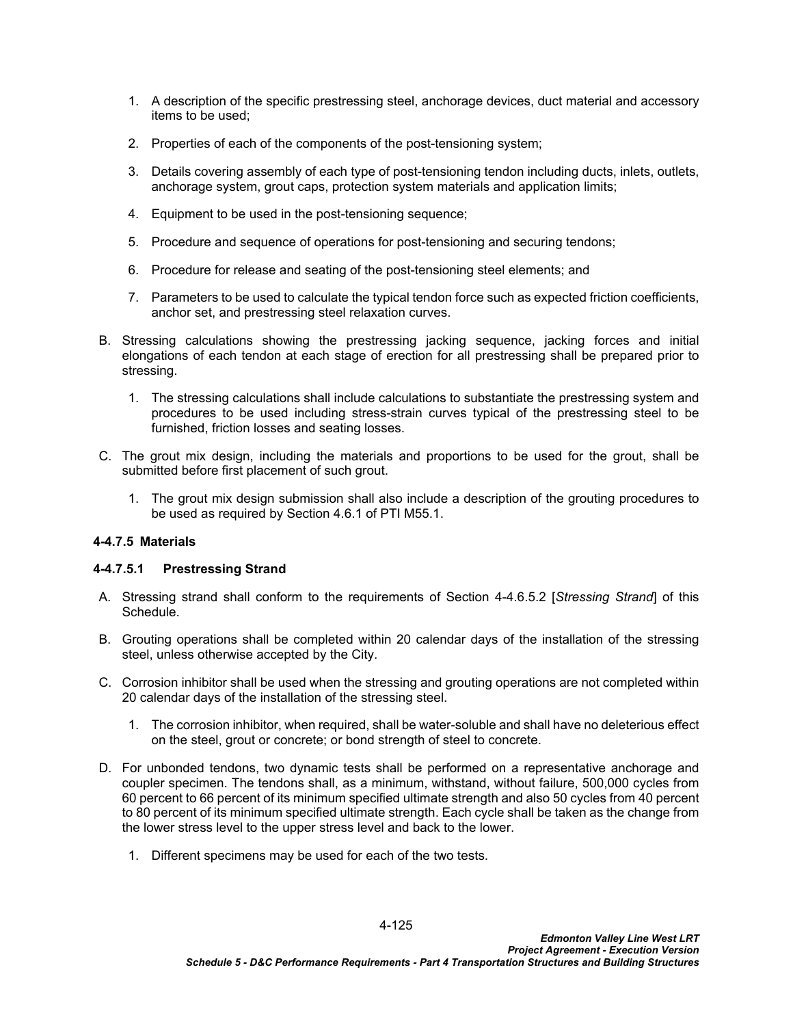- 1. A description of the specific prestressing steel, anchorage devices, duct material and accessory items to be used;
- 2. Properties of each of the components of the post-tensioning system;
- 3. Details covering assembly of each type of post-tensioning tendon including ducts, inlets, outlets, anchorage system, grout caps, protection system materials and application limits;
- 4. Equipment to be used in the post-tensioning sequence;
- 5. Procedure and sequence of operations for post-tensioning and securing tendons;
- 6. Procedure for release and seating of the post-tensioning steel elements; and
- 7. Parameters to be used to calculate the typical tendon force such as expected friction coefficients, anchor set, and prestressing steel relaxation curves.
- B. Stressing calculations showing the prestressing jacking sequence, jacking forces and initial elongations of each tendon at each stage of erection for all prestressing shall be prepared prior to stressing.
	- 1. The stressing calculations shall include calculations to substantiate the prestressing system and procedures to be used including stress-strain curves typical of the prestressing steel to be furnished, friction losses and seating losses.
- C. The grout mix design, including the materials and proportions to be used for the grout, shall be submitted before first placement of such grout.
	- 1. The grout mix design submission shall also include a description of the grouting procedures to be used as required by Section 4.6.1 of PTI M55.1.

# **4-4.7.5 Materials**

## **4-4.7.5.1 Prestressing Strand**

- A. Stressing strand shall conform to the requirements of Section [4-4.6.5.2](#page-110-0) [*[Stressing Strand](#page-110-0)*] of this Schedule.
- B. Grouting operations shall be completed within 20 calendar days of the installation of the stressing steel, unless otherwise accepted by the City.
- C. Corrosion inhibitor shall be used when the stressing and grouting operations are not completed within 20 calendar days of the installation of the stressing steel.
	- 1. The corrosion inhibitor, when required, shall be water-soluble and shall have no deleterious effect on the steel, grout or concrete; or bond strength of steel to concrete.
- D. For unbonded tendons, two dynamic tests shall be performed on a representative anchorage and coupler specimen. The tendons shall, as a minimum, withstand, without failure, 500,000 cycles from 60 percent to 66 percent of its minimum specified ultimate strength and also 50 cycles from 40 percent to 80 percent of its minimum specified ultimate strength. Each cycle shall be taken as the change from the lower stress level to the upper stress level and back to the lower.
	- 1. Different specimens may be used for each of the two tests.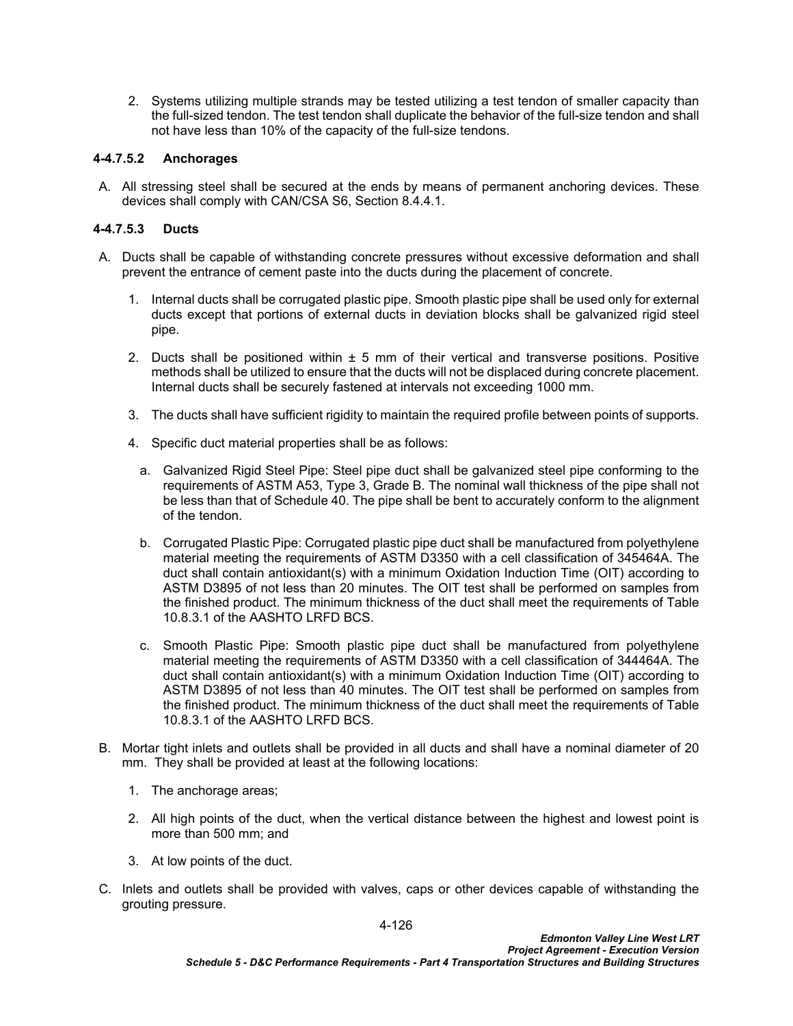2. Systems utilizing multiple strands may be tested utilizing a test tendon of smaller capacity than the full-sized tendon. The test tendon shall duplicate the behavior of the full-size tendon and shall not have less than 10% of the capacity of the full-size tendons.

# **4-4.7.5.2 Anchorages**

A. All stressing steel shall be secured at the ends by means of permanent anchoring devices. These devices shall comply with CAN/CSA S6, Section 8.4.4.1.

# **4-4.7.5.3 Ducts**

- A. Ducts shall be capable of withstanding concrete pressures without excessive deformation and shall prevent the entrance of cement paste into the ducts during the placement of concrete.
	- 1. Internal ducts shall be corrugated plastic pipe. Smooth plastic pipe shall be used only for external ducts except that portions of external ducts in deviation blocks shall be galvanized rigid steel pipe.
	- 2. Ducts shall be positioned within  $\pm$  5 mm of their vertical and transverse positions. Positive methods shall be utilized to ensure that the ducts will not be displaced during concrete placement. Internal ducts shall be securely fastened at intervals not exceeding 1000 mm.
	- 3. The ducts shall have sufficient rigidity to maintain the required profile between points of supports.
	- 4. Specific duct material properties shall be as follows:
		- a. Galvanized Rigid Steel Pipe: Steel pipe duct shall be galvanized steel pipe conforming to the requirements of ASTM A53, Type 3, Grade B. The nominal wall thickness of the pipe shall not be less than that of Schedule 40. The pipe shall be bent to accurately conform to the alignment of the tendon.
		- b. Corrugated Plastic Pipe: Corrugated plastic pipe duct shall be manufactured from polyethylene material meeting the requirements of ASTM D3350 with a cell classification of 345464A. The duct shall contain antioxidant(s) with a minimum Oxidation Induction Time (OIT) according to ASTM D3895 of not less than 20 minutes. The OIT test shall be performed on samples from the finished product. The minimum thickness of the duct shall meet the requirements of Table 10.8.3.1 of the AASHTO LRFD BCS.
		- c. Smooth Plastic Pipe: Smooth plastic pipe duct shall be manufactured from polyethylene material meeting the requirements of ASTM D3350 with a cell classification of 344464A. The duct shall contain antioxidant(s) with a minimum Oxidation Induction Time (OIT) according to ASTM D3895 of not less than 40 minutes. The OIT test shall be performed on samples from the finished product. The minimum thickness of the duct shall meet the requirements of Table 10.8.3.1 of the AASHTO LRFD BCS.
- B. Mortar tight inlets and outlets shall be provided in all ducts and shall have a nominal diameter of 20 mm. They shall be provided at least at the following locations:
	- 1. The anchorage areas;
	- 2. All high points of the duct, when the vertical distance between the highest and lowest point is more than 500 mm; and
	- 3. At low points of the duct.
- C. Inlets and outlets shall be provided with valves, caps or other devices capable of withstanding the grouting pressure.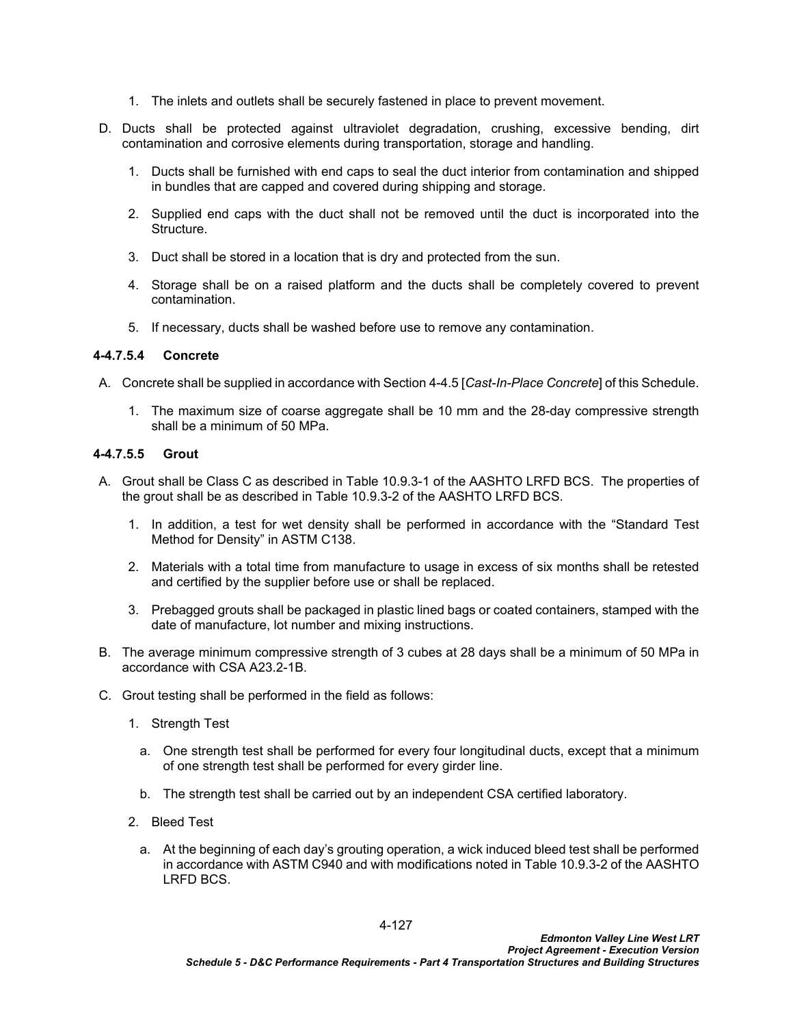- 1. The inlets and outlets shall be securely fastened in place to prevent movement.
- D. Ducts shall be protected against ultraviolet degradation, crushing, excessive bending, dirt contamination and corrosive elements during transportation, storage and handling.
	- 1. Ducts shall be furnished with end caps to seal the duct interior from contamination and shipped in bundles that are capped and covered during shipping and storage.
	- 2. Supplied end caps with the duct shall not be removed until the duct is incorporated into the Structure.
	- 3. Duct shall be stored in a location that is dry and protected from the sun.
	- 4. Storage shall be on a raised platform and the ducts shall be completely covered to prevent contamination.
	- 5. If necessary, ducts shall be washed before use to remove any contamination.

#### **4-4.7.5.4 Concrete**

- A. Concrete shall be supplied in accordance with Section [4-4.5](#page-75-0) [*[Cast-In-Place Concrete](#page-75-0)*] of this Schedule.
	- 1. The maximum size of coarse aggregate shall be 10 mm and the 28-day compressive strength shall be a minimum of 50 MPa.

#### **4-4.7.5.5 Grout**

- A. Grout shall be Class C as described in Table 10.9.3-1 of the AASHTO LRFD BCS. The properties of the grout shall be as described in Table 10.9.3-2 of the AASHTO LRFD BCS.
	- 1. In addition, a test for wet density shall be performed in accordance with the "Standard Test Method for Density" in ASTM C138.
	- 2. Materials with a total time from manufacture to usage in excess of six months shall be retested and certified by the supplier before use or shall be replaced.
	- 3. Prebagged grouts shall be packaged in plastic lined bags or coated containers, stamped with the date of manufacture, lot number and mixing instructions.
- B. The average minimum compressive strength of 3 cubes at 28 days shall be a minimum of 50 MPa in accordance with CSA A23.2-1B.
- C. Grout testing shall be performed in the field as follows:
	- 1. Strength Test
		- a. One strength test shall be performed for every four longitudinal ducts, except that a minimum of one strength test shall be performed for every girder line.
		- b. The strength test shall be carried out by an independent CSA certified laboratory.
	- 2. Bleed Test
		- a. At the beginning of each day's grouting operation, a wick induced bleed test shall be performed in accordance with ASTM C940 and with modifications noted in Table 10.9.3-2 of the AASHTO LRFD BCS.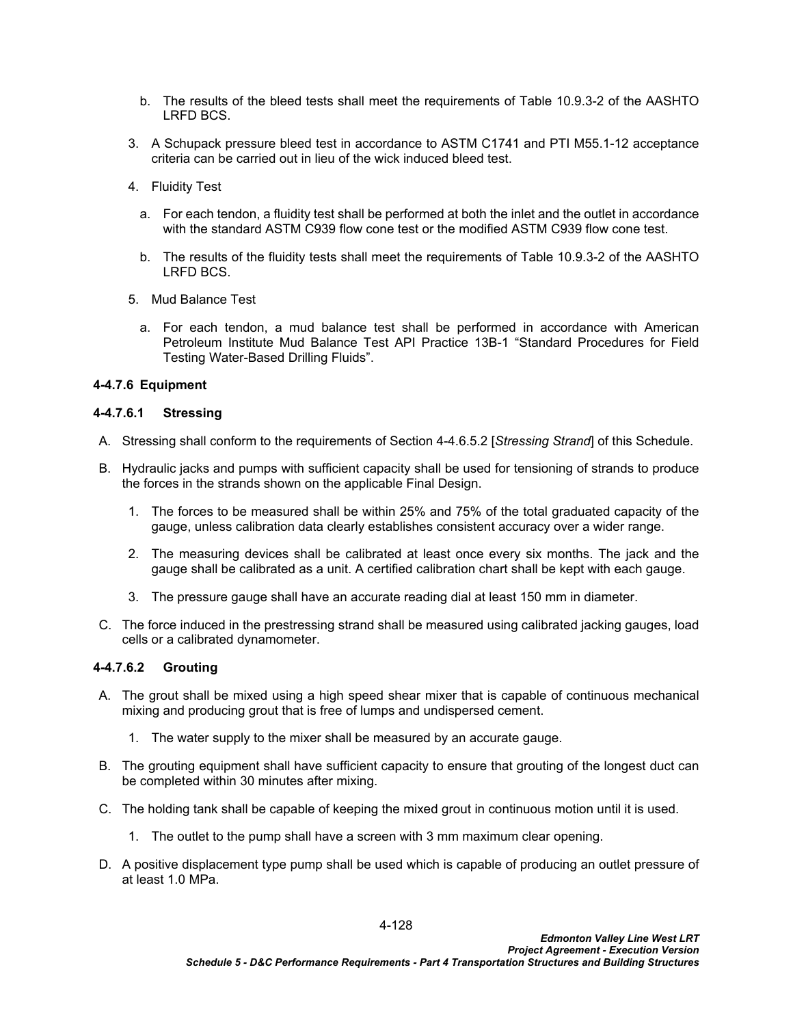- b. The results of the bleed tests shall meet the requirements of Table 10.9.3-2 of the AASHTO LRFD BCS.
- 3. A Schupack pressure bleed test in accordance to ASTM C1741 and PTI M55.1-12 acceptance criteria can be carried out in lieu of the wick induced bleed test.
- 4. Fluidity Test
	- a. For each tendon, a fluidity test shall be performed at both the inlet and the outlet in accordance with the standard ASTM C939 flow cone test or the modified ASTM C939 flow cone test.
	- b. The results of the fluidity tests shall meet the requirements of Table 10.9.3-2 of the AASHTO LRFD BCS.
- 5. Mud Balance Test
	- a. For each tendon, a mud balance test shall be performed in accordance with American Petroleum Institute Mud Balance Test API Practice 13B-1 "Standard Procedures for Field Testing Water-Based Drilling Fluids".

# **4-4.7.6 Equipment**

# **4-4.7.6.1 Stressing**

- A. Stressing shall conform to the requirements of Section [4-4.6.5.2](#page-110-0) [*[Stressing Strand](#page-110-0)*] of this Schedule.
- B. Hydraulic jacks and pumps with sufficient capacity shall be used for tensioning of strands to produce the forces in the strands shown on the applicable Final Design.
	- 1. The forces to be measured shall be within 25% and 75% of the total graduated capacity of the gauge, unless calibration data clearly establishes consistent accuracy over a wider range.
	- 2. The measuring devices shall be calibrated at least once every six months. The jack and the gauge shall be calibrated as a unit. A certified calibration chart shall be kept with each gauge.
	- 3. The pressure gauge shall have an accurate reading dial at least 150 mm in diameter.
- C. The force induced in the prestressing strand shall be measured using calibrated jacking gauges, load cells or a calibrated dynamometer.

## **4-4.7.6.2 Grouting**

- A. The grout shall be mixed using a high speed shear mixer that is capable of continuous mechanical mixing and producing grout that is free of lumps and undispersed cement.
	- 1. The water supply to the mixer shall be measured by an accurate gauge.
- B. The grouting equipment shall have sufficient capacity to ensure that grouting of the longest duct can be completed within 30 minutes after mixing.
- C. The holding tank shall be capable of keeping the mixed grout in continuous motion until it is used.
	- 1. The outlet to the pump shall have a screen with 3 mm maximum clear opening.
- D. A positive displacement type pump shall be used which is capable of producing an outlet pressure of at least 1.0 MPa.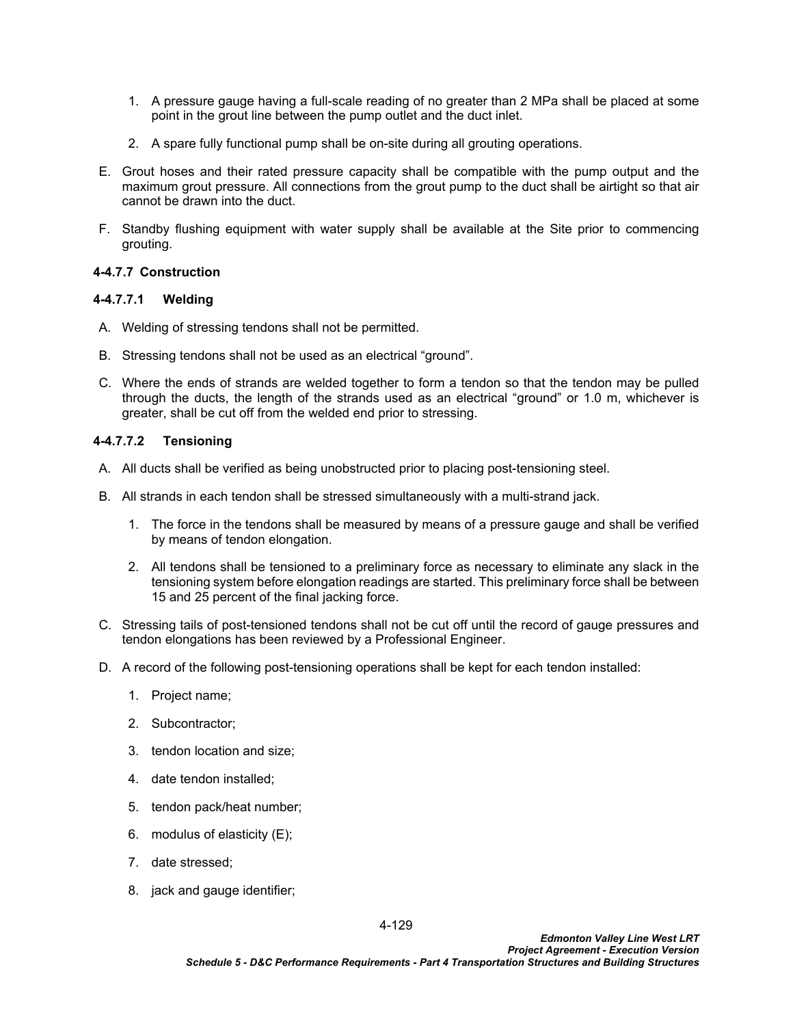- 1. A pressure gauge having a full-scale reading of no greater than 2 MPa shall be placed at some point in the grout line between the pump outlet and the duct inlet.
- 2. A spare fully functional pump shall be on-site during all grouting operations.
- E. Grout hoses and their rated pressure capacity shall be compatible with the pump output and the maximum grout pressure. All connections from the grout pump to the duct shall be airtight so that air cannot be drawn into the duct.
- F. Standby flushing equipment with water supply shall be available at the Site prior to commencing grouting.

# **4-4.7.7 Construction**

## **4-4.7.7.1 Welding**

- A. Welding of stressing tendons shall not be permitted.
- B. Stressing tendons shall not be used as an electrical "ground".
- C. Where the ends of strands are welded together to form a tendon so that the tendon may be pulled through the ducts, the length of the strands used as an electrical "ground" or 1.0 m, whichever is greater, shall be cut off from the welded end prior to stressing.

# **4-4.7.7.2 Tensioning**

- A. All ducts shall be verified as being unobstructed prior to placing post-tensioning steel.
- B. All strands in each tendon shall be stressed simultaneously with a multi-strand jack.
	- 1. The force in the tendons shall be measured by means of a pressure gauge and shall be verified by means of tendon elongation.
	- 2. All tendons shall be tensioned to a preliminary force as necessary to eliminate any slack in the tensioning system before elongation readings are started. This preliminary force shall be between 15 and 25 percent of the final jacking force.
- C. Stressing tails of post-tensioned tendons shall not be cut off until the record of gauge pressures and tendon elongations has been reviewed by a Professional Engineer.
- D. A record of the following post-tensioning operations shall be kept for each tendon installed:
	- 1. Project name;
	- 2. Subcontractor;
	- 3. tendon location and size;
	- 4. date tendon installed;
	- 5. tendon pack/heat number;
	- 6. modulus of elasticity (E);
	- 7. date stressed;
	- 8. jack and gauge identifier;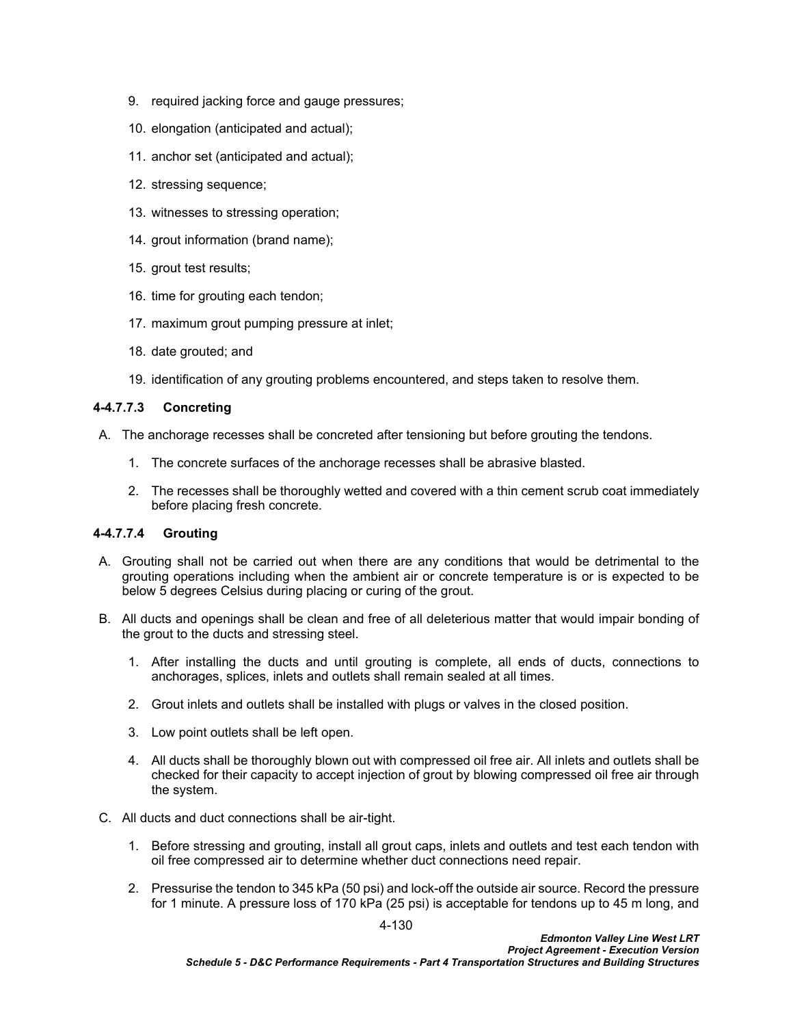- 9. required jacking force and gauge pressures;
- 10. elongation (anticipated and actual);
- 11. anchor set (anticipated and actual);
- 12. stressing sequence;
- 13. witnesses to stressing operation;
- 14. grout information (brand name);
- 15. grout test results;
- 16. time for grouting each tendon;
- 17. maximum grout pumping pressure at inlet;
- 18. date grouted; and
- 19. identification of any grouting problems encountered, and steps taken to resolve them.

# **4-4.7.7.3 Concreting**

- A. The anchorage recesses shall be concreted after tensioning but before grouting the tendons.
	- 1. The concrete surfaces of the anchorage recesses shall be abrasive blasted.
	- 2. The recesses shall be thoroughly wetted and covered with a thin cement scrub coat immediately before placing fresh concrete.

# **4-4.7.7.4 Grouting**

- A. Grouting shall not be carried out when there are any conditions that would be detrimental to the grouting operations including when the ambient air or concrete temperature is or is expected to be below 5 degrees Celsius during placing or curing of the grout.
- B. All ducts and openings shall be clean and free of all deleterious matter that would impair bonding of the grout to the ducts and stressing steel.
	- 1. After installing the ducts and until grouting is complete, all ends of ducts, connections to anchorages, splices, inlets and outlets shall remain sealed at all times.
	- 2. Grout inlets and outlets shall be installed with plugs or valves in the closed position.
	- 3. Low point outlets shall be left open.
	- 4. All ducts shall be thoroughly blown out with compressed oil free air. All inlets and outlets shall be checked for their capacity to accept injection of grout by blowing compressed oil free air through the system.
- C. All ducts and duct connections shall be air-tight.
	- 1. Before stressing and grouting, install all grout caps, inlets and outlets and test each tendon with oil free compressed air to determine whether duct connections need repair.
	- 2. Pressurise the tendon to 345 kPa (50 psi) and lock-off the outside air source. Record the pressure for 1 minute. A pressure loss of 170 kPa (25 psi) is acceptable for tendons up to 45 m long, and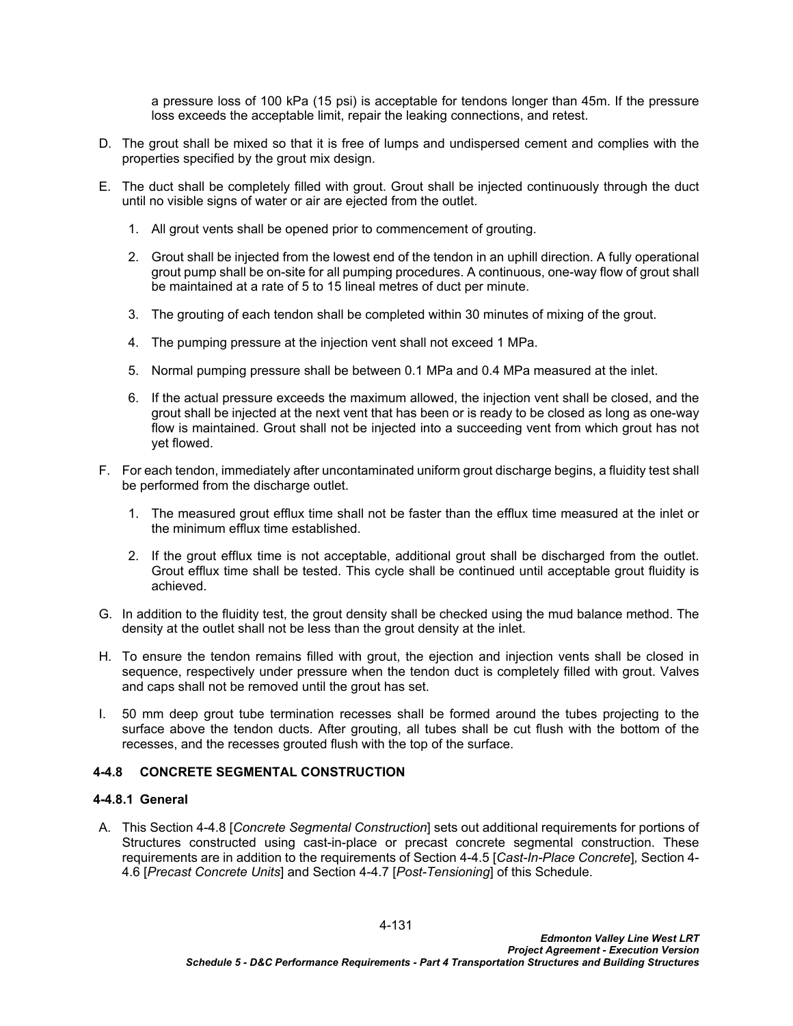a pressure loss of 100 kPa (15 psi) is acceptable for tendons longer than 45m. If the pressure loss exceeds the acceptable limit, repair the leaking connections, and retest.

- D. The grout shall be mixed so that it is free of lumps and undispersed cement and complies with the properties specified by the grout mix design.
- E. The duct shall be completely filled with grout. Grout shall be injected continuously through the duct until no visible signs of water or air are ejected from the outlet.
	- 1. All grout vents shall be opened prior to commencement of grouting.
	- 2. Grout shall be injected from the lowest end of the tendon in an uphill direction. A fully operational grout pump shall be on-site for all pumping procedures. A continuous, one-way flow of grout shall be maintained at a rate of 5 to 15 lineal metres of duct per minute.
	- 3. The grouting of each tendon shall be completed within 30 minutes of mixing of the grout.
	- 4. The pumping pressure at the injection vent shall not exceed 1 MPa.
	- 5. Normal pumping pressure shall be between 0.1 MPa and 0.4 MPa measured at the inlet.
	- 6. If the actual pressure exceeds the maximum allowed, the injection vent shall be closed, and the grout shall be injected at the next vent that has been or is ready to be closed as long as one-way flow is maintained. Grout shall not be injected into a succeeding vent from which grout has not yet flowed.
- F. For each tendon, immediately after uncontaminated uniform grout discharge begins, a fluidity test shall be performed from the discharge outlet.
	- 1. The measured grout efflux time shall not be faster than the efflux time measured at the inlet or the minimum efflux time established.
	- 2. If the grout efflux time is not acceptable, additional grout shall be discharged from the outlet. Grout efflux time shall be tested. This cycle shall be continued until acceptable grout fluidity is achieved.
- G. In addition to the fluidity test, the grout density shall be checked using the mud balance method. The density at the outlet shall not be less than the grout density at the inlet.
- H. To ensure the tendon remains filled with grout, the ejection and injection vents shall be closed in sequence, respectively under pressure when the tendon duct is completely filled with grout. Valves and caps shall not be removed until the grout has set.
- I. 50 mm deep grout tube termination recesses shall be formed around the tubes projecting to the surface above the tendon ducts. After grouting, all tubes shall be cut flush with the bottom of the recesses, and the recesses grouted flush with the top of the surface.

# <span id="page-134-0"></span>**4-4.8 CONCRETE SEGMENTAL CONSTRUCTION**

## **4-4.8.1 General**

A. This Section [4-4.8](#page-134-0) [*[Concrete Segmental Construction](#page-134-0)*] sets out additional requirements for portions of Structures constructed using cast-in-place or precast concrete segmental construction. These requirements are in addition to the requirements of Section [4-4.5](#page-75-0) [*[Cast-In-Place Concrete](#page-75-0)*]*,* Section [4-](#page-106-0) [4.6](#page-106-0) [*[Precast Concrete](#page-106-0) Units*] and Section [4-4.7](#page-127-0) [*[Post-Tensioning](#page-127-0)*] of this Schedule.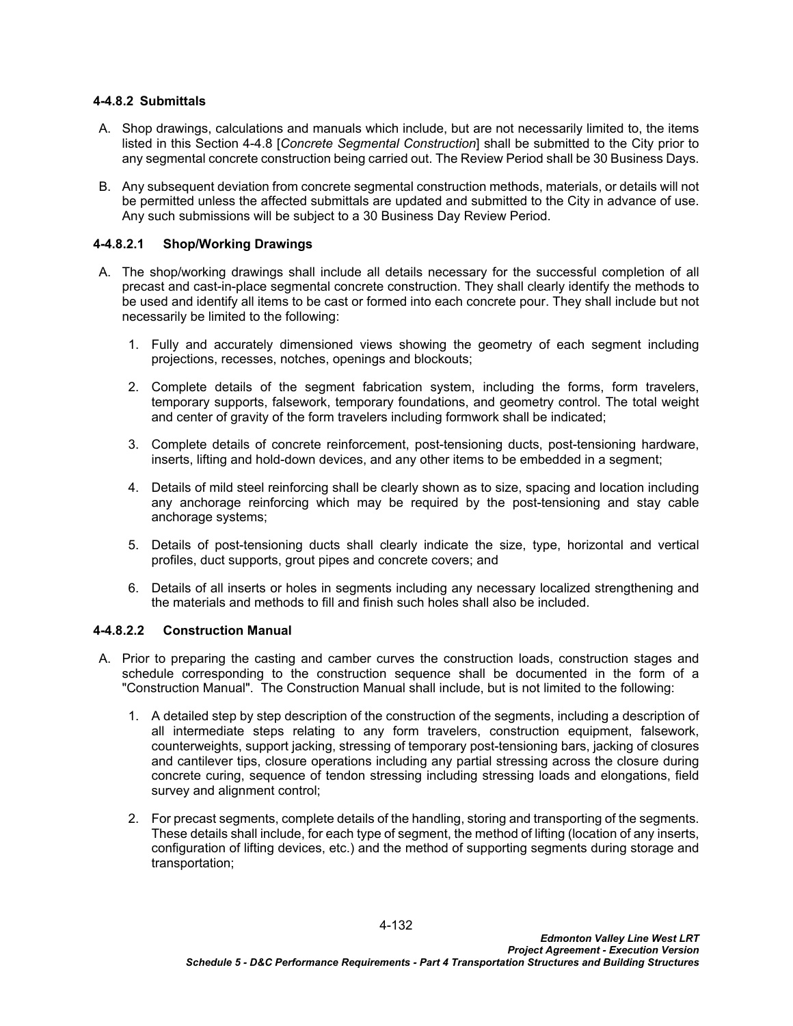# **4-4.8.2 Submittals**

- A. Shop drawings, calculations and manuals which include, but are not necessarily limited to, the items listed in this Section [4-4.8](#page-134-0) [*[Concrete Segmental Construction](#page-134-0)*] shall be submitted to the City prior to any segmental concrete construction being carried out. The Review Period shall be 30 Business Days.
- B. Any subsequent deviation from concrete segmental construction methods, materials, or details will not be permitted unless the affected submittals are updated and submitted to the City in advance of use. Any such submissions will be subject to a 30 Business Day Review Period.

# **4-4.8.2.1 Shop/Working Drawings**

- A. The shop/working drawings shall include all details necessary for the successful completion of all precast and cast-in-place segmental concrete construction. They shall clearly identify the methods to be used and identify all items to be cast or formed into each concrete pour. They shall include but not necessarily be limited to the following:
	- 1. Fully and accurately dimensioned views showing the geometry of each segment including projections, recesses, notches, openings and blockouts;
	- 2. Complete details of the segment fabrication system, including the forms, form travelers, temporary supports, falsework, temporary foundations, and geometry control. The total weight and center of gravity of the form travelers including formwork shall be indicated;
	- 3. Complete details of concrete reinforcement, post-tensioning ducts, post-tensioning hardware, inserts, lifting and hold-down devices, and any other items to be embedded in a segment;
	- 4. Details of mild steel reinforcing shall be clearly shown as to size, spacing and location including any anchorage reinforcing which may be required by the post-tensioning and stay cable anchorage systems;
	- 5. Details of post-tensioning ducts shall clearly indicate the size, type, horizontal and vertical profiles, duct supports, grout pipes and concrete covers; and
	- 6. Details of all inserts or holes in segments including any necessary localized strengthening and the materials and methods to fill and finish such holes shall also be included.

## **4-4.8.2.2 Construction Manual**

- A. Prior to preparing the casting and camber curves the construction loads, construction stages and schedule corresponding to the construction sequence shall be documented in the form of a "Construction Manual". The Construction Manual shall include, but is not limited to the following:
	- 1. A detailed step by step description of the construction of the segments, including a description of all intermediate steps relating to any form travelers, construction equipment, falsework, counterweights, support jacking, stressing of temporary post-tensioning bars, jacking of closures and cantilever tips, closure operations including any partial stressing across the closure during concrete curing, sequence of tendon stressing including stressing loads and elongations, field survey and alignment control;
	- 2. For precast segments, complete details of the handling, storing and transporting of the segments. These details shall include, for each type of segment, the method of lifting (location of any inserts, configuration of lifting devices, etc.) and the method of supporting segments during storage and transportation;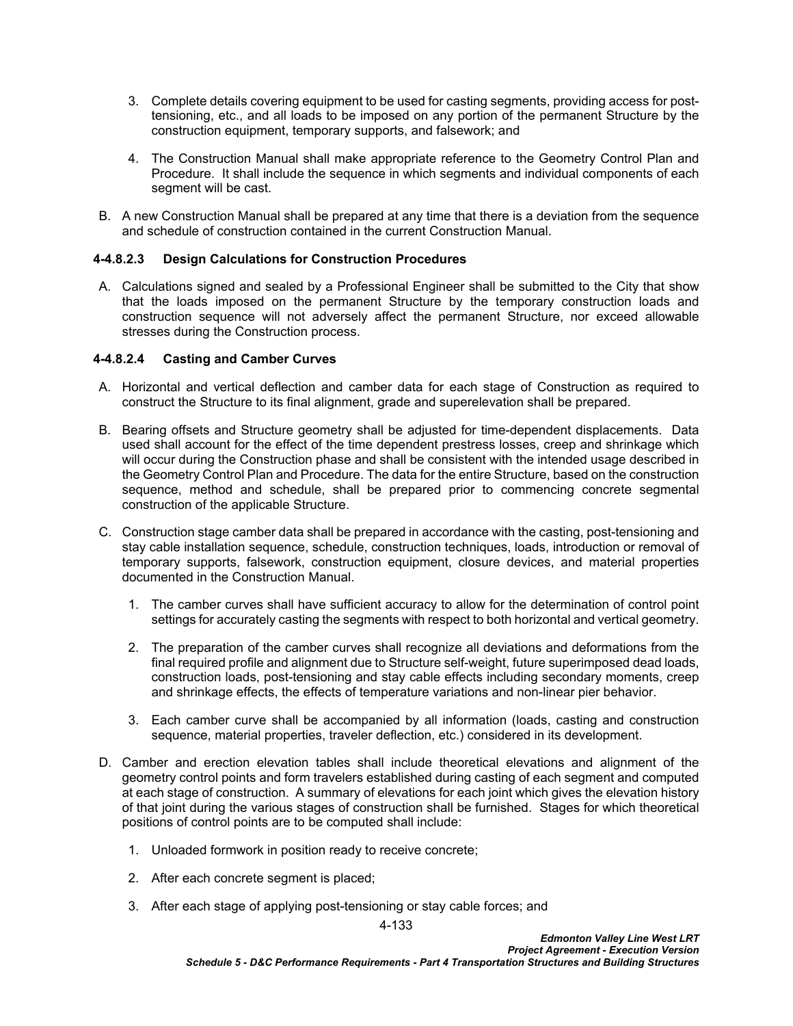- 3. Complete details covering equipment to be used for casting segments, providing access for posttensioning, etc., and all loads to be imposed on any portion of the permanent Structure by the construction equipment, temporary supports, and falsework; and
- 4. The Construction Manual shall make appropriate reference to the Geometry Control Plan and Procedure. It shall include the sequence in which segments and individual components of each segment will be cast.
- B. A new Construction Manual shall be prepared at any time that there is a deviation from the sequence and schedule of construction contained in the current Construction Manual.

## **4-4.8.2.3 Design Calculations for Construction Procedures**

A. Calculations signed and sealed by a Professional Engineer shall be submitted to the City that show that the loads imposed on the permanent Structure by the temporary construction loads and construction sequence will not adversely affect the permanent Structure, nor exceed allowable stresses during the Construction process.

# **4-4.8.2.4 Casting and Camber Curves**

- A. Horizontal and vertical deflection and camber data for each stage of Construction as required to construct the Structure to its final alignment, grade and superelevation shall be prepared.
- B. Bearing offsets and Structure geometry shall be adjusted for time-dependent displacements. Data used shall account for the effect of the time dependent prestress losses, creep and shrinkage which will occur during the Construction phase and shall be consistent with the intended usage described in the Geometry Control Plan and Procedure. The data for the entire Structure, based on the construction sequence, method and schedule, shall be prepared prior to commencing concrete segmental construction of the applicable Structure.
- C. Construction stage camber data shall be prepared in accordance with the casting, post-tensioning and stay cable installation sequence, schedule, construction techniques, loads, introduction or removal of temporary supports, falsework, construction equipment, closure devices, and material properties documented in the Construction Manual.
	- 1. The camber curves shall have sufficient accuracy to allow for the determination of control point settings for accurately casting the segments with respect to both horizontal and vertical geometry.
	- 2. The preparation of the camber curves shall recognize all deviations and deformations from the final required profile and alignment due to Structure self-weight, future superimposed dead loads, construction loads, post-tensioning and stay cable effects including secondary moments, creep and shrinkage effects, the effects of temperature variations and non-linear pier behavior.
	- 3. Each camber curve shall be accompanied by all information (loads, casting and construction sequence, material properties, traveler deflection, etc.) considered in its development.
- D. Camber and erection elevation tables shall include theoretical elevations and alignment of the geometry control points and form travelers established during casting of each segment and computed at each stage of construction. A summary of elevations for each joint which gives the elevation history of that joint during the various stages of construction shall be furnished. Stages for which theoretical positions of control points are to be computed shall include:
	- 1. Unloaded formwork in position ready to receive concrete;
	- 2. After each concrete segment is placed;
	- 3. After each stage of applying post-tensioning or stay cable forces; and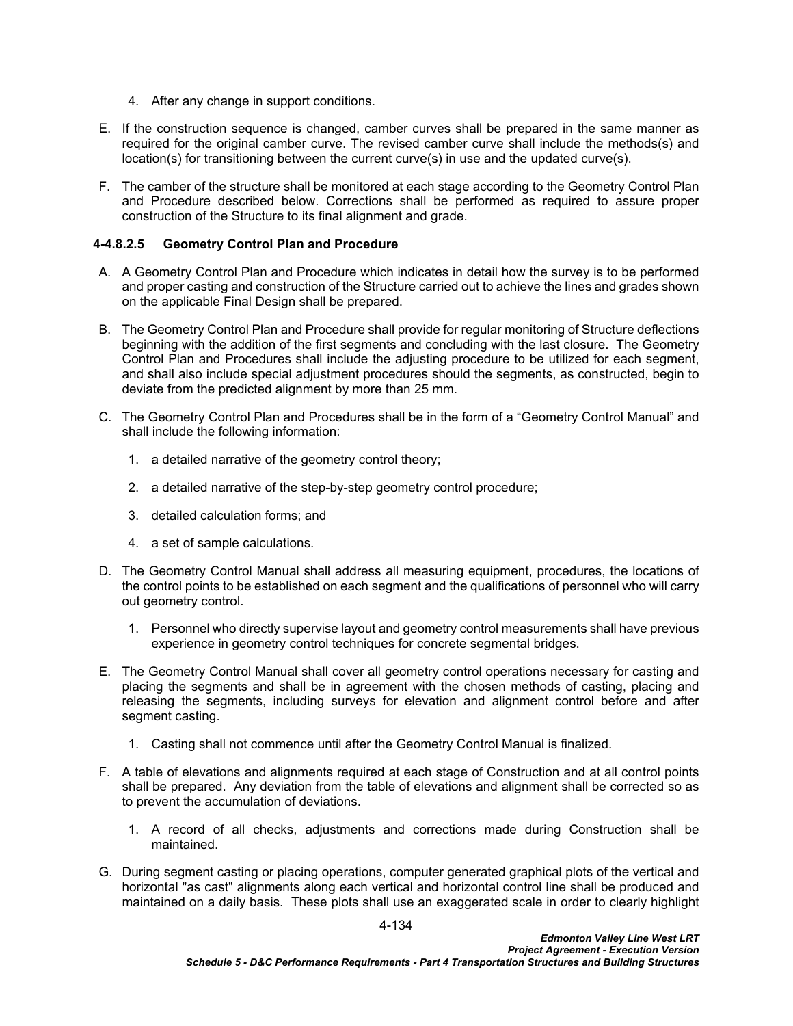- 4. After any change in support conditions.
- E. If the construction sequence is changed, camber curves shall be prepared in the same manner as required for the original camber curve. The revised camber curve shall include the methods(s) and location(s) for transitioning between the current curve(s) in use and the updated curve(s).
- F. The camber of the structure shall be monitored at each stage according to the Geometry Control Plan and Procedure described below. Corrections shall be performed as required to assure proper construction of the Structure to its final alignment and grade.

## **4-4.8.2.5 Geometry Control Plan and Procedure**

- A. A Geometry Control Plan and Procedure which indicates in detail how the survey is to be performed and proper casting and construction of the Structure carried out to achieve the lines and grades shown on the applicable Final Design shall be prepared.
- B. The Geometry Control Plan and Procedure shall provide for regular monitoring of Structure deflections beginning with the addition of the first segments and concluding with the last closure. The Geometry Control Plan and Procedures shall include the adjusting procedure to be utilized for each segment, and shall also include special adjustment procedures should the segments, as constructed, begin to deviate from the predicted alignment by more than 25 mm.
- C. The Geometry Control Plan and Procedures shall be in the form of a "Geometry Control Manual" and shall include the following information:
	- 1. a detailed narrative of the geometry control theory;
	- 2. a detailed narrative of the step-by-step geometry control procedure;
	- 3. detailed calculation forms; and
	- 4. a set of sample calculations.
- D. The Geometry Control Manual shall address all measuring equipment, procedures, the locations of the control points to be established on each segment and the qualifications of personnel who will carry out geometry control.
	- 1. Personnel who directly supervise layout and geometry control measurements shall have previous experience in geometry control techniques for concrete segmental bridges.
- E. The Geometry Control Manual shall cover all geometry control operations necessary for casting and placing the segments and shall be in agreement with the chosen methods of casting, placing and releasing the segments, including surveys for elevation and alignment control before and after segment casting.
	- 1. Casting shall not commence until after the Geometry Control Manual is finalized.
- F. A table of elevations and alignments required at each stage of Construction and at all control points shall be prepared. Any deviation from the table of elevations and alignment shall be corrected so as to prevent the accumulation of deviations.
	- 1. A record of all checks, adjustments and corrections made during Construction shall be maintained.
- G. During segment casting or placing operations, computer generated graphical plots of the vertical and horizontal "as cast" alignments along each vertical and horizontal control line shall be produced and maintained on a daily basis. These plots shall use an exaggerated scale in order to clearly highlight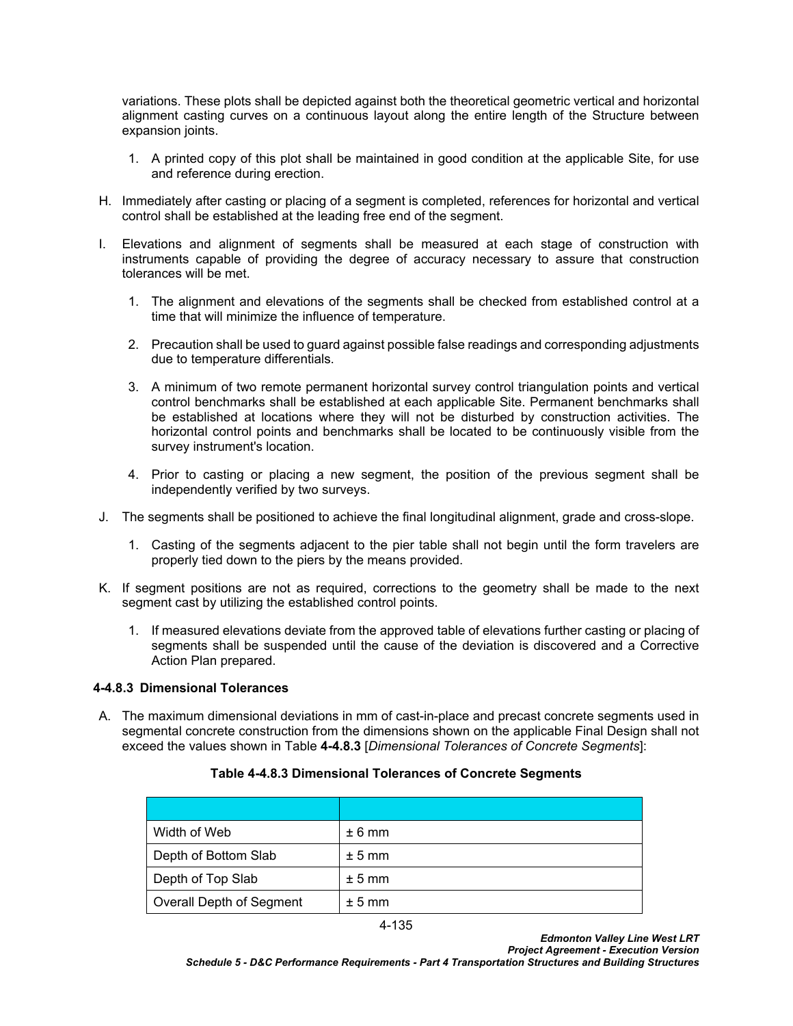variations. These plots shall be depicted against both the theoretical geometric vertical and horizontal alignment casting curves on a continuous layout along the entire length of the Structure between expansion joints.

- 1. A printed copy of this plot shall be maintained in good condition at the applicable Site, for use and reference during erection.
- H. Immediately after casting or placing of a segment is completed, references for horizontal and vertical control shall be established at the leading free end of the segment.
- I. Elevations and alignment of segments shall be measured at each stage of construction with instruments capable of providing the degree of accuracy necessary to assure that construction tolerances will be met.
	- 1. The alignment and elevations of the segments shall be checked from established control at a time that will minimize the influence of temperature.
	- 2. Precaution shall be used to guard against possible false readings and corresponding adjustments due to temperature differentials.
	- 3. A minimum of two remote permanent horizontal survey control triangulation points and vertical control benchmarks shall be established at each applicable Site. Permanent benchmarks shall be established at locations where they will not be disturbed by construction activities. The horizontal control points and benchmarks shall be located to be continuously visible from the survey instrument's location.
	- 4. Prior to casting or placing a new segment, the position of the previous segment shall be independently verified by two surveys.
- J. The segments shall be positioned to achieve the final longitudinal alignment, grade and cross-slope.
	- 1. Casting of the segments adjacent to the pier table shall not begin until the form travelers are properly tied down to the piers by the means provided.
- K. If segment positions are not as required, corrections to the geometry shall be made to the next segment cast by utilizing the established control points.
	- 1. If measured elevations deviate from the approved table of elevations further casting or placing of segments shall be suspended until the cause of the deviation is discovered and a Corrective Action Plan prepared.

# <span id="page-138-0"></span>**4-4.8.3 Dimensional Tolerances**

A. The maximum dimensional deviations in mm of cast-in-place and precast concrete segments used in segmental concrete construction from the dimensions shown on the applicable Final Design shall not exceed the values shown in Table **4-4.8.3** [*Dimensional Tolerances of Concrete Segments*]:

| Width of Web                    | $± 6$ mm |
|---------------------------------|----------|
| Depth of Bottom Slab            | $± 5$ mm |
| Depth of Top Slab               | $± 5$ mm |
| <b>Overall Depth of Segment</b> | $± 5$ mm |

#### **Table 4-4.8.3 Dimensional Tolerances of Concrete Segments**

*Project Agreement - Execution Version Schedule 5 - D&C Performance Requirements - Part 4 Transportation Structures and Building Structures*

*Edmonton Valley Line West LRT*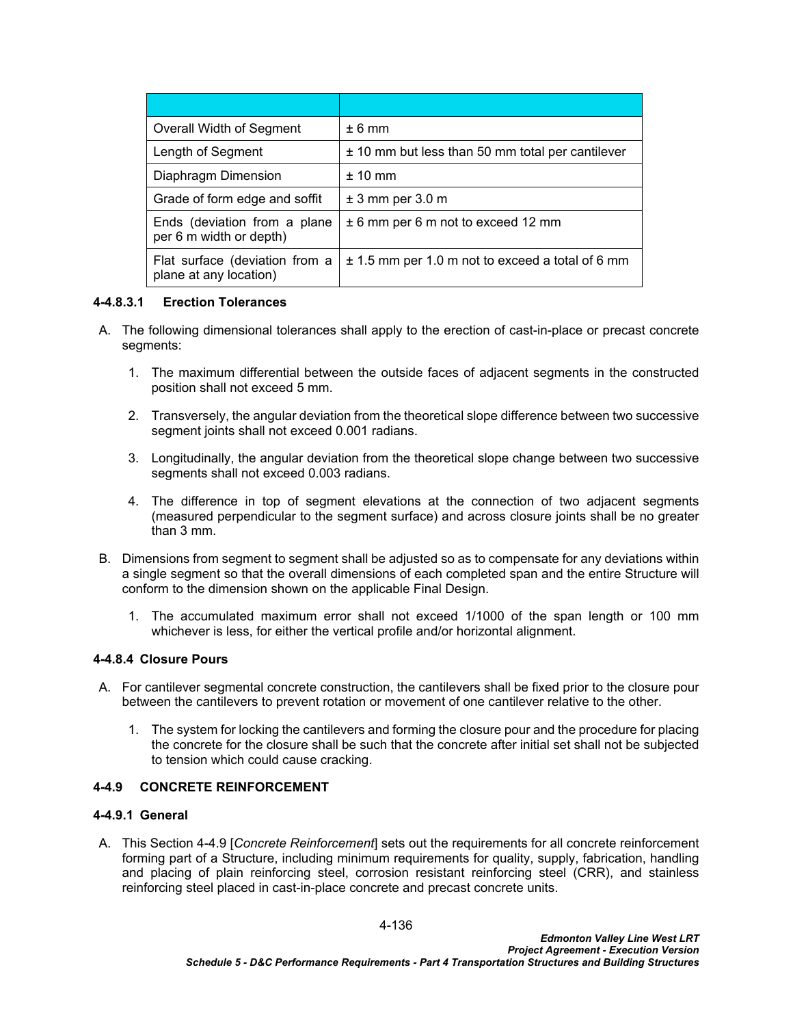| Overall Width of Segment                                 | $± 6$ mm                                             |
|----------------------------------------------------------|------------------------------------------------------|
| Length of Segment                                        | ± 10 mm but less than 50 mm total per cantilever     |
| Diaphragm Dimension                                      | $± 10$ mm                                            |
| Grade of form edge and soffit                            | $± 3$ mm per $3.0$ m                                 |
| Ends (deviation from a plane<br>per 6 m width or depth)  | $± 6$ mm per 6 m not to exceed 12 mm                 |
| Flat surface (deviation from a<br>plane at any location) | $\pm$ 1.5 mm per 1.0 m not to exceed a total of 6 mm |

# **4-4.8.3.1 Erection Tolerances**

- A. The following dimensional tolerances shall apply to the erection of cast-in-place or precast concrete segments:
	- 1. The maximum differential between the outside faces of adjacent segments in the constructed position shall not exceed 5 mm.
	- 2. Transversely, the angular deviation from the theoretical slope difference between two successive segment joints shall not exceed 0.001 radians.
	- 3. Longitudinally, the angular deviation from the theoretical slope change between two successive segments shall not exceed 0.003 radians.
	- 4. The difference in top of segment elevations at the connection of two adjacent segments (measured perpendicular to the segment surface) and across closure joints shall be no greater than 3 mm.
- B. Dimensions from segment to segment shall be adjusted so as to compensate for any deviations within a single segment so that the overall dimensions of each completed span and the entire Structure will conform to the dimension shown on the applicable Final Design.
	- 1. The accumulated maximum error shall not exceed 1/1000 of the span length or 100 mm whichever is less, for either the vertical profile and/or horizontal alignment.

## **4-4.8.4 Closure Pours**

- A. For cantilever segmental concrete construction, the cantilevers shall be fixed prior to the closure pour between the cantilevers to prevent rotation or movement of one cantilever relative to the other.
	- 1. The system for locking the cantilevers and forming the closure pour and the procedure for placing the concrete for the closure shall be such that the concrete after initial set shall not be subjected to tension which could cause cracking.

## <span id="page-139-0"></span>**4-4.9 CONCRETE REINFORCEMENT**

#### **4-4.9.1 General**

A. This Section [4-4.9](#page-139-0) [*[Concrete Reinforcement](#page-139-0)*] sets out the requirements for all concrete reinforcement forming part of a Structure, including minimum requirements for quality, supply, fabrication, handling and placing of plain reinforcing steel, corrosion resistant reinforcing steel (CRR), and stainless reinforcing steel placed in cast-in-place concrete and precast concrete units.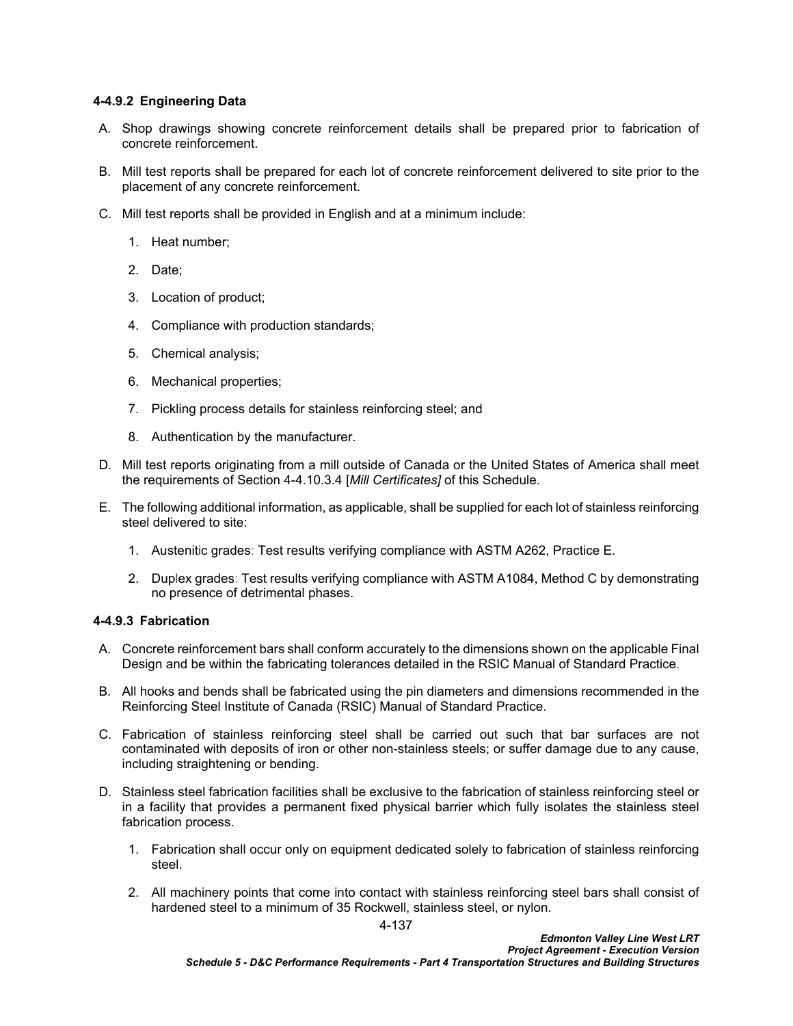# **4-4.9.2 Engineering Data**

- A. Shop drawings showing concrete reinforcement details shall be prepared prior to fabrication of concrete reinforcement.
- B. Mill test reports shall be prepared for each lot of concrete reinforcement delivered to site prior to the placement of any concrete reinforcement.
- C. Mill test reports shall be provided in English and at a minimum include:
	- 1. Heat number;
	- 2. Date;
	- 3. Location of product;
	- 4. Compliance with production standards;
	- 5. Chemical analysis;
	- 6. Mechanical properties;
	- 7. Pickling process details for stainless reinforcing steel; and
	- 8. Authentication by the manufacturer.
- D. Mill test reports originating from a mill outside of Canada or the United States of America shall meet the requirements of Section [4-4.10.3.4](#page-145-0) [*[Mill Certificates\]](#page-145-0)* of this Schedule.
- E. The following additional information, as applicable, shall be supplied for each lot of stainless reinforcing steel delivered to site:
	- 1. Austenitic grades: Test results verifying compliance with ASTM A262, Practice E.
	- 2. Duplex grades: Test results verifying compliance with ASTM A1084, Method C by demonstrating no presence of detrimental phases.

## **4-4.9.3 Fabrication**

- A. Concrete reinforcement bars shall conform accurately to the dimensions shown on the applicable Final Design and be within the fabricating tolerances detailed in the RSIC Manual of Standard Practice.
- B. All hooks and bends shall be fabricated using the pin diameters and dimensions recommended in the Reinforcing Steel Institute of Canada (RSIC) Manual of Standard Practice.
- C. Fabrication of stainless reinforcing steel shall be carried out such that bar surfaces are not contaminated with deposits of iron or other non-stainless steels; or suffer damage due to any cause, including straightening or bending.
- D. Stainless steel fabrication facilities shall be exclusive to the fabrication of stainless reinforcing steel or in a facility that provides a permanent fixed physical barrier which fully isolates the stainless steel fabrication process.
	- 1. Fabrication shall occur only on equipment dedicated solely to fabrication of stainless reinforcing steel.
	- 2. All machinery points that come into contact with stainless reinforcing steel bars shall consist of hardened steel to a minimum of 35 Rockwell, stainless steel, or nylon.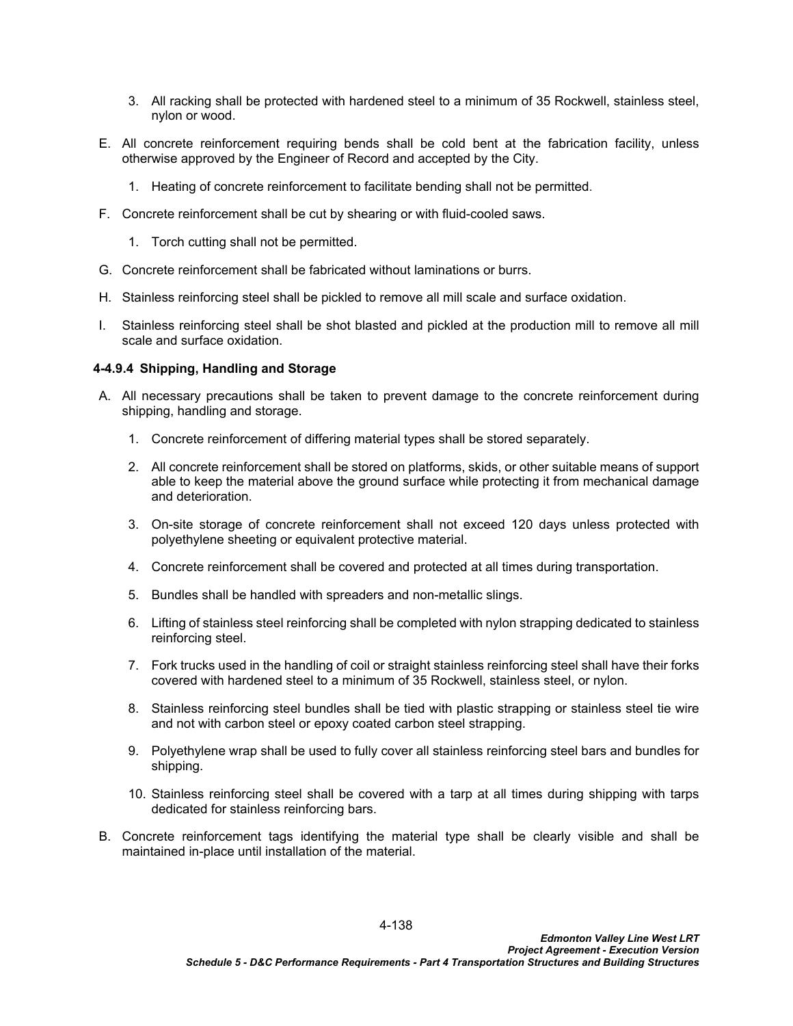- 3. All racking shall be protected with hardened steel to a minimum of 35 Rockwell, stainless steel, nylon or wood.
- E. All concrete reinforcement requiring bends shall be cold bent at the fabrication facility, unless otherwise approved by the Engineer of Record and accepted by the City.
	- 1. Heating of concrete reinforcement to facilitate bending shall not be permitted.
- F. Concrete reinforcement shall be cut by shearing or with fluid-cooled saws.
	- 1. Torch cutting shall not be permitted.
- G. Concrete reinforcement shall be fabricated without laminations or burrs.
- H. Stainless reinforcing steel shall be pickled to remove all mill scale and surface oxidation.
- I. Stainless reinforcing steel shall be shot blasted and pickled at the production mill to remove all mill scale and surface oxidation.

# **4-4.9.4 Shipping, Handling and Storage**

- A. All necessary precautions shall be taken to prevent damage to the concrete reinforcement during shipping, handling and storage.
	- 1. Concrete reinforcement of differing material types shall be stored separately.
	- 2. All concrete reinforcement shall be stored on platforms, skids, or other suitable means of support able to keep the material above the ground surface while protecting it from mechanical damage and deterioration.
	- 3. On-site storage of concrete reinforcement shall not exceed 120 days unless protected with polyethylene sheeting or equivalent protective material.
	- 4. Concrete reinforcement shall be covered and protected at all times during transportation.
	- 5. Bundles shall be handled with spreaders and non-metallic slings.
	- 6. Lifting of stainless steel reinforcing shall be completed with nylon strapping dedicated to stainless reinforcing steel.
	- 7. Fork trucks used in the handling of coil or straight stainless reinforcing steel shall have their forks covered with hardened steel to a minimum of 35 Rockwell, stainless steel, or nylon.
	- 8. Stainless reinforcing steel bundles shall be tied with plastic strapping or stainless steel tie wire and not with carbon steel or epoxy coated carbon steel strapping.
	- 9. Polyethylene wrap shall be used to fully cover all stainless reinforcing steel bars and bundles for shipping.
	- 10. Stainless reinforcing steel shall be covered with a tarp at all times during shipping with tarps dedicated for stainless reinforcing bars.
- B. Concrete reinforcement tags identifying the material type shall be clearly visible and shall be maintained in-place until installation of the material.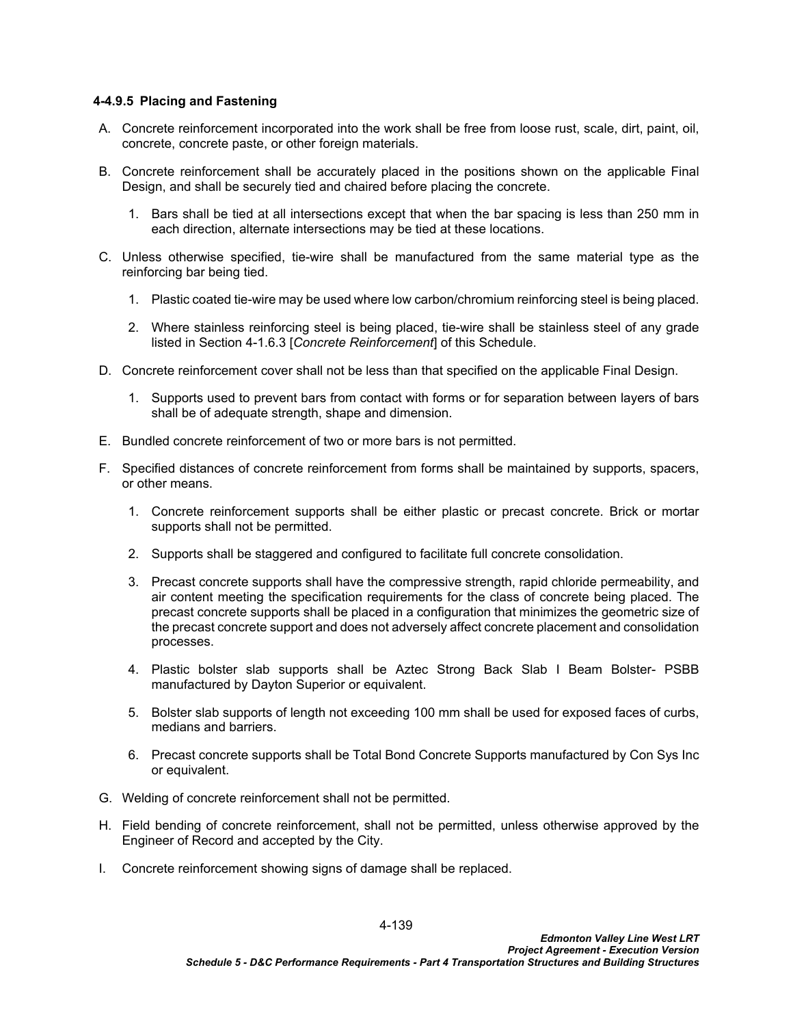## **4-4.9.5 Placing and Fastening**

- A. Concrete reinforcement incorporated into the work shall be free from loose rust, scale, dirt, paint, oil, concrete, concrete paste, or other foreign materials.
- B. Concrete reinforcement shall be accurately placed in the positions shown on the applicable Final Design, and shall be securely tied and chaired before placing the concrete.
	- 1. Bars shall be tied at all intersections except that when the bar spacing is less than 250 mm in each direction, alternate intersections may be tied at these locations.
- C. Unless otherwise specified, tie-wire shall be manufactured from the same material type as the reinforcing bar being tied.
	- 1. Plastic coated tie-wire may be used where low carbon/chromium reinforcing steel is being placed.
	- 2. Where stainless reinforcing steel is being placed, tie-wire shall be stainless steel of any grade listed in Section [4-1.6.3](#page-14-0) [*Concrete Reinforcement*] of this Schedule.
- D. Concrete reinforcement cover shall not be less than that specified on the applicable Final Design.
	- 1. Supports used to prevent bars from contact with forms or for separation between layers of bars shall be of adequate strength, shape and dimension.
- E. Bundled concrete reinforcement of two or more bars is not permitted.
- F. Specified distances of concrete reinforcement from forms shall be maintained by supports, spacers, or other means.
	- 1. Concrete reinforcement supports shall be either plastic or precast concrete. Brick or mortar supports shall not be permitted.
	- 2. Supports shall be staggered and configured to facilitate full concrete consolidation.
	- 3. Precast concrete supports shall have the compressive strength, rapid chloride permeability, and air content meeting the specification requirements for the class of concrete being placed. The precast concrete supports shall be placed in a configuration that minimizes the geometric size of the precast concrete support and does not adversely affect concrete placement and consolidation processes.
	- 4. Plastic bolster slab supports shall be Aztec Strong Back Slab I Beam Bolster- PSBB manufactured by Dayton Superior or equivalent.
	- 5. Bolster slab supports of length not exceeding 100 mm shall be used for exposed faces of curbs, medians and barriers.
	- 6. Precast concrete supports shall be Total Bond Concrete Supports manufactured by Con Sys Inc or equivalent.
- G. Welding of concrete reinforcement shall not be permitted.
- H. Field bending of concrete reinforcement, shall not be permitted, unless otherwise approved by the Engineer of Record and accepted by the City.
- I. Concrete reinforcement showing signs of damage shall be replaced.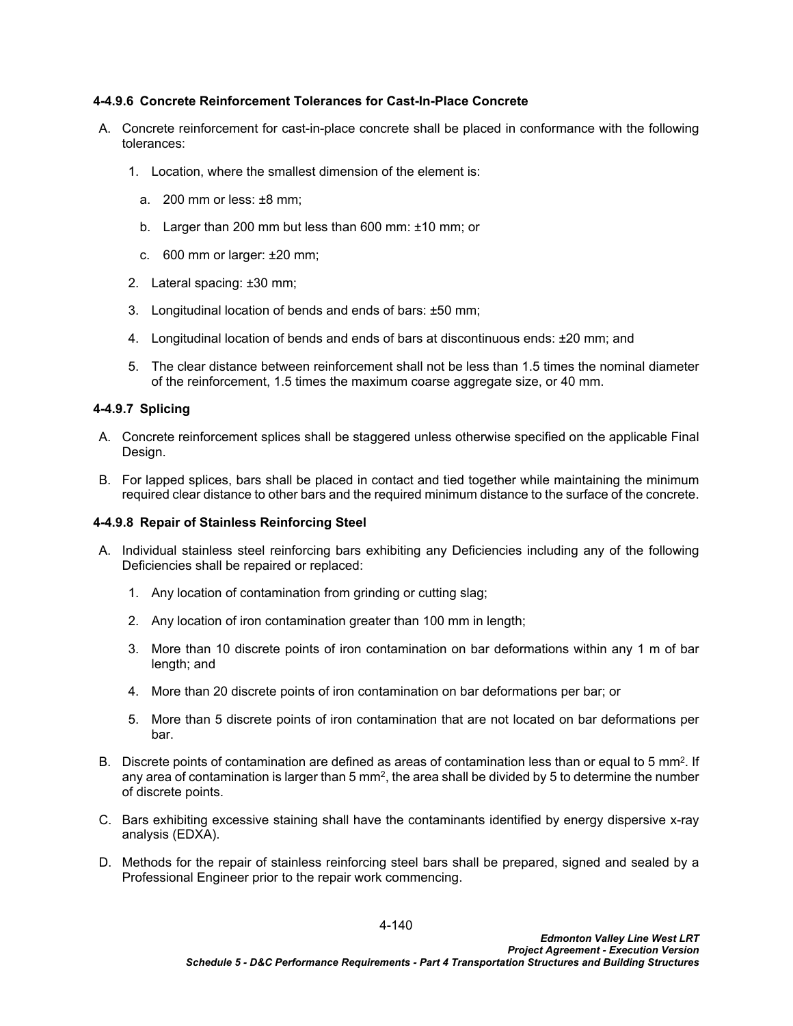## **4-4.9.6 Concrete Reinforcement Tolerances for Cast-In-Place Concrete**

- A. Concrete reinforcement for cast-in-place concrete shall be placed in conformance with the following tolerances:
	- 1. Location, where the smallest dimension of the element is:
		- a. 200 mm or less: ±8 mm;
		- b. Larger than 200 mm but less than 600 mm: ±10 mm; or
		- c. 600 mm or larger: ±20 mm;
	- 2. Lateral spacing: ±30 mm;
	- 3. Longitudinal location of bends and ends of bars: ±50 mm;
	- 4. Longitudinal location of bends and ends of bars at discontinuous ends: ±20 mm; and
	- 5. The clear distance between reinforcement shall not be less than 1.5 times the nominal diameter of the reinforcement, 1.5 times the maximum coarse aggregate size, or 40 mm.

#### **4-4.9.7 Splicing**

- A. Concrete reinforcement splices shall be staggered unless otherwise specified on the applicable Final Design.
- B. For lapped splices, bars shall be placed in contact and tied together while maintaining the minimum required clear distance to other bars and the required minimum distance to the surface of the concrete.

#### **4-4.9.8 Repair of Stainless Reinforcing Steel**

- A. Individual stainless steel reinforcing bars exhibiting any Deficiencies including any of the following Deficiencies shall be repaired or replaced:
	- 1. Any location of contamination from grinding or cutting slag;
	- 2. Any location of iron contamination greater than 100 mm in length;
	- 3. More than 10 discrete points of iron contamination on bar deformations within any 1 m of bar length; and
	- 4. More than 20 discrete points of iron contamination on bar deformations per bar; or
	- 5. More than 5 discrete points of iron contamination that are not located on bar deformations per bar.
- B. Discrete points of contamination are defined as areas of contamination less than or equal to 5 mm<sup>2</sup>. If any area of contamination is larger than 5 mm<sup>2</sup>, the area shall be divided by 5 to determine the number of discrete points.
- C. Bars exhibiting excessive staining shall have the contaminants identified by energy dispersive x-ray analysis (EDXA).
- D. Methods for the repair of stainless reinforcing steel bars shall be prepared, signed and sealed by a Professional Engineer prior to the repair work commencing.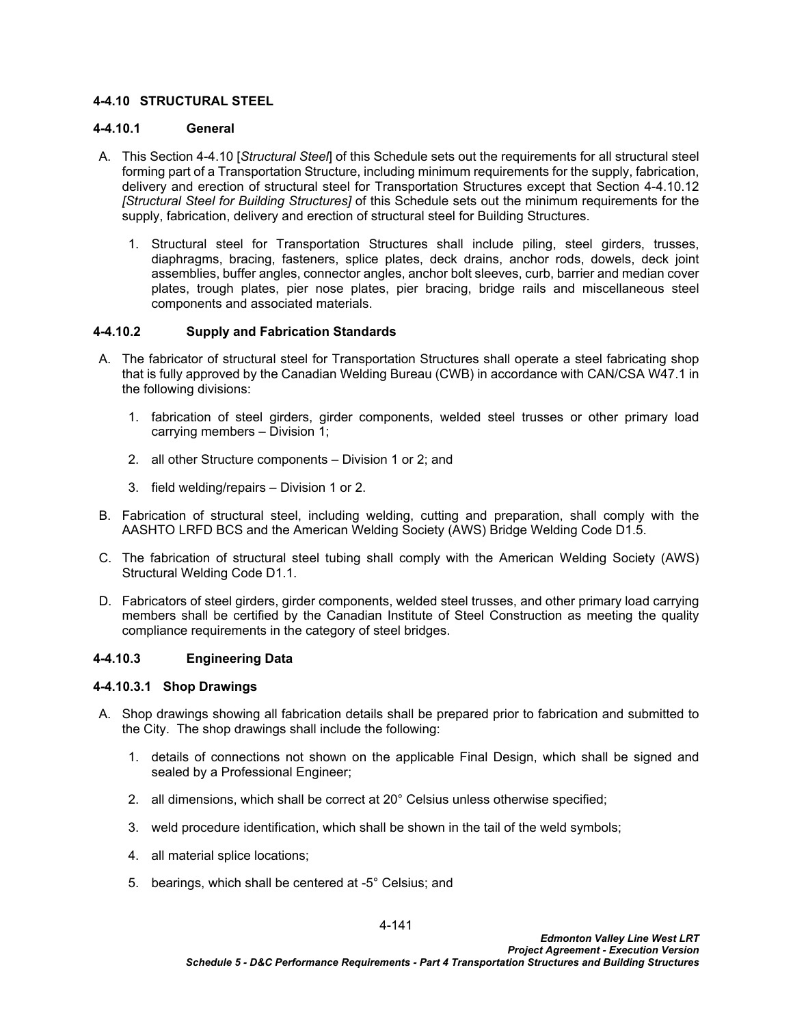## <span id="page-144-0"></span>**4-4.10 STRUCTURAL STEEL**

## **4-4.10.1 General**

- <span id="page-144-1"></span>A. This Section [4-4.10](#page-144-0) [*[Structural Steel](#page-144-0)*] of this Schedule sets out the requirements for all structural steel forming part of a Transportation Structure, including minimum requirements for the supply, fabrication, delivery and erection of structural steel for Transportation Structures except that Section [4-4.10.12](#page-164-0)  *[\[Structural Steel for Building Structures](#page-164-0)]* of this Schedule sets out the minimum requirements for the supply, fabrication, delivery and erection of structural steel for Building Structures.
	- 1. Structural steel for Transportation Structures shall include piling, steel girders, trusses, diaphragms, bracing, fasteners, splice plates, deck drains, anchor rods, dowels, deck joint assemblies, buffer angles, connector angles, anchor bolt sleeves, curb, barrier and median cover plates, trough plates, pier nose plates, pier bracing, bridge rails and miscellaneous steel components and associated materials.

### **4-4.10.2 Supply and Fabrication Standards**

- A. The fabricator of structural steel for Transportation Structures shall operate a steel fabricating shop that is fully approved by the Canadian Welding Bureau (CWB) in accordance with CAN/CSA W47.1 in the following divisions:
	- 1. fabrication of steel girders, girder components, welded steel trusses or other primary load carrying members – Division 1;
	- 2. all other Structure components Division 1 or 2; and
	- 3. field welding/repairs Division 1 or 2.
- B. Fabrication of structural steel, including welding, cutting and preparation, shall comply with the AASHTO LRFD BCS and the American Welding Society (AWS) Bridge Welding Code D1.5.
- C. The fabrication of structural steel tubing shall comply with the American Welding Society (AWS) Structural Welding Code D1.1.
- D. Fabricators of steel girders, girder components, welded steel trusses, and other primary load carrying members shall be certified by the Canadian Institute of Steel Construction as meeting the quality compliance requirements in the category of steel bridges.

### **4-4.10.3 Engineering Data**

#### <span id="page-144-2"></span>**4-4.10.3.1 Shop Drawings**

- A. Shop drawings showing all fabrication details shall be prepared prior to fabrication and submitted to the City. The shop drawings shall include the following:
	- 1. details of connections not shown on the applicable Final Design, which shall be signed and sealed by a Professional Engineer;
	- 2. all dimensions, which shall be correct at 20° Celsius unless otherwise specified;
	- 3. weld procedure identification, which shall be shown in the tail of the weld symbols;
	- 4. all material splice locations;
	- 5. bearings, which shall be centered at -5° Celsius; and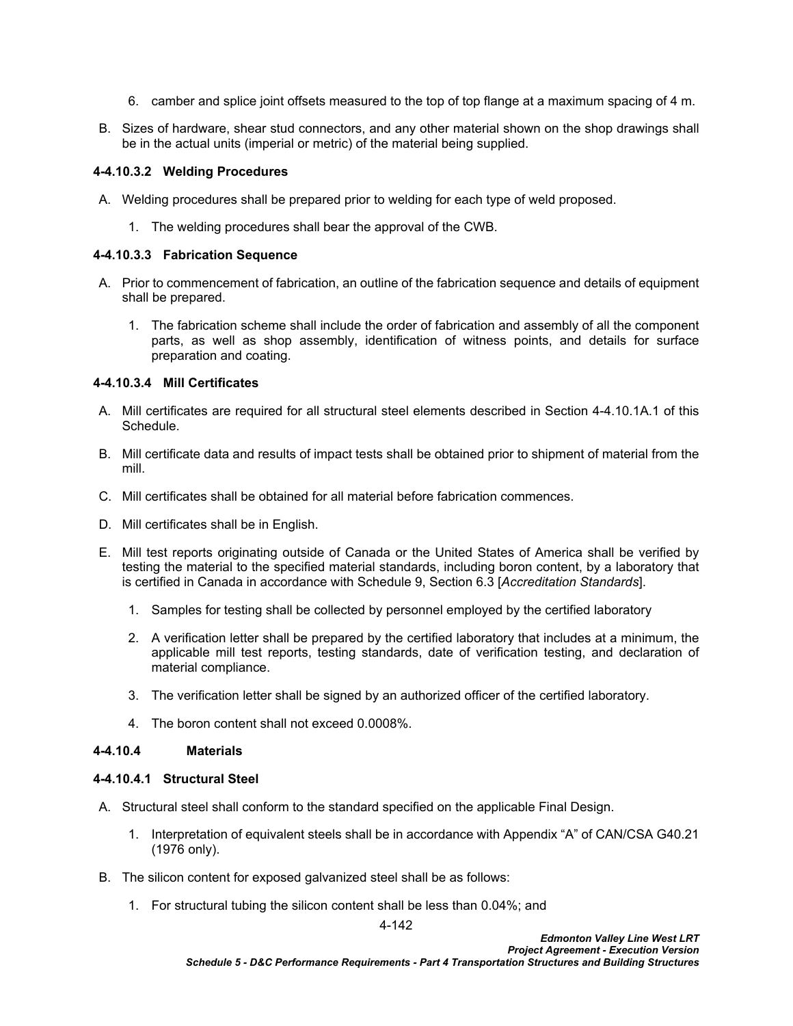- 6. camber and splice joint offsets measured to the top of top flange at a maximum spacing of 4 m.
- B. Sizes of hardware, shear stud connectors, and any other material shown on the shop drawings shall be in the actual units (imperial or metric) of the material being supplied.

## **4-4.10.3.2 Welding Procedures**

- A. Welding procedures shall be prepared prior to welding for each type of weld proposed.
	- 1. The welding procedures shall bear the approval of the CWB.

### <span id="page-145-0"></span>**4-4.10.3.3 Fabrication Sequence**

- A. Prior to commencement of fabrication, an outline of the fabrication sequence and details of equipment shall be prepared.
	- 1. The fabrication scheme shall include the order of fabrication and assembly of all the component parts, as well as shop assembly, identification of witness points, and details for surface preparation and coating.

## <span id="page-145-1"></span>**4-4.10.3.4 Mill Certificates**

- A. Mill certificates are required for all structural steel elements described in Section [4-4.10.1A.1](#page-144-1) of this Schedule.
- B. Mill certificate data and results of impact tests shall be obtained prior to shipment of material from the mill.
- C. Mill certificates shall be obtained for all material before fabrication commences.
- D. Mill certificates shall be in English.
- E. Mill test reports originating outside of Canada or the United States of America shall be verified by testing the material to the specified material standards, including boron content, by a laboratory that is certified in Canada in accordance with Schedule 9, Section 6.3 [*Accreditation Standards*].
	- 1. Samples for testing shall be collected by personnel employed by the certified laboratory
	- 2. A verification letter shall be prepared by the certified laboratory that includes at a minimum, the applicable mill test reports, testing standards, date of verification testing, and declaration of material compliance.
	- 3. The verification letter shall be signed by an authorized officer of the certified laboratory.
	- 4. The boron content shall not exceed 0.0008%.

## **4-4.10.4 Materials**

### **4-4.10.4.1 Structural Steel**

- A. Structural steel shall conform to the standard specified on the applicable Final Design.
	- 1. Interpretation of equivalent steels shall be in accordance with Appendix "A" of CAN/CSA G40.21 (1976 only).
- B. The silicon content for exposed galvanized steel shall be as follows:
	- 1. For structural tubing the silicon content shall be less than 0.04%; and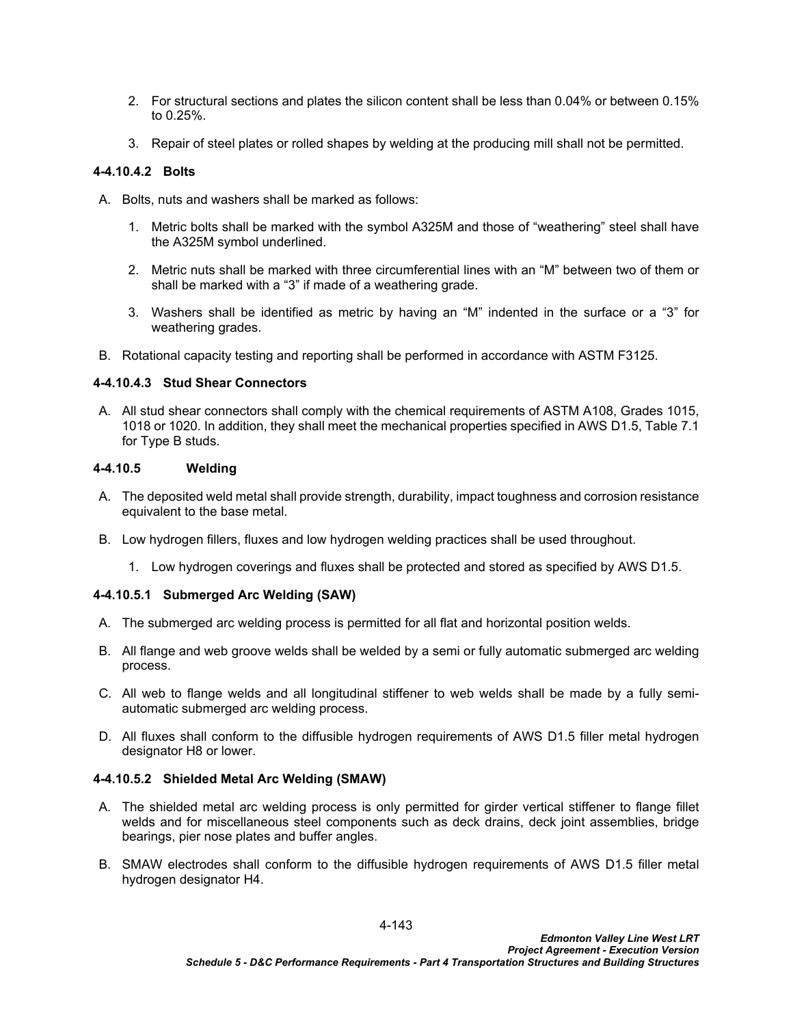- 2. For structural sections and plates the silicon content shall be less than 0.04% or between 0.15% to 0.25%.
- 3. Repair of steel plates or rolled shapes by welding at the producing mill shall not be permitted.

# **4-4.10.4.2 Bolts**

- A. Bolts, nuts and washers shall be marked as follows:
	- 1. Metric bolts shall be marked with the symbol A325M and those of "weathering" steel shall have the A325M symbol underlined.
	- 2. Metric nuts shall be marked with three circumferential lines with an "M" between two of them or shall be marked with a "3" if made of a weathering grade.
	- 3. Washers shall be identified as metric by having an "M" indented in the surface or a "3" for weathering grades.
- B. Rotational capacity testing and reporting shall be performed in accordance with ASTM F3125.

## **4-4.10.4.3 Stud Shear Connectors**

A. All stud shear connectors shall comply with the chemical requirements of ASTM A108, Grades 1015, 1018 or 1020. In addition, they shall meet the mechanical properties specified in AWS D1.5, Table 7.1 for Type B studs.

## <span id="page-146-0"></span>**4-4.10.5 Welding**

- A. The deposited weld metal shall provide strength, durability, impact toughness and corrosion resistance equivalent to the base metal.
- B. Low hydrogen fillers, fluxes and low hydrogen welding practices shall be used throughout.
	- 1. Low hydrogen coverings and fluxes shall be protected and stored as specified by AWS D1.5.

### **4-4.10.5.1 Submerged Arc Welding (SAW)**

- A. The submerged arc welding process is permitted for all flat and horizontal position welds.
- B. All flange and web groove welds shall be welded by a semi or fully automatic submerged arc welding process.
- C. All web to flange welds and all longitudinal stiffener to web welds shall be made by a fully semiautomatic submerged arc welding process.
- D. All fluxes shall conform to the diffusible hydrogen requirements of AWS D1.5 filler metal hydrogen designator H8 or lower.

# **4-4.10.5.2 Shielded Metal Arc Welding (SMAW)**

- A. The shielded metal arc welding process is only permitted for girder vertical stiffener to flange fillet welds and for miscellaneous steel components such as deck drains, deck joint assemblies, bridge bearings, pier nose plates and buffer angles.
- B. SMAW electrodes shall conform to the diffusible hydrogen requirements of AWS D1.5 filler metal hydrogen designator H4.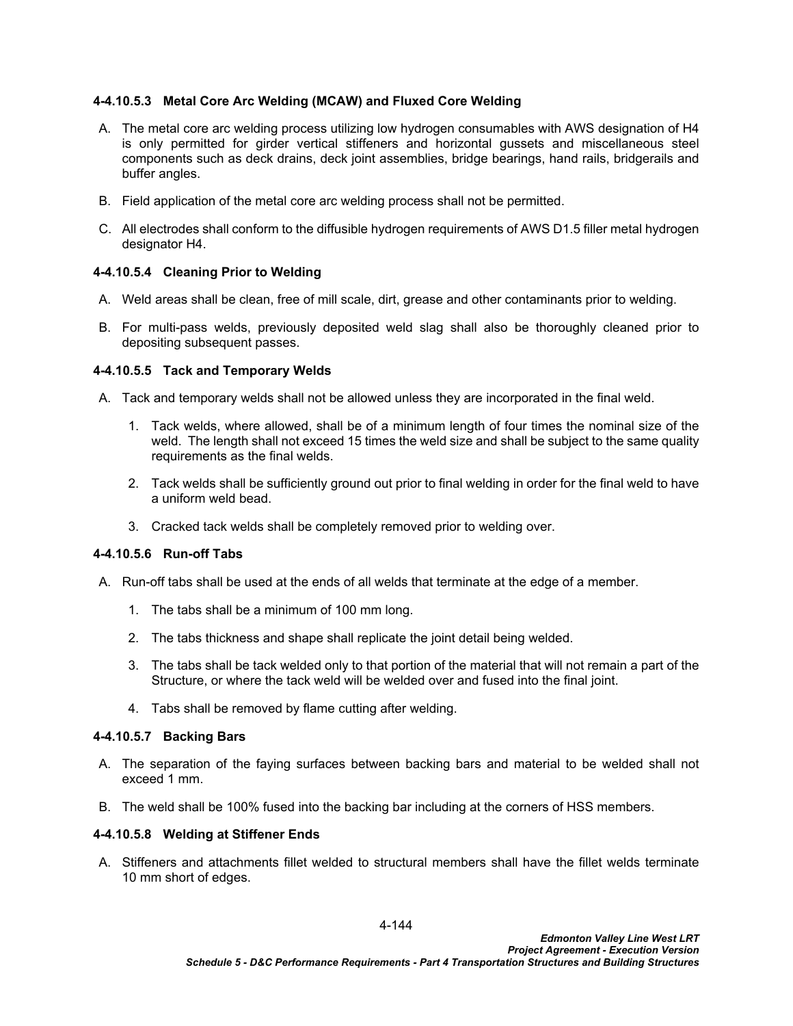## **4-4.10.5.3 Metal Core Arc Welding (MCAW) and Fluxed Core Welding**

- A. The metal core arc welding process utilizing low hydrogen consumables with AWS designation of H4 is only permitted for girder vertical stiffeners and horizontal gussets and miscellaneous steel components such as deck drains, deck joint assemblies, bridge bearings, hand rails, bridgerails and buffer angles.
- B. Field application of the metal core arc welding process shall not be permitted.
- C. All electrodes shall conform to the diffusible hydrogen requirements of AWS D1.5 filler metal hydrogen designator H4.

## **4-4.10.5.4 Cleaning Prior to Welding**

- A. Weld areas shall be clean, free of mill scale, dirt, grease and other contaminants prior to welding.
- B. For multi-pass welds, previously deposited weld slag shall also be thoroughly cleaned prior to depositing subsequent passes.

### **4-4.10.5.5 Tack and Temporary Welds**

- A. Tack and temporary welds shall not be allowed unless they are incorporated in the final weld.
	- 1. Tack welds, where allowed, shall be of a minimum length of four times the nominal size of the weld. The length shall not exceed 15 times the weld size and shall be subject to the same quality requirements as the final welds.
	- 2. Tack welds shall be sufficiently ground out prior to final welding in order for the final weld to have a uniform weld bead.
	- 3. Cracked tack welds shall be completely removed prior to welding over.

### **4-4.10.5.6 Run-off Tabs**

- A. Run-off tabs shall be used at the ends of all welds that terminate at the edge of a member.
	- 1. The tabs shall be a minimum of 100 mm long.
	- 2. The tabs thickness and shape shall replicate the joint detail being welded.
	- 3. The tabs shall be tack welded only to that portion of the material that will not remain a part of the Structure, or where the tack weld will be welded over and fused into the final joint.
	- 4. Tabs shall be removed by flame cutting after welding.

### **4-4.10.5.7 Backing Bars**

- A. The separation of the faying surfaces between backing bars and material to be welded shall not exceed 1 mm.
- B. The weld shall be 100% fused into the backing bar including at the corners of HSS members.

### **4-4.10.5.8 Welding at Stiffener Ends**

A. Stiffeners and attachments fillet welded to structural members shall have the fillet welds terminate 10 mm short of edges.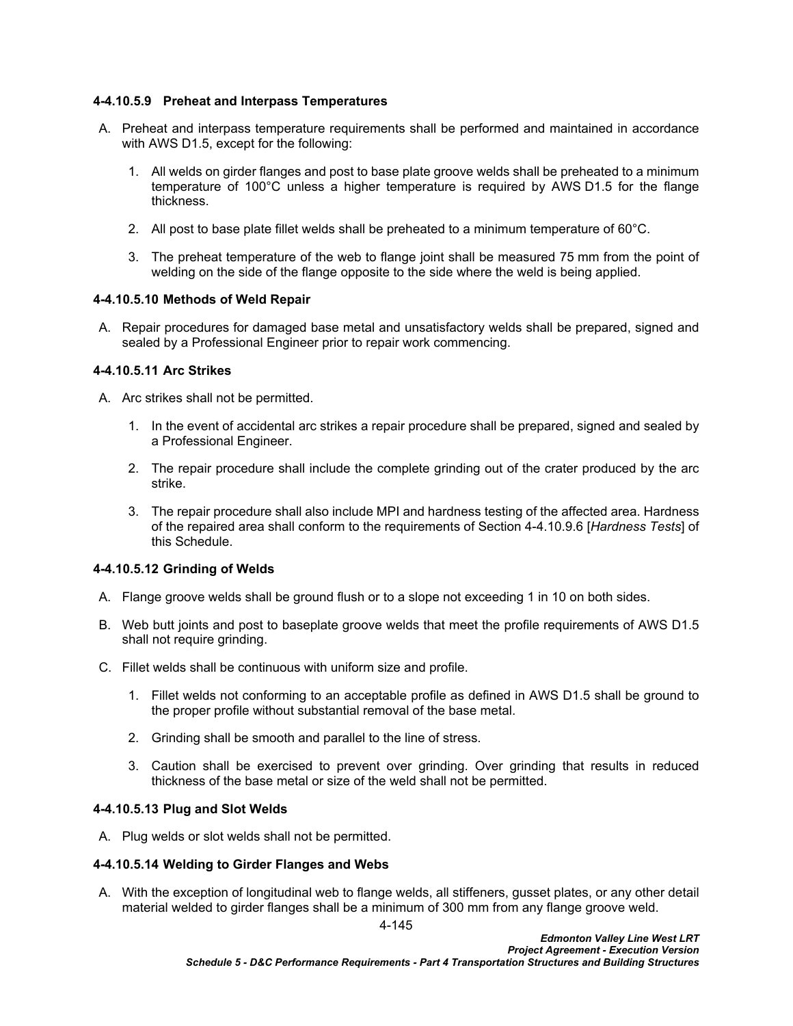### **4-4.10.5.9 Preheat and Interpass Temperatures**

- A. Preheat and interpass temperature requirements shall be performed and maintained in accordance with AWS D1.5, except for the following:
	- 1. All welds on girder flanges and post to base plate groove welds shall be preheated to a minimum temperature of 100°C unless a higher temperature is required by AWS D1.5 for the flange thickness.
	- 2. All post to base plate fillet welds shall be preheated to a minimum temperature of  $60^{\circ}$ C.
	- 3. The preheat temperature of the web to flange joint shall be measured 75 mm from the point of welding on the side of the flange opposite to the side where the weld is being applied.

### **4-4.10.5.10 Methods of Weld Repair**

A. Repair procedures for damaged base metal and unsatisfactory welds shall be prepared, signed and sealed by a Professional Engineer prior to repair work commencing.

## **4-4.10.5.11 Arc Strikes**

- A. Arc strikes shall not be permitted.
	- 1. In the event of accidental arc strikes a repair procedure shall be prepared, signed and sealed by a Professional Engineer.
	- 2. The repair procedure shall include the complete grinding out of the crater produced by the arc strike.
	- 3. The repair procedure shall also include MPI and hardness testing of the affected area. Hardness of the repaired area shall conform to the requirements of Section [4-4.10.9.6](#page-158-0) [*[Hardness Tests](#page-158-0)*] of this Schedule.

### **4-4.10.5.12 Grinding of Welds**

- A. Flange groove welds shall be ground flush or to a slope not exceeding 1 in 10 on both sides.
- B. Web butt joints and post to baseplate groove welds that meet the profile requirements of AWS D1.5 shall not require grinding.
- C. Fillet welds shall be continuous with uniform size and profile.
	- 1. Fillet welds not conforming to an acceptable profile as defined in AWS D1.5 shall be ground to the proper profile without substantial removal of the base metal.
	- 2. Grinding shall be smooth and parallel to the line of stress.
	- 3. Caution shall be exercised to prevent over grinding. Over grinding that results in reduced thickness of the base metal or size of the weld shall not be permitted.

### **4-4.10.5.13 Plug and Slot Welds**

A. Plug welds or slot welds shall not be permitted.

### **4-4.10.5.14 Welding to Girder Flanges and Webs**

A. With the exception of longitudinal web to flange welds, all stiffeners, gusset plates, or any other detail material welded to girder flanges shall be a minimum of 300 mm from any flange groove weld.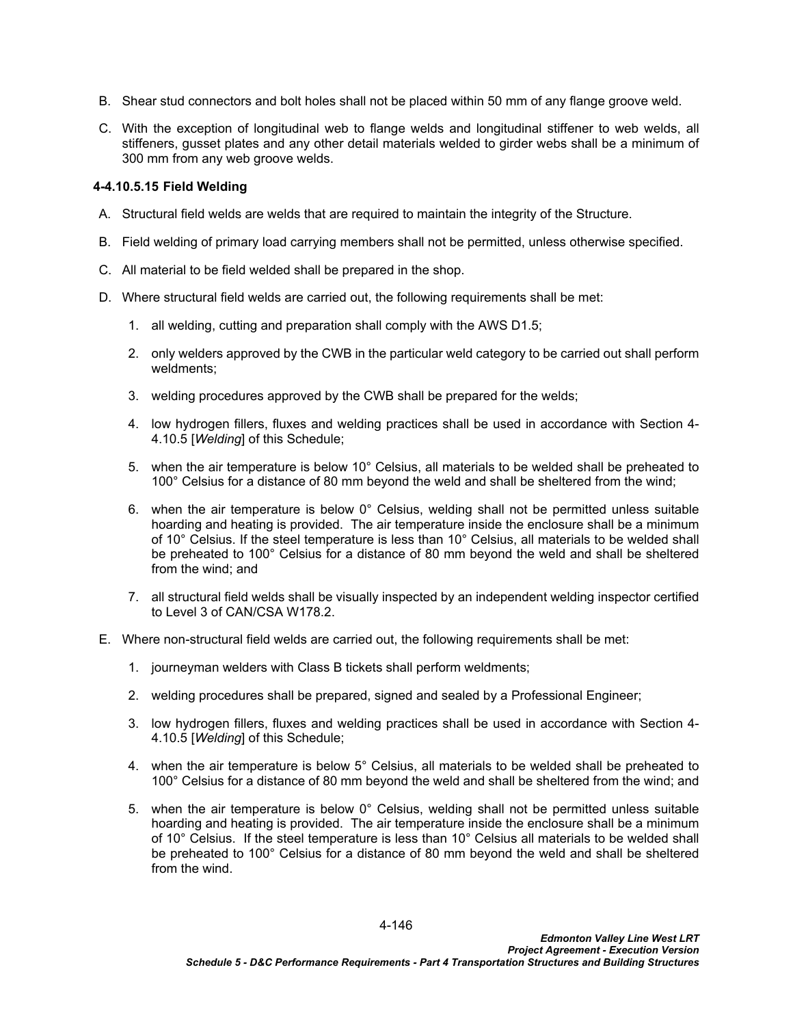- B. Shear stud connectors and bolt holes shall not be placed within 50 mm of any flange groove weld.
- C. With the exception of longitudinal web to flange welds and longitudinal stiffener to web welds, all stiffeners, gusset plates and any other detail materials welded to girder webs shall be a minimum of 300 mm from any web groove welds.

## **4-4.10.5.15 Field Welding**

- A. Structural field welds are welds that are required to maintain the integrity of the Structure.
- B. Field welding of primary load carrying members shall not be permitted, unless otherwise specified.
- C. All material to be field welded shall be prepared in the shop.
- D. Where structural field welds are carried out, the following requirements shall be met:
	- 1. all welding, cutting and preparation shall comply with the AWS D1.5;
	- 2. only welders approved by the CWB in the particular weld category to be carried out shall perform weldments;
	- 3. welding procedures approved by the CWB shall be prepared for the welds;
	- 4. low hydrogen fillers, fluxes and welding practices shall be used in accordance with Section [4-](#page-146-0) [4.10.5](#page-146-0) [*[Welding](#page-146-0)*] of this Schedule;
	- 5. when the air temperature is below 10° Celsius, all materials to be welded shall be preheated to 100° Celsius for a distance of 80 mm beyond the weld and shall be sheltered from the wind;
	- 6. when the air temperature is below 0° Celsius, welding shall not be permitted unless suitable hoarding and heating is provided. The air temperature inside the enclosure shall be a minimum of 10° Celsius. If the steel temperature is less than 10° Celsius, all materials to be welded shall be preheated to 100° Celsius for a distance of 80 mm beyond the weld and shall be sheltered from the wind; and
	- 7. all structural field welds shall be visually inspected by an independent welding inspector certified to Level 3 of CAN/CSA W178.2.
- E. Where non-structural field welds are carried out, the following requirements shall be met:
	- 1. journeyman welders with Class B tickets shall perform weldments;
	- 2. welding procedures shall be prepared, signed and sealed by a Professional Engineer;
	- 3. low hydrogen fillers, fluxes and welding practices shall be used in accordance with Section [4-](#page-146-0) [4.10.5](#page-146-0) [*[Welding](#page-146-0)*] of this Schedule;
	- 4. when the air temperature is below 5° Celsius, all materials to be welded shall be preheated to 100° Celsius for a distance of 80 mm beyond the weld and shall be sheltered from the wind; and
	- 5. when the air temperature is below 0° Celsius, welding shall not be permitted unless suitable hoarding and heating is provided. The air temperature inside the enclosure shall be a minimum of 10° Celsius. If the steel temperature is less than 10° Celsius all materials to be welded shall be preheated to 100° Celsius for a distance of 80 mm beyond the weld and shall be sheltered from the wind.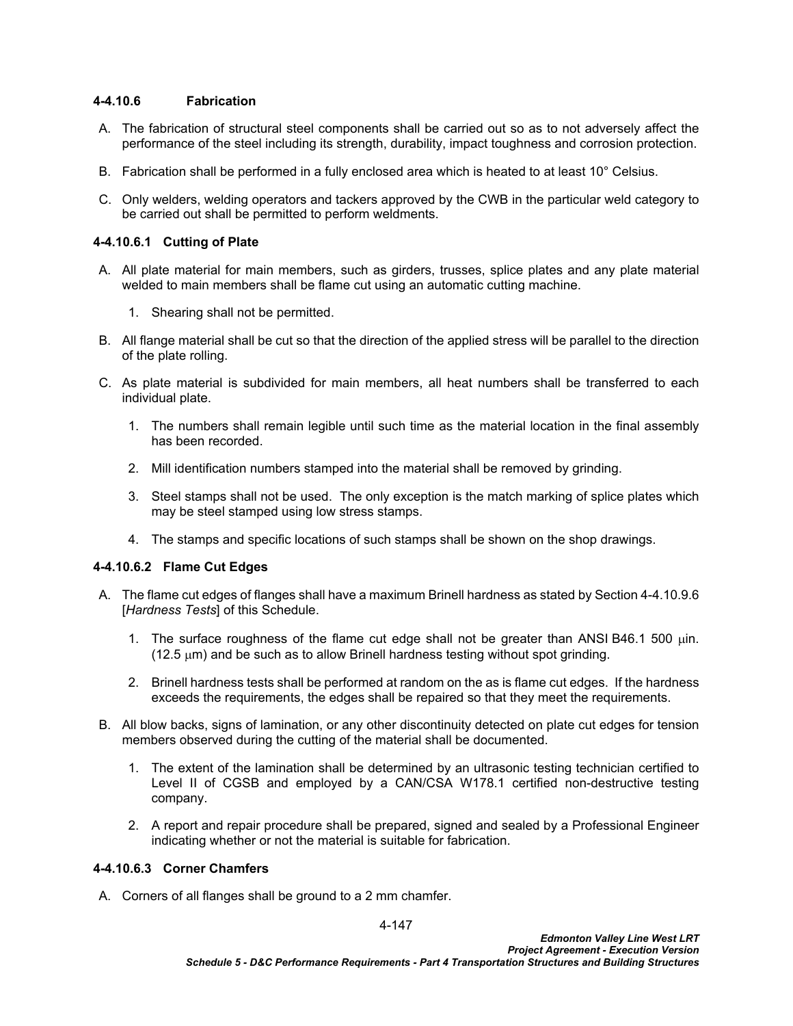## **4-4.10.6 Fabrication**

- A. The fabrication of structural steel components shall be carried out so as to not adversely affect the performance of the steel including its strength, durability, impact toughness and corrosion protection.
- B. Fabrication shall be performed in a fully enclosed area which is heated to at least 10° Celsius.
- C. Only welders, welding operators and tackers approved by the CWB in the particular weld category to be carried out shall be permitted to perform weldments.

# **4-4.10.6.1 Cutting of Plate**

- A. All plate material for main members, such as girders, trusses, splice plates and any plate material welded to main members shall be flame cut using an automatic cutting machine.
	- 1. Shearing shall not be permitted.
- B. All flange material shall be cut so that the direction of the applied stress will be parallel to the direction of the plate rolling.
- C. As plate material is subdivided for main members, all heat numbers shall be transferred to each individual plate.
	- 1. The numbers shall remain legible until such time as the material location in the final assembly has been recorded.
	- 2. Mill identification numbers stamped into the material shall be removed by grinding.
	- 3. Steel stamps shall not be used. The only exception is the match marking of splice plates which may be steel stamped using low stress stamps.
	- 4. The stamps and specific locations of such stamps shall be shown on the shop drawings.

# **4-4.10.6.2 Flame Cut Edges**

- A. The flame cut edges of flanges shall have a maximum Brinell hardness as stated by Section [4-4.10.9.6](#page-158-0) [*[Hardness Tests](#page-158-0)*] of this Schedule.
	- 1. The surface roughness of the flame cut edge shall not be greater than ANSI B46.1 500  $\mu$ in.  $(12.5 \,\text{\upmu m})$  and be such as to allow Brinell hardness testing without spot grinding.
	- 2. Brinell hardness tests shall be performed at random on the as is flame cut edges. If the hardness exceeds the requirements, the edges shall be repaired so that they meet the requirements.
- B. All blow backs, signs of lamination, or any other discontinuity detected on plate cut edges for tension members observed during the cutting of the material shall be documented.
	- 1. The extent of the lamination shall be determined by an ultrasonic testing technician certified to Level II of CGSB and employed by a CAN/CSA W178.1 certified non-destructive testing company.
	- 2. A report and repair procedure shall be prepared, signed and sealed by a Professional Engineer indicating whether or not the material is suitable for fabrication.

### **4-4.10.6.3 Corner Chamfers**

A. Corners of all flanges shall be ground to a 2 mm chamfer.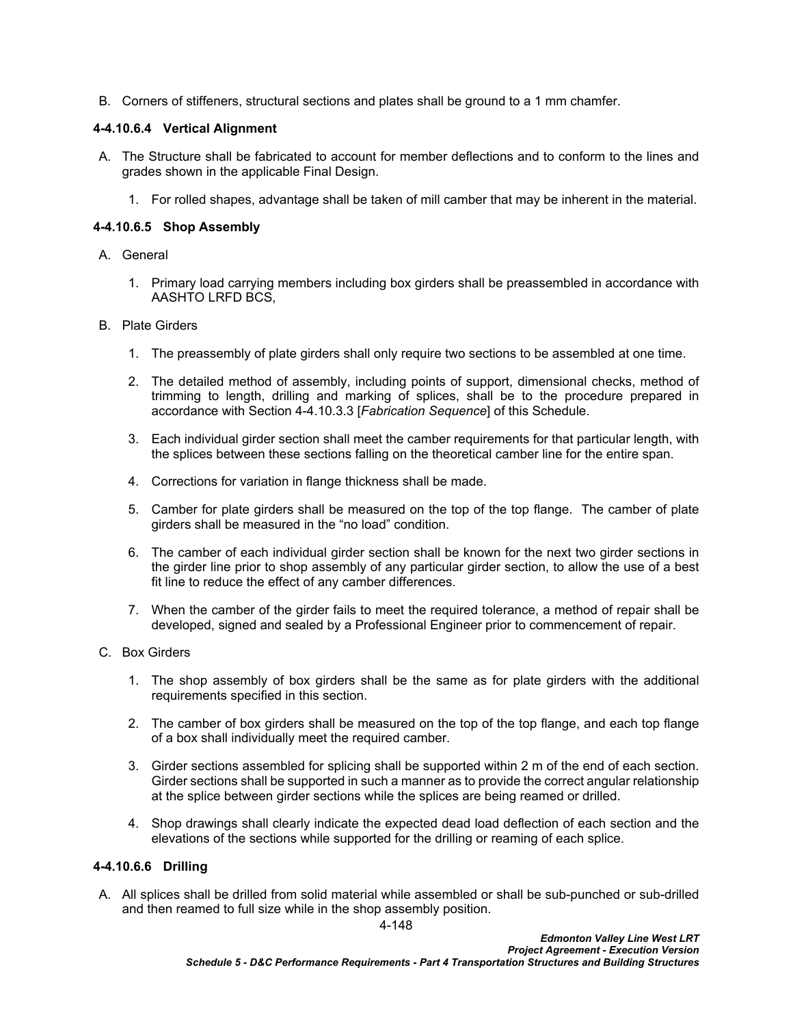B. Corners of stiffeners, structural sections and plates shall be ground to a 1 mm chamfer.

## **4-4.10.6.4 Vertical Alignment**

- A. The Structure shall be fabricated to account for member deflections and to conform to the lines and grades shown in the applicable Final Design.
	- 1. For rolled shapes, advantage shall be taken of mill camber that may be inherent in the material.

## **4-4.10.6.5 Shop Assembly**

### A. General

1. Primary load carrying members including box girders shall be preassembled in accordance with AASHTO LRFD BCS,

## B. Plate Girders

- 1. The preassembly of plate girders shall only require two sections to be assembled at one time.
- 2. The detailed method of assembly, including points of support, dimensional checks, method of trimming to length, drilling and marking of splices, shall be to the procedure prepared in accordance with Section [4-4.10.3.3](#page-145-0) [*[Fabrication Sequence](#page-145-0)*] of this Schedule.
- 3. Each individual girder section shall meet the camber requirements for that particular length, with the splices between these sections falling on the theoretical camber line for the entire span.
- 4. Corrections for variation in flange thickness shall be made.
- 5. Camber for plate girders shall be measured on the top of the top flange. The camber of plate girders shall be measured in the "no load" condition.
- 6. The camber of each individual girder section shall be known for the next two girder sections in the girder line prior to shop assembly of any particular girder section, to allow the use of a best fit line to reduce the effect of any camber differences.
- 7. When the camber of the girder fails to meet the required tolerance, a method of repair shall be developed, signed and sealed by a Professional Engineer prior to commencement of repair.
- C. Box Girders
	- 1. The shop assembly of box girders shall be the same as for plate girders with the additional requirements specified in this section.
	- 2. The camber of box girders shall be measured on the top of the top flange, and each top flange of a box shall individually meet the required camber.
	- 3. Girder sections assembled for splicing shall be supported within 2 m of the end of each section. Girder sections shall be supported in such a manner as to provide the correct angular relationship at the splice between girder sections while the splices are being reamed or drilled.
	- 4. Shop drawings shall clearly indicate the expected dead load deflection of each section and the elevations of the sections while supported for the drilling or reaming of each splice.

# **4-4.10.6.6 Drilling**

A. All splices shall be drilled from solid material while assembled or shall be sub-punched or sub-drilled and then reamed to full size while in the shop assembly position.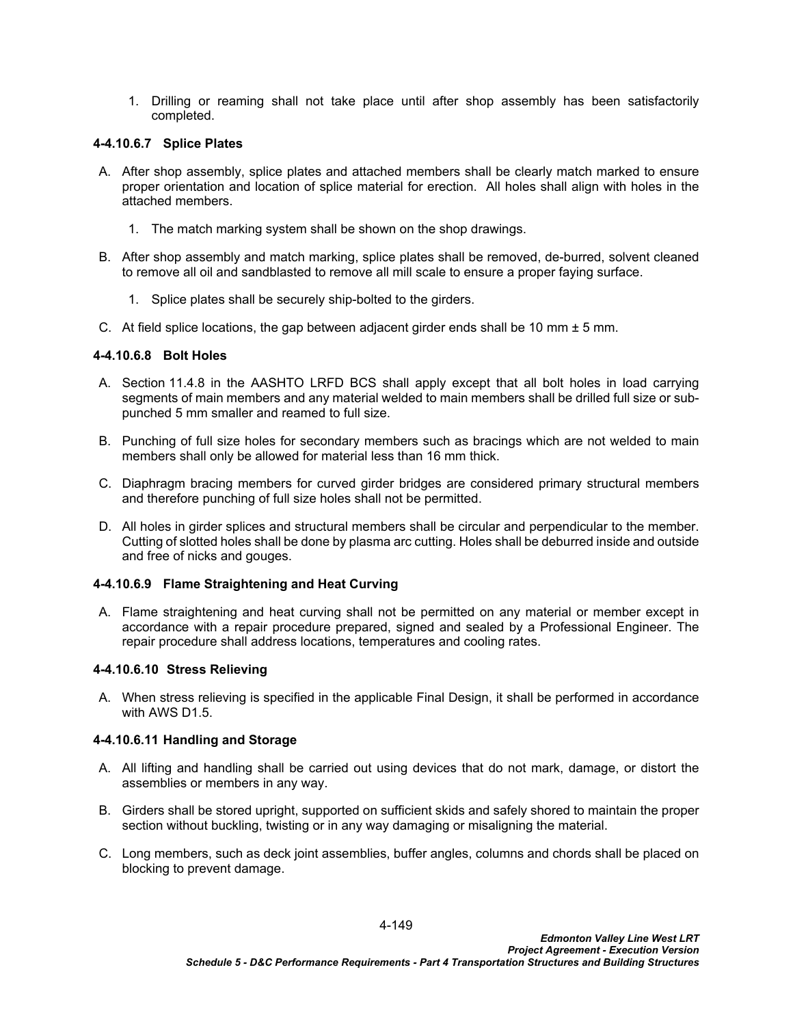1. Drilling or reaming shall not take place until after shop assembly has been satisfactorily completed.

### **4-4.10.6.7 Splice Plates**

- A. After shop assembly, splice plates and attached members shall be clearly match marked to ensure proper orientation and location of splice material for erection. All holes shall align with holes in the attached members.
	- 1. The match marking system shall be shown on the shop drawings.
- B. After shop assembly and match marking, splice plates shall be removed, de-burred, solvent cleaned to remove all oil and sandblasted to remove all mill scale to ensure a proper faying surface.
	- 1. Splice plates shall be securely ship-bolted to the girders.
- C. At field splice locations, the gap between adjacent girder ends shall be 10 mm  $\pm$  5 mm.

## **4-4.10.6.8 Bolt Holes**

- A. Section 11.4.8 in the AASHTO LRFD BCS shall apply except that all bolt holes in load carrying segments of main members and any material welded to main members shall be drilled full size or subpunched 5 mm smaller and reamed to full size.
- B. Punching of full size holes for secondary members such as bracings which are not welded to main members shall only be allowed for material less than 16 mm thick.
- C. Diaphragm bracing members for curved girder bridges are considered primary structural members and therefore punching of full size holes shall not be permitted.
- D. All holes in girder splices and structural members shall be circular and perpendicular to the member. Cutting of slotted holes shall be done by plasma arc cutting. Holes shall be deburred inside and outside and free of nicks and gouges.

# **4-4.10.6.9 Flame Straightening and Heat Curving**

A. Flame straightening and heat curving shall not be permitted on any material or member except in accordance with a repair procedure prepared, signed and sealed by a Professional Engineer. The repair procedure shall address locations, temperatures and cooling rates.

# **4-4.10.6.10 Stress Relieving**

A. When stress relieving is specified in the applicable Final Design, it shall be performed in accordance with AWS D1.5.

### **4-4.10.6.11 Handling and Storage**

- A. All lifting and handling shall be carried out using devices that do not mark, damage, or distort the assemblies or members in any way.
- B. Girders shall be stored upright, supported on sufficient skids and safely shored to maintain the proper section without buckling, twisting or in any way damaging or misaligning the material.
- C. Long members, such as deck joint assemblies, buffer angles, columns and chords shall be placed on blocking to prevent damage.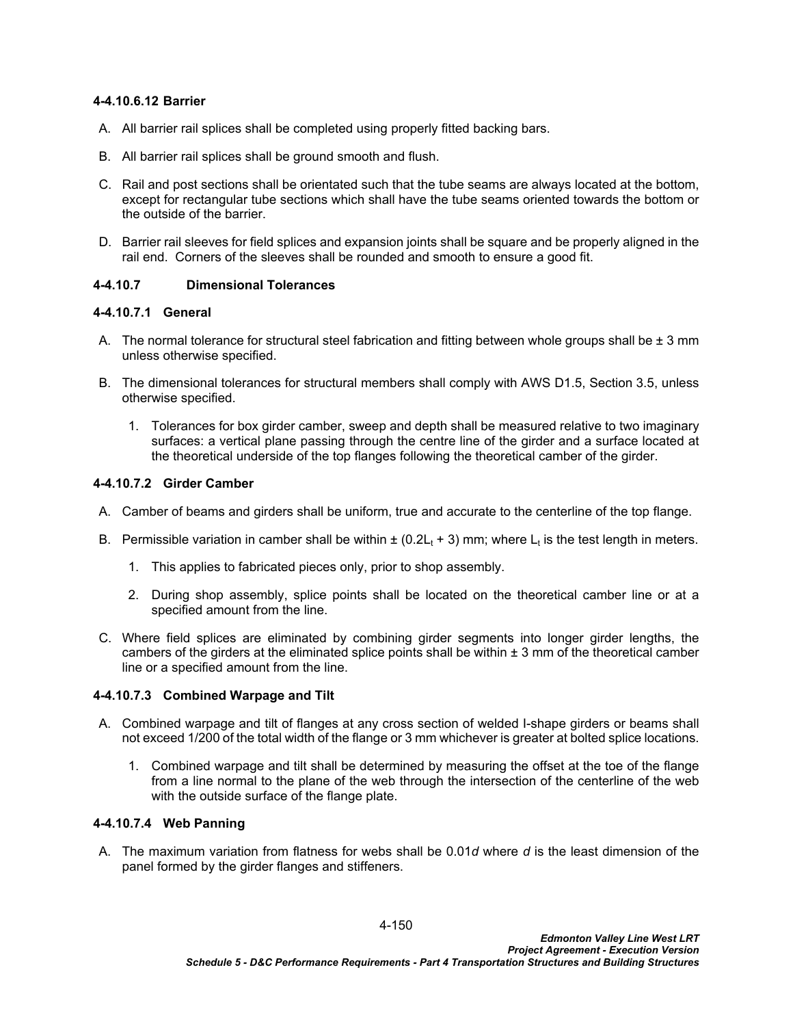### **4-4.10.6.12 Barrier**

- A. All barrier rail splices shall be completed using properly fitted backing bars.
- B. All barrier rail splices shall be ground smooth and flush.
- C. Rail and post sections shall be orientated such that the tube seams are always located at the bottom, except for rectangular tube sections which shall have the tube seams oriented towards the bottom or the outside of the barrier.
- D. Barrier rail sleeves for field splices and expansion joints shall be square and be properly aligned in the rail end. Corners of the sleeves shall be rounded and smooth to ensure a good fit.

## **4-4.10.7 Dimensional Tolerances**

#### **4-4.10.7.1 General**

- A. The normal tolerance for structural steel fabrication and fitting between whole groups shall be  $\pm 3$  mm unless otherwise specified.
- B. The dimensional tolerances for structural members shall comply with AWS D1.5, Section 3.5, unless otherwise specified.
	- 1. Tolerances for box girder camber, sweep and depth shall be measured relative to two imaginary surfaces: a vertical plane passing through the centre line of the girder and a surface located at the theoretical underside of the top flanges following the theoretical camber of the girder.

#### **4-4.10.7.2 Girder Camber**

- A. Camber of beams and girders shall be uniform, true and accurate to the centerline of the top flange.
- B. Permissible variation in camber shall be within  $\pm$  (0.2L<sub>t</sub> + 3) mm; where L<sub>t</sub> is the test length in meters.
	- 1. This applies to fabricated pieces only, prior to shop assembly.
	- 2. During shop assembly, splice points shall be located on the theoretical camber line or at a specified amount from the line.
- C. Where field splices are eliminated by combining girder segments into longer girder lengths, the cambers of the girders at the eliminated splice points shall be within  $\pm 3$  mm of the theoretical camber line or a specified amount from the line.

### **4-4.10.7.3 Combined Warpage and Tilt**

- A. Combined warpage and tilt of flanges at any cross section of welded I-shape girders or beams shall not exceed 1/200 of the total width of the flange or 3 mm whichever is greater at bolted splice locations.
	- 1. Combined warpage and tilt shall be determined by measuring the offset at the toe of the flange from a line normal to the plane of the web through the intersection of the centerline of the web with the outside surface of the flange plate.

#### **4-4.10.7.4 Web Panning**

A. The maximum variation from flatness for webs shall be 0.01*d* where *d* is the least dimension of the panel formed by the girder flanges and stiffeners.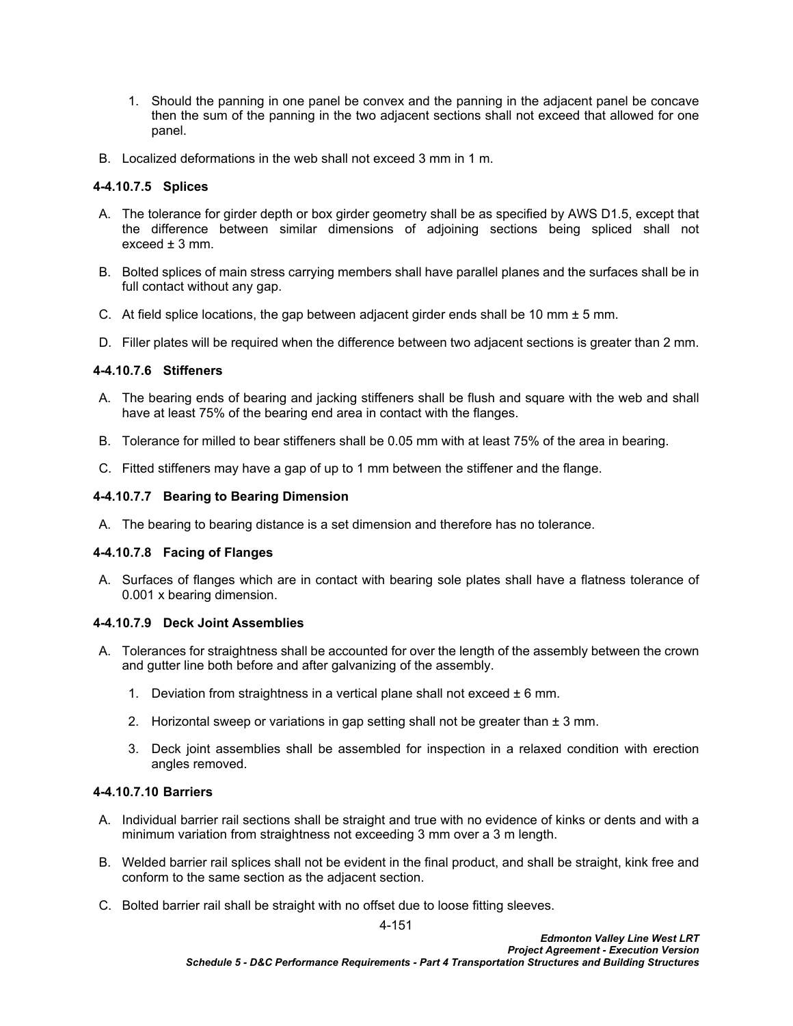- 1. Should the panning in one panel be convex and the panning in the adjacent panel be concave then the sum of the panning in the two adjacent sections shall not exceed that allowed for one panel.
- B. Localized deformations in the web shall not exceed 3 mm in 1 m.

# **4-4.10.7.5 Splices**

- A. The tolerance for girder depth or box girder geometry shall be as specified by AWS D1.5, except that the difference between similar dimensions of adjoining sections being spliced shall not exceed  $± 3$  mm.
- B. Bolted splices of main stress carrying members shall have parallel planes and the surfaces shall be in full contact without any gap.
- C. At field splice locations, the gap between adjacent girder ends shall be 10 mm  $\pm$  5 mm.
- D. Filler plates will be required when the difference between two adjacent sections is greater than 2 mm.

# **4-4.10.7.6 Stiffeners**

- A. The bearing ends of bearing and jacking stiffeners shall be flush and square with the web and shall have at least 75% of the bearing end area in contact with the flanges.
- B. Tolerance for milled to bear stiffeners shall be 0.05 mm with at least 75% of the area in bearing.
- C. Fitted stiffeners may have a gap of up to 1 mm between the stiffener and the flange.

# **4-4.10.7.7 Bearing to Bearing Dimension**

A. The bearing to bearing distance is a set dimension and therefore has no tolerance.

# **4-4.10.7.8 Facing of Flanges**

A. Surfaces of flanges which are in contact with bearing sole plates shall have a flatness tolerance of 0.001 x bearing dimension.

### **4-4.10.7.9 Deck Joint Assemblies**

- A. Tolerances for straightness shall be accounted for over the length of the assembly between the crown and gutter line both before and after galvanizing of the assembly.
	- 1. Deviation from straightness in a vertical plane shall not exceed  $\pm 6$  mm.
	- 2. Horizontal sweep or variations in gap setting shall not be greater than  $\pm 3$  mm.
	- 3. Deck joint assemblies shall be assembled for inspection in a relaxed condition with erection angles removed.

## **4-4.10.7.10 Barriers**

- A. Individual barrier rail sections shall be straight and true with no evidence of kinks or dents and with a minimum variation from straightness not exceeding 3 mm over a 3 m length.
- B. Welded barrier rail splices shall not be evident in the final product, and shall be straight, kink free and conform to the same section as the adjacent section.
- C. Bolted barrier rail shall be straight with no offset due to loose fitting sleeves.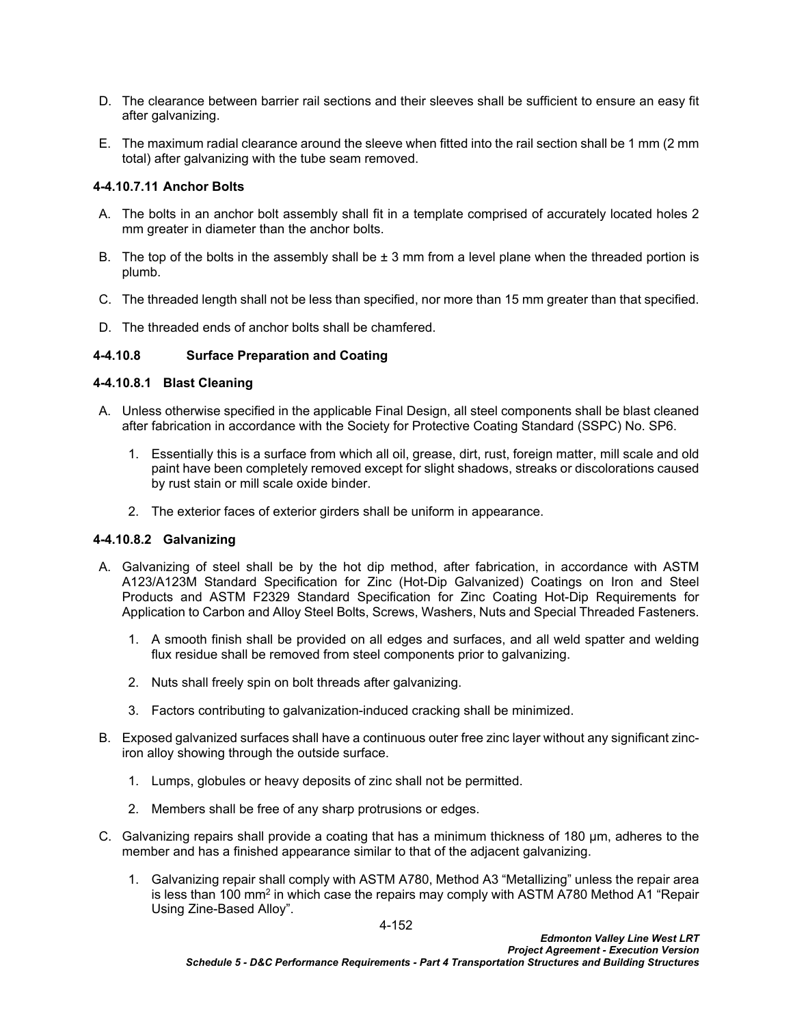- D. The clearance between barrier rail sections and their sleeves shall be sufficient to ensure an easy fit after galvanizing.
- E. The maximum radial clearance around the sleeve when fitted into the rail section shall be 1 mm (2 mm total) after galvanizing with the tube seam removed.

### **4-4.10.7.11 Anchor Bolts**

- A. The bolts in an anchor bolt assembly shall fit in a template comprised of accurately located holes 2 mm greater in diameter than the anchor bolts.
- B. The top of the bolts in the assembly shall be  $\pm 3$  mm from a level plane when the threaded portion is plumb.
- C. The threaded length shall not be less than specified, nor more than 15 mm greater than that specified.
- D. The threaded ends of anchor bolts shall be chamfered.

## **4-4.10.8 Surface Preparation and Coating**

### **4-4.10.8.1 Blast Cleaning**

- A. Unless otherwise specified in the applicable Final Design, all steel components shall be blast cleaned after fabrication in accordance with the Society for Protective Coating Standard (SSPC) No. SP6.
	- 1. Essentially this is a surface from which all oil, grease, dirt, rust, foreign matter, mill scale and old paint have been completely removed except for slight shadows, streaks or discolorations caused by rust stain or mill scale oxide binder.
	- 2. The exterior faces of exterior girders shall be uniform in appearance.

### **4-4.10.8.2 Galvanizing**

- A. Galvanizing of steel shall be by the hot dip method, after fabrication, in accordance with ASTM A123/A123M Standard Specification for Zinc (Hot-Dip Galvanized) Coatings on Iron and Steel Products and ASTM F2329 Standard Specification for Zinc Coating Hot-Dip Requirements for Application to Carbon and Alloy Steel Bolts, Screws, Washers, Nuts and Special Threaded Fasteners.
	- 1. A smooth finish shall be provided on all edges and surfaces, and all weld spatter and welding flux residue shall be removed from steel components prior to galvanizing.
	- 2. Nuts shall freely spin on bolt threads after galvanizing.
	- 3. Factors contributing to galvanization-induced cracking shall be minimized.
- B. Exposed galvanized surfaces shall have a continuous outer free zinc layer without any significant zinciron alloy showing through the outside surface.
	- 1. Lumps, globules or heavy deposits of zinc shall not be permitted.
	- 2. Members shall be free of any sharp protrusions or edges.
- C. Galvanizing repairs shall provide a coating that has a minimum thickness of 180 µm, adheres to the member and has a finished appearance similar to that of the adjacent galvanizing.
	- 1. Galvanizing repair shall comply with ASTM A780, Method A3 "Metallizing" unless the repair area is less than 100 mm $^2$  in which case the repairs may comply with ASTM A780 Method A1 "Repair Using Zine-Based Alloy".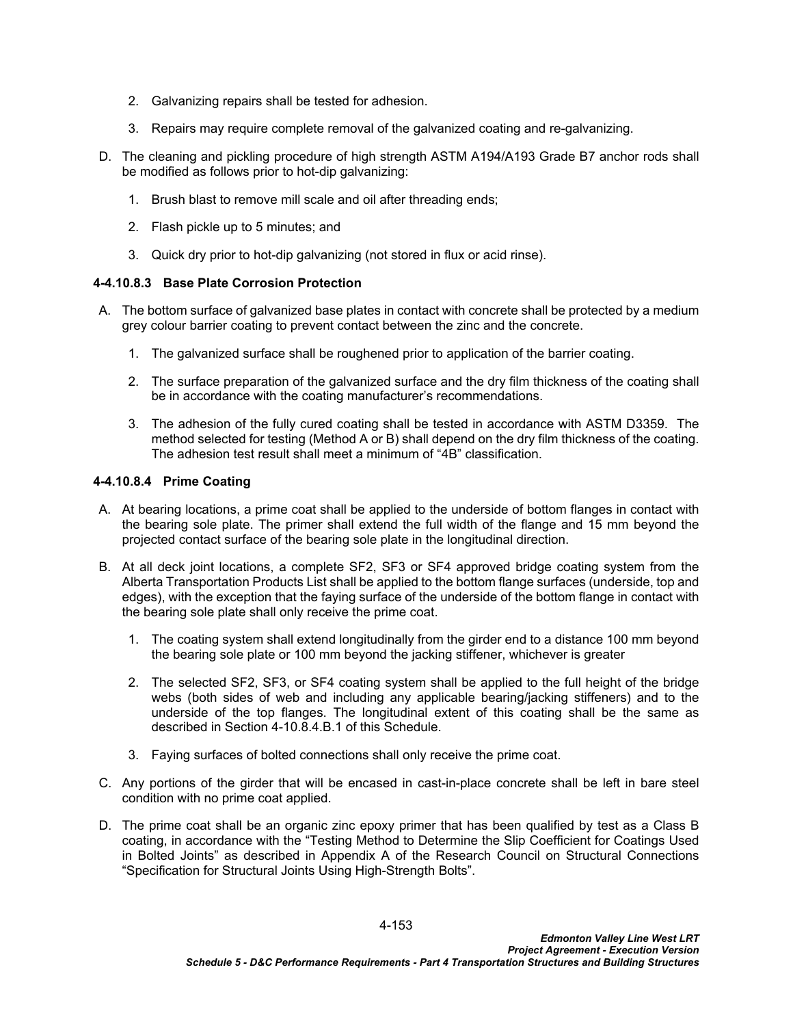- 2. Galvanizing repairs shall be tested for adhesion.
- 3. Repairs may require complete removal of the galvanized coating and re-galvanizing.
- D. The cleaning and pickling procedure of high strength ASTM A194/A193 Grade B7 anchor rods shall be modified as follows prior to hot-dip galvanizing:
	- 1. Brush blast to remove mill scale and oil after threading ends;
	- 2. Flash pickle up to 5 minutes; and
	- 3. Quick dry prior to hot-dip galvanizing (not stored in flux or acid rinse).

## <span id="page-156-0"></span>**4-4.10.8.3 Base Plate Corrosion Protection**

- A. The bottom surface of galvanized base plates in contact with concrete shall be protected by a medium grey colour barrier coating to prevent contact between the zinc and the concrete.
	- 1. The galvanized surface shall be roughened prior to application of the barrier coating.
	- 2. The surface preparation of the galvanized surface and the dry film thickness of the coating shall be in accordance with the coating manufacturer's recommendations.
	- 3. The adhesion of the fully cured coating shall be tested in accordance with ASTM D3359. The method selected for testing (Method A or B) shall depend on the dry film thickness of the coating. The adhesion test result shall meet a minimum of "4B" classification.

## **4-4.10.8.4 Prime Coating**

- A. At bearing locations, a prime coat shall be applied to the underside of bottom flanges in contact with the bearing sole plate. The primer shall extend the full width of the flange and 15 mm beyond the projected contact surface of the bearing sole plate in the longitudinal direction.
- B. At all deck joint locations, a complete SF2, SF3 or SF4 approved bridge coating system from the Alberta Transportation Products List shall be applied to the bottom flange surfaces (underside, top and edges), with the exception that the faying surface of the underside of the bottom flange in contact with the bearing sole plate shall only receive the prime coat.
	- 1. The coating system shall extend longitudinally from the girder end to a distance 100 mm beyond the bearing sole plate or 100 mm beyond the jacking stiffener, whichever is greater
	- 2. The selected SF2, SF3, or SF4 coating system shall be applied to the full height of the bridge webs (both sides of web and including any applicable bearing/jacking stiffeners) and to the underside of the top flanges. The longitudinal extent of this coating shall be the same as described in Section 4-10.8.4.B.1 of this Schedule.
	- 3. Faying surfaces of bolted connections shall only receive the prime coat.
- C. Any portions of the girder that will be encased in cast-in-place concrete shall be left in bare steel condition with no prime coat applied.
- D. The prime coat shall be an organic zinc epoxy primer that has been qualified by test as a Class B coating, in accordance with the "Testing Method to Determine the Slip Coefficient for Coatings Used in Bolted Joints" as described in Appendix A of the Research Council on Structural Connections "Specification for Structural Joints Using High-Strength Bolts".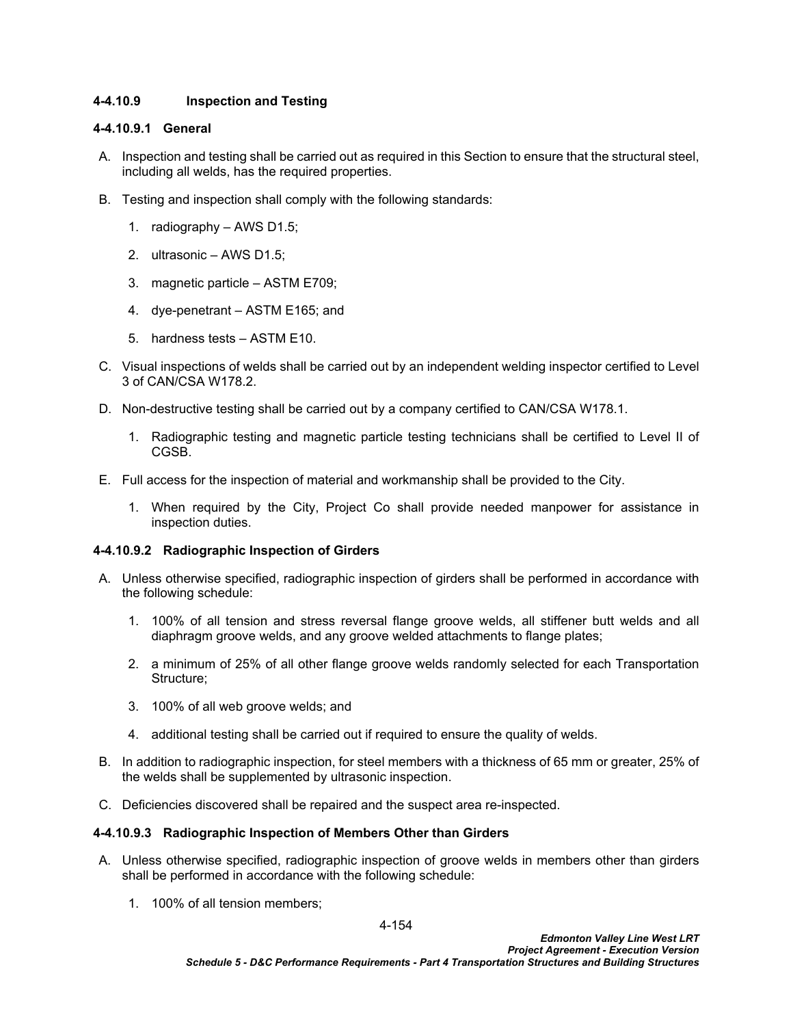# **4-4.10.9 Inspection and Testing**

### **4-4.10.9.1 General**

- A. Inspection and testing shall be carried out as required in this Section to ensure that the structural steel, including all welds, has the required properties.
- B. Testing and inspection shall comply with the following standards:
	- 1. radiography AWS D1.5;
	- 2. ultrasonic AWS D1.5;
	- 3. magnetic particle ASTM E709;
	- 4. dye-penetrant ASTM E165; and
	- 5. hardness tests ASTM E10.
- C. Visual inspections of welds shall be carried out by an independent welding inspector certified to Level 3 of CAN/CSA W178.2.
- D. Non-destructive testing shall be carried out by a company certified to CAN/CSA W178.1.
	- 1. Radiographic testing and magnetic particle testing technicians shall be certified to Level II of CGSB.
- E. Full access for the inspection of material and workmanship shall be provided to the City.
	- 1. When required by the City, Project Co shall provide needed manpower for assistance in inspection duties.

### **4-4.10.9.2 Radiographic Inspection of Girders**

- A. Unless otherwise specified, radiographic inspection of girders shall be performed in accordance with the following schedule:
	- 1. 100% of all tension and stress reversal flange groove welds, all stiffener butt welds and all diaphragm groove welds, and any groove welded attachments to flange plates;
	- 2. a minimum of 25% of all other flange groove welds randomly selected for each Transportation Structure;
	- 3. 100% of all web groove welds; and
	- 4. additional testing shall be carried out if required to ensure the quality of welds.
- B. In addition to radiographic inspection, for steel members with a thickness of 65 mm or greater, 25% of the welds shall be supplemented by ultrasonic inspection.
- C. Deficiencies discovered shall be repaired and the suspect area re-inspected.

## **4-4.10.9.3 Radiographic Inspection of Members Other than Girders**

- A. Unless otherwise specified, radiographic inspection of groove welds in members other than girders shall be performed in accordance with the following schedule:
	- 1. 100% of all tension members;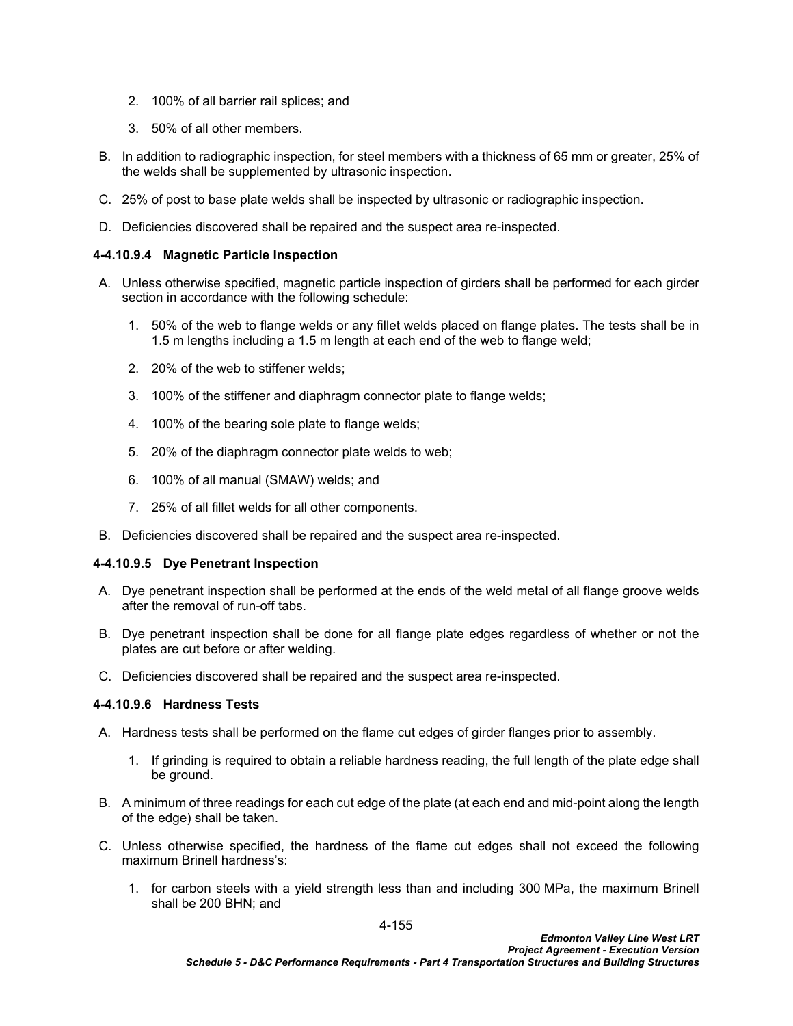- 2. 100% of all barrier rail splices; and
- 3. 50% of all other members.
- B. In addition to radiographic inspection, for steel members with a thickness of 65 mm or greater, 25% of the welds shall be supplemented by ultrasonic inspection.
- C. 25% of post to base plate welds shall be inspected by ultrasonic or radiographic inspection.
- D. Deficiencies discovered shall be repaired and the suspect area re-inspected.

## **4-4.10.9.4 Magnetic Particle Inspection**

- A. Unless otherwise specified, magnetic particle inspection of girders shall be performed for each girder section in accordance with the following schedule:
	- 1. 50% of the web to flange welds or any fillet welds placed on flange plates. The tests shall be in 1.5 m lengths including a 1.5 m length at each end of the web to flange weld;
	- 2. 20% of the web to stiffener welds;
	- 3. 100% of the stiffener and diaphragm connector plate to flange welds;
	- 4. 100% of the bearing sole plate to flange welds;
	- 5. 20% of the diaphragm connector plate welds to web;
	- 6. 100% of all manual (SMAW) welds; and
	- 7. 25% of all fillet welds for all other components.
- B. Deficiencies discovered shall be repaired and the suspect area re-inspected.

# **4-4.10.9.5 Dye Penetrant Inspection**

- A. Dye penetrant inspection shall be performed at the ends of the weld metal of all flange groove welds after the removal of run-off tabs.
- B. Dye penetrant inspection shall be done for all flange plate edges regardless of whether or not the plates are cut before or after welding.
- C. Deficiencies discovered shall be repaired and the suspect area re-inspected.

### <span id="page-158-0"></span>**4-4.10.9.6 Hardness Tests**

- A. Hardness tests shall be performed on the flame cut edges of girder flanges prior to assembly.
	- 1. If grinding is required to obtain a reliable hardness reading, the full length of the plate edge shall be ground.
- B. A minimum of three readings for each cut edge of the plate (at each end and mid-point along the length of the edge) shall be taken.
- C. Unless otherwise specified, the hardness of the flame cut edges shall not exceed the following maximum Brinell hardness's:
	- 1. for carbon steels with a yield strength less than and including 300 MPa, the maximum Brinell shall be 200 BHN; and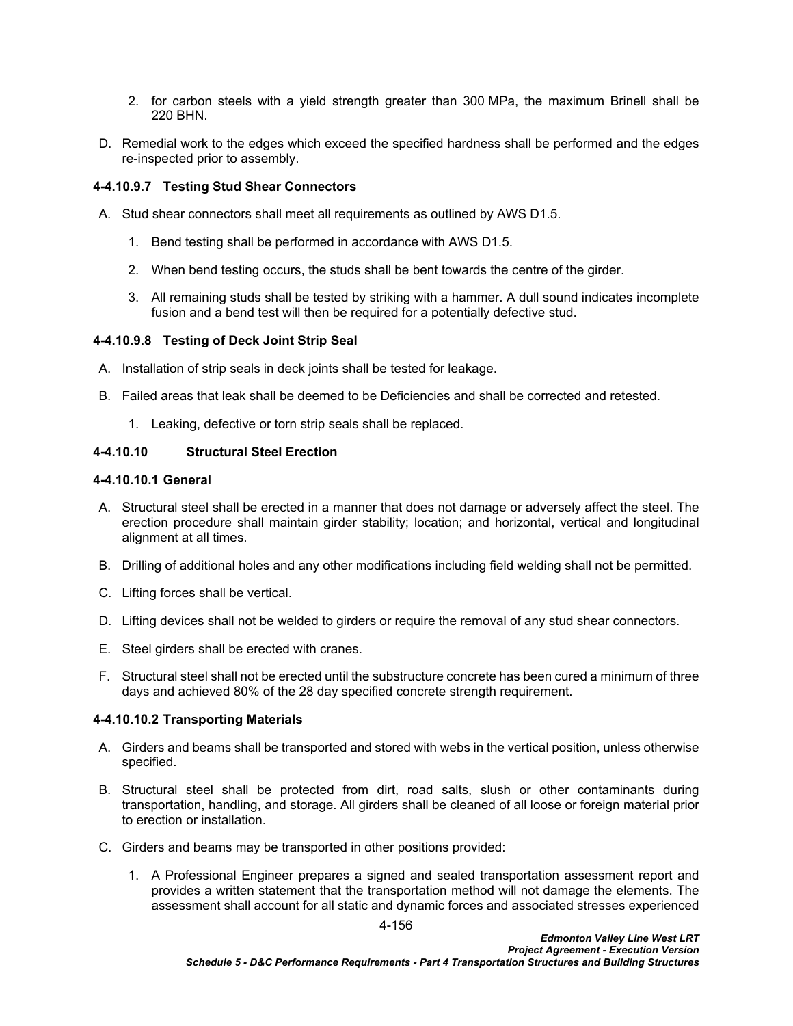- 2. for carbon steels with a yield strength greater than 300 MPa, the maximum Brinell shall be 220 BHN.
- D. Remedial work to the edges which exceed the specified hardness shall be performed and the edges re-inspected prior to assembly.

### **4-4.10.9.7 Testing Stud Shear Connectors**

- A. Stud shear connectors shall meet all requirements as outlined by AWS D1.5.
	- 1. Bend testing shall be performed in accordance with AWS D1.5.
	- 2. When bend testing occurs, the studs shall be bent towards the centre of the girder.
	- 3. All remaining studs shall be tested by striking with a hammer. A dull sound indicates incomplete fusion and a bend test will then be required for a potentially defective stud.

#### **4-4.10.9.8 Testing of Deck Joint Strip Seal**

- A. Installation of strip seals in deck joints shall be tested for leakage.
- B. Failed areas that leak shall be deemed to be Deficiencies and shall be corrected and retested.
	- 1. Leaking, defective or torn strip seals shall be replaced.

### **4-4.10.10 Structural Steel Erection**

#### **4-4.10.10.1 General**

- A. Structural steel shall be erected in a manner that does not damage or adversely affect the steel. The erection procedure shall maintain girder stability; location; and horizontal, vertical and longitudinal alignment at all times.
- B. Drilling of additional holes and any other modifications including field welding shall not be permitted.
- C. Lifting forces shall be vertical.
- D. Lifting devices shall not be welded to girders or require the removal of any stud shear connectors.
- E. Steel girders shall be erected with cranes.
- F. Structural steel shall not be erected until the substructure concrete has been cured a minimum of three days and achieved 80% of the 28 day specified concrete strength requirement.

### **4-4.10.10.2 Transporting Materials**

- A. Girders and beams shall be transported and stored with webs in the vertical position, unless otherwise specified.
- B. Structural steel shall be protected from dirt, road salts, slush or other contaminants during transportation, handling, and storage. All girders shall be cleaned of all loose or foreign material prior to erection or installation.
- C. Girders and beams may be transported in other positions provided:
	- 1. A Professional Engineer prepares a signed and sealed transportation assessment report and provides a written statement that the transportation method will not damage the elements. The assessment shall account for all static and dynamic forces and associated stresses experienced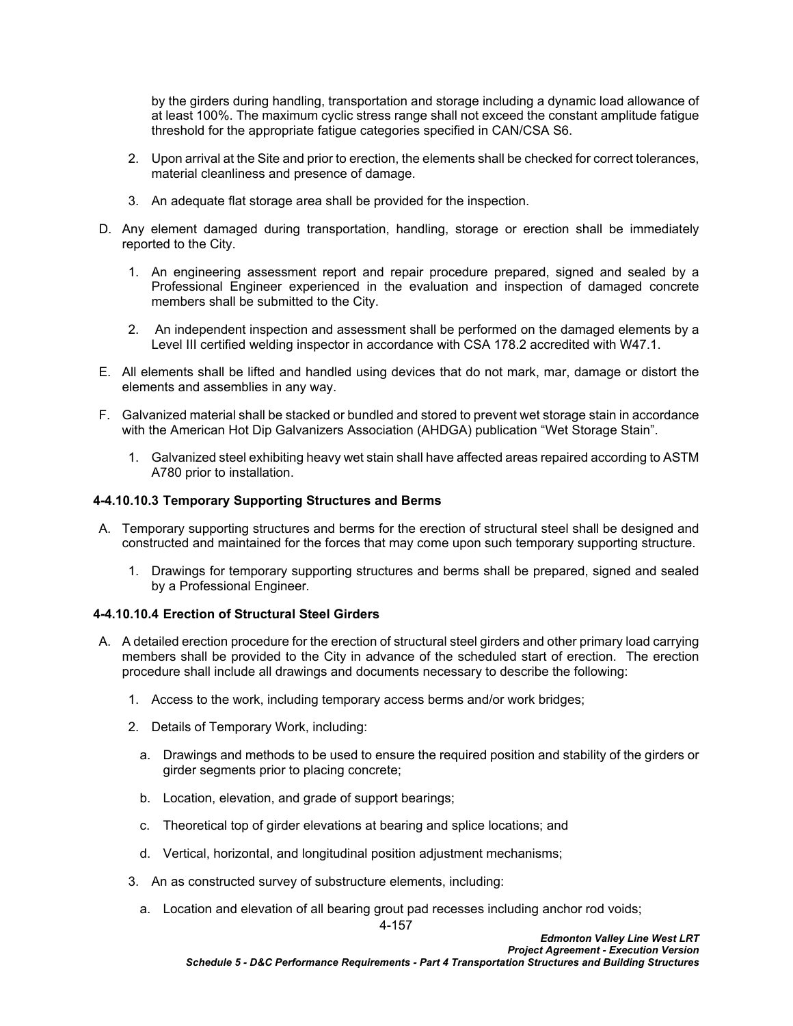by the girders during handling, transportation and storage including a dynamic load allowance of at least 100%. The maximum cyclic stress range shall not exceed the constant amplitude fatigue threshold for the appropriate fatigue categories specified in CAN/CSA S6.

- 2. Upon arrival at the Site and prior to erection, the elements shall be checked for correct tolerances, material cleanliness and presence of damage.
- 3. An adequate flat storage area shall be provided for the inspection.
- D. Any element damaged during transportation, handling, storage or erection shall be immediately reported to the City.
	- 1. An engineering assessment report and repair procedure prepared, signed and sealed by a Professional Engineer experienced in the evaluation and inspection of damaged concrete members shall be submitted to the City.
	- 2. An independent inspection and assessment shall be performed on the damaged elements by a Level III certified welding inspector in accordance with CSA 178.2 accredited with W47.1.
- E. All elements shall be lifted and handled using devices that do not mark, mar, damage or distort the elements and assemblies in any way.
- F. Galvanized material shall be stacked or bundled and stored to prevent wet storage stain in accordance with the American Hot Dip Galvanizers Association (AHDGA) publication "Wet Storage Stain".
	- 1. Galvanized steel exhibiting heavy wet stain shall have affected areas repaired according to ASTM A780 prior to installation.

## **4-4.10.10.3 Temporary Supporting Structures and Berms**

- A. Temporary supporting structures and berms for the erection of structural steel shall be designed and constructed and maintained for the forces that may come upon such temporary supporting structure.
	- 1. Drawings for temporary supporting structures and berms shall be prepared, signed and sealed by a Professional Engineer*.*

## **4-4.10.10.4 Erection of Structural Steel Girders**

- A. A detailed erection procedure for the erection of structural steel girders and other primary load carrying members shall be provided to the City in advance of the scheduled start of erection. The erection procedure shall include all drawings and documents necessary to describe the following:
	- 1. Access to the work, including temporary access berms and/or work bridges;
	- 2. Details of Temporary Work, including:
		- a. Drawings and methods to be used to ensure the required position and stability of the girders or girder segments prior to placing concrete;
		- b. Location, elevation, and grade of support bearings;
		- c. Theoretical top of girder elevations at bearing and splice locations; and
		- d. Vertical, horizontal, and longitudinal position adjustment mechanisms;
	- 3. An as constructed survey of substructure elements, including:
		- a. Location and elevation of all bearing grout pad recesses including anchor rod voids;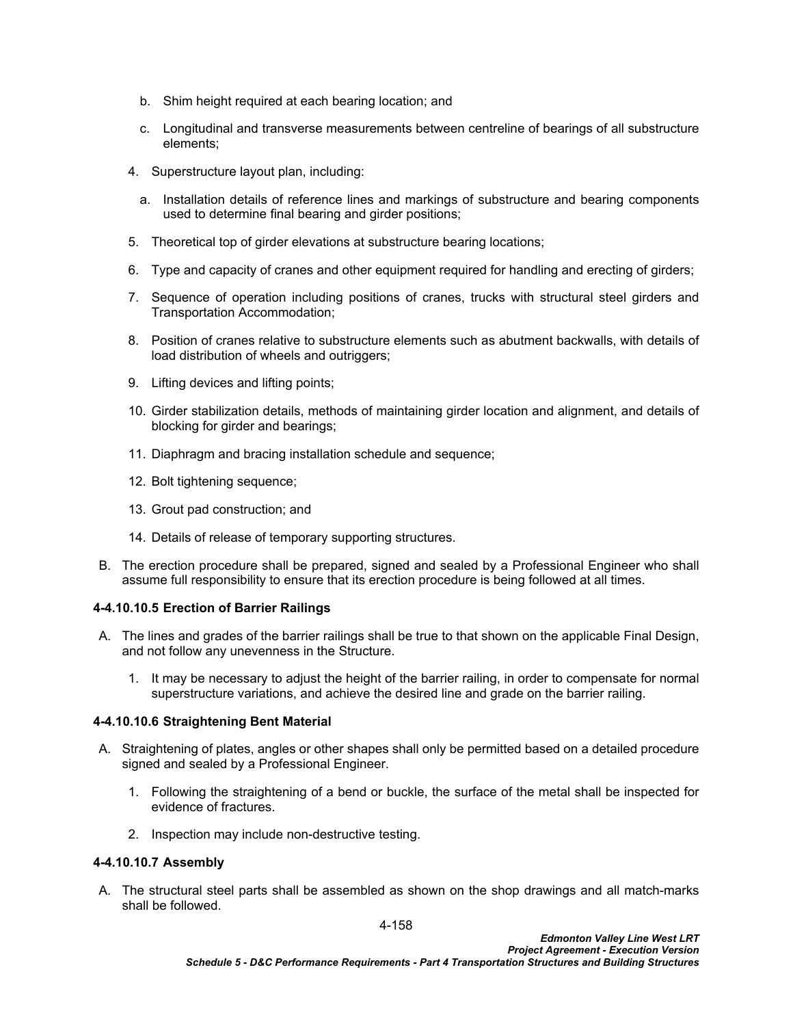- b. Shim height required at each bearing location; and
- c. Longitudinal and transverse measurements between centreline of bearings of all substructure elements;
- 4. Superstructure layout plan, including:
	- a. Installation details of reference lines and markings of substructure and bearing components used to determine final bearing and girder positions;
- 5. Theoretical top of girder elevations at substructure bearing locations;
- 6. Type and capacity of cranes and other equipment required for handling and erecting of girders;
- 7. Sequence of operation including positions of cranes, trucks with structural steel girders and Transportation Accommodation;
- 8. Position of cranes relative to substructure elements such as abutment backwalls, with details of load distribution of wheels and outriggers;
- 9. Lifting devices and lifting points;
- 10. Girder stabilization details, methods of maintaining girder location and alignment, and details of blocking for girder and bearings;
- 11. Diaphragm and bracing installation schedule and sequence;
- 12. Bolt tightening sequence;
- 13. Grout pad construction; and
- 14. Details of release of temporary supporting structures.
- B. The erection procedure shall be prepared, signed and sealed by a Professional Engineer who shall assume full responsibility to ensure that its erection procedure is being followed at all times.

# **4-4.10.10.5 Erection of Barrier Railings**

- A. The lines and grades of the barrier railings shall be true to that shown on the applicable Final Design, and not follow any unevenness in the Structure.
	- 1. It may be necessary to adjust the height of the barrier railing, in order to compensate for normal superstructure variations, and achieve the desired line and grade on the barrier railing.

### **4-4.10.10.6 Straightening Bent Material**

- A. Straightening of plates, angles or other shapes shall only be permitted based on a detailed procedure signed and sealed by a Professional Engineer.
	- 1. Following the straightening of a bend or buckle, the surface of the metal shall be inspected for evidence of fractures.
	- 2. Inspection may include non-destructive testing.

### **4-4.10.10.7 Assembly**

A. The structural steel parts shall be assembled as shown on the shop drawings and all match-marks shall be followed.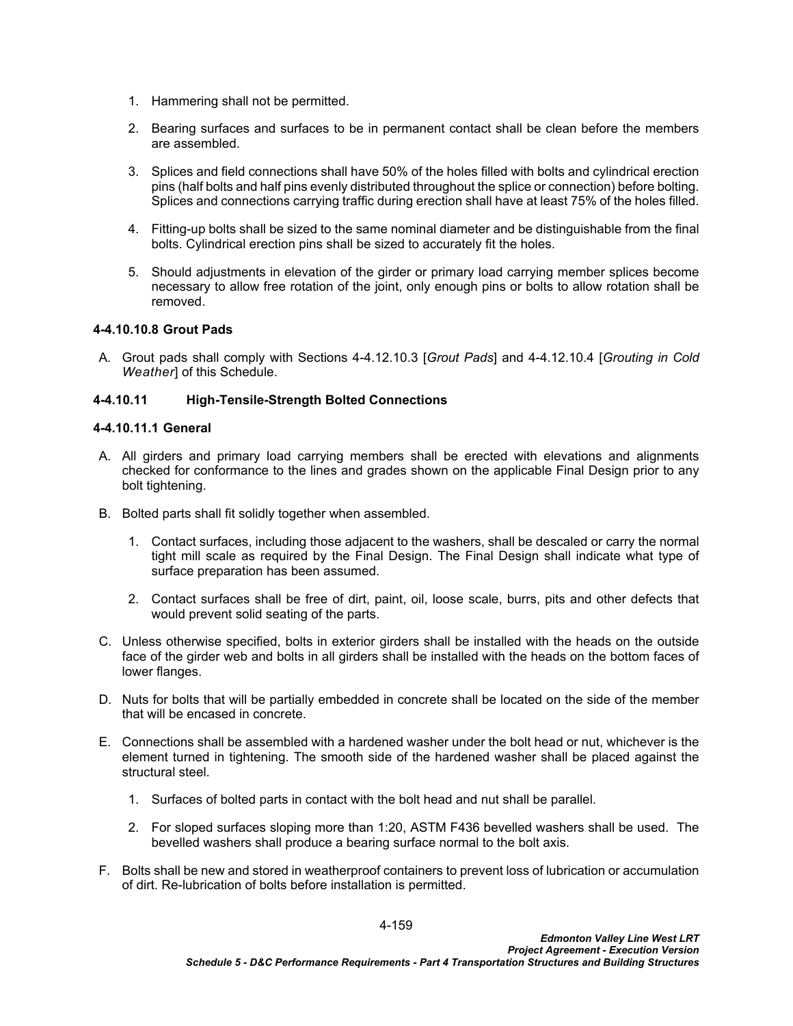- 1. Hammering shall not be permitted.
- 2. Bearing surfaces and surfaces to be in permanent contact shall be clean before the members are assembled.
- 3. Splices and field connections shall have 50% of the holes filled with bolts and cylindrical erection pins (half bolts and half pins evenly distributed throughout the splice or connection) before bolting. Splices and connections carrying traffic during erection shall have at least 75% of the holes filled.
- 4. Fitting-up bolts shall be sized to the same nominal diameter and be distinguishable from the final bolts. Cylindrical erection pins shall be sized to accurately fit the holes.
- 5. Should adjustments in elevation of the girder or primary load carrying member splices become necessary to allow free rotation of the joint, only enough pins or bolts to allow rotation shall be removed.

# **4-4.10.10.8 Grout Pads**

A. Grout pads shall comply with Sections [4-4.12.10.3](#page-181-0) [*[Grout Pads](#page-181-0)*] and [4-4.12.10.4](#page-181-1) [*[Grouting in Cold](#page-181-1)  [Weather](#page-181-1)*] of this Schedule.

# **4-4.10.11 High-Tensile-Strength Bolted Connections**

### **4-4.10.11.1 General**

- A. All girders and primary load carrying members shall be erected with elevations and alignments checked for conformance to the lines and grades shown on the applicable Final Design prior to any bolt tightening.
- B. Bolted parts shall fit solidly together when assembled.
	- 1. Contact surfaces, including those adjacent to the washers, shall be descaled or carry the normal tight mill scale as required by the Final Design. The Final Design shall indicate what type of surface preparation has been assumed.
	- 2. Contact surfaces shall be free of dirt, paint, oil, loose scale, burrs, pits and other defects that would prevent solid seating of the parts.
- C. Unless otherwise specified, bolts in exterior girders shall be installed with the heads on the outside face of the girder web and bolts in all girders shall be installed with the heads on the bottom faces of lower flanges.
- D. Nuts for bolts that will be partially embedded in concrete shall be located on the side of the member that will be encased in concrete.
- E. Connections shall be assembled with a hardened washer under the bolt head or nut, whichever is the element turned in tightening. The smooth side of the hardened washer shall be placed against the structural steel.
	- 1. Surfaces of bolted parts in contact with the bolt head and nut shall be parallel.
	- 2. For sloped surfaces sloping more than 1:20, ASTM F436 bevelled washers shall be used. The bevelled washers shall produce a bearing surface normal to the bolt axis.
- F. Bolts shall be new and stored in weatherproof containers to prevent loss of lubrication or accumulation of dirt. Re-lubrication of bolts before installation is permitted.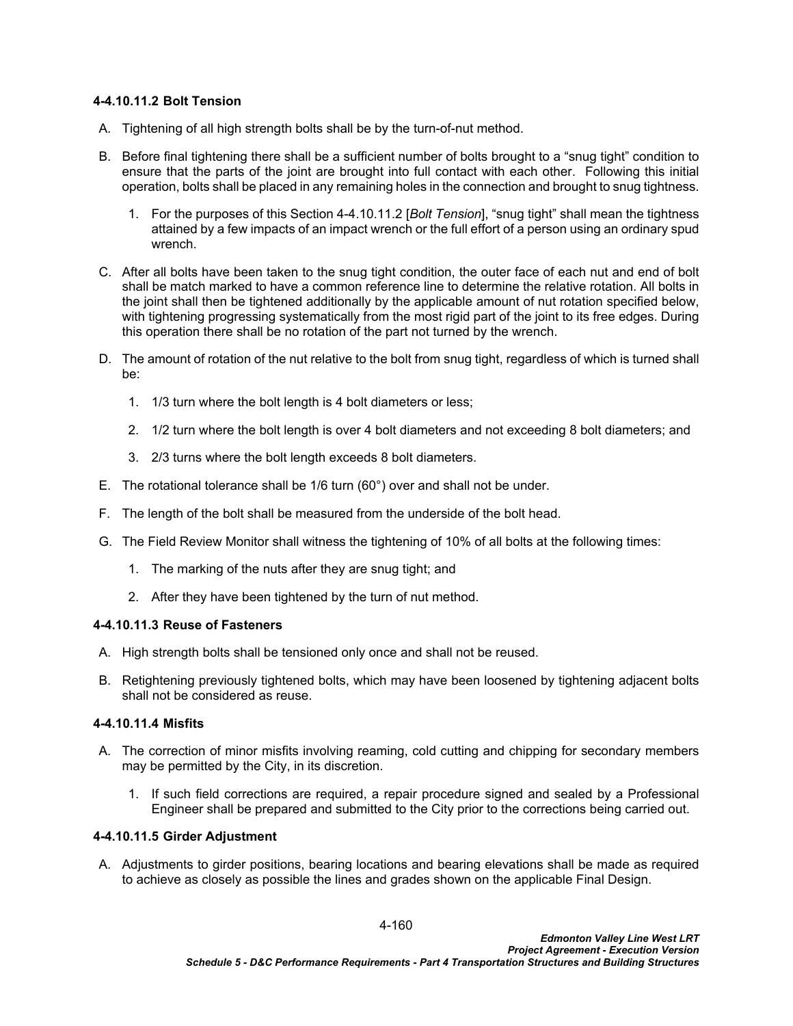## <span id="page-163-0"></span>**4-4.10.11.2 Bolt Tension**

- A. Tightening of all high strength bolts shall be by the turn-of-nut method.
- B. Before final tightening there shall be a sufficient number of bolts brought to a "snug tight" condition to ensure that the parts of the joint are brought into full contact with each other. Following this initial operation, bolts shall be placed in any remaining holes in the connection and brought to snug tightness.
	- 1. For the purposes of this Section [4-4.10.11.2](#page-163-0) [*Bolt Tension*], "snug tight" shall mean the tightness attained by a few impacts of an impact wrench or the full effort of a person using an ordinary spud wrench.
- C. After all bolts have been taken to the snug tight condition, the outer face of each nut and end of bolt shall be match marked to have a common reference line to determine the relative rotation. All bolts in the joint shall then be tightened additionally by the applicable amount of nut rotation specified below, with tightening progressing systematically from the most rigid part of the joint to its free edges. During this operation there shall be no rotation of the part not turned by the wrench.
- D. The amount of rotation of the nut relative to the bolt from snug tight, regardless of which is turned shall be:
	- 1. 1/3 turn where the bolt length is 4 bolt diameters or less;
	- 2. 1/2 turn where the bolt length is over 4 bolt diameters and not exceeding 8 bolt diameters; and
	- 3. 2/3 turns where the bolt length exceeds 8 bolt diameters.
- E. The rotational tolerance shall be 1/6 turn (60°) over and shall not be under.
- F. The length of the bolt shall be measured from the underside of the bolt head.
- G. The Field Review Monitor shall witness the tightening of 10% of all bolts at the following times:
	- 1. The marking of the nuts after they are snug tight; and
	- 2. After they have been tightened by the turn of nut method.

### **4-4.10.11.3 Reuse of Fasteners**

- A. High strength bolts shall be tensioned only once and shall not be reused.
- B. Retightening previously tightened bolts, which may have been loosened by tightening adjacent bolts shall not be considered as reuse.

## **4-4.10.11.4 Misfits**

- A. The correction of minor misfits involving reaming, cold cutting and chipping for secondary members may be permitted by the City, in its discretion.
	- 1. If such field corrections are required, a repair procedure signed and sealed by a Professional Engineer shall be prepared and submitted to the City prior to the corrections being carried out.

### **4-4.10.11.5 Girder Adjustment**

A. Adjustments to girder positions, bearing locations and bearing elevations shall be made as required to achieve as closely as possible the lines and grades shown on the applicable Final Design.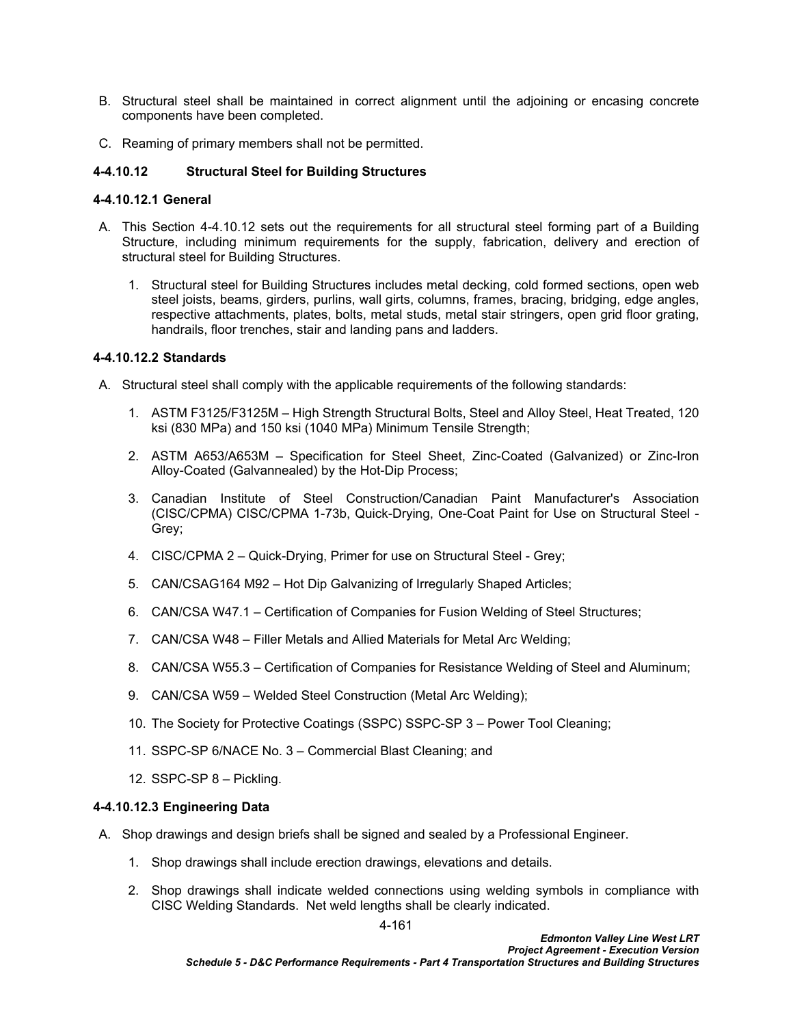- B. Structural steel shall be maintained in correct alignment until the adjoining or encasing concrete components have been completed.
- C. Reaming of primary members shall not be permitted.

### <span id="page-164-0"></span>**4-4.10.12 Structural Steel for Building Structures**

## **4-4.10.12.1 General**

- A. This Section [4-4.10.12](#page-164-0) sets out the requirements for all structural steel forming part of a Building Structure, including minimum requirements for the supply, fabrication, delivery and erection of structural steel for Building Structures.
	- 1. Structural steel for Building Structures includes metal decking, cold formed sections, open web steel joists, beams, girders, purlins, wall girts, columns, frames, bracing, bridging, edge angles, respective attachments, plates, bolts, metal studs, metal stair stringers, open grid floor grating, handrails, floor trenches, stair and landing pans and ladders.

## **4-4.10.12.2 Standards**

- A. Structural steel shall comply with the applicable requirements of the following standards:
	- 1. ASTM F3125/F3125M High Strength Structural Bolts, Steel and Alloy Steel, Heat Treated, 120 ksi (830 MPa) and 150 ksi (1040 MPa) Minimum Tensile Strength;
	- 2. ASTM A653/A653M Specification for Steel Sheet, Zinc-Coated (Galvanized) or Zinc-Iron Alloy-Coated (Galvannealed) by the Hot-Dip Process;
	- 3. Canadian Institute of Steel Construction/Canadian Paint Manufacturer's Association (CISC/CPMA) CISC/CPMA 1-73b, Quick-Drying, One-Coat Paint for Use on Structural Steel - Grey;
	- 4. CISC/CPMA 2 Quick-Drying, Primer for use on Structural Steel Grey;
	- 5. CAN/CSAG164 M92 Hot Dip Galvanizing of Irregularly Shaped Articles;
	- 6. CAN/CSA W47.1 Certification of Companies for Fusion Welding of Steel Structures;
	- 7. CAN/CSA W48 Filler Metals and Allied Materials for Metal Arc Welding;
	- 8. CAN/CSA W55.3 Certification of Companies for Resistance Welding of Steel and Aluminum;
	- 9. CAN/CSA W59 Welded Steel Construction (Metal Arc Welding);
	- 10. The Society for Protective Coatings (SSPC) SSPC-SP 3 Power Tool Cleaning;
	- 11. SSPC-SP 6/NACE No. 3 Commercial Blast Cleaning; and
	- 12. SSPC-SP 8 Pickling.

# **4-4.10.12.3 Engineering Data**

- A. Shop drawings and design briefs shall be signed and sealed by a Professional Engineer.
	- 1. Shop drawings shall include erection drawings, elevations and details.
	- 2. Shop drawings shall indicate welded connections using welding symbols in compliance with CISC Welding Standards. Net weld lengths shall be clearly indicated.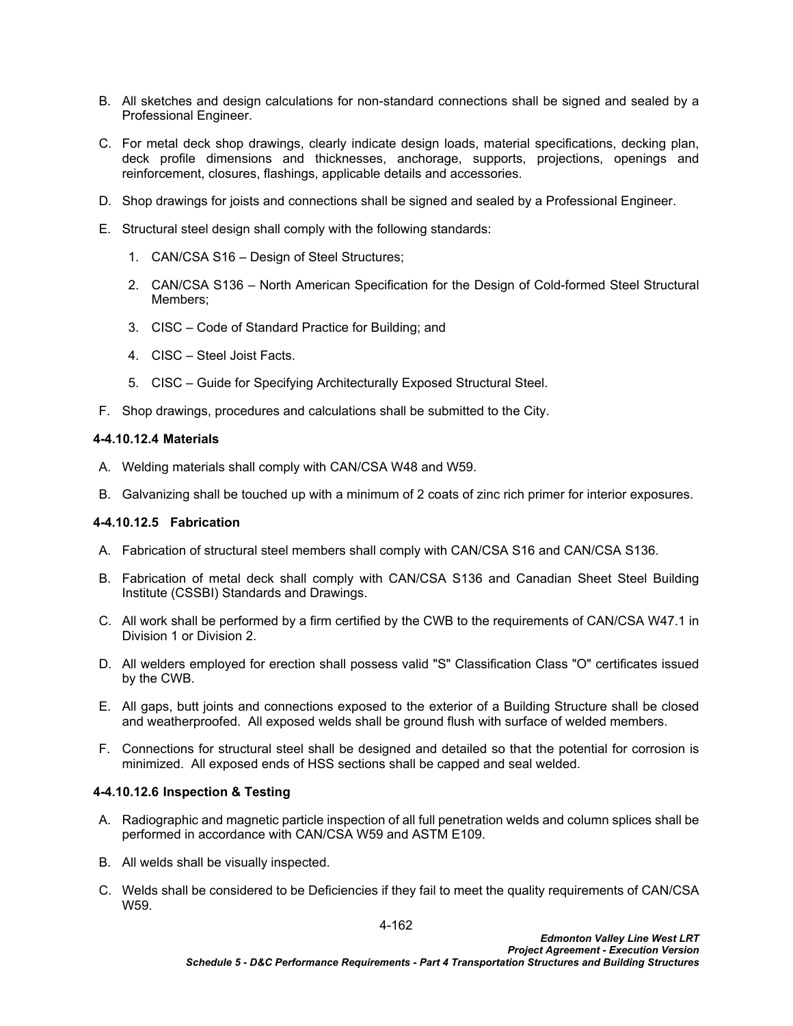- B. All sketches and design calculations for non-standard connections shall be signed and sealed by a Professional Engineer.
- C. For metal deck shop drawings, clearly indicate design loads, material specifications, decking plan, deck profile dimensions and thicknesses, anchorage, supports, projections, openings and reinforcement, closures, flashings, applicable details and accessories.
- D. Shop drawings for joists and connections shall be signed and sealed by a Professional Engineer.
- E. Structural steel design shall comply with the following standards:
	- 1. CAN/CSA S16 Design of Steel Structures;
	- 2. CAN/CSA S136 North American Specification for the Design of Cold-formed Steel Structural Members;
	- 3. CISC Code of Standard Practice for Building; and
	- 4. CISC Steel Joist Facts.
	- 5. CISC Guide for Specifying Architecturally Exposed Structural Steel.
- F. Shop drawings, procedures and calculations shall be submitted to the City.

### **4-4.10.12.4 Materials**

- A. Welding materials shall comply with CAN/CSA W48 and W59.
- B. Galvanizing shall be touched up with a minimum of 2 coats of zinc rich primer for interior exposures.

## **4-4.10.12.5 Fabrication**

- A. Fabrication of structural steel members shall comply with CAN/CSA S16 and CAN/CSA S136.
- B. Fabrication of metal deck shall comply with CAN/CSA S136 and Canadian Sheet Steel Building Institute (CSSBI) Standards and Drawings.
- C. All work shall be performed by a firm certified by the CWB to the requirements of CAN/CSA W47.1 in Division 1 or Division 2.
- D. All welders employed for erection shall possess valid "S" Classification Class "O" certificates issued by the CWB.
- E. All gaps, butt joints and connections exposed to the exterior of a Building Structure shall be closed and weatherproofed. All exposed welds shall be ground flush with surface of welded members.
- F. Connections for structural steel shall be designed and detailed so that the potential for corrosion is minimized. All exposed ends of HSS sections shall be capped and seal welded.

# **4-4.10.12.6 Inspection & Testing**

- A. Radiographic and magnetic particle inspection of all full penetration welds and column splices shall be performed in accordance with CAN/CSA W59 and ASTM E109.
- B. All welds shall be visually inspected.
- C. Welds shall be considered to be Deficiencies if they fail to meet the quality requirements of CAN/CSA W59.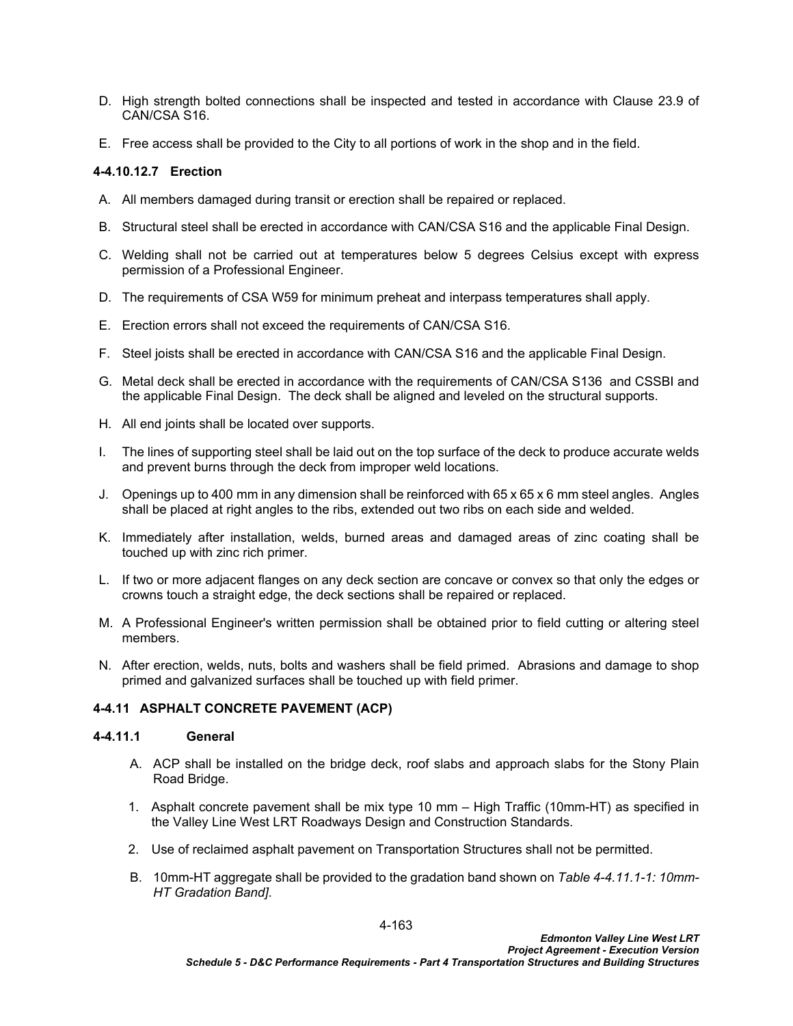- D. High strength bolted connections shall be inspected and tested in accordance with Clause 23.9 of CAN/CSA S16.
- E. Free access shall be provided to the City to all portions of work in the shop and in the field.

### **4-4.10.12.7 Erection**

- A. All members damaged during transit or erection shall be repaired or replaced.
- B. Structural steel shall be erected in accordance with CAN/CSA S16 and the applicable Final Design.
- C. Welding shall not be carried out at temperatures below 5 degrees Celsius except with express permission of a Professional Engineer.
- D. The requirements of CSA W59 for minimum preheat and interpass temperatures shall apply.
- E. Erection errors shall not exceed the requirements of CAN/CSA S16.
- F. Steel joists shall be erected in accordance with CAN/CSA S16 and the applicable Final Design.
- G. Metal deck shall be erected in accordance with the requirements of CAN/CSA S136 and CSSBI and the applicable Final Design. The deck shall be aligned and leveled on the structural supports.
- H. All end joints shall be located over supports.
- I. The lines of supporting steel shall be laid out on the top surface of the deck to produce accurate welds and prevent burns through the deck from improper weld locations.
- J. Openings up to 400 mm in any dimension shall be reinforced with 65 x 65 x 6 mm steel angles. Angles shall be placed at right angles to the ribs, extended out two ribs on each side and welded.
- K. Immediately after installation, welds, burned areas and damaged areas of zinc coating shall be touched up with zinc rich primer.
- L. If two or more adjacent flanges on any deck section are concave or convex so that only the edges or crowns touch a straight edge, the deck sections shall be repaired or replaced.
- M. A Professional Engineer's written permission shall be obtained prior to field cutting or altering steel members.
- N. After erection, welds, nuts, bolts and washers shall be field primed. Abrasions and damage to shop primed and galvanized surfaces shall be touched up with field primer.

### **4-4.11 ASPHALT CONCRETE PAVEMENT (ACP)**

### **4-4.11.1 General**

- A. ACP shall be installed on the bridge deck, roof slabs and approach slabs for the Stony Plain Road Bridge.
- 1. Asphalt concrete pavement shall be mix type 10 mm High Traffic (10mm-HT) as specified in the Valley Line West LRT Roadways Design and Construction Standards.
- 2. Use of reclaimed asphalt pavement on Transportation Structures shall not be permitted.
- B. 10mm-HT aggregate shall be provided to the gradation band shown on *[Table 4-4.11.1-1: 10mm-](#page-167-0)[HT Gradation Band\]](#page-167-0)*.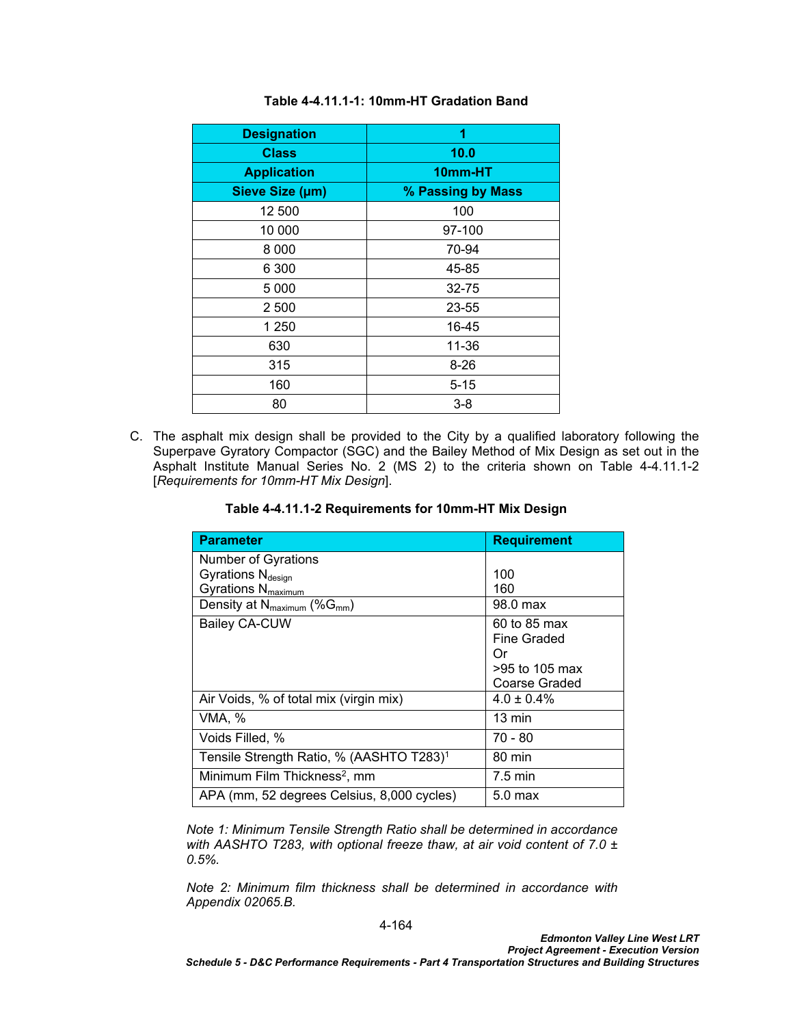| <b>Designation</b> | 1                 |  |
|--------------------|-------------------|--|
| <b>Class</b>       | 10.0              |  |
| <b>Application</b> | 10mm-HT           |  |
| Sieve Size (µm)    | % Passing by Mass |  |
| 12 500             | 100               |  |
| 10 000             | 97-100            |  |
| 8 0 0 0            | 70-94             |  |
| 6 300              | 45-85             |  |
| 5 0 0 0            | 32-75             |  |
| 2 500              | 23-55             |  |
| 1 250              | 16-45             |  |
| 630                | 11-36             |  |
| 315                | $8 - 26$          |  |
| 160                | $5 - 15$          |  |
| 80                 | $3 - 8$           |  |

## <span id="page-167-0"></span>**Table 4-4.11.1-1: 10mm-HT Gradation Band**

C. The asphalt mix design shall be provided to the City by a qualified laboratory following the Superpave Gyratory Compactor (SGC) and the Bailey Method of Mix Design as set out in the Asphalt Institute Manual Series No. 2 (MS 2) to the criteria shown on [Table 4-4.11.1-2](#page-167-1)  [*[Requirements for 10mm-HT Mix Design](#page-167-2)*].

<span id="page-167-2"></span><span id="page-167-1"></span>

|  | Table 4-4.11.1-2 Requirements for 10mm-HT Mix Design |  |  |
|--|------------------------------------------------------|--|--|
|--|------------------------------------------------------|--|--|

| <b>Parameter</b>                                     | <b>Requirement</b> |
|------------------------------------------------------|--------------------|
| Number of Gyrations                                  |                    |
| Gyrations N <sub>design</sub>                        | 100                |
| Gyrations N <sub>maximum</sub>                       | 160                |
| Density at N <sub>maximum</sub> (%G <sub>mm</sub> )  | 98.0 max           |
| <b>Bailey CA-CUW</b>                                 | 60 to 85 max       |
|                                                      | Fine Graded        |
|                                                      | 0r                 |
|                                                      | >95 to 105 max     |
|                                                      | Coarse Graded      |
| Air Voids, % of total mix (virgin mix)               | $4.0 \pm 0.4\%$    |
| VMA, %                                               | $13 \text{ min}$   |
| Voids Filled, %                                      | $70 - 80$          |
| Tensile Strength Ratio, % (AASHTO T283) <sup>1</sup> | 80 min             |
| Minimum Film Thickness <sup>2</sup> , mm             | $7.5 \text{ min}$  |
| APA (mm, 52 degrees Celsius, 8,000 cycles)           | 5.0 <sub>max</sub> |

*Note 1: Minimum Tensile Strength Ratio shall be determined in accordance with AASHTO T283, with optional freeze thaw, at air void content of 7.0 ± 0.5%.*

*Note 2: Minimum film thickness shall be determined in accordance with Appendix 02065.B.*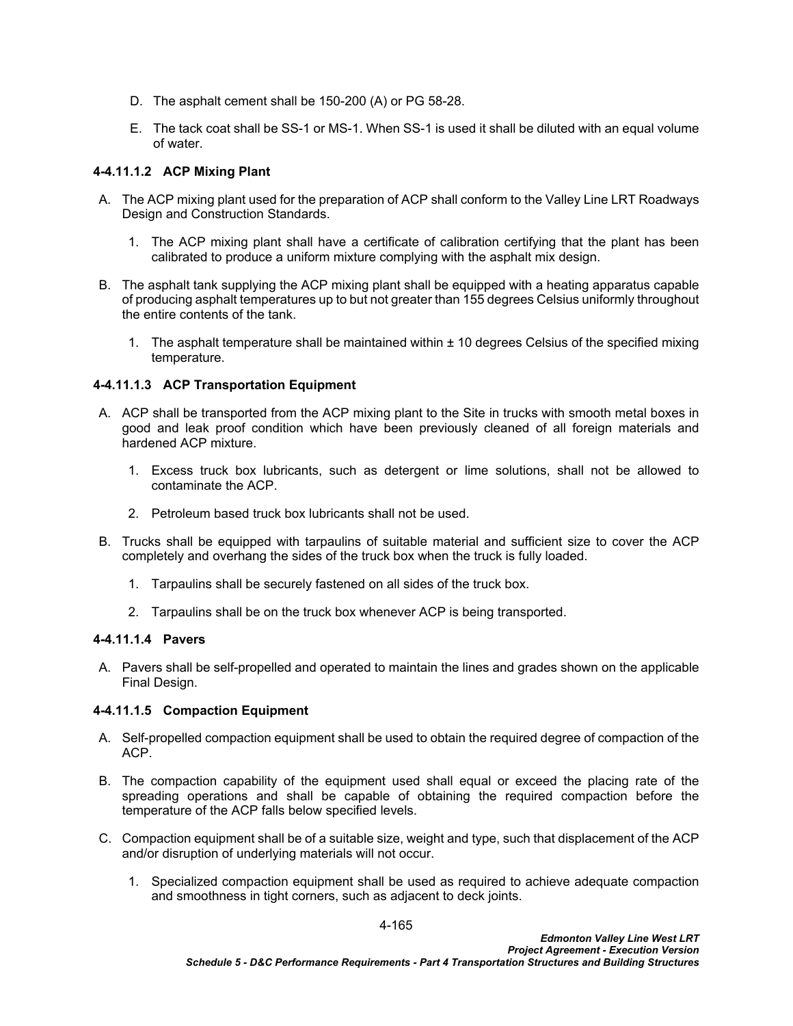- D. The asphalt cement shall be 150-200 (A) or PG 58-28.
- E. The tack coat shall be SS-1 or MS-1. When SS-1 is used it shall be diluted with an equal volume of water.

## **4-4.11.1.2 ACP Mixing Plant**

- A. The ACP mixing plant used for the preparation of ACP shall conform to the Valley Line LRT Roadways Design and Construction Standards.
	- 1. The ACP mixing plant shall have a certificate of calibration certifying that the plant has been calibrated to produce a uniform mixture complying with the asphalt mix design.
- B. The asphalt tank supplying the ACP mixing plant shall be equipped with a heating apparatus capable of producing asphalt temperatures up to but not greater than 155 degrees Celsius uniformly throughout the entire contents of the tank.
	- 1. The asphalt temperature shall be maintained within ± 10 degrees Celsius of the specified mixing temperature.

## **4-4.11.1.3 ACP Transportation Equipment**

- A. ACP shall be transported from the ACP mixing plant to the Site in trucks with smooth metal boxes in good and leak proof condition which have been previously cleaned of all foreign materials and hardened ACP mixture.
	- 1. Excess truck box lubricants, such as detergent or lime solutions, shall not be allowed to contaminate the ACP.
	- 2. Petroleum based truck box lubricants shall not be used.
- B. Trucks shall be equipped with tarpaulins of suitable material and sufficient size to cover the ACP completely and overhang the sides of the truck box when the truck is fully loaded.
	- 1. Tarpaulins shall be securely fastened on all sides of the truck box.
	- 2. Tarpaulins shall be on the truck box whenever ACP is being transported.

### **4-4.11.1.4 Pavers**

A. Pavers shall be self-propelled and operated to maintain the lines and grades shown on the applicable Final Design.

### **4-4.11.1.5 Compaction Equipment**

- A. Self-propelled compaction equipment shall be used to obtain the required degree of compaction of the ACP.
- B. The compaction capability of the equipment used shall equal or exceed the placing rate of the spreading operations and shall be capable of obtaining the required compaction before the temperature of the ACP falls below specified levels.
- C. Compaction equipment shall be of a suitable size, weight and type, such that displacement of the ACP and/or disruption of underlying materials will not occur.
	- 1. Specialized compaction equipment shall be used as required to achieve adequate compaction and smoothness in tight corners, such as adjacent to deck joints.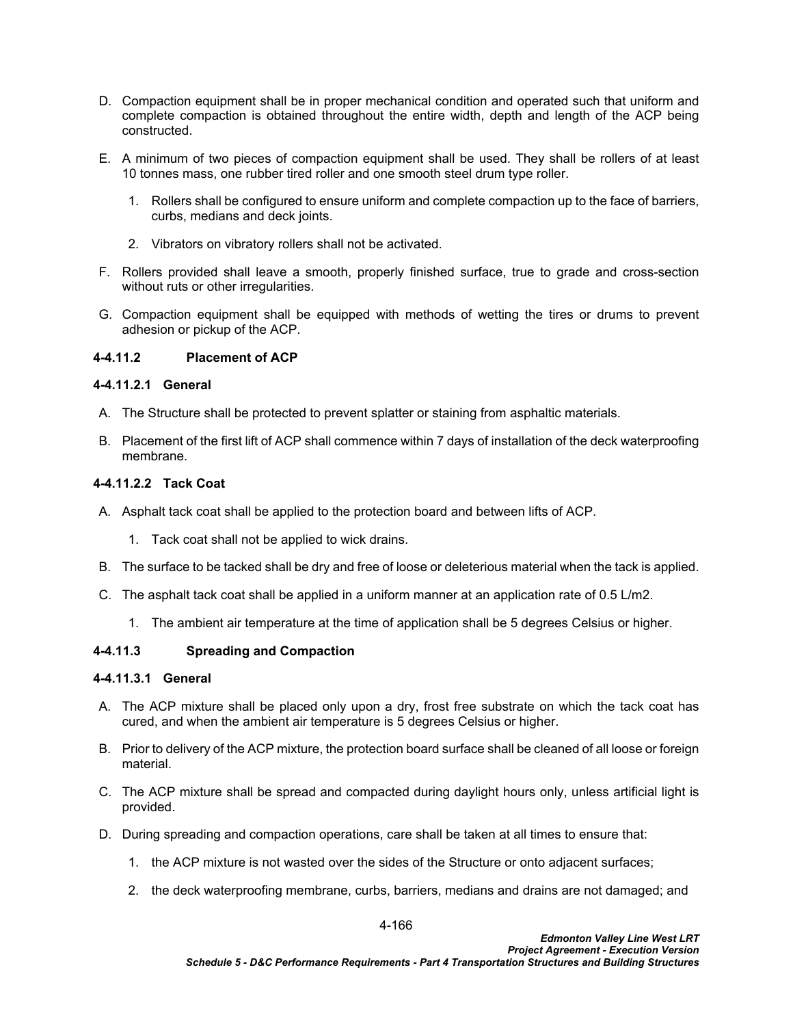- D. Compaction equipment shall be in proper mechanical condition and operated such that uniform and complete compaction is obtained throughout the entire width, depth and length of the ACP being constructed.
- E. A minimum of two pieces of compaction equipment shall be used. They shall be rollers of at least 10 tonnes mass, one rubber tired roller and one smooth steel drum type roller.
	- 1. Rollers shall be configured to ensure uniform and complete compaction up to the face of barriers, curbs, medians and deck joints.
	- 2. Vibrators on vibratory rollers shall not be activated.
- F. Rollers provided shall leave a smooth, properly finished surface, true to grade and cross-section without ruts or other irregularities.
- G. Compaction equipment shall be equipped with methods of wetting the tires or drums to prevent adhesion or pickup of the ACP.

### **4-4.11.2 Placement of ACP**

### **4-4.11.2.1 General**

- A. The Structure shall be protected to prevent splatter or staining from asphaltic materials.
- B. Placement of the first lift of ACP shall commence within 7 days of installation of the deck waterproofing membrane.

#### **4-4.11.2.2 Tack Coat**

- A. Asphalt tack coat shall be applied to the protection board and between lifts of ACP.
	- 1. Tack coat shall not be applied to wick drains.
- B. The surface to be tacked shall be dry and free of loose or deleterious material when the tack is applied.
- C. The asphalt tack coat shall be applied in a uniform manner at an application rate of 0.5 L/m2.
	- 1. The ambient air temperature at the time of application shall be 5 degrees Celsius or higher.

### **4-4.11.3 Spreading and Compaction**

## **4-4.11.3.1 General**

- A. The ACP mixture shall be placed only upon a dry, frost free substrate on which the tack coat has cured, and when the ambient air temperature is 5 degrees Celsius or higher.
- B. Prior to delivery of the ACP mixture, the protection board surface shall be cleaned of all loose or foreign material.
- C. The ACP mixture shall be spread and compacted during daylight hours only, unless artificial light is provided.
- D. During spreading and compaction operations, care shall be taken at all times to ensure that:
	- 1. the ACP mixture is not wasted over the sides of the Structure or onto adjacent surfaces;
	- 2. the deck waterproofing membrane, curbs, barriers, medians and drains are not damaged; and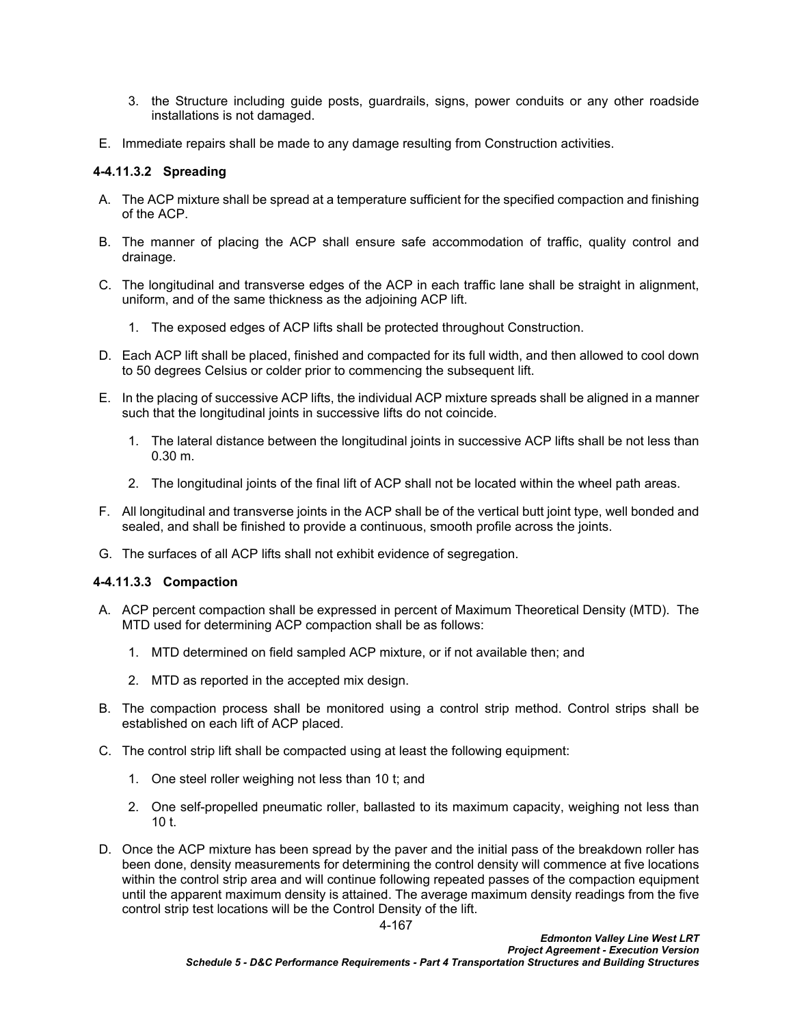- 3. the Structure including guide posts, guardrails, signs, power conduits or any other roadside installations is not damaged.
- E. Immediate repairs shall be made to any damage resulting from Construction activities.

### **4-4.11.3.2 Spreading**

- A. The ACP mixture shall be spread at a temperature sufficient for the specified compaction and finishing of the ACP.
- B. The manner of placing the ACP shall ensure safe accommodation of traffic, quality control and drainage.
- C. The longitudinal and transverse edges of the ACP in each traffic lane shall be straight in alignment, uniform, and of the same thickness as the adjoining ACP lift.
	- 1. The exposed edges of ACP lifts shall be protected throughout Construction.
- D. Each ACP lift shall be placed, finished and compacted for its full width, and then allowed to cool down to 50 degrees Celsius or colder prior to commencing the subsequent lift.
- E. In the placing of successive ACP lifts, the individual ACP mixture spreads shall be aligned in a manner such that the longitudinal joints in successive lifts do not coincide.
	- 1. The lateral distance between the longitudinal joints in successive ACP lifts shall be not less than 0.30 m.
	- 2. The longitudinal joints of the final lift of ACP shall not be located within the wheel path areas.
- F. All longitudinal and transverse joints in the ACP shall be of the vertical butt joint type, well bonded and sealed, and shall be finished to provide a continuous, smooth profile across the joints.
- G. The surfaces of all ACP lifts shall not exhibit evidence of segregation.

# **4-4.11.3.3 Compaction**

- A. ACP percent compaction shall be expressed in percent of Maximum Theoretical Density (MTD). The MTD used for determining ACP compaction shall be as follows:
	- 1. MTD determined on field sampled ACP mixture, or if not available then; and
	- 2. MTD as reported in the accepted mix design.
- B. The compaction process shall be monitored using a control strip method. Control strips shall be established on each lift of ACP placed.
- C. The control strip lift shall be compacted using at least the following equipment:
	- 1. One steel roller weighing not less than 10 t; and
	- 2. One self-propelled pneumatic roller, ballasted to its maximum capacity, weighing not less than 10 t.
- D. Once the ACP mixture has been spread by the paver and the initial pass of the breakdown roller has been done, density measurements for determining the control density will commence at five locations within the control strip area and will continue following repeated passes of the compaction equipment until the apparent maximum density is attained. The average maximum density readings from the five control strip test locations will be the Control Density of the lift.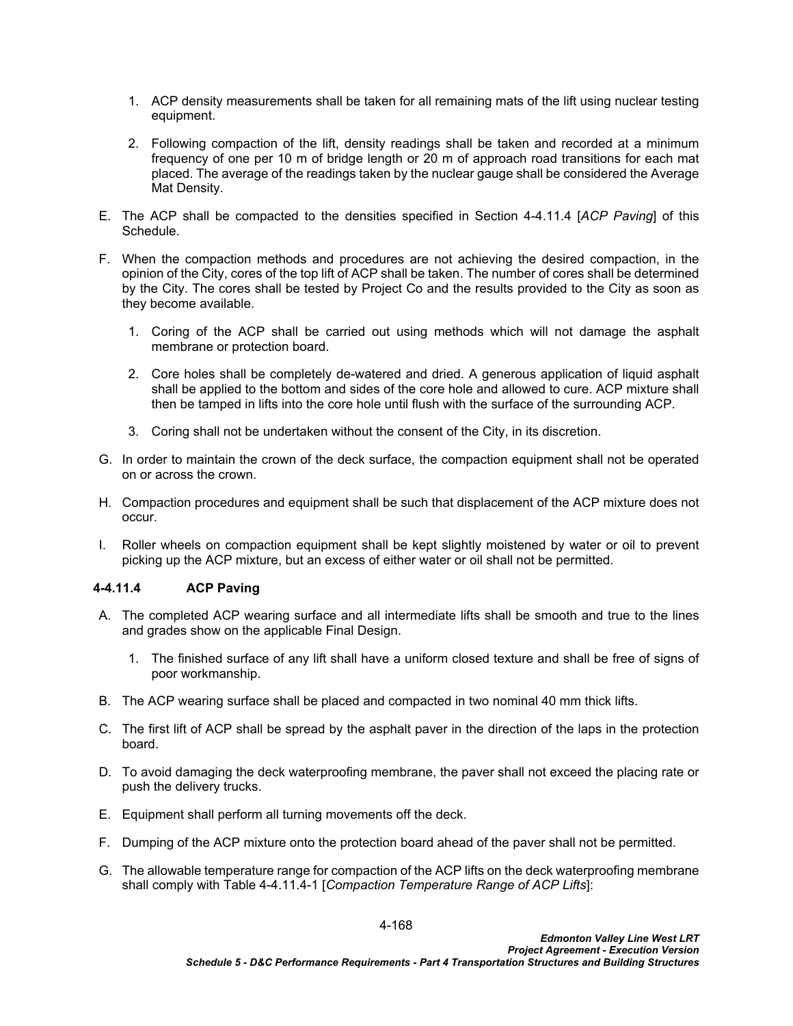- 1. ACP density measurements shall be taken for all remaining mats of the lift using nuclear testing equipment.
- 2. Following compaction of the lift, density readings shall be taken and recorded at a minimum frequency of one per 10 m of bridge length or 20 m of approach road transitions for each mat placed. The average of the readings taken by the nuclear gauge shall be considered the Average Mat Density.
- E. The ACP shall be compacted to the densities specified in Section [4-4.11.4](#page-171-0) [*[ACP Paving](#page-171-0)*] of this Schedule.
- F. When the compaction methods and procedures are not achieving the desired compaction, in the opinion of the City, cores of the top lift of ACP shall be taken. The number of cores shall be determined by the City. The cores shall be tested by Project Co and the results provided to the City as soon as they become available.
	- 1. Coring of the ACP shall be carried out using methods which will not damage the asphalt membrane or protection board.
	- 2. Core holes shall be completely de-watered and dried. A generous application of liquid asphalt shall be applied to the bottom and sides of the core hole and allowed to cure. ACP mixture shall then be tamped in lifts into the core hole until flush with the surface of the surrounding ACP.
	- 3. Coring shall not be undertaken without the consent of the City, in its discretion.
- G. In order to maintain the crown of the deck surface, the compaction equipment shall not be operated on or across the crown.
- H. Compaction procedures and equipment shall be such that displacement of the ACP mixture does not occur.
- I. Roller wheels on compaction equipment shall be kept slightly moistened by water or oil to prevent picking up the ACP mixture, but an excess of either water or oil shall not be permitted.

# <span id="page-171-0"></span>**4-4.11.4 ACP Paving**

- A. The completed ACP wearing surface and all intermediate lifts shall be smooth and true to the lines and grades show on the applicable Final Design.
	- 1. The finished surface of any lift shall have a uniform closed texture and shall be free of signs of poor workmanship.
- B. The ACP wearing surface shall be placed and compacted in two nominal 40 mm thick lifts.
- C. The first lift of ACP shall be spread by the asphalt paver in the direction of the laps in the protection board.
- D. To avoid damaging the deck waterproofing membrane, the paver shall not exceed the placing rate or push the delivery trucks.
- E. Equipment shall perform all turning movements off the deck.
- F. Dumping of the ACP mixture onto the protection board ahead of the paver shall not be permitted.
- G. The allowable temperature range for compaction of the ACP lifts on the deck waterproofing membrane shall comply with [Table 4-4.11.4-1](#page-172-0) [*[Compaction Temperature Range of ACP Lifts](#page-172-1)*]: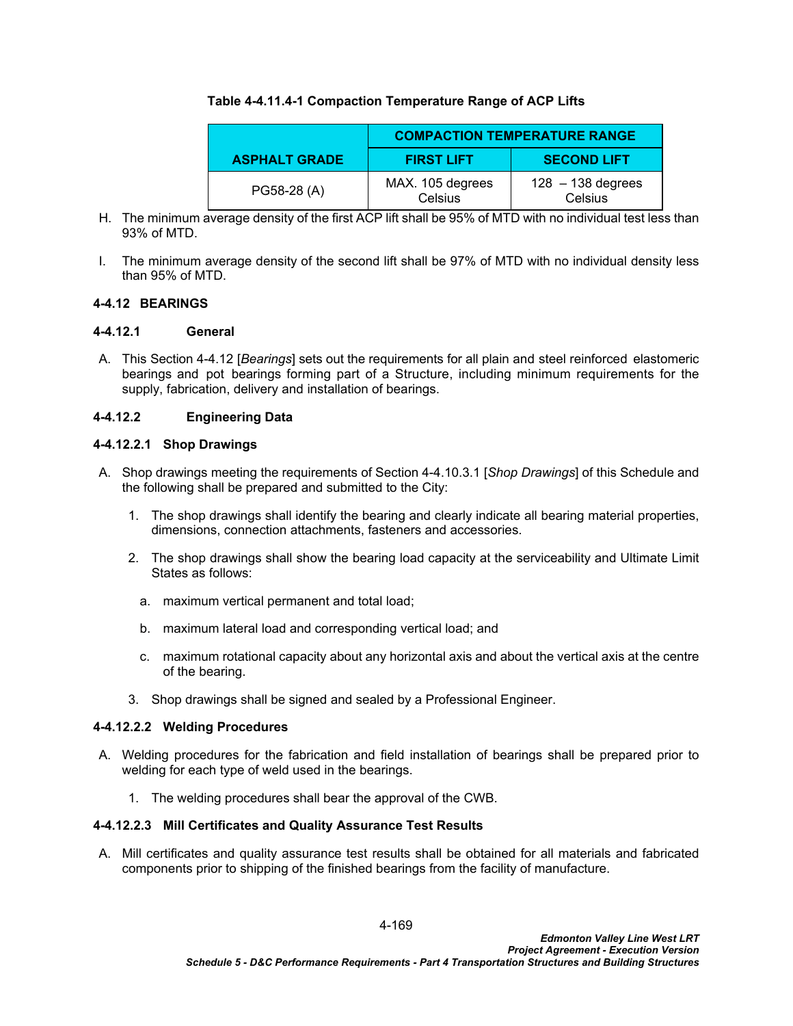## <span id="page-172-0"></span>**Table 4-4.11.4-1 Compaction Temperature Range of ACP Lifts**

<span id="page-172-1"></span>

|                      | <b>COMPACTION TEMPERATURE RANGE</b> |                                |  |
|----------------------|-------------------------------------|--------------------------------|--|
| <b>ASPHALT GRADE</b> | <b>FIRST LIFT</b>                   | <b>SECOND LIFT</b>             |  |
| PG58-28 (A)          | MAX. 105 degrees<br>Celsius         | $128 - 138$ degrees<br>Celsius |  |

- H. The minimum average density of the first ACP lift shall be 95% of MTD with no individual test less than 93% of MTD.
- I. The minimum average density of the second lift shall be 97% of MTD with no individual density less than 95% of MTD.

## <span id="page-172-2"></span>**4-4.12 BEARINGS**

### **4-4.12.1 General**

A. This Section [4-4.12](#page-172-2) [*Bearings*] sets out the requirements for all plain and steel reinforced elastomeric bearings and pot bearings forming part of a Structure, including minimum requirements for the supply, fabrication, delivery and installation of bearings.

## **4-4.12.2 Engineering Data**

### **4-4.12.2.1 Shop Drawings**

- A. Shop drawings meeting the requirements of Section [4-4.10.3.1](#page-144-2) [*[Shop Drawings](#page-144-2)*] of this Schedule and the following shall be prepared and submitted to the City:
	- 1. The shop drawings shall identify the bearing and clearly indicate all bearing material properties, dimensions, connection attachments, fasteners and accessories.
	- 2. The shop drawings shall show the bearing load capacity at the serviceability and Ultimate Limit States as follows:
		- a. maximum vertical permanent and total load;
		- b. maximum lateral load and corresponding vertical load; and
		- c. maximum rotational capacity about any horizontal axis and about the vertical axis at the centre of the bearing.
	- 3. Shop drawings shall be signed and sealed by a Professional Engineer.

### **4-4.12.2.2 Welding Procedures**

- A. Welding procedures for the fabrication and field installation of bearings shall be prepared prior to welding for each type of weld used in the bearings.
	- 1. The welding procedures shall bear the approval of the CWB.

### **4-4.12.2.3 Mill Certificates and Quality Assurance Test Results**

A. Mill certificates and quality assurance test results shall be obtained for all materials and fabricated components prior to shipping of the finished bearings from the facility of manufacture.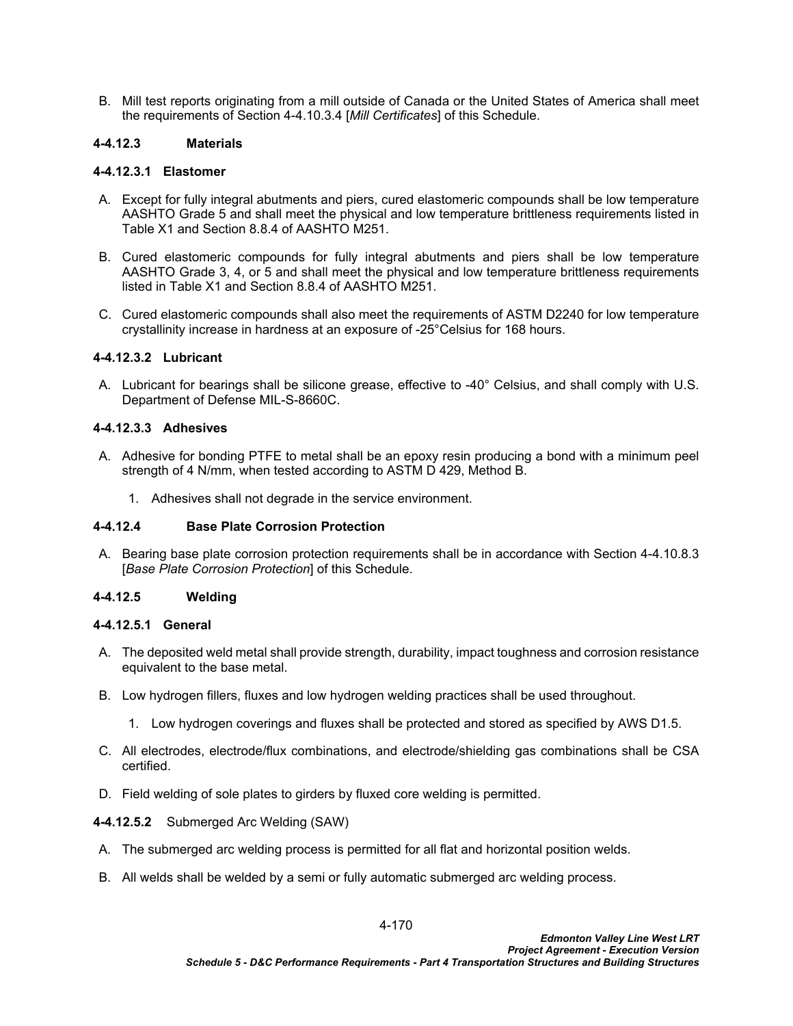B. Mill test reports originating from a mill outside of Canada or the United States of America shall meet the requirements of Section [4-4.10.3.4](#page-145-1) [*[Mill Certificates](#page-145-1)*] of this Schedule.

### **4-4.12.3 Materials**

#### **4-4.12.3.1 Elastomer**

- A. Except for fully integral abutments and piers, cured elastomeric compounds shall be low temperature AASHTO Grade 5 and shall meet the physical and low temperature brittleness requirements listed in Table X1 and Section 8.8.4 of AASHTO M251.
- B. Cured elastomeric compounds for fully integral abutments and piers shall be low temperature AASHTO Grade 3, 4, or 5 and shall meet the physical and low temperature brittleness requirements listed in Table X1 and Section 8.8.4 of AASHTO M251.
- C. Cured elastomeric compounds shall also meet the requirements of ASTM D2240 for low temperature crystallinity increase in hardness at an exposure of -25°Celsius for 168 hours.

### **4-4.12.3.2 Lubricant**

A. Lubricant for bearings shall be silicone grease, effective to -40° Celsius, and shall comply with U.S. Department of Defense MIL-S-8660C.

### **4-4.12.3.3 Adhesives**

- A. Adhesive for bonding PTFE to metal shall be an epoxy resin producing a bond with a minimum peel strength of 4 N/mm, when tested according to ASTM D 429, Method B.
	- 1. Adhesives shall not degrade in the service environment.

### **4-4.12.4 Base Plate Corrosion Protection**

A. Bearing base plate corrosion protection requirements shall be in accordance with Section [4-4.10.8.3](#page-156-0)  [*[Base Plate Corrosion Protection](#page-156-0)*] of this Schedule.

### **4-4.12.5 Welding**

### **4-4.12.5.1 General**

- A. The deposited weld metal shall provide strength, durability, impact toughness and corrosion resistance equivalent to the base metal.
- B. Low hydrogen fillers, fluxes and low hydrogen welding practices shall be used throughout.
	- 1. Low hydrogen coverings and fluxes shall be protected and stored as specified by AWS D1.5.
- C. All electrodes, electrode/flux combinations, and electrode/shielding gas combinations shall be CSA certified.
- D. Field welding of sole plates to girders by fluxed core welding is permitted.

### **4-4.12.5.2** Submerged Arc Welding (SAW)

- A. The submerged arc welding process is permitted for all flat and horizontal position welds.
- B. All welds shall be welded by a semi or fully automatic submerged arc welding process.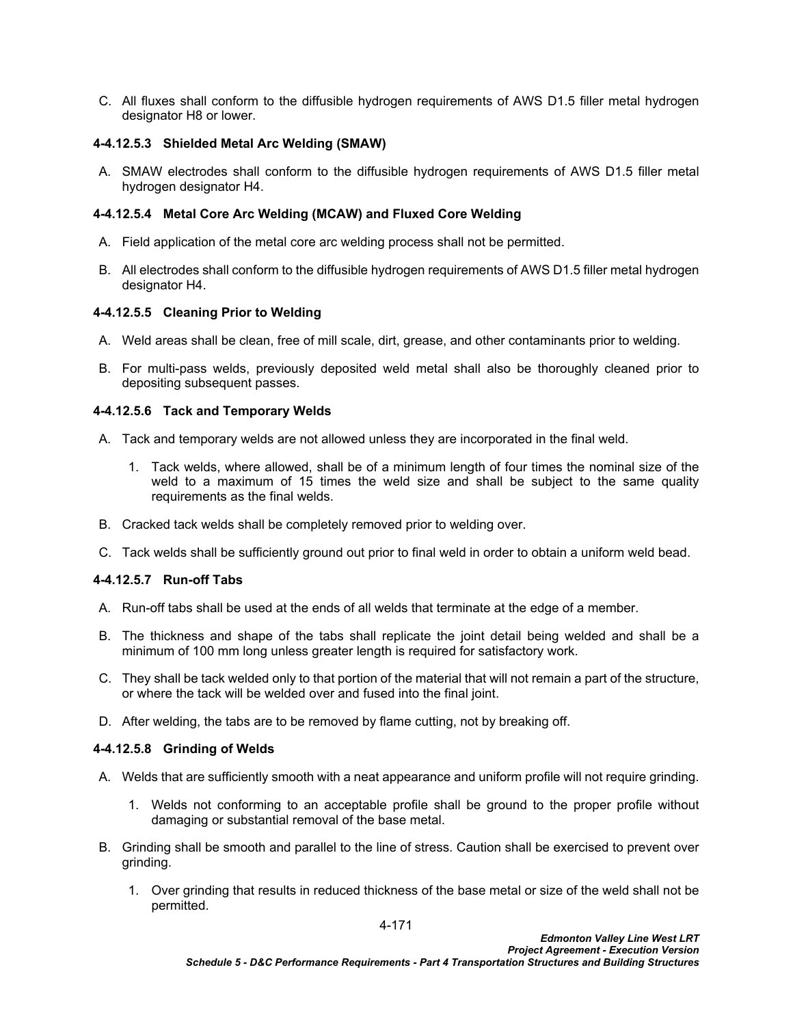C. All fluxes shall conform to the diffusible hydrogen requirements of AWS D1.5 filler metal hydrogen designator H8 or lower.

## **4-4.12.5.3 Shielded Metal Arc Welding (SMAW)**

A. SMAW electrodes shall conform to the diffusible hydrogen requirements of AWS D1.5 filler metal hydrogen designator H4.

## **4-4.12.5.4 Metal Core Arc Welding (MCAW) and Fluxed Core Welding**

- A. Field application of the metal core arc welding process shall not be permitted.
- B. All electrodes shall conform to the diffusible hydrogen requirements of AWS D1.5 filler metal hydrogen designator H4.

## **4-4.12.5.5 Cleaning Prior to Welding**

- A. Weld areas shall be clean, free of mill scale, dirt, grease, and other contaminants prior to welding.
- B. For multi-pass welds, previously deposited weld metal shall also be thoroughly cleaned prior to depositing subsequent passes.

### **4-4.12.5.6 Tack and Temporary Welds**

- A. Tack and temporary welds are not allowed unless they are incorporated in the final weld.
	- 1. Tack welds, where allowed, shall be of a minimum length of four times the nominal size of the weld to a maximum of 15 times the weld size and shall be subject to the same quality requirements as the final welds.
- B. Cracked tack welds shall be completely removed prior to welding over.
- C. Tack welds shall be sufficiently ground out prior to final weld in order to obtain a uniform weld bead.

# **4-4.12.5.7 Run-off Tabs**

- A. Run-off tabs shall be used at the ends of all welds that terminate at the edge of a member.
- B. The thickness and shape of the tabs shall replicate the joint detail being welded and shall be a minimum of 100 mm long unless greater length is required for satisfactory work.
- C. They shall be tack welded only to that portion of the material that will not remain a part of the structure, or where the tack will be welded over and fused into the final joint.
- D. After welding, the tabs are to be removed by flame cutting, not by breaking off.

### **4-4.12.5.8 Grinding of Welds**

- A. Welds that are sufficiently smooth with a neat appearance and uniform profile will not require grinding.
	- 1. Welds not conforming to an acceptable profile shall be ground to the proper profile without damaging or substantial removal of the base metal.
- B. Grinding shall be smooth and parallel to the line of stress. Caution shall be exercised to prevent over grinding.
	- 1. Over grinding that results in reduced thickness of the base metal or size of the weld shall not be permitted.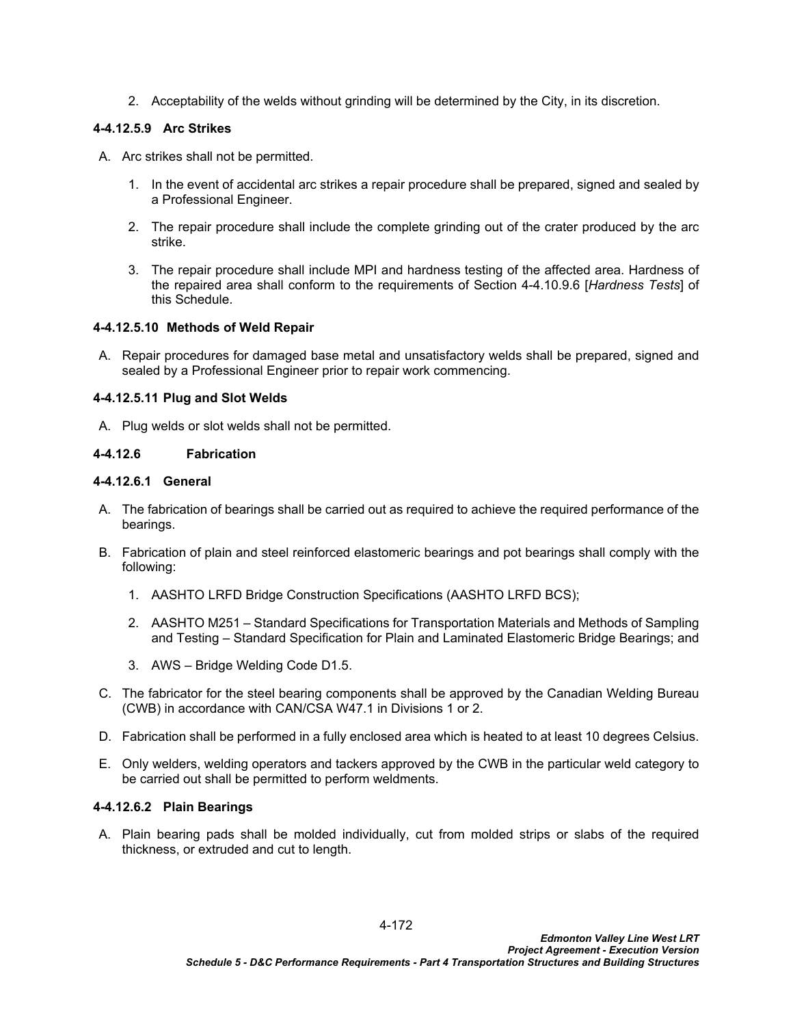2. Acceptability of the welds without grinding will be determined by the City, in its discretion.

# **4-4.12.5.9 Arc Strikes**

- A. Arc strikes shall not be permitted.
	- 1. In the event of accidental arc strikes a repair procedure shall be prepared, signed and sealed by a Professional Engineer.
	- 2. The repair procedure shall include the complete grinding out of the crater produced by the arc strike.
	- 3. The repair procedure shall include MPI and hardness testing of the affected area. Hardness of the repaired area shall conform to the requirements of Section [4-4.10.9.6](#page-158-0) [*[Hardness Tests](#page-158-0)*] of this Schedule.

## **4-4.12.5.10 Methods of Weld Repair**

A. Repair procedures for damaged base metal and unsatisfactory welds shall be prepared, signed and sealed by a Professional Engineer prior to repair work commencing.

## **4-4.12.5.11 Plug and Slot Welds**

A. Plug welds or slot welds shall not be permitted.

## **4-4.12.6 Fabrication**

## **4-4.12.6.1 General**

- A. The fabrication of bearings shall be carried out as required to achieve the required performance of the bearings.
- B. Fabrication of plain and steel reinforced elastomeric bearings and pot bearings shall comply with the following:
	- 1. AASHTO LRFD Bridge Construction Specifications (AASHTO LRFD BCS);
	- 2. AASHTO M251 Standard Specifications for Transportation Materials and Methods of Sampling and Testing – Standard Specification for Plain and Laminated Elastomeric Bridge Bearings; and
	- 3. AWS Bridge Welding Code D1.5.
- C. The fabricator for the steel bearing components shall be approved by the Canadian Welding Bureau (CWB) in accordance with CAN/CSA W47.1 in Divisions 1 or 2.
- D. Fabrication shall be performed in a fully enclosed area which is heated to at least 10 degrees Celsius.
- E. Only welders, welding operators and tackers approved by the CWB in the particular weld category to be carried out shall be permitted to perform weldments.

### **4-4.12.6.2 Plain Bearings**

A. Plain bearing pads shall be molded individually, cut from molded strips or slabs of the required thickness, or extruded and cut to length.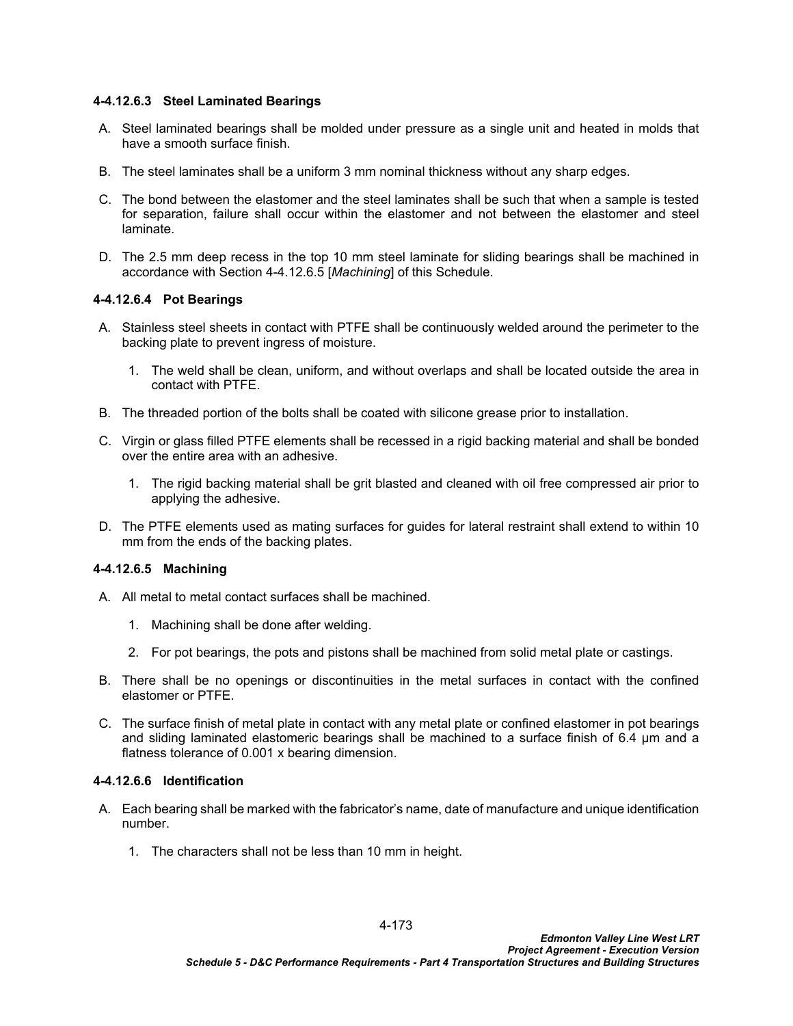### **4-4.12.6.3 Steel Laminated Bearings**

- A. Steel laminated bearings shall be molded under pressure as a single unit and heated in molds that have a smooth surface finish.
- B. The steel laminates shall be a uniform 3 mm nominal thickness without any sharp edges.
- C. The bond between the elastomer and the steel laminates shall be such that when a sample is tested for separation, failure shall occur within the elastomer and not between the elastomer and steel laminate.
- D. The 2.5 mm deep recess in the top 10 mm steel laminate for sliding bearings shall be machined in accordance with Section [4-4.12.6.5](#page-176-0) [*[Machining](#page-176-0)*] of this Schedule.

### **4-4.12.6.4 Pot Bearings**

- A. Stainless steel sheets in contact with PTFE shall be continuously welded around the perimeter to the backing plate to prevent ingress of moisture.
	- 1. The weld shall be clean, uniform, and without overlaps and shall be located outside the area in contact with PTFE.
- B. The threaded portion of the bolts shall be coated with silicone grease prior to installation.
- C. Virgin or glass filled PTFE elements shall be recessed in a rigid backing material and shall be bonded over the entire area with an adhesive.
	- 1. The rigid backing material shall be grit blasted and cleaned with oil free compressed air prior to applying the adhesive.
- D. The PTFE elements used as mating surfaces for guides for lateral restraint shall extend to within 10 mm from the ends of the backing plates.

### <span id="page-176-0"></span>**4-4.12.6.5 Machining**

- A. All metal to metal contact surfaces shall be machined.
	- 1. Machining shall be done after welding.
	- 2. For pot bearings, the pots and pistons shall be machined from solid metal plate or castings.
- B. There shall be no openings or discontinuities in the metal surfaces in contact with the confined elastomer or PTFE.
- C. The surface finish of metal plate in contact with any metal plate or confined elastomer in pot bearings and sliding laminated elastomeric bearings shall be machined to a surface finish of 6.4 µm and a flatness tolerance of 0.001 x bearing dimension.

### **4-4.12.6.6 Identification**

- A. Each bearing shall be marked with the fabricator's name, date of manufacture and unique identification number.
	- 1. The characters shall not be less than 10 mm in height.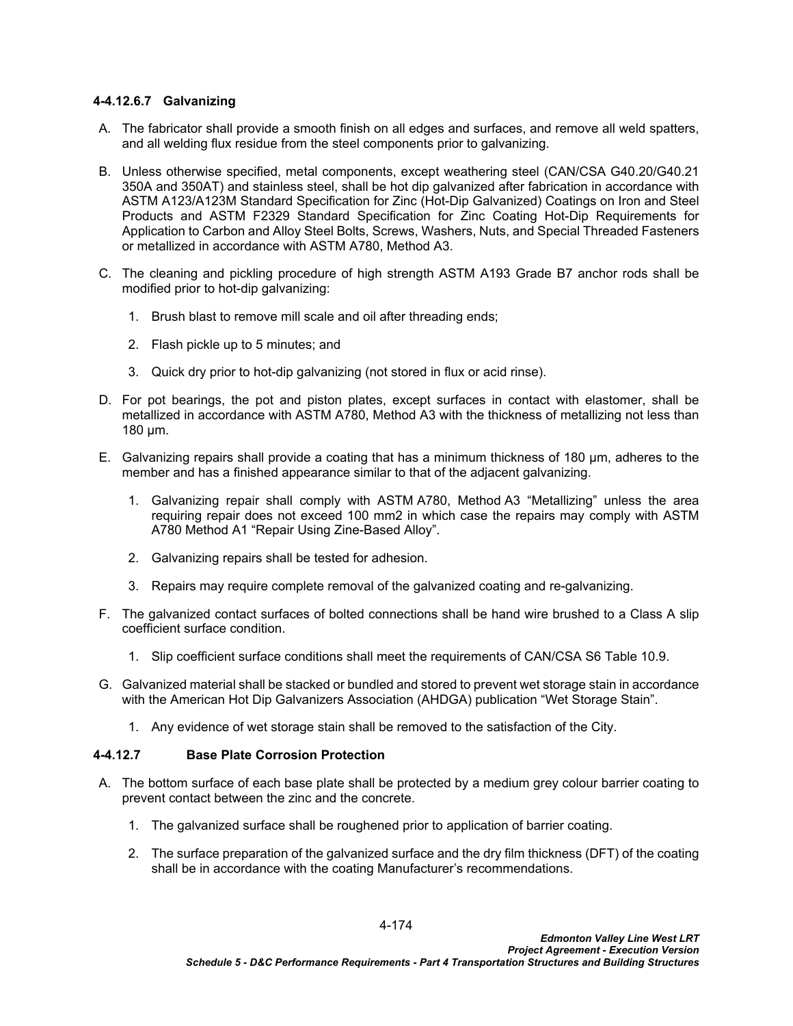## **4-4.12.6.7 Galvanizing**

- A. The fabricator shall provide a smooth finish on all edges and surfaces, and remove all weld spatters, and all welding flux residue from the steel components prior to galvanizing.
- B. Unless otherwise specified, metal components, except weathering steel (CAN/CSA G40.20/G40.21 350A and 350AT) and stainless steel, shall be hot dip galvanized after fabrication in accordance with ASTM A123/A123M Standard Specification for Zinc (Hot-Dip Galvanized) Coatings on Iron and Steel Products and ASTM F2329 Standard Specification for Zinc Coating Hot-Dip Requirements for Application to Carbon and Alloy Steel Bolts, Screws, Washers, Nuts, and Special Threaded Fasteners or metallized in accordance with ASTM A780, Method A3.
- C. The cleaning and pickling procedure of high strength ASTM A193 Grade B7 anchor rods shall be modified prior to hot-dip galvanizing:
	- 1. Brush blast to remove mill scale and oil after threading ends;
	- 2. Flash pickle up to 5 minutes; and
	- 3. Quick dry prior to hot-dip galvanizing (not stored in flux or acid rinse).
- D. For pot bearings, the pot and piston plates, except surfaces in contact with elastomer, shall be metallized in accordance with ASTM A780, Method A3 with the thickness of metallizing not less than 180 µm.
- E. Galvanizing repairs shall provide a coating that has a minimum thickness of 180 µm, adheres to the member and has a finished appearance similar to that of the adjacent galvanizing.
	- 1. Galvanizing repair shall comply with ASTM A780, Method A3 "Metallizing" unless the area requiring repair does not exceed 100 mm2 in which case the repairs may comply with ASTM A780 Method A1 "Repair Using Zine-Based Alloy".
	- 2. Galvanizing repairs shall be tested for adhesion.
	- 3. Repairs may require complete removal of the galvanized coating and re-galvanizing.
- F. The galvanized contact surfaces of bolted connections shall be hand wire brushed to a Class A slip coefficient surface condition.
	- 1. Slip coefficient surface conditions shall meet the requirements of CAN/CSA S6 Table 10.9.
- G. Galvanized material shall be stacked or bundled and stored to prevent wet storage stain in accordance with the American Hot Dip Galvanizers Association (AHDGA) publication "Wet Storage Stain".
	- 1. Any evidence of wet storage stain shall be removed to the satisfaction of the City.

# **4-4.12.7 Base Plate Corrosion Protection**

- A. The bottom surface of each base plate shall be protected by a medium grey colour barrier coating to prevent contact between the zinc and the concrete.
	- 1. The galvanized surface shall be roughened prior to application of barrier coating.
	- 2. The surface preparation of the galvanized surface and the dry film thickness (DFT) of the coating shall be in accordance with the coating Manufacturer's recommendations.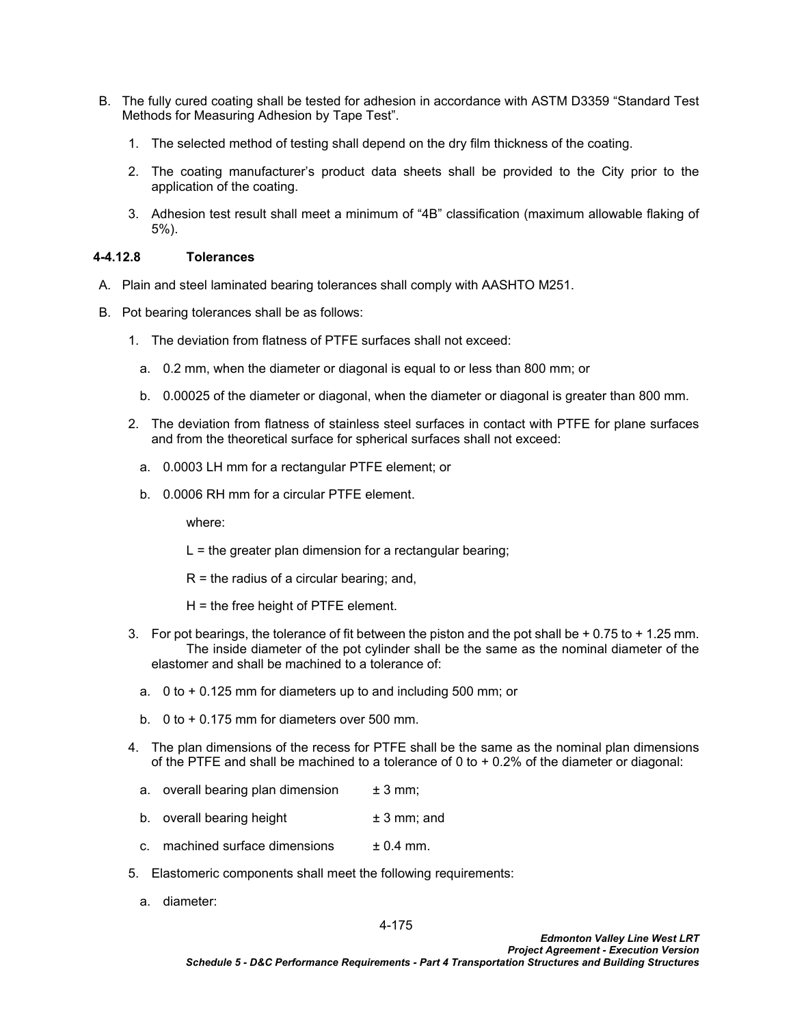- B. The fully cured coating shall be tested for adhesion in accordance with ASTM D3359 "Standard Test Methods for Measuring Adhesion by Tape Test".
	- 1. The selected method of testing shall depend on the dry film thickness of the coating.
	- 2. The coating manufacturer's product data sheets shall be provided to the City prior to the application of the coating.
	- 3. Adhesion test result shall meet a minimum of "4B" classification (maximum allowable flaking of 5%).

## **4-4.12.8 Tolerances**

- A. Plain and steel laminated bearing tolerances shall comply with AASHTO M251.
- B. Pot bearing tolerances shall be as follows:
	- 1. The deviation from flatness of PTFE surfaces shall not exceed:
		- a. 0.2 mm, when the diameter or diagonal is equal to or less than 800 mm; or
		- b. 0.00025 of the diameter or diagonal, when the diameter or diagonal is greater than 800 mm.
	- 2. The deviation from flatness of stainless steel surfaces in contact with PTFE for plane surfaces and from the theoretical surface for spherical surfaces shall not exceed:
		- a. 0.0003 LH mm for a rectangular PTFE element; or
		- b. 0.0006 RH mm for a circular PTFE element.

where:

 $L =$  the greater plan dimension for a rectangular bearing;

 $R =$  the radius of a circular bearing; and,

H = the free height of PTFE element.

- 3. For pot bearings, the tolerance of fit between the piston and the pot shall be + 0.75 to + 1.25 mm. The inside diameter of the pot cylinder shall be the same as the nominal diameter of the elastomer and shall be machined to a tolerance of:
	- a. 0 to + 0.125 mm for diameters up to and including 500 mm; or
	- b. 0 to + 0.175 mm for diameters over 500 mm.
- 4. The plan dimensions of the recess for PTFE shall be the same as the nominal plan dimensions of the PTFE and shall be machined to a tolerance of 0 to  $+$  0.2% of the diameter or diagonal:
	- a. overall bearing plan dimension  $± 3$  mm;
	- b. overall bearing height  $\pm 3$  mm; and
	- c. machined surface dimensions  $\pm 0.4$  mm.
- 5. Elastomeric components shall meet the following requirements:
	- a. diameter: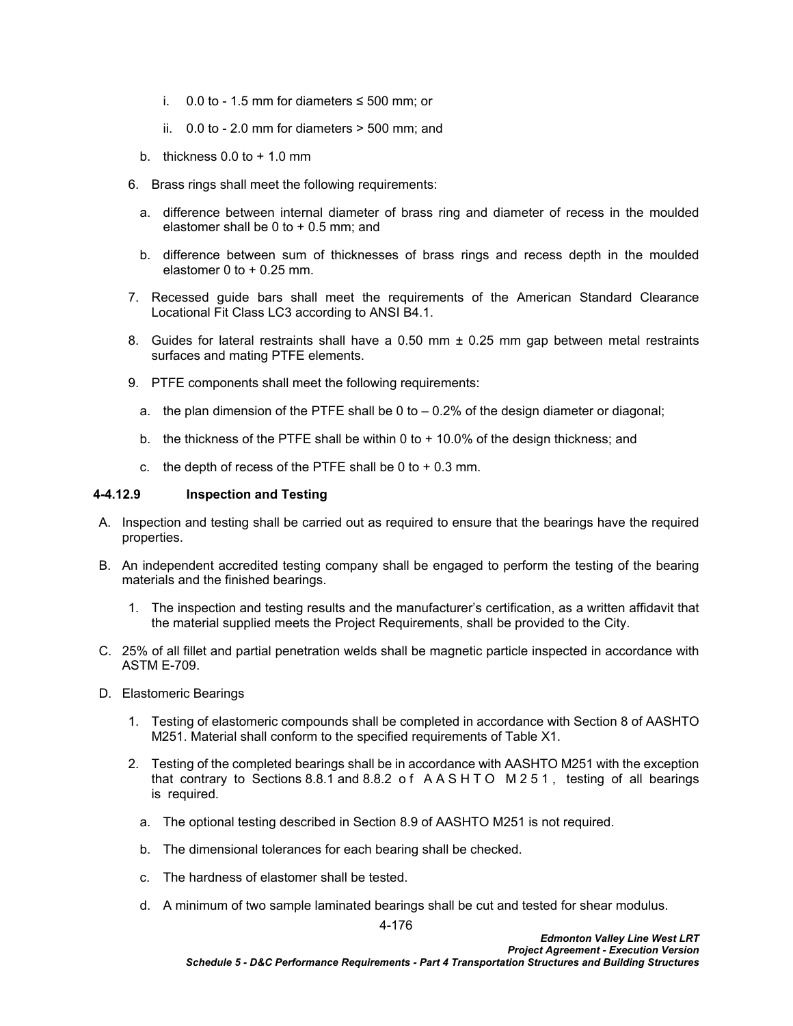- i. 0.0 to 1.5 mm for diameters ≤ 500 mm; or
- ii.  $0.0$  to 2.0 mm for diameters  $>$  500 mm; and
- b. thickness  $0.0$  to  $+1.0$  mm
- 6. Brass rings shall meet the following requirements:
	- a. difference between internal diameter of brass ring and diameter of recess in the moulded elastomer shall be  $0$  to  $+$  0.5 mm; and
	- b. difference between sum of thicknesses of brass rings and recess depth in the moulded elastomer  $0$  to  $+$  0.25 mm.
- 7. Recessed guide bars shall meet the requirements of the American Standard Clearance Locational Fit Class LC3 according to ANSI B4.1.
- 8. Guides for lateral restraints shall have a 0.50 mm ± 0.25 mm gap between metal restraints surfaces and mating PTFE elements.
- 9. PTFE components shall meet the following requirements:
	- a. the plan dimension of the PTFE shall be  $0$  to  $-0.2\%$  of the design diameter or diagonal;
	- b. the thickness of the PTFE shall be within 0 to  $+10.0\%$  of the design thickness; and
	- c. the depth of recess of the PTFE shall be  $0$  to  $+0.3$  mm.

#### **4-4.12.9 Inspection and Testing**

- A. Inspection and testing shall be carried out as required to ensure that the bearings have the required properties.
- B. An independent accredited testing company shall be engaged to perform the testing of the bearing materials and the finished bearings.
	- 1. The inspection and testing results and the manufacturer's certification, as a written affidavit that the material supplied meets the Project Requirements, shall be provided to the City.
- C. 25% of all fillet and partial penetration welds shall be magnetic particle inspected in accordance with ASTM E-709.
- D. Elastomeric Bearings
	- 1. Testing of elastomeric compounds shall be completed in accordance with Section 8 of AASHTO M251. Material shall conform to the specified requirements of Table X1.
	- 2. Testing of the completed bearings shall be in accordance with AASHTO M251 with the exception that contrary to Sections 8.8.1 and 8.8.2 of AASHTO M251, testing of all bearings is required.
		- a. The optional testing described in Section 8.9 of AASHTO M251 is not required.
		- b. The dimensional tolerances for each bearing shall be checked.
		- c. The hardness of elastomer shall be tested.
		- d. A minimum of two sample laminated bearings shall be cut and tested for shear modulus.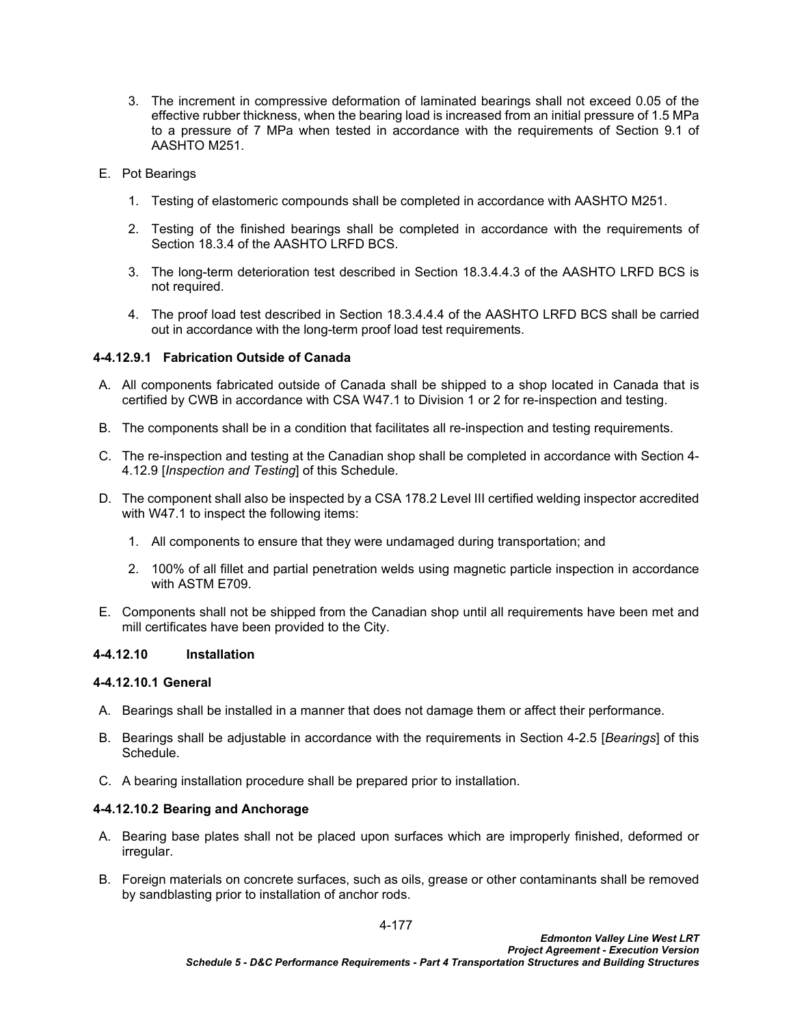- 3. The increment in compressive deformation of laminated bearings shall not exceed 0.05 of the effective rubber thickness, when the bearing load is increased from an initial pressure of 1.5 MPa to a pressure of 7 MPa when tested in accordance with the requirements of Section 9.1 of AASHTO M251.
- E. Pot Bearings
	- 1. Testing of elastomeric compounds shall be completed in accordance with AASHTO M251.
	- 2. Testing of the finished bearings shall be completed in accordance with the requirements of Section 18.3.4 of the AASHTO LRFD BCS.
	- 3. The long-term deterioration test described in Section 18.3.4.4.3 of the AASHTO LRFD BCS is not required.
	- 4. The proof load test described in Section 18.3.4.4.4 of the AASHTO LRFD BCS shall be carried out in accordance with the long-term proof load test requirements.

## **4-4.12.9.1 Fabrication Outside of Canada**

- A. All components fabricated outside of Canada shall be shipped to a shop located in Canada that is certified by CWB in accordance with CSA W47.1 to Division 1 or 2 for re-inspection and testing.
- B. The components shall be in a condition that facilitates all re-inspection and testing requirements.
- C. The re-inspection and testing at the Canadian shop shall be completed in accordance with Section [4-](#page-179-0) [4.12.9](#page-179-0) [*[Inspection and Testing](#page-179-0)*] of this Schedule.
- D. The component shall also be inspected by a CSA 178.2 Level III certified welding inspector accredited with W47.1 to inspect the following items:
	- 1. All components to ensure that they were undamaged during transportation; and
	- 2. 100% of all fillet and partial penetration welds using magnetic particle inspection in accordance with ASTM E709.
- E. Components shall not be shipped from the Canadian shop until all requirements have been met and mill certificates have been provided to the City.

### **4-4.12.10 Installation**

#### **4-4.12.10.1 General**

- A. Bearings shall be installed in a manner that does not damage them or affect their performance.
- B. Bearings shall be adjustable in accordance with the requirements in Section [4-2.5](#page-33-0) [*[Bearings](#page-33-0)*] of this Schedule.
- C. A bearing installation procedure shall be prepared prior to installation.

### **4-4.12.10.2 Bearing and Anchorage**

- A. Bearing base plates shall not be placed upon surfaces which are improperly finished, deformed or irregular.
- B. Foreign materials on concrete surfaces, such as oils, grease or other contaminants shall be removed by sandblasting prior to installation of anchor rods.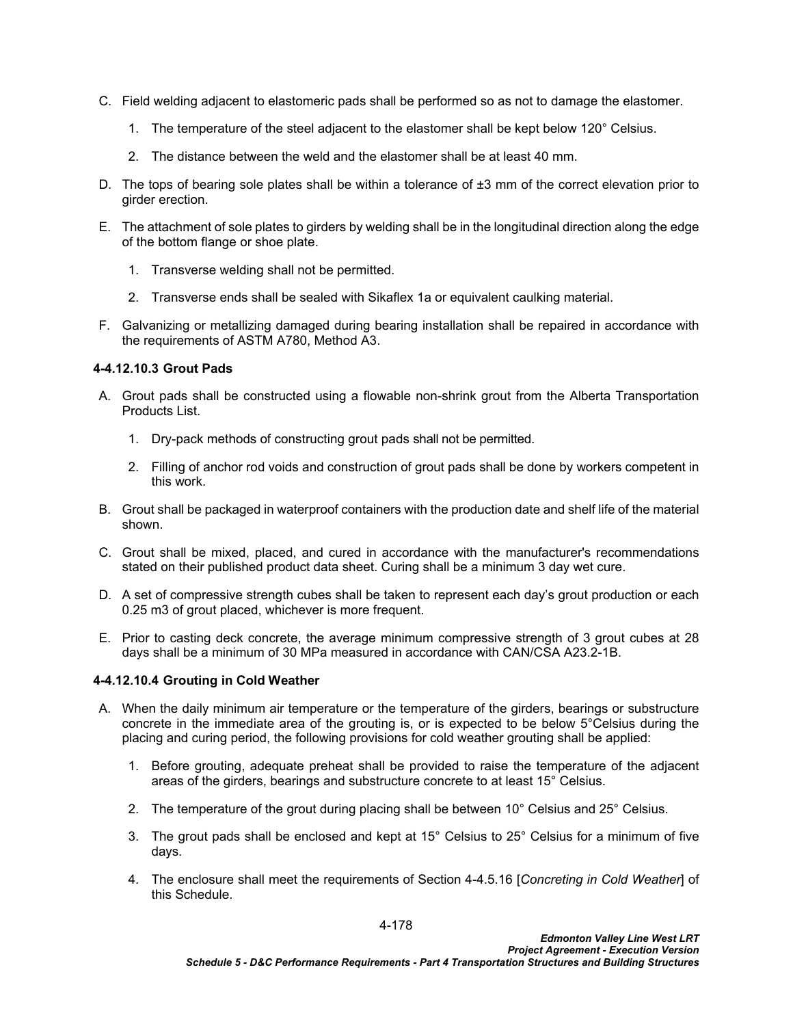- C. Field welding adjacent to elastomeric pads shall be performed so as not to damage the elastomer.
	- 1. The temperature of the steel adjacent to the elastomer shall be kept below 120° Celsius.
	- 2. The distance between the weld and the elastomer shall be at least 40 mm.
- D. The tops of bearing sole plates shall be within a tolerance of  $\pm 3$  mm of the correct elevation prior to girder erection.
- E. The attachment of sole plates to girders by welding shall be in the longitudinal direction along the edge of the bottom flange or shoe plate.
	- 1. Transverse welding shall not be permitted.
	- 2. Transverse ends shall be sealed with Sikaflex 1a or equivalent caulking material.
- F. Galvanizing or metallizing damaged during bearing installation shall be repaired in accordance with the requirements of ASTM A780, Method A3.

## **4-4.12.10.3 Grout Pads**

- A. Grout pads shall be constructed using a flowable non-shrink grout from the Alberta Transportation Products List.
	- 1. Dry-pack methods of constructing grout pads shall not be permitted.
	- 2. Filling of anchor rod voids and construction of grout pads shall be done by workers competent in this work.
- B. Grout shall be packaged in waterproof containers with the production date and shelf life of the material shown.
- C. Grout shall be mixed, placed, and cured in accordance with the manufacturer's recommendations stated on their published product data sheet. Curing shall be a minimum 3 day wet cure.
- D. A set of compressive strength cubes shall be taken to represent each day's grout production or each 0.25 m3 of grout placed, whichever is more frequent.
- E. Prior to casting deck concrete, the average minimum compressive strength of 3 grout cubes at 28 days shall be a minimum of 30 MPa measured in accordance with CAN/CSA A23.2-1B.

# **4-4.12.10.4 Grouting in Cold Weather**

- A. When the daily minimum air temperature or the temperature of the girders, bearings or substructure concrete in the immediate area of the grouting is, or is expected to be below 5°Celsius during the placing and curing period, the following provisions for cold weather grouting shall be applied:
	- 1. Before grouting, adequate preheat shall be provided to raise the temperature of the adjacent areas of the girders, bearings and substructure concrete to at least 15° Celsius.
	- 2. The temperature of the grout during placing shall be between 10° Celsius and 25° Celsius.
	- 3. The grout pads shall be enclosed and kept at 15° Celsius to 25° Celsius for a minimum of five days.
	- 4. The enclosure shall meet the requirements of Section [4-4.5.16](#page-95-0) [*[Concreting in Cold Weather](#page-95-0)*] of this Schedule.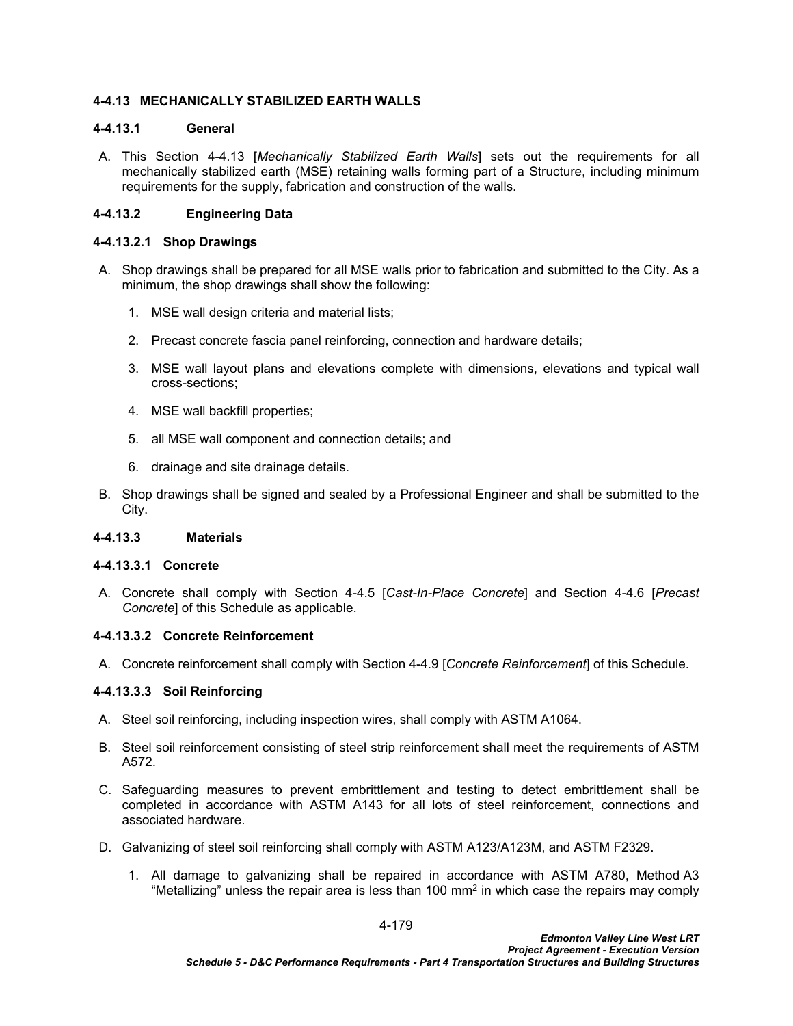## **4-4.13 MECHANICALLY STABILIZED EARTH WALLS**

## **4-4.13.1 General**

A. This Section 4-4.13 [*Mechanically Stabilized Earth Walls*] sets out the requirements for all mechanically stabilized earth (MSE) retaining walls forming part of a Structure, including minimum requirements for the supply, fabrication and construction of the walls.

## **4-4.13.2 Engineering Data**

### **4-4.13.2.1 Shop Drawings**

- A. Shop drawings shall be prepared for all MSE walls prior to fabrication and submitted to the City. As a minimum, the shop drawings shall show the following:
	- 1. MSE wall design criteria and material lists;
	- 2. Precast concrete fascia panel reinforcing, connection and hardware details;
	- 3. MSE wall layout plans and elevations complete with dimensions, elevations and typical wall cross-sections;
	- 4. MSE wall backfill properties;
	- 5. all MSE wall component and connection details; and
	- 6. drainage and site drainage details.
- B. Shop drawings shall be signed and sealed by a Professional Engineer and shall be submitted to the City.

### **4-4.13.3 Materials**

### **4-4.13.3.1 Concrete**

A. Concrete shall comply with Section [4-4.5](#page-75-0) [*[Cast-In-Place Concrete](#page-75-0)*] and Section [4-4.6](#page-106-0) [*[Precast](#page-106-0)  [Concrete](#page-106-0)*] of this Schedule as applicable.

### **4-4.13.3.2 Concrete Reinforcement**

A. Concrete reinforcement shall comply with Section [4-4.9](#page-139-0) [*[Concrete Reinforcement](#page-139-0)*] of this Schedule.

# **4-4.13.3.3 Soil Reinforcing**

- A. Steel soil reinforcing, including inspection wires, shall comply with ASTM A1064.
- B. Steel soil reinforcement consisting of steel strip reinforcement shall meet the requirements of ASTM A572.
- C. Safeguarding measures to prevent embrittlement and testing to detect embrittlement shall be completed in accordance with ASTM A143 for all lots of steel reinforcement, connections and associated hardware.
- D. Galvanizing of steel soil reinforcing shall comply with ASTM A123/A123M, and ASTM F2329.
	- 1. All damage to galvanizing shall be repaired in accordance with ASTM A780, Method A3 "Metallizing" unless the repair area is less than 100 mm $^2$  in which case the repairs may comply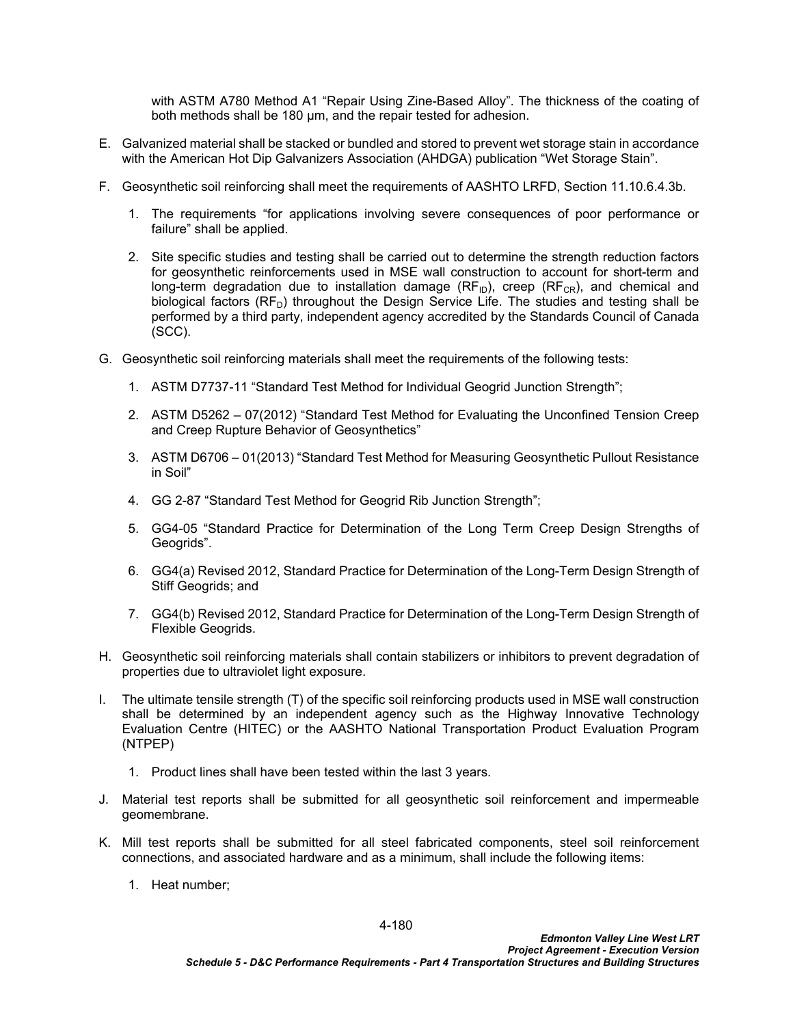with ASTM A780 Method A1 "Repair Using Zine-Based Alloy". The thickness of the coating of both methods shall be 180 um, and the repair tested for adhesion.

- E. Galvanized material shall be stacked or bundled and stored to prevent wet storage stain in accordance with the American Hot Dip Galvanizers Association (AHDGA) publication "Wet Storage Stain".
- F. Geosynthetic soil reinforcing shall meet the requirements of AASHTO LRFD, Section 11.10.6.4.3b.
	- 1. The requirements "for applications involving severe consequences of poor performance or failure" shall be applied.
	- 2. Site specific studies and testing shall be carried out to determine the strength reduction factors for geosynthetic reinforcements used in MSE wall construction to account for short-term and long-term degradation due to installation damage  $(RF_{\text{ID}})$ , creep  $(RF_{\text{CR}})$ , and chemical and biological factors  $(RF_D)$  throughout the Design Service Life. The studies and testing shall be performed by a third party, independent agency accredited by the Standards Council of Canada (SCC).
- G. Geosynthetic soil reinforcing materials shall meet the requirements of the following tests:
	- 1. ASTM D7737-11 "Standard Test Method for Individual Geogrid Junction Strength";
	- 2. ASTM D5262 07(2012) "Standard Test Method for Evaluating the Unconfined Tension Creep and Creep Rupture Behavior of Geosynthetics"
	- 3. ASTM D6706 01(2013) "Standard Test Method for Measuring Geosynthetic Pullout Resistance in Soil"
	- 4. GG 2-87 "Standard Test Method for Geogrid Rib Junction Strength";
	- 5. GG4-05 "Standard Practice for Determination of the Long Term Creep Design Strengths of Geogrids".
	- 6. GG4(a) Revised 2012, Standard Practice for Determination of the Long-Term Design Strength of Stiff Geogrids; and
	- 7. GG4(b) Revised 2012, Standard Practice for Determination of the Long-Term Design Strength of Flexible Geogrids.
- H. Geosynthetic soil reinforcing materials shall contain stabilizers or inhibitors to prevent degradation of properties due to ultraviolet light exposure.
- I. The ultimate tensile strength (T) of the specific soil reinforcing products used in MSE wall construction shall be determined by an independent agency such as the Highway Innovative Technology Evaluation Centre (HITEC) or the AASHTO National Transportation Product Evaluation Program (NTPEP)
	- 1. Product lines shall have been tested within the last 3 years.
- J. Material test reports shall be submitted for all geosynthetic soil reinforcement and impermeable geomembrane.
- K. Mill test reports shall be submitted for all steel fabricated components, steel soil reinforcement connections, and associated hardware and as a minimum, shall include the following items:
	- 1. Heat number;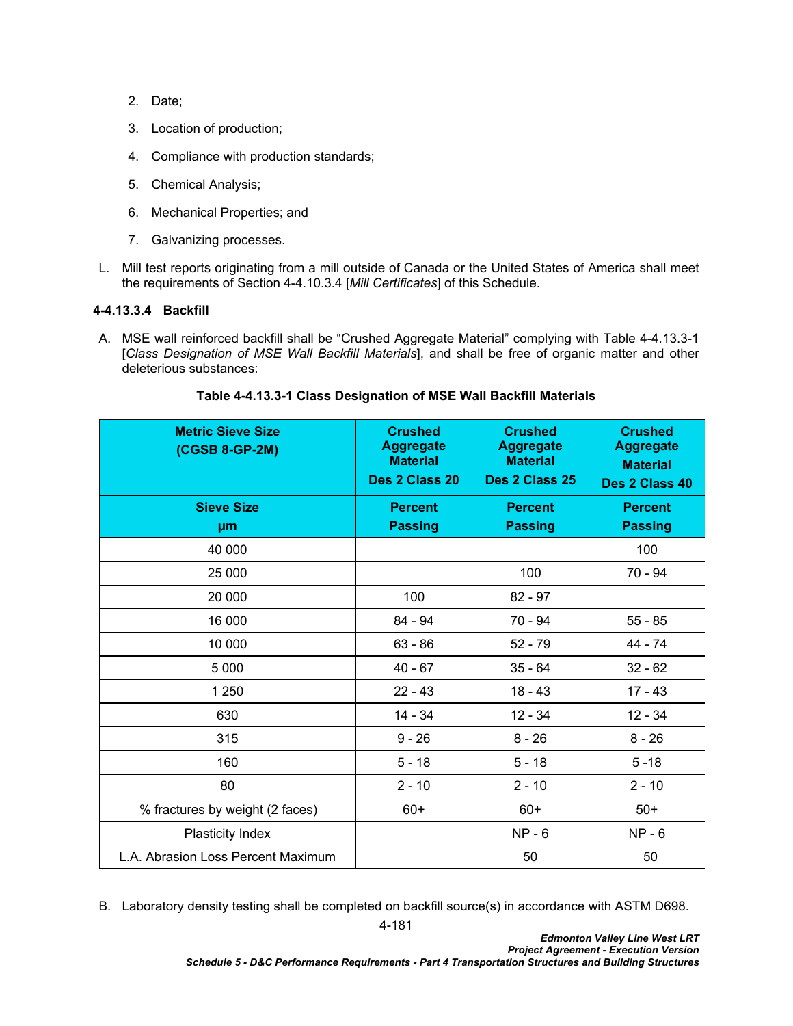- 2. Date;
- 3. Location of production;
- 4. Compliance with production standards;
- 5. Chemical Analysis;
- 6. Mechanical Properties; and
- 7. Galvanizing processes.
- L. Mill test reports originating from a mill outside of Canada or the United States of America shall meet the requirements of Section [4-4.10.3.4](#page-145-0) [*[Mill Certificates](#page-145-0)*] of this Schedule.

# **4-4.13.3.4 Backfill**

A. MSE wall reinforced backfill shall be "Crushed Aggregate Material" complying with [Table 4-4.13.3-1](#page-184-0)  [*Class Designation of MSE Wall Backfill Materials*], and shall be free of organic matter and other deleterious substances:

| <b>Metric Sieve Size</b><br>(CGSB 8-GP-2M) | <b>Crushed</b><br><b>Aggregate</b><br><b>Material</b><br>Des 2 Class 20 | <b>Crushed</b><br><b>Aggregate</b><br><b>Material</b><br>Des 2 Class 25 | <b>Crushed</b><br><b>Aggregate</b><br><b>Material</b><br>Des 2 Class 40 |
|--------------------------------------------|-------------------------------------------------------------------------|-------------------------------------------------------------------------|-------------------------------------------------------------------------|
| <b>Sieve Size</b><br>μm                    | <b>Percent</b><br><b>Passing</b>                                        | <b>Percent</b><br><b>Passing</b>                                        | <b>Percent</b><br><b>Passing</b>                                        |
| 40 000                                     |                                                                         |                                                                         | 100                                                                     |
| 25 000                                     |                                                                         | 100                                                                     | $70 - 94$                                                               |
| 20 000                                     | 100                                                                     | $82 - 97$                                                               |                                                                         |
| 16 000                                     | 84 - 94                                                                 | $70 - 94$                                                               | $55 - 85$                                                               |
| 10 000                                     | $63 - 86$                                                               | $52 - 79$                                                               | 44 - 74                                                                 |
| 5 0 0 0                                    | $40 - 67$                                                               | $35 - 64$                                                               | $32 - 62$                                                               |
| 1 250                                      | $22 - 43$                                                               | $18 - 43$                                                               | $17 - 43$                                                               |
| 630                                        | $14 - 34$                                                               | $12 - 34$                                                               | $12 - 34$                                                               |
| 315                                        | $9 - 26$                                                                | $8 - 26$                                                                | $8 - 26$                                                                |
| 160                                        | $5 - 18$                                                                | $5 - 18$                                                                | $5 - 18$                                                                |
| 80                                         | $2 - 10$                                                                | $2 - 10$                                                                | $2 - 10$                                                                |
| % fractures by weight (2 faces)            | $60+$                                                                   | $60+$                                                                   | $50+$                                                                   |
| <b>Plasticity Index</b>                    |                                                                         | $NP - 6$                                                                | $NP - 6$                                                                |
| L.A. Abrasion Loss Percent Maximum         |                                                                         | 50                                                                      | 50                                                                      |

## <span id="page-184-0"></span>**Table 4-4.13.3-1 Class Designation of MSE Wall Backfill Materials**

B. Laboratory density testing shall be completed on backfill source(s) in accordance with ASTM D698.

4-181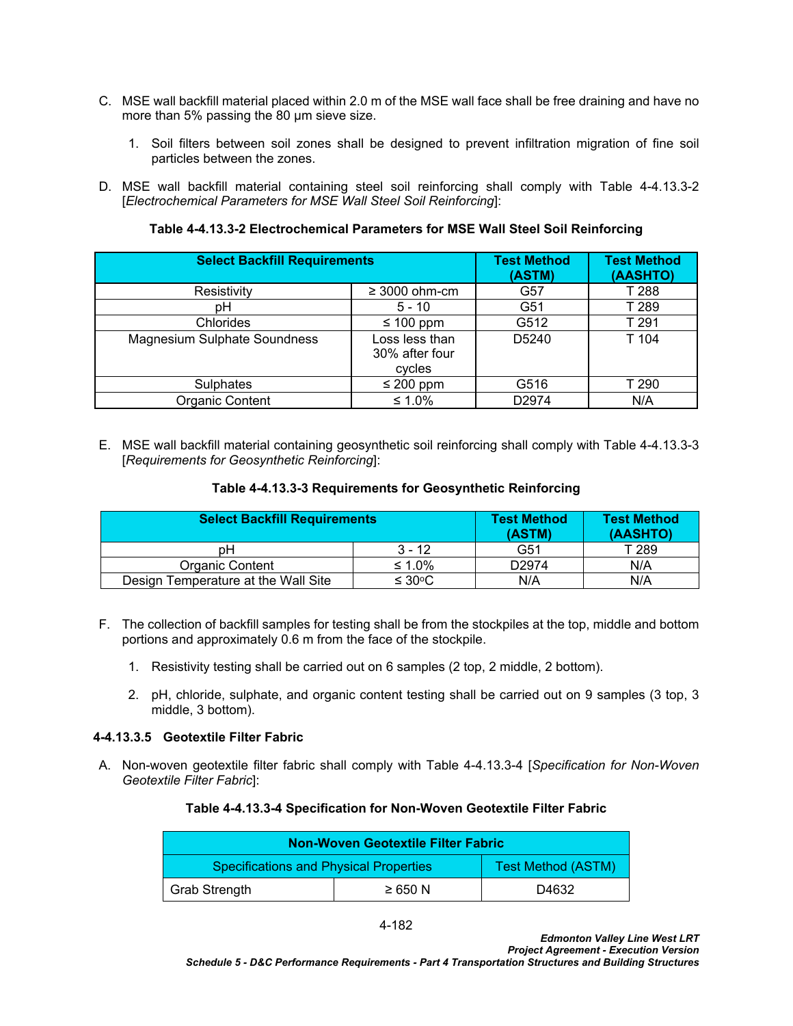- C. MSE wall backfill material placed within 2.0 m of the MSE wall face shall be free draining and have no more than 5% passing the 80 µm sieve size.
	- 1. Soil filters between soil zones shall be designed to prevent infiltration migration of fine soil particles between the zones.
- D. MSE wall backfill material containing steel soil reinforcing shall comply with [Table 4-4.13.3-2](#page-185-0)  [*Electrochemical Parameters for MSE Wall Steel Soil Reinforcing*]:

<span id="page-185-0"></span>**Table 4-4.13.3-2 Electrochemical Parameters for MSE Wall Steel Soil Reinforcing**

| <b>Select Backfill Requirements</b> |                                            | <b>Test Method</b><br>(ASTM) | <b>Test Method</b><br>(AASHTO) |
|-------------------------------------|--------------------------------------------|------------------------------|--------------------------------|
| Resistivity                         | $\geq$ 3000 ohm-cm                         | G57                          | T 288                          |
| pН                                  | $5 - 10$                                   | G51                          | T 289                          |
| Chlorides                           | $\leq 100$ ppm                             | G512                         | T 291                          |
| <b>Magnesium Sulphate Soundness</b> | Loss less than<br>30% after four<br>cycles | D5240                        | T 104                          |
| <b>Sulphates</b>                    | $\leq$ 200 ppm                             | G516                         | T 290                          |
| Organic Content                     | ≤ 1.0%                                     | D2974                        | N/A                            |

E. MSE wall backfill material containing geosynthetic soil reinforcing shall comply with [Table 4-4.13.3-3](#page-185-1)  [*Requirements for Geosynthetic Reinforcing*]:

<span id="page-185-1"></span>

| <b>Select Backfill Requirements</b> |                  | <b>Test Method</b><br>(ASTM) | <b>Test Method</b><br>(AASHTO) |
|-------------------------------------|------------------|------------------------------|--------------------------------|
| pН                                  | $3 - 12$         | G51                          | T 289                          |
| Organic Content                     | $\leq 1.0\%$     | D <sub>2974</sub>            | N/A                            |
| Design Temperature at the Wall Site | ≤ 30 $\degree$ C | N/A                          | N/A                            |

- F. The collection of backfill samples for testing shall be from the stockpiles at the top, middle and bottom portions and approximately 0.6 m from the face of the stockpile.
	- 1. Resistivity testing shall be carried out on 6 samples (2 top, 2 middle, 2 bottom).
	- 2. pH, chloride, sulphate, and organic content testing shall be carried out on 9 samples (3 top, 3 middle, 3 bottom).

### **4-4.13.3.5 Geotextile Filter Fabric**

A. Non-woven geotextile filter fabric shall comply with [Table 4-4.13.3-4](#page-185-2) [*Specification for Non-Woven Geotextile Filter Fabric*]:

#### <span id="page-185-2"></span>**Table 4-4.13.3-4 Specification for Non-Woven Geotextile Filter Fabric**

| Non-Woven Geotextile Filter Fabric                                         |              |       |
|----------------------------------------------------------------------------|--------------|-------|
| <b>Test Method (ASTM)</b><br><b>Specifications and Physical Properties</b> |              |       |
| Grab Strength                                                              | $\geq 650$ N | D4632 |

*Schedule 5 - D&C Performance Requirements - Part 4 Transportation Structures and Building Structures*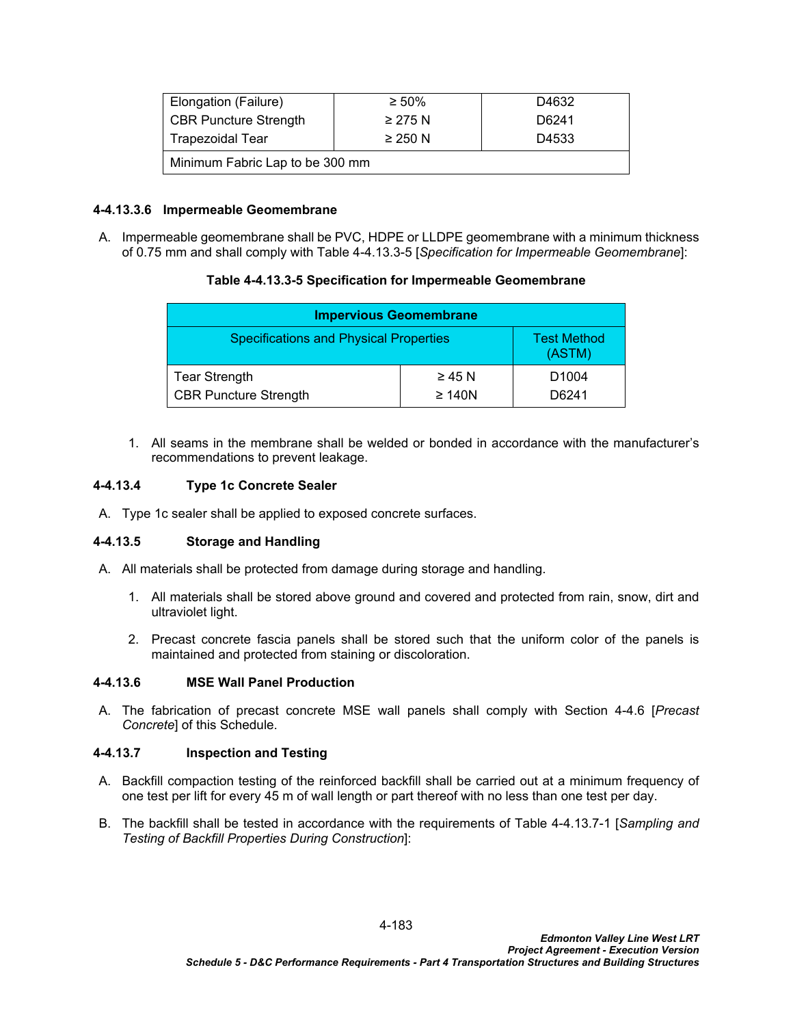| Elongation (Failure)            | $\geq 50\%$  | D4632 |
|---------------------------------|--------------|-------|
| <b>CBR Puncture Strength</b>    | $\geq$ 275 N | D6241 |
| Trapezoidal Tear                | $\geq$ 250 N | D4533 |
| Minimum Fabric Lap to be 300 mm |              |       |

### **4-4.13.3.6 Impermeable Geomembrane**

A. Impermeable geomembrane shall be PVC, HDPE or LLDPE geomembrane with a minimum thickness of 0.75 mm and shall comply with [Table 4-4.13.3-5](#page-186-0) [*Specification for Impermeable Geomembrane*]:

## <span id="page-186-0"></span>**Table 4-4.13.3-5 Specification for Impermeable Geomembrane**

| <b>Impervious Geomembrane</b>                 |                              |                   |  |
|-----------------------------------------------|------------------------------|-------------------|--|
| <b>Specifications and Physical Properties</b> | <b>Test Method</b><br>(ASTM) |                   |  |
| Tear Strength                                 | $\geq$ 45 N                  | D <sub>1004</sub> |  |
| <b>CBR Puncture Strength</b>                  | $\geq 140N$                  | D6241             |  |

1. All seams in the membrane shall be welded or bonded in accordance with the manufacturer's recommendations to prevent leakage.

## **4-4.13.4 Type 1c Concrete Sealer**

A. Type 1c sealer shall be applied to exposed concrete surfaces.

# **4-4.13.5 Storage and Handling**

- A. All materials shall be protected from damage during storage and handling.
	- 1. All materials shall be stored above ground and covered and protected from rain, snow, dirt and ultraviolet light.
	- 2. Precast concrete fascia panels shall be stored such that the uniform color of the panels is maintained and protected from staining or discoloration.

### **4-4.13.6 MSE Wall Panel Production**

A. The fabrication of precast concrete MSE wall panels shall comply with Section [4-4.6](#page-106-0) [*[Precast](#page-106-0)  [Concrete](#page-106-0)*] of this Schedule.

### **4-4.13.7 Inspection and Testing**

- A. Backfill compaction testing of the reinforced backfill shall be carried out at a minimum frequency of one test per lift for every 45 m of wall length or part thereof with no less than one test per day.
- B. The backfill shall be tested in accordance with the requirements of [Table 4-4.13.7-1](#page-187-0) [*Sampling and Testing of Backfill Properties During Construction*]: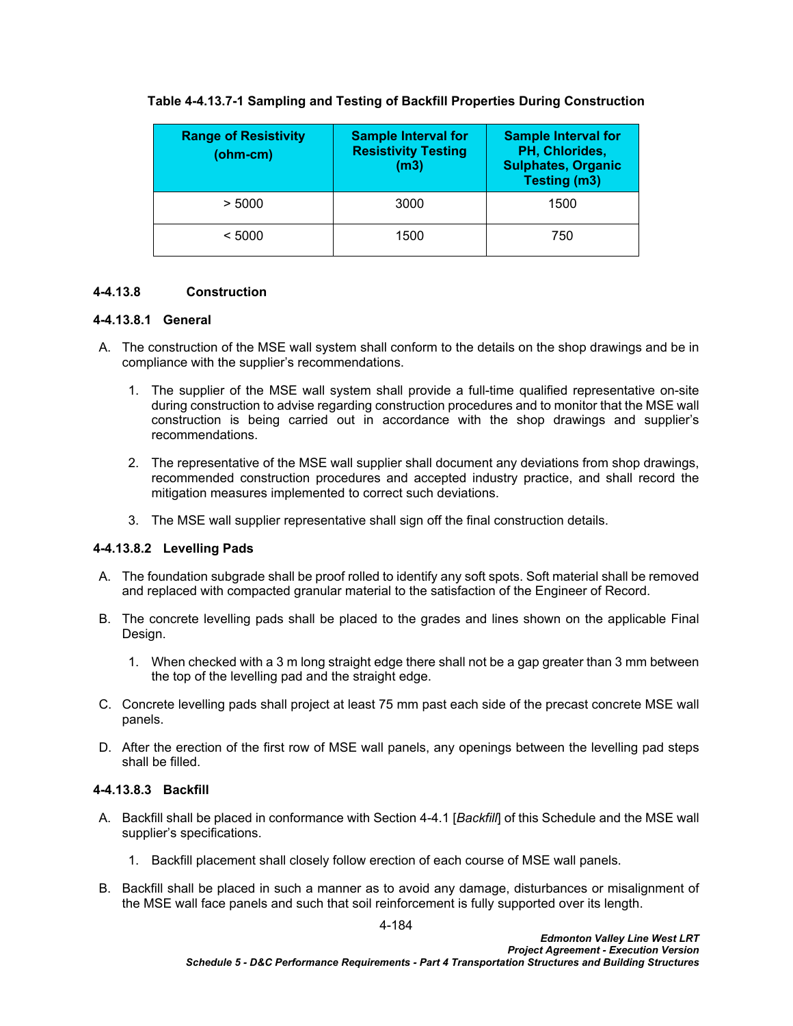| <b>Range of Resistivity</b><br>(ohm-cm) | <b>Sample Interval for</b><br><b>Resistivity Testing</b><br>(m3) | <b>Sample Interval for</b><br>PH, Chlorides,<br><b>Sulphates, Organic</b><br><b>Testing (m3)</b> |
|-----------------------------------------|------------------------------------------------------------------|--------------------------------------------------------------------------------------------------|
| > 5000                                  | 3000                                                             | 1500                                                                                             |
| < 5000                                  | 1500                                                             | 750                                                                                              |

# <span id="page-187-0"></span>**Table 4-4.13.7-1 Sampling and Testing of Backfill Properties During Construction**

# **4-4.13.8 Construction**

## **4-4.13.8.1 General**

- A. The construction of the MSE wall system shall conform to the details on the shop drawings and be in compliance with the supplier's recommendations.
	- 1. The supplier of the MSE wall system shall provide a full-time qualified representative on-site during construction to advise regarding construction procedures and to monitor that the MSE wall construction is being carried out in accordance with the shop drawings and supplier's recommendations.
	- 2. The representative of the MSE wall supplier shall document any deviations from shop drawings, recommended construction procedures and accepted industry practice, and shall record the mitigation measures implemented to correct such deviations.
	- 3. The MSE wall supplier representative shall sign off the final construction details.

# **4-4.13.8.2 Levelling Pads**

- A. The foundation subgrade shall be proof rolled to identify any soft spots. Soft material shall be removed and replaced with compacted granular material to the satisfaction of the Engineer of Record.
- B. The concrete levelling pads shall be placed to the grades and lines shown on the applicable Final Design.
	- 1. When checked with a 3 m long straight edge there shall not be a gap greater than 3 mm between the top of the levelling pad and the straight edge.
- C. Concrete levelling pads shall project at least 75 mm past each side of the precast concrete MSE wall panels.
- D. After the erection of the first row of MSE wall panels, any openings between the levelling pad steps shall be filled.

### **4-4.13.8.3 Backfill**

- A. Backfill shall be placed in conformance with Section [4-4.1](#page-59-0) [*[Backfill](#page-59-0)*] of this Schedule and the MSE wall supplier's specifications.
	- 1. Backfill placement shall closely follow erection of each course of MSE wall panels.
- B. Backfill shall be placed in such a manner as to avoid any damage, disturbances or misalignment of the MSE wall face panels and such that soil reinforcement is fully supported over its length.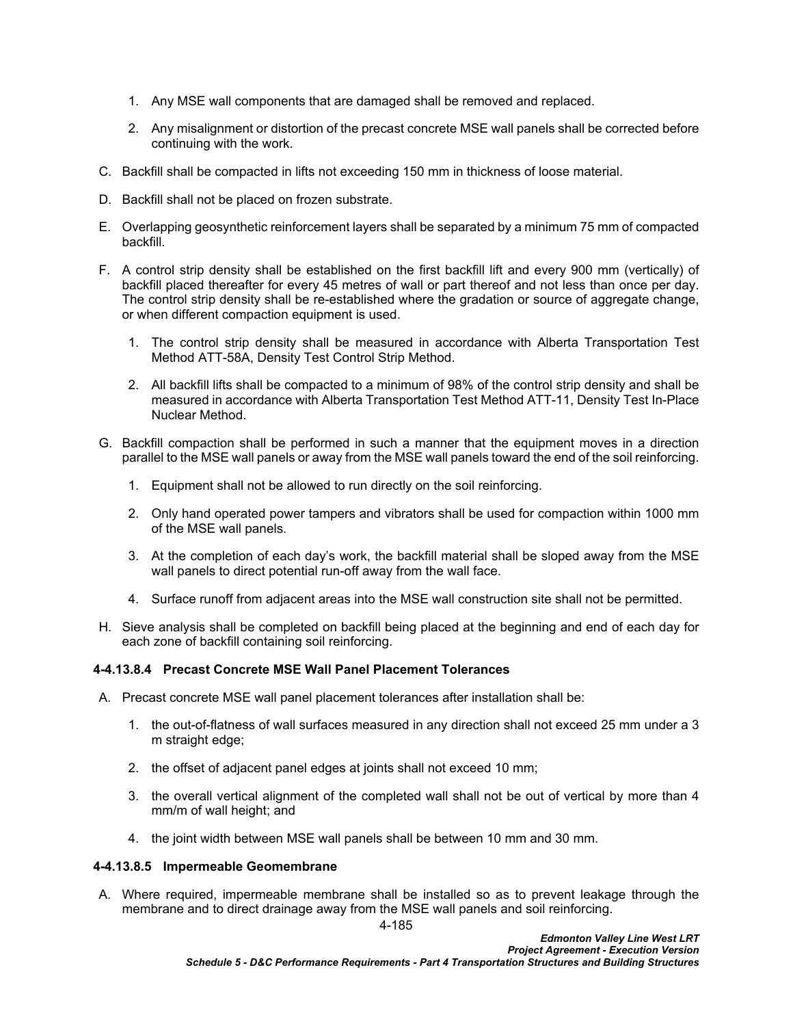- 1. Any MSE wall components that are damaged shall be removed and replaced.
- 2. Any misalignment or distortion of the precast concrete MSE wall panels shall be corrected before continuing with the work.
- C. Backfill shall be compacted in lifts not exceeding 150 mm in thickness of loose material.
- D. Backfill shall not be placed on frozen substrate.
- E. Overlapping geosynthetic reinforcement layers shall be separated by a minimum 75 mm of compacted backfill.
- F. A control strip density shall be established on the first backfill lift and every 900 mm (vertically) of backfill placed thereafter for every 45 metres of wall or part thereof and not less than once per day. The control strip density shall be re-established where the gradation or source of aggregate change, or when different compaction equipment is used.
	- 1. The control strip density shall be measured in accordance with Alberta Transportation Test Method ATT-58A, Density Test Control Strip Method.
	- 2. All backfill lifts shall be compacted to a minimum of 98% of the control strip density and shall be measured in accordance with Alberta Transportation Test Method ATT-11, Density Test In-Place Nuclear Method.
- G. Backfill compaction shall be performed in such a manner that the equipment moves in a direction parallel to the MSE wall panels or away from the MSE wall panels toward the end of the soil reinforcing.
	- 1. Equipment shall not be allowed to run directly on the soil reinforcing.
	- 2. Only hand operated power tampers and vibrators shall be used for compaction within 1000 mm of the MSE wall panels.
	- 3. At the completion of each day's work, the backfill material shall be sloped away from the MSE wall panels to direct potential run-off away from the wall face.
	- 4. Surface runoff from adjacent areas into the MSE wall construction site shall not be permitted.
- H. Sieve analysis shall be completed on backfill being placed at the beginning and end of each day for each zone of backfill containing soil reinforcing.

### **4-4.13.8.4 Precast Concrete MSE Wall Panel Placement Tolerances**

- A. Precast concrete MSE wall panel placement tolerances after installation shall be:
	- 1. the out-of-flatness of wall surfaces measured in any direction shall not exceed 25 mm under a 3 m straight edge;
	- 2. the offset of adjacent panel edges at joints shall not exceed 10 mm;
	- 3. the overall vertical alignment of the completed wall shall not be out of vertical by more than 4 mm/m of wall height; and
	- 4. the joint width between MSE wall panels shall be between 10 mm and 30 mm.

### **4-4.13.8.5 Impermeable Geomembrane**

A. Where required, impermeable membrane shall be installed so as to prevent leakage through the membrane and to direct drainage away from the MSE wall panels and soil reinforcing.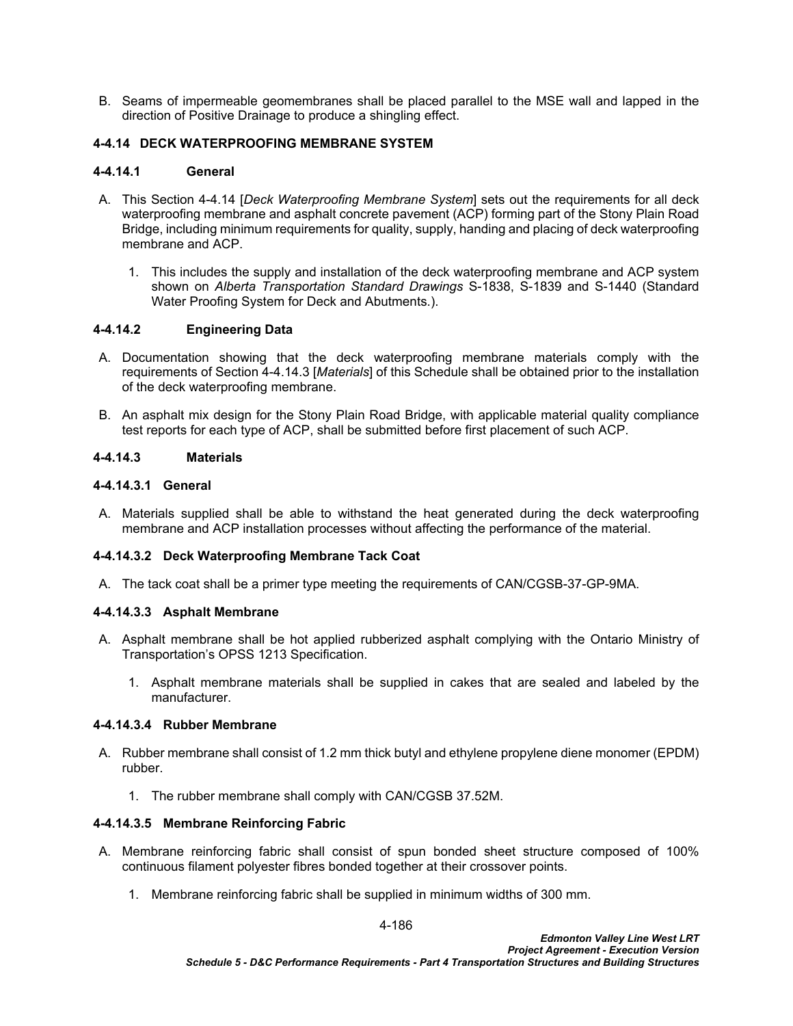B. Seams of impermeable geomembranes shall be placed parallel to the MSE wall and lapped in the direction of Positive Drainage to produce a shingling effect.

## <span id="page-189-0"></span>**4-4.14 DECK WATERPROOFING MEMBRANE SYSTEM**

### **4-4.14.1 General**

- A. This Section [4-4.14](#page-189-0) [*[Deck Waterproofing Membrane System](#page-189-0)*] sets out the requirements for all deck waterproofing membrane and asphalt concrete pavement (ACP) forming part of the Stony Plain Road Bridge, including minimum requirements for quality, supply, handing and placing of deck waterproofing membrane and ACP.
	- 1. This includes the supply and installation of the deck waterproofing membrane and ACP system shown on *Alberta Transportation Standard Drawings* S-1838, S-1839 and S-1440 (Standard Water Proofing System for Deck and Abutments.).

### **4-4.14.2 Engineering Data**

- A. Documentation showing that the deck waterproofing membrane materials comply with the requirements of Section [4-4.14.3](#page-189-1) [*[Materials](#page-189-1)*] of this Schedule shall be obtained prior to the installation of the deck waterproofing membrane.
- B. An asphalt mix design for the Stony Plain Road Bridge, with applicable material quality compliance test reports for each type of ACP, shall be submitted before first placement of such ACP.

### <span id="page-189-1"></span>**4-4.14.3 Materials**

## **4-4.14.3.1 General**

A. Materials supplied shall be able to withstand the heat generated during the deck waterproofing membrane and ACP installation processes without affecting the performance of the material.

### **4-4.14.3.2 Deck Waterproofing Membrane Tack Coat**

A. The tack coat shall be a primer type meeting the requirements of CAN/CGSB-37-GP-9MA.

### **4-4.14.3.3 Asphalt Membrane**

- A. Asphalt membrane shall be hot applied rubberized asphalt complying with the Ontario Ministry of Transportation's OPSS 1213 Specification.
	- 1. Asphalt membrane materials shall be supplied in cakes that are sealed and labeled by the manufacturer.

### **4-4.14.3.4 Rubber Membrane**

- A. Rubber membrane shall consist of 1.2 mm thick butyl and ethylene propylene diene monomer (EPDM) rubber.
	- 1. The rubber membrane shall comply with CAN/CGSB 37.52M.

### **4-4.14.3.5 Membrane Reinforcing Fabric**

- A. Membrane reinforcing fabric shall consist of spun bonded sheet structure composed of 100% continuous filament polyester fibres bonded together at their crossover points.
	- 1. Membrane reinforcing fabric shall be supplied in minimum widths of 300 mm.

4-186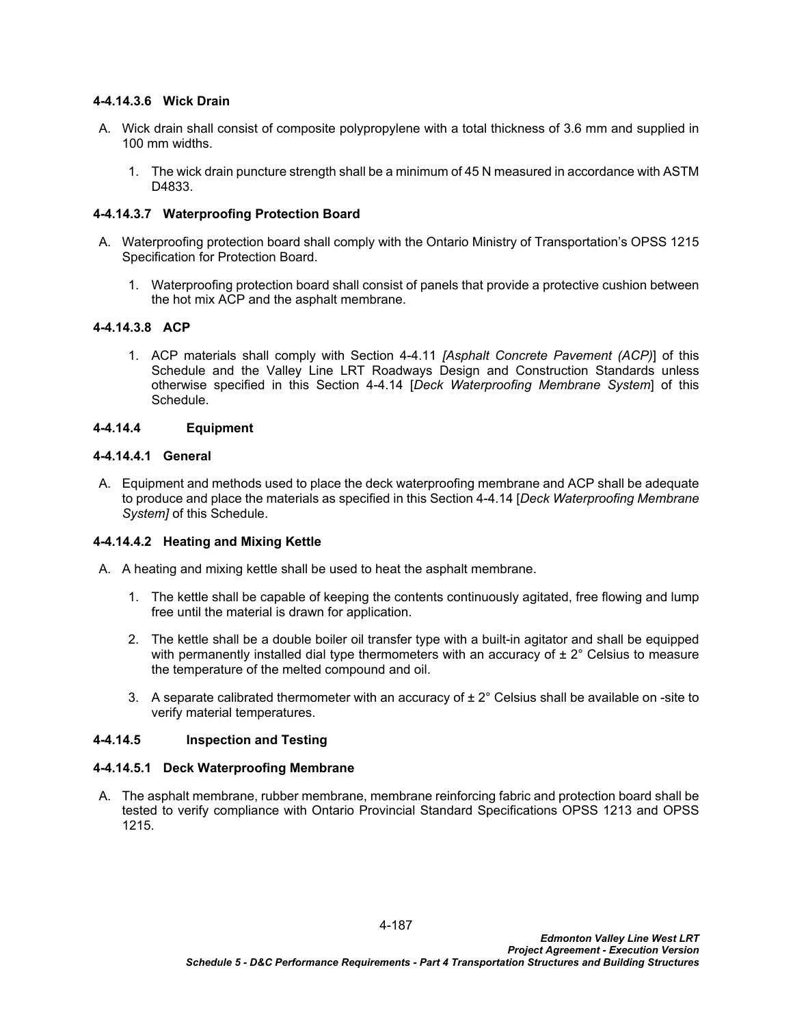### **4-4.14.3.6 Wick Drain**

- A. Wick drain shall consist of composite polypropylene with a total thickness of 3.6 mm and supplied in 100 mm widths.
	- 1. The wick drain puncture strength shall be a minimum of 45 N measured in accordance with ASTM D4833.

### **4-4.14.3.7 Waterproofing Protection Board**

- A. Waterproofing protection board shall comply with the Ontario Ministry of Transportation's OPSS 1215 Specification for Protection Board.
	- 1. Waterproofing protection board shall consist of panels that provide a protective cushion between the hot mix ACP and the asphalt membrane.

## **4-4.14.3.8 ACP**

1. ACP materials shall comply with Section [4-4.11](#page-166-0) *[\[Asphalt Concrete Pavement \(ACP\)](#page-166-0)*] of this Schedule and the Valley Line LRT Roadways Design and Construction Standards unless otherwise specified in this Section [4-4.14](#page-189-0) [*[Deck Waterproofing Membrane System](#page-189-0)*] of this Schedule.

### **4-4.14.4 Equipment**

### **4-4.14.4.1 General**

A. Equipment and methods used to place the deck waterproofing membrane and ACP shall be adequate to produce and place the materials as specified in this Section [4-4.14](#page-189-0) [*[Deck Waterproofing Membrane](#page-189-0)  [System\]](#page-189-0)* of this Schedule.

### **4-4.14.4.2 Heating and Mixing Kettle**

- A. A heating and mixing kettle shall be used to heat the asphalt membrane.
	- 1. The kettle shall be capable of keeping the contents continuously agitated, free flowing and lump free until the material is drawn for application.
	- 2. The kettle shall be a double boiler oil transfer type with a built-in agitator and shall be equipped with permanently installed dial type thermometers with an accuracy of  $\pm 2^{\circ}$  Celsius to measure the temperature of the melted compound and oil.
	- 3. A separate calibrated thermometer with an accuracy of  $\pm 2^{\circ}$  Celsius shall be available on -site to verify material temperatures.

### **4-4.14.5 Inspection and Testing**

#### **4-4.14.5.1 Deck Waterproofing Membrane**

A. The asphalt membrane, rubber membrane, membrane reinforcing fabric and protection board shall be tested to verify compliance with Ontario Provincial Standard Specifications OPSS 1213 and OPSS 1215.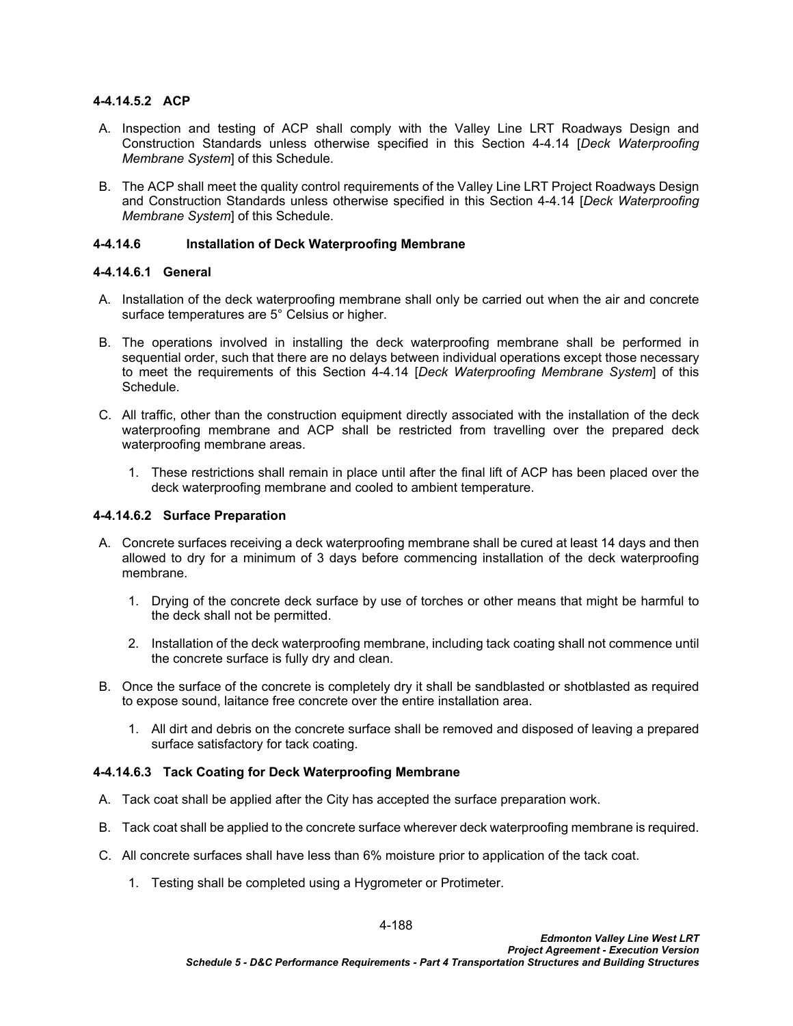### **4-4.14.5.2 ACP**

- A. Inspection and testing of ACP shall comply with the Valley Line LRT Roadways Design and Construction Standards unless otherwise specified in this Section [4-4.14](#page-189-0) [*[Deck Waterproofing](#page-189-0)  [Membrane System](#page-189-0)*] of this Schedule.
- B. The ACP shall meet the quality control requirements of the Valley Line LRT Project Roadways Design and Construction Standards unless otherwise specified in this Section [4-4.14](#page-189-0) [*[Deck Waterproofing](#page-189-0)  [Membrane System](#page-189-0)*] of this Schedule.

## **4-4.14.6 Installation of Deck Waterproofing Membrane**

## **4-4.14.6.1 General**

- A. Installation of the deck waterproofing membrane shall only be carried out when the air and concrete surface temperatures are 5° Celsius or higher.
- B. The operations involved in installing the deck waterproofing membrane shall be performed in sequential order, such that there are no delays between individual operations except those necessary to meet the requirements of this Section [4-4.14](#page-189-0) [*[Deck Waterproofing Membrane System](#page-189-0)*] of this Schedule.
- C. All traffic, other than the construction equipment directly associated with the installation of the deck waterproofing membrane and ACP shall be restricted from travelling over the prepared deck waterproofing membrane areas.
	- 1. These restrictions shall remain in place until after the final lift of ACP has been placed over the deck waterproofing membrane and cooled to ambient temperature.

### **4-4.14.6.2 Surface Preparation**

- A. Concrete surfaces receiving a deck waterproofing membrane shall be cured at least 14 days and then allowed to dry for a minimum of 3 days before commencing installation of the deck waterproofing membrane.
	- 1. Drying of the concrete deck surface by use of torches or other means that might be harmful to the deck shall not be permitted.
	- 2. Installation of the deck waterproofing membrane, including tack coating shall not commence until the concrete surface is fully dry and clean.
- B. Once the surface of the concrete is completely dry it shall be sandblasted or shotblasted as required to expose sound, laitance free concrete over the entire installation area.
	- 1. All dirt and debris on the concrete surface shall be removed and disposed of leaving a prepared surface satisfactory for tack coating.

### **4-4.14.6.3 Tack Coating for Deck Waterproofing Membrane**

- A. Tack coat shall be applied after the City has accepted the surface preparation work.
- B. Tack coat shall be applied to the concrete surface wherever deck waterproofing membrane is required.
- C. All concrete surfaces shall have less than 6% moisture prior to application of the tack coat.
	- 1. Testing shall be completed using a Hygrometer or Protimeter.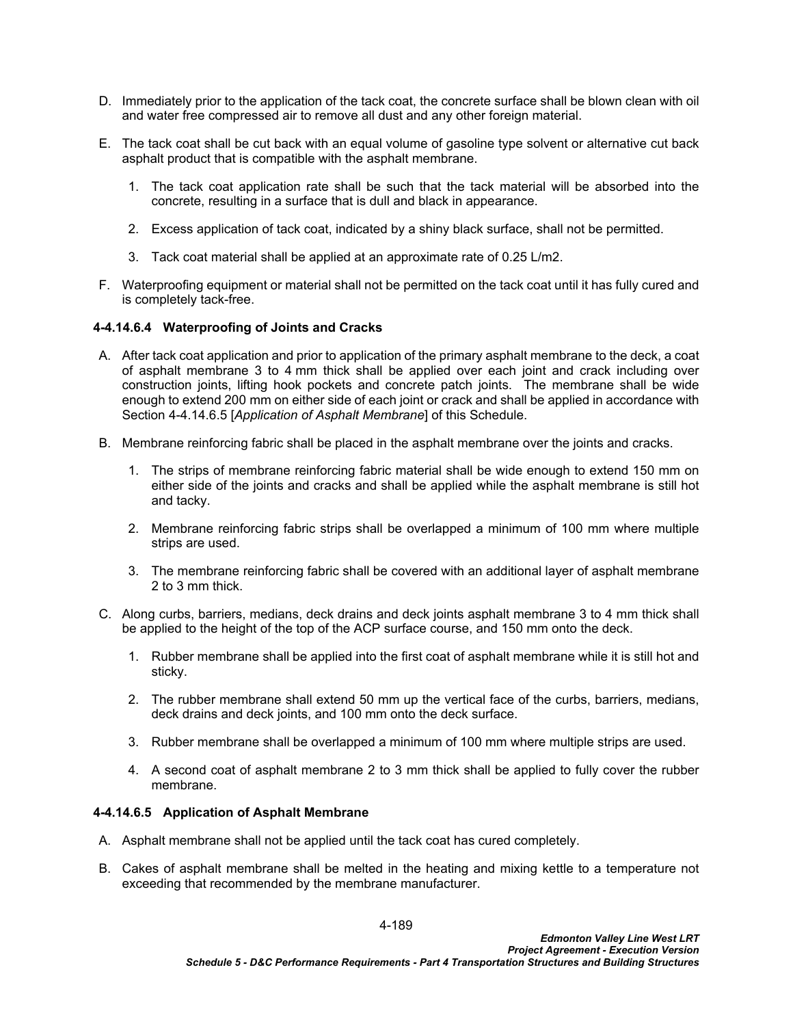- D. Immediately prior to the application of the tack coat, the concrete surface shall be blown clean with oil and water free compressed air to remove all dust and any other foreign material.
- E. The tack coat shall be cut back with an equal volume of gasoline type solvent or alternative cut back asphalt product that is compatible with the asphalt membrane.
	- 1. The tack coat application rate shall be such that the tack material will be absorbed into the concrete, resulting in a surface that is dull and black in appearance.
	- 2. Excess application of tack coat, indicated by a shiny black surface, shall not be permitted.
	- 3. Tack coat material shall be applied at an approximate rate of 0.25 L/m2.
- F. Waterproofing equipment or material shall not be permitted on the tack coat until it has fully cured and is completely tack-free.

## **4-4.14.6.4 Waterproofing of Joints and Cracks**

- A. After tack coat application and prior to application of the primary asphalt membrane to the deck, a coat of asphalt membrane 3 to 4 mm thick shall be applied over each joint and crack including over construction joints, lifting hook pockets and concrete patch joints. The membrane shall be wide enough to extend 200 mm on either side of each joint or crack and shall be applied in accordance with Section [4-4.14.6.5](#page-192-0) [*[Application of Asphalt Membrane](#page-192-0)*] of this Schedule.
- B. Membrane reinforcing fabric shall be placed in the asphalt membrane over the joints and cracks.
	- 1. The strips of membrane reinforcing fabric material shall be wide enough to extend 150 mm on either side of the joints and cracks and shall be applied while the asphalt membrane is still hot and tacky.
	- 2. Membrane reinforcing fabric strips shall be overlapped a minimum of 100 mm where multiple strips are used.
	- 3. The membrane reinforcing fabric shall be covered with an additional layer of asphalt membrane 2 to 3 mm thick.
- C. Along curbs, barriers, medians, deck drains and deck joints asphalt membrane 3 to 4 mm thick shall be applied to the height of the top of the ACP surface course, and 150 mm onto the deck.
	- 1. Rubber membrane shall be applied into the first coat of asphalt membrane while it is still hot and sticky.
	- 2. The rubber membrane shall extend 50 mm up the vertical face of the curbs, barriers, medians, deck drains and deck joints, and 100 mm onto the deck surface.
	- 3. Rubber membrane shall be overlapped a minimum of 100 mm where multiple strips are used.
	- 4. A second coat of asphalt membrane 2 to 3 mm thick shall be applied to fully cover the rubber membrane.

### <span id="page-192-0"></span>**4-4.14.6.5 Application of Asphalt Membrane**

- A. Asphalt membrane shall not be applied until the tack coat has cured completely.
- B. Cakes of asphalt membrane shall be melted in the heating and mixing kettle to a temperature not exceeding that recommended by the membrane manufacturer.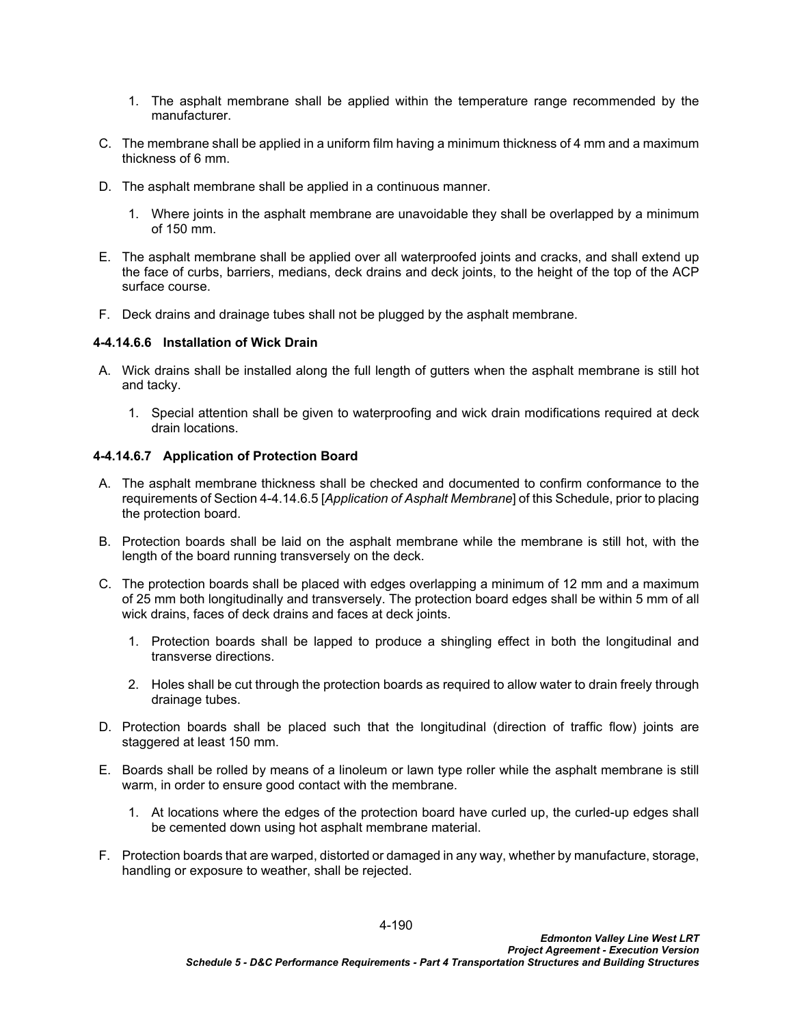- 1. The asphalt membrane shall be applied within the temperature range recommended by the manufacturer.
- C. The membrane shall be applied in a uniform film having a minimum thickness of 4 mm and a maximum thickness of 6 mm.
- D. The asphalt membrane shall be applied in a continuous manner.
	- 1. Where joints in the asphalt membrane are unavoidable they shall be overlapped by a minimum of 150 mm.
- E. The asphalt membrane shall be applied over all waterproofed joints and cracks, and shall extend up the face of curbs, barriers, medians, deck drains and deck joints, to the height of the top of the ACP surface course.
- F. Deck drains and drainage tubes shall not be plugged by the asphalt membrane.

## **4-4.14.6.6 Installation of Wick Drain**

- A. Wick drains shall be installed along the full length of gutters when the asphalt membrane is still hot and tacky.
	- 1. Special attention shall be given to waterproofing and wick drain modifications required at deck drain locations.

# **4-4.14.6.7 Application of Protection Board**

- A. The asphalt membrane thickness shall be checked and documented to confirm conformance to the requirements of Section [4-4.14.6.5](#page-192-0) [*[Application of Asphalt Membrane](#page-192-0)*] of this Schedule, prior to placing the protection board.
- B. Protection boards shall be laid on the asphalt membrane while the membrane is still hot, with the length of the board running transversely on the deck.
- C. The protection boards shall be placed with edges overlapping a minimum of 12 mm and a maximum of 25 mm both longitudinally and transversely. The protection board edges shall be within 5 mm of all wick drains, faces of deck drains and faces at deck joints.
	- 1. Protection boards shall be lapped to produce a shingling effect in both the longitudinal and transverse directions.
	- 2. Holes shall be cut through the protection boards as required to allow water to drain freely through drainage tubes.
- D. Protection boards shall be placed such that the longitudinal (direction of traffic flow) joints are staggered at least 150 mm.
- E. Boards shall be rolled by means of a linoleum or lawn type roller while the asphalt membrane is still warm, in order to ensure good contact with the membrane.
	- 1. At locations where the edges of the protection board have curled up, the curled-up edges shall be cemented down using hot asphalt membrane material.
- F. Protection boards that are warped, distorted or damaged in any way, whether by manufacture, storage, handling or exposure to weather, shall be rejected.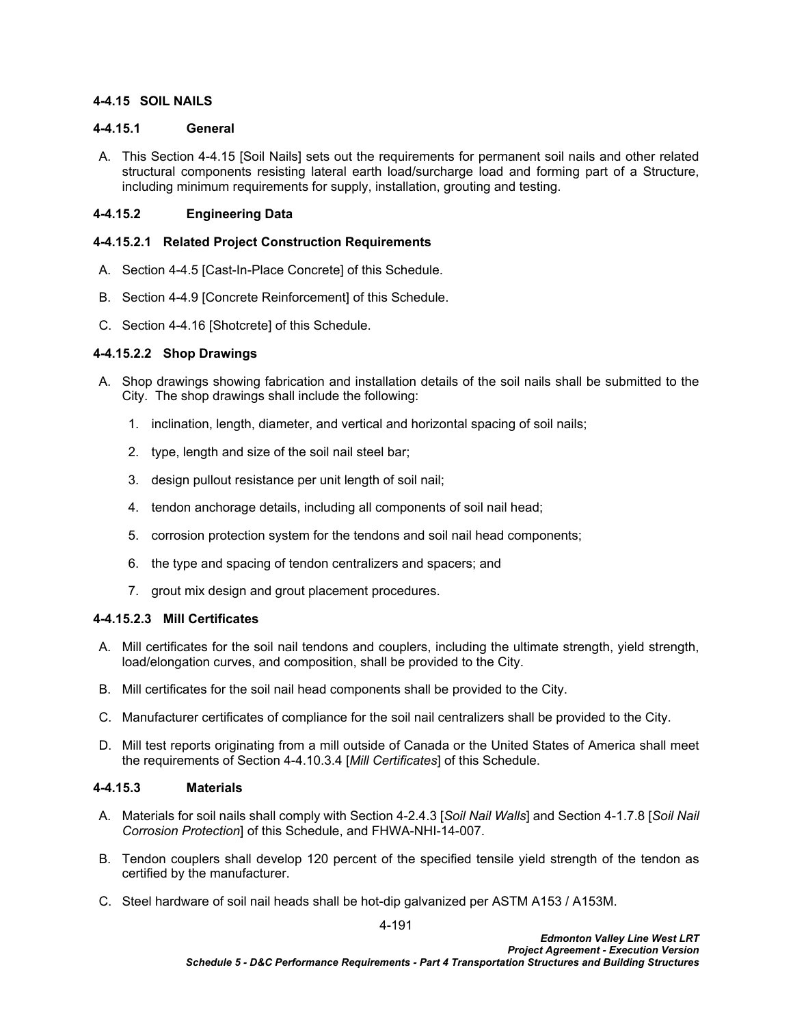## <span id="page-194-0"></span>**4-4.15 SOIL NAILS**

### **4-4.15.1 General**

A. This Section [4-4.15](#page-194-0) [[Soil Nails](#page-194-0)] sets out the requirements for permanent soil nails and other related structural components resisting lateral earth load/surcharge load and forming part of a Structure, including minimum requirements for supply, installation, grouting and testing.

## **4-4.15.2 Engineering Data**

### **4-4.15.2.1 Related Project Construction Requirements**

- A. Section [4-4.5](#page-75-0) [[Cast-In-Place Concrete\]](#page-75-0) of this Schedule.
- B. Section [4-4.9](#page-139-0) [Concrete Reinforcement] of this Schedule.
- C. Section [4-4.16 \[Shotcrete](#page-196-0)] of this Schedule.

## **4-4.15.2.2 Shop Drawings**

- A. Shop drawings showing fabrication and installation details of the soil nails shall be submitted to the City. The shop drawings shall include the following:
	- 1. inclination, length, diameter, and vertical and horizontal spacing of soil nails;
	- 2. type, length and size of the soil nail steel bar;
	- 3. design pullout resistance per unit length of soil nail;
	- 4. tendon anchorage details, including all components of soil nail head;
	- 5. corrosion protection system for the tendons and soil nail head components;
	- 6. the type and spacing of tendon centralizers and spacers; and
	- 7. grout mix design and grout placement procedures.

### **4-4.15.2.3 Mill Certificates**

- A. Mill certificates for the soil nail tendons and couplers, including the ultimate strength, yield strength, load/elongation curves, and composition, shall be provided to the City.
- B. Mill certificates for the soil nail head components shall be provided to the City.
- C. Manufacturer certificates of compliance for the soil nail centralizers shall be provided to the City.
- D. Mill test reports originating from a mill outside of Canada or the United States of America shall meet the requirements of Section [4-4.10.3.4](#page-145-0) [*[Mill Certificates](#page-145-0)*] of this Schedule.

### **4-4.15.3 Materials**

- A. Materials for soil nails shall comply with Section [4-2.4.3](#page-32-0) [*[Soil Nail Walls](#page-32-0)*] and Section [4-1.7.8](#page-19-0) [*[Soil Nail](#page-19-0)  [Corrosion Protection](#page-19-0)*] of this Schedule, and FHWA-NHI-14-007.
- B. Tendon couplers shall develop 120 percent of the specified tensile yield strength of the tendon as certified by the manufacturer.
- C. Steel hardware of soil nail heads shall be hot-dip galvanized per ASTM A153 / A153M.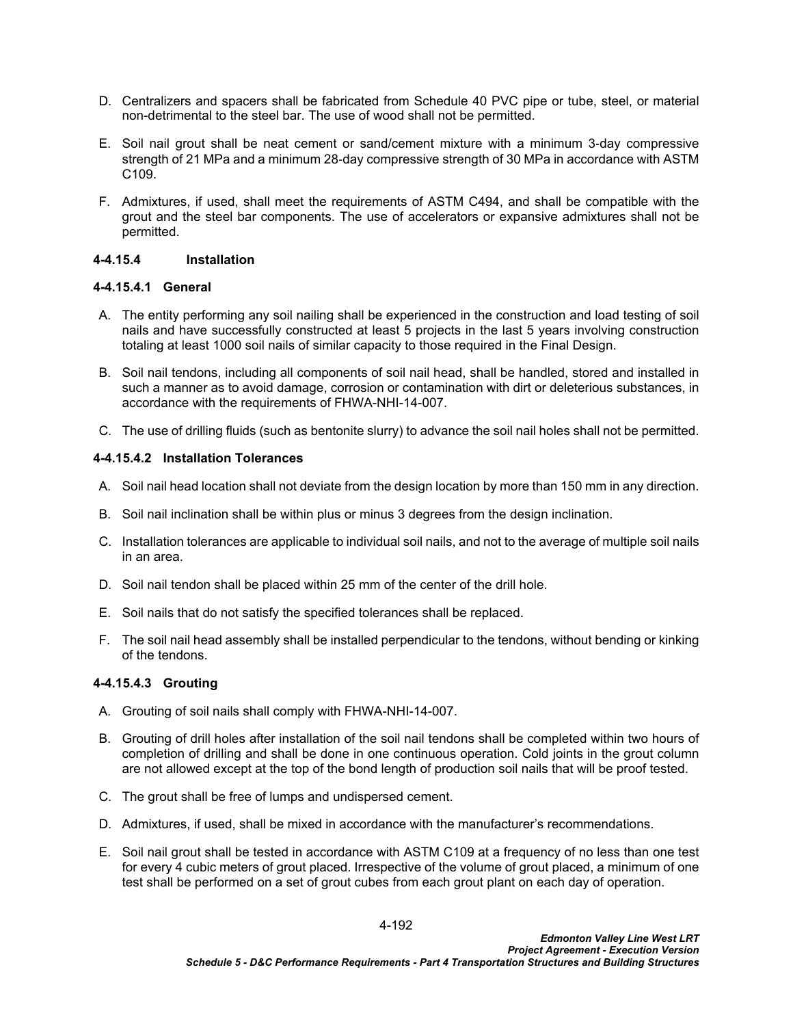- D. Centralizers and spacers shall be fabricated from Schedule 40 PVC pipe or tube, steel, or material non-detrimental to the steel bar. The use of wood shall not be permitted.
- E. Soil nail grout shall be neat cement or sand/cement mixture with a minimum 3‐day compressive strength of 21 MPa and a minimum 28‐day compressive strength of 30 MPa in accordance with ASTM C109.
- F. Admixtures, if used, shall meet the requirements of ASTM C494, and shall be compatible with the grout and the steel bar components. The use of accelerators or expansive admixtures shall not be permitted.

## **4-4.15.4 Installation**

## **4-4.15.4.1 General**

- A. The entity performing any soil nailing shall be experienced in the construction and load testing of soil nails and have successfully constructed at least 5 projects in the last 5 years involving construction totaling at least 1000 soil nails of similar capacity to those required in the Final Design.
- B. Soil nail tendons, including all components of soil nail head, shall be handled, stored and installed in such a manner as to avoid damage, corrosion or contamination with dirt or deleterious substances, in accordance with the requirements of FHWA-NHI-14-007.
- C. The use of drilling fluids (such as bentonite slurry) to advance the soil nail holes shall not be permitted.

## **4-4.15.4.2 Installation Tolerances**

- A. Soil nail head location shall not deviate from the design location by more than 150 mm in any direction.
- B. Soil nail inclination shall be within plus or minus 3 degrees from the design inclination.
- C. Installation tolerances are applicable to individual soil nails, and not to the average of multiple soil nails in an area.
- D. Soil nail tendon shall be placed within 25 mm of the center of the drill hole.
- E. Soil nails that do not satisfy the specified tolerances shall be replaced.
- F. The soil nail head assembly shall be installed perpendicular to the tendons, without bending or kinking of the tendons.

# **4-4.15.4.3 Grouting**

- A. Grouting of soil nails shall comply with FHWA-NHI-14-007.
- B. Grouting of drill holes after installation of the soil nail tendons shall be completed within two hours of completion of drilling and shall be done in one continuous operation. Cold joints in the grout column are not allowed except at the top of the bond length of production soil nails that will be proof tested.
- C. The grout shall be free of lumps and undispersed cement.
- D. Admixtures, if used, shall be mixed in accordance with the manufacturer's recommendations.
- E. Soil nail grout shall be tested in accordance with ASTM C109 at a frequency of no less than one test for every 4 cubic meters of grout placed. Irrespective of the volume of grout placed, a minimum of one test shall be performed on a set of grout cubes from each grout plant on each day of operation.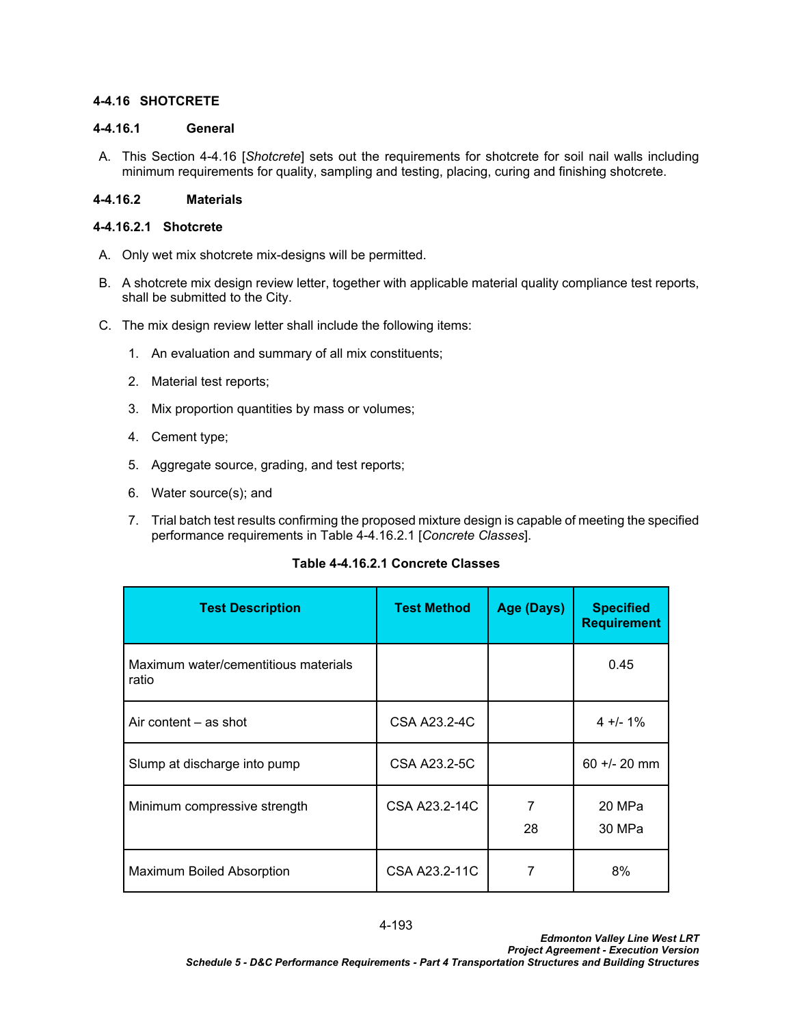### <span id="page-196-0"></span>**4-4.16 SHOTCRETE**

### **4-4.16.1 General**

A. This Section [4-4.16](#page-196-0) [*[Shotcrete](#page-196-0)*] sets out the requirements for shotcrete for soil nail walls including minimum requirements for quality, sampling and testing, placing, curing and finishing shotcrete.

# **4-4.16.2 Materials**

## **4-4.16.2.1 Shotcrete**

- A. Only wet mix shotcrete mix-designs will be permitted.
- B. A shotcrete mix design review letter, together with applicable material quality compliance test reports, shall be submitted to the City.
- C. The mix design review letter shall include the following items:
	- 1. An evaluation and summary of all mix constituents;
	- 2. Material test reports;
	- 3. Mix proportion quantities by mass or volumes;
	- 4. Cement type;
	- 5. Aggregate source, grading, and test reports;
	- 6. Water source(s); and
	- 7. Trial batch test results confirming the proposed mixture design is capable of meeting the specified performance requirements in [Table 4-4.16.2.1](#page-196-1) [*Concrete Classes*].

<span id="page-196-1"></span>

| Table 4-4.16.2.1 Concrete Classes |  |  |
|-----------------------------------|--|--|
|-----------------------------------|--|--|

| <b>Test Description</b>                       | <b>Test Method</b> | Age (Days) | <b>Specified</b><br><b>Requirement</b> |
|-----------------------------------------------|--------------------|------------|----------------------------------------|
| Maximum water/cementitious materials<br>ratio |                    |            | 0.45                                   |
| Air content – as shot                         | CSA A23.2-4C       |            | $4 + 1$ 1%                             |
| Slump at discharge into pump                  | CSA A23.2-5C       |            | $60 + (-20)$ mm                        |
| Minimum compressive strength                  | CSA A23.2-14C      | 7<br>28    | 20 MPa<br>30 MPa                       |
| <b>Maximum Boiled Absorption</b>              | CSA A23.2-11C      |            | 8%                                     |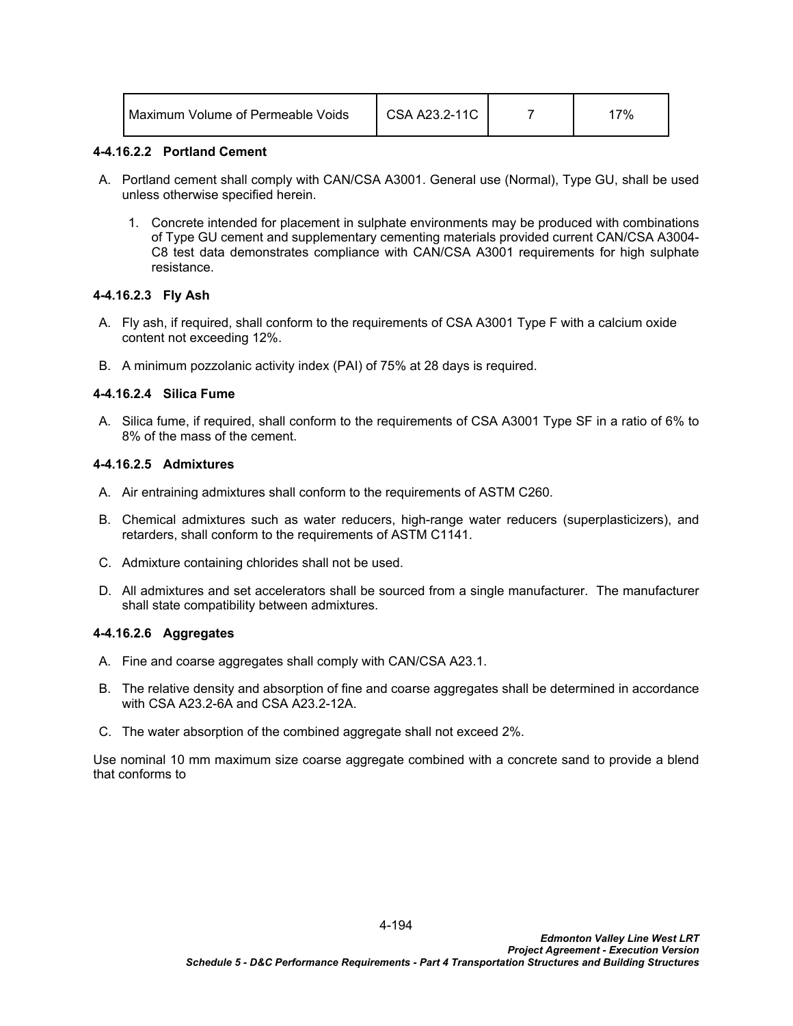| l Maximum Volume of Permeable Voids. | CSA A23.2-11C |  | 7% |
|--------------------------------------|---------------|--|----|
|--------------------------------------|---------------|--|----|

#### **4-4.16.2.2 Portland Cement**

- A. Portland cement shall comply with CAN/CSA A3001. General use (Normal), Type GU, shall be used unless otherwise specified herein.
	- 1. Concrete intended for placement in sulphate environments may be produced with combinations of Type GU cement and supplementary cementing materials provided current CAN/CSA A3004- C8 test data demonstrates compliance with CAN/CSA A3001 requirements for high sulphate resistance.

### **4-4.16.2.3 Fly Ash**

- A. Fly ash, if required, shall conform to the requirements of CSA A3001 Type F with a calcium oxide content not exceeding 12%.
- B. A minimum pozzolanic activity index (PAI) of 75% at 28 days is required.

#### **4-4.16.2.4 Silica Fume**

A. Silica fume, if required, shall conform to the requirements of CSA A3001 Type SF in a ratio of 6% to 8% of the mass of the cement.

# **4-4.16.2.5 Admixtures**

- A. Air entraining admixtures shall conform to the requirements of ASTM C260.
- B. Chemical admixtures such as water reducers, high-range water reducers (superplasticizers), and retarders, shall conform to the requirements of ASTM C1141.
- C. Admixture containing chlorides shall not be used.
- D. All admixtures and set accelerators shall be sourced from a single manufacturer. The manufacturer shall state compatibility between admixtures.

### **4-4.16.2.6 Aggregates**

- A. Fine and coarse aggregates shall comply with CAN/CSA A23.1.
- B. The relative density and absorption of fine and coarse aggregates shall be determined in accordance with CSA A23.2-6A and CSA A23.2-12A.
- C. The water absorption of the combined aggregate shall not exceed 2%.

Use nominal 10 mm maximum size coarse aggregate combined with a concrete sand to provide a blend that conforms to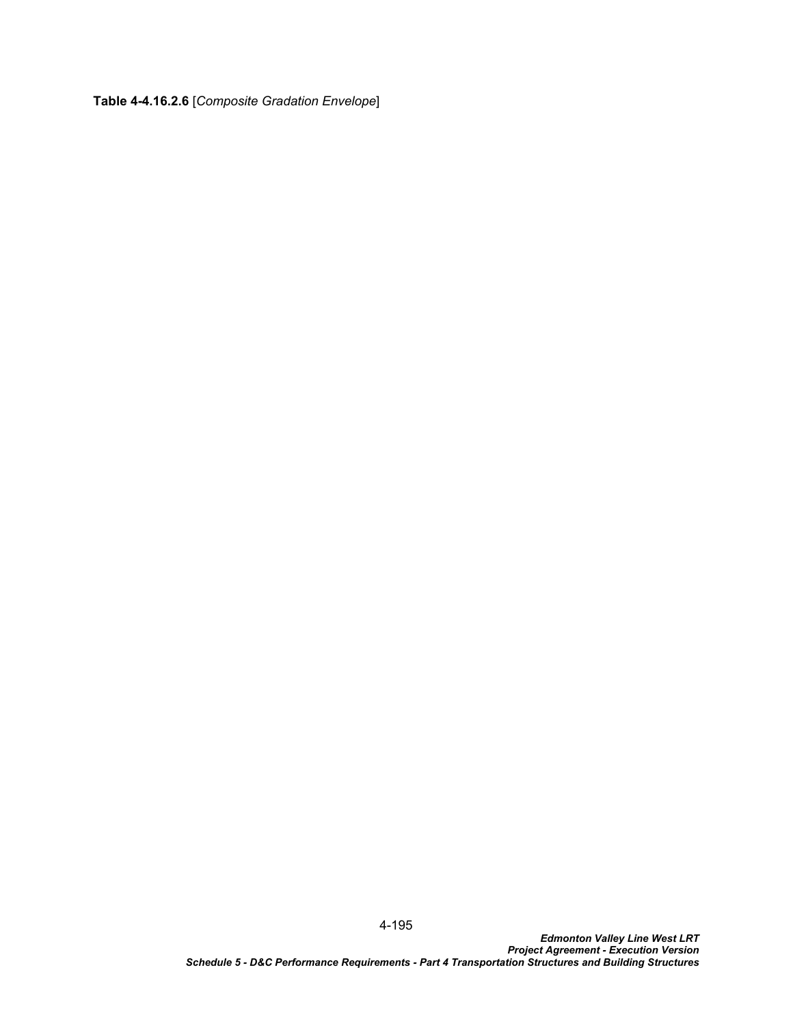<span id="page-198-0"></span>**[Table 4-4.16.2.](#page-198-0)6** [*Composite Gradation Envelope*]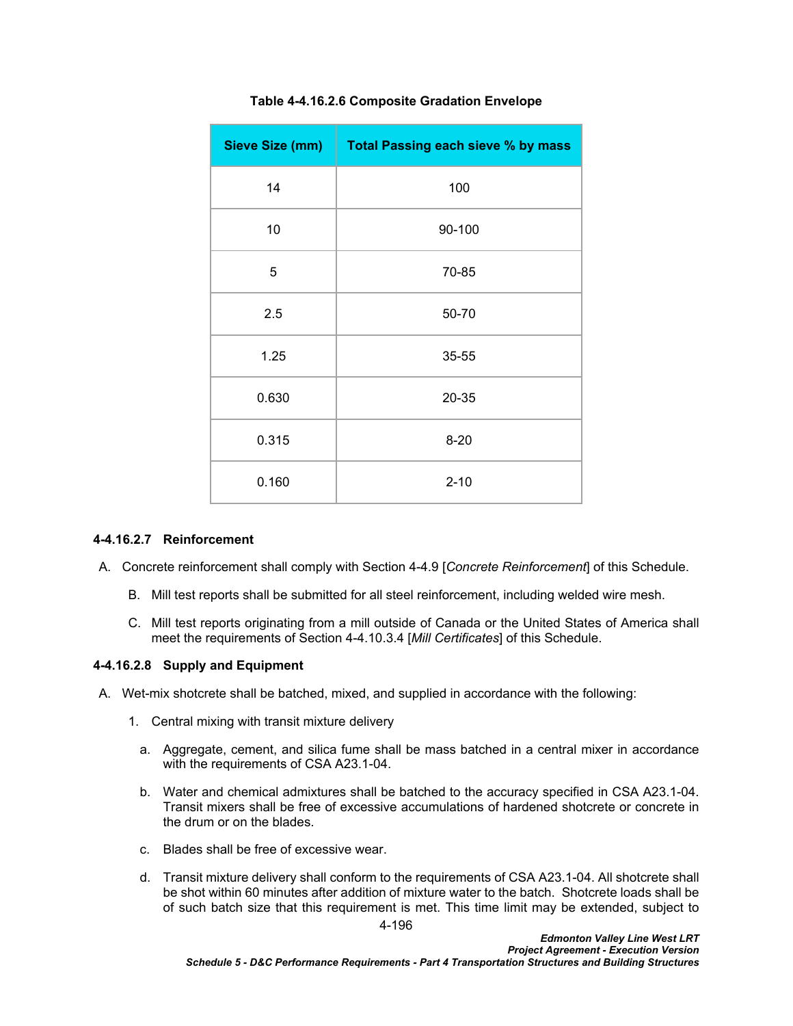| <b>Sieve Size (mm)</b> | Total Passing each sieve % by mass |
|------------------------|------------------------------------|
| 14                     | 100                                |
| 10                     | 90-100                             |
| 5                      | 70-85                              |
| 2.5                    | 50-70                              |
| 1.25                   | 35-55                              |
| 0.630                  | 20-35                              |
| 0.315                  | $8 - 20$                           |
| 0.160                  | $2 - 10$                           |

### **Table 4-4.16.2.6 Composite Gradation Envelope**

#### **4-4.16.2.7 Reinforcement**

- A. Concrete reinforcement shall comply with Section [4-4.9](#page-139-0) [*[Concrete Reinforcement](#page-139-0)*] of this Schedule.
	- B. Mill test reports shall be submitted for all steel reinforcement, including welded wire mesh.
	- C. Mill test reports originating from a mill outside of Canada or the United States of America shall meet the requirements of Section [4-4.10.3.4](#page-145-0) [*[Mill Certificates](#page-145-0)*] of this Schedule.

#### **4-4.16.2.8 Supply and Equipment**

- A. Wet-mix shotcrete shall be batched, mixed, and supplied in accordance with the following:
	- 1. Central mixing with transit mixture delivery
		- a. Aggregate, cement, and silica fume shall be mass batched in a central mixer in accordance with the requirements of CSA A23.1-04.
		- b. Water and chemical admixtures shall be batched to the accuracy specified in CSA A23.1-04. Transit mixers shall be free of excessive accumulations of hardened shotcrete or concrete in the drum or on the blades.
		- c. Blades shall be free of excessive wear.
		- d. Transit mixture delivery shall conform to the requirements of CSA A23.1-04. All shotcrete shall be shot within 60 minutes after addition of mixture water to the batch. Shotcrete loads shall be of such batch size that this requirement is met. This time limit may be extended, subject to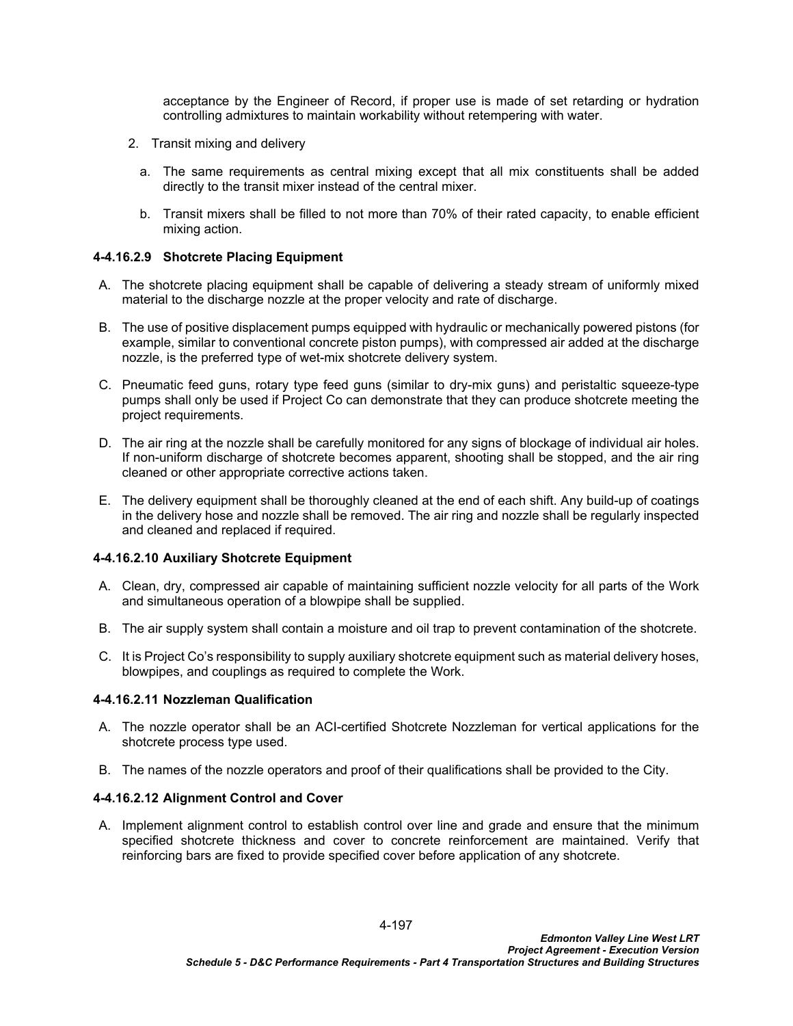acceptance by the Engineer of Record, if proper use is made of set retarding or hydration controlling admixtures to maintain workability without retempering with water.

- 2. Transit mixing and delivery
	- a. The same requirements as central mixing except that all mix constituents shall be added directly to the transit mixer instead of the central mixer.
	- b. Transit mixers shall be filled to not more than 70% of their rated capacity, to enable efficient mixing action.

### **4-4.16.2.9 Shotcrete Placing Equipment**

- A. The shotcrete placing equipment shall be capable of delivering a steady stream of uniformly mixed material to the discharge nozzle at the proper velocity and rate of discharge.
- B. The use of positive displacement pumps equipped with hydraulic or mechanically powered pistons (for example, similar to conventional concrete piston pumps), with compressed air added at the discharge nozzle, is the preferred type of wet-mix shotcrete delivery system.
- C. Pneumatic feed guns, rotary type feed guns (similar to dry-mix guns) and peristaltic squeeze-type pumps shall only be used if Project Co can demonstrate that they can produce shotcrete meeting the project requirements.
- D. The air ring at the nozzle shall be carefully monitored for any signs of blockage of individual air holes. If non-uniform discharge of shotcrete becomes apparent, shooting shall be stopped, and the air ring cleaned or other appropriate corrective actions taken.
- E. The delivery equipment shall be thoroughly cleaned at the end of each shift. Any build-up of coatings in the delivery hose and nozzle shall be removed. The air ring and nozzle shall be regularly inspected and cleaned and replaced if required.

### **4-4.16.2.10 Auxiliary Shotcrete Equipment**

- A. Clean, dry, compressed air capable of maintaining sufficient nozzle velocity for all parts of the Work and simultaneous operation of a blowpipe shall be supplied.
- B. The air supply system shall contain a moisture and oil trap to prevent contamination of the shotcrete.
- C. It is Project Co's responsibility to supply auxiliary shotcrete equipment such as material delivery hoses, blowpipes, and couplings as required to complete the Work.

### **4-4.16.2.11 Nozzleman Qualification**

- A. The nozzle operator shall be an ACI-certified Shotcrete Nozzleman for vertical applications for the shotcrete process type used.
- B. The names of the nozzle operators and proof of their qualifications shall be provided to the City.

### **4-4.16.2.12 Alignment Control and Cover**

A. Implement alignment control to establish control over line and grade and ensure that the minimum specified shotcrete thickness and cover to concrete reinforcement are maintained. Verify that reinforcing bars are fixed to provide specified cover before application of any shotcrete.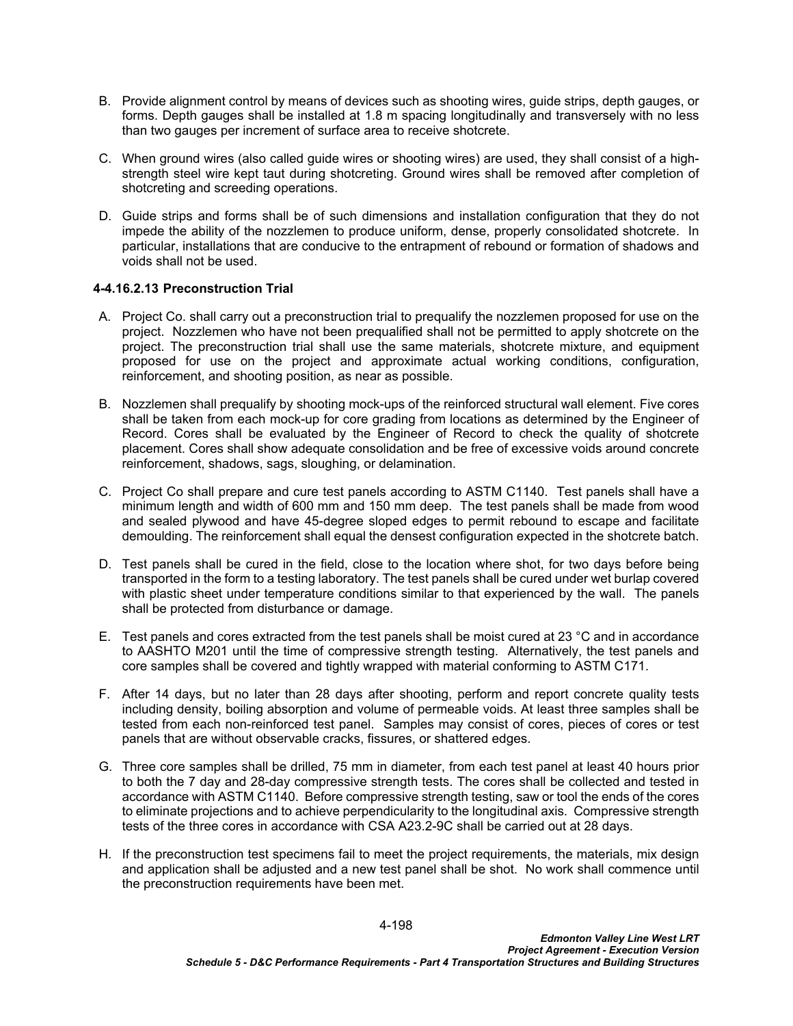- B. Provide alignment control by means of devices such as shooting wires, guide strips, depth gauges, or forms. Depth gauges shall be installed at 1.8 m spacing longitudinally and transversely with no less than two gauges per increment of surface area to receive shotcrete.
- C. When ground wires (also called guide wires or shooting wires) are used, they shall consist of a highstrength steel wire kept taut during shotcreting. Ground wires shall be removed after completion of shotcreting and screeding operations.
- D. Guide strips and forms shall be of such dimensions and installation configuration that they do not impede the ability of the nozzlemen to produce uniform, dense, properly consolidated shotcrete. In particular, installations that are conducive to the entrapment of rebound or formation of shadows and voids shall not be used.

## **4-4.16.2.13 Preconstruction Trial**

- A. Project Co. shall carry out a preconstruction trial to prequalify the nozzlemen proposed for use on the project. Nozzlemen who have not been prequalified shall not be permitted to apply shotcrete on the project. The preconstruction trial shall use the same materials, shotcrete mixture, and equipment proposed for use on the project and approximate actual working conditions, configuration, reinforcement, and shooting position, as near as possible.
- B. Nozzlemen shall prequalify by shooting mock-ups of the reinforced structural wall element. Five cores shall be taken from each mock-up for core grading from locations as determined by the Engineer of Record. Cores shall be evaluated by the Engineer of Record to check the quality of shotcrete placement. Cores shall show adequate consolidation and be free of excessive voids around concrete reinforcement, shadows, sags, sloughing, or delamination.
- C. Project Co shall prepare and cure test panels according to ASTM C1140. Test panels shall have a minimum length and width of 600 mm and 150 mm deep. The test panels shall be made from wood and sealed plywood and have 45-degree sloped edges to permit rebound to escape and facilitate demoulding. The reinforcement shall equal the densest configuration expected in the shotcrete batch.
- D. Test panels shall be cured in the field, close to the location where shot, for two days before being transported in the form to a testing laboratory. The test panels shall be cured under wet burlap covered with plastic sheet under temperature conditions similar to that experienced by the wall. The panels shall be protected from disturbance or damage.
- E. Test panels and cores extracted from the test panels shall be moist cured at 23 °C and in accordance to AASHTO M201 until the time of compressive strength testing. Alternatively, the test panels and core samples shall be covered and tightly wrapped with material conforming to ASTM C171.
- F. After 14 days, but no later than 28 days after shooting, perform and report concrete quality tests including density, boiling absorption and volume of permeable voids. At least three samples shall be tested from each non-reinforced test panel. Samples may consist of cores, pieces of cores or test panels that are without observable cracks, fissures, or shattered edges.
- G. Three core samples shall be drilled, 75 mm in diameter, from each test panel at least 40 hours prior to both the 7 day and 28-day compressive strength tests. The cores shall be collected and tested in accordance with ASTM C1140. Before compressive strength testing, saw or tool the ends of the cores to eliminate projections and to achieve perpendicularity to the longitudinal axis. Compressive strength tests of the three cores in accordance with CSA A23.2-9C shall be carried out at 28 days.
- H. If the preconstruction test specimens fail to meet the project requirements, the materials, mix design and application shall be adjusted and a new test panel shall be shot. No work shall commence until the preconstruction requirements have been met.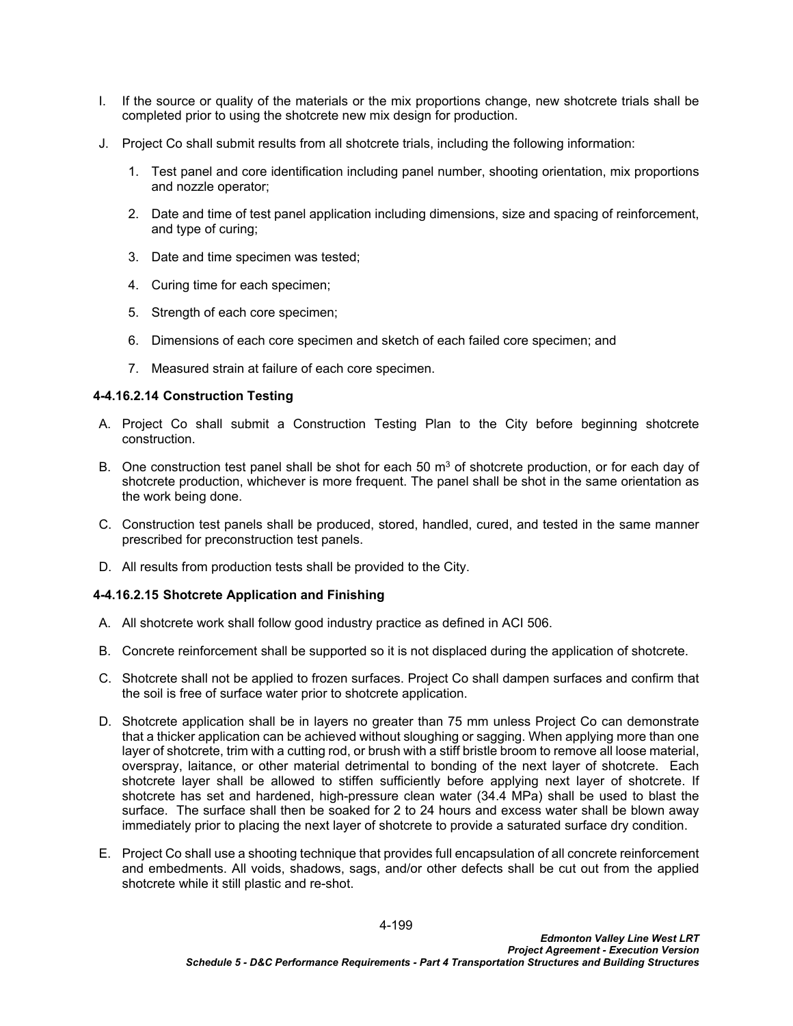- I. If the source or quality of the materials or the mix proportions change, new shotcrete trials shall be completed prior to using the shotcrete new mix design for production.
- J. Project Co shall submit results from all shotcrete trials, including the following information:
	- 1. Test panel and core identification including panel number, shooting orientation, mix proportions and nozzle operator;
	- 2. Date and time of test panel application including dimensions, size and spacing of reinforcement, and type of curing;
	- 3. Date and time specimen was tested;
	- 4. Curing time for each specimen;
	- 5. Strength of each core specimen;
	- 6. Dimensions of each core specimen and sketch of each failed core specimen; and
	- 7. Measured strain at failure of each core specimen.

### **4-4.16.2.14 Construction Testing**

- A. Project Co shall submit a Construction Testing Plan to the City before beginning shotcrete construction.
- B. One construction test panel shall be shot for each 50  $\text{m}^3$  of shotcrete production, or for each day of shotcrete production, whichever is more frequent. The panel shall be shot in the same orientation as the work being done.
- C. Construction test panels shall be produced, stored, handled, cured, and tested in the same manner prescribed for preconstruction test panels.
- D. All results from production tests shall be provided to the City.

### **4-4.16.2.15 Shotcrete Application and Finishing**

- A. All shotcrete work shall follow good industry practice as defined in ACI 506.
- B. Concrete reinforcement shall be supported so it is not displaced during the application of shotcrete.
- C. Shotcrete shall not be applied to frozen surfaces. Project Co shall dampen surfaces and confirm that the soil is free of surface water prior to shotcrete application.
- D. Shotcrete application shall be in layers no greater than 75 mm unless Project Co can demonstrate that a thicker application can be achieved without sloughing or sagging. When applying more than one layer of shotcrete, trim with a cutting rod, or brush with a stiff bristle broom to remove all loose material, overspray, laitance, or other material detrimental to bonding of the next layer of shotcrete. Each shotcrete layer shall be allowed to stiffen sufficiently before applying next layer of shotcrete. If shotcrete has set and hardened, high-pressure clean water (34.4 MPa) shall be used to blast the surface. The surface shall then be soaked for 2 to 24 hours and excess water shall be blown away immediately prior to placing the next layer of shotcrete to provide a saturated surface dry condition.
- E. Project Co shall use a shooting technique that provides full encapsulation of all concrete reinforcement and embedments. All voids, shadows, sags, and/or other defects shall be cut out from the applied shotcrete while it still plastic and re-shot.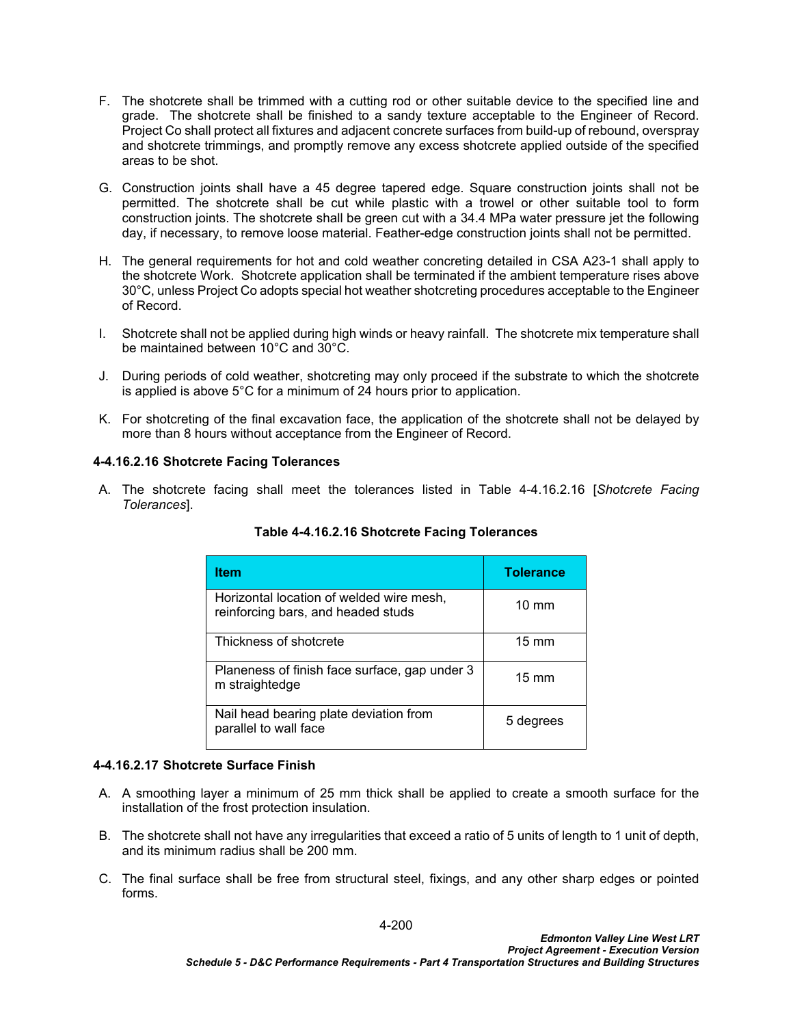- F. The shotcrete shall be trimmed with a cutting rod or other suitable device to the specified line and grade. The shotcrete shall be finished to a sandy texture acceptable to the Engineer of Record. Project Co shall protect all fixtures and adjacent concrete surfaces from build-up of rebound, overspray and shotcrete trimmings, and promptly remove any excess shotcrete applied outside of the specified areas to be shot.
- G. Construction joints shall have a 45 degree tapered edge. Square construction joints shall not be permitted. The shotcrete shall be cut while plastic with a trowel or other suitable tool to form construction joints. The shotcrete shall be green cut with a 34.4 MPa water pressure jet the following day, if necessary, to remove loose material. Feather-edge construction joints shall not be permitted.
- H. The general requirements for hot and cold weather concreting detailed in CSA A23-1 shall apply to the shotcrete Work. Shotcrete application shall be terminated if the ambient temperature rises above 30°C, unless Project Co adopts special hot weather shotcreting procedures acceptable to the Engineer of Record.
- I. Shotcrete shall not be applied during high winds or heavy rainfall. The shotcrete mix temperature shall be maintained between 10°C and 30°C.
- J. During periods of cold weather, shotcreting may only proceed if the substrate to which the shotcrete is applied is above 5°C for a minimum of 24 hours prior to application.
- K. For shotcreting of the final excavation face, the application of the shotcrete shall not be delayed by more than 8 hours without acceptance from the Engineer of Record.

## **4-4.16.2.16 Shotcrete Facing Tolerances**

A. The shotcrete facing shall meet the tolerances listed in Table 4-4.16.2.16 [*Shotcrete Facing Tolerances*].

| <b>Item</b>                                                                    | <b>Tolerance</b> |
|--------------------------------------------------------------------------------|------------------|
| Horizontal location of welded wire mesh,<br>reinforcing bars, and headed studs | $10 \text{ mm}$  |
| Thickness of shotcrete                                                         | $15 \text{ mm}$  |
| Planeness of finish face surface, gap under 3<br>m straightedge                | $15 \text{ mm}$  |
| Nail head bearing plate deviation from<br>parallel to wall face                | 5 degrees        |

**Table 4-4.16.2.16 Shotcrete Facing Tolerances**

### **4-4.16.2.17 Shotcrete Surface Finish**

- A. A smoothing layer a minimum of 25 mm thick shall be applied to create a smooth surface for the installation of the frost protection insulation.
- B. The shotcrete shall not have any irregularities that exceed a ratio of 5 units of length to 1 unit of depth, and its minimum radius shall be 200 mm.
- C. The final surface shall be free from structural steel, fixings, and any other sharp edges or pointed forms.